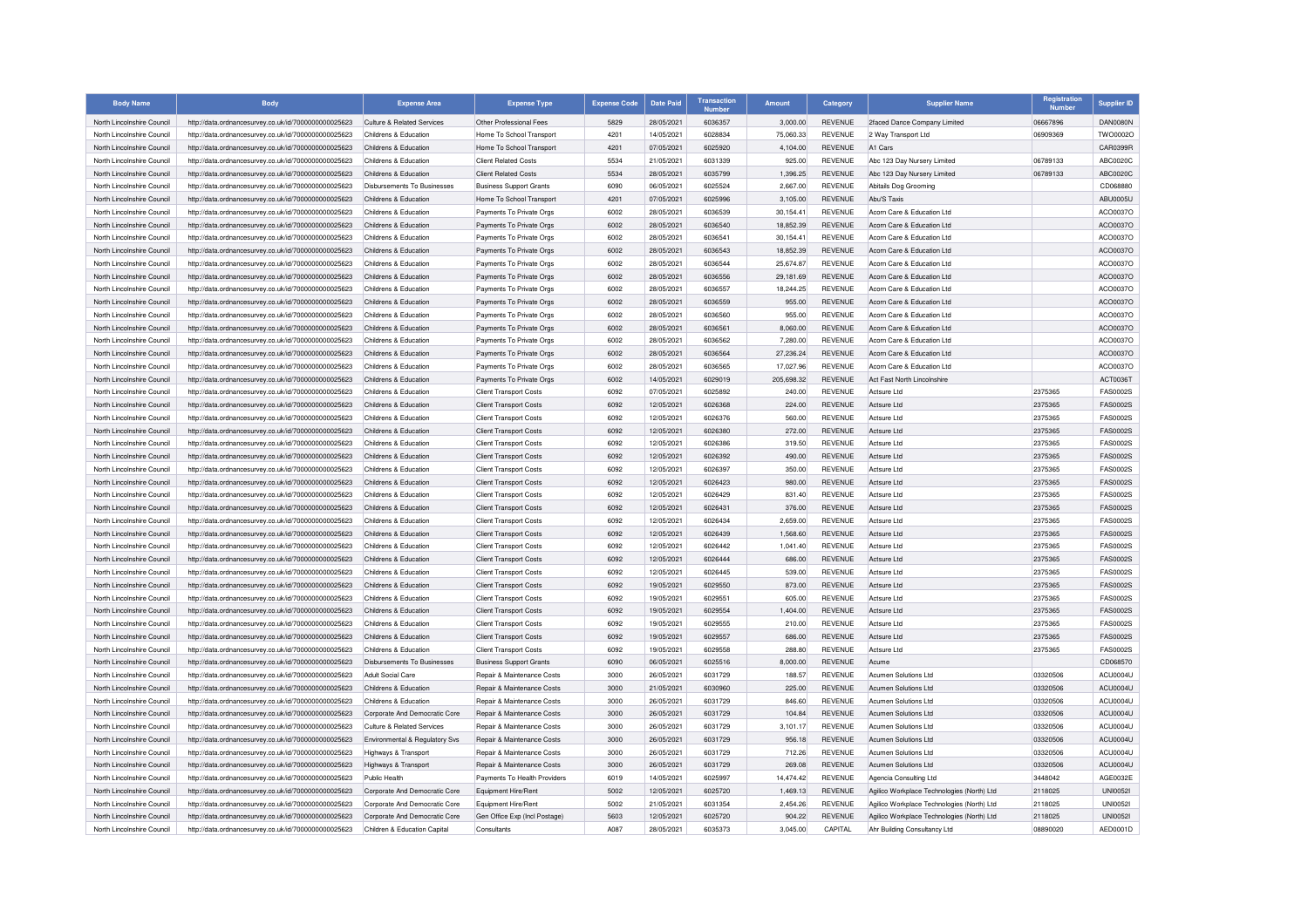| <b>Body Name</b>           | <b>Body</b>                                          | <b>Expense Area</b>                | <b>Expense Type</b>            | <b>Expense Code</b> | <b>Date Paid</b> | <b>Transaction</b><br><b>Number</b> | <b>Amount</b> | Category       | <b>Supplier Name</b>                       | Registration<br>Number | <b>Supplier ID</b> |
|----------------------------|------------------------------------------------------|------------------------------------|--------------------------------|---------------------|------------------|-------------------------------------|---------------|----------------|--------------------------------------------|------------------------|--------------------|
| North Lincolnshire Council | http://data.ordnancesurvey.co.uk/id/7000000000025623 | Culture & Related Services         | Other Professional Fees        | 5829                | 28/05/2021       | 6036357                             | 3,000.00      | <b>REVENUE</b> | 2faced Dance Company Limited               | 06667896               | <b>DAN0080N</b>    |
| North Lincolnshire Council | http://data.ordnancesurvey.co.uk/id/7000000000025623 | Childrens & Education              | Home To School Transport       | 4201                | 14/05/2021       | 6028834                             | 75,060.33     | <b>REVENUE</b> | 2 Way Transport Ltd                        | 06909369               | TWO0002O           |
| North Lincolnshire Council | http://data.ordnancesurvey.co.uk/id/7000000000025623 | Childrens & Education              | Home To School Transport       | 4201                | 07/05/2021       | 6025920                             | 4,104.00      | REVENUE        | A1 Cars                                    |                        | CAR0399F           |
| North Lincolnshire Council | http://data.ordnancesurvey.co.uk/id/7000000000025623 | Childrens & Education              | <b>Client Related Costs</b>    | 5534                | 21/05/2021       | 6031339                             | 925.00        | REVENUE        | Abc 123 Day Nursery Limited                | 06789133               | <b>ABC0020C</b>    |
| North Lincolnshire Council | http://data.ordnancesurvey.co.uk/id/7000000000025623 | Childrens & Education              | <b>Client Related Costs</b>    | 5534                | 28/05/2021       | 6035799                             | 1,396.25      | <b>REVENUE</b> | Abc 123 Day Nursery Limited                | 06789133               | ABC0020C           |
| North Lincolnshire Council | http://data.ordnancesurvey.co.uk/id/7000000000025623 | Disbursements To Businesses        | <b>Business Support Grants</b> | 6090                | 06/05/2021       | 6025524                             | 2,667.00      | REVENUE        | Abitails Dog Grooming                      |                        | CD068880           |
| North Lincolnshire Council | http://data.ordnancesurvey.co.uk/id/7000000000025623 | Childrens & Education              | Home To School Transport       | 4201                | 07/05/2021       | 6025996                             | 3,105.00      | <b>REVENUE</b> | Abu'S Taxis                                |                        | <b>ABU0005U</b>    |
| North Lincolnshire Council | http://data.ordnancesurvey.co.uk/id/7000000000025623 | Childrens & Education              | Payments To Private Orgs       | 6002                | 28/05/2021       | 6036539                             | 30.154.41     | <b>REVENUE</b> | Acorn Care & Education Ltd                 |                        | ACO0037O           |
| North Lincolnshire Council | http://data.ordnancesurvey.co.uk/id/7000000000025623 | Childrens & Education              | Payments To Private Orgs       | 6002                | 28/05/2021       | 6036540                             | 18,852.39     | <b>REVENUE</b> | Acorn Care & Education Ltd                 |                        | ACO0037O           |
| North Lincolnshire Council | http://data.ordnancesurvey.co.uk/id/7000000000025623 | Childrens & Education              | Payments To Private Orgs       | 6002                | 28/05/2021       | 6036541                             | 30,154.41     | REVENUE        | Acorn Care & Education Ltd                 |                        | ACO0037O           |
| North Lincolnshire Council | http://data.ordnancesurvey.co.uk/id/7000000000025623 | Childrens & Education              | Payments To Private Orgs       | 6002                | 28/05/2021       | 6036543                             | 18,852.39     | <b>REVENUE</b> | Acorn Care & Education Ltd                 |                        | ACO0037O           |
| North Lincolnshire Council | http://data.ordnancesurvey.co.uk/id/7000000000025623 | Childrens & Education              | Payments To Private Orgs       | 6002                | 28/05/2021       | 6036544                             | 25,674.87     | REVENUE        | Acorn Care & Education Ltd                 |                        | ACO0037O           |
| North Lincolnshire Council | http://data.ordnancesurvey.co.uk/id/7000000000025623 | Childrens & Education              | Payments To Private Orgs       | 6002                | 28/05/2021       | 6036556                             | 29,181.69     | <b>REVENUE</b> | Acorn Care & Education Ltd                 |                        | ACO0037O           |
| North Lincolnshire Council | http://data.ordnancesurvey.co.uk/id/7000000000025623 | Childrens & Education              | Payments To Private Orgs       | 6002                | 28/05/2021       | 6036557                             | 18,244.25     | <b>REVENUE</b> | Acorn Care & Education Ltd                 |                        | ACO0037C           |
| North Lincolnshire Council | http://data.ordnancesurvey.co.uk/id/7000000000025623 | Childrens & Education              | Payments To Private Orgs       | 6002                | 28/05/2021       | 6036559                             | 955.00        | <b>REVENUE</b> | Acorn Care & Education Ltd                 |                        | ACO0037O           |
| North Lincolnshire Council | http://data.ordnancesurvey.co.uk/id/7000000000025623 | Childrens & Education              | Payments To Private Orgs       | 6002                | 28/05/2021       | 6036560                             | 955.00        | REVENUE        | Acorn Care & Education Ltd                 |                        | ACO0037O           |
| North Lincolnshire Council | http://data.ordnancesurvey.co.uk/id/7000000000025623 | Childrens & Education              | Payments To Private Orgs       | 6002                | 28/05/2021       | 6036561                             | 8.060.00      | <b>REVENUE</b> | Acorn Care & Education Ltd                 |                        | ACO0037O           |
| North Lincolnshire Council | http://data.ordnancesurvey.co.uk/id/7000000000025623 | Childrens & Education              | Payments To Private Orgs       | 6002                | 28/05/2021       | 6036562                             | 7,280.00      | REVENUE        | Acorn Care & Education Ltd                 |                        | ACO0037O           |
| North Lincolnshire Council | http://data.ordnancesurvey.co.uk/id/7000000000025623 | Childrens & Education              | Payments To Private Orgs       | 6002                | 28/05/2021       | 6036564                             | 27,236.24     | <b>REVENUE</b> | Acorn Care & Education Ltd                 |                        | ACO0037O           |
| North Lincolnshire Council | http://data.ordnancesurvey.co.uk/id/7000000000025623 | Childrens & Education              | Payments To Private Orgs       | 6002                | 28/05/2021       | 6036565                             | 17,027.96     | <b>REVENUE</b> | Acorn Care & Education Ltd                 |                        | ACO0037C           |
| North Lincolnshire Council | http://data.ordnancesurvey.co.uk/id/7000000000025623 | Childrens & Education              | Payments To Private Orgs       | 6002                | 14/05/2021       | 6029019                             | 205,698.32    | <b>REVENUE</b> | Act Fast North Lincolnshire                |                        | ACT0036T           |
| North Lincolnshire Council | http://data.ordnancesurvey.co.uk/id/7000000000025623 | Childrens & Education              | <b>Client Transport Costs</b>  | 6092                | 07/05/2021       | 6025892                             | 240.00        | <b>REVENUE</b> | Actsure Ltd                                | 2375365                | <b>FAS0002S</b>    |
| North Lincolnshire Council | http://data.ordnancesurvey.co.uk/id/7000000000025623 | Childrens & Education              | <b>Client Transport Costs</b>  | 6092                | 12/05/2021       | 6026368                             | 224.00        | <b>REVENUE</b> | Actsure Ltd                                | 2375365                | <b>FAS0002S</b>    |
| North Lincolnshire Council | http://data.ordnancesurvey.co.uk/id/7000000000025623 | Childrens & Education              | <b>Client Transport Costs</b>  | 6092                | 12/05/2021       | 6026376                             | 560.00        | <b>REVENUE</b> | Actsure Ltd                                | 2375365                | <b>FAS0002S</b>    |
| North Lincolnshire Council | http://data.ordnancesurvey.co.uk/id/7000000000025623 | Childrens & Education              | <b>Client Transport Costs</b>  | 6092                | 12/05/2021       | 6026380                             | 272.00        | REVENUE        | Actsure Ltd                                | 2375365                | FAS0002S           |
| North Lincolnshire Council | http://data.ordnancesurvey.co.uk/id/7000000000025623 | Childrens & Education              | <b>Client Transport Costs</b>  | 6092                | 12/05/2021       | 6026386                             | 319.50        | <b>REVENUE</b> | Actsure I td                               | 2375365                | <b>FAS0002S</b>    |
| North Lincolnshire Council | http://data.ordnancesurvey.co.uk/id/7000000000025623 | Childrens & Education              | <b>Client Transport Costs</b>  | 6092                | 12/05/2021       | 6026392                             | 490.00        | <b>REVENUE</b> | <b>Actsure Ltd</b>                         | 2375365                | <b>FAS0002S</b>    |
| North Lincolnshire Council | http://data.ordnancesurvey.co.uk/id/7000000000025623 | Childrens & Education              | <b>Client Transport Costs</b>  | 6092                | 12/05/2021       | 6026397                             | 350.00        | <b>REVENUE</b> | Actsure Ltd                                | 2375365                | FAS0002S           |
| North Lincolnshire Council | http://data.ordnancesurvey.co.uk/id/7000000000025623 | Childrens & Education              | <b>Client Transport Costs</b>  | 6092                | 12/05/2021       | 6026423                             | 980.00        | <b>REVENUE</b> | Actsure Ltd                                | 2375365                | <b>FAS0002S</b>    |
| North Lincolnshire Council | http://data.ordnancesurvey.co.uk/id/7000000000025623 | Childrens & Education              | <b>Client Transport Costs</b>  | 6092                | 12/05/2021       | 6026429                             | 831.40        | REVENUE        | Actsure Ltd                                | 2375365                | <b>FAS0002S</b>    |
| North Lincolnshire Council | http://data.ordnancesurvey.co.uk/id/7000000000025623 | Childrens & Education              | <b>Client Transport Costs</b>  | 6092                | 12/05/2021       | 6026431                             | 376.00        | <b>REVENUE</b> | <b>Actsure Ltd</b>                         | 2375365                | <b>FAS0002S</b>    |
| North Lincolnshire Council | http://data.ordnancesurvey.co.uk/id/7000000000025623 | Childrens & Education              | <b>Client Transport Costs</b>  | 6092                | 12/05/2021       | 6026434                             | 2,659.00      | <b>REVENUE</b> | Actsure Ltd                                | 2375365                | <b>FAS0002S</b>    |
| North Lincolnshire Council | http://data.ordnancesurvey.co.uk/id/7000000000025623 | Childrens & Education              | <b>Client Transport Costs</b>  | 6092                | 12/05/2021       | 6026439                             | 1,568.60      | REVENUE        | Actsure Ltd                                | 2375365                | <b>FAS0002S</b>    |
| North Lincolnshire Council | http://data.ordnancesurvey.co.uk/id/7000000000025623 | Childrens & Education              | <b>Client Transport Costs</b>  | 6092                | 12/05/2021       | 6026442                             | 1,041.40      | REVENUE        | Actsure Ltd                                | 2375365                | <b>FAS0002S</b>    |
| North Lincolnshire Council | http://data.ordnancesurvey.co.uk/id/7000000000025623 | Childrens & Education              | <b>Client Transport Costs</b>  | 6092                | 12/05/2021       | 6026444                             | 686.00        | <b>REVENUE</b> | Actsure Ltd                                | 2375365                | <b>FAS0002S</b>    |
| North Lincolnshire Council | http://data.ordnancesurvey.co.uk/id/7000000000025623 | Childrens & Education              | <b>Client Transport Costs</b>  | 6092                | 12/05/2021       | 6026445                             | 539.00        | REVENUE        | Actsure Ltd                                | 2375365                | <b>FAS0002S</b>    |
| North Lincolnshire Council | http://data.ordnancesurvey.co.uk/id/7000000000025623 | Childrens & Education              | <b>Client Transport Costs</b>  | 6092                | 19/05/2021       | 6029550                             | 873.00        | <b>REVENUE</b> | Actsure Ltd                                | 2375365                | <b>FAS0002S</b>    |
| North Lincolnshire Council | http://data.ordnancesurvev.co.uk/id/7000000000025623 | Childrens & Education              | <b>Client Transport Costs</b>  | 6092                | 19/05/2021       | 6029551                             | 605.00        | <b>REVENUE</b> | Actsure Ltd                                | 2375365                | <b>FAS0002S</b>    |
| North Lincolnshire Council | http://data.ordnancesurvey.co.uk/id/7000000000025623 | Childrens & Education              | <b>Client Transport Costs</b>  | 6092                | 19/05/2021       | 6029554                             | 1,404.00      | REVENUE        | Actsure Ltd                                | 2375365                | <b>FAS0002S</b>    |
| North Lincolnshire Council | http://data.ordnancesurvey.co.uk/id/7000000000025623 | Childrens & Education              | <b>Client Transport Costs</b>  | 6092                | 19/05/2021       | 6029555                             | 210.00        | REVENUE        | Actsure Ltd                                | 2375365                | FAS0002S           |
| North Lincolnshire Council | http://data.ordnancesurvey.co.uk/id/7000000000025623 | Childrens & Education              | <b>Client Transport Costs</b>  | 6092                | 19/05/2021       | 6029557                             | 686.00        | REVENUE        | Actsure Ltd                                | 2375365                | <b>FAS0002S</b>    |
| North Lincolnshire Council | http://data.ordnancesurvey.co.uk/id/7000000000025623 | Childrens & Education              | <b>Client Transport Costs</b>  | 6092                | 19/05/2021       | 6029558                             | 288.80        | REVENUE        | Actsure Ltd                                | 2375365                | <b>FAS0002S</b>    |
| North Lincolnshire Council | http://data.ordnancesurvey.co.uk/id/7000000000025623 | <b>Disbursements To Businesses</b> | <b>Business Support Grants</b> | 6090                | 06/05/2021       | 6025516                             | 8,000.00      | REVENUE        | Acume                                      |                        | CD068570           |
| North Lincolnshire Council | http://data.ordnancesurvey.co.uk/id/7000000000025623 | Adult Social Care                  | Repair & Maintenance Costs     | 3000                | 26/05/2021       | 6031729                             | 188.57        | <b>REVENUE</b> | Acumen Solutions Ltd                       | 03320506               | ACU0004U           |
| North Lincolnshire Council | http://data.ordnancesurvey.co.uk/id/7000000000025623 | Childrens & Education              | Repair & Maintenance Costs     | 3000                | 21/05/2021       | 6030960                             | 225.00        | REVENUE        | Acumen Solutions Ltd.                      | 03320506               | ACU0004U           |
| North Lincolnshire Council | http://data.ordnancesurvey.co.uk/id/7000000000025623 | Childrens & Education              | Repair & Maintenance Costs     | 3000                | 26/05/2021       | 6031729                             | 846.60        | <b>REVENUE</b> | Acumen Solutions Ltd                       | 03320506               | ACU0004U           |
| North Lincolnshire Council | http://data.ordnancesurvey.co.uk/id/7000000000025623 | Corporate And Democratic Core      | Repair & Maintenance Costs     | 3000                | 26/05/2021       | 6031729                             | 104.84        | REVENUE        | Acumen Solutions Ltd                       | 03320506               | ACU0004U           |
| North Lincolnshire Council | http://data.ordnancesurvey.co.uk/id/7000000000025623 | Culture & Related Services         | Repair & Maintenance Costs     | 3000                | 26/05/2021       | 6031729                             | 3,101.17      | REVENUE        | Acumen Solutions Ltd                       | 03320506               | ACU0004U           |
| North Lincolnshire Council | http://data.ordnancesurvey.co.uk/id/7000000000025623 | Environmental & Regulatory Svs     | Repair & Maintenance Costs     | 3000                | 26/05/2021       | 6031729                             | 956.18        | <b>REVENUE</b> | Acumen Solutions Ltd                       | 03320506               | ACU0004U           |
| North Lincolnshire Council | http://data.ordnancesurvey.co.uk/id/7000000000025623 | Highways & Transport               | Repair & Maintenance Costs     | 3000                | 26/05/2021       | 6031729                             | 712.26        | REVENUE        | Acumen Solutions Ltd                       | 03320506               | ACU0004U           |
| North Lincolnshire Council | http://data.ordnancesurvey.co.uk/id/7000000000025623 | Highways & Transport               | Repair & Maintenance Costs     | 3000                | 26/05/2021       | 6031729                             | 269.08        | REVENUE        | Acumen Solutions Ltd                       | 03320506               | ACU0004L           |
| North Lincolnshire Council | http://data.ordnancesurvey.co.uk/id/7000000000025623 | Public Health                      | Payments To Health Providers   | 6019                | 14/05/2021       | 6025997                             | 14,474.42     | REVENUE        | Agencia Consulting Ltd                     | 3448042                | AGE0032E           |
| North Lincolnshire Council | http://data.ordnancesurvey.co.uk/id/7000000000025623 | Corporate And Democratic Core      | Equipment Hire/Rent            | 5002                | 12/05/2021       | 6025720                             | 1,469.13      | REVENUE        | Agilico Workplace Technologies (North) Ltd | 2118025                | <b>UNI00521</b>    |
| North Lincolnshire Council | http://data.ordnancesurvey.co.uk/id/7000000000025623 | Cornorate And Democratic Core      | Equipment Hire/Rent            | 5002                | 21/05/2021       | 6031354                             | 2,454.26      | REVENUE        | Agilico Workplace Technologies (North) Ltd | 2118025                | <b>UNI00521</b>    |
| North Lincolnshire Council | http://data.ordnancesurvey.co.uk/id/7000000000025623 | Corporate And Democratic Core      | Gen Office Exp (Incl Postage)  | 5603                | 12/05/2021       | 6025720                             | 904.22        | REVENUE        | Agilico Workplace Technologies (North) Ltd | 2118025                | <b>UNI00521</b>    |
| North Lincolnshire Council | http://data.ordnancesurvey.co.uk/id/7000000000025623 | Children & Education Capital       | Consultants                    | <b>A087</b>         | 28/05/2021       | 6035373                             | 3,045.00      | CAPITAL        | Ahr Building Consultancy Ltd               | 08890020               | AED0001D           |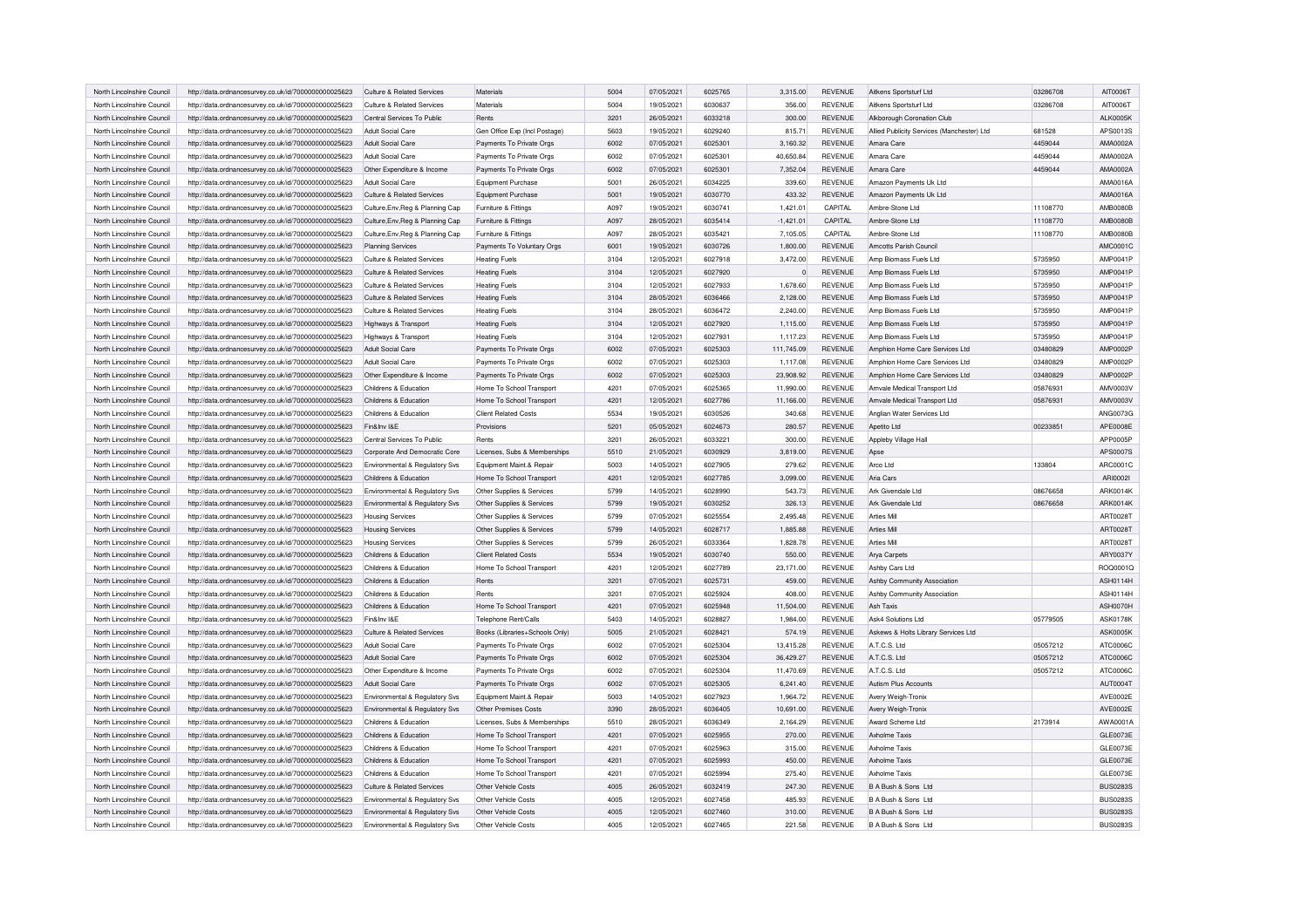| North Lincolnshire Council | http://data.ordnancesurvey.co.uk/id/7000000000025623 | Culture & Related Services       | Materials                      | 5004 | 07/05/2021 | 6025765 | 3,315.00       | REVENUE        | Aitkens Sportsturf Ltd                     | 03286708 | AIT0006T        |
|----------------------------|------------------------------------------------------|----------------------------------|--------------------------------|------|------------|---------|----------------|----------------|--------------------------------------------|----------|-----------------|
| North Lincolnshire Council | http://data.ordnancesurvey.co.uk/id/7000000000025623 | Culture & Related Services       | Materials                      | 5004 | 19/05/2021 | 6030637 | 356.00         | <b>REVENUE</b> | Aitkens Sportsturf Ltd                     | 03286708 | AIT0006T        |
| North Lincolnshire Council | http://data.ordnancesurvey.co.uk/id/7000000000025623 | Central Services To Public       | Rents                          | 3201 | 26/05/2021 | 6033218 | 300.00         | <b>REVENUE</b> | Alkborough Coronation Club                 |          | <b>ALK0005K</b> |
| North Lincolnshire Council | http://data.ordnancesurvey.co.uk/id/7000000000025623 | Adult Social Care                | Gen Office Exp (Incl Postage)  | 5603 | 19/05/2021 | 6029240 | 815.71         | <b>REVENUE</b> | Allied Publicity Services (Manchester) Ltd | 681528   | APS0013S        |
| North Lincolnshire Council | http://data.ordnancesurvey.co.uk/id/7000000000025623 | Adult Social Care                | Payments To Private Orgs       | 6002 | 07/05/2021 | 6025301 | 3,160.32       | <b>REVENUE</b> | Amara Care                                 | 4459044  | AMA0002A        |
| North Lincolnshire Council | http://data.ordnancesurvey.co.uk/id/7000000000025623 | Adult Social Care                | Payments To Private Orgs       | 6002 | 07/05/2021 | 6025301 | 40.650.84      | <b>REVENUE</b> | Amara Care                                 | 4459044  | AMA0002A        |
| North Lincolnshire Council | http://data.ordnancesurvey.co.uk/id/7000000000025623 | Other Expenditure & Income       | Payments To Private Orgs       | 6002 | 07/05/2021 | 6025301 | 7,352.04       | <b>REVENUE</b> | Amara Care                                 | 4459044  | AMA0002A        |
| North Lincolnshire Council | http://data.ordnancesurvey.co.uk/id/7000000000025623 | Adult Social Care                | <b>Equipment Purchase</b>      | 5001 | 26/05/2021 | 6034225 | 339.60         | <b>REVENUE</b> | Amazon Payments Uk Ltd                     |          | AMA0016A        |
| North Lincolnshire Council | http://data.ordnancesurvey.co.uk/id/7000000000025623 | Culture & Related Services       | Equipment Purchase             | 5001 | 19/05/2021 | 6030770 | 433.32         | <b>REVENUE</b> | Amazon Payments Uk Ltd                     |          | AMA0016A        |
| North Lincolnshire Council | http://data.ordnancesurvey.co.uk/id/7000000000025623 | Culture, Env, Reg & Planning Cap | Furniture & Fittings           | A097 | 19/05/2021 | 6030741 | 1,421.01       | CAPITAL        | Ambre-Stone Ltd                            | 11108770 | AMB0080B        |
| North Lincolnshire Council | http://data.ordnancesurvey.co.uk/id/7000000000025623 | Culture, Env, Reg & Planning Cap | Furniture & Fittings           | A097 | 28/05/2021 | 6035414 | $-1,421.01$    | CAPITAL        | Ambre-Stone Ltd                            | 11108770 | <b>AMB0080B</b> |
| North Lincolnshire Council | http://data.ordnancesurvey.co.uk/id/7000000000025623 | Culture, Env, Reg & Planning Cap | Furniture & Fittings           | A097 | 28/05/2021 | 6035421 | 7,105.05       | CAPITAL        | Ambre-Stone Ltd                            | 11108770 | <b>AMB0080B</b> |
| North Lincolnshire Council | http://data.ordnancesurvey.co.uk/id/7000000000025623 | <b>Planning Services</b>         | Payments To Voluntary Orgs     | 6001 | 19/05/2021 | 6030726 | 1,800.00       | <b>REVENUE</b> | Amcotts Parish Council                     |          | AMC0001C        |
| North Lincolnshire Council | http://data.ordnancesurvey.co.uk/id/7000000000025623 | Culture & Related Services       | <b>Heating Fuels</b>           | 3104 | 12/05/2021 | 6027918 | 3,472.00       | <b>REVENUE</b> | Amp Biomass Fuels Ltd                      | 5735950  | AMP0041P        |
|                            |                                                      |                                  |                                | 3104 |            | 6027920 | $\overline{0}$ | <b>REVENUE</b> |                                            | 5735950  | AMP0041P        |
| North Lincolnshire Council | http://data.ordnancesurvey.co.uk/id/7000000000025623 | Culture & Related Services       | <b>Heating Fuels</b>           |      | 12/05/2021 |         |                |                | Amp Biomass Fuels Ltd                      |          |                 |
| North Lincolnshire Council | http://data.ordnancesurvey.co.uk/id/7000000000025623 | Culture & Related Services       | <b>Heating Fuels</b>           | 3104 | 12/05/2021 | 6027933 | 1,678.60       | <b>REVENUE</b> | Amp Biomass Fuels Ltd                      | 5735950  | AMP0041P        |
| North Lincolnshire Council | http://data.ordnancesurvey.co.uk/id/7000000000025623 | Culture & Related Services       | <b>Heating Fuels</b>           | 3104 | 28/05/2021 | 6036466 | 2,128.00       | <b>REVENUE</b> | Amp Biomass Fuels Ltd                      | 5735950  | AMP0041P        |
| North Lincolnshire Council | http://data.ordnancesurvey.co.uk/id/7000000000025623 | Culture & Related Services       | <b>Heating Fuels</b>           | 3104 | 28/05/2021 | 6036472 | 2,240.00       | <b>REVENUE</b> | Amp Biomass Fuels Ltd                      | 5735950  | AMP0041P        |
| North Lincolnshire Council | http://data.ordnancesurvey.co.uk/id/7000000000025623 | Highways & Transport             | <b>Heating Fuels</b>           | 3104 | 12/05/2021 | 6027920 | 1.115.00       | <b>REVENUE</b> | Amp Biomass Fuels Ltd                      | 5735950  | AMP0041P        |
| North Lincolnshire Council | http://data.ordnancesurvey.co.uk/id/7000000000025623 | Highways & Transport             | <b>Heating Fuels</b>           | 3104 | 12/05/2021 | 6027931 | 1,117.23       | <b>REVENUE</b> | Amp Biomass Fuels Ltd                      | 5735950  | AMP0041P        |
| North Lincolnshire Council | http://data.ordnancesurvey.co.uk/id/7000000000025623 | Adult Social Care                | Payments To Private Orgs       | 6002 | 07/05/2021 | 6025303 | 111,745.09     | <b>REVENUE</b> | Amphion Home Care Services Ltd             | 03480829 | <b>AMP0002P</b> |
| North Lincolnshire Council | http://data.ordnancesurvey.co.uk/id/7000000000025623 | Adult Social Care                | Payments To Private Orgs       | 6002 | 07/05/2021 | 6025303 | 1,117.08       | <b>REVENUE</b> | Amphion Home Care Services Ltd             | 03480829 | AMP0002F        |
| North Lincolnshire Council | http://data.ordnancesurvey.co.uk/id/7000000000025623 | Other Expenditure & Income       | Payments To Private Orgs       | 6002 | 07/05/2021 | 6025303 | 23,908.92      | <b>REVENUE</b> | Amphion Home Care Services Ltd             | 03480829 | AMP0002P        |
| North Lincolnshire Council | http://data.ordnancesurvey.co.uk/id/7000000000025623 | Childrens & Education            | Home To School Transport       | 4201 | 07/05/2021 | 6025365 | 11,990.00      | <b>REVENUE</b> | Amvale Medical Transport Ltd               | 05876931 | AMV0003V        |
| North Lincolnshire Council | http://data.ordnancesurvey.co.uk/id/7000000000025623 | Childrens & Education            | Home To School Transport       | 4201 | 12/05/2021 | 6027786 | 11.166.00      | <b>REVENUE</b> | Amvale Medical Transport Ltd               | 05876931 | AMV0003V        |
| North Lincolnshire Council | http://data.ordnancesurvey.co.uk/id/7000000000025623 | Childrens & Education            | Client Related Costs           | 5534 | 19/05/2021 | 6030526 | 340.68         | <b>REVENUE</b> | Anglian Water Services Ltd                 |          | <b>ANG0073G</b> |
| North Lincolnshire Council | http://data.ordnancesurvey.co.uk/id/7000000000025623 | Fin&Inv I&F                      | Provisions                     | 5201 | 05/05/2021 | 6024673 | 280.57         | <b>REVENUE</b> | Apetito Ltd                                | 00233851 | APE0008E        |
| North Lincolnshire Council | http://data.ordnancesurvey.co.uk/id/7000000000025623 | Central Services To Public       | Rents                          | 3201 | 26/05/2021 | 6033221 | 300.00         | <b>REVENUE</b> | Appleby Village Hall                       |          | APP0005P        |
| North Lincolnshire Council | http://data.ordnancesurvey.co.uk/id/7000000000025623 | Corporate And Democratic Core    | Licenses, Subs & Memberships   | 5510 | 21/05/2021 | 6030929 | 3,819.00       | <b>REVENUE</b> | Apse                                       |          | APS0007S        |
| North Lincolnshire Council | http://data.ordnancesurvey.co.uk/id/7000000000025623 | Environmental & Regulatory Svs   | Equipment Maint.& Repair       | 5003 | 14/05/2021 | 6027905 | 279.62         | <b>REVENUE</b> | Arco Ltd                                   | 133804   | ARC0001C        |
| North Lincolnshire Council | http://data.ordnancesurvey.co.uk/id/7000000000025623 | Childrens & Education            | Home To School Transport       | 4201 | 12/05/2021 | 6027785 | 3,099.00       | <b>REVENUE</b> | Aria Cars                                  |          | ARI00021        |
|                            |                                                      |                                  |                                |      |            | 6028990 |                |                |                                            |          |                 |
| North Lincolnshire Council | http://data.ordnancesurvey.co.uk/id/7000000000025623 | Environmental & Regulatory Svs   | Other Supplies & Services      | 5799 | 14/05/2021 |         | 543.73         | <b>REVENUE</b> | Ark Givendale Ltd                          | 08676658 | ARK0014K        |
| North Lincolnshire Council | http://data.ordnancesurvey.co.uk/id/7000000000025623 | Environmental & Regulatory Svs   | Other Supplies & Services      | 5799 | 19/05/2021 | 6030252 | 326.13         | <b>REVENUE</b> | Ark Givendale I td                         | 08676658 | ARK0014K        |
| North Lincolnshire Council | http://data.ordnancesurvey.co.uk/id/7000000000025623 | <b>Housing Services</b>          | Other Supplies & Services      | 5799 | 07/05/2021 | 6025554 | 2,495.48       | <b>REVENUE</b> | Arties Mill                                |          | ART0028T        |
| North Lincolnshire Council | http://data.ordnancesurvey.co.uk/id/7000000000025623 | <b>Housing Services</b>          | Other Supplies & Services      | 5799 | 14/05/2021 | 6028717 | 1,885.88       | <b>REVENUE</b> | Arties Mill                                |          | ART0028T        |
| North Lincolnshire Council | http://data.ordnancesurvey.co.uk/id/7000000000025623 | <b>Housing Services</b>          | Other Supplies & Services      | 5799 | 26/05/2021 | 6033364 | 1,828.78       | <b>REVENUE</b> | <b>Arties Mill</b>                         |          | ART0028T        |
| North Lincolnshire Council | http://data.ordnancesurvey.co.uk/id/7000000000025623 | Childrens & Education            | <b>Client Related Costs</b>    | 5534 | 19/05/2021 | 6030740 | 550.00         | <b>REVENUE</b> | Arya Carpets                               |          | ARY0037Y        |
| North Lincolnshire Council | http://data.ordnancesurvey.co.uk/id/7000000000025623 | Childrens & Education            | Home To School Transport       | 4201 | 12/05/2021 | 6027789 | 23,171.00      | <b>REVENUE</b> | Ashby Cars Ltd                             |          | ROQ0001Q        |
| North Lincolnshire Council | http://data.ordnancesurvey.co.uk/id/7000000000025623 | Childrens & Education            | Rents                          | 3201 | 07/05/2021 | 6025731 | 459.00         | <b>REVENUE</b> | Ashby Community Association                |          | ASH0114H        |
| North Lincolnshire Council | http://data.ordnancesurvey.co.uk/id/7000000000025623 | Childrens & Education            | Rents                          | 3201 | 07/05/2021 | 6025924 | 408.00         | <b>REVENUE</b> | Ashby Community Association                |          | <b>ASH0114H</b> |
| North Lincolnshire Council | http://data.ordnancesurvey.co.uk/id/7000000000025623 | Childrens & Education            | Home To School Transport       | 4201 | 07/05/2021 | 6025948 | 11,504.00      | <b>REVENUE</b> | Ash Taxis                                  |          | <b>ASH0070H</b> |
| North Lincolnshire Council | http://data.ordnancesurvey.co.uk/id/7000000000025623 | Fin&Inv I&E                      | Telephone Rent/Calls           | 5403 | 14/05/2021 | 6028827 | 1,984.00       | <b>REVENUE</b> | Ask4 Solutions Ltd                         | 05779505 | <b>ASK0178K</b> |
| North Lincolnshire Council | http://data.ordnancesurvey.co.uk/id/7000000000025623 | Culture & Related Services       | Books (Libraries+Schools Only) | 5005 | 21/05/2021 | 6028421 | 574.19         | REVENUE        | Askews & Holts Library Services Ltd        |          | <b>ASK0005K</b> |
| North Lincolnshire Council | http://data.ordnancesurvey.co.uk/id/7000000000025623 | Adult Social Care                | Payments To Private Orgs       | 6002 | 07/05/2021 | 6025304 | 13.415.28      | <b>REVENUE</b> | A.T.C.S. Ltd                               | 05057212 | ATC0006C        |
| North Lincolnshire Council | http://data.ordnancesurvey.co.uk/id/7000000000025623 | Adult Social Care                | Payments To Private Orgs       | 6002 | 07/05/2021 | 6025304 | 36,429.27      | <b>REVENUE</b> | A.T.C.S. Ltd                               | 05057212 | ATC0006C        |
| North Lincolnshire Council | http://data.ordnancesurvey.co.uk/id/7000000000025623 | Other Expenditure & Income       | Payments To Private Orgs       | 6002 | 07/05/2021 | 6025304 | 11,470.69      | <b>REVENUE</b> | A.T.C.S. Ltd                               | 05057212 | ATC0006C        |
| North Lincolnshire Council | http://data.ordnancesurvey.co.uk/id/7000000000025623 | Adult Social Care                | Payments To Private Orgs       | 6002 | 07/05/2021 | 6025305 | 6,241.40       | REVENUE        | Autism Plus Accounts                       |          | AUT0004T        |
| North Lincolnshire Council | http://data.ordnancesurvey.co.uk/id/7000000000025623 | Environmental & Regulatory Svs   | Equipment Maint.& Repair       | 5003 | 14/05/2021 | 6027923 | 1,964.72       | <b>REVENUE</b> | Avery Weigh-Tronix                         |          | AVE0002E        |
| North Lincolnshire Council | http://data.ordnancesurvey.co.uk/id/7000000000025623 | Environmental & Regulatory Svs   | Other Premises Costs           | 3390 | 28/05/2021 | 6036405 | 10,691.00      | REVENUE        | Avery Weigh-Tronix                         |          | AVE0002E        |
|                            |                                                      |                                  |                                | 5510 | 28/05/2021 | 6036349 |                | <b>REVENUE</b> | Award Scheme Ltd                           | 2173914  | AWA0001A        |
| North Lincolnshire Council | http://data.ordnancesurvey.co.uk/id/7000000000025623 | Childrens & Education            | Licenses, Subs & Memberships   |      |            |         | 2,164.29       |                |                                            |          | GLE0073E        |
| North Lincolnshire Council | http://data.ordnancesurvey.co.uk/id/7000000000025623 | Childrens & Education            | Home To School Transport       | 4201 | 07/05/2021 | 6025955 | 270.00         | REVENUE        | Axholme Taxis                              |          |                 |
| North Lincolnshire Council | http://data.ordnancesurvey.co.uk/id/7000000000025623 | Childrens & Education            | Home To School Transport       | 4201 | 07/05/2021 | 6025963 | 315.00         | <b>REVENUE</b> | Axholme Taxis                              |          | GLE0073E        |
| North Lincolnshire Council | http://data.ordnancesurvey.co.uk/id/7000000000025623 | Childrens & Education            | Home To School Transport       | 4201 | 07/05/2021 | 6025993 | 450.00         | <b>REVENUE</b> | Axholme Taxis                              |          | GLE0073E        |
| North Lincolnshire Council | http://data.ordnancesurvey.co.uk/id/7000000000025623 | Childrens & Education            | Home To School Transport       | 4201 | 07/05/2021 | 6025994 | 275.40         | REVENUE        | <b>Axholme Taxis</b>                       |          | GLE0073E        |
| North Lincolnshire Council | http://data.ordnancesurvey.co.uk/id/7000000000025623 | Culture & Related Services       | Other Vehicle Costs            | 4005 | 26/05/2021 | 6032419 | 247.30         | REVENUE        | B A Bush & Sons Ltd                        |          | <b>BUS0283S</b> |
| North Lincolnshire Council | http://data.ordnancesurvey.co.uk/id/7000000000025623 | Environmental & Regulatory Svs   | Other Vehicle Costs            | 4005 | 12/05/2021 | 6027458 | 485.93         | <b>REVENUE</b> | B A Bush & Sons Ltd                        |          | <b>BUS0283S</b> |
| North Lincolnshire Council | http://data.ordnancesurvey.co.uk/id/7000000000025623 | Environmental & Regulatory Sys   | Other Vehicle Costs            | 4005 | 12/05/2021 | 6027460 | 310.00         | REVENUE        | B A Bush & Sons Ltd                        |          | <b>BUS0283S</b> |
| North Lincolnshire Council | http://data.ordnancesurvey.co.uk/id/7000000000025623 | Environmental & Regulatory Svs   | Other Vehicle Costs            | 4005 | 12/05/2021 | 6027465 | 221.58         | <b>REVENUE</b> | B A Bush & Sons Ltd                        |          | <b>BUS0283S</b> |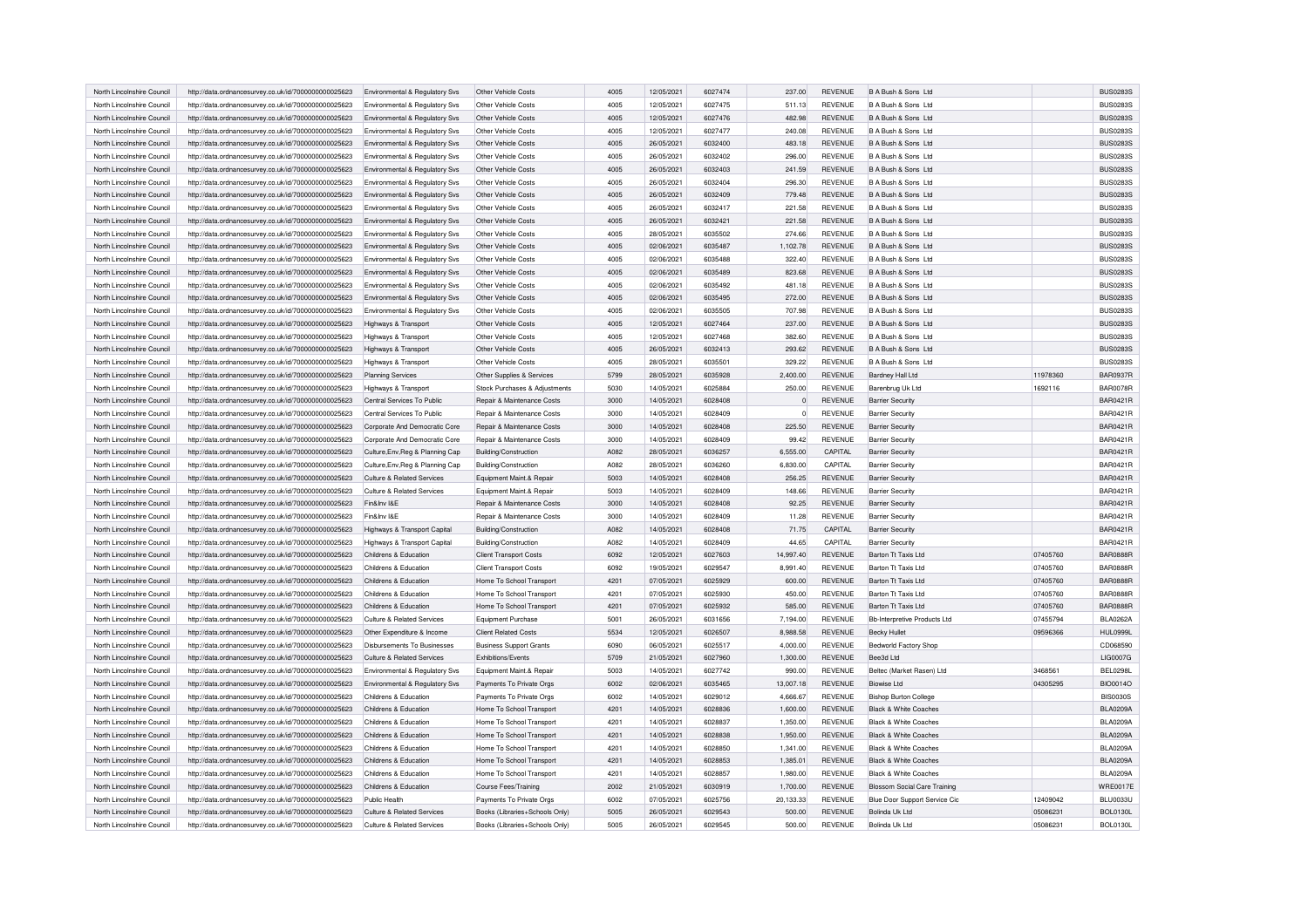| North Lincolnshire Council | http://data.ordnancesurvey.co.uk/id/7000000000025623 | Environmental & Regulatory Svs   | Other Vehicle Costs                   | 4005 | 12/05/2021 | 6027474 | 237.00    | <b>REVENUE</b> | B A Bush & Sons Ltd                 |          | <b>BUS0283S</b> |
|----------------------------|------------------------------------------------------|----------------------------------|---------------------------------------|------|------------|---------|-----------|----------------|-------------------------------------|----------|-----------------|
|                            |                                                      |                                  |                                       |      |            |         |           |                |                                     |          |                 |
| North Lincolnshire Council | http://data.ordnancesurvey.co.uk/id/7000000000025623 | Environmental & Regulatory Svs   | Other Vehicle Costs                   | 4005 | 12/05/2021 | 6027475 | 511.13    | <b>REVENUE</b> | B A Bush & Sons Ltd                 |          | <b>BUS0283S</b> |
| North Lincolnshire Council | http://data.ordnancesurvey.co.uk/id/7000000000025623 | Environmental & Regulatory Svs   | Other Vehicle Costs                   | 4005 | 12/05/2021 | 6027476 | 482.98    | <b>REVENUE</b> | B A Bush & Sons Ltd                 |          | <b>BUS0283S</b> |
| North Lincolnshire Council | http://data.ordnancesurvey.co.uk/id/7000000000025623 | Environmental & Regulatory Svs   | Other Vehicle Costs                   | 4005 | 12/05/2021 | 6027477 | 240.08    | <b>REVENUE</b> | B A Bush & Sons Ltd                 |          | <b>BUS0283S</b> |
| North Lincolnshire Council | http://data.ordnancesurvey.co.uk/id/7000000000025623 | Environmental & Regulatory Sys   | Other Vehicle Costs                   | 4005 | 26/05/2021 | 6032400 | 483.18    | <b>REVENUE</b> | B A Bush & Sons Ltd                 |          | <b>BUS0283S</b> |
| North Lincolnshire Council | http://data.ordnancesurvey.co.uk/id/7000000000025623 | Environmental & Regulatory Svs   | Other Vehicle Costs                   | 4005 | 26/05/2021 | 6032402 | 296.00    | <b>REVENUE</b> | B A Bush & Sons Ltd                 |          | <b>BUS0283S</b> |
| North Lincolnshire Council | http://data.ordnancesurvey.co.uk/id/7000000000025623 | Environmental & Regulatory Svs   | Other Vehicle Costs                   | 4005 | 26/05/2021 | 6032403 | 241.59    | <b>REVENUE</b> | B A Bush & Sons Ltd                 |          | <b>BUS0283S</b> |
| North Lincolnshire Council | http://data.ordnancesurvey.co.uk/id/7000000000025623 | Environmental & Regulatory Svs   | Other Vehicle Costs                   | 4005 | 26/05/2021 | 6032404 | 296.30    | <b>REVENUE</b> | B A Bush & Sons Ltd                 |          | <b>BUS02839</b> |
| North Lincolnshire Council | http://data.ordnancesurvey.co.uk/id/7000000000025623 | Environmental & Regulatory Svs   | Other Vehicle Costs                   | 4005 | 26/05/2021 | 6032409 | 779.48    | <b>REVENUE</b> | B A Bush & Sons Ltd                 |          | <b>BUS0283S</b> |
| North Lincolnshire Council | http://data.ordnancesurvey.co.uk/id/7000000000025623 | Environmental & Regulatory Svs   | Other Vehicle Costs                   | 4005 | 26/05/2021 | 6032417 | 221.58    | <b>REVENUE</b> | B A Bush & Sons Ltd                 |          | <b>BUS0283S</b> |
| North Lincolnshire Council | http://data.ordnancesurvey.co.uk/id/7000000000025623 | Environmental & Regulatory Sys   | Other Vehicle Costs                   | 4005 | 26/05/2021 | 6032421 | 221.58    | <b>REVENUE</b> | B A Bush & Sons Ltd                 |          | <b>BUS0283S</b> |
|                            |                                                      |                                  |                                       |      |            |         |           |                |                                     |          |                 |
| North Lincolnshire Council | http://data.ordnancesurvey.co.uk/id/7000000000025623 | Environmental & Regulatory Svs   | Other Vehicle Costs                   | 4005 | 28/05/2021 | 6035502 | 274.66    | <b>REVENUE</b> | B A Bush & Sons Ltd                 |          | <b>BUS0283S</b> |
| North Lincolnshire Council | http://data.ordnancesurvey.co.uk/id/7000000000025623 | Environmental & Regulatory Svs   | Other Vehicle Costs                   | 4005 | 02/06/2021 | 6035487 | 1,102.78  | <b>REVENUE</b> | B A Bush & Sons Ltd.                |          | <b>BUS0283S</b> |
| North Lincolnshire Council | http://data.ordnancesurvey.co.uk/id/7000000000025623 | Environmental & Regulatory Svs   | Other Vehicle Costs                   | 4005 | 02/06/2021 | 6035488 | 322.40    | <b>REVENUE</b> | B A Bush & Sons Ltd                 |          | <b>BUS0283S</b> |
| North Lincolnshire Council | http://data.ordnancesurvey.co.uk/id/7000000000025623 | Environmental & Regulatory Svs   | Other Vehicle Costs                   | 4005 | 02/06/2021 | 6035489 | 823.68    | <b>REVENUE</b> | B A Bush & Sons Ltd                 |          | <b>BUS0283S</b> |
| North Lincolnshire Council | http://data.ordnancesurvey.co.uk/id/7000000000025623 | Environmental & Regulatory Svs   | Other Vehicle Costs                   | 4005 | 02/06/2021 | 6035492 | 481.18    | <b>REVENUE</b> | B A Bush & Sons Ltd                 |          | <b>BUS0283S</b> |
| North Lincolnshire Council | http://data.ordnancesurvey.co.uk/id/7000000000025623 | Environmental & Regulatory Svs   | Other Vehicle Costs                   | 4005 | 02/06/2021 | 6035495 | 272.00    | <b>REVENUE</b> | B A Bush & Sons Ltd                 |          | <b>BUS0283S</b> |
| North Lincolnshire Council | http://data.ordnancesurvey.co.uk/id/7000000000025623 | Environmental & Regulatory Svs   | Other Vehicle Costs                   | 4005 | 02/06/2021 | 6035505 | 707.98    | <b>REVENUE</b> | B A Bush & Sons Ltd                 |          | <b>BUS0283S</b> |
| North Lincolnshire Council | http://data.ordnancesurvey.co.uk/id/7000000000025623 | Highways & Transport             | Other Vehicle Costs                   | 4005 | 12/05/2021 | 6027464 | 237.00    | <b>REVENUE</b> | B A Bush & Sons Ltd                 |          | <b>BUS0283S</b> |
| North Lincolnshire Council | http://data.ordnancesurvey.co.uk/id/7000000000025623 | Highways & Transport             | Other Vehicle Costs                   | 4005 | 12/05/2021 | 6027468 | 382.60    | <b>REVENUE</b> | B A Bush & Sons Ltd                 |          | <b>BUS0283S</b> |
| North Lincolnshire Council | http://data.ordnancesurvey.co.uk/id/7000000000025623 | Highways & Transport             | Other Vehicle Costs                   | 4005 | 26/05/2021 | 6032413 | 293.62    | <b>REVENUE</b> | B A Bush & Sons Ltd                 |          | <b>BUS0283S</b> |
| North Lincolnshire Council | http://data.ordnancesurvey.co.uk/id/7000000000025623 | Highways & Transport             | Other Vehicle Costs                   | 4005 | 28/05/2021 | 6035501 | 329.22    | <b>REVENUE</b> | B A Bush & Sons Ltd                 |          | <b>BUS02839</b> |
|                            |                                                      |                                  |                                       |      |            |         |           |                |                                     |          |                 |
| North Lincolnshire Council | http://data.ordnancesurvey.co.uk/id/7000000000025623 | Planning Services                | Other Supplies & Services             | 5799 | 28/05/2021 | 6035928 | 2,400.00  | <b>REVENUE</b> | <b>Bardney Hall Ltd</b>             | 11978360 | <b>BAR0937R</b> |
| North Lincolnshire Council | http://data.ordnancesurvey.co.uk/id/7000000000025623 | Highways & Transport             | Stock Purchases & Adjustments         | 5030 | 14/05/2021 | 6025884 | 250.00    | <b>REVENUE</b> | Barenbrug Uk Ltd                    | 1692116  | <b>BAR0078R</b> |
| North Lincolnshire Council | http://data.ordnancesurvey.co.uk/id/7000000000025623 | Central Services To Public       | Repair & Maintenance Costs            | 3000 | 14/05/2021 | 6028408 | $\Omega$  | <b>REVENUE</b> | <b>Barrier Security</b>             |          | <b>BAR0421F</b> |
| North Lincolnshire Council | http://data.ordnancesurvey.co.uk/id/7000000000025623 | Central Services To Public       | <b>Benair &amp; Maintenance Costs</b> | 3000 | 14/05/2021 | 6028409 | $\Omega$  | <b>REVENUE</b> | <b>Barrier Security</b>             |          | <b>BAR0421F</b> |
| North Lincolnshire Council | http://data.ordnancesurvey.co.uk/id/7000000000025623 | Corporate And Democratic Core    | Repair & Maintenance Costs            | 3000 | 14/05/2021 | 6028408 | 225.50    | <b>REVENUE</b> | <b>Barrier Security</b>             |          | <b>BAR0421R</b> |
| North Lincolnshire Council | http://data.ordnancesurvey.co.uk/id/7000000000025623 | Corporate And Democratic Core    | Repair & Maintenance Costs            | 3000 | 14/05/2021 | 6028409 | 99.42     | <b>REVENUE</b> | <b>Barrier Security</b>             |          | <b>BAR0421F</b> |
| North Lincolnshire Council | http://data.ordnancesurvey.co.uk/id/7000000000025623 | Culture, Env, Reg & Planning Cap | Building/Construction                 | A082 | 28/05/2021 | 6036257 | 6,555.00  | <b>CAPITAL</b> | <b>Barrier Security</b>             |          | <b>BAR0421F</b> |
| North Lincolnshire Council | http://data.ordnancesurvey.co.uk/id/7000000000025623 | Culture, Env, Reg & Planning Cap | Building/Construction                 | A082 | 28/05/2021 | 6036260 | 6,830.00  | CAPITAL        | <b>Barrier Security</b>             |          | <b>BAR0421R</b> |
| North Lincolnshire Council | http://data.ordnancesurvey.co.uk/id/7000000000025623 | Culture & Related Services       | Equipment Maint.& Repair              | 5003 | 14/05/2021 | 6028408 | 256.25    | <b>REVENUE</b> | <b>Barrier Security</b>             |          | <b>BAR0421R</b> |
| North Lincolnshire Council | http://data.ordnancesurvey.co.uk/id/7000000000025623 | Culture & Related Services       | Equipment Maint.& Repair              | 5003 | 14/05/2021 | 6028409 | 148.66    | <b>REVENUE</b> | <b>Barrier Security</b>             |          | <b>BAR0421F</b> |
| North Lincolnshire Council | http://data.ordnancesurvey.co.uk/id/7000000000025623 | Fin&Inv I&F                      | Repair & Maintenance Costs            | 3000 | 14/05/2021 | 6028408 | 92.25     | <b>REVENUE</b> | <b>Barrier Security</b>             |          | <b>BAR0421R</b> |
| North Lincolnshire Council |                                                      | Fin&Inv I&E                      | Repair & Maintenance Costs            | 3000 | 14/05/2021 | 6028409 |           | REVENUE        |                                     |          | <b>BAR0421F</b> |
|                            | http://data.ordnancesurvey.co.uk/id/7000000000025623 |                                  |                                       |      |            |         | 11.28     |                | <b>Barrier Security</b>             |          | <b>BAR0421F</b> |
| North Lincolnshire Council | http://data.ordnancesurvey.co.uk/id/7000000000025623 | Highways & Transport Capital     | Building/Construction                 | A082 | 14/05/2021 | 6028408 | 71.75     | CAPITAL        | <b>Barrier Security</b>             |          |                 |
| North Lincolnshire Council | http://data.ordnancesurvey.co.uk/id/7000000000025623 | Highways & Transport Capital     | Building/Construction                 | A082 | 14/05/2021 | 6028409 | 44.65     | CAPITAL        | <b>Barrier Security</b>             |          | <b>BAR0421F</b> |
| North Lincolnshire Council | http://data.ordnancesurvey.co.uk/id/7000000000025623 | Childrens & Education            | <b>Client Transport Costs</b>         | 6092 | 12/05/2021 | 6027603 | 14,997.40 | <b>REVENUE</b> | Barton Tt Taxis Ltd                 | 07405760 | <b>BAR0888R</b> |
| North Lincolnshire Council | http://data.ordnancesurvey.co.uk/id/7000000000025623 | Childrens & Education            | <b>Client Transport Costs</b>         | 6092 | 19/05/2021 | 6029547 | 8,991.40  | <b>REVENUE</b> | Barton Tt Taxis Ltd                 | 07405760 | <b>BAR0888R</b> |
| North Lincolnshire Council | http://data.ordnancesurvey.co.uk/id/7000000000025623 | Childrens & Education            | Home To School Transport              | 4201 | 07/05/2021 | 6025929 | 600.00    | <b>REVENUE</b> | Barton Tt Taxis Ltd                 | 07405760 | <b>BAR0888R</b> |
| North Lincolnshire Council | http://data.ordnancesurvey.co.uk/id/7000000000025623 | Childrens & Education            | Home To School Transport              | 4201 | 07/05/2021 | 6025930 | 450.00    | <b>REVENUE</b> | Barton Tt Taxis Ltd                 | 07405760 | <b>BAR0888R</b> |
| North Lincolnshire Council | http://data.ordnancesurvey.co.uk/id/7000000000025623 | Childrens & Education            | Home To School Transport              | 4201 | 07/05/2021 | 6025932 | 585.00    | REVENUE        | Barton Tt Taxis Ltd                 | 07405760 | <b>BAR0888R</b> |
| North Lincolnshire Council | http://data.ordnancesurvey.co.uk/id/7000000000025623 | Culture & Related Services       | <b>Equipment Purchase</b>             | 5001 | 26/05/2021 | 6031656 | 7,194.00  | REVENUE        | <b>Bb-Interpretive Products Ltd</b> | 07455794 | <b>BLA0262A</b> |
| North Lincolnshire Council | http://data.ordnancesurvey.co.uk/id/7000000000025623 | Other Expenditure & Income       | <b>Client Related Costs</b>           | 5534 | 12/05/2021 | 6026507 | 8,988.58  | REVENUE        | <b>Becky Hullet</b>                 | 09596366 | <b>HUL0999L</b> |
| North Lincolnshire Council | http://data.ordnancesurvey.co.uk/id/7000000000025623 | Disbursements To Businesses      | <b>Business Support Grants</b>        | 6090 | 06/05/2021 | 6025517 | 4,000.00  | <b>REVENUE</b> | <b>Bedworld Factory Shop</b>        |          | CD068590        |
| North Lincolnshire Council | http://data.ordnancesurvey.co.uk/id/7000000000025623 | Culture & Related Services       | Exhibitions/Events                    | 5709 | 21/05/2021 | 6027960 | 1,300.00  | REVENUE        | Bee3d Ltd                           |          | LIG0007G        |
| North Lincolnshire Council | http://data.ordnancesurvey.co.uk/id/7000000000025623 | Environmental & Regulatory Sys   | Equipment Maint.& Repair              | 5003 | 14/05/2021 | 6027742 | 990.00    | <b>REVENUE</b> | Beltec (Market Rasen) Ltd           | 3468561  | <b>BEL0298L</b> |
| North Lincolnshire Council | http://data.ordnancesurvey.co.uk/id/7000000000025623 | Environmental & Regulatory Svs   | Payments To Private Orgs              | 6002 | 02/06/2021 | 6035465 | 13,007.18 | <b>REVENUE</b> | <b>Biowise Ltd</b>                  | 04305295 | <b>BIO0014O</b> |
|                            |                                                      |                                  |                                       |      |            |         |           |                |                                     |          |                 |
| North Lincolnshire Council | http://data.ordnancesurvey.co.uk/id/7000000000025623 | Childrens & Education            | Payments To Private Orgs              | 6002 | 14/05/2021 | 6029012 | 4,666.67  | REVENUE        | <b>Bishop Burton College</b>        |          | <b>BIS0030S</b> |
| North Lincolnshire Council | http://data.ordnancesurvey.co.uk/id/7000000000025623 | Childrens & Education            | Home To School Transport              | 4201 | 14/05/2021 | 6028836 | 1,600.00  | REVENUE        | <b>Black &amp; White Coaches</b>    |          | <b>BLA0209A</b> |
| North Lincolnshire Council | http://data.ordnancesurvey.co.uk/id/7000000000025623 | Childrens & Education            | Home To School Transport              | 4201 | 14/05/2021 | 6028837 | 1,350.00  | REVENUE        | Black & White Coaches               |          | <b>BLA0209A</b> |
| North Lincolnshire Council | http://data.ordnancesurvey.co.uk/id/7000000000025623 | Childrens & Education            | Home To School Transport              | 4201 | 14/05/2021 | 6028838 | 1,950.00  | REVENUE        | <b>Black &amp; White Coaches</b>    |          | <b>BLA0209A</b> |
| North Lincolnshire Council | http://data.ordnancesurvey.co.uk/id/7000000000025623 | Childrens & Education            | Home To School Transport              | 4201 | 14/05/2021 | 6028850 | 1,341.00  | REVENUE        | Black & White Coaches               |          | <b>BLA0209A</b> |
| North Lincolnshire Council | http://data.ordnancesurvey.co.uk/id/7000000000025623 | Childrens & Education            | Home To School Transport              | 4201 | 14/05/2021 | 6028853 | 1,385.01  | REVENUE        | <b>Black &amp; White Coaches</b>    |          | <b>BLA0209A</b> |
| North Lincolnshire Council | http://data.ordnancesurvey.co.uk/id/7000000000025623 | Childrens & Education            | Home To School Transport              | 4201 | 14/05/2021 | 6028857 | 1.980.00  | <b>REVENUE</b> | <b>Black &amp; White Coaches</b>    |          | <b>BLA0209A</b> |
| North Lincolnshire Council | http://data.ordnancesurvey.co.uk/id/7000000000025623 | Childrens & Education            | Course Fees/Training                  | 2002 | 21/05/2021 | 6030919 | 1,700.00  | <b>REVENUE</b> | <b>Blossom Social Care Training</b> |          | <b>WRE0017E</b> |
| North Lincolnshire Council | http://data.ordnancesurvey.co.uk/id/7000000000025623 | Public Health                    | Payments To Private Orgs              | 6002 | 07/05/2021 | 6025756 | 20,133.33 | REVENUE        | Blue Door Support Service Cic       | 12409042 | <b>BLU0033U</b> |
| North Lincolnshire Council | http://data.ordnancesurvey.co.uk/id/7000000000025623 | Culture & Related Services       | Books (Libraries+Schools Only)        | 5005 | 26/05/2021 | 6029543 | 500.00    | <b>REVENUE</b> | Bolinda Uk Ltd                      | 05086231 | <b>BOL0130L</b> |
| North Lincolnshire Council | http://data.ordnancesurvey.co.uk/id/7000000000025623 | Culture & Related Services       | Books (Libraries+Schools Only)        | 5005 | 26/05/2021 | 6029545 | 500.00    | <b>REVENUE</b> | Bolinda Uk Ltd                      | 05086231 | <b>BOL0130L</b> |
|                            |                                                      |                                  |                                       |      |            |         |           |                |                                     |          |                 |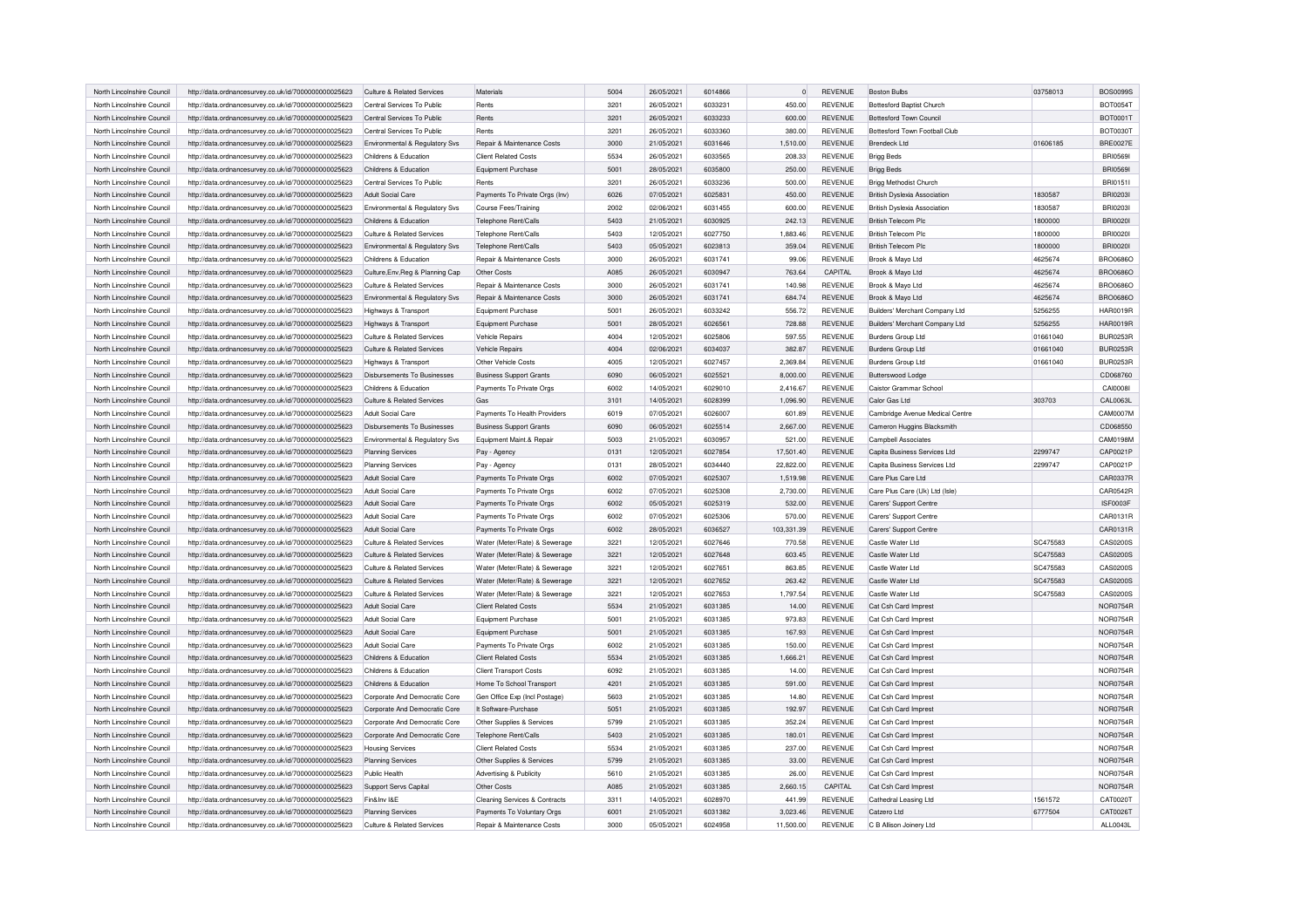| North Lincolnshire Council                               | http://data.ordnancesurvey.co.uk/id/7000000000025623 | Culture & Related Services                     | Materials                             | 5004 | 26/05/2021 | 6014866 | $\circ$           | <b>REVENUE</b> | <b>Boston Bulbs</b>                 | 03758013 | <b>BOS0099S</b>                    |
|----------------------------------------------------------|------------------------------------------------------|------------------------------------------------|---------------------------------------|------|------------|---------|-------------------|----------------|-------------------------------------|----------|------------------------------------|
| North Lincolnshire Council                               | http://data.ordnancesurvey.co.uk/id/7000000000025623 | Central Services To Public                     | Rents                                 | 3201 | 26/05/2021 | 6033231 | 450.00            | <b>REVENUE</b> | <b>Bottesford Baptist Church</b>    |          | <b>BOT0054T</b>                    |
| North Lincolnshire Council                               | http://data.ordnancesurvey.co.uk/id/7000000000025623 | Central Services To Public                     | Rents                                 | 3201 | 26/05/2021 | 6033233 | 600.00            | <b>REVENUE</b> | <b>Bottesford Town Council</b>      |          | BOT0001T                           |
| North Lincolnshire Council                               | http://data.ordnancesurvey.co.uk/id/7000000000025623 | Central Services To Public                     | Rents                                 | 3201 | 26/05/2021 | 6033360 | 380.00            | <b>REVENUE</b> | Bottesford Town Football Club       |          | <b>BOT0030T</b>                    |
| North Lincolnshire Council                               | http://data.ordnancesurvey.co.uk/id/7000000000025623 | Environmental & Regulatory Sys                 | Repair & Maintenance Costs            | 3000 | 21/05/2021 | 6031646 | 1,510.00          | <b>REVENUE</b> | Brendeck I td                       | 01606185 | <b>BRE0027E</b>                    |
| North Lincolnshire Council                               | http://data.ordnancesurvey.co.uk/id/7000000000025623 | Childrens & Education                          | <b>Client Related Costs</b>           | 5534 | 26/05/2021 | 6033565 | 208.33            | <b>REVENUE</b> | <b>Brigg Beds</b>                   |          | <b>BRI05691</b>                    |
| North Lincolnshire Council                               | http://data.ordnancesurvey.co.uk/id/7000000000025623 | Childrens & Education                          | Equipment Purchase                    | 5001 | 28/05/2021 | 6035800 | 250.00            | <b>REVENUE</b> | <b>Brigg Beds</b>                   |          | <b>BRI05691</b>                    |
| North Lincolnshire Council                               | http://data.ordnancesurvey.co.uk/id/7000000000025623 | Central Services To Public                     | Rents                                 | 3201 | 26/05/2021 | 6033236 | 500.00            | REVENUE        | Brigg Methodist Church              |          | BRI01511                           |
| North Lincolnshire Council                               | http://data.ordnancesurvey.co.uk/id/7000000000025623 | Adult Social Care                              | Payments To Private Orgs (Inv)        | 6026 | 07/05/2021 | 6025831 | 450.00            | <b>REVENUE</b> | <b>British Dyslexia Association</b> | 1830587  | <b>BRI0203I</b>                    |
| North Lincolnshire Council                               | http://data.ordnancesurvey.co.uk/id/7000000000025623 | Fnvironmental & Regulatory Sys                 | Course Fees/Training                  | 2002 | 02/06/2021 | 6031455 | 600.00            | <b>REVENUE</b> | <b>British Dyslexia Association</b> | 1830587  | <b>BRI0203I</b>                    |
| North Lincolnshire Council                               | http://data.ordnancesurvey.co.uk/id/7000000000025623 | Childrens & Education                          | Telephone Rent/Calls                  | 5403 | 21/05/2021 | 6030925 | 242.13            | <b>REVENUE</b> | <b>British Telecom Plc</b>          | 1800000  | <b>BRI00201</b>                    |
| North Lincolnshire Council                               | http://data.ordnancesurvey.co.uk/id/7000000000025623 | Culture & Related Services                     | <b>Telephone Rent/Calls</b>           | 5403 | 12/05/2021 | 6027750 | 1,883.46          | <b>REVENUE</b> | British Telecom Plc                 | 1800000  | <b>BRI00201</b>                    |
| North Lincolnshire Council                               | http://data.ordnancesurvey.co.uk/id/7000000000025623 | Environmental & Regulatory Svs                 | Telephone Rent/Calls                  | 5403 | 05/05/2021 | 6023813 | 359.04            | <b>REVENUE</b> | <b>British Telecom Plc</b>          | 1800000  | <b>BRI00201</b>                    |
| North Lincolnshire Council                               | http://data.ordnancesurvey.co.uk/id/7000000000025623 | Childrens & Education                          | Repair & Maintenance Costs            | 3000 | 26/05/2021 | 6031741 | 99.06             | <b>REVENUE</b> | Brook & Mayo Ltd                    | 4625674  | <b>BRO0686C</b>                    |
| North Lincolnshire Council                               | http://data.ordnancesurvey.co.uk/id/7000000000025623 | Culture, Env, Reg & Planning Cap               | Other Costs                           | A085 | 26/05/2021 | 6030947 | 763.64            | CAPITAL        | Brook & Mayo Ltd                    | 4625674  | <b>BRO0686C</b>                    |
| North Lincolnshire Council                               | http://data.ordnancesurvey.co.uk/id/7000000000025623 | Culture & Related Services                     | <b>Benair &amp; Maintenance Costs</b> | 3000 | 26/05/2021 | 6031741 | 140.98            | <b>REVENUE</b> | Brook & Mayo Ltd                    | 4625674  | <b>BRO0686O</b>                    |
| North Lincolnshire Council                               | http://data.ordnancesurvey.co.uk/id/7000000000025623 | Environmental & Regulatory Svs                 | Repair & Maintenance Costs            | 3000 | 26/05/2021 | 6031741 | 684.74            | <b>REVENUE</b> | Brook & Mayo Ltd                    | 4625674  | <b>BRO0686O</b>                    |
| North Lincolnshire Council                               | http://data.ordnancesurvey.co.uk/id/7000000000025623 | Highways & Transport                           | Equipment Purchase                    | 5001 | 26/05/2021 | 6033242 | 556.72            | <b>REVENUE</b> | Builders' Merchant Company Ltd      | 5256255  | <b>HAR0019R</b>                    |
| North Lincolnshire Council                               | http://data.ordnancesurvey.co.uk/id/7000000000025623 | Highways & Transport                           | Equipment Purchase                    | 5001 | 28/05/2021 | 6026561 | 728.88            | REVENUE        | Builders' Merchant Company Ltd      | 5256255  | <b>HAR0019R</b>                    |
| North Lincolnshire Council                               | http://data.ordnancesurvey.co.uk/id/7000000000025623 | Culture & Related Services                     | <b>Vehicle Repairs</b>                | 4004 | 12/05/2021 | 6025806 | 597.55            | <b>REVENUE</b> | <b>Burdens Group Ltd</b>            | 01661040 | <b>BUR0253R</b>                    |
| North Lincolnshire Council                               | http://data.ordnancesurvey.co.uk/id/7000000000025623 | Culture & Related Services                     | <b>Vehicle Repairs</b>                | 4004 | 02/06/2021 | 6034037 | 382.87            | <b>REVENUE</b> | Burdens Group Ltd                   | 01661040 | <b>BUR0253F</b>                    |
| North Lincolnshire Council                               | http://data.ordnancesurvey.co.uk/id/7000000000025623 | Highways & Transport                           | Other Vehicle Costs                   | 4005 | 12/05/2021 | 6027457 | 2,369.84          | <b>REVENUE</b> | <b>Burdens Group Ltd</b>            | 01661040 | <b>BUR0253R</b>                    |
| North Lincolnshire Council                               | http://data.ordnancesurvey.co.uk/id/7000000000025623 | Disbursements To Businesses                    | <b>Business Support Grants</b>        | 6090 | 06/05/2021 | 6025521 | 8,000.00          | <b>REVENUE</b> | Butterswood Lodge                   |          | CD068760                           |
| North Lincolnshire Council                               | http://data.ordnancesurvey.co.uk/id/7000000000025623 | Childrens & Education                          | Payments To Private Orgs              | 6002 | 14/05/2021 | 6029010 | 2.416.67          | <b>REVENUE</b> | Caistor Grammar School              |          | CAI0008I                           |
| North Lincolnshire Council                               | http://data.ordnancesurvey.co.uk/id/7000000000025623 | Culture & Related Services                     | Gas                                   | 3101 | 14/05/2021 | 6028399 | 1,096.90          | <b>REVENUE</b> | Calor Gas Ltd                       | 303703   | CAL0063L                           |
| North Lincolnshire Council                               | http://data.ordnancesurvey.co.uk/id/7000000000025623 | Adult Social Care                              | Payments To Health Providers          | 6019 | 07/05/2021 | 6026007 | 601.89            | <b>REVENUE</b> | Cambridge Avenue Medical Centre     |          | CAM0007M                           |
| North Lincolnshire Council                               | http://data.ordnancesurvey.co.uk/id/7000000000025623 | Disbursements To Businesses                    | <b>Business Support Grants</b>        | 6090 | 06/05/2021 | 6025514 | 2,667.00          | <b>REVENUE</b> | Cameron Huggins Blacksmith          |          | CD068550                           |
| North Lincolnshire Council                               | http://data.ordnancesurvey.co.uk/id/7000000000025623 | Environmental & Regulatory Svs                 | Equipment Maint.& Repair              | 5003 | 21/05/2021 | 6030957 | 521.00            | <b>REVENUE</b> | <b>Campbell Associates</b>          |          | CAM0198M                           |
| North Lincolnshire Council                               | http://data.ordnancesurvey.co.uk/id/7000000000025623 | <b>Planning Services</b>                       | Pay - Agency                          | 0131 | 12/05/2021 | 6027854 | 17,501.40         | <b>REVENUE</b> | Capita Business Services Ltd        | 2299747  | CAP0021F                           |
| North Lincolnshire Council                               | http://data.ordnancesurvey.co.uk/id/7000000000025623 | <b>Planning Services</b>                       | Pay - Agency                          | 0131 | 28/05/2021 | 6034440 | 22,822.00         | <b>REVENUE</b> | Capita Business Services Ltd        | 2299747  | CAP0021P                           |
| North Lincolnshire Council                               | http://data.ordnancesurvey.co.uk/id/7000000000025623 | Adult Social Care                              | Payments To Private Orgs              | 6002 | 07/05/2021 | 6025307 | 1,519.98          | <b>REVENUE</b> | Care Plus Care Ltd                  |          | <b>CAR0337R</b>                    |
| North Lincolnshire Council                               | http://data.ordnancesurvey.co.uk/id/7000000000025623 | Adult Social Care                              | Payments To Private Orgs              | 6002 | 07/05/2021 | 6025308 | 2,730.00          | <b>REVENUE</b> | Care Plus Care (Uk) Ltd (Isle)      |          | CAR0542R                           |
| North Lincolnshire Council                               | http://data.ordnancesurvey.co.uk/id/7000000000025623 | <b>Adult Social Care</b>                       | Payments To Private Orgs              | 6002 | 05/05/2021 | 6025319 | 532.00            | REVENUE        | Carers' Support Centre              |          | ISF0003F                           |
| North Lincolnshire Council                               | http://data.ordnancesurvey.co.uk/id/7000000000025623 | Adult Social Care                              | Payments To Private Orgs              | 6002 | 07/05/2021 | 6025306 | 570.00            | <b>REVENUE</b> | Carers' Support Centre              |          | CAR0131R                           |
| North Lincolnshire Council                               | http://data.ordnancesurvey.co.uk/id/7000000000025623 | Adult Social Care                              | Payments To Private Orgs              | 6002 | 28/05/2021 | 6036527 | 103,331.39        | REVENUE        | Carers' Support Centre              |          | CAR0131R                           |
| North Lincolnshire Council                               | http://data.ordnancesurvey.co.uk/id/7000000000025623 | Culture & Related Services                     | Water (Meter/Rate) & Sewerage         | 3221 | 12/05/2021 | 6027646 | 770.58            | <b>REVENUE</b> | Castle Water Ltd                    | SC475583 | CAS0200S                           |
| North Lincolnshire Council                               | http://data.ordnancesurvey.co.uk/id/7000000000025623 | Culture & Related Services                     | Water (Meter/Rate) & Sewerage         | 3221 | 12/05/2021 | 6027648 | 603.45            | REVENUE        | Castle Water Ltd                    | SC475583 | CAS0200S                           |
| North Lincolnshire Council                               | http://data.ordnancesurvey.co.uk/id/7000000000025623 | Culture & Related Services                     | Water (Meter/Rate) & Sewerage         | 3221 | 12/05/2021 | 6027651 | 863.85            | <b>REVENUE</b> | Castle Water Ltd                    | SC475583 | CAS0200S                           |
| North Lincolnshire Council                               | http://data.ordnancesurvey.co.uk/id/7000000000025623 | Culture & Related Services                     | Water (Meter/Rate) & Sewerage         | 3221 | 12/05/2021 | 6027652 | 263.42            | <b>REVENUE</b> | Castle Water Ltd                    | SC475583 | CAS0200S                           |
| North Lincolnshire Council                               | http://data.ordnancesurvey.co.uk/id/7000000000025623 | Culture & Related Services                     | Water (Meter/Rate) & Sewerage         | 3221 | 12/05/2021 | 6027653 | 1,797.54          | <b>REVENUE</b> | Castle Water I td                   | SC475583 | CAS0200S                           |
| North Lincolnshire Council                               | http://data.ordnancesurvey.co.uk/id/7000000000025623 | Adult Social Care                              | <b>Client Related Costs</b>           | 5534 | 21/05/2021 | 6031385 | 14.00             | <b>REVENUE</b> | Cat Csh Card Imprest                |          | <b>NOR0754F</b>                    |
| North Lincolnshire Council                               | http://data.ordnancesurvey.co.uk/id/7000000000025623 | Adult Social Care                              | Equipment Purchase                    | 5001 | 21/05/2021 | 6031385 | 973.83            | REVENUE        | Cat Csh Card Imprest                |          | <b>NOR0754F</b>                    |
| North Lincolnshire Council                               | http://data.ordnancesurvey.co.uk/id/7000000000025623 | Adult Social Care                              | Equipment Purchase                    | 5001 | 21/05/2021 | 6031385 | 167.93            | REVENUE        | Cat Csh Card Imprest                |          | <b>NOR0754R</b>                    |
| North Lincolnshire Council                               | http://data.ordnancesurvey.co.uk/id/7000000000025623 | Adult Social Care                              | Payments To Private Orgs              | 6002 | 21/05/2021 | 6031385 | 150.00            | <b>REVENUE</b> | Cat Csh Card Imprest                |          | <b>NOR0754R</b>                    |
| North Lincolnshire Council                               |                                                      | Childrens & Education                          | <b>Client Related Costs</b>           | 5534 | 21/05/2021 | 6031385 |                   | REVENUE        |                                     |          | <b>NOR0754R</b>                    |
|                                                          | http://data.ordnancesurvey.co.uk/id/7000000000025623 |                                                |                                       | 6092 | 21/05/2021 | 6031385 | 1,666.21<br>14.00 | <b>REVENUE</b> | Cat Csh Card Imprest                |          | <b>NOR0754F</b>                    |
| North Lincolnshire Council<br>North Lincolnshire Council | http://data.ordnancesurvey.co.uk/id/7000000000025623 | Childrens & Education<br>Childrens & Education | <b>Client Transport Costs</b>         | 4201 |            | 6031385 |                   | REVENUE        | Cat Csh Card Imprest                |          |                                    |
|                                                          | http://data.ordnancesurvey.co.uk/id/7000000000025623 |                                                | Home To School Transport              |      | 21/05/2021 |         | 591.00            |                | Cat Csh Card Imprest                |          | <b>NOR0754R</b><br><b>NOR0754R</b> |
| North Lincolnshire Council                               | http://data.ordnancesurvey.co.uk/id/7000000000025623 | Corporate And Democratic Core                  | Gen Office Exp (Incl Postage)         | 5603 | 21/05/2021 | 6031385 | 14.80             | REVENUE        | Cat Csh Card Imprest                |          |                                    |
| North Lincolnshire Council                               | http://data.ordnancesurvey.co.uk/id/7000000000025623 | Corporate And Democratic Core                  | It Software-Purchase                  | 5051 | 21/05/2021 | 6031385 | 192.97            | REVENUE        | Cat Csh Card Imprest                |          | <b>NOR0754F</b>                    |
| North Lincolnshire Council                               | http://data.ordnancesurvey.co.uk/id/7000000000025623 | Corporate And Democratic Core                  | Other Supplies & Services             | 5799 | 21/05/2021 | 6031385 | 352.24            | REVENUE        | Cat Csh Card Imprest                |          | <b>NOR0754R</b>                    |
| North Lincolnshire Council                               | http://data.ordnancesurvey.co.uk/id/7000000000025623 | Corporate And Democratic Core                  | Telephone Rent/Calls                  | 5403 | 21/05/2021 | 6031385 | 180.01            | REVENUE        | Cat Csh Card Imprest                |          | <b>NOR0754R</b>                    |
| North Lincolnshire Council                               | http://data.ordnancesurvey.co.uk/id/7000000000025623 | <b>Housing Services</b>                        | Client Related Costs                  | 5534 | 21/05/2021 | 6031385 | 237.00            | <b>REVENUE</b> | Cat Csh Card Imprest                |          | <b>NOR0754R</b>                    |
| North Lincolnshire Council                               | http://data.ordnancesurvey.co.uk/id/7000000000025623 | <b>Planning Services</b>                       | Other Supplies & Services             | 5799 | 21/05/2021 | 6031385 | 33.00             | REVENUE        | Cat Csh Card Imprest                |          | <b>NOR0754F</b>                    |
| North Lincolnshire Council                               | http://data.ordnancesurvey.co.uk/id/7000000000025623 | Public Health                                  | Advertising & Publicity               | 5610 | 21/05/2021 | 6031385 | 26.00             | REVENUE        | Cat Csh Card Imprest                |          | <b>NOR0754F</b>                    |
| North Lincolnshire Council                               | http://data.ordnancesurvey.co.uk/id/7000000000025623 | Support Servs Capital                          | Other Costs                           | A085 | 21/05/2021 | 6031385 | 2,660.15          | CAPITAL        | Cat Csh Card Imprest                |          | <b>NOR0754R</b>                    |
| North Lincolnshire Council                               | http://data.ordnancesurvey.co.uk/id/7000000000025623 | Fin&Inv I&F                                    | Cleaning Services & Contracts         | 3311 | 14/05/2021 | 6028970 | 441.99            | <b>REVENUE</b> | Cathedral Leasing Ltd               | 1561572  | CAT0020T                           |
| North Lincolnshire Council                               | http://data.ordnancesurvey.co.uk/id/7000000000025623 | Planning Services                              | Payments To Voluntary Orgs            | 6001 | 21/05/2021 | 6031382 | 3,023.46          | REVENUE        | Catzero Ltd                         | 6777504  | CAT0026T                           |
| North Lincolnshire Council                               | http://data.ordnancesurvey.co.uk/id/7000000000025623 | Culture & Related Services                     | Repair & Maintenance Costs            | 3000 | 05/05/2021 | 6024958 | 11,500.00         | <b>REVENUE</b> | C B Allison Joinery Ltd             |          | ALL0043L                           |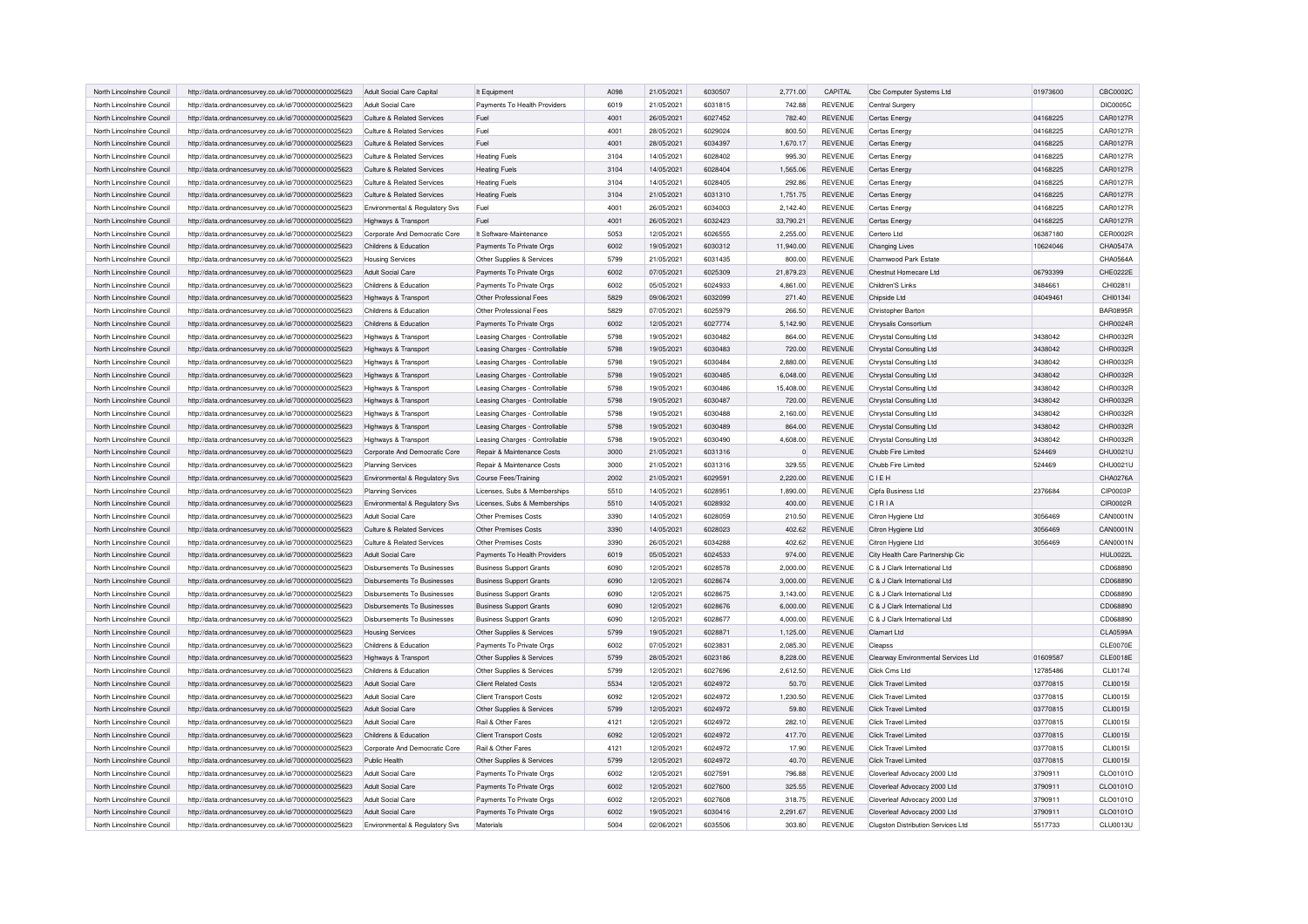| North Lincolnshire Council                               | http://data.ordnancesurvey.co.uk/id/7000000000025623 | Adult Social Care Capital                  | It Equipment                   | A098         | 21/05/2021               | 6030507            | 2.771.00  | CAPITAL                          | Cbc Computer Systems Ltd            | 01973600             | CBC0002C        |
|----------------------------------------------------------|------------------------------------------------------|--------------------------------------------|--------------------------------|--------------|--------------------------|--------------------|-----------|----------------------------------|-------------------------------------|----------------------|-----------------|
| North Lincolnshire Council                               | http://data.ordnancesurvey.co.uk/id/7000000000025623 | Adult Social Care                          | Payments To Health Providers   | 6019         | 21/05/2021               | 6031815            | 742.88    | <b>REVENUE</b>                   | Central Surgery                     |                      | <b>DIC0005C</b> |
| North Lincolnshire Council                               | http://data.ordnancesurvey.co.uk/id/7000000000025623 | Culture & Related Services                 | Fuel                           | 4001         | 26/05/2021               | 6027452            | 782.40    | <b>REVENUE</b>                   | Certas Energy                       | 04168225             | CAR0127R        |
| North Lincolnshire Council                               | http://data.ordnancesurvey.co.uk/id/7000000000025623 | Culture & Related Services                 | Fuel                           | 4001         | 28/05/2021               | 6029024            | 800.50    | <b>REVENUE</b>                   | Certas Energy                       | 04168225             | CAR0127R        |
|                                                          |                                                      |                                            |                                |              |                          |                    |           |                                  |                                     |                      | CAR0127R        |
| North Lincolnshire Council<br>North Lincolnshire Council | http://data.ordnancesurvey.co.uk/id/7000000000025623 | Culture & Related Services                 | Fuel                           | 4001<br>3104 | 28/05/2021<br>14/05/2021 | 6034397<br>6028402 | 1,670.17  | <b>REVENUE</b><br><b>REVENUE</b> | Certas Energy                       | 04168225<br>04168225 | CAR0127R        |
|                                                          | http://data.ordnancesurvey.co.uk/id/7000000000025623 | Culture & Related Services                 | <b>Heating Fuels</b>           |              |                          |                    | 995.30    |                                  | Certas Energy                       |                      |                 |
| North Lincolnshire Council                               | http://data.ordnancesurvey.co.uk/id/7000000000025623 | Culture & Related Services                 | <b>Heating Fuels</b>           | 3104         | 14/05/2021               | 6028404            | 1,565.06  | <b>REVENUE</b>                   | Certas Energy                       | 04168225             | CAR0127R        |
| North Lincolnshire Council                               | http://data.ordnancesurvey.co.uk/id/7000000000025623 | Culture & Related Services                 | <b>Heating Fuels</b>           | 3104         | 14/05/2021               | 6028405            | 292.86    | <b>REVENUE</b>                   | Certas Energy                       | 04168225             | CAR0127R        |
| North Lincolnshire Council                               | http://data.ordnancesurvey.co.uk/id/7000000000025623 | Culture & Related Services                 | <b>Heating Fuels</b>           | 3104         | 21/05/2021               | 6031310            | 1,751.75  | <b>REVENUE</b>                   | Certas Energy                       | 04168225             | CAR0127R        |
| North Lincolnshire Council                               | http://data.ordnancesurvey.co.uk/id/7000000000025623 | Environmental & Regulatory Svs             | Fuel                           | 4001         | 26/05/2021               | 6034003            | 2,142.40  | <b>REVENUE</b>                   | Certas Energy                       | 04168225             | CAR0127R        |
| North Lincolnshire Council                               | http://data.ordnancesurvey.co.uk/id/7000000000025623 | Highways & Transport                       | Fuel                           | 4001         | 26/05/2021               | 6032423            | 33,790.21 | <b>REVENUE</b>                   | Certas Energy                       | 04168225             | CAR0127R        |
| North Lincolnshire Council                               | http://data.ordnancesurvey.co.uk/id/7000000000025623 | Corporate And Democratic Core              | It Software-Maintenance        | 5053         | 12/05/2021               | 6026555            | 2.255.00  | <b>REVENUE</b>                   | Certero I to                        | 06387180             | CER0002R        |
| North Lincolnshire Council                               | http://data.ordnancesurvey.co.uk/id/7000000000025623 | Childrens & Education                      | Payments To Private Orgs       | 6002         | 19/05/2021               | 6030312            | 11,940.00 | <b>REVENUE</b>                   | Changing Lives                      | 10624046             | CHA0547A        |
| North Lincolnshire Council                               | http://data.ordnancesurvey.co.uk/id/7000000000025623 | <b>Housing Services</b>                    | Other Supplies & Services      | 5799         | 21/05/2021               | 6031435            | 800.00    | <b>REVENUE</b>                   | Charnwood Park Estate               |                      | CHA0564A        |
| North Lincolnshire Council                               | http://data.ordnancesurvey.co.uk/id/7000000000025623 | Adult Social Care                          | Payments To Private Orgs       | 6002         | 07/05/2021               | 6025309            | 21,879.23 | REVENUE                          | Chestnut Homecare Ltd               | 06793399             | CHE0222E        |
| North Lincolnshire Council                               | http://data.ordnancesurvey.co.uk/id/7000000000025623 | Childrens & Education                      | Payments To Private Orgs       | 6002         | 05/05/2021               | 6024933            | 4,861.00  | <b>REVENUE</b>                   | Children'S Links                    | 3484661              | CHI0281I        |
| North Lincolnshire Council                               | http://data.ordnancesurvey.co.uk/id/7000000000025623 | Highways & Transport                       | Other Professional Fees        | 5829         | 09/06/2021               | 6032099            | 271.40    | <b>REVENUE</b>                   | Chipside Ltd                        | 04049461             | CHI01341        |
| North Lincolnshire Council                               | http://data.ordnancesurvey.co.uk/id/7000000000025623 | Childrens & Education                      | Other Professional Fees        | 5829         | 07/05/2021               | 6025979            | 266.50    | <b>REVENUE</b>                   | Christopher Barton                  |                      | <b>BAR0895F</b> |
| North Lincolnshire Council                               | http://data.ordnancesurvey.co.uk/id/7000000000025623 | Childrens & Education                      | Payments To Private Oras       | 6002         | 12/05/2021               | 6027774            | 5.142.90  | <b>REVENUE</b>                   | Chrysalis Consortium                |                      | CHR0024R        |
| North Lincolnshire Council                               | http://data.ordnancesurvey.co.uk/id/7000000000025623 | Highways & Transport                       | Leasing Charges - Controllable | 5798         | 19/05/2021               | 6030482            | 864.00    | <b>REVENUE</b>                   | Chrystal Consulting Ltd             | 3438042              | CHR0032R        |
|                                                          |                                                      |                                            |                                |              |                          | 6030483            |           |                                  |                                     |                      |                 |
| North Lincolnshire Council                               | http://data.ordnancesurvey.co.uk/id/7000000000025623 | Highways & Transport                       | Leasing Charges - Controllable | 5798         | 19/05/2021               |                    | 720.00    | <b>REVENUE</b>                   | Chrystal Consulting Ltd             | 3438042              | CHR0032R        |
| North Lincolnshire Council                               | http://data.ordnancesurvey.co.uk/id/7000000000025623 | Highways & Transport                       | Leasing Charges - Controllable | 5798         | 19/05/2021               | 6030484            | 2,880.00  | <b>REVENUE</b>                   | Chrystal Consulting Ltd             | 3438042              | CHR0032R        |
| North Lincolnshire Council                               | http://data.ordnancesurvey.co.uk/id/7000000000025623 | Highways & Transport                       | Leasing Charges - Controllable | 5798         | 19/05/2021               | 6030485            | 6,048.00  | <b>REVENUE</b>                   | Chrystal Consulting Ltd             | 3438042              | CHR0032R        |
| North Lincolnshire Council                               | http://data.ordnancesurvey.co.uk/id/7000000000025623 | Highways & Transport                       | Leasing Charges - Controllable | 5798         | 19/05/2021               | 6030486            | 15,408.00 | <b>REVENUE</b>                   | Chrystal Consulting Ltd             | 3438042              | CHR0032R        |
| North Lincolnshire Council                               | http://data.ordnancesurvey.co.uk/id/7000000000025623 | Highways & Transport                       | Leasing Charges - Controllable | 5798         | 19/05/2021               | 6030487            | 720.00    | <b>REVENUE</b>                   | Chrystal Consulting Ltd             | 3438042              | CHR0032R        |
| North Lincolnshire Council                               | http://data.ordnancesurvey.co.uk/id/7000000000025623 | Highways & Transport                       | Leasing Charges - Controllable | 5798         | 19/05/2021               | 6030488            | 2,160.00  | <b>REVENUE</b>                   | Chrystal Consulting Ltd             | 3438042              | CHR0032R        |
| North Lincolnshire Council                               | http://data.ordnancesurvey.co.uk/id/7000000000025623 | Highways & Transport                       | Leasing Charges - Controllable | 5798         | 19/05/2021               | 6030489            | 864.00    | <b>REVENUE</b>                   | Chrystal Consulting Ltd             | 3438042              | CHR0032R        |
| North Lincolnshire Council                               | http://data.ordnancesurvey.co.uk/id/7000000000025623 | Highways & Transport                       | Leasing Charges - Controllable | 5798         | 19/05/2021               | 6030490            | 4,608.00  | <b>REVENUE</b>                   | Chrystal Consulting Ltd             | 3438042              | CHR0032R        |
| North Lincolnshire Council                               | http://data.ordnancesurvey.co.uk/id/7000000000025623 | Corporate And Democratic Core              | Repair & Maintenance Costs     | 3000         | 21/05/2021               | 6031316            |           | <b>REVENUE</b>                   | Chubb Fire Limited                  | 524469               | CHU0021U        |
| North Lincolnshire Council                               | http://data.ordnancesurvey.co.uk/id/7000000000025623 | <b>Planning Services</b>                   | Repair & Maintenance Costs     | 3000         | 21/05/2021               | 6031316            | 329.55    | <b>REVENUE</b>                   | Chubb Fire Limited                  | 524469               | CHU0021U        |
| North Lincolnshire Council                               | http://data.ordnancesurvey.co.uk/id/7000000000025623 | Environmental & Regulatory Svs             | Course Fees/Training           | 2002         | 21/05/2021               | 6029591            | 2,220.00  | <b>REVENUE</b>                   | <b>CIFH</b>                         |                      | CHA0276A        |
| North Lincolnshire Council                               | http://data.ordnancesurvey.co.uk/id/7000000000025623 | <b>Planning Services</b>                   | Licenses, Subs & Memberships   | 5510         | 14/05/2021               | 6028951            | 1,890.00  | <b>REVENUE</b>                   | Cipfa Business Ltd                  | 2376684              | CIP0003P        |
| North Lincolnshire Council                               | http://data.ordnancesurvey.co.uk/id/7000000000025623 | Environmental & Regulatory Svs             | Licenses, Subs & Memberships   | 5510         | 14/05/2021               | 6028932            | 400.00    | <b>REVENUE</b>                   | CIRIA                               |                      | <b>CIR0002R</b> |
| North Lincolnshire Council                               | http://data.ordnancesurvey.co.uk/id/7000000000025623 | Adult Social Care                          | <b>Other Premises Costs</b>    | 3390         | 14/05/2021               | 6028059            | 210.50    | REVENUE                          | Citron Hygiene Ltd                  | 3056469              | CAN0001N        |
| North Lincolnshire Council                               | http://data.ordnancesurvey.co.uk/id/7000000000025623 | Culture & Related Services                 | Other Premises Costs           | 3390         | 14/05/2021               | 6028023            | 402.62    | <b>REVENUE</b>                   | Citron Hygiene Ltd                  | 3056469              | CAN0001N        |
| North Lincolnshire Council                               | http://data.ordnancesurvey.co.uk/id/7000000000025623 | Culture & Related Services                 | Other Premises Costs           | 3390         | 26/05/2021               | 6034288            | 402.62    | <b>REVENUE</b>                   | Citron Hygiene Ltd                  | 3056469              | CAN0001N        |
| North Lincolnshire Council                               | http://data.ordnancesurvey.co.uk/id/7000000000025623 | Adult Social Care                          | Payments To Health Providers   | 6019         | 05/05/2021               | 6024533            | 974.00    | <b>REVENUE</b>                   | City Health Care Partnership Cic    |                      | <b>HUL0022L</b> |
| North Lincolnshire Council                               | http://data.ordnancesurvey.co.uk/id/7000000000025623 | Disbursements To Businesses                | <b>Business Support Grants</b> | 6090         | 12/05/2021               | 6028578            | 2,000.00  | <b>REVENUE</b>                   | C & J Clark International Ltd       |                      | CD068890        |
| North Lincolnshire Council                               | http://data.ordnancesurvey.co.uk/id/7000000000025623 | Disbursements To Businesses                | <b>Business Support Grants</b> | 6090         | 12/05/2021               | 6028674            | 3.000.00  | <b>REVENUE</b>                   | C & J Clark International Ltd       |                      | CD068890        |
|                                                          |                                                      |                                            |                                |              |                          |                    |           |                                  |                                     |                      |                 |
| North Lincolnshire Council                               | http://data.ordnancesurvev.co.uk/id/7000000000025623 | Disbursements To Businesses                | <b>Business Support Grants</b> | 6090         | 12/05/2021               | 6028675            | 3,143.00  | <b>REVENUE</b>                   | C & J Clark International Ltd       |                      | CD068890        |
| North Lincolnshire Council                               | http://data.ordnancesurvey.co.uk/id/7000000000025623 | <b>Disbursements To Businesses</b>         | <b>Business Support Grants</b> | 6090         | 12/05/2021               | 6028676            | 6,000.00  | <b>REVENUE</b>                   | C & J Clark International Ltd       |                      | CD068890        |
| North Lincolnshire Council                               | http://data.ordnancesurvey.co.uk/id/7000000000025623 | Disbursements To Businesses                | <b>Business Support Grants</b> | 6090         | 12/05/2021               | 6028677            | 4,000.00  | <b>REVENUE</b>                   | C & J Clark International Ltd       |                      | CD068890        |
| North Lincolnshire Council                               | http://data.ordnancesurvey.co.uk/id/7000000000025623 | <b>Housing Services</b>                    | Other Supplies & Services      | 5799         | 19/05/2021               | 6028871            | 1,125.00  | <b>REVENUE</b>                   | Clamart Ltd                         |                      | <b>CLA0599A</b> |
| North Lincolnshire Council                               | http://data.ordnancesurvev.co.uk/id/7000000000025623 | Childrens & Education                      | Payments To Private Orgs       | 6002         | 07/05/2021               | 6023831            | 2.085.30  | <b>REVENUE</b>                   | Cleanss                             |                      | CLE0070E        |
| North Lincolnshire Council                               | http://data.ordnancesurvey.co.uk/id/7000000000025623 | Highways & Transport                       | Other Supplies & Services      | 5799         | 28/05/2021               | 6023186            | 8,228.00  | <b>REVENUE</b>                   | Clearway Environmental Services Ltd | 01609587             | CLE0018E        |
| North Lincolnshire Council                               | http://data.ordnancesurvey.co.uk/id/7000000000025623 | Childrens & Education                      | Other Supplies & Services      | 5799         | 12/05/2021               | 6027696            | 2,612.50  | <b>REVENUE</b>                   | Click Cms Ltd                       | 12785486             | CLI0174         |
| North Lincolnshire Council                               | http://data.ordnancesurvey.co.uk/id/7000000000025623 | Adult Social Care                          | <b>Client Related Costs</b>    | 5534         | 12/05/2021               | 6024972            | 50.70     | <b>REVENUE</b>                   | Click Travel Limited                | 03770815             | CLI0015         |
| North Lincolnshire Council                               | http://data.ordnancesurvey.co.uk/id/7000000000025623 | Adult Social Care                          | <b>Client Transport Costs</b>  | 6092         | 12/05/2021               | 6024972            | 1,230.50  | <b>REVENUE</b>                   | <b>Click Travel Limited</b>         | 03770815             | CLI0015I        |
| North Lincolnshire Council                               | http://data.ordnancesurvey.co.uk/id/7000000000025623 | Adult Social Care                          | Other Supplies & Services      | 5799         | 12/05/2021               | 6024972            | 59.80     | <b>REVENUE</b>                   | Click Travel Limited                | 03770815             | CLI0015I        |
| North Lincolnshire Council                               | http://data.ordnancesurvey.co.uk/id/7000000000025623 | Adult Social Care                          | Rail & Other Fares             | 4121         | 12/05/2021               | 6024972            | 282.10    | <b>REVENUE</b>                   | <b>Click Travel Limited</b>         | 03770815             | CLI0015I        |
| North Lincolnshire Council                               | http://data.ordnancesurvey.co.uk/id/7000000000025623 | Childrens & Education                      | <b>Client Transport Costs</b>  | 6092         | 12/05/2021               | 6024972            | 417.70    | <b>REVENUE</b>                   | <b>Click Travel Limited</b>         | 03770815             | CLI0015I        |
| North Lincolnshire Council                               | http://data.ordnancesurvey.co.uk/id/7000000000025623 | Cornorate And Democratic Core              | Rail & Other Fares             | 4121         | 12/05/2021               | 6024972            | 17.90     | <b>REVENUE</b>                   | <b>Click Travel Limited</b>         | 03770815             | <b>CLI0015I</b> |
| North Lincolnshire Council                               | http://data.ordnancesurvey.co.uk/id/7000000000025623 | Public Health                              | Other Supplies & Services      | 5799         | 12/05/2021               | 6024972            | 40.70     | <b>REVENUE</b>                   | <b>Click Travel Limited</b>         | 03770815             | CLI0015         |
| North Lincolnshire Council                               | http://data.ordnancesurvey.co.uk/id/7000000000025623 | Adult Social Care                          | Payments To Private Orgs       | 6002         | 12/05/2021               | 6027591            | 796.88    | <b>REVENUE</b>                   | Cloverleaf Advocacy 2000 Ltd        | 3790911              | CLO0101O        |
| North Lincolnshire Council                               | http://data.ordnancesurvey.co.uk/id/7000000000025623 | Adult Social Care                          | Payments To Private Orgs       | 6002         | 12/05/2021               | 6027600            | 325.55    | <b>REVENUE</b>                   | Cloverleaf Advocacy 2000 Ltd        | 3790911              | CLO0101O        |
| North Lincolnshire Council                               | http://data.ordnancesurvey.co.uk/id/7000000000025623 | Adult Social Care                          | Payments To Private Orgs       | 6002         | 12/05/2021               | 6027608            | 318.75    | <b>REVENUE</b>                   | Cloverleaf Advocacy 2000 Ltd        | 3790911              | CLO0101O        |
| North Lincolnshire Council                               | http://data.ordnancesurvey.co.uk/id/7000000000025623 | Adult Social Care                          | Payments To Private Orgs       | 6002         | 19/05/2021               | 6030416            | 2,291.67  | <b>REVENUE</b>                   | Cloverleaf Advocacy 2000 Ltd        | 3790911              | CLO0101O        |
| North Lincolnshire Council                               | http://data.ordnancesurvey.co.uk/id/7000000000025623 | <b>Fnvironmental &amp; Regulatory Sys.</b> | Materials                      | 5004         | 02/06/2021               | 6035506            | 303.80    | <b>REVENUE</b>                   | Cluaston Distribution Services Ltd  | 5517733              | <b>CLU0013U</b> |
|                                                          |                                                      |                                            |                                |              |                          |                    |           |                                  |                                     |                      |                 |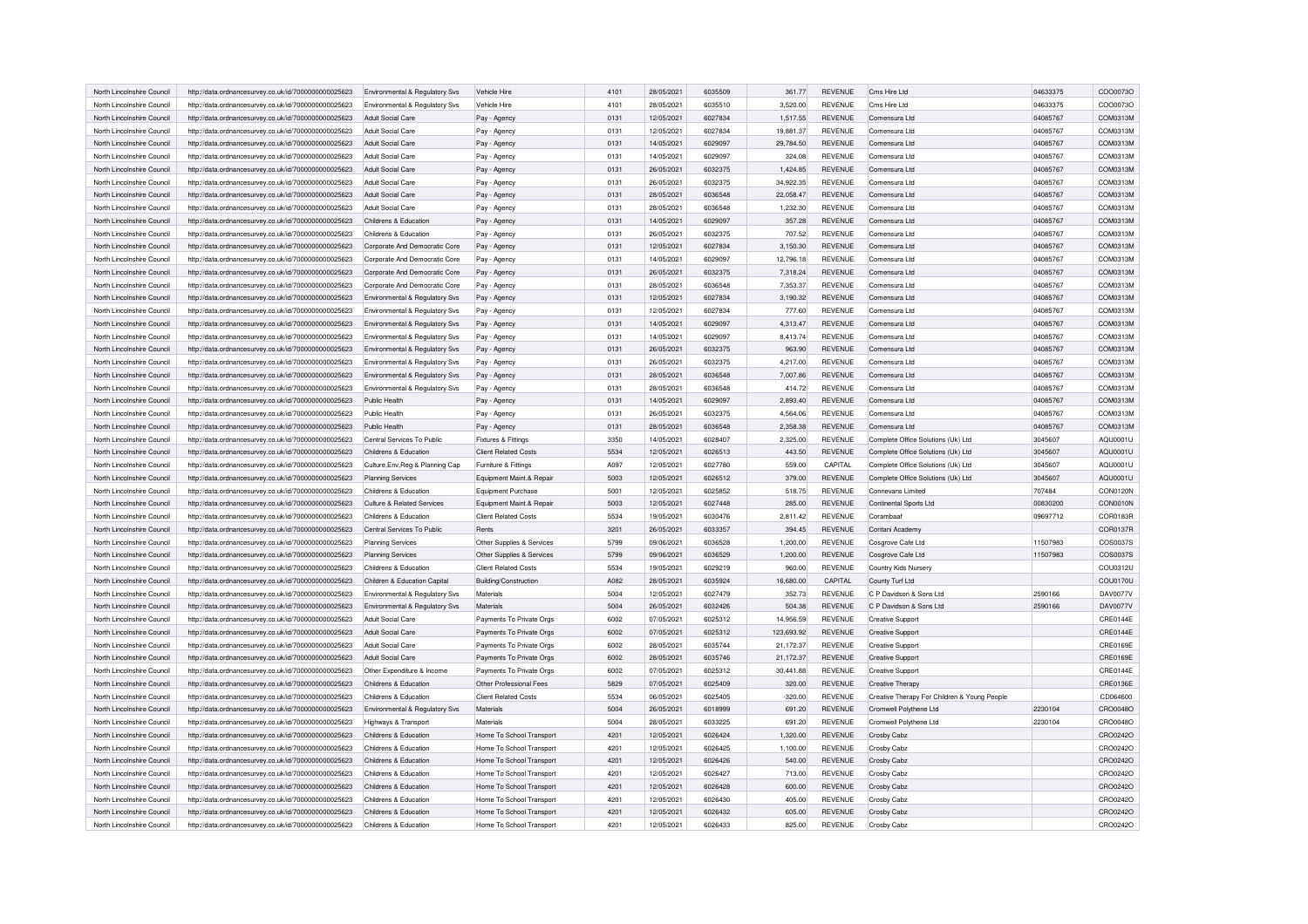| North Lincolnshire Council | http://data.ordnancesurvey.co.uk/id/7000000000025623 | Environmental & Regulatory Svs                      | Vehicle Hire                | 4101 | 28/05/2021 | 6035509 | 361.77     | <b>REVENUE</b> | Cms Hire Ltd                                 | 04633375 | COO0073O        |
|----------------------------|------------------------------------------------------|-----------------------------------------------------|-----------------------------|------|------------|---------|------------|----------------|----------------------------------------------|----------|-----------------|
|                            |                                                      |                                                     |                             |      |            |         |            |                |                                              |          |                 |
| North Lincolnshire Council | http://data.ordnancesurvey.co.uk/id/7000000000025623 | Environmental & Regulatory Svs                      | Vehicle Hire                | 4101 | 28/05/2021 | 6035510 | 3,520.00   | <b>REVENUE</b> | Cms Hire Ltd                                 | 04633375 | COO0073O        |
| North Lincolnshire Council | http://data.ordnancesurvey.co.uk/id/7000000000025623 | Adult Social Care                                   | Pay - Agency                | 0131 | 12/05/2021 | 6027834 | 1,517.55   | <b>REVENUE</b> | Comensura Ltd                                | 04085767 | COM0313M        |
| North Lincolnshire Council | http://data.ordnancesurvey.co.uk/id/7000000000025623 | Adult Social Care                                   | Pay - Agency                | 0131 | 12/05/2021 | 6027834 | 19,881.37  | <b>REVENUE</b> | Comensura Ltd                                | 04085767 | COM0313M        |
| North Lincolnshire Council | http://data.ordnancesurvey.co.uk/id/7000000000025623 | Adult Social Care                                   | Pay - Agency                | 0131 | 14/05/2021 | 6029097 | 29,784.50  | <b>REVENUE</b> | Comensura Ltd                                | 04085767 | COM0313M        |
| North Lincolnshire Council | http://data.ordnancesurvey.co.uk/id/7000000000025623 | Adult Social Care                                   | Pay - Agency                | 0131 | 14/05/2021 | 6029097 | 324.08     | <b>REVENUE</b> | Comensura Ltd                                | 04085767 | COM0313M        |
| North Lincolnshire Council | http://data.ordnancesurvey.co.uk/id/7000000000025623 | Adult Social Care                                   | Pay - Agency                | 0131 | 26/05/2021 | 6032375 | 1,424.85   | <b>REVENUE</b> | Comensura Ltd                                | 04085767 | COM0313M        |
| North Lincolnshire Council | http://data.ordnancesurvey.co.uk/id/7000000000025623 | Adult Social Care                                   | Pay - Agency                | 0131 | 26/05/2021 | 6032375 | 34,922.35  | <b>REVENUE</b> | Comensura Ltd                                | 04085767 | COM0313M        |
| North Lincolnshire Council | http://data.ordnancesurvey.co.uk/id/7000000000025623 | Adult Social Care                                   | Pay - Agency                | 0131 | 28/05/2021 | 6036548 | 22,058.47  | <b>REVENUE</b> | Comensura Ltd                                | 04085767 | COM0313M        |
| North Lincolnshire Council | http://data.ordnancesurvey.co.uk/id/7000000000025623 | Adult Social Care                                   | Pay - Agency                | 0131 | 28/05/2021 | 6036548 | 1,232.30   | <b>REVENUE</b> | Comensura Ltd                                | 04085767 | COM0313M        |
| North Lincolnshire Council | http://data.ordnancesurvey.co.uk/id/7000000000025623 | Childrens & Education                               | Pay - Agency                | 0131 | 14/05/2021 | 6029097 | 357.28     | <b>REVENUE</b> | Comensura Ltd                                | 04085767 | COM0313M        |
|                            |                                                      |                                                     |                             |      |            |         |            |                |                                              |          |                 |
| North Lincolnshire Council | http://data.ordnancesurvey.co.uk/id/7000000000025623 | Childrens & Education                               | Pay - Agency                | 0131 | 26/05/2021 | 6032375 | 707.52     | <b>REVENUE</b> | Comensura Ltd                                | 04085767 | COM0313M        |
| North Lincolnshire Council | http://data.ordnancesurvey.co.uk/id/7000000000025623 | Corporate And Democratic Core                       | Pay - Agency                | 0131 | 12/05/2021 | 6027834 | 3,150.30   | <b>REVENUE</b> | Comensura Ltd                                | 04085767 | COM0313M        |
| North Lincolnshire Council | http://data.ordnancesurvey.co.uk/id/7000000000025623 | Corporate And Democratic Core                       | Pay - Agency                | 0131 | 14/05/2021 | 6029097 | 12,796.18  | <b>REVENUE</b> | Comensura Ltd                                | 04085767 | COM0313M        |
| North Lincolnshire Council | http://data.ordnancesurvey.co.uk/id/7000000000025623 | Corporate And Democratic Core                       | Pay - Agency                | 0131 | 26/05/2021 | 6032375 | 7,318.24   | <b>REVENUE</b> | Comensura Ltd                                | 04085767 | COM0313M        |
| North Lincolnshire Council | http://data.ordnancesurvey.co.uk/id/7000000000025623 | Corporate And Democratic Core                       | Pay - Agency                | 0131 | 28/05/2021 | 6036548 | 7,353.37   | <b>REVENUE</b> | Comensura Ltd                                | 04085767 | COM0313M        |
| North Lincolnshire Council | http://data.ordnancesurvey.co.uk/id/7000000000025623 | Environmental & Regulatory Svs                      | Pay - Agency                | 0131 | 12/05/2021 | 6027834 | 3,190.32   | <b>REVENUE</b> | Comensura Ltd                                | 04085767 | COM0313M        |
| North Lincolnshire Council | http://data.ordnancesurvey.co.uk/id/7000000000025623 | Environmental & Regulatory Svs                      | Pay - Agency                | 0131 | 12/05/2021 | 6027834 | 777.60     | <b>REVENUE</b> | Comensura Ltd                                | 04085767 | COM0313M        |
| North Lincolnshire Council | http://data.ordnancesurvey.co.uk/id/7000000000025623 | Environmental & Regulatory Sys                      | Pay - Agency                | 0131 | 14/05/2021 | 6029097 | 4,313.47   | <b>REVENUE</b> | Comensura Ltd                                | 04085767 | COM0313M        |
| North Lincolnshire Council | http://data.ordnancesurvey.co.uk/id/7000000000025623 | Environmental & Regulatory Svs                      | Pay - Agency                | 0131 | 14/05/2021 | 6029097 | 8,413.74   | <b>REVENUE</b> | Comensura Ltd                                | 04085767 | COM0313M        |
| North Lincolnshire Council | http://data.ordnancesurvey.co.uk/id/7000000000025623 | Environmental & Regulatory Svs                      | Pay - Agency                | 0131 | 26/05/2021 | 6032375 | 963.90     | <b>REVENUE</b> | Comensura Ltd                                | 04085767 | COM0313M        |
| North Lincolnshire Council | http://data.ordnancesurvey.co.uk/id/7000000000025623 | Environmental & Regulatory Svs                      | Pay - Agency                | 0131 | 26/05/2021 | 6032375 | 4,217.00   | <b>REVENUE</b> | Comensura Ltd                                | 04085767 | COM0313M        |
| North Lincolnshire Council | http://data.ordnancesurvey.co.uk/id/7000000000025623 | Environmental & Regulatory Svs                      | Pay - Agency                | 0131 | 28/05/2021 | 6036548 | 7,007.86   | <b>REVENUE</b> | Comensura Ltd                                | 04085767 | COM0313M        |
|                            |                                                      |                                                     |                             | 0131 | 28/05/2021 | 6036548 |            | <b>REVENUE</b> |                                              |          | COM0313M        |
| North Lincolnshire Council | http://data.ordnancesurvey.co.uk/id/7000000000025623 | Environmental & Regulatory Svs                      | Pay - Agency                |      |            |         | 414.72     |                | Comensura Ltd                                | 04085767 |                 |
| North Lincolnshire Council | http://data.ordnancesurvey.co.uk/id/7000000000025623 | Public Health                                       | Pay - Agency                | 0131 | 14/05/2021 | 6029097 | 2,893.40   | <b>REVENUE</b> | Comensura Ltd                                | 04085767 | COM0313M        |
| North Lincolnshire Council | http://data.ordnancesurvey.co.uk/id/7000000000025623 | Public Health                                       | Pay - Agency                | 0131 | 26/05/2021 | 6032375 | 4.564.06   | <b>REVENUE</b> | Comensura Ltd                                | 04085767 | COM0313M        |
| North Lincolnshire Council | http://data.ordnancesurvey.co.uk/id/7000000000025623 | Public Health                                       | Pay - Agency                | 0131 | 28/05/2021 | 6036548 | 2,358.38   | <b>REVENUE</b> | Comensura Ltd                                | 04085767 | COM0313M        |
| North Lincolnshire Council | http://data.ordnancesurvey.co.uk/id/7000000000025623 | Central Services To Public                          | Fixtures & Fittings         | 3350 | 14/05/2021 | 6028407 | 2.325.00   | <b>REVENUE</b> | Complete Office Solutions (Uk) Ltd           | 3045607  | AQU0001U        |
| North Lincolnshire Council | http://data.ordnancesurvey.co.uk/id/7000000000025623 | Childrens & Education                               | <b>Client Related Costs</b> | 5534 | 12/05/2021 | 6026513 | 443.50     | <b>REVENUE</b> | Complete Office Solutions (Uk) Ltd           | 3045607  | AQU0001U        |
|                            |                                                      |                                                     |                             |      |            |         |            |                |                                              |          |                 |
| North Lincolnshire Council | http://data.ordnancesurvey.co.uk/id/7000000000025623 | Culture, Env, Reg & Planning Cap                    | Furniture & Fittings        | A097 | 12/05/2021 | 6027780 | 559.00     | CAPITAL        | Complete Office Solutions (Uk) Ltd           | 3045607  | AQU0001U        |
| North Lincolnshire Council | http://data.ordnancesurvey.co.uk/id/7000000000025623 | <b>Planning Services</b>                            | Equipment Maint.& Repair    | 5003 | 12/05/2021 | 6026512 | 379.00     | <b>REVENUE</b> | Complete Office Solutions (Uk) Ltd           | 3045607  | AQU0001U        |
| North Lincolnshire Council |                                                      | Childrens & Education                               |                             | 5001 | 12/05/2021 | 6025852 | 518.75     | <b>REVENUE</b> | Connevans Limited                            | 707484   | CON0120N        |
|                            | http://data.ordnancesurvey.co.uk/id/7000000000025623 |                                                     | Equipment Purchase          | 5003 |            | 6027448 |            | <b>REVENUE</b> |                                              |          |                 |
| North Lincolnshire Council | http://data.ordnancesurvey.co.uk/id/7000000000025623 | Culture & Related Services                          | Equipment Maint.& Repair    |      | 12/05/2021 |         | 285.00     |                | Continental Sports Ltd                       | 00830200 | <b>CON0010N</b> |
| North Lincolnshire Council | http://data.ordnancesurvey.co.uk/id/7000000000025623 | Childrens & Education                               | <b>Client Related Costs</b> | 5534 | 19/05/2021 | 6030476 | 2,811.42   | <b>REVENUE</b> | Corambaat                                    | 09697712 | COR0183R        |
| North Lincolnshire Council | http://data.ordnancesurvey.co.uk/id/7000000000025623 | Central Services To Public                          | Rents                       | 3201 | 26/05/2021 | 6033357 | 394.45     | <b>REVENUE</b> | Coritani Academy                             |          | COR0137R        |
| North Lincolnshire Council | http://data.ordnancesurvey.co.uk/id/7000000000025623 | <b>Planning Services</b>                            | Other Supplies & Services   | 5799 | 09/06/2021 | 6036528 | 1,200.00   | <b>REVENUE</b> | Cosgrove Cafe Ltd                            | 11507983 | COS0037S        |
| North Lincolnshire Council | http://data.ordnancesurvey.co.uk/id/7000000000025623 | <b>Planning Services</b>                            | Other Supplies & Services   | 5799 | 09/06/2021 | 6036529 | 1,200.00   | <b>REVENUE</b> | Cosgrove Cafe Ltd                            | 11507983 | COS0037S        |
| North Lincolnshire Council | http://data.ordnancesurvey.co.uk/id/7000000000025623 | Childrens & Education                               | <b>Client Related Costs</b> | 5534 | 19/05/2021 | 6029219 | 960.00     | <b>REVENUE</b> | Country Kids Nursery                         |          | COU0312U        |
| North Lincolnshire Council | http://data.ordnancesurvey.co.uk/id/7000000000025623 | Children & Education Capital                        | Building/Construction       | A082 | 28/05/2021 | 6035924 | 16,680.00  | CAPITAL        | County Turf Ltd                              |          | COU0170U        |
| North Lincolnshire Council | http://data.ordnancesurvey.co.uk/id/7000000000025623 | Environmental & Regulatory Svs                      | Materials                   | 5004 | 12/05/2021 | 6027479 | 352.73     | <b>REVENUE</b> | C P Davidson & Sons Ltd                      | 2590166  | <b>DAV0077V</b> |
| North Lincolnshire Council | http://data.ordnancesurvey.co.uk/id/7000000000025623 | Environmental & Regulatory Svs                      | Materials                   | 5004 | 26/05/2021 | 6032426 | 504.38     | <b>REVENUE</b> | C P Davidson & Sons Ltd                      | 2590166  | <b>DAV0077V</b> |
| North Lincolnshire Council | http://data.ordnancesurvey.co.uk/id/7000000000025623 | Adult Social Care                                   | Payments To Private Orgs    | 6002 | 07/05/2021 | 6025312 | 14,956.59  | <b>REVENUE</b> | <b>Creative Support</b>                      |          | CRE0144E        |
| North Lincolnshire Council | http://data.ordnancesurvey.co.uk/id/7000000000025623 | Adult Social Care                                   | Payments To Private Orgs    | 6002 | 07/05/2021 | 6025312 | 123,693.92 | REVENUE        | <b>Creative Support</b>                      |          | CRE0144E        |
| North Lincolnshire Council | http://data.ordnancesurvey.co.uk/id/7000000000025623 | Adult Social Care                                   | Payments To Private Orgs    | 6002 | 28/05/2021 | 6035744 | 21,172.37  | <b>REVENUE</b> | <b>Creative Support</b>                      |          | CRE0169E        |
| North Lincolnshire Council | http://data.ordnancesurvey.co.uk/id/7000000000025623 | Adult Social Care                                   | Payments To Private Orgs    | 6002 | 28/05/2021 | 6035746 | 21,172.37  | <b>REVENUE</b> | <b>Creative Support</b>                      |          | CRE0169E        |
| North Lincolnshire Council | http://data.ordnancesurvey.co.uk/id/7000000000025623 |                                                     | Payments To Private Orgs    | 6002 | 07/05/2021 | 6025312 | 30.441.88  | <b>REVENUE</b> | <b>Creative Support</b>                      |          | <b>CRE0144E</b> |
| North Lincolnshire Council |                                                      | Other Expenditure & Income<br>Childrens & Education | Other Professional Fees     | 5829 |            | 6025409 |            |                |                                              |          |                 |
|                            | http://data.ordnancesurvey.co.uk/id/7000000000025623 |                                                     |                             | 5534 | 07/05/2021 | 6025405 | 320.00     | REVENUE        | Creative Therapy                             |          | <b>CRE0136E</b> |
| North Lincolnshire Council | http://data.ordnancesurvey.co.uk/id/7000000000025623 | Childrens & Education                               | <b>Client Related Costs</b> |      | 06/05/2021 |         | $-320.00$  | REVENUE        | Creative Therapy For Children & Young People |          | CD064600        |
| North Lincolnshire Council | http://data.ordnancesurvey.co.uk/id/7000000000025623 | Environmental & Regulatory Svs                      | Materials                   | 5004 | 26/05/2021 | 6018999 | 691.20     | <b>REVENUE</b> | Cromwell Polythene Ltd                       | 2230104  | CRO0048C        |
| North Lincolnshire Council | http://data.ordnancesurvey.co.uk/id/7000000000025623 | Highways & Transport                                | Materials                   | 5004 | 28/05/2021 | 6033225 | 691.20     | REVENUE        | Cromwell Polythene Ltd                       | 2230104  | CRO0048C        |
| North Lincolnshire Council | http://data.ordnancesurvey.co.uk/id/7000000000025623 | Childrens & Education                               | Home To School Transport    | 4201 | 12/05/2021 | 6026424 | 1,320.00   | <b>REVENUE</b> | Crosby Cabz                                  |          | CRO0242O        |
| North Lincolnshire Council | http://data.ordnancesurvey.co.uk/id/7000000000025623 | Childrens & Education                               | Home To School Transport    | 4201 | 12/05/2021 | 6026425 | 1,100.00   | REVENUE        | Crosby Cabz                                  |          | CRO0242O        |
| North Lincolnshire Council | http://data.ordnancesurvey.co.uk/id/7000000000025623 | Childrens & Education                               | Home To School Transport    | 4201 | 12/05/2021 | 6026426 | 540.00     | REVENUE        | Crosby Cabz                                  |          | CRO0242O        |
| North Lincolnshire Council | http://data.ordnancesurvey.co.uk/id/7000000000025623 | Childrens & Education                               | Home To School Transport    | 4201 | 12/05/2021 | 6026427 | 713.00     | <b>REVENUE</b> | Crosby Cabz                                  |          | CRO0242O        |
| North Lincolnshire Council | http://data.ordnancesurvey.co.uk/id/7000000000025623 | Childrens & Education                               | Home To School Transport    | 4201 | 12/05/2021 | 6026428 | 600.00     | <b>REVENUE</b> | Crosby Cabz                                  |          | CRO0242O        |
| North Lincolnshire Council | http://data.ordnancesurvey.co.uk/id/7000000000025623 | Childrens & Education                               | Home To School Transport    | 4201 | 12/05/2021 | 6026430 | 405.00     | REVENUE        | Crosby Cabz                                  |          | CRO0242C        |
| North Lincolnshire Council | http://data.ordnancesurvey.co.uk/id/7000000000025623 | Childrens & Education                               | Home To School Transport    | 4201 | 12/05/2021 | 6026432 | 605.00     | REVENUE        | Crosby Cabz                                  |          | CRO0242O        |
| North Lincolnshire Council | http://data.ordnancesurvey.co.uk/id/7000000000025623 | Childrens & Education                               | Home To School Transport    | 4201 | 12/05/2021 | 6026433 | 825.00     | <b>REVENUE</b> | Crosby Cabz                                  |          | CRO0242O        |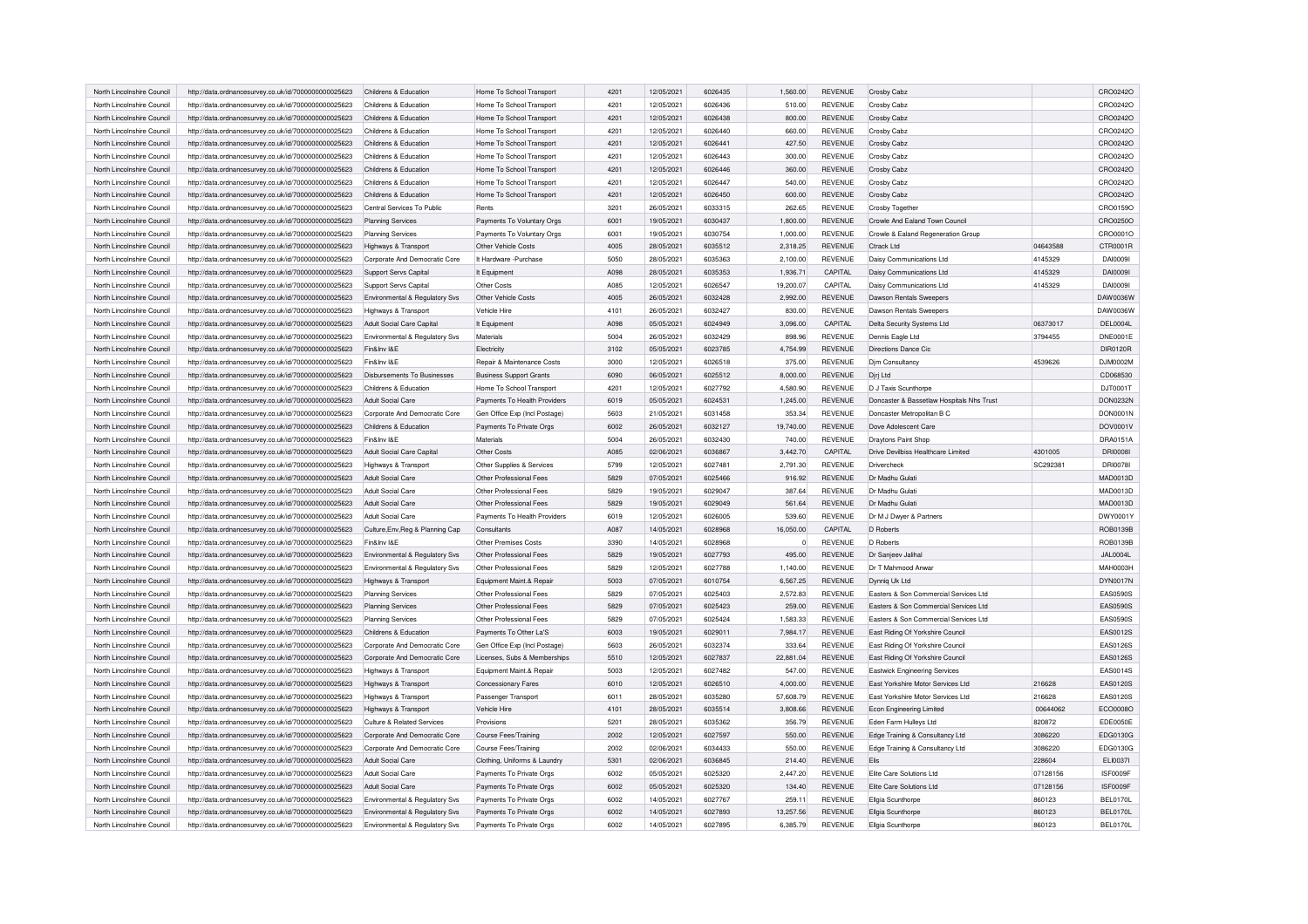| North Lincolnshire Council | http://data.ordnancesurvey.co.uk/id/7000000000025623 | Childrens & Education            | Home To School Transport       | 4201 | 12/05/2021 | 6026435 | 1,560.00    | REVENUE        | Crosby Cabz                               |          | CRO0242O        |
|----------------------------|------------------------------------------------------|----------------------------------|--------------------------------|------|------------|---------|-------------|----------------|-------------------------------------------|----------|-----------------|
| North Lincolnshire Council | http://data.ordnancesurvey.co.uk/id/7000000000025623 | Childrens & Education            | Home To School Transport       | 4201 | 12/05/2021 | 6026436 | 510.00      | <b>REVENUE</b> | <b>Crosby Cabz</b>                        |          | CRO0242O        |
|                            |                                                      |                                  |                                |      |            |         |             |                |                                           |          |                 |
| North Lincolnshire Council | http://data.ordnancesurvey.co.uk/id/7000000000025623 | Childrens & Education            | Home To School Transport       | 4201 | 12/05/2021 | 6026438 | 800.00      | REVENUE        | Crosby Cabz                               |          | CRO0242O        |
| North Lincolnshire Council | http://data.ordnancesurvey.co.uk/id/7000000000025623 | Childrens & Education            | Home To School Transport       | 4201 | 12/05/2021 | 6026440 | 660.00      | <b>REVENUE</b> | <b>Crosby Cabz</b>                        |          | CRO0242O        |
| North Lincolnshire Council | http://data.ordnancesurvey.co.uk/id/7000000000025623 | Childrens & Education            | Home To School Transport       | 4201 | 12/05/2021 | 6026441 | 427.50      | REVENUE        | Crosby Cabz                               |          | CRO0242O        |
| North Lincolnshire Council | http://data.ordnancesurvey.co.uk/id/7000000000025623 | Childrens & Education            | Home To School Transport       | 4201 | 12/05/2021 | 6026443 | 300.00      | <b>REVENUE</b> | <b>Crosby Cabz</b>                        |          | CRO0242O        |
| North Lincolnshire Council | http://data.ordnancesurvey.co.uk/id/7000000000025623 | Childrens & Education            | Home To School Transport       | 4201 | 12/05/2021 | 6026446 | 360.00      | <b>REVENUE</b> | Crosby Cabz                               |          | CRO0242O        |
| North Lincolnshire Council | http://data.ordnancesurvey.co.uk/id/7000000000025623 | Childrens & Education            | Home To School Transport       | 4201 | 12/05/2021 | 6026447 | 540.00      | <b>REVENUE</b> | <b>Crosby Cabz</b>                        |          | CRO0242C        |
| North Lincolnshire Council | http://data.ordnancesurvey.co.uk/id/7000000000025623 | Childrens & Education            | Home To School Transport       | 4201 | 12/05/2021 | 6026450 | 600.00      | <b>REVENUE</b> | Crosby Cabz                               |          | CRO0242O        |
| North Lincolnshire Council | http://data.ordnancesurvey.co.uk/id/7000000000025623 | Central Services To Public       | Rents                          | 3201 | 26/05/2021 | 6033315 | 262.65      | <b>REVENUE</b> | Crosby Together                           |          | CRO0159O        |
| North Lincolnshire Council | http://data.ordnancesurvey.co.uk/id/7000000000025623 | <b>Planning Services</b>         | Payments To Voluntary Orgs     | 6001 | 19/05/2021 | 6030437 | 1,800.00    | REVENUE        | Crowle And Ealand Town Council            |          | CRO0250O        |
| North Lincolnshire Council | http://data.ordnancesurvey.co.uk/id/7000000000025623 | <b>Planning Services</b>         | Payments To Voluntary Orgs     | 6001 | 19/05/2021 | 6030754 | 1.000.00    | <b>REVENUE</b> | Crowle & Ealand Regeneration Group        |          | CRO0001O        |
| North Lincolnshire Council | http://data.ordnancesurvey.co.uk/id/7000000000025623 | Highways & Transport             | Other Vehicle Costs            | 4005 | 28/05/2021 | 6035512 | 2,318.25    | <b>REVENUE</b> | Ctrack I td                               | 04643588 | CTR0001R        |
| North Lincolnshire Council | http://data.ordnancesurvey.co.uk/id/7000000000025623 | Corporate And Democratic Core    | It Hardware - Purchase         | 5050 | 28/05/2021 | 6035363 | 2,100.00    | <b>REVENUE</b> | Daisy Communications Ltd                  | 4145329  | DAI00091        |
| North Lincolnshire Counci  | http://data.ordnancesurvey.co.uk/id/7000000000025623 | Support Servs Capital            | It Equipment                   | A098 | 28/05/2021 | 6035353 | 1,936.71    | CAPITAL        | Daisy Communications Ltd                  | 4145329  | DAI00091        |
| North Lincolnshire Council | http://data.ordnancesurvey.co.uk/id/7000000000025623 | Support Servs Capital            | Other Costs                    | A085 | 12/05/2021 | 6026547 | 19,200.07   | CAPITAL        | Daisy Communications Ltd                  | 4145329  | DAI00091        |
|                            |                                                      |                                  |                                |      |            |         |             |                |                                           |          |                 |
| North Lincolnshire Council | http://data.ordnancesurvey.co.uk/id/7000000000025623 | Environmental & Regulatory Svs   | Other Vehicle Costs            | 4005 | 26/05/2021 | 6032428 | 2,992.00    | REVENUE        | Dawson Rentals Sweepers                   |          | DAW0036W        |
| North Lincolnshire Council | http://data.ordnancesurvey.co.uk/id/7000000000025623 | Highways & Transport             | <b>Vehicle Hire</b>            | 4101 | 26/05/2021 | 6032427 | 830.00      | <b>REVENUE</b> | Dawson Rentals Sweepers                   |          | DAW0036W        |
| North Lincolnshire Council | http://data.ordnancesurvey.co.uk/id/7000000000025623 | Adult Social Care Capital        | It Equipment                   | A098 | 05/05/2021 | 6024949 | 3,096.00    | CAPITAL        | Delta Security Systems Ltd                | 06373017 | DEL0004L        |
| North Lincolnshire Council | http://data.ordnancesurvey.co.uk/id/7000000000025623 | Environmental & Regulatory Svs   | Materials                      | 5004 | 26/05/2021 | 6032429 | 898.96      | <b>REVENUE</b> | Dennis Eagle Ltd                          | 3794455  | <b>DNE0001E</b> |
| North Lincolnshire Counci  | http://data.ordnancesurvey.co.uk/id/7000000000025623 | Fin&Inv I&E                      | Electricity                    | 3102 | 05/05/2021 | 6023785 | 4,754.99    | <b>REVENUE</b> | Directions Dance Cic                      |          | DIR0120R        |
| North Lincolnshire Council | http://data.ordnancesurvey.co.uk/id/7000000000025623 | Fin&Inv I&E                      | Repair & Maintenance Costs     | 3000 | 12/05/2021 | 6026518 | 375.00      | <b>REVENUE</b> | <b>Dim Consultancy</b>                    | 4539626  | DJM0002M        |
| North Lincolnshire Council | http://data.ordnancesurvey.co.uk/id/7000000000025623 | Disbursements To Businesses      | <b>Business Support Grants</b> | 6090 | 06/05/2021 | 6025512 | 8,000.00    | <b>REVENUE</b> | Djrj Ltd                                  |          | CD068530        |
| North Lincolnshire Council | http://data.ordnancesurvey.co.uk/id/7000000000025623 | Childrens & Education            | Home To School Transport       | 4201 | 12/05/2021 | 6027792 | 4,580.90    | <b>REVENUE</b> | D J Taxis Scunthorpe                      |          | DJT0001T        |
| North Lincolnshire Council | http://data.ordnancesurvey.co.uk/id/7000000000025623 | Adult Social Care                | Payments To Health Providers   | 6019 | 05/05/2021 | 6024531 | 1,245.00    | <b>REVENUE</b> | Doncaster & Bassetlaw Hospitals Nhs Trust |          | DON0232N        |
| North Lincolnshire Council | http://data.ordnancesurvey.co.uk/id/7000000000025623 | Corporate And Democratic Core    | Gen Office Exp (Incl Postage)  | 5603 | 21/05/2021 | 6031458 | 353.34      | <b>REVENUE</b> | Doncaster Metropolitan B C                |          | <b>DON0001N</b> |
| North Lincolnshire Council | http://data.ordnancesurvey.co.uk/id/7000000000025623 | Childrens & Education            | Payments To Private Orgs       | 6002 | 26/05/2021 | 6032127 | 19,740.00   | <b>REVENUE</b> | Dove Adolescent Care                      |          | DOV0001V        |
| North Lincolnshire Council | http://data.ordnancesurvey.co.uk/id/7000000000025623 | Fin&Inv I&E                      | <b>Materials</b>               | 5004 | 26/05/2021 | 6032430 | 740.00      | <b>REVENUE</b> | Draytons Paint Shop                       |          | DRA0151A        |
| North Lincolnshire Council | http://data.ordnancesurvey.co.uk/id/7000000000025623 | Adult Social Care Capital        | Other Costs                    | A085 | 02/06/2021 | 6036867 | 3,442.70    | CAPITAL        | Drive Devilbiss Healthcare Limited        | 4301005  | <b>DRI0008I</b> |
| North Lincolnshire Council | http://data.ordnancesurvey.co.uk/id/7000000000025623 | Highways & Transport             | Other Supplies & Services      | 5799 | 12/05/2021 | 6027481 | 2,791.30    | <b>REVENUE</b> | Drivercheck                               | SC292381 | DRI0078I        |
|                            |                                                      |                                  |                                |      |            |         |             |                |                                           |          |                 |
| North Lincolnshire Council | http://data.ordnancesurvey.co.uk/id/7000000000025623 | Adult Social Care                | Other Professional Fees        | 5829 | 07/05/2021 | 6025466 | 916.92      | <b>REVENUE</b> | Dr Madhu Gulati                           |          | MAD0013D        |
| North Lincolnshire Council | http://data.ordnancesurvey.co.uk/id/7000000000025623 | Adult Social Care                | Other Professional Fees        | 5829 | 19/05/2021 | 6029047 | 387.64      | <b>REVENUE</b> | Dr Madhu Gulati                           |          | MAD0013D        |
| North Lincolnshire Council | http://data.ordnancesurvey.co.uk/id/7000000000025623 | Adult Social Care                | Other Professional Fees        | 5829 | 19/05/2021 | 6029049 | 561.64      | <b>REVENUE</b> | Dr Madhu Gulat                            |          | MAD0013D        |
| North Lincolnshire Council | http://data.ordnancesurvey.co.uk/id/7000000000025623 | Adult Social Care                | Payments To Health Providers   | 6019 | 12/05/2021 | 6026005 | 539.60      | <b>REVENUE</b> | Dr M J Dwyer & Partners                   |          | DWY0001Y        |
| North Lincolnshire Council | http://data.ordnancesurvey.co.uk/id/7000000000025623 | Culture, Env, Reg & Planning Cap | Consultants                    | A087 | 14/05/2021 | 6028968 | 16,050.00   | CAPITAL        | D Roberts                                 |          | ROB0139B        |
| North Lincolnshire Council | http://data.ordnancesurvey.co.uk/id/7000000000025623 | Fin&Inv I&E                      | Other Premises Costs           | 3390 | 14/05/2021 | 6028968 | $\mathbf 0$ | <b>REVENUE</b> | D Roberts                                 |          | ROB0139B        |
| North Lincolnshire Council | http://data.ordnancesurvey.co.uk/id/7000000000025623 | Environmental & Regulatory Svs   | Other Professional Fees        | 5829 | 19/05/2021 | 6027793 | 495.00      | <b>REVENUE</b> | Dr Sanjeev Jalihal                        |          | JAL0004L        |
| North Lincolnshire Council | http://data.ordnancesurvey.co.uk/id/7000000000025623 | Environmental & Regulatory Svs   | Other Professional Fees        | 5829 | 12/05/2021 | 6027788 | 1,140.00    | <b>REVENUE</b> | Dr T Mahmood Anwar                        |          | MAH0003H        |
| North Lincolnshire Council | http://data.ordnancesurvey.co.uk/id/7000000000025623 | Highways & Transport             | Equipment Maint.& Repair       | 5003 | 07/05/2021 | 6010754 | 6,567.25    | <b>REVENUE</b> | Dynnig Uk Ltd                             |          | DYN0017N        |
| North Lincolnshire Council | http://data.ordnancesurvey.co.uk/id/7000000000025623 | <b>Planning Services</b>         | Other Professional Fees        | 5829 | 07/05/2021 | 6025403 | 2,572.83    | <b>REVENUE</b> | Easters & Son Commercial Services Ltd     |          | <b>EAS0590S</b> |
| North Lincolnshire Council | http://data.ordnancesurvey.co.uk/id/7000000000025623 | <b>Planning Services</b>         | Other Professional Fees        | 5829 | 07/05/2021 | 6025423 | 259.00      | REVENUE        | Easters & Son Commercial Services Ltd     |          | <b>EAS0590S</b> |
| North Lincolnshire Council | http://data.ordnancesurvey.co.uk/id/7000000000025623 | <b>Planning Services</b>         | Other Professional Fees        | 5829 | 07/05/2021 | 6025424 | 1,583.33    | <b>REVENUE</b> | Easters & Son Commercial Services Ltd     |          | <b>EAS0590S</b> |
| North Lincolnshire Council | http://data.ordnancesurvey.co.uk/id/7000000000025623 | Childrens & Education            | Payments To Other La'S         | 6003 | 19/05/2021 | 6029011 | 7,984.17    | REVENUE        | East Riding Of Yorkshire Council          |          | EAS0012S        |
| North Lincolnshire Council | http://data.ordnancesurvey.co.uk/id/7000000000025623 | Corporate And Democratic Core    | Gen Office Exp (Incl Postage)  | 5603 | 26/05/2021 | 6032374 | 333.64      | <b>REVENUE</b> | East Riding Of Yorkshire Council          |          | EAS0126S        |
| North Lincolnshire Council | http://data.ordnancesurvey.co.uk/id/7000000000025623 | Corporate And Democratic Core    | Licenses, Subs & Memberships   | 5510 | 12/05/2021 | 6027837 | 22,881.04   | <b>REVENUE</b> | East Riding Of Yorkshire Council          |          | EAS0126S        |
| North Lincolnshire Council |                                                      |                                  |                                | 5003 |            | 6027482 |             | <b>REVENUE</b> |                                           |          | EAS0014S        |
|                            | http://data.ordnancesurvey.co.uk/id/7000000000025623 | Highways & Transport             | Equipment Maint.& Repair       |      | 12/05/2021 |         | 547.00      |                | Eastwick Engineering Services             |          |                 |
| North Lincolnshire Council | http://data.ordnancesurvey.co.uk/id/7000000000025623 | Highways & Transport             | <b>Concessionary Fares</b>     | 6010 | 12/05/2021 | 6026510 | 4,000.00    | <b>REVENUE</b> | East Yorkshire Motor Services Ltd         | 216628   | EAS0120S        |
| North Lincolnshire Council | http://data.ordnancesurvey.co.uk/id/7000000000025623 | Highways & Transport             | Passenger Transport            | 6011 | 28/05/2021 | 6035280 | 57,608.79   | <b>REVENUE</b> | East Yorkshire Motor Services Ltd         | 216628   | EAS0120S        |
| North Lincolnshire Council | http://data.ordnancesurvey.co.uk/id/7000000000025623 | Highways & Transport             | Vehicle Hire                   | 4101 | 28/05/2021 | 6035514 | 3,808.66    | REVENUE        | <b>Econ Engineering Limited</b>           | 00644062 | ECO0008C        |
| North Lincolnshire Council | http://data.ordnancesurvey.co.uk/id/7000000000025623 | Culture & Related Services       | Provisions                     | 5201 | 28/05/2021 | 6035362 | 356.79      | <b>REVENUE</b> | Eden Farm Hulleys Ltd                     | 820872   | <b>EDE0050E</b> |
| North Lincolnshire Council | http://data.ordnancesurvey.co.uk/id/7000000000025623 | Corporate And Democratic Core    | Course Fees/Training           | 2002 | 12/05/2021 | 6027597 | 550.00      | <b>REVENUE</b> | Edge Training & Consultancy Ltd           | 3086220  | EDG0130G        |
| North Lincolnshire Council | http://data.ordnancesurvey.co.uk/id/7000000000025623 | Corporate And Democratic Core    | Course Fees/Training           | 2002 | 02/06/2021 | 6034433 | 550.00      | <b>REVENUE</b> | Edge Training & Consultancy Ltd           | 3086220  | EDG0130G        |
| North Lincolnshire Council | http://data.ordnancesurvey.co.uk/id/7000000000025623 | Adult Social Care                | Clothing, Uniforms & Laundry   | 5301 | 02/06/2021 | 6036845 | 214.40      | <b>REVENUE</b> | Flis                                      | 228604   | ELI0037I        |
| North Lincolnshire Council | http://data.ordnancesurvey.co.uk/id/7000000000025623 | Adult Social Care                | Payments To Private Orgs       | 6002 | 05/05/2021 | 6025320 | 2.447.20    | <b>REVENUE</b> | Flite Care Solutions Ltd                  | 07128156 | ISF0009F        |
| North Lincolnshire Council | http://data.ordnancesurvey.co.uk/id/7000000000025623 | Adult Social Care                | Payments To Private Orgs       | 6002 | 05/05/2021 | 6025320 | 134.40      | <b>REVENUE</b> | Flite Care Solutions Ltd                  | 07128156 | ISF0009F        |
| North Lincolnshire Council | http://data.ordnancesurvey.co.uk/id/7000000000025623 | Environmental & Regulatory Svs   | Payments To Private Orgs       | 6002 | 14/05/2021 | 6027767 | 259.11      | <b>REVENUE</b> | Ellgia Scunthorpe                         | 860123   | <b>BEL0170L</b> |
| North Lincolnshire Council | http://data.ordnancesurvey.co.uk/id/7000000000025623 | Environmental & Regulatory Svs   | Payments To Private Orgs       | 6002 | 14/05/2021 | 6027893 | 13,257.56   | <b>REVENUE</b> | Ellgia Scunthorpe                         | 860123   | <b>BEL0170L</b> |
| North Lincolnshire Council | http://data.ordnancesurvey.co.uk/id/7000000000025623 | Environmental & Regulatory Svs   | Payments To Private Orgs       | 6002 | 14/05/2021 | 6027895 | 6,385.79    | <b>REVENUE</b> | Ellgia Scunthorpe                         | 860123   | <b>BEL0170L</b> |
|                            |                                                      |                                  |                                |      |            |         |             |                |                                           |          |                 |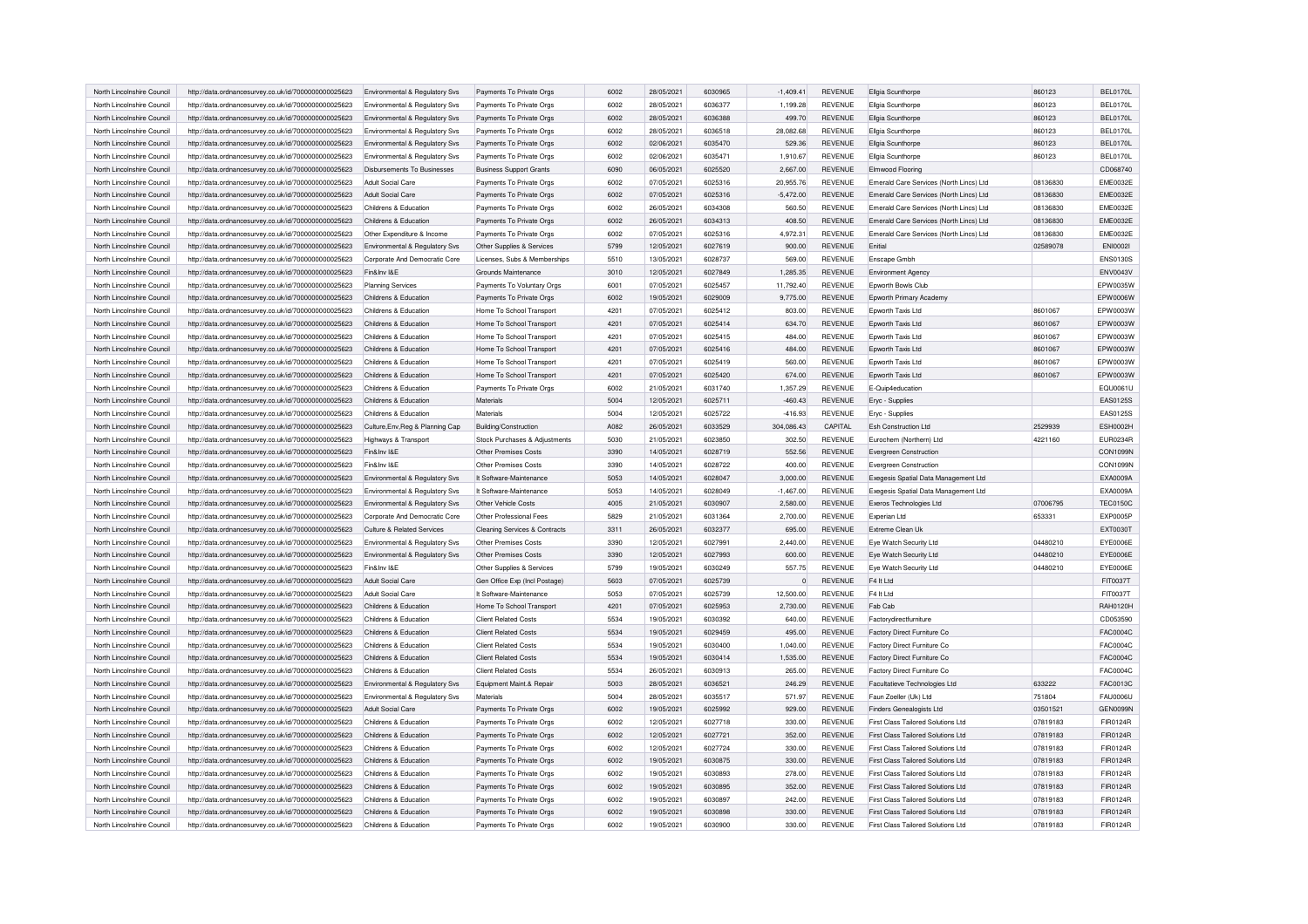| North Lincolnshire Council | http://data.ordnancesurvey.co.uk/id/7000000000025623 | Environmental & Regulatory Svs   | Payments To Private Orgs                 | 6002 | 28/05/2021 | 6030965 | $-1,409.41$ | <b>REVENUE</b> | Ellgia Scunthorpe                         | 860123   | <b>BEL0170L</b> |
|----------------------------|------------------------------------------------------|----------------------------------|------------------------------------------|------|------------|---------|-------------|----------------|-------------------------------------------|----------|-----------------|
| North Lincolnshire Council | http://data.ordnancesurvey.co.uk/id/7000000000025623 | Environmental & Regulatory Svs   | Payments To Private Orgs                 | 6002 | 28/05/2021 | 6036377 | 1,199.28    | <b>REVENUE</b> | Ellgia Scunthorpe                         | 860123   | <b>BEL0170L</b> |
| North Lincolnshire Council | http://data.ordnancesurvey.co.uk/id/7000000000025623 | Environmental & Regulatory Svs   | Payments To Private Orgs                 | 6002 | 28/05/2021 | 6036388 | 499.70      | <b>REVENUE</b> | Ellgia Scunthorpe                         | 860123   | <b>BEL0170L</b> |
| North Lincolnshire Council | http://data.ordnancesurvey.co.uk/id/7000000000025623 | Environmental & Regulatory Svs   | Payments To Private Orgs                 | 6002 | 28/05/2021 | 6036518 | 28,082.68   | <b>REVENUE</b> | Ellgia Scunthorpe                         | 860123   | <b>BEL0170L</b> |
| North Lincolnshire Council | http://data.ordnancesurvey.co.uk/id/7000000000025623 | Environmental & Regulatory Sys   | Payments To Private Orgs                 | 6002 | 02/06/2021 | 6035470 | 529.36      | <b>REVENUE</b> | Ellgia Scunthorpe                         | 860123   | <b>BEL0170L</b> |
| North Lincolnshire Council | http://data.ordnancesurvey.co.uk/id/7000000000025623 | Environmental & Regulatory Svs   | Payments To Private Orgs                 | 6002 | 02/06/2021 | 6035471 | 1,910.67    | <b>REVENUE</b> | Ellgia Scunthorpe                         | 860123   | <b>BEL0170L</b> |
| North Lincolnshire Council | http://data.ordnancesurvey.co.uk/id/7000000000025623 | Disbursements To Businesses      | <b>Business Support Grants</b>           | 6090 | 06/05/2021 | 6025520 | 2,667.00    | <b>REVENUE</b> | Elmwood Flooring                          |          | CD068740        |
| North Lincolnshire Council | http://data.ordnancesurvey.co.uk/id/7000000000025623 | Adult Social Care                | Payments To Private Orgs                 | 6002 | 07/05/2021 | 6025316 | 20,955.76   | <b>REVENUE</b> | Emerald Care Services (North Lincs) Ltd   | 08136830 | <b>EME0032E</b> |
| North Lincolnshire Council | http://data.ordnancesurvey.co.uk/id/7000000000025623 | <b>Adult Social Care</b>         | Payments To Private Orgs                 | 6002 | 07/05/2021 | 6025316 | $-5,472.00$ | <b>REVENUE</b> | Emerald Care Services (North Lincs) Ltd   | 08136830 | <b>EME0032E</b> |
| North Lincolnshire Council | http://data.ordnancesurvey.co.uk/id/7000000000025623 | Childrens & Education            | Payments To Private Orgs                 | 6002 | 26/05/2021 | 6034308 | 560.50      | <b>REVENUE</b> | Emerald Care Services (North Lincs) Ltd   | 08136830 | <b>EME0032E</b> |
| North Lincolnshire Council | http://data.ordnancesurvey.co.uk/id/7000000000025623 | Childrens & Education            | Payments To Private Orgs                 | 6002 | 26/05/2021 | 6034313 | 408.50      | <b>REVENUE</b> | Emerald Care Services (North Lincs) Ltd   | 08136830 | <b>EME0032E</b> |
| North Lincolnshire Council | http://data.ordnancesurvey.co.uk/id/7000000000025623 | Other Expenditure & Income       | Payments To Private Orgs                 | 6002 | 07/05/2021 | 6025316 | 4.972.31    | <b>REVENUE</b> | Emerald Care Services (North Lincs) Ltd   | 08136830 | <b>EME0032E</b> |
| North Lincolnshire Council | http://data.ordnancesurvey.co.uk/id/7000000000025623 | Environmental & Regulatory Svs   | Other Supplies & Services                | 5799 | 12/05/2021 | 6027619 | 900.00      | <b>REVENUE</b> | Fnitial                                   | 02589078 | <b>ENI00021</b> |
| North Lincolnshire Council | http://data.ordnancesurvey.co.uk/id/7000000000025623 | Corporate And Democratic Core    | Licenses, Subs & Memberships             | 5510 | 13/05/2021 | 6028737 | 569.00      | <b>REVENUE</b> | Enscape Gmbh                              |          | <b>ENS0130S</b> |
| North Lincolnshire Council | http://data.ordnancesurvey.co.uk/id/7000000000025623 | Fin&Inv I&E                      | Grounds Maintenance                      | 3010 | 12/05/2021 | 6027849 | 1,285.35    | <b>REVENUE</b> | <b>Environment Agency</b>                 |          | <b>ENV0043V</b> |
| North Lincolnshire Council | http://data.ordnancesurvey.co.uk/id/7000000000025623 | <b>Planning Services</b>         | Payments To Voluntary Orgs               | 6001 | 07/05/2021 | 6025457 | 11,792.40   | <b>REVENUE</b> | Epworth Bowls Club                        |          | EPW0035W        |
|                            |                                                      |                                  |                                          |      |            |         |             |                |                                           |          |                 |
| North Lincolnshire Council | http://data.ordnancesurvey.co.uk/id/7000000000025623 | Childrens & Education            | Payments To Private Orgs                 | 6002 | 19/05/2021 | 6029009 | 9,775.00    | <b>REVENUE</b> | Epworth Primary Academy                   |          | EPW0006W        |
| North Lincolnshire Council | http://data.ordnancesurvey.co.uk/id/7000000000025623 | Childrens & Education            | Home To School Transport                 | 4201 | 07/05/2021 | 6025412 | 803.00      | <b>REVENUE</b> | Epworth Taxis Ltd                         | 8601067  | EPW0003W        |
| North Lincolnshire Council | http://data.ordnancesurvey.co.uk/id/7000000000025623 | Childrens & Education            | Home To School Transport                 | 4201 | 07/05/2021 | 6025414 | 634.70      | <b>REVENUE</b> | Foworth Taxis Ltd                         | 8601067  | EPW0003W        |
| North Lincolnshire Council | http://data.ordnancesurvey.co.uk/id/7000000000025623 | Childrens & Education            | Home To School Transport                 | 4201 | 07/05/2021 | 6025415 | 484.00      | <b>REVENUE</b> | Epworth Taxis Ltd                         | 8601067  | EPW0003W        |
| North Lincolnshire Council | http://data.ordnancesurvey.co.uk/id/7000000000025623 | Childrens & Education            | Home To School Transport                 | 4201 | 07/05/2021 | 6025416 | 484.00      | REVENUE        | Epworth Taxis Ltd                         | 8601067  | EPW0003W        |
| North Lincolnshire Council | http://data.ordnancesurvey.co.uk/id/7000000000025623 | Childrens & Education            | Home To School Transport                 | 4201 | 07/05/2021 | 6025419 | 560.00      | <b>REVENUE</b> | Epworth Taxis Ltd                         | 8601067  | EPW0003W        |
| North Lincolnshire Council | http://data.ordnancesurvey.co.uk/id/7000000000025623 | Childrens & Education            | Home To School Transport                 | 4201 | 07/05/2021 | 6025420 | 674.00      | <b>REVENUE</b> | Foworth Taxis Ltd                         | 8601067  | EPW0003W        |
| North Lincolnshire Council | http://data.ordnancesurvey.co.uk/id/7000000000025623 | Childrens & Education            | Payments To Private Orgs                 | 6002 | 21/05/2021 | 6031740 | 1,357.29    | <b>REVENUE</b> | E-Quip4education                          |          | EQU0061U        |
| North Lincolnshire Council | http://data.ordnancesurvey.co.uk/id/7000000000025623 | Childrens & Education            | Materials                                | 5004 | 12/05/2021 | 6025711 | $-460.43$   | <b>REVENUE</b> | Eryc - Supplies                           |          | EAS0125S        |
| North Lincolnshire Council | http://data.ordnancesurvey.co.uk/id/7000000000025623 | Childrens & Education            | Materials                                | 5004 | 12/05/2021 | 6025722 | $-416.93$   | <b>REVENUE</b> | Eryc - Supplies                           |          | EAS0125S        |
| North Lincolnshire Council | http://data.ordnancesurvey.co.uk/id/7000000000025623 | Culture, Env, Reg & Planning Cap | Building/Construction                    | A082 | 26/05/2021 | 6033529 | 304,086.43  | CAPITAL        | <b>Esh Construction Ltd</b>               | 2529939  | ESH0002H        |
| North Lincolnshire Council | http://data.ordnancesurvey.co.uk/id/7000000000025623 | Highways & Transport             | Stock Purchases & Adjustments            | 5030 | 21/05/2021 | 6023850 | 302.50      | <b>REVENUE</b> | Eurochem (Northern) Ltd                   | 4221160  | <b>EUR0234R</b> |
| North Lincolnshire Council | http://data.ordnancesurvey.co.uk/id/7000000000025623 | Fin&Inv I&E                      | Other Premises Costs                     | 3390 | 14/05/2021 | 6028719 | 552.56      | REVENUE        | Evergreen Construction                    |          | <b>CON1099N</b> |
| North Lincolnshire Council | http://data.ordnancesurvey.co.uk/id/7000000000025623 | Fin&Inv I&E                      | Other Premises Costs                     | 3390 | 14/05/2021 | 6028722 | 400.00      | REVENUE        | Evergreen Construction                    |          | CON1099N        |
| North Lincolnshire Council | http://data.ordnancesurvey.co.uk/id/7000000000025623 | Environmental & Regulatory Svs   | It Software-Maintenance                  | 5053 | 14/05/2021 | 6028047 | 3,000.00    | <b>REVENUE</b> | Exegesis Spatial Data Management Ltd      |          | EXA0009A        |
| North Lincolnshire Council | http://data.ordnancesurvey.co.uk/id/7000000000025623 | Environmental & Regulatory Svs   | It Software-Maintenance                  | 5053 | 14/05/2021 | 6028049 | $-1,467.00$ | <b>REVENUE</b> | Exegesis Spatial Data Management Ltd      |          | EXA0009A        |
| North Lincolnshire Council |                                                      |                                  | Other Vehicle Costs                      | 4005 | 21/05/2021 | 6030907 | 2,580.00    | <b>REVENUE</b> | Exeros Technologies Ltd                   | 07006795 | <b>TEC0150C</b> |
|                            | http://data.ordnancesurvey.co.uk/id/7000000000025623 | Environmental & Regulatory Svs   |                                          |      |            |         |             |                |                                           |          | <b>EXP0005P</b> |
| North Lincolnshire Council | http://data.ordnancesurvey.co.uk/id/7000000000025623 | Corporate And Democratic Core    | Other Professional Fees                  | 5829 | 21/05/2021 | 6031364 | 2,700.00    | <b>REVENUE</b> | Experian Ltd                              | 653331   |                 |
| North Lincolnshire Council | http://data.ordnancesurvey.co.uk/id/7000000000025623 | Culture & Related Services       | <b>Cleaning Services &amp; Contracts</b> | 3311 | 26/05/2021 | 6032377 | 695.00      | <b>REVENUE</b> | Extreme Clean Uk                          |          | <b>EXT0030T</b> |
| North Lincolnshire Council | http://data.ordnancesurvey.co.uk/id/7000000000025623 | Environmental & Regulatory Svs   | Other Premises Costs                     | 3390 | 12/05/2021 | 6027991 | 2,440.00    | <b>REVENUE</b> | Eye Watch Security Ltd                    | 04480210 | EYE0006E        |
| North Lincolnshire Council | http://data.ordnancesurvey.co.uk/id/7000000000025623 | Environmental & Regulatory Svs   | Other Premises Costs                     | 3390 | 12/05/2021 | 6027993 | 600.00      | <b>REVENUE</b> | Eye Watch Security Ltd                    | 04480210 | EYE0006E        |
| North Lincolnshire Council | http://data.ordnancesurvey.co.uk/id/7000000000025623 | Fin&Inv I&E                      | Other Supplies & Services                | 5799 | 19/05/2021 | 6030249 | 557.75      | REVENUE        | Eye Watch Security Ltd                    | 04480210 | EYE0006E        |
| North Lincolnshire Council | http://data.ordnancesurvey.co.uk/id/7000000000025623 | Adult Social Care                | Gen Office Exp (Incl Postage)            | 5603 | 07/05/2021 | 6025739 | $\Omega$    | <b>REVENUE</b> | F4 It Ltd                                 |          | FIT0037T        |
| North Lincolnshire Council | http://data.ordnancesurvev.co.uk/id/7000000000025623 | Adult Social Care                | It Software-Maintenance                  | 5053 | 07/05/2021 | 6025739 | 12,500.00   | <b>REVENUE</b> | F4 It I to                                |          | FIT0037T        |
| North Lincolnshire Council | http://data.ordnancesurvey.co.uk/id/7000000000025623 | Childrens & Education            | Home To School Transport                 | 4201 | 07/05/2021 | 6025953 | 2,730.00    | REVENUE        | Fab Cab                                   |          | <b>RAH0120H</b> |
| North Lincolnshire Council | http://data.ordnancesurvey.co.uk/id/7000000000025623 | Childrens & Education            | <b>Client Related Costs</b>              | 5534 | 19/05/2021 | 6030392 | 640.00      | <b>REVENUE</b> | Factorydirectfurniture                    |          | CD053590        |
| North Lincolnshire Council | http://data.ordnancesurvey.co.uk/id/7000000000025623 | Childrens & Education            | <b>Client Related Costs</b>              | 5534 | 19/05/2021 | 6029459 | 495.00      | REVENUE        | Factory Direct Furniture Co.              |          | FAC0004C        |
| North Lincolnshire Council | http://data.ordnancesurvev.co.uk/id/7000000000025623 | Childrens & Education            | <b>Client Related Costs</b>              | 5534 | 19/05/2021 | 6030400 | 1,040.00    | <b>REVENUE</b> | Factory Direct Furniture Co.              |          | FAC0004C        |
| North Lincolnshire Council | http://data.ordnancesurvey.co.uk/id/7000000000025623 | Childrens & Education            | <b>Client Related Costs</b>              | 5534 | 19/05/2021 | 6030414 | 1,535.00    | <b>REVENUE</b> | Factory Direct Furniture Co.              |          | FAC0004C        |
| North Lincolnshire Council | http://data.ordnancesurvey.co.uk/id/7000000000025623 | Childrens & Education            | <b>Client Related Costs</b>              | 5534 | 26/05/2021 | 6030913 | 265.00      | <b>REVENUE</b> | Factory Direct Furniture Co.              |          | <b>FAC0004C</b> |
| North Lincolnshire Council | http://data.ordnancesurvey.co.uk/id/7000000000025623 | Environmental & Regulatory Svs   | Equipment Maint.& Repair                 | 5003 | 28/05/2021 | 6036521 | 246.29      | REVENUE        | Facultatieve Technologies Ltd             | 633222   | FAC0013C        |
| North Lincolnshire Council | http://data.ordnancesurvey.co.uk/id/7000000000025623 | Environmental & Regulatory Svs   | Materials                                | 5004 | 28/05/2021 | 6035517 | 571.97      | <b>REVENUE</b> | Faun Zoeller (Uk) Ltd                     | 751804   | <b>FAU0006U</b> |
| North Lincolnshire Council | http://data.ordnancesurvey.co.uk/id/7000000000025623 | Adult Social Care                | Payments To Private Orgs                 | 6002 | 19/05/2021 | 6025992 | 929.00      | <b>REVENUE</b> | <b>Finders Genealogists Ltd</b>           | 03501521 | GEN0099N        |
| North Lincolnshire Council | http://data.ordnancesurvey.co.uk/id/7000000000025623 | Childrens & Education            | Payments To Private Orgs                 | 6002 | 12/05/2021 | 6027718 | 330.00      | <b>REVENUE</b> | <b>First Class Tailored Solutions Ltd</b> | 07819183 | FIR0124R        |
| North Lincolnshire Council | http://data.ordnancesurvey.co.uk/id/7000000000025623 | Childrens & Education            | Payments To Private Orgs                 | 6002 | 12/05/2021 | 6027721 | 352.00      | <b>REVENUE</b> | <b>First Class Tailored Solutions Ltd</b> | 07819183 | FIR0124R        |
| North Lincolnshire Council | http://data.ordnancesurvey.co.uk/id/7000000000025623 | Childrens & Education            | Payments To Private Orgs                 | 6002 | 12/05/2021 | 6027724 | 330.00      | <b>REVENUE</b> | First Class Tailored Solutions Ltd        | 07819183 | FIR0124R        |
| North Lincolnshire Council |                                                      | Childrens & Education            |                                          | 6002 | 19/05/2021 | 6030875 | 330.00      | <b>REVENUE</b> | First Class Tailored Solutions Ltd        | 07819183 | FIR0124R        |
|                            | http://data.ordnancesurvey.co.uk/id/7000000000025623 |                                  | Payments To Private Orgs                 |      |            | 6030893 |             |                | First Class Tailored Solutions Ltd        |          |                 |
| North Lincolnshire Council | http://data.ordnancesurvey.co.uk/id/7000000000025623 | Childrens & Education            | Payments To Private Orgs                 | 6002 | 19/05/2021 |         | 278.00      | REVENUE        |                                           | 07819183 | FIR0124R        |
| North Lincolnshire Council | http://data.ordnancesurvey.co.uk/id/7000000000025623 | Childrens & Education            | Payments To Private Orgs                 | 6002 | 19/05/2021 | 6030895 | 352.00      | REVENUE        | <b>First Class Tailored Solutions Ltd</b> | 07819183 | FIR0124R        |
| North Lincolnshire Council | http://data.ordnancesurvey.co.uk/id/7000000000025623 | Childrens & Education            | Payments To Private Orgs                 | 6002 | 19/05/2021 | 6030897 | 242.00      | <b>REVENUE</b> | First Class Tailored Solutions Ltd        | 07819183 | FIR0124R        |
| North Lincolnshire Council | http://data.ordnancesurvey.co.uk/id/7000000000025623 | Childrens & Education            | Payments To Private Orgs                 | 6002 | 19/05/2021 | 6030898 | 330.00      | REVENUE        | First Class Tailored Solutions Ltd        | 07819183 | FIR0124R        |
| North Lincolnshire Council | http://data.ordnancesurvev.co.uk/id/7000000000025623 | Childrens & Education            | Payments To Private Oras                 | 6002 | 19/05/2021 | 6030900 | 330.00      | <b>REVENUE</b> | First Class Tailored Solutions Ltd        | 07819183 | FIR0124R        |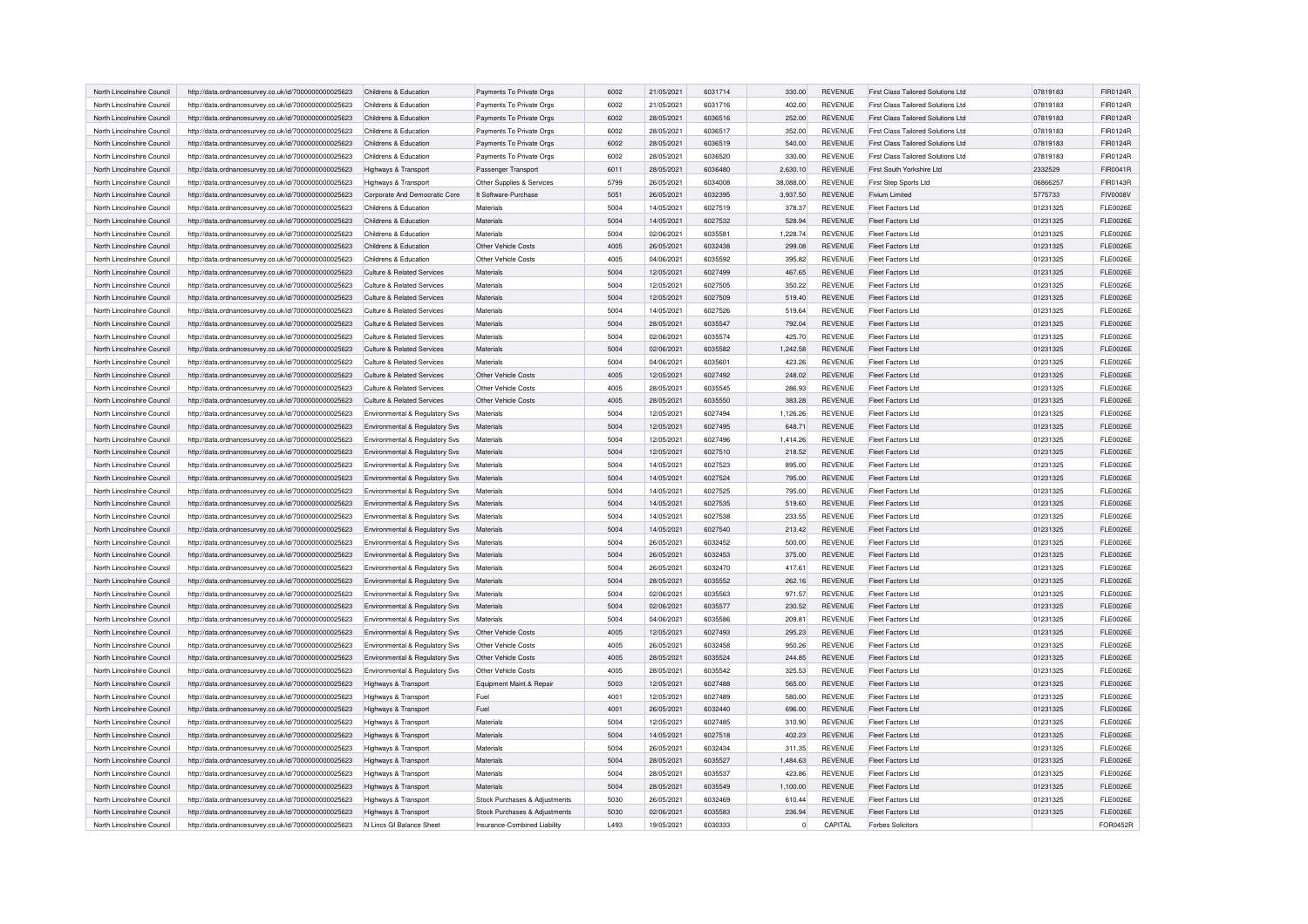| North Lincolnshire Council | http://data.ordnancesurvey.co.uk/id/7000000000025623 | Childrens & Education          | Payments To Private Orgs      | 6002 | 21/05/2021 | 6031714 | 330.00    | <b>REVENUE</b> | First Class Tailored Solutions Ltd        | 07819183 | FIR0124R        |
|----------------------------|------------------------------------------------------|--------------------------------|-------------------------------|------|------------|---------|-----------|----------------|-------------------------------------------|----------|-----------------|
| North Lincolnshire Council | http://data.ordnancesurvey.co.uk/id/7000000000025623 | Childrens & Education          | Payments To Private Orgs      | 6002 | 21/05/2021 | 6031716 | 402.00    | <b>REVENUE</b> | First Class Tailored Solutions Ltd        | 07819183 | FIR0124R        |
| North Lincolnshire Council | http://data.ordnancesurvey.co.uk/id/7000000000025623 | Childrens & Education          | Payments To Private Orgs      | 6002 | 28/05/2021 | 6036516 | 252.00    | <b>REVENUE</b> | <b>First Class Tailored Solutions Ltd</b> | 07819183 | FIR0124R        |
| North Lincolnshire Council | http://data.ordnancesurvey.co.uk/id/7000000000025623 | Childrens & Education          | Payments To Private Orgs      | 6002 | 28/05/2021 | 6036517 | 352.00    | <b>REVENUE</b> | <b>First Class Tailored Solutions Ltd</b> | 07819183 | FIR0124R        |
| North Lincolnshire Council | http://data.ordnancesurvey.co.uk/id/7000000000025623 | Childrens & Education          | Payments To Private Orgs      | 6002 | 28/05/2021 | 6036519 | 540.00    | <b>REVENUE</b> | First Class Tailored Solutions Ltd        | 07819183 | FIR0124R        |
| North Lincolnshire Council | http://data.ordnancesurvey.co.uk/id/7000000000025623 | Childrens & Education          | Payments To Private Orgs      | 6002 | 28/05/2021 | 6036520 | 330.00    | <b>REVENUE</b> | First Class Tailored Solutions Ltd        | 07819183 | FIR0124R        |
| North Lincolnshire Council | http://data.ordnancesurvey.co.uk/id/7000000000025623 | Highways & Transport           | Passenger Transport           | 6011 | 28/05/2021 | 6036480 | 2,630.10  | <b>REVENUE</b> | First South Yorkshire Ltd                 | 2332529  | FIR0041R        |
| North Lincolnshire Council | http://data.ordnancesurvey.co.uk/id/7000000000025623 | Highways & Transport           | Other Supplies & Services     | 5799 | 26/05/2021 | 6034008 | 38,088,00 | <b>REVENUE</b> | First Step Sports Ltd                     | 06866257 | FIR0143R        |
| North Lincolnshire Council | http://data.ordnancesurvey.co.uk/id/7000000000025623 | Corporate And Democratic Core  | It Software-Purchase          | 5051 | 26/05/2021 | 6032395 | 3,937.50  | <b>REVENUE</b> | Fivium Limited                            | 5775733  | <b>FIV0008V</b> |
| North Lincolnshire Council | http://data.ordnancesurvey.co.uk/id/7000000000025623 | Childrens & Education          | Materials                     | 5004 | 14/05/2021 | 6027519 | 378.37    | <b>REVENUE</b> | Fleet Factors Ltd                         | 01231325 | <b>FLE0026E</b> |
| North Lincolnshire Council | http://data.ordnancesurvey.co.uk/id/7000000000025623 | Childrens & Education          | Materials                     | 5004 | 14/05/2021 | 6027532 | 528.94    | <b>REVENUE</b> | Fleet Factors Ltd                         | 01231325 | <b>FLE0026E</b> |
| North Lincolnshire Council | http://data.ordnancesurvey.co.uk/id/7000000000025623 | Childrens & Education          | Materials                     | 5004 | 02/06/2021 | 6035581 | 1,228.74  | <b>REVENUE</b> | Fleet Factors Ltd                         | 01231325 | <b>FLE0026E</b> |
| North Lincolnshire Council | http://data.ordnancesurvey.co.uk/id/7000000000025623 | Childrens & Education          | Other Vehicle Costs           | 4005 | 26/05/2021 | 6032438 | 299.08    | <b>REVENUE</b> | Fleet Factors Ltd                         | 01231325 | <b>FLE0026E</b> |
| North Lincolnshire Council | http://data.ordnancesurvey.co.uk/id/7000000000025623 | Childrens & Education          | Other Vehicle Costs           | 4005 | 04/06/2021 | 6035592 | 395.82    | <b>REVENUE</b> | Fleet Factors Ltd                         | 01231325 | <b>FLE0026E</b> |
| North Lincolnshire Council | http://data.ordnancesurvey.co.uk/id/7000000000025623 | Culture & Related Services     | Materials                     | 5004 | 12/05/2021 | 6027499 | 467.65    | <b>REVENUE</b> | Fleet Factors Ltd                         | 01231325 | <b>FLE0026E</b> |
| North Lincolnshire Council | http://data.ordnancesurvey.co.uk/id/7000000000025623 | Culture & Related Services     | Materials                     | 5004 | 12/05/2021 | 6027505 | 350.22    | <b>REVENUE</b> | <b>Fleet Factors Ltd</b>                  | 01231325 | <b>FLE0026E</b> |
| North Lincolnshire Council | http://data.ordnancesurvey.co.uk/id/7000000000025623 | Culture & Related Services     | Materials                     | 5004 | 12/05/2021 | 6027509 | 519.40    | <b>REVENUE</b> | Fleet Factors Ltd                         | 01231325 | <b>FLE0026E</b> |
| North Lincolnshire Council | http://data.ordnancesurvey.co.uk/id/7000000000025623 | Culture & Related Services     | Materials                     | 5004 | 14/05/2021 | 6027526 | 519.64    | <b>REVENUE</b> | Fleet Factors Ltd                         | 01231325 | <b>FLE0026E</b> |
| North Lincolnshire Council | http://data.ordnancesurvey.co.uk/id/7000000000025623 | Culture & Related Services     | Materials                     | 5004 | 28/05/2021 | 6035547 | 792.04    | <b>REVENUE</b> | Fleet Factors Ltd                         | 01231325 | <b>FLE0026E</b> |
| North Lincolnshire Council | http://data.ordnancesurvey.co.uk/id/7000000000025623 | Culture & Related Services     | Materials                     | 5004 | 02/06/2021 | 6035574 | 425.70    | <b>REVENUE</b> | Fleet Factors Ltd                         | 01231325 | <b>FLE0026E</b> |
| North Lincolnshire Council | http://data.ordnancesurvey.co.uk/id/7000000000025623 | Culture & Related Services     | Materials                     | 5004 | 02/06/2021 | 6035582 | 1,242.58  | <b>REVENUE</b> | Fleet Factors Ltd                         | 01231325 | <b>FLE0026E</b> |
| North Lincolnshire Council | http://data.ordnancesurvey.co.uk/id/7000000000025623 | Culture & Related Services     | Materials                     | 5004 | 04/06/2021 | 6035601 | 423.26    | <b>REVENUE</b> | Fleet Factors Ltd                         | 01231325 | <b>FLE0026E</b> |
| North Lincolnshire Council | http://data.ordnancesurvey.co.uk/id/7000000000025623 | Culture & Related Services     | Other Vehicle Costs           | 4005 | 12/05/2021 | 6027492 | 248.02    | <b>REVENUE</b> | Fleet Factors Ltd                         | 01231325 | <b>FLE0026E</b> |
| North Lincolnshire Council | http://data.ordnancesurvey.co.uk/id/7000000000025623 | Culture & Related Services     | Other Vehicle Costs           | 4005 | 28/05/2021 | 6035545 | 286.93    | REVENUE        | Fleet Factors Ltd                         | 01231325 | <b>FLE0026E</b> |
| North Lincolnshire Council | http://data.ordnancesurvey.co.uk/id/7000000000025623 | Culture & Related Services     | Other Vehicle Costs           | 4005 | 28/05/2021 | 6035550 | 383.28    | <b>REVENUE</b> | Fleet Factors Ltd                         | 01231325 | <b>FLE0026E</b> |
| North Lincolnshire Council | http://data.ordnancesurvey.co.uk/id/7000000000025623 | Environmental & Regulatory Sys | Materials                     | 5004 | 12/05/2021 | 6027494 | 1,126.26  | REVENUE        | Fleet Factors Ltd                         | 01231325 | <b>FLE0026E</b> |
| North Lincolnshire Council | http://data.ordnancesurvey.co.uk/id/7000000000025623 | Environmental & Regulatory Sys | Materials                     | 5004 | 12/05/2021 | 6027495 | 648.71    | <b>REVENUE</b> | Fleet Factors Ltd                         | 01231325 | <b>FLE0026E</b> |
| North Lincolnshire Council | http://data.ordnancesurvey.co.uk/id/7000000000025623 | Environmental & Regulatory Svs | Materials                     | 5004 | 12/05/2021 | 6027496 | 1.414.26  | <b>REVENUE</b> | Fleet Factors Ltd                         | 01231325 | <b>FLE0026E</b> |
| North Lincolnshire Council | http://data.ordnancesurvey.co.uk/id/7000000000025623 | Environmental & Regulatory Svs | Materials                     | 5004 | 12/05/2021 | 6027510 | 218.52    | <b>REVENUE</b> | <b>Fleet Factors Ltd</b>                  | 01231325 | <b>FLE0026E</b> |
| North Lincolnshire Council | http://data.ordnancesurvey.co.uk/id/7000000000025623 | Environmental & Regulatory Svs | Materials                     | 5004 | 14/05/2021 | 6027523 | 895.00    | REVENUE        | <b>Fleet Factors Ltd</b>                  | 01231325 | <b>FLE0026E</b> |
| North Lincolnshire Council | http://data.ordnancesurvey.co.uk/id/7000000000025623 | Environmental & Regulatory Svs | Materials                     | 5004 | 14/05/2021 | 6027524 | 795.00    | REVENUE        | Fleet Factors Ltd                         | 01231325 | <b>FLE0026E</b> |
| North Lincolnshire Council | http://data.ordnancesurvey.co.uk/id/7000000000025623 | Environmental & Regulatory Sys | Materials                     | 5004 | 14/05/2021 | 6027525 | 795.00    | REVENUE        | Fleet Factors Ltd                         | 01231325 | <b>FLE0026E</b> |
| North Lincolnshire Council | http://data.ordnancesurvey.co.uk/id/7000000000025623 | Environmental & Regulatory Sys | Materials                     | 5004 | 14/05/2021 | 6027535 | 519.60    | <b>REVENUE</b> | Fleet Factors Ltd                         | 01231325 | <b>FLE0026E</b> |
| North Lincolnshire Council | http://data.ordnancesurvey.co.uk/id/7000000000025623 | Environmental & Regulatory Svs | Materials                     | 5004 | 14/05/2021 | 6027538 | 233.55    | <b>REVENUE</b> | <b>Fleet Factors Ltd</b>                  | 01231325 | <b>FLE0026E</b> |
| North Lincolnshire Council | http://data.ordnancesurvey.co.uk/id/7000000000025623 | Environmental & Regulatory Svs | Materials                     | 5004 | 14/05/2021 | 6027540 | 213.42    | REVENUE        | Fleet Factors Ltd                         | 01231325 | <b>FLE0026E</b> |
| North Lincolnshire Council | http://data.ordnancesurvey.co.uk/id/7000000000025623 | Environmental & Regulatory Svs | Materials                     | 5004 | 26/05/2021 | 6032452 | 500.00    | <b>REVENUE</b> | Fleet Factors Ltd                         | 01231325 | <b>FLE0026E</b> |
| North Lincolnshire Council | http://data.ordnancesurvey.co.uk/id/7000000000025623 | Environmental & Regulatory Svs | Materials                     | 5004 | 26/05/2021 | 6032453 | 375.00    | REVENUE        | <b>Fleet Factors Ltd</b>                  | 01231325 | <b>FLE0026E</b> |
| North Lincolnshire Council | http://data.ordnancesurvey.co.uk/id/7000000000025623 | Environmental & Regulatory Svs | Materials                     | 5004 | 26/05/2021 | 6032470 | 417.61    | <b>REVENUE</b> | Fleet Factors Ltd                         | 01231325 | <b>FLE0026E</b> |
| North Lincolnshire Council | http://data.ordnancesurvey.co.uk/id/7000000000025623 | Environmental & Regulatory Sys | Materials                     | 5004 | 28/05/2021 | 6035552 | 262.16    | <b>REVENUE</b> | <b>Fleet Factors Ltd</b>                  | 01231325 | <b>FLE0026E</b> |
| North Lincolnshire Council | http://data.ordnancesurvey.co.uk/id/7000000000025623 | Environmental & Regulatory Sys | Materials                     | 5004 | 02/06/2021 | 6035563 | 971.57    | <b>REVENUE</b> | Fleet Factors Ltd                         | 01231325 | <b>FLE0026E</b> |
| North Lincolnshire Council | http://data.ordnancesurvey.co.uk/id/7000000000025623 | Environmental & Regulatory Svs | <b>Materials</b>              | 5004 | 02/06/2021 | 6035577 | 230.52    | <b>REVENUE</b> | <b>Fleet Factors Ltd</b>                  | 01231325 | <b>FLE0026E</b> |
| North Lincolnshire Council | http://data.ordnancesurvey.co.uk/id/7000000000025623 | Environmental & Regulatory Svs | <b>Materials</b>              | 5004 | 04/06/2021 | 6035586 | 209.81    | <b>REVENUE</b> | Fleet Factors Ltd                         | 01231325 | <b>FLE0026E</b> |
| North Lincolnshire Council | http://data.ordnancesurvey.co.uk/id/7000000000025623 | Environmental & Regulatory Svs | Other Vehicle Costs           | 4005 | 12/05/2021 | 6027493 | 295.23    | REVENUE        | <b>Fleet Factors Ltd</b>                  | 01231325 | <b>FLE0026E</b> |
| North Lincolnshire Council | http://data.ordnancesurvey.co.uk/id/7000000000025623 | Environmental & Regulatory Svs | Other Vehicle Costs           | 4005 | 26/05/2021 | 6032458 | 950.26    | <b>REVENUE</b> | Fleet Factors Ltd                         | 01231325 | <b>FLE0026E</b> |
| North Lincolnshire Council | http://data.ordnancesurvey.co.uk/id/7000000000025623 | Environmental & Regulatory Svs | Other Vehicle Costs           | 4005 | 28/05/2021 | 6035524 | 244.85    | REVENUE        | Fleet Factors Ltd                         | 01231325 | <b>FLE0026E</b> |
| North Lincolnshire Council | http://data.ordnancesurvey.co.uk/id/7000000000025623 | Environmental & Regulatory Sys | Other Vehicle Costs           | 4005 | 28/05/2021 | 6035542 | 325.53    | <b>REVENUE</b> | Fleet Factors Ltd                         | 01231325 | <b>FLE0026E</b> |
| North Lincolnshire Council | http://data.ordnancesurvey.co.uk/id/7000000000025623 | Highways & Transport           | Equipment Maint.& Repair      | 5003 | 12/05/2021 | 6027488 | 565.00    | <b>REVENUE</b> | <b>Fleet Factors Ltd</b>                  | 01231325 | <b>FLE0026E</b> |
| North Lincolnshire Council | http://data.ordnancesurvey.co.uk/id/7000000000025623 | Highways & Transport           | Fuel                          | 4001 | 12/05/2021 | 6027489 | 580.00    | REVENUE        | Fleet Factors Ltd                         | 01231325 | <b>FLE0026E</b> |
| North Lincolnshire Council | http://data.ordnancesurvey.co.uk/id/7000000000025623 | Highways & Transport           | Fuel                          | 4001 | 26/05/2021 | 6032440 | 696.00    | REVENUE        | Fleet Factors Ltd                         | 01231325 | <b>FLE0026E</b> |
| North Lincolnshire Council | http://data.ordnancesurvey.co.uk/id/7000000000025623 | Highways & Transport           | Materials                     | 5004 | 12/05/2021 | 6027485 | 310.90    | REVENUE        | Fleet Factors Ltd                         | 01231325 | <b>FLE0026E</b> |
| North Lincolnshire Council | http://data.ordnancesurvey.co.uk/id/7000000000025623 | Highways & Transport           | Materials                     | 5004 | 14/05/2021 | 6027518 | 402.23    | REVENUE        | Fleet Factors Ltd                         | 01231325 | <b>FLE0026E</b> |
| North Lincolnshire Council | http://data.ordnancesurvey.co.uk/id/7000000000025623 | Highways & Transport           | Materials                     | 5004 | 26/05/2021 | 6032434 | 311.35    | REVENUE        | Fleet Factors Ltd                         | 01231325 | <b>FLE0026E</b> |
| North Lincolnshire Council | http://data.ordnancesurvey.co.uk/id/7000000000025623 | Highways & Transport           | Materials                     | 5004 | 28/05/2021 | 6035527 | 1,484.63  | REVENUE        | Fleet Factors Ltd                         | 01231325 | <b>FLE0026E</b> |
| North Lincolnshire Council | http://data.ordnancesurvey.co.uk/id/7000000000025623 | Highways & Transport           | Materials                     | 5004 | 28/05/2021 | 6035537 | 423.86    | <b>REVENUE</b> | Fleet Factors Ltd                         | 01231325 | <b>FLE0026E</b> |
| North Lincolnshire Council | http://data.ordnancesurvey.co.uk/id/7000000000025623 | Highways & Transport           | Materials                     | 5004 | 28/05/2021 | 6035549 | 1,100.00  | REVENUE        | Fleet Factors Ltd                         | 01231325 | <b>FLE0026E</b> |
| North Lincolnshire Council | http://data.ordnancesurvey.co.uk/id/7000000000025623 | Highways & Transport           | Stock Purchases & Adjustments | 5030 | 26/05/2021 | 6032469 | 610.44    | REVENUE        | Fleet Factors Ltd                         | 01231325 | <b>FLE0026E</b> |
| North Lincolnshire Council | http://data.ordnancesurvey.co.uk/id/7000000000025623 | Highways & Transport           | Stock Purchases & Adjustments | 5030 | 02/06/2021 | 6035583 | 236.94    | REVENUE        | Fleet Factors Ltd                         | 01231325 | <b>FLE0026E</b> |
| North Lincolnshire Council | http://data.ordnancesurvey.co.uk/id/7000000000025623 | N Lincs Gf Balance Sheet       | Insurance-Combined Liability  | L493 | 19/05/2021 | 6030333 | $\Omega$  | CAPITAI        | Forbes Solicitors                         |          | FOR0452R        |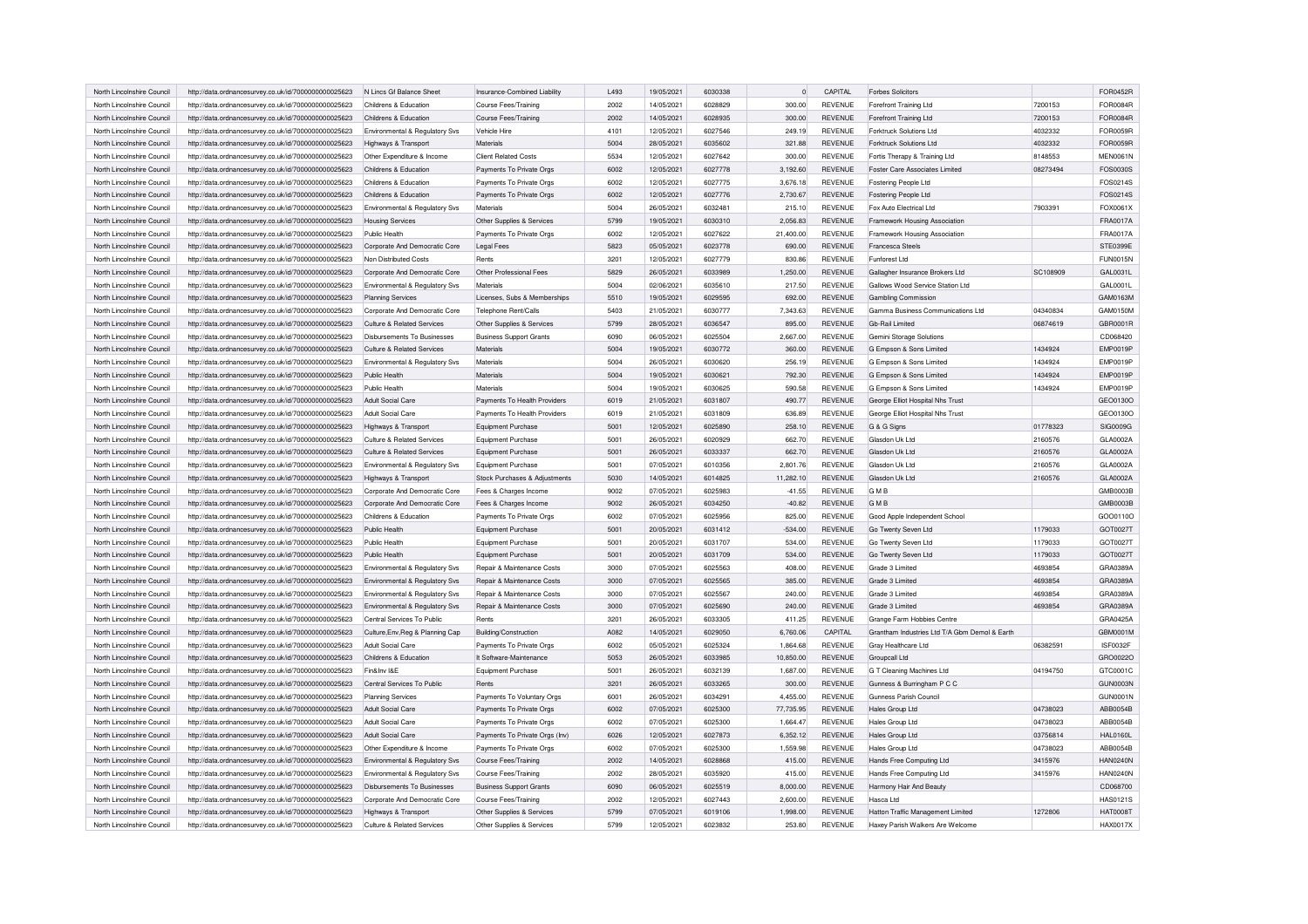| North Lincolnshire Council                               | http://data.ordnancesurvey.co.uk/id/7000000000025623 | N Lincs Gf Balance Sheet           | Insurance-Combined Liability          | L493 | 19/05/2021 | 6030338 | $\circ$   | CAPITAL        | <b>Forbes Solicitors</b>                      |          | <b>FOR0452R</b> |
|----------------------------------------------------------|------------------------------------------------------|------------------------------------|---------------------------------------|------|------------|---------|-----------|----------------|-----------------------------------------------|----------|-----------------|
| North Lincolnshire Council                               | http://data.ordnancesurvey.co.uk/id/7000000000025623 | Childrens & Education              | Course Fees/Training                  | 2002 | 14/05/2021 | 6028829 | 300.00    | <b>REVENUE</b> | Forefront Training Ltd                        | 7200153  | FOR0084R        |
| North Lincolnshire Council                               | http://data.ordnancesurvey.co.uk/id/7000000000025623 | Childrens & Education              | Course Fees/Training                  | 2002 | 14/05/2021 | 6028935 | 300.00    | <b>REVENUE</b> | Forefront Training Ltd                        | 7200153  | FOR0084R        |
| North Lincolnshire Council                               | http://data.ordnancesurvey.co.uk/id/7000000000025623 | Environmental & Regulatory Svs     | Vehicle Hire                          | 4101 | 12/05/2021 | 6027546 | 249.19    | <b>REVENUE</b> | <b>Forktruck Solutions Ltd</b>                | 4032332  | FOR0059R        |
| North Lincolnshire Council                               | http://data.ordnancesurvey.co.uk/id/7000000000025623 | Highways & Transport               | Materials                             | 5004 | 28/05/2021 | 6035602 | 321.88    | <b>REVENUE</b> | Forktruck Solutions Ltd                       | 4032332  | <b>FOR0059R</b> |
| North Lincolnshire Council                               | http://data.ordnancesurvey.co.uk/id/7000000000025623 | Other Expenditure & Income         | Client Related Costs                  | 5534 | 12/05/2021 | 6027642 | 300.00    | <b>REVENUE</b> | Fortis Therapy & Training Ltd                 | 8148553  | <b>MEN0061N</b> |
| North Lincolnshire Council                               | http://data.ordnancesurvey.co.uk/id/7000000000025623 | Childrens & Education              | Payments To Private Orgs              | 6002 | 12/05/2021 | 6027778 | 3,192.60  | <b>REVENUE</b> | Foster Care Associates Limited                | 08273494 | FOS0030S        |
| North Lincolnshire Council                               | http://data.ordnancesurvey.co.uk/id/7000000000025623 | Childrens & Education              | Payments To Private Orgs              | 6002 | 12/05/2021 | 6027775 | 3,676.18  | <b>REVENUE</b> | Fostering People Ltd                          |          | FOS0214S        |
| North Lincolnshire Council                               | http://data.ordnancesurvey.co.uk/id/7000000000025623 | Childrens & Education              | Payments To Private Orgs              | 6002 | 12/05/2021 | 6027776 | 2,730.67  | <b>REVENUE</b> | Fostering People Ltd                          |          | FOS0214S        |
| North Lincolnshire Council                               | http://data.ordnancesurvey.co.uk/id/7000000000025623 | Environmental & Regulatory Sys     | Materials                             | 5004 | 26/05/2021 | 6032481 | 215.10    | <b>REVENUE</b> | Fox Auto Electrical Ltd                       | 7903391  | FOX0061X        |
| North Lincolnshire Council                               | http://data.ordnancesurvey.co.uk/id/7000000000025623 | <b>Housing Services</b>            | Other Supplies & Services             | 5799 | 19/05/2021 | 6030310 | 2,056.83  | <b>REVENUE</b> | Framework Housing Association                 |          | FRA0017A        |
| North Lincolnshire Council                               | http://data.ordnancesurvey.co.uk/id/7000000000025623 | Public Health                      | Payments To Private Orgs              | 6002 | 12/05/2021 | 6027622 | 21,400.00 | <b>REVENUE</b> | Framework Housing Association                 |          | FRA0017A        |
| North Lincolnshire Council                               | http://data.ordnancesurvey.co.uk/id/7000000000025623 | Corporate And Democratic Core      | <b>Legal Fees</b>                     | 5823 | 05/05/2021 | 6023778 | 690.00    | <b>REVENUE</b> | <b>Francesca Steels</b>                       |          | STE0399E        |
| North Lincolnshire Council                               | http://data.ordnancesurvey.co.uk/id/7000000000025623 | Non Distributed Costs              | Rents                                 | 3201 | 12/05/2021 | 6027779 | 830.86    | <b>REVENUE</b> | Funforest Ltd                                 |          | <b>FUN0015N</b> |
| North Lincolnshire Council                               | http://data.ordnancesurvey.co.uk/id/7000000000025623 | Corporate And Democratic Core      | Other Professional Fees               | 5829 | 26/05/2021 | 6033989 | 1,250.00  | <b>REVENUE</b> | Gallagher Insurance Brokers Ltd               | SC108909 | GAL0031L        |
| North Lincolnshire Council                               | http://data.ordnancesurvey.co.uk/id/7000000000025623 | Environmental & Regulatory Svs     | Materials                             | 5004 | 02/06/2021 | 6035610 | 217.50    | <b>REVENUE</b> | Gallows Wood Service Station Ltd              |          | GAL0001L        |
| North Lincolnshire Council                               | http://data.ordnancesurvey.co.uk/id/7000000000025623 | Planning Services                  | Licenses, Subs & Memberships          | 5510 | 19/05/2021 | 6029595 | 692.00    | <b>REVENUE</b> | <b>Gambling Commission</b>                    |          | GAM0163M        |
| North Lincolnshire Council                               | http://data.ordnancesurvey.co.uk/id/7000000000025623 | Corporate And Democratic Core      | Telephone Rent/Calls                  | 5403 | 21/05/2021 | 6030777 | 7.343.63  | <b>REVENUE</b> | Gamma Business Communications Ltd             | 04340834 | GAM0150N        |
| North Lincolnshire Council                               | http://data.ordnancesurvey.co.uk/id/7000000000025623 | Culture & Related Services         | Other Supplies & Services             | 5799 | 28/05/2021 | 6036547 | 895.00    | <b>REVENUE</b> | Gb-Rail Limited                               | 06874619 | GBR0001R        |
| North Lincolnshire Council                               | http://data.ordnancesurvey.co.uk/id/7000000000025623 | <b>Disbursements To Businesses</b> | <b>Business Support Grants</b>        | 6090 | 06/05/2021 | 6025504 | 2,667.00  | <b>REVENUE</b> | Gemini Storage Solutions                      |          | CD068420        |
| North Lincolnshire Council                               | http://data.ordnancesurvey.co.uk/id/7000000000025623 | Culture & Related Services         | Materials                             | 5004 | 19/05/2021 | 6030772 | 360.00    | <b>REVENUE</b> | G Empson & Sons Limited                       | 1434924  | <b>EMP0019F</b> |
| North Lincolnshire Council                               | http://data.ordnancesurvey.co.uk/id/7000000000025623 | Environmental & Regulatory Svs     | Materials                             | 5004 | 26/05/2021 | 6030620 | 256.19    | <b>REVENUE</b> | G Empson & Sons Limited                       | 1434924  | <b>EMP0019F</b> |
| North Lincolnshire Council                               | http://data.ordnancesurvey.co.uk/id/7000000000025623 | Public Health                      | Materials                             | 5004 | 19/05/2021 | 6030621 | 792.30    | <b>REVENUE</b> | G Empson & Sons Limited                       | 1434924  | <b>EMP0019F</b> |
| North Lincolnshire Council                               | http://data.ordnancesurvey.co.uk/id/7000000000025623 | Public Health                      | Materials                             | 5004 | 19/05/2021 | 6030625 | 590.58    | <b>REVENUE</b> | G Empson & Sons Limited                       | 1434924  | <b>EMP0019F</b> |
| North Lincolnshire Council                               | http://data.ordnancesurvey.co.uk/id/7000000000025623 | Adult Social Care                  | Payments To Health Providers          | 6019 | 21/05/2021 | 6031807 | 490.77    | <b>REVENUE</b> | George Elliot Hospital Nhs Trust              |          | GEO0130C        |
| North Lincolnshire Council                               | http://data.ordnancesurvey.co.uk/id/7000000000025623 | Adult Social Care                  | Payments To Health Providers          | 6019 | 21/05/2021 | 6031809 | 636.89    | <b>REVENUE</b> | George Elliot Hospital Nhs Trust              |          | GEO0130C        |
| North Lincolnshire Council                               | http://data.ordnancesurvey.co.uk/id/7000000000025623 | Highways & Transport               | Equipment Purchase                    | 5001 | 12/05/2021 | 6025890 | 258.10    | <b>REVENUE</b> | G & G Signs                                   | 01778323 | SIG0009G        |
| North Lincolnshire Council                               | http://data.ordnancesurvey.co.uk/id/7000000000025623 | Culture & Related Services         | <b>Equipment Purchase</b>             | 5001 | 26/05/2021 | 6020929 | 662.70    | <b>REVENUE</b> | Glasdon Uk Ltd                                | 2160576  | GLA0002A        |
| North Lincolnshire Council                               | http://data.ordnancesurvey.co.uk/id/7000000000025623 | Culture & Related Services         | <b>Equipment Purchase</b>             | 5001 | 26/05/2021 | 6033337 | 662.70    | <b>REVENUE</b> | Glasdon Uk Ltd                                | 2160576  | GLA0002A        |
| North Lincolnshire Council                               | http://data.ordnancesurvey.co.uk/id/7000000000025623 | Environmental & Regulatory Svs     | <b>Equipment Purchase</b>             | 5001 | 07/05/2021 | 6010356 | 2,801.76  | <b>REVENUE</b> | Glasdon Uk Ltd                                | 2160576  | GLA0002A        |
| North Lincolnshire Council                               | http://data.ordnancesurvey.co.uk/id/7000000000025623 | Highways & Transport               | Stock Purchases & Adjustments         | 5030 | 14/05/2021 | 6014825 | 11,282.10 | <b>REVENUE</b> | Glasdon Uk Ltd                                | 2160576  | GLA0002A        |
| North Lincolnshire Council                               | http://data.ordnancesurvey.co.uk/id/7000000000025623 | Corporate And Democratic Core      | Fees & Charges Income                 | 9002 | 07/05/2021 | 6025983 | $-41.55$  | <b>REVENUE</b> | <b>GMB</b>                                    |          | GMB0003E        |
| North Lincolnshire Council                               | http://data.ordnancesurvey.co.uk/id/7000000000025623 | Corporate And Democratic Core      | Fees & Charges Income                 | 9002 | 26/05/2021 | 6034250 | $-40.82$  | <b>REVENUE</b> | <b>GMB</b>                                    |          | GMB0003B        |
| North Lincolnshire Council                               | http://data.ordnancesurvey.co.uk/id/7000000000025623 | Childrens & Education              | Payments To Private Orgs              | 6002 | 07/05/2021 | 6025956 | 825.00    | <b>REVENUE</b> | Good Apple Independent School                 |          | GOO0110O        |
| North Lincolnshire Council                               | http://data.ordnancesurvey.co.uk/id/7000000000025623 | Public Health                      | Equipment Purchase                    | 5001 | 20/05/2021 | 6031412 | $-534.00$ | <b>REVENUE</b> | Go Twenty Seven Ltd                           | 1179033  | GOT0027T        |
| North Lincolnshire Council                               | http://data.ordnancesurvey.co.uk/id/7000000000025623 | Public Health                      | Equipment Purchase                    | 5001 | 20/05/2021 | 6031707 | 534.00    | <b>REVENUE</b> | Go Twenty Seven Ltd                           | 1179033  | GOT00271        |
| North Lincolnshire Council                               | http://data.ordnancesurvey.co.uk/id/7000000000025623 | Public Health                      | <b>Equipment Purchase</b>             | 5001 | 20/05/2021 | 6031709 | 534.00    | <b>REVENUE</b> | Go Twenty Seven Ltd                           | 1179033  | GOT0027T        |
| North Lincolnshire Council                               | http://data.ordnancesurvey.co.uk/id/7000000000025623 | Environmental & Regulatory Svs     | <b>Benair &amp; Maintenance Costs</b> | 3000 | 07/05/2021 | 6025563 | 408.00    | <b>REVENUE</b> | Grade 3 Limited                               | 4693854  | GRA0389A        |
| North Lincolnshire Council                               | http://data.ordnancesurvey.co.uk/id/7000000000025623 | Environmental & Regulatory Svs     | Repair & Maintenance Costs            | 3000 | 07/05/2021 | 6025565 | 385.00    | <b>REVENUE</b> | Grade 3 Limited                               | 4693854  | GRA0389A        |
| North Lincolnshire Council                               | http://data.ordnancesurvey.co.uk/id/7000000000025623 | Environmental & Regulatory Svs     | Repair & Maintenance Costs            | 3000 | 07/05/2021 | 6025567 | 240.00    | <b>REVENUE</b> | Grade 3 Limited                               | 4693854  | GRA0389A        |
| North Lincolnshire Council                               | http://data.ordnancesurvey.co.uk/id/7000000000025623 | Environmental & Regulatory Svs     | Repair & Maintenance Costs            | 3000 | 07/05/2021 | 6025690 | 240.00    | <b>REVENUE</b> | Grade 3 Limited                               | 4693854  | GRA0389A        |
| North Lincolnshire Council                               | http://data.ordnancesurvey.co.uk/id/7000000000025623 | Central Services To Public         | Rents                                 | 3201 | 26/05/2021 | 6033305 | 411.25    | <b>REVENUE</b> | Grange Farm Hobbies Centre                    |          | GRA0425A        |
| North Lincolnshire Council                               | http://data.ordnancesurvey.co.uk/id/7000000000025623 | Culture, Env, Reg & Planning Cap   | Building/Construction                 | A082 | 14/05/2021 | 6029050 | 6,760.06  | CAPITAL        | Grantham Industries Ltd T/A Gbm Demol & Earth |          | GBM0001M        |
| North Lincolnshire Council                               | http://data.ordnancesurvey.co.uk/id/7000000000025623 | Adult Social Care                  | Payments To Private Orgs              | 6002 | 05/05/2021 | 6025324 | 1,864.68  | <b>REVENUE</b> | Grav Healthcare Ltd                           | 06382591 | ISF0032F        |
| North Lincolnshire Council                               |                                                      | Childrens & Education              | It Software-Maintenance               | 5053 | 26/05/2021 | 6033985 |           | <b>REVENUE</b> |                                               |          | GRO0022O        |
|                                                          | http://data.ordnancesurvey.co.uk/id/7000000000025623 | Fin&Inv I&F                        |                                       | 5001 | 26/05/2021 | 6032139 | 10,850.00 | <b>REVENUE</b> | Groupcall Ltd                                 | 04194750 | GTC0001C        |
| North Lincolnshire Council<br>North Lincolnshire Council | http://data.ordnancesurvey.co.uk/id/7000000000025623 | Central Services To Public         | Equipment Purchase<br>Rents           | 3201 |            | 6033265 | 1,687.00  | <b>REVENUE</b> | G T Cleaning Machines Ltd                     |          | GUN0003N        |
|                                                          | http://data.ordnancesurvey.co.uk/id/7000000000025623 |                                    |                                       |      | 26/05/2021 |         | 300.00    |                | Gunness & Burringham P C C                    |          |                 |
| North Lincolnshire Council                               | http://data.ordnancesurvey.co.uk/id/7000000000025623 | <b>Planning Services</b>           | Payments To Voluntary Orgs            | 6001 | 26/05/2021 | 6034291 | 4,455.00  | <b>REVENUE</b> | Gunness Parish Council                        |          | <b>GUN0001N</b> |
| North Lincolnshire Council                               | http://data.ordnancesurvey.co.uk/id/7000000000025623 | Adult Social Care                  | Payments To Private Orgs              | 6002 | 07/05/2021 | 6025300 | 77,735.95 | <b>REVENUE</b> | Hales Group Ltd                               | 04738023 | ABB0054B        |
| North Lincolnshire Council                               | http://data.ordnancesurvey.co.uk/id/7000000000025623 | Adult Social Care                  | Payments To Private Orgs              | 6002 | 07/05/2021 | 6025300 | 1,664.47  | REVENUE        | <b>Hales Group Ltd</b>                        | 04738023 | ABB0054B        |
| North Lincolnshire Council                               | http://data.ordnancesurvey.co.uk/id/7000000000025623 | Adult Social Care                  | Payments To Private Orgs (Inv)        | 6026 | 12/05/2021 | 6027873 | 6,352.12  | REVENUE        | Hales Group Ltd                               | 03756814 | <b>HAL0160L</b> |
| North Lincolnshire Council                               | http://data.ordnancesurvey.co.uk/id/7000000000025623 | Other Expenditure & Income         | Payments To Private Orgs              | 6002 | 07/05/2021 | 6025300 | 1.559.98  | <b>REVENUE</b> | Hales Group Ltd                               | 04738023 | ABB0054B        |
| North Lincolnshire Council                               | http://data.ordnancesurvey.co.uk/id/7000000000025623 | Environmental & Regulatory Svs     | Course Fees/Training                  | 2002 | 14/05/2021 | 6028868 | 415.00    | REVENUE        | Hands Free Computing Ltd                      | 3415976  | <b>HAN0240N</b> |
| North Lincolnshire Council                               | http://data.ordnancesurvey.co.uk/id/7000000000025623 | Environmental & Regulatory Svs     | Course Fees/Training                  | 2002 | 28/05/2021 | 6035920 | 415.00    | REVENUE        | Hands Free Computing Ltd                      | 3415976  | <b>HAN0240N</b> |
| North Lincolnshire Council                               | http://data.ordnancesurvey.co.uk/id/7000000000025623 | Disbursements To Businesses        | <b>Business Support Grants</b>        | 6090 | 06/05/2021 | 6025519 | 8,000.00  | REVENUE        | Harmony Hair And Beauty                       |          | CD068700        |
| North Lincolnshire Council                               | http://data.ordnancesurvey.co.uk/id/7000000000025623 | Corporate And Democratic Core      | Course Fees/Training                  | 2002 | 12/05/2021 | 6027443 | 2,600.00  | <b>REVENUE</b> | Hasca I td                                    |          | <b>HAS0121S</b> |
| North Lincolnshire Council                               | http://data.ordnancesurvey.co.uk/id/7000000000025623 | Highways & Transport               | Other Supplies & Services             | 5799 | 07/05/2021 | 6019106 | 1,998.00  | REVENUE        | Hatton Traffic Management Limited             | 1272806  | <b>HAT0008T</b> |
| North Lincolnshire Council                               | http://data.ordnancesurvey.co.uk/id/7000000000025623 | Culture & Related Services         | Other Supplies & Services             | 5799 | 12/05/2021 | 6023832 | 253.80    | <b>REVENUE</b> | Haxev Parish Walkers Are Welcome              |          | <b>HAX0017X</b> |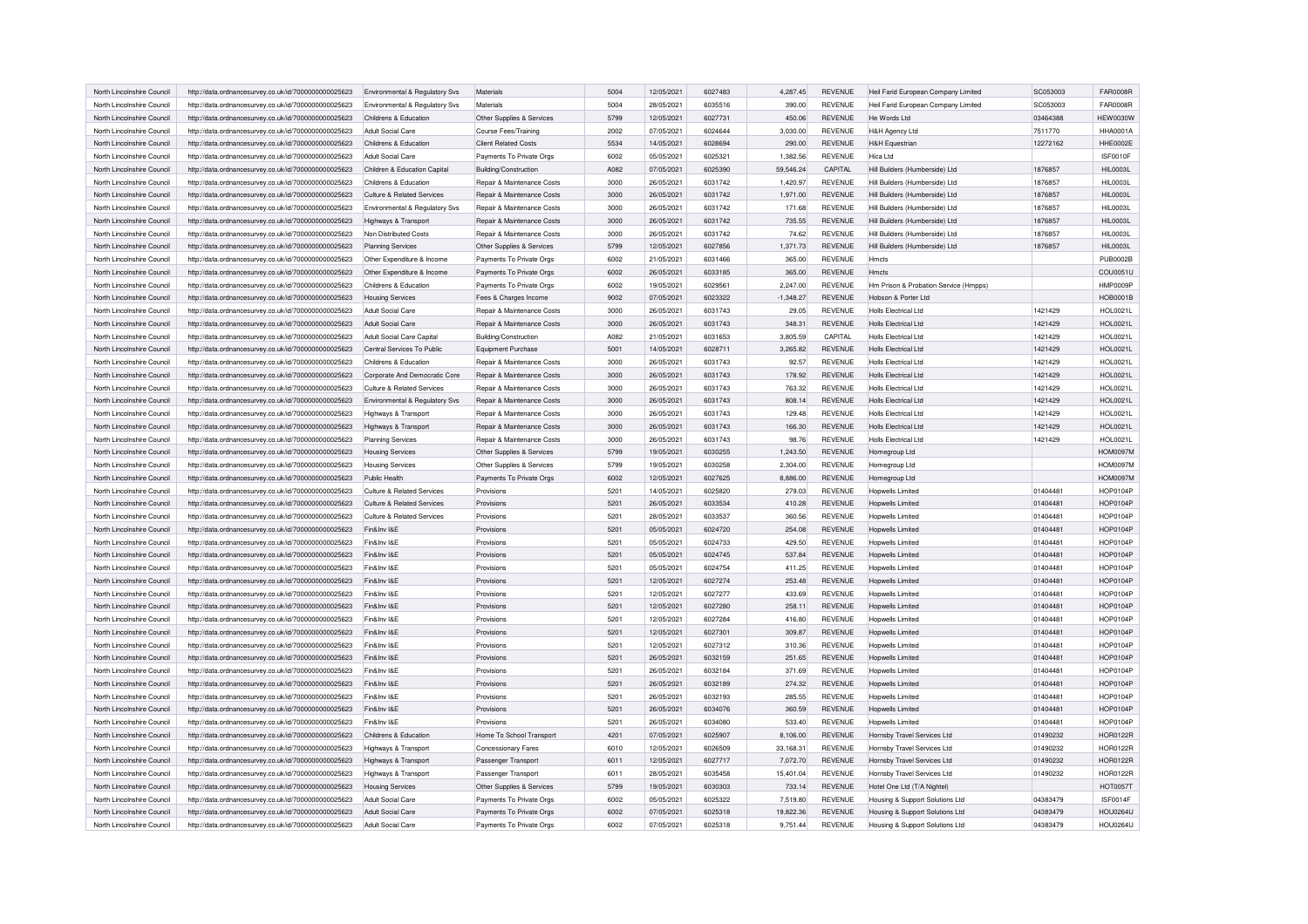| North Lincolnshire Council                               | http://data.ordnancesurvey.co.uk/id/7000000000025623 | Environmental & Regulatory Svs | Materials                   | 5004 | 12/05/2021 | 6027483 | 4,287.45              | <b>REVENUE</b> | Heil Farid European Company Limited   | SC053003 | <b>FAR0008R</b> |
|----------------------------------------------------------|------------------------------------------------------|--------------------------------|-----------------------------|------|------------|---------|-----------------------|----------------|---------------------------------------|----------|-----------------|
| North Lincolnshire Council                               | http://data.ordnancesurvey.co.uk/id/7000000000025623 | Environmental & Regulatory Svs | Materials                   | 5004 | 28/05/2021 | 6035516 | 390.00                | <b>REVENUE</b> | Heil Farid European Company Limited   | SC053003 | <b>FAR0008R</b> |
| North Lincolnshire Council                               | http://data.ordnancesurvey.co.uk/id/7000000000025623 | Childrens & Education          | Other Supplies & Services   | 5799 | 12/05/2021 | 6027731 | 450.06                | <b>REVENUE</b> | He Words Ltd                          | 03464388 | <b>HEW0030W</b> |
| North Lincolnshire Council                               | http://data.ordnancesurvey.co.uk/id/7000000000025623 | Adult Social Care              | Course Fees/Training        | 2002 | 07/05/2021 | 6024644 | 3.030.00              | <b>REVENUE</b> | H&H Agency Ltd                        | 7511770  | <b>HHA0001A</b> |
| North Lincolnshire Council                               | http://data.ordnancesurvey.co.uk/id/7000000000025623 | Childrens & Education          | <b>Client Related Costs</b> | 5534 | 14/05/2021 | 6028694 | 290.00                | <b>REVENUE</b> | <b>H&amp;H Equestrian</b>             | 12272162 | HHE0002E        |
| North Lincolnshire Council                               | http://data.ordnancesurvey.co.uk/id/7000000000025623 | Adult Social Care              | Payments To Private Orgs    | 6002 | 05/05/2021 | 6025321 | 1,382.56              | <b>REVENUE</b> | Hica I td                             |          | ISF0010F        |
| North Lincolnshire Council                               | http://data.ordnancesurvey.co.uk/id/7000000000025623 | Children & Education Capital   | Building/Construction       | A082 | 07/05/2021 | 6025390 | 59,546.24             | CAPITAL        | Hill Builders (Humberside) Ltd        | 1876857  | <b>HIL0003L</b> |
| North Lincolnshire Council                               | http://data.ordnancesurvey.co.uk/id/7000000000025623 | Childrens & Education          | Repair & Maintenance Costs  | 3000 | 26/05/2021 | 6031742 | 1,420.97              | <b>REVENUE</b> | Hill Builders (Humberside) Ltd        | 1876857  | <b>HIL0003L</b> |
| North Lincolnshire Council                               | http://data.ordnancesurvey.co.uk/id/7000000000025623 | Culture & Related Services     | Repair & Maintenance Costs  | 3000 | 26/05/2021 | 6031742 | 1,971.00              | <b>REVENUE</b> | Hill Builders (Humberside) Ltd        | 1876857  | <b>HIL0003L</b> |
| North Lincolnshire Council                               | http://data.ordnancesurvey.co.uk/id/7000000000025623 | Environmental & Regulatory Svs | Repair & Maintenance Costs  | 3000 | 26/05/2021 | 6031742 | 171.68                | <b>REVENUE</b> | Hill Builders (Humberside) Ltd        | 1876857  | <b>HIL0003L</b> |
| North Lincolnshire Council                               | http://data.ordnancesurvey.co.uk/id/7000000000025623 | Highways & Transport           | Repair & Maintenance Costs  | 3000 | 26/05/2021 | 6031742 | 735.55                | <b>REVENUE</b> | Hill Builders (Humberside) Ltd        | 1876857  | <b>HIL0003L</b> |
| North Lincolnshire Council                               | http://data.ordnancesurvey.co.uk/id/7000000000025623 | Non Distributed Costs          | Repair & Maintenance Costs  | 3000 | 26/05/2021 | 6031742 | 74.62                 | <b>REVENUE</b> | Hill Builders (Humberside) Ltd        | 1876857  | <b>HIL0003L</b> |
| North Lincolnshire Council                               | http://data.ordnancesurvey.co.uk/id/7000000000025623 | <b>Planning Services</b>       | Other Supplies & Services   | 5799 | 12/05/2021 | 6027856 | 1,371.73              | <b>REVENUE</b> | Hill Builders (Humberside) Ltd        | 1876857  | <b>HIL0003L</b> |
| North Lincolnshire Council                               | http://data.ordnancesurvey.co.uk/id/7000000000025623 | Other Expenditure & Income     | Payments To Private Orgs    | 6002 | 21/05/2021 | 6031466 | 365.00                | <b>REVENUE</b> | Hmcts                                 |          | <b>PUB0002E</b> |
| North Lincolnshire Council                               | http://data.ordnancesurvey.co.uk/id/7000000000025623 | Other Expenditure & Income     | Payments To Private Orgs    | 6002 | 26/05/2021 | 6033185 | 365.00                | <b>REVENUE</b> | Hmcts                                 |          | COU0051L        |
| North Lincolnshire Council                               | http://data.ordnancesurvey.co.uk/id/7000000000025623 | Childrens & Education          | Payments To Private Orgs    | 6002 | 19/05/2021 | 6029561 | 2,247.00              | <b>REVENUE</b> | Hm Prison & Probation Service (Hmpps) |          | HMP0009F        |
| North Lincolnshire Council                               | http://data.ordnancesurvey.co.uk/id/7000000000025623 | <b>Housing Services</b>        | Fees & Charges Income       | 9002 | 07/05/2021 | 6023322 | $-1,348.27$           | <b>REVENUE</b> | Hobson & Porter Ltd                   |          | HOB0001B        |
| North Lincolnshire Council                               | http://data.ordnancesurvey.co.uk/id/7000000000025623 | Adult Social Care              | Repair & Maintenance Costs  | 3000 | 26/05/2021 | 6031743 | 29.05                 | <b>REVENUE</b> | Holls Flectrical Ltd                  | 1421429  | HOL0021L        |
| North Lincolnshire Council                               | http://data.ordnancesurvey.co.uk/id/7000000000025623 | Adult Social Care              | Repair & Maintenance Costs  | 3000 | 26/05/2021 | 6031743 | 348.31                | <b>REVENUE</b> | Holls Flectrical Ltd                  | 1421429  | HOL0021L        |
| North Lincolnshire Council                               | http://data.ordnancesurvey.co.uk/id/7000000000025623 | Adult Social Care Capital      | Building/Construction       | A082 | 21/05/2021 | 6031653 | 3,805.59              | CAPITAL        | <b>Holls Electrical Ltd</b>           | 1421429  | HOL0021L        |
| North Lincolnshire Council                               | http://data.ordnancesurvey.co.uk/id/7000000000025623 | Central Services To Public     | Equipment Purchase          | 5001 | 14/05/2021 | 6028711 | 3,265.82              | <b>REVENUE</b> | <b>Holls Electrical Ltd</b>           | 1421429  | HOL0021L        |
| North Lincolnshire Council                               | http://data.ordnancesurvey.co.uk/id/7000000000025623 | Childrens & Education          | Repair & Maintenance Costs  | 3000 | 26/05/2021 | 6031743 | 92.57                 | <b>REVENUE</b> | Holls Flectrical Ltd                  | 1421429  | HOL0021L        |
| North Lincolnshire Council                               | http://data.ordnancesurvey.co.uk/id/7000000000025623 | Corporate And Democratic Core  | Repair & Maintenance Costs  | 3000 | 26/05/2021 | 6031743 | 178.92                | <b>REVENUE</b> | <b>Holls Electrical Ltd</b>           | 1421429  | HOL0021L        |
| North Lincolnshire Council                               | http://data.ordnancesurvey.co.uk/id/7000000000025623 | Culture & Related Services     | Repair & Maintenance Costs  | 3000 | 26/05/2021 | 6031743 | 763.32                | <b>REVENUE</b> | <b>Holls Electrical Ltd</b>           | 1421429  | HOL0021L        |
| North Lincolnshire Council                               | http://data.ordnancesurvey.co.uk/id/7000000000025623 | Environmental & Regulatory Svs | Repair & Maintenance Costs  | 3000 | 26/05/2021 | 6031743 | 808.14                | <b>REVENUE</b> | Holls Flectrical Ltd                  | 1421429  | HOL0021L        |
| North Lincolnshire Council                               | http://data.ordnancesurvey.co.uk/id/7000000000025623 | Highways & Transport           | Repair & Maintenance Costs  | 3000 | 26/05/2021 | 6031743 | 129.48                | <b>REVENUE</b> | Holls Flectrical Ltd                  | 1421429  | HOL0021L        |
| North Lincolnshire Council                               | http://data.ordnancesurvey.co.uk/id/7000000000025623 | Highways & Transport           | Repair & Maintenance Costs  | 3000 | 26/05/2021 | 6031743 | 166.30                | <b>REVENUE</b> | <b>Holls Electrical Ltd</b>           | 1421429  | HOL0021L        |
| North Lincolnshire Council                               | http://data.ordnancesurvey.co.uk/id/7000000000025623 | <b>Planning Services</b>       | Repair & Maintenance Costs  | 3000 | 26/05/2021 | 6031743 | 98.76                 | <b>REVENUE</b> | <b>Holls Electrical Ltd</b>           | 1421429  | <b>HOL0021L</b> |
| North Lincolnshire Council                               | http://data.ordnancesurvey.co.uk/id/7000000000025623 | <b>Housing Services</b>        | Other Supplies & Services   | 5799 | 19/05/2021 | 6030255 | 1,243.50              | <b>REVENUE</b> | Homegroup Ltd                         |          | <b>HOM0097M</b> |
| North Lincolnshire Council                               | http://data.ordnancesurvey.co.uk/id/7000000000025623 | <b>Housing Services</b>        | Other Supplies & Services   | 5799 | 19/05/2021 | 6030258 | 2,304.00              | <b>REVENUE</b> | Homegroup Ltd                         |          | <b>HOM0097M</b> |
| North Lincolnshire Council                               | http://data.ordnancesurvey.co.uk/id/7000000000025623 | Public Health                  | Payments To Private Orgs    | 6002 | 12/05/2021 | 6027625 | 8,886.00              | <b>REVENUE</b> | Homegroup Ltd                         |          | <b>HOM0097M</b> |
| North Lincolnshire Council                               | http://data.ordnancesurvey.co.uk/id/7000000000025623 | Culture & Related Services     | Provisions                  | 5201 | 14/05/2021 | 6025820 | 279.03                | <b>REVENUE</b> | Hopwells Limited                      | 01404481 | <b>HOP0104P</b> |
| North Lincolnshire Council                               | http://data.ordnancesurvey.co.uk/id/7000000000025623 | Culture & Related Services     | Provisions                  | 5201 | 26/05/2021 | 6033534 | 410.28                | REVENUE        | Hopwells Limited                      | 01404481 | HOP0104P        |
| North Lincolnshire Council                               | http://data.ordnancesurvey.co.uk/id/7000000000025623 | Culture & Related Services     | Provisions                  | 5201 | 28/05/2021 | 6033537 | 360.56                | <b>REVENUE</b> | Hopwells Limited                      | 01404481 | HOP0104P        |
| North Lincolnshire Council                               | http://data.ordnancesurvey.co.uk/id/7000000000025623 | Fin&Inv I&E                    | Provisions                  | 5201 | 05/05/2021 | 6024720 | 254.08                | REVENUE        | Hopwells Limited                      | 01404481 | HOP0104P        |
| North Lincolnshire Council                               | http://data.ordnancesurvey.co.uk/id/7000000000025623 | Fin&Inv I&F                    | Provisions                  | 5201 | 05/05/2021 | 6024733 | 429.50                | <b>REVENUE</b> | <b>Hopwells Limited</b>               | 01404481 | HOP0104F        |
| North Lincolnshire Council                               | http://data.ordnancesurvey.co.uk/id/7000000000025623 | Fin&Inv I&E                    | Provisions                  | 5201 | 05/05/2021 | 6024745 | 537.84                | REVENUE        | Hopwells Limited                      | 01404481 | HOP0104P        |
| North Lincolnshire Council                               | http://data.ordnancesurvey.co.uk/id/7000000000025623 | Fin&Inv I&E                    | Provisions                  | 5201 | 05/05/2021 | 6024754 | 411.25                | <b>REVENUE</b> | Honwells I imited                     | 01404481 | <b>HOP0104P</b> |
| North Lincolnshire Council                               | http://data.ordnancesurvey.co.uk/id/7000000000025623 | Fin&Inv I&F                    | Provisions                  | 5201 | 12/05/2021 | 6027274 | 253.48                | <b>REVENUE</b> | <b>Hopwells Limited</b>               | 01404481 | HOP0104P        |
| North Lincolnshire Council                               | http://data.ordnancesurvey.co.uk/id/7000000000025623 | Fin&Inv I&E                    | Provisions                  | 5201 | 12/05/2021 | 6027277 | 433.69                | REVENUE        | Hopwells Limited                      | 01404481 | HOP0104P        |
| North Lincolnshire Council                               | http://data.ordnancesurvey.co.uk/id/7000000000025623 | Fin&Inv I&E                    | Provisions                  | 5201 | 12/05/2021 | 6027280 | 258.11                | <b>REVENUE</b> | Hopwells Limited                      | 01404481 | HOP0104P        |
| North Lincolnshire Council                               | http://data.ordnancesurvey.co.uk/id/7000000000025623 | Fin&Inv I&E                    | Provisions                  | 5201 | 12/05/2021 | 6027284 | 416.80                | REVENUE        | <b>Hopwells Limited</b>               | 01404481 | HOP0104P        |
| North Lincolnshire Council                               | http://data.ordnancesurvey.co.uk/id/7000000000025623 | Fin&Inv I&E                    | Provisions                  | 5201 | 12/05/2021 | 6027301 | 309.87                | REVENUE        | <b>Hopwells Limited</b>               | 01404481 | <b>HOP0104P</b> |
| North Lincolnshire Council                               | http://data.ordnancesurvey.co.uk/id/7000000000025623 | Fin&Inv I&E                    | Provisions                  | 5201 | 12/05/2021 | 6027312 | 310.36                | <b>REVENUE</b> | Honwells I imited                     | 01404481 | <b>HOP0104P</b> |
| North Lincolnshire Council                               | http://data.ordnancesurvey.co.uk/id/7000000000025623 | Fin&Inv I&E                    | Provisions                  | 5201 | 26/05/2021 | 6032159 | 251.65                | REVENUE        | Hopwells Limited                      | 01404481 | <b>HOP0104P</b> |
| North Lincolnshire Council                               | http://data.ordnancesurvey.co.uk/id/7000000000025623 | Fin&Inv I&E                    | Provisions                  | 5201 | 26/05/2021 | 6032184 | 371.69                | REVENUE        | Hopwells Limited                      | 01404481 | HOP0104F        |
| North Lincolnshire Council                               | http://data.ordnancesurvey.co.uk/id/7000000000025623 | Fin&Inv I&E                    | Provisions                  | 5201 | 26/05/2021 | 6032189 | 274.32                | REVENUE        | Hopwells Limited                      | 01404481 | <b>HOP0104P</b> |
| North Lincolnshire Council                               | http://data.ordnancesurvey.co.uk/id/7000000000025623 | Fin&Inv I&E                    | Provisions                  | 5201 | 26/05/2021 | 6032193 | 285.55                | REVENUE        | <b>Hopwells Limited</b>               | 01404481 | <b>HOP0104P</b> |
| North Lincolnshire Council                               | http://data.ordnancesurvey.co.uk/id/7000000000025623 | Fin&Inv I&E                    | Provisions                  | 5201 | 26/05/2021 | 6034076 | 360.59                | REVENUE        | <b>Hopwells Limited</b>               | 01404481 | <b>HOP0104P</b> |
| North Lincolnshire Council                               | http://data.ordnancesurvey.co.uk/id/7000000000025623 | Fin&Inv I&E                    | Provisions                  | 5201 | 26/05/2021 | 6034080 | 533.40                | REVENUE        | <b>Hopwells Limited</b>               | 01404481 | HOP0104P        |
| North Lincolnshire Council                               | http://data.ordnancesurvey.co.uk/id/7000000000025623 | Childrens & Education          | Home To School Transport    | 4201 | 07/05/2021 | 6025907 | 8,106.00              | REVENUE        | Hornsby Travel Services Ltd           | 01490232 | <b>HOR0122R</b> |
| North Lincolnshire Council                               | http://data.ordnancesurvey.co.uk/id/7000000000025623 | Highways & Transport           | <b>Concessionary Fares</b>  | 6010 | 12/05/2021 | 6026509 | 33,168.31             | <b>REVENUE</b> | Homsby Travel Services Ltd            | 01490232 | <b>HOR0122R</b> |
| North Lincolnshire Council                               |                                                      |                                |                             | 6011 | 12/05/2021 | 6027717 |                       | REVENUE        |                                       | 01490232 | <b>HOR0122F</b> |
| North Lincolnshire Council                               | http://data.ordnancesurvey.co.uk/id/7000000000025623 | Highways & Transport           | Passenger Transport         | 6011 | 28/05/2021 | 6035458 | 7,072.70<br>15,401.04 | REVENUE        | Hornsby Travel Services Ltd           | 01490232 | <b>HOR0122F</b> |
|                                                          | http://data.ordnancesurvey.co.uk/id/7000000000025623 | Highways & Transport           | Passenger Transport         | 5799 |            | 6030303 |                       |                | Hornsby Travel Services Ltd           |          |                 |
| North Lincolnshire Council<br>North Lincolnshire Council | http://data.ordnancesurvey.co.uk/id/7000000000025623 | <b>Housing Services</b>        | Other Supplies & Services   | 6002 | 19/05/2021 | 6025322 | 733.14                | REVENUE        | Hotel One Ltd (T/A Nightel)           |          | <b>HOT0057T</b> |
|                                                          | http://data.ordnancesurvey.co.uk/id/7000000000025623 | Adult Social Care              | Payments To Private Orgs    | 6002 | 05/05/2021 |         | 7,519.80              | REVENUE        | Housing & Support Solutions Ltd       | 04383479 | ISF0014F        |
| North Lincolnshire Council                               | http://data.ordnancesurvey.co.uk/id/7000000000025623 | Adult Social Care              | Payments To Private Orgs    |      | 07/05/2021 | 6025318 | 19,822.36             | REVENUE        | Housing & Support Solutions Ltd       | 04383479 | <b>HOU0264L</b> |
| North Lincolnshire Council                               | http://data.ordnancesurvey.co.uk/id/7000000000025623 | Adult Social Care              | Payments To Private Oras    | 6002 | 07/05/2021 | 6025318 | 9.751.44              | <b>REVENUE</b> | Housing & Support Solutions Ltd       | 04383479 | <b>HOU0264U</b> |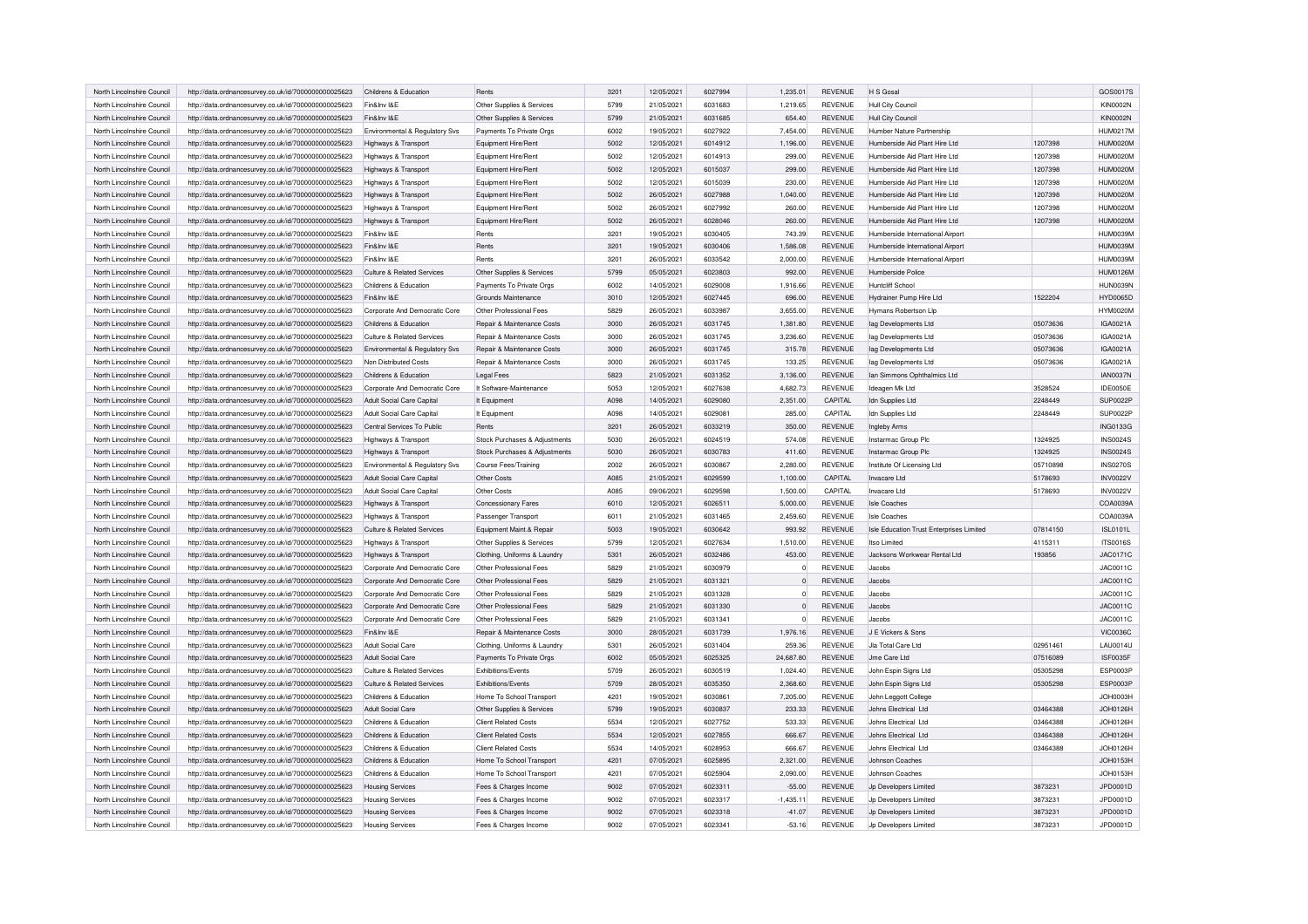| North Lincolnshire Council | http://data.ordnancesurvey.co.uk/id/7000000000025623                                                         | Childrens & Education          | Rents                                 | 3201 | 12/05/2021 | 6027994 | 1.235.01       | <b>REVENUE</b> | H S Gosal                                |          | GOS0017S        |
|----------------------------|--------------------------------------------------------------------------------------------------------------|--------------------------------|---------------------------------------|------|------------|---------|----------------|----------------|------------------------------------------|----------|-----------------|
| North Lincolnshire Council | http://data.ordnancesurvey.co.uk/id/7000000000025623                                                         | Fin&Inv I&E                    | Other Supplies & Services             | 5799 | 21/05/2021 | 6031683 | 1,219.65       | <b>REVENUE</b> | Hull City Council                        |          | <b>KIN0002N</b> |
| North Lincolnshire Council | http://data.ordnancesurvey.co.uk/id/7000000000025623                                                         | Fin&Inv I&E                    | Other Supplies & Services             | 5799 | 21/05/2021 | 6031685 | 654.40         | <b>REVENUE</b> | Hull City Council                        |          | <b>KIN0002N</b> |
| North Lincolnshire Council | http://data.ordnancesurvey.co.uk/id/7000000000025623                                                         | Environmental & Regulatory Svs | Payments To Private Orgs              | 6002 | 19/05/2021 | 6027922 | 7,454.00       | <b>REVENUE</b> | Humber Nature Partnership                |          | <b>HUM0217M</b> |
| North Lincolnshire Council | http://data.ordnancesurvey.co.uk/id/7000000000025623                                                         | Highways & Transport           | Equipment Hire/Rent                   | 5002 | 12/05/2021 | 6014912 | 1,196.00       | <b>REVENUE</b> | Humberside Aid Plant Hire Ltd            | 1207398  | <b>HUM0020N</b> |
| North Lincolnshire Council | http://data.ordnancesurvey.co.uk/id/7000000000025623                                                         | Highways & Transport           | Fauinment Hire/Rent                   | 5002 | 12/05/2021 | 6014913 | 299.00         | <b>REVENUE</b> | Humberside Aid Plant Hire Ltd            | 1207398  | <b>HUM0020M</b> |
| North Lincolnshire Council | http://data.ordnancesurvey.co.uk/id/7000000000025623                                                         | Highways & Transport           | Equipment Hire/Rent                   | 5002 | 12/05/2021 | 6015037 | 299.00         | <b>REVENUE</b> | Humberside Aid Plant Hire Ltd            | 1207398  | <b>HUM0020M</b> |
| North Lincolnshire Council | http://data.ordnancesurvey.co.uk/id/7000000000025623                                                         | Highways & Transport           | Equipment Hire/Rent                   | 5002 | 12/05/2021 | 6015039 | 230.00         | <b>REVENUE</b> | Humberside Aid Plant Hire Ltd            | 1207398  | <b>HUM0020M</b> |
| North Lincolnshire Council | http://data.ordnancesurvey.co.uk/id/7000000000025623                                                         | Highways & Transport           | Equipment Hire/Rent                   | 5002 | 26/05/2021 | 6027988 | 1,040.00       | <b>REVENUE</b> | Humberside Aid Plant Hire Ltd            | 1207398  | <b>HUM0020M</b> |
| North Lincolnshire Council | http://data.ordnancesurvey.co.uk/id/7000000000025623                                                         | Highways & Transport           | Equipment Hire/Rent                   | 5002 | 26/05/2021 | 6027992 | 260.00         | <b>REVENUE</b> | Humberside Aid Plant Hire Ltd            | 1207398  | <b>HUM0020M</b> |
| North Lincolnshire Council | http://data.ordnancesurvey.co.uk/id/7000000000025623                                                         | Highways & Transport           | Equipment Hire/Rent                   | 5002 | 26/05/2021 | 6028046 | 260.00         | <b>REVENUE</b> | Humberside Aid Plant Hire Ltd            | 1207398  | <b>HUM0020M</b> |
| North Lincolnshire Council | http://data.ordnancesurvey.co.uk/id/7000000000025623                                                         | Fin&Inv I&E                    | Rents                                 | 3201 | 19/05/2021 | 6030405 | 743.39         | <b>REVENUE</b> | Humberside International Airport         |          | HUM0039M        |
| North Lincolnshire Council | http://data.ordnancesurvey.co.uk/id/7000000000025623                                                         | Fin&Inv I&E                    | Rents                                 | 3201 | 19/05/2021 | 6030406 | 1,586.08       | <b>REVENUE</b> | Humberside International Airport         |          | HUM0039M        |
| North Lincolnshire Council | http://data.ordnancesurvey.co.uk/id/7000000000025623                                                         | Fin&Inv I&F                    | Rents                                 | 3201 | 26/05/2021 | 6033542 | 2,000.00       | <b>REVENUE</b> | Humberside International Airport         |          | <b>HUM0039N</b> |
| North Lincolnshire Council | http://data.ordnancesurvey.co.uk/id/7000000000025623                                                         | Culture & Related Services     | Other Supplies & Services             | 5799 | 05/05/2021 | 6023803 | 992.00         | REVENUE        | Humberside Police                        |          | <b>HUM0126M</b> |
| North Lincolnshire Council | http://data.ordnancesurvey.co.uk/id/7000000000025623                                                         | Childrens & Education          |                                       | 6002 | 14/05/2021 | 6029008 | 1,916.66       | <b>REVENUE</b> | Huntcliff School                         |          | HUN0039N        |
|                            |                                                                                                              |                                | Payments To Private Orgs              |      |            |         |                |                |                                          |          |                 |
| North Lincolnshire Counci  | http://data.ordnancesurvey.co.uk/id/7000000000025623                                                         | Fin&Inv I&F                    | Grounds Maintenance                   | 3010 | 12/05/2021 | 6027445 | 696.00         | <b>REVENUE</b> | Hydrainer Pump Hire Ltd                  | 1522204  | HYD0065D        |
| North Lincolnshire Council | http://data.ordnancesurvey.co.uk/id/7000000000025623                                                         | Corporate And Democratic Core  | Other Professional Fees               | 5829 | 26/05/2021 | 6033987 | 3,655.00       | <b>REVENUE</b> | <b>Hymans Robertson Lip</b>              |          | <b>HYM0020M</b> |
| North Lincolnshire Council | http://data.ordnancesurvey.co.uk/id/7000000000025623                                                         | Childrens & Education          | <b>Benair &amp; Maintenance Costs</b> | 3000 | 26/05/2021 | 6031745 | 1.381.80       | <b>REVENUE</b> | lag Developments Ltd                     | 05073636 | IGA0021A        |
| North Lincolnshire Council | http://data.ordnancesurvey.co.uk/id/7000000000025623                                                         | Culture & Related Services     | Repair & Maintenance Costs            | 3000 | 26/05/2021 | 6031745 | 3,236.60       | <b>REVENUE</b> | lag Developments Ltd                     | 05073636 | IGA0021A        |
| North Lincolnshire Council | http://data.ordnancesurvey.co.uk/id/7000000000025623                                                         | Environmental & Regulatory Svs | Repair & Maintenance Costs            | 3000 | 26/05/2021 | 6031745 | 315.78         | REVENUE        | lag Developments Ltd                     | 05073636 | IGA0021A        |
| North Lincolnshire Council | http://data.ordnancesurvey.co.uk/id/7000000000025623                                                         | Non Distributed Costs          | Repair & Maintenance Costs            | 3000 | 26/05/2021 | 6031745 | 133.25         | <b>REVENUE</b> | lag Developments Ltd                     | 05073636 | IGA0021A        |
| North Lincolnshire Council | http://data.ordnancesurvey.co.uk/id/7000000000025623                                                         | Childrens & Education          | <b>Legal Fees</b>                     | 5823 | 21/05/2021 | 6031352 | 3,136.00       | <b>REVENUE</b> | Ian Simmons Ophthalmics Ltd              |          | <b>IAN0037N</b> |
| North Lincolnshire Council | http://data.ordnancesurvey.co.uk/id/7000000000025623                                                         | Corporate And Democratic Core  | It Software-Maintenance               | 5053 | 12/05/2021 | 6027638 | 4,682.73       | REVENUE        | Ideagen Mk Ltd                           | 3528524  | IDE0050E        |
| North Lincolnshire Council | http://data.ordnancesurvey.co.uk/id/7000000000025623                                                         | Adult Social Care Capital      | It Equipment                          | A098 | 14/05/2021 | 6029080 | 2.351.00       | CAPITAL        | Idn Supplies Ltd                         | 2248449  | SUP0022P        |
| North Lincolnshire Council | http://data.ordnancesurvey.co.uk/id/7000000000025623                                                         | Adult Social Care Capital      | It Equipment                          | A098 | 14/05/2021 | 6029081 | 285.00         | CAPITAL        | Idn Supplies Ltd                         | 2248449  | SUP0022P        |
| North Lincolnshire Council | http://data.ordnancesurvey.co.uk/id/7000000000025623                                                         | Central Services To Public     | Rents                                 | 3201 | 26/05/2021 | 6033219 | 350.00         | <b>REVENUE</b> | Ingleby Arms                             |          | <b>ING0133G</b> |
| North Lincolnshire Council | http://data.ordnancesurvey.co.uk/id/7000000000025623                                                         | Highways & Transport           | Stock Purchases & Adjustments         | 5030 | 26/05/2021 | 6024519 | 574.08         | REVENUE        | Instarmac Group Plc                      | 1324925  | <b>INS0024S</b> |
| North Lincolnshire Council | http://data.ordnancesurvey.co.uk/id/7000000000025623                                                         | Highways & Transport           | Stock Purchases & Adjustments         | 5030 | 26/05/2021 | 6030783 | 411.60         | <b>REVENUE</b> | Instarmac Group Plc                      | 1324925  | <b>INS0024S</b> |
| North Lincolnshire Council | http://data.ordnancesurvey.co.uk/id/7000000000025623                                                         | Environmental & Regulatory Svs | Course Fees/Training                  | 2002 | 26/05/2021 | 6030867 | 2,280.00       | REVENUE        | Institute Of Licensing Ltd               | 05710898 | <b>INS0270S</b> |
| North Lincolnshire Council | http://data.ordnancesurvey.co.uk/id/7000000000025623                                                         | Adult Social Care Capital      | Other Costs                           | A085 | 21/05/2021 | 6029599 | 1,100.00       | CAPITAL        | Invacare Ltd                             | 5178693  | <b>INV0022V</b> |
| North Lincolnshire Council |                                                                                                              |                                | Other Costs                           | A085 | 09/06/2021 | 6029598 | 1,500.00       | CAPITAL        | Invacare I td                            | 5178693  | <b>INV0022V</b> |
|                            | http://data.ordnancesurvey.co.uk/id/7000000000025623                                                         | Adult Social Care Capital      |                                       |      |            | 6026511 |                |                |                                          |          |                 |
| North Lincolnshire Council | http://data.ordnancesurvey.co.uk/id/7000000000025623                                                         | Highways & Transport           | <b>Concessionary Fares</b>            | 6010 | 12/05/2021 |         | 5,000.00       | <b>REVENUE</b> | <b>Isle Coaches</b>                      |          | COA0039A        |
| North Lincolnshire Council | http://data.ordnancesurvey.co.uk/id/7000000000025623                                                         | Highways & Transport           | Passenger Transport                   | 6011 | 21/05/2021 | 6031465 | 2,459.60       | REVENUE        | <b>Isle Coaches</b>                      |          | COA0039A        |
| North Lincolnshire Council | http://data.ordnancesurvey.co.uk/id/7000000000025623                                                         | Culture & Related Services     | Equipment Maint.& Repair              | 5003 | 19/05/2021 | 6030642 | 993.92         | <b>REVENUE</b> | Isle Education Trust Enterprises Limited | 07814150 | <b>ISL0101L</b> |
| North Lincolnshire Council | http://data.ordnancesurvey.co.uk/id/7000000000025623                                                         | Highways & Transport           | Other Supplies & Services             | 5799 | 12/05/2021 | 6027634 | 1,510.00       | <b>REVENUE</b> | Itso Limited                             | 4115311  | <b>ITS0016S</b> |
| North Lincolnshire Council | http://data.ordnancesurvey.co.uk/id/7000000000025623                                                         | Highways & Transport           | Clothing, Uniforms & Laundry          | 5301 |            |         |                |                | Jacksons Workwear Rental Ltd             |          |                 |
| North Lincolnshire Council | http://data.ordnancesurvey.co.uk/id/7000000000025623                                                         |                                |                                       |      | 26/05/2021 | 6032486 | 453.00         | <b>REVENUE</b> |                                          | 193856   | <b>JAC0171C</b> |
| North Lincolnshire Council |                                                                                                              | Corporate And Democratic Core  | Other Professional Fees               | 5829 | 21/05/2021 | 6030979 | $\Omega$       | REVENUE        | Jacobs                                   |          | JAC0011C        |
|                            | http://data.ordnancesurvey.co.uk/id/7000000000025623                                                         | Corporate And Democratic Core  | Other Professional Fees               | 5829 | 21/05/2021 | 6031321 | $\Omega$       | <b>REVENUE</b> | Jacobs                                   |          | <b>JAC0011C</b> |
| North Lincolnshire Council | http://data.ordnancesurvey.co.uk/id/7000000000025623                                                         | Corporate And Democratic Core  | Other Professional Fees               | 5829 | 21/05/2021 | 6031328 | $\Omega$       | <b>REVENUE</b> | Jacobs                                   |          | <b>JAC0011C</b> |
| North Lincolnshire Council | http://data.ordnancesurvey.co.uk/id/7000000000025623                                                         | Corporate And Democratic Core  | Other Professional Fees               | 5829 | 21/05/2021 | 6031330 | $\overline{0}$ | <b>REVENUE</b> | Jacobs                                   |          | <b>JAC0011C</b> |
| North Lincolnshire Council | http://data.ordnancesurvey.co.uk/id/7000000000025623                                                         | Corporate And Democratic Core  | Other Professional Fees               | 5829 | 21/05/2021 | 6031341 | $\overline{0}$ | <b>REVENUE</b> | Jacobs                                   |          | JAC0011C        |
| North Lincolnshire Council | http://data.ordnancesurvey.co.uk/id/7000000000025623                                                         | Fin&Inv I&E                    | Repair & Maintenance Costs            | 3000 | 28/05/2021 | 6031739 | 1,976.16       | <b>REVENUE</b> | J E Vickers & Sons                       |          | <b>VIC0036C</b> |
| North Lincolnshire Council | http://data.ordnancesurvev.co.uk/id/7000000000025623                                                         | Adult Social Care              | Clothing, Uniforms & Laundry          | 5301 | 26/05/2021 | 6031404 | 259.36         | <b>REVENUE</b> | Jla Total Care Ltd                       | 02951461 | <b>LAU0014U</b> |
| North Lincolnshire Council |                                                                                                              | Adult Social Care              |                                       | 6002 | 05/05/2021 | 6025325 |                | <b>REVENUE</b> | Jme Care Ltd                             | 07516089 | ISF0035F        |
|                            | http://data.ordnancesurvey.co.uk/id/7000000000025623                                                         |                                | Payments To Private Orgs              | 5709 |            | 6030519 | 24,687.80      | <b>REVENUE</b> |                                          |          | ESP0003P        |
| North Lincolnshire Council | http://data.ordnancesurvey.co.uk/id/7000000000025623                                                         | Culture & Related Services     | Exhibitions/Events                    |      | 26/05/2021 |         | 1,024.40       |                | John Espin Signs Ltd                     | 05305298 |                 |
| North Lincolnshire Council | http://data.ordnancesurvey.co.uk/id/7000000000025623                                                         | Culture & Related Services     | Exhibitions/Events                    | 5709 | 28/05/2021 | 6035350 | 2,368.60       | <b>REVENUE</b> | John Espin Signs Ltd                     | 05305298 | ESP0003P        |
| North Lincolnshire Council | http://data.ordnancesurvey.co.uk/id/7000000000025623                                                         | Childrens & Education          | Home To School Transport              | 4201 | 19/05/2021 | 6030861 | 7,205.00       | <b>REVENUE</b> | John Leggott College                     |          | JOH0003H        |
| North Lincolnshire Council | http://data.ordnancesurvey.co.uk/id/7000000000025623                                                         | Adult Social Care              | Other Supplies & Services             | 5799 | 19/05/2021 | 6030837 | 233.33         | <b>REVENUE</b> | Johns Electrical Ltd                     | 03464388 | <b>JOH0126H</b> |
| North Lincolnshire Council | http://data.ordnancesurvey.co.uk/id/7000000000025623                                                         | Childrens & Education          | <b>Client Related Costs</b>           | 5534 | 12/05/2021 | 6027752 | 533.33         | <b>REVENUE</b> | Johns Electrical Ltd                     | 03464388 | JOH0126H        |
| North Lincolnshire Council | http://data.ordnancesurvey.co.uk/id/7000000000025623                                                         | Childrens & Education          | <b>Client Related Costs</b>           | 5534 | 12/05/2021 | 6027855 | 666.67         | <b>REVENUE</b> | Johns Electrical Ltd                     | 03464388 | <b>JOH0126H</b> |
| North Lincolnshire Council | http://data.ordnancesurvey.co.uk/id/7000000000025623                                                         | Childrens & Education          | <b>Client Related Costs</b>           | 5534 | 14/05/2021 | 6028953 | 666.67         | <b>REVENUE</b> | Johns Electrical Ltd                     | 03464388 | <b>JOH0126H</b> |
| North Lincolnshire Council | http://data.ordnancesurvey.co.uk/id/7000000000025623                                                         | Childrens & Education          | Home To School Transport              | 4201 | 07/05/2021 | 6025895 | 2,321.00       | <b>REVENUE</b> | Johnson Coaches                          |          | <b>JOH0153H</b> |
| North Lincolnshire Council | http://data.ordnancesurvey.co.uk/id/7000000000025623                                                         | Childrens & Education          | Home To School Transport              | 4201 | 07/05/2021 | 6025904 | 2,090.00       | <b>REVENUE</b> | Johnson Coaches                          |          | <b>JOH0153H</b> |
| North Lincolnshire Council | http://data.ordnancesurvey.co.uk/id/7000000000025623                                                         | <b>Housing Services</b>        | Fees & Charges Income                 | 9002 | 07/05/2021 | 6023311 | $-55.00$       | <b>REVENUE</b> | Jp Developers Limited                    | 3873231  | JPD0001D        |
| North Lincolnshire Council | http://data.ordnancesurvey.co.uk/id/7000000000025623                                                         | <b>Housing Services</b>        | Fees & Charges Income                 | 9002 | 07/05/2021 | 6023317 | $-1,435.11$    | <b>REVENUE</b> | Jp Developers Limited                    | 3873231  | JPD0001D        |
| North Lincolnshire Council | http://data.ordnancesurvey.co.uk/id/7000000000025623<br>http://data.ordnancesurvey.co.uk/id/7000000000025623 | <b>Housing Services</b>        | Fees & Charges Income                 | 9002 | 07/05/2021 | 6023318 | $-41.07$       | <b>REVENUE</b> | Jp Developers Limited                    | 3873231  | JPD0001D        |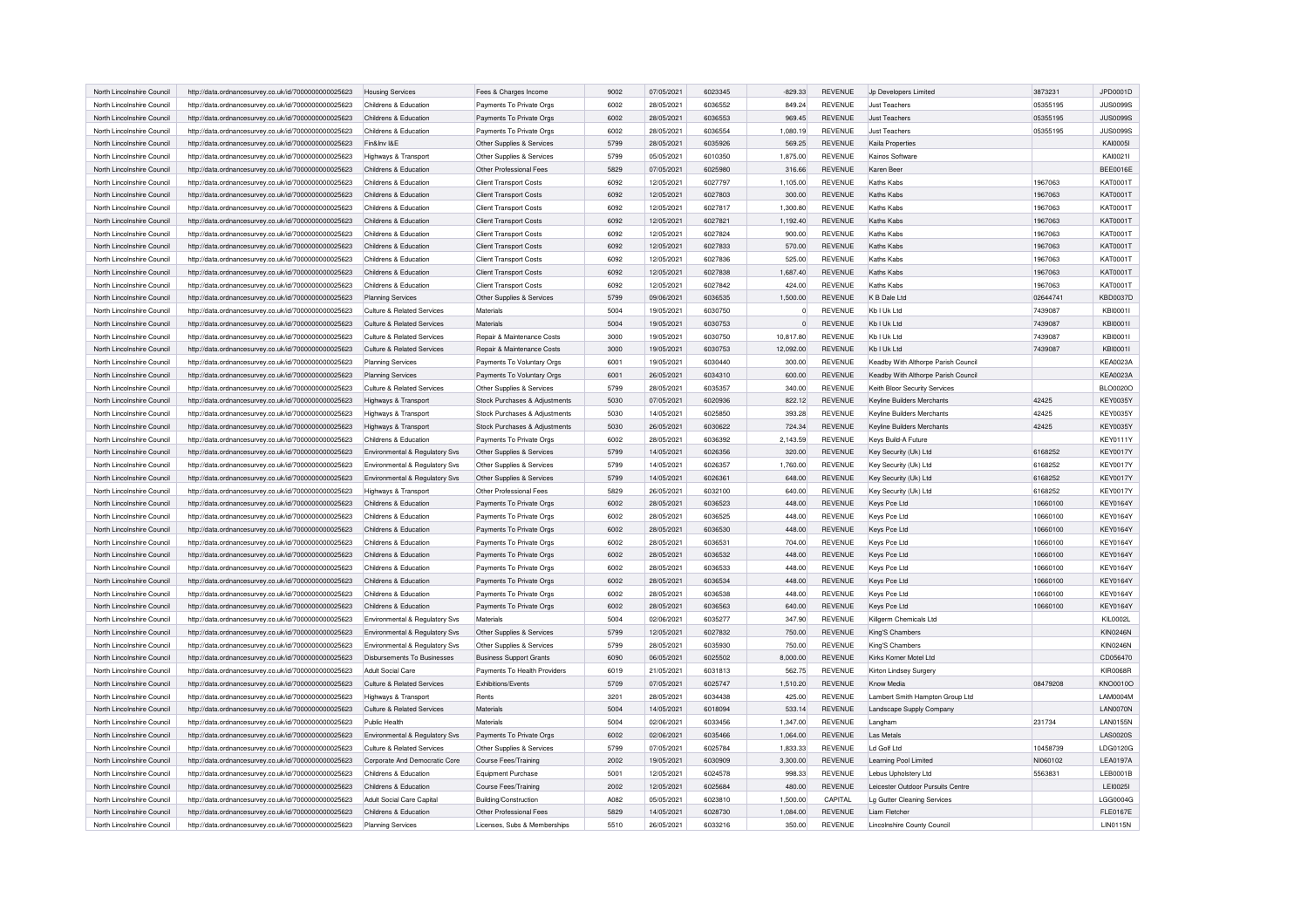| North Lincolnshire Council | http://data.ordnancesurvey.co.uk/id/7000000000025623 | <b>Housing Services</b>        | Fees & Charges Income          | 9002 | 07/05/2021 | 6023345 | $-829.33$      | REVENUE        | Jp Developers Limited               | 3873231  | JPD0001D        |
|----------------------------|------------------------------------------------------|--------------------------------|--------------------------------|------|------------|---------|----------------|----------------|-------------------------------------|----------|-----------------|
| North Lincolnshire Council | http://data.ordnancesurvey.co.uk/id/7000000000025623 | Childrens & Education          | Payments To Private Orgs       | 6002 | 28/05/2021 | 6036552 | 849.24         | <b>REVENUE</b> | <b>Just Teachers</b>                | 05355195 | <b>JUS0099S</b> |
| North Lincolnshire Council | http://data.ordnancesurvey.co.uk/id/7000000000025623 | Childrens & Education          | Payments To Private Orgs       | 6002 | 28/05/2021 | 6036553 | 969.45         | <b>REVENUE</b> | <b>Just Teachers</b>                | 05355195 | <b>JUS0099S</b> |
| North Lincolnshire Council | http://data.ordnancesurvey.co.uk/id/7000000000025623 | Childrens & Education          | Payments To Private Orgs       | 6002 | 28/05/2021 | 6036554 | 1,080.19       | <b>REVENUE</b> | <b>Just Teachers</b>                | 05355195 | <b>JUS0099S</b> |
| North Lincolnshire Council | http://data.ordnancesurvey.co.uk/id/7000000000025623 | Fin&Inv I&E                    | Other Supplies & Services      | 5799 | 28/05/2021 | 6035926 | 569.25         | <b>REVENUE</b> | Kaila Properties                    |          | <b>KAI0005I</b> |
| North Lincolnshire Council |                                                      |                                |                                | 5799 | 05/05/2021 | 6010350 | 1,875.00       | <b>REVENUE</b> | Kainos Software                     |          | KAI00211        |
|                            | http://data.ordnancesurvey.co.uk/id/7000000000025623 | Highways & Transport           | Other Supplies & Services      | 5829 |            | 6025980 |                |                |                                     |          |                 |
| North Lincolnshire Council | http://data.ordnancesurvey.co.uk/id/7000000000025623 | Childrens & Education          | Other Professional Fees        |      | 07/05/2021 |         | 316.66         | <b>REVENUE</b> | Karen Beer                          |          | <b>BEE0016E</b> |
| North Lincolnshire Council | http://data.ordnancesurvey.co.uk/id/7000000000025623 | Childrens & Education          | <b>Client Transport Costs</b>  | 6092 | 12/05/2021 | 6027797 | 1,105.00       | <b>REVENUE</b> | Kaths Kabs                          | 1967063  | KAT0001T        |
| North Lincolnshire Council | http://data.ordnancesurvey.co.uk/id/7000000000025623 | Childrens & Education          | <b>Client Transport Costs</b>  | 6092 | 12/05/2021 | 6027803 | 300.00         | <b>REVENUE</b> | Kaths Kabs                          | 1967063  | KAT0001T        |
| North Lincolnshire Council | http://data.ordnancesurvey.co.uk/id/7000000000025623 | Childrens & Education          | <b>Client Transport Costs</b>  | 6092 | 12/05/2021 | 6027817 | 1,300.80       | <b>REVENUE</b> | Kaths Kabs                          | 1967063  | KAT0001T        |
| North Lincolnshire Council | http://data.ordnancesurvey.co.uk/id/7000000000025623 | Childrens & Education          | <b>Client Transport Costs</b>  | 6092 | 12/05/2021 | 6027821 | 1,192.40       | <b>REVENUE</b> | Kaths Kabs                          | 1967063  | KAT0001T        |
| North Lincolnshire Council | http://data.ordnancesurvey.co.uk/id/7000000000025623 | Childrens & Education          | Client Transport Costs         | 6092 | 12/05/2021 | 6027824 | 900.00         | <b>REVENUE</b> | Kaths Kabs                          | 1967063  | <b>KAT0001T</b> |
| North Lincolnshire Council | http://data.ordnancesurvey.co.uk/id/7000000000025623 | Childrens & Education          | <b>Client Transport Costs</b>  | 6092 | 12/05/2021 | 6027833 | 570.00         | <b>REVENUE</b> | Kaths Kabs                          | 1967063  | <b>KAT0001T</b> |
| North Lincolnshire Council | http://data.ordnancesurvey.co.uk/id/7000000000025623 | Childrens & Education          | <b>Client Transport Costs</b>  | 6092 | 12/05/2021 | 6027836 | 525.00         | <b>REVENUE</b> | Kaths Kabs                          | 1967063  | KAT0001T        |
| North Lincolnshire Council | http://data.ordnancesurvey.co.uk/id/7000000000025623 | Childrens & Education          | <b>Client Transport Costs</b>  | 6092 | 12/05/2021 | 6027838 | 1,687.40       | <b>REVENUE</b> | Kaths Kabs                          | 1967063  | KAT0001T        |
| North Lincolnshire Council | http://data.ordnancesurvey.co.uk/id/7000000000025623 | Childrens & Education          | <b>Client Transport Costs</b>  | 6092 | 12/05/2021 | 6027842 | 424.00         | <b>REVENUE</b> | Kaths Kabs                          | 1967063  | KAT0001T        |
| North Lincolnshire Council | http://data.ordnancesurvey.co.uk/id/7000000000025623 | <b>Planning Services</b>       | Other Supplies & Services      | 5799 | 09/06/2021 | 6036535 | 1,500.00       | <b>REVENUE</b> | K B Dale Ltd                        | 02644741 | <b>KBD0037D</b> |
| North Lincolnshire Council | http://data.ordnancesurvey.co.uk/id/7000000000025623 | Culture & Related Services     | Materials                      | 5004 | 19/05/2021 | 6030750 | $\Omega$       | <b>REVENUE</b> | Kb I Uk Ltd                         | 7439087  | KBI0001I        |
| North Lincolnshire Council | http://data.ordnancesurvey.co.uk/id/7000000000025623 | Culture & Related Services     | Materials                      | 5004 | 19/05/2021 | 6030753 | $\overline{0}$ | REVENUE        | Kb I Uk Ltd                         | 7439087  | KBI0001I        |
| North Lincolnshire Council |                                                      | Culture & Related Services     | Repair & Maintenance Costs     | 3000 | 19/05/2021 | 6030750 | 10,817.80      | <b>REVENUE</b> | Kb I Uk Ltd                         | 7439087  | KBI0001I        |
| North Lincolnshire Council | http://data.ordnancesurvey.co.uk/id/7000000000025623 | Culture & Related Services     |                                | 3000 |            | 6030753 |                | <b>REVENUE</b> |                                     | 7439087  |                 |
|                            | http://data.ordnancesurvey.co.uk/id/7000000000025623 |                                | Repair & Maintenance Costs     |      | 19/05/2021 |         | 12,092.00      |                | Kb I Uk Ltd                         |          | KBI0001I        |
| North Lincolnshire Council | http://data.ordnancesurvey.co.uk/id/7000000000025623 | Planning Services              | Payments To Voluntary Orgs     | 6001 | 19/05/2021 | 6030440 | 300.00         | REVENUE        | Keadby With Althorpe Parish Council |          | <b>KEA0023A</b> |
| North Lincolnshire Council | http://data.ordnancesurvey.co.uk/id/7000000000025623 | <b>Planning Services</b>       | Payments To Voluntary Orgs     | 6001 | 26/05/2021 | 6034310 | 600.00         | <b>REVENUE</b> | Keadby With Althorpe Parish Council |          | <b>KEA0023A</b> |
| North Lincolnshire Council | http://data.ordnancesurvey.co.uk/id/7000000000025623 | Culture & Related Services     | Other Supplies & Services      | 5799 | 28/05/2021 | 6035357 | 340.00         | <b>REVENUE</b> | Keith Bloor Security Services       |          | <b>BLO0020O</b> |
| North Lincolnshire Council | http://data.ordnancesurvey.co.uk/id/7000000000025623 | Highways & Transport           | Stock Purchases & Adjustments  | 5030 | 07/05/2021 | 6020936 | 822.12         | REVENUE        | <b>Keyline Builders Merchants</b>   | 42425    | <b>KEY0035Y</b> |
| North Lincolnshire Council | http://data.ordnancesurvey.co.uk/id/7000000000025623 | Highways & Transport           | Stock Purchases & Adjustments  | 5030 | 14/05/2021 | 6025850 | 393.28         | <b>REVENUE</b> | Keyline Builders Merchants          | 42425    | <b>KEY0035Y</b> |
| North Lincolnshire Council | http://data.ordnancesurvey.co.uk/id/7000000000025623 | Highways & Transport           | Stock Purchases & Adiustments  | 5030 | 26/05/2021 | 6030622 | 724.34         | <b>REVENUE</b> | Keyline Builders Merchants          | 42425    | <b>KEY0035Y</b> |
| North Lincolnshire Council | http://data.ordnancesurvey.co.uk/id/7000000000025623 | Childrens & Education          | Payments To Private Orgs       | 6002 | 28/05/2021 | 6036392 | 2,143.59       | REVENUE        | Keys Build-A Future                 |          | <b>KEY0111Y</b> |
| North Lincolnshire Council | http://data.ordnancesurvey.co.uk/id/7000000000025623 | Environmental & Regulatory Svs | Other Supplies & Services      | 5799 | 14/05/2021 | 6026356 | 320.00         | REVENUE        | Key Security (Uk) Ltd               | 6168252  | <b>KEY0017Y</b> |
| North Lincolnshire Council | http://data.ordnancesurvey.co.uk/id/7000000000025623 | Environmental & Regulatory Svs | Other Supplies & Services      | 5799 | 14/05/2021 | 6026357 | 1,760.00       | REVENUE        | Key Security (Uk) Ltd               | 6168252  | <b>KEY0017Y</b> |
| North Lincolnshire Council | http://data.ordnancesurvey.co.uk/id/7000000000025623 | Environmental & Regulatory Svs | Other Supplies & Services      | 5799 | 14/05/2021 | 6026361 | 648.00         | REVENUE        | Key Security (Uk) Ltd               | 6168252  | <b>KEY0017Y</b> |
| North Lincolnshire Council | http://data.ordnancesurvey.co.uk/id/7000000000025623 | Highways & Transport           | Other Professional Fees        | 5829 | 26/05/2021 | 6032100 | 640.00         | <b>REVENUE</b> | Key Security (Uk) Ltd               | 6168252  | <b>KEY0017Y</b> |
| North Lincolnshire Council | http://data.ordnancesurvey.co.uk/id/7000000000025623 | Childrens & Education          | Payments To Private Orgs       | 6002 | 28/05/2021 | 6036523 | 448.00         | <b>REVENUE</b> | Keys Pce Ltd                        | 10660100 | <b>KEY0164Y</b> |
| North Lincolnshire Council | http://data.ordnancesurvey.co.uk/id/7000000000025623 | Childrens & Education          | Payments To Private Orgs       | 6002 | 28/05/2021 | 6036525 | 448.00         | REVENUE        | Keys Pce Ltd                        | 10660100 | <b>KEY0164Y</b> |
| North Lincolnshire Council | http://data.ordnancesurvey.co.uk/id/7000000000025623 | Childrens & Education          | Payments To Private Orgs       | 6002 | 28/05/2021 | 6036530 | 448.00         | <b>REVENUE</b> | Keys Pce Ltd                        | 10660100 | <b>KEY0164Y</b> |
| North Lincolnshire Council | http://data.ordnancesurvey.co.uk/id/7000000000025623 | Childrens & Education          | Payments To Private Orgs       | 6002 | 28/05/2021 | 6036531 | 704.00         | REVENUE        | Keys Pce Ltd                        | 10660100 | <b>KEY0164Y</b> |
| North Lincolnshire Council | http://data.ordnancesurvey.co.uk/id/7000000000025623 | Childrens & Education          | Payments To Private Orgs       | 6002 | 28/05/2021 | 6036532 | 448.00         | REVENUE        | Keys Pce Ltd                        | 10660100 | <b>KEY0164Y</b> |
|                            |                                                      |                                |                                |      |            | 6036533 |                |                |                                     |          |                 |
| North Lincolnshire Council | http://data.ordnancesurvey.co.uk/id/7000000000025623 | Childrens & Education          | Payments To Private Orgs       | 6002 | 28/05/2021 |         | 448.00         | REVENUE        | Keys Pce Ltd                        | 10660100 | <b>KEY0164Y</b> |
| North Lincolnshire Council | http://data.ordnancesurvey.co.uk/id/7000000000025623 | Childrens & Education          | Payments To Private Orgs       | 6002 | 28/05/2021 | 6036534 | 448.00         | REVENUE        | Keys Pce Ltd                        | 10660100 | <b>KEY0164Y</b> |
| North Lincolnshire Council | http://data.ordnancesurvey.co.uk/id/7000000000025623 | Childrens & Education          | Payments To Private Orgs       | 6002 | 28/05/2021 | 6036538 | 448.00         | <b>REVENUE</b> | Keys Pce Ltd                        | 10660100 | <b>KEY0164Y</b> |
| North Lincolnshire Council | http://data.ordnancesurvey.co.uk/id/7000000000025623 | Childrens & Education          | Payments To Private Orgs       | 6002 | 28/05/2021 | 6036563 | 640.00         | REVENUE        | Keys Pce Ltd                        | 10660100 | <b>KEY0164Y</b> |
| North Lincolnshire Council | http://data.ordnancesurvey.co.uk/id/7000000000025623 | Environmental & Regulatory Svs | Materials                      | 5004 | 02/06/2021 | 6035277 | 347.90         | REVENUE        | Killgerm Chemicals Ltd              |          | <b>KIL0002L</b> |
| North Lincolnshire Council | http://data.ordnancesurvey.co.uk/id/7000000000025623 | Environmental & Regulatory Svs | Other Supplies & Services      | 5799 | 12/05/2021 | 6027832 | 750.00         | REVENUE        | King'S Chambers                     |          | <b>KIN0246N</b> |
| North Lincolnshire Council | http://data.ordnancesurvey.co.uk/id/7000000000025623 | Environmental & Regulatory Svs | Other Supplies & Services      | 5799 | 28/05/2021 | 6035930 | 750.00         | REVENUE        | King'S Chambers                     |          | <b>KIN0246N</b> |
| North Lincolnshire Council | http://data.ordnancesurvey.co.uk/id/7000000000025623 | Disbursements To Businesses    | <b>Business Support Grants</b> | 6090 | 06/05/2021 | 6025502 | 8,000.00       | REVENUE        | Kirks Korner Motel Ltd              |          | CD056470        |
| North Lincolnshire Council | http://data.ordnancesurvey.co.uk/id/7000000000025623 | Adult Social Care              | Payments To Health Providers   | 6019 | 21/05/2021 | 6031813 | 562.75         | <b>REVENUE</b> | Kirton Lindsey Surgery              |          | <b>KIR0068R</b> |
| North Lincolnshire Council | http://data.ordnancesurvey.co.uk/id/7000000000025623 | Culture & Related Services     | Exhibitions/Events             | 5709 | 07/05/2021 | 6025747 | 1,510.20       | REVENUE        | Know Media                          | 08479208 | KNO0010O        |
| North Lincolnshire Council | http://data.ordnancesurvey.co.uk/id/7000000000025623 | Highways & Transport           | Rents                          | 3201 | 28/05/2021 | 6034438 | 425.00         | REVENUE        | Lambert Smith Hampton Group Ltd     |          | LAM0004M        |
| North Lincolnshire Council | http://data.ordnancesurvey.co.uk/id/7000000000025623 | Culture & Related Services     | Materials                      | 5004 | 14/05/2021 | 6018094 | 533.14         | REVENUE        | Landscape Supply Company            |          | LAN0070N        |
| North Lincolnshire Council | http://data.ordnancesurvey.co.uk/id/7000000000025623 | Public Health                  | Materials                      | 5004 | 02/06/2021 | 6033456 | 1,347.00       | REVENUE        | Langham                             | 231734   | <b>LAN0155N</b> |
| North Lincolnshire Council | http://data.ordnancesurvey.co.uk/id/7000000000025623 | Environmental & Regulatory Svs | Payments To Private Orgs       | 6002 | 02/06/2021 | 6035466 | 1,064.00       | REVENUE        | Las Metals                          |          | <b>LAS0020S</b> |
| North Lincolnshire Council | http://data.ordnancesurvey.co.uk/id/7000000000025623 | Culture & Related Services     | Other Supplies & Services      | 5799 | 07/05/2021 | 6025784 | 1,833.33       | REVENUE        | Ld Golf Ltd                         | 10458739 | LDG0120G        |
| North Lincolnshire Council | http://data.ordnancesurvey.co.uk/id/7000000000025623 | Corporate And Democratic Core  | Course Fees/Training           | 2002 | 19/05/2021 | 6030909 | 3,300.00       | REVENUE        | Learning Pool Limited               | NI060102 | <b>LEA0197A</b> |
| North Lincolnshire Council | http://data.ordnancesurvey.co.uk/id/7000000000025623 | Childrens & Education          | Equipment Purchase             | 5001 | 12/05/2021 | 6024578 | 998.33         | <b>REVENUE</b> | Lebus Upholstery Ltd                | 5563831  | LEB0001B        |
|                            |                                                      |                                |                                | 2002 |            | 6025684 |                | <b>REVENUE</b> |                                     |          |                 |
| North Lincolnshire Council | http://data.ordnancesurvey.co.uk/id/7000000000025623 | Childrens & Education          | Course Fees/Training           |      | 12/05/2021 |         | 480.00         |                | Leicester Outdoor Pursuits Centre   |          | LEI0025I        |
| North Lincolnshire Council | http://data.ordnancesurvey.co.uk/id/7000000000025623 | Adult Social Care Capital      | Building/Construction          | A082 | 05/05/2021 | 6023810 | 1,500.00       | CAPITAL        | Lg Gutter Cleaning Services         |          | LGG0004G        |
| North Lincolnshire Council | http://data.ordnancesurvey.co.uk/id/7000000000025623 | Childrens & Education          | Other Professional Fees        | 5829 | 14/05/2021 | 6028730 | 1,084.00       | REVENUE        | Liam Fletcher                       |          | <b>FLE0167E</b> |
| North Lincolnshire Council | http://data.ordnancesurvey.co.uk/id/7000000000025623 | <b>Planning Services</b>       | Licenses, Subs & Memberships   | 5510 | 26/05/2021 | 6033216 | 350.00         | REVENUE        | Lincolnshire County Council         |          | <b>LIN0115N</b> |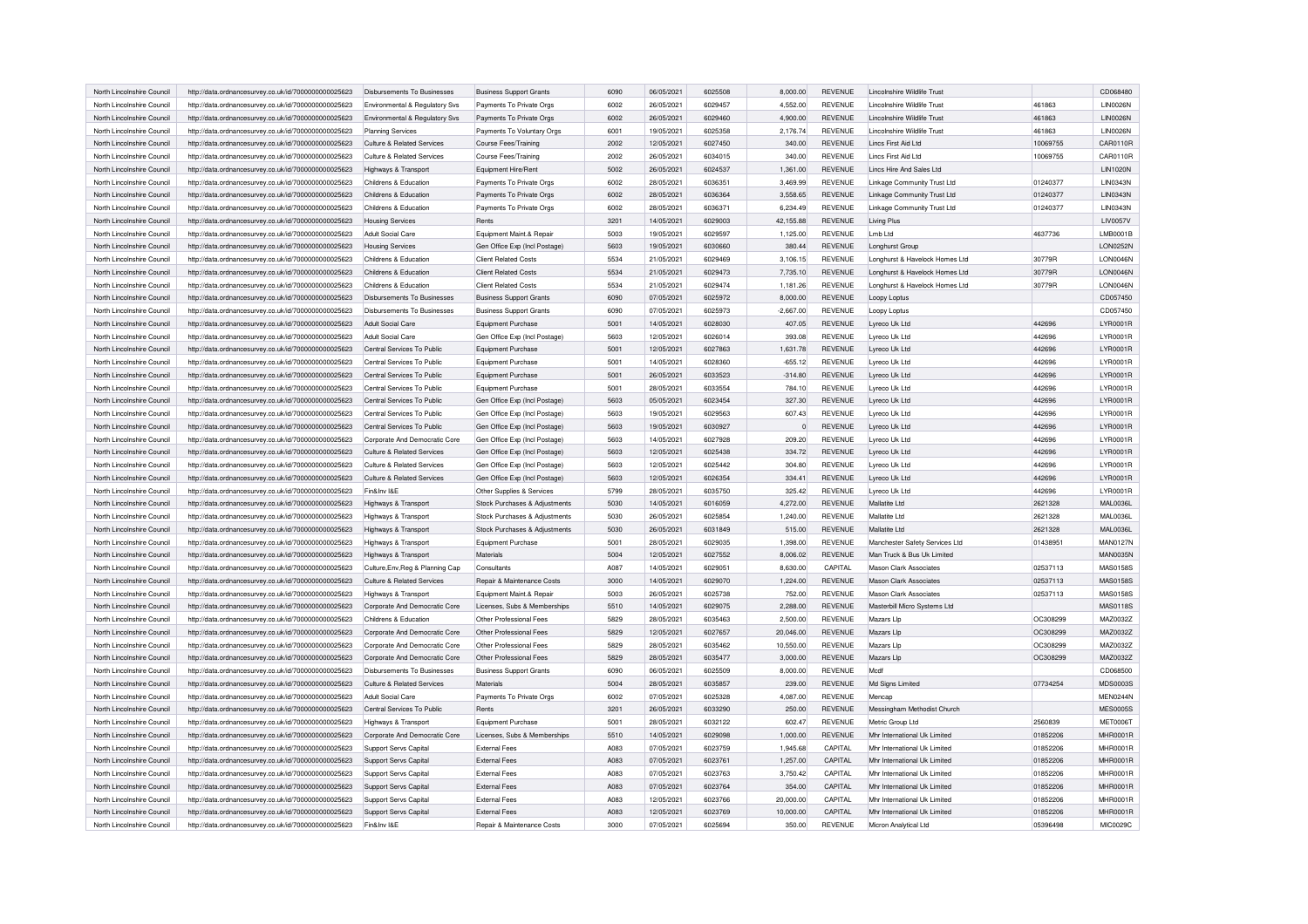| North Lincolnshire Council | http://data.ordnancesurvey.co.uk/id/7000000000025623 | Disbursements To Businesses        | <b>Business Support Grants</b> | 6090 | 06/05/2021 | 6025508 | 8,000.00    | <b>REVENUE</b> | Lincolnshire Wildlife Trust    |          | CD068480        |
|----------------------------|------------------------------------------------------|------------------------------------|--------------------------------|------|------------|---------|-------------|----------------|--------------------------------|----------|-----------------|
| North Lincolnshire Council | http://data.ordnancesurvey.co.uk/id/7000000000025623 | Environmental & Regulatory Svs     | Payments To Private Orgs       | 6002 | 26/05/2021 | 6029457 | 4,552.00    | <b>REVENUE</b> | Lincolnshire Wildlife Trust    | 461863   | <b>LIN0026N</b> |
| North Lincolnshire Council | http://data.ordnancesurvey.co.uk/id/7000000000025623 | Environmental & Regulatory Svs     | Payments To Private Orgs       | 6002 | 26/05/2021 | 6029460 | 4,900.00    | <b>REVENUE</b> | Lincolnshire Wildlife Trust    | 461863   | <b>LIN0026N</b> |
| North Lincolnshire Council | http://data.ordnancesurvey.co.uk/id/7000000000025623 | <b>Planning Services</b>           | Payments To Voluntary Orgs     | 6001 | 19/05/2021 | 6025358 | 2.176.74    | <b>REVENUE</b> | Lincolnshire Wildlife Trust    | 461863   | <b>LIN0026N</b> |
| North Lincolnshire Council | http://data.ordnancesurvey.co.uk/id/7000000000025623 | Culture & Related Services         | Course Fees/Training           | 2002 | 12/05/2021 | 6027450 | 340.00      | <b>REVENUE</b> | Lincs First Aid Ltd            | 10069755 | <b>CAR0110R</b> |
| North Lincolnshire Council | http://data.ordnancesurvey.co.uk/id/7000000000025623 | Culture & Related Services         | Course Fees/Training           | 2002 | 26/05/2021 | 6034015 | 340.00      | <b>REVENUE</b> | I incs First Aid I td          | 10069755 | CAR0110R        |
| North Lincolnshire Council | http://data.ordnancesurvey.co.uk/id/7000000000025623 | Highways & Transport               | Equipment Hire/Rent            | 5002 | 26/05/2021 | 6024537 | 1,361.00    | <b>REVENUE</b> | Lincs Hire And Sales Ltd       |          | <b>LIN1020N</b> |
| North Lincolnshire Council | http://data.ordnancesurvey.co.uk/id/7000000000025623 | Childrens & Education              | Payments To Private Orgs       | 6002 | 28/05/2021 | 6036351 | 3,469.99    | <b>REVENUE</b> | Linkage Community Trust Ltd    | 01240377 | <b>LIN0343N</b> |
| North Lincolnshire Council | http://data.ordnancesurvey.co.uk/id/7000000000025623 | Childrens & Education              | Payments To Private Orgs       | 6002 | 28/05/2021 | 6036364 | 3,558.65    | <b>REVENUE</b> | Linkage Community Trust Ltd    | 01240377 | LIN0343N        |
| North Lincolnshire Council | http://data.ordnancesurvey.co.uk/id/7000000000025623 | Childrens & Education              | Payments To Private Orgs       | 6002 | 28/05/2021 | 6036371 | 6.234.49    | <b>REVENUE</b> | Linkage Community Trust Ltd    | 01240377 | <b>LIN0343N</b> |
| North Lincolnshire Council | http://data.ordnancesurvey.co.uk/id/7000000000025623 | <b>Housing Services</b>            | Rents                          | 3201 | 14/05/2021 | 6029003 | 42,155.88   | <b>REVENUE</b> | Living Plus                    |          | LIV0057V        |
| North Lincolnshire Council | http://data.ordnancesurvey.co.uk/id/7000000000025623 | Adult Social Care                  | Equipment Maint.& Repair       | 5003 | 19/05/2021 | 6029597 | 1,125.00    | <b>REVENUE</b> | Lmb Ltd                        | 4637736  | LMB0001B        |
| North Lincolnshire Council | http://data.ordnancesurvey.co.uk/id/7000000000025623 | <b>Housing Services</b>            | Gen Office Exp (Incl Postage)  | 5603 | 19/05/2021 | 6030660 | 380.44      | <b>REVENUE</b> | Longhurst Group                |          | LON0252N        |
| North Lincolnshire Council | http://data.ordnancesurvey.co.uk/id/7000000000025623 | Childrens & Education              | <b>Client Related Costs</b>    | 5534 | 21/05/2021 | 6029469 | 3,106.15    | <b>REVENUE</b> | Longhurst & Havelock Homes Ltd | 30779R   | LON0046N        |
| North Lincolnshire Council | http://data.ordnancesurvey.co.uk/id/7000000000025623 | Childrens & Education              | <b>Client Related Costs</b>    | 5534 | 21/05/2021 | 6029473 | 7,735.10    | <b>REVENUE</b> | Longhurst & Havelock Homes Ltd | 30779R   | LON0046N        |
| North Lincolnshire Council | http://data.ordnancesurvey.co.uk/id/7000000000025623 | Childrens & Education              | <b>Client Related Costs</b>    | 5534 | 21/05/2021 | 6029474 | 1,181.26    | <b>REVENUE</b> | Longhurst & Havelock Homes Ltd | 30779R   | <b>LON0046N</b> |
| North Lincolnshire Council | http://data.ordnancesurvey.co.uk/id/7000000000025623 | Disbursements To Businesses        | <b>Business Support Grants</b> | 6090 | 07/05/2021 | 6025972 | 8,000.00    | <b>REVENUE</b> | Loopy Loptus                   |          | CD057450        |
| North Lincolnshire Council | http://data.ordnancesurvey.co.uk/id/7000000000025623 | Disbursements To Businesses        | <b>Business Support Grants</b> | 6090 | 07/05/2021 | 6025973 | $-2.667.00$ | <b>REVENUE</b> | Loopy Loptus                   |          | CD057450        |
| North Lincolnshire Council | http://data.ordnancesurvey.co.uk/id/7000000000025623 | Adult Social Care                  | Equipment Purchase             | 5001 | 14/05/2021 | 6028030 | 407.05      | REVENUE        | Lyreco Uk Ltd                  | 442696   | LYR0001R        |
| North Lincolnshire Council | http://data.ordnancesurvey.co.uk/id/7000000000025623 | Adult Social Care                  | Gen Office Exp (Incl Postage)  | 5603 | 12/05/2021 | 6026014 | 393.08      | <b>REVENUE</b> | Lyreco Uk Ltd                  | 442696   | LYR0001R        |
| North Lincolnshire Council | http://data.ordnancesurvey.co.uk/id/7000000000025623 | Central Services To Public         | Equipment Purchase             | 5001 | 12/05/2021 | 6027863 | 1,631.78    | <b>REVENUE</b> | Lyreco Uk Ltd                  | 442696   | LYR0001R        |
| North Lincolnshire Council | http://data.ordnancesurvey.co.uk/id/7000000000025623 | Central Services To Public         | <b>Equipment Purchase</b>      | 5001 | 14/05/2021 | 6028360 | $-655.12$   | <b>REVENUE</b> | Lyreco Uk Ltd                  | 442696   | LYR0001R        |
| North Lincolnshire Council | http://data.ordnancesurvey.co.uk/id/7000000000025623 | Central Services To Public         | Equipment Purchase             | 5001 | 26/05/2021 | 6033523 | $-314.80$   | <b>REVENUE</b> | Lyreco Uk Ltd                  | 442696   | LYR0001R        |
| North Lincolnshire Council | http://data.ordnancesurvey.co.uk/id/7000000000025623 | Central Services To Public         | <b>Equipment Purchase</b>      | 5001 | 28/05/2021 | 6033554 | 784.10      | <b>REVENUE</b> | Lyreco Uk Ltd                  | 442696   | LYR0001R        |
| North Lincolnshire Council | http://data.ordnancesurvey.co.uk/id/7000000000025623 | Central Services To Public         | Gen Office Exp (Incl Postage)  | 5603 | 05/05/2021 | 6023454 | 327.30      | <b>REVENUE</b> | Lyreco Uk Ltd                  | 442696   | LYR0001R        |
| North Lincolnshire Council | http://data.ordnancesurvey.co.uk/id/7000000000025623 | Central Services To Public         | Gen Office Exp (Incl Postage)  | 5603 | 19/05/2021 | 6029563 | 607.43      | <b>REVENUE</b> | Lyreco Uk Ltd                  | 442696   | <b>LYR0001R</b> |
| North Lincolnshire Council | http://data.ordnancesurvey.co.uk/id/7000000000025623 | Central Services To Public         | Gen Office Exp (Incl Postage)  | 5603 | 19/05/2021 | 6030927 | $\mathbf 0$ | <b>REVENUE</b> | Lyreco Uk Ltd                  | 442696   | LYR0001R        |
| North Lincolnshire Council | http://data.ordnancesurvey.co.uk/id/7000000000025623 | Corporate And Democratic Core      | Gen Office Exp (Incl Postage)  | 5603 | 14/05/2021 | 6027928 | 209.20      | <b>REVENUE</b> | Lyreco Uk Ltd                  | 442696   | LYR0001R        |
| North Lincolnshire Council | http://data.ordnancesurvey.co.uk/id/7000000000025623 | Culture & Related Services         | Gen Office Exp (Incl Postage)  | 5603 | 12/05/2021 | 6025438 | 334.72      | <b>REVENUE</b> | Lyreco Uk Ltd                  | 442696   | LYR0001R        |
| North Lincolnshire Council | http://data.ordnancesurvey.co.uk/id/7000000000025623 | Culture & Related Services         | Gen Office Exp (Incl Postage)  | 5603 | 12/05/2021 | 6025442 | 304.80      | <b>REVENUE</b> | Lyreco Uk Ltd                  | 442696   | LYR0001R        |
| North Lincolnshire Council | http://data.ordnancesurvey.co.uk/id/7000000000025623 | Culture & Related Services         | Gen Office Exp (Incl Postage)  | 5603 | 12/05/2021 | 6026354 | 334.41      | <b>REVENUE</b> | Lyreco Uk Ltd                  | 442696   | LYR0001R        |
| North Lincolnshire Council | http://data.ordnancesurvey.co.uk/id/7000000000025623 | Fin&Inv I&F                        | Other Supplies & Services      | 5799 | 28/05/2021 | 6035750 | 325.42      | <b>REVENUE</b> | Lyreco Uk Ltd                  | 442696   | LYR0001R        |
| North Lincolnshire Council | http://data.ordnancesurvey.co.uk/id/7000000000025623 | Highways & Transport               | Stock Purchases & Adjustments  | 5030 | 14/05/2021 | 6016059 | 4,272.00    | <b>REVENUE</b> | Mallatite Ltd                  | 2621328  | MAL0036L        |
| North Lincolnshire Council | http://data.ordnancesurvey.co.uk/id/7000000000025623 | Highways & Transport               | Stock Purchases & Adjustments  | 5030 | 26/05/2021 | 6025854 | 1,240.00    | <b>REVENUE</b> | <b>Mallatite Ltd</b>           | 2621328  | <b>MAL0036L</b> |
| North Lincolnshire Council | http://data.ordnancesurvey.co.uk/id/7000000000025623 | Highways & Transport               | Stock Purchases & Adjustments  | 5030 | 26/05/2021 | 6031849 | 515.00      | REVENUE        | Mallatite Ltd                  | 2621328  | MAL0036L        |
| North Lincolnshire Council | http://data.ordnancesurvey.co.uk/id/7000000000025623 | Highways & Transport               | Equipment Purchase             | 5001 | 28/05/2021 | 6029035 | 1,398.00    | <b>REVENUE</b> | Manchester Safety Services Ltd | 01438951 | MAN0127N        |
| North Lincolnshire Council | http://data.ordnancesurvey.co.uk/id/7000000000025623 | Highways & Transport               | Materials                      | 5004 | 12/05/2021 | 6027552 | 8,006.02    | <b>REVENUE</b> | Man Truck & Bus Uk Limited     |          | <b>MAN0035N</b> |
| North Lincolnshire Council | http://data.ordnancesurvey.co.uk/id/7000000000025623 | Culture, Env, Reg & Planning Cap   | Consultants                    | A087 | 14/05/2021 | 6029051 | 8.630.00    | CAPITAL        | <b>Mason Clark Associates</b>  | 02537113 | MAS0158S        |
| North Lincolnshire Council | http://data.ordnancesurvey.co.uk/id/7000000000025623 | Culture & Related Services         | Repair & Maintenance Costs     | 3000 | 14/05/2021 | 6029070 | 1,224.00    | <b>REVENUE</b> | <b>Mason Clark Associates</b>  | 02537113 | MAS0158S        |
| North Lincolnshire Council | http://data.ordnancesurvey.co.uk/id/7000000000025623 | Highways & Transport               | Equipment Maint.& Repair       | 5003 | 26/05/2021 | 6025738 | 752.00      | <b>REVENUE</b> | Mason Clark Associates         | 02537113 | MAS0158S        |
| North Lincolnshire Council | http://data.ordnancesurvey.co.uk/id/7000000000025623 | Corporate And Democratic Core      | Licenses, Subs & Memberships   | 5510 | 14/05/2021 | 6029075 | 2,288.00    | REVENUE        | Masterbill Micro Systems Ltd   |          | <b>MAS0118S</b> |
| North Lincolnshire Council | http://data.ordnancesurvey.co.uk/id/7000000000025623 | Childrens & Education              | Other Professional Fees        | 5829 | 28/05/2021 | 6035463 | 2,500.00    | REVENUE        | Mazars Llp                     | OC308299 | MAZ0032Z        |
| North Lincolnshire Council | http://data.ordnancesurvey.co.uk/id/7000000000025623 | Corporate And Democratic Core      | Other Professional Fees        | 5829 | 12/05/2021 | 6027657 | 20,046.00   | REVENUE        | Mazars Lip                     | OC308299 | MAZ0032Z        |
| North Lincolnshire Council | http://data.ordnancesurvey.co.uk/id/7000000000025623 | Corporate And Democratic Core      | Other Professional Fees        | 5829 | 28/05/2021 | 6035462 | 10,550.00   | <b>REVENUE</b> | Mazars Lin                     | OC308299 | MAZ0032Z        |
| North Lincolnshire Council | http://data.ordnancesurvey.co.uk/id/7000000000025623 | Corporate And Democratic Core      | Other Professional Fees        | 5829 | 28/05/2021 | 6035477 | 3,000.00    | REVENUE        | Mazars Llp                     | OC308299 | MAZ0032Z        |
| North Lincolnshire Council | http://data.ordnancesurvey.co.uk/id/7000000000025623 | <b>Disbursements To Businesses</b> | <b>Business Support Grants</b> | 6090 | 06/05/2021 | 6025509 | 8,000.00    | REVENUE        | Modf                           |          | CD068500        |
| North Lincolnshire Council | http://data.ordnancesurvey.co.uk/id/7000000000025623 | Culture & Related Services         | <b>Materials</b>               | 5004 | 28/05/2021 | 6035857 | 239.00      | REVENUE        | Md Signs Limited               | 07734254 | MDS0003S        |
| North Lincolnshire Council | http://data.ordnancesurvey.co.uk/id/7000000000025623 | Adult Social Care                  | Payments To Private Orgs       | 6002 | 07/05/2021 | 6025328 | 4,087.00    | REVENUE        | Mencap                         |          | MEN0244N        |
| North Lincolnshire Council | http://data.ordnancesurvey.co.uk/id/7000000000025623 | Central Services To Public         | Rents                          | 3201 | 26/05/2021 | 6033290 | 250.00      | REVENUE        | Messingham Methodist Church    |          | <b>MES0005S</b> |
| North Lincolnshire Council | http://data.ordnancesurvey.co.uk/id/7000000000025623 | Highways & Transport               | Equipment Purchase             | 5001 | 28/05/2021 | 6032122 | 602.47      | REVENUE        | Metric Group Ltd               | 2560839  | <b>MET0006T</b> |
| North Lincolnshire Council | http://data.ordnancesurvey.co.uk/id/7000000000025623 | Corporate And Democratic Core      | Licenses, Subs & Memberships   | 5510 | 14/05/2021 | 6029098 | 1,000.00    | REVENUE        | Mhr International Uk Limited   | 01852206 | <b>MHR0001R</b> |
| North Lincolnshire Council | http://data.ordnancesurvey.co.uk/id/7000000000025623 | Support Servs Capital              | <b>External Fees</b>           | A083 | 07/05/2021 | 6023759 | 1,945.68    | CAPITAL        | Mhr International Uk Limited   | 01852206 | <b>MHR0001R</b> |
| North Lincolnshire Council | http://data.ordnancesurvey.co.uk/id/7000000000025623 | Support Servs Capital              | <b>External Fees</b>           | A083 | 07/05/2021 | 6023761 | 1,257.00    | CAPITAL        | Mhr International LIk Limited  | 01852206 | <b>MHR0001R</b> |
| North Lincolnshire Council | http://data.ordnancesurvey.co.uk/id/7000000000025623 | Support Servs Capital              | <b>External Fees</b>           | A083 | 07/05/2021 | 6023763 | 3,750.42    | CAPITAL        | Mhr International Uk Limited   | 01852206 | <b>MHR0001R</b> |
| North Lincolnshire Council | http://data.ordnancesurvey.co.uk/id/7000000000025623 | Support Servs Capital              | <b>External Fees</b>           | A083 | 07/05/2021 | 6023764 | 354.00      | CAPITAL        | Mhr International Uk Limited   | 01852206 | <b>MHR0001R</b> |
| North Lincolnshire Council | http://data.ordnancesurvey.co.uk/id/7000000000025623 | Support Servs Capital              | <b>External Fees</b>           | A083 | 12/05/2021 | 6023766 | 20,000.00   | CAPITAL        | Mhr International Uk Limited   | 01852206 | <b>MHR0001R</b> |
| North Lincolnshire Council | http://data.ordnancesurvey.co.uk/id/7000000000025623 | Support Servs Capital              | <b>External Fees</b>           | A083 | 12/05/2021 | 6023769 | 10,000.00   | <b>CAPITAL</b> | Mhr International Uk Limited   | 01852206 | <b>MHR0001R</b> |
| North Lincolnshire Council | http://data.ordnancesurvey.co.uk/id/7000000000025623 | Fin&Inv I&E                        | Repair & Maintenance Costs     | 3000 | 07/05/2021 | 6025694 | 350.00      | <b>REVENUE</b> | Micron Analytical Ltd          | 05396498 | MIC0029C        |
|                            |                                                      |                                    |                                |      |            |         |             |                |                                |          |                 |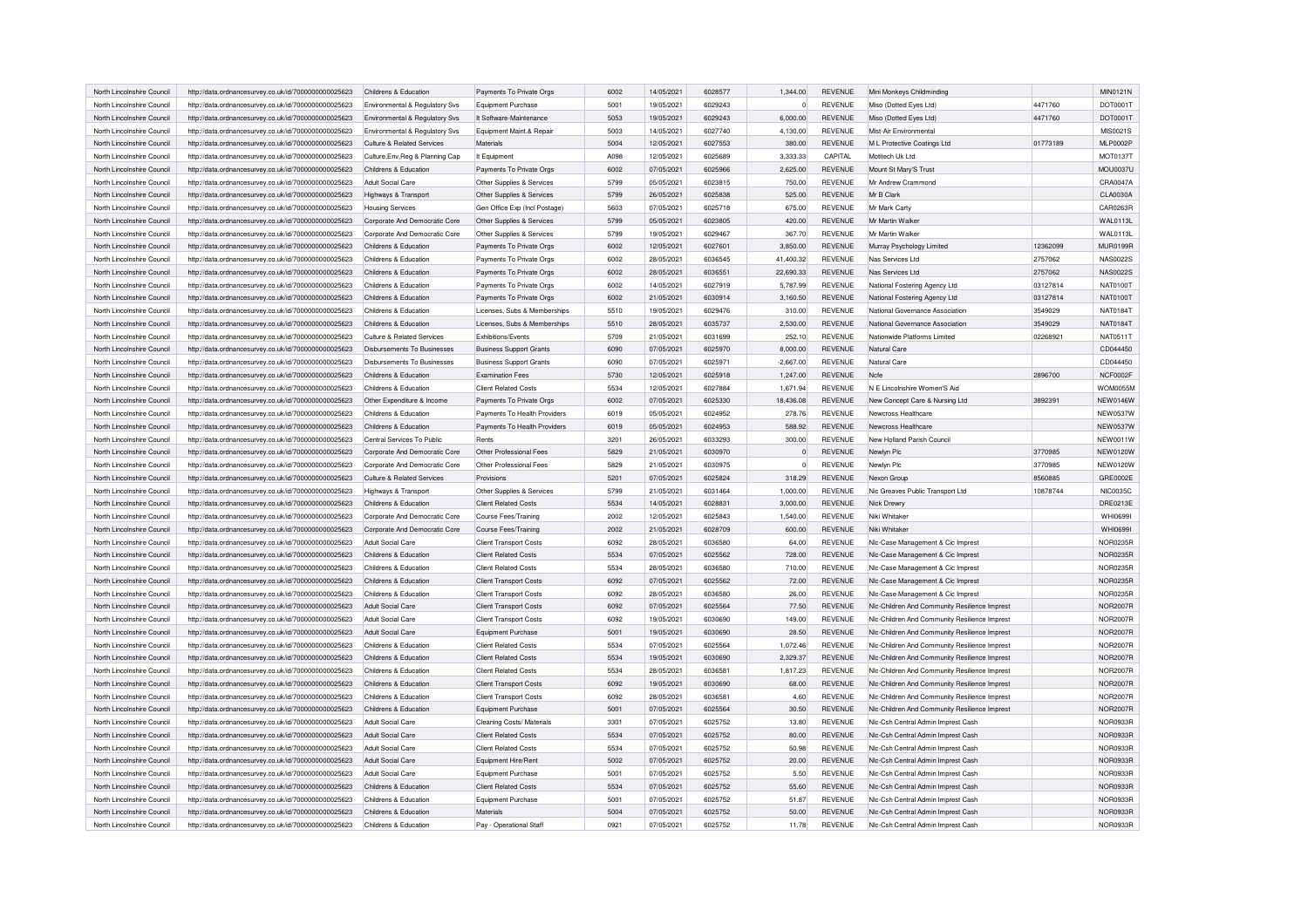| North Lincolnshire Council | http://data.ordnancesurvey.co.uk/id/7000000000025623                                                         | Childrens & Education                      | Payments To Private Orgs                        | 6002 | 14/05/2021               | 6028577 | 1,344.00       | REVENUE        | Mini Monkeys Childminding                                                           |          | MIN0121N                    |
|----------------------------|--------------------------------------------------------------------------------------------------------------|--------------------------------------------|-------------------------------------------------|------|--------------------------|---------|----------------|----------------|-------------------------------------------------------------------------------------|----------|-----------------------------|
| North Lincolnshire Council | http://data.ordnancesurvey.co.uk/id/7000000000025623                                                         | Environmental & Regulatory Svs             | Equipment Purchase                              | 5001 | 19/05/2021               | 6029243 | $\circ$        | REVENUE        | Miso (Dotted Eyes Ltd)                                                              | 4471760  | DOT0001T                    |
| North Lincolnshire Council | http://data.ordnancesurvey.co.uk/id/7000000000025623                                                         | Environmental & Regulatory Svs             | It Software-Maintenance                         | 5053 | 19/05/2021               | 6029243 | 6,000.00       | <b>REVENUE</b> | Miso (Dotted Eyes Ltd)                                                              | 4471760  | DOT0001T                    |
| North Lincolnshire Council | http://data.ordnancesurvey.co.uk/id/7000000000025623                                                         | Environmental & Regulatory Svs             | Equipment Maint.& Repair                        | 5003 | 14/05/2021               | 6027740 | 4,130.00       | <b>REVENUE</b> | Mist-Air Environmental                                                              |          | MIS0021S                    |
| North Lincolnshire Council | http://data.ordnancesurvey.co.uk/id/7000000000025623                                                         | Culture & Related Services                 | Materials                                       | 5004 | 12/05/2021               | 6027553 | 380.00         | <b>REVENUE</b> | M L Protective Coatings Ltd                                                         | 01773189 | <b>MLP0002P</b>             |
| North Lincolnshire Council | http://data.ordnancesurvey.co.uk/id/7000000000025623                                                         | Culture, Env, Reg & Planning Cap           | It Equipment                                    | A098 | 12/05/2021               | 6025689 | 3.333.33       | CAPITAL        | Motitech Uk Ltd                                                                     |          | <b>MOT0137T</b>             |
| North Lincolnshire Council | http://data.ordnancesurvey.co.uk/id/7000000000025623                                                         | Childrens & Education                      | Payments To Private Orgs                        | 6002 | 07/05/2021               | 6025966 | 2,625.00       | <b>REVENUE</b> | Mount St Mary'S Trust                                                               |          | <b>MOU0037U</b>             |
| North Lincolnshire Council | http://data.ordnancesurvey.co.uk/id/7000000000025623                                                         | Adult Social Care                          | Other Supplies & Services                       | 5799 | 05/05/2021               | 6023815 | 750.00         | <b>REVENUE</b> | Mr Andrew Crammond                                                                  |          | CRA0047A                    |
| North Lincolnshire Council | http://data.ordnancesurvey.co.uk/id/7000000000025623                                                         | Highways & Transport                       | Other Supplies & Services                       | 5799 | 26/05/2021               | 6025838 | 525.00         | <b>REVENUE</b> | Mr B Clark                                                                          |          | <b>CLA0030A</b>             |
| North Lincolnshire Council | http://data.ordnancesurvey.co.uk/id/7000000000025623                                                         | <b>Housing Services</b>                    | Gen Office Exp (Incl Postage)                   | 5603 | 07/05/2021               | 6025718 | 675.00         | <b>REVENUE</b> | Mr Mark Carty                                                                       |          | CAR0263R                    |
| North Lincolnshire Council | http://data.ordnancesurvey.co.uk/id/7000000000025623                                                         | Corporate And Democratic Core              | Other Supplies & Services                       | 5799 | 05/05/2021               | 6023805 | 420.00         | <b>REVENUE</b> | Mr Martin Walker                                                                    |          | <b>WAL0113L</b>             |
| North Lincolnshire Council | http://data.ordnancesurvey.co.uk/id/7000000000025623                                                         | Corporate And Democratic Core              | Other Supplies & Services                       | 5799 | 19/05/2021               | 6029467 | 367.70         | <b>REVENUE</b> | Mr Martin Walker                                                                    |          | <b>WAL0113L</b>             |
| North Lincolnshire Council | http://data.ordnancesurvey.co.uk/id/7000000000025623                                                         | Childrens & Education                      | Payments To Private Orgs                        | 6002 | 12/05/2021               | 6027601 | 3,850.00       | <b>REVENUE</b> | Murray Psychology Limited                                                           | 12362099 | <b>MUR0199R</b>             |
| North Lincolnshire Council | http://data.ordnancesurvey.co.uk/id/7000000000025623                                                         | Childrens & Education                      | Payments To Private Orgs                        | 6002 | 28/05/2021               | 6036545 | 41,400.32      | <b>REVENUE</b> | Nas Services Ltd                                                                    | 2757062  | <b>NAS0022S</b>             |
| North Lincolnshire Council | http://data.ordnancesurvey.co.uk/id/7000000000025623                                                         | Childrens & Education                      | Payments To Private Orgs                        | 6002 | 28/05/2021               | 6036551 | 22.690.33      | <b>REVENUE</b> | Nas Services Ltd                                                                    | 2757062  | <b>NAS0022S</b>             |
|                            |                                                                                                              |                                            |                                                 | 6002 |                          | 6027919 |                | <b>REVENUE</b> |                                                                                     |          | <b>NAT0100T</b>             |
| North Lincolnshire Council | http://data.ordnancesurvey.co.uk/id/7000000000025623                                                         | Childrens & Education                      | Payments To Private Orgs                        |      | 14/05/2021               |         | 5,787.99       |                | National Fostering Agency Ltd                                                       | 03127814 |                             |
| North Lincolnshire Council | http://data.ordnancesurvey.co.uk/id/7000000000025623                                                         | Childrens & Education                      | Payments To Private Orgs                        | 6002 | 21/05/2021               | 6030914 | 3,160.50       | <b>REVENUE</b> | National Fostering Agency Ltd                                                       | 03127814 | <b>NAT0100T</b>             |
| North Lincolnshire Council | http://data.ordnancesurvey.co.uk/id/7000000000025623                                                         | Childrens & Education                      | Licenses, Subs & Memberships                    | 5510 | 19/05/2021               | 6029476 | 310.00         | <b>REVENUE</b> | National Governance Association                                                     | 3549029  | <b>NAT0184T</b>             |
| North Lincolnshire Council | http://data.ordnancesurvey.co.uk/id/7000000000025623                                                         | Childrens & Education                      | Licenses, Subs & Memberships                    | 5510 | 28/05/2021               | 6035737 | 2,530.00       | <b>REVENUE</b> | National Governance Association                                                     | 3549029  | <b>NAT0184T</b>             |
| North Lincolnshire Council | http://data.ordnancesurvey.co.uk/id/7000000000025623                                                         | Culture & Related Services                 | <b>Fxhibitions/Fvents</b>                       | 5709 | 21/05/2021               | 6031699 | 252.10         | <b>REVENUE</b> | Nationwide Platforms Limited                                                        | 02268921 | NAT0511T                    |
| North Lincolnshire Council | http://data.ordnancesurvey.co.uk/id/7000000000025623                                                         | Disbursements To Businesses                | <b>Business Support Grants</b>                  | 6090 | 07/05/2021               | 6025970 | 8,000.00       | <b>REVENUE</b> | Natural Care                                                                        |          | CD044450                    |
| North Lincolnshire Council | http://data.ordnancesurvey.co.uk/id/7000000000025623                                                         | Disbursements To Businesses                | <b>Business Support Grants</b>                  | 6090 | 07/05/2021               | 6025971 | $-2,667.00$    | <b>REVENUE</b> | Natural Care                                                                        |          | CD044450                    |
| North Lincolnshire Council | http://data.ordnancesurvey.co.uk/id/7000000000025623                                                         | Childrens & Education                      | <b>Examination Fees</b>                         | 5730 | 12/05/2021               | 6025918 | 1,247.00       | <b>REVENUE</b> | Ncfe                                                                                | 2896700  | NCF0002F                    |
| North Lincolnshire Council | http://data.ordnancesurvey.co.uk/id/7000000000025623                                                         | Childrens & Education                      | <b>Client Related Costs</b>                     | 5534 | 12/05/2021               | 6027884 | 1,671.94       | <b>REVENUE</b> | N E Lincolnshire Women'S Aid                                                        |          | <b>WOM0055M</b>             |
| North Lincolnshire Council | http://data.ordnancesurvey.co.uk/id/7000000000025623                                                         | Other Expenditure & Income                 | Payments To Private Orgs                        | 6002 | 07/05/2021               | 6025330 | 18,436.08      | <b>REVENUE</b> | New Concept Care & Nursing Ltd                                                      | 3892391  | <b>NEW0146W</b>             |
| North Lincolnshire Council | http://data.ordnancesurvey.co.uk/id/7000000000025623                                                         | Childrens & Education                      | Payments To Health Providers                    | 6019 | 05/05/2021               | 6024952 | 278.76         | <b>REVENUE</b> | Newcross Healthcare                                                                 |          | <b>NEW0537W</b>             |
| North Lincolnshire Council | http://data.ordnancesurvey.co.uk/id/7000000000025623                                                         | Childrens & Education                      | Payments To Health Providers                    | 6019 | 05/05/2021               | 6024953 | 588.92         | <b>REVENUE</b> | Newcross Healthcare                                                                 |          | <b>NEW0537W</b>             |
| North Lincolnshire Council | http://data.ordnancesurvey.co.uk/id/7000000000025623                                                         | Central Services To Public                 | Rents                                           | 3201 | 26/05/2021               | 6033293 | 300.00         | <b>REVENUE</b> | New Holland Parish Council                                                          |          | <b>NEW0011W</b>             |
| North Lincolnshire Council | http://data.ordnancesurvey.co.uk/id/7000000000025623                                                         | Corporate And Democratic Core              | Other Professional Fees                         | 5829 | 21/05/2021               | 6030970 | $\overline{0}$ | <b>REVENUE</b> | Newlyn Plc                                                                          | 3770985  | <b>NEW0120W</b>             |
| North Lincolnshire Council | http://data.ordnancesurvey.co.uk/id/7000000000025623                                                         | Corporate And Democratic Core              | Other Professional Fees                         | 5829 | 21/05/2021               | 6030975 | $\circ$        | <b>REVENUE</b> | Newlyn Plc                                                                          | 3770985  | <b>NEW0120W</b>             |
| North Lincolnshire Council | http://data.ordnancesurvey.co.uk/id/7000000000025623                                                         | Culture & Related Services                 | Provisions                                      | 5201 | 07/05/2021               | 6025824 | 318.29         | <b>REVENUE</b> | Nexon Group                                                                         | 8560885  | GRE0002E                    |
| North Lincolnshire Council | http://data.ordnancesurvey.co.uk/id/7000000000025623                                                         | Highways & Transport                       | Other Supplies & Services                       | 5799 | 21/05/2021               | 6031464 | 1.000.00       | <b>REVENUE</b> | Nic Greaves Public Transport Ltd                                                    | 10878744 | <b>NIC0035C</b>             |
| North Lincolnshire Council | http://data.ordnancesurvey.co.uk/id/7000000000025623                                                         | Childrens & Education                      | <b>Client Related Costs</b>                     | 5534 | 14/05/2021               | 6028831 | 3,000.00       | <b>REVENUE</b> | Nick Drewn                                                                          |          | DRE0213E                    |
| North Lincolnshire Council | http://data.ordnancesurvey.co.uk/id/7000000000025623                                                         | Corporate And Democratic Core              | Course Fees/Training                            | 2002 | 12/05/2021               | 6025843 | 1,540.00       | <b>REVENUE</b> | Niki Whitaker                                                                       |          | <b>WHI0699I</b>             |
| North Lincolnshire Council | http://data.ordnancesurvey.co.uk/id/7000000000025623                                                         | Corporate And Democratic Core              | Course Fees/Training                            | 2002 | 21/05/2021               | 6028709 | 600.00         | <b>REVENUE</b> | Niki Whitaker                                                                       |          | <b>WHI0699I</b>             |
| North Lincolnshire Council | http://data.ordnancesurvey.co.uk/id/7000000000025623                                                         | Adult Social Care                          | <b>Client Transport Costs</b>                   | 6092 | 28/05/2021               | 6036580 | 64.00          | REVENUE        | NIc-Case Management & Cic Imprest                                                   |          | NOR0235R                    |
| North Lincolnshire Council | http://data.ordnancesurvey.co.uk/id/7000000000025623                                                         | Childrens & Education                      | <b>Client Related Costs</b>                     | 5534 | 07/05/2021               | 6025562 | 728.00         | <b>REVENUE</b> | NIc-Case Management & Cic Imprest                                                   |          | NOR0235R                    |
| North Lincolnshire Council | http://data.ordnancesurvey.co.uk/id/7000000000025623                                                         | Childrens & Education                      | <b>Client Related Costs</b>                     | 5534 | 28/05/2021               | 6036580 | 710.00         | REVENUE        | NIc-Case Management & Cic Imprest                                                   |          | <b>NOR0235R</b>             |
| North Lincolnshire Council | http://data.ordnancesurvey.co.uk/id/7000000000025623                                                         | Childrens & Education                      | <b>Client Transport Costs</b>                   | 6092 | 07/05/2021               | 6025562 | 72.00          | <b>REVENUE</b> | NIc-Case Management & Cic Imprest                                                   |          | NOR0235R                    |
| North Lincolnshire Council | http://data.ordnancesurvey.co.uk/id/7000000000025623                                                         | Childrens & Education                      | <b>Client Transport Costs</b>                   | 6092 | 28/05/2021               | 6036580 | 26.00          | <b>REVENUE</b> | NIc-Case Management & Cic Imprest                                                   |          | <b>NOR0235R</b>             |
| North Lincolnshire Council | http://data.ordnancesurvey.co.uk/id/7000000000025623                                                         | Adult Social Care                          | <b>Client Transport Costs</b>                   | 6092 | 07/05/2021               | 6025564 | 77.50          | <b>REVENUE</b> | NIc-Children And Community Resilience Imprest                                       |          | <b>NOR2007R</b>             |
| North Lincolnshire Council | http://data.ordnancesurvey.co.uk/id/7000000000025623                                                         | Adult Social Care                          | <b>Client Transport Costs</b>                   | 6092 | 19/05/2021               | 6030690 | 149.00         | REVENUE        | NIc-Children And Community Resilience Imprest                                       |          | <b>NOR2007R</b>             |
| North Lincolnshire Council | http://data.ordnancesurvey.co.uk/id/7000000000025623                                                         | <b>Adult Social Care</b>                   | Equipment Purchase                              | 5001 | 19/05/2021               | 6030690 | 28.50          | <b>REVENUE</b> | NIc-Children And Community Resilience Imprest                                       |          | <b>NOR2007F</b>             |
| North Lincolnshire Council | http://data.ordnancesurvey.co.uk/id/7000000000025623                                                         | Childrens & Education                      | <b>Client Related Costs</b>                     | 5534 | 07/05/2021               | 6025564 | 1,072.46       | <b>REVENUE</b> | NIc-Children And Community Resilience Imprest                                       |          | <b>NOR2007R</b>             |
| North Lincolnshire Council | http://data.ordnancesurvey.co.uk/id/7000000000025623                                                         | Childrens & Education                      | <b>Client Related Costs</b>                     | 5534 | 19/05/2021               | 6030690 | 2,329.37       | <b>REVENUE</b> | Nic-Children And Community Resilience Imprest                                       |          | <b>NOR2007R</b>             |
| North Lincolnshire Council | http://data.ordnancesurvey.co.uk/id/7000000000025623                                                         | Childrens & Education                      | <b>Client Related Costs</b>                     | 5534 | 28/05/2021               | 6036581 | 1,817.23       | <b>REVENUE</b> | Nic-Children And Community Resilience Imprest                                       |          | <b>NOR2007R</b>             |
| North Lincolnshire Council | http://data.ordnancesurvey.co.uk/id/7000000000025623                                                         | Childrens & Education                      | <b>Client Transport Costs</b>                   | 6092 | 19/05/2021               | 6030690 | 68.00          | REVENUE        | NIc-Children And Community Resilience Imprest                                       |          | <b>NOR2007R</b>             |
| North Lincolnshire Council | http://data.ordnancesurvey.co.uk/id/7000000000025623                                                         | Childrens & Education                      | <b>Client Transport Costs</b>                   | 6092 | 28/05/2021               | 6036581 | 4.60           | REVENUE        | NIc-Children And Community Resilience Imprest                                       |          | <b>NOR2007R</b>             |
| North Lincolnshire Council |                                                                                                              |                                            |                                                 | 5001 |                          | 6025564 |                | REVENUE        |                                                                                     |          |                             |
| North Lincolnshire Council | http://data.ordnancesurvey.co.uk/id/7000000000025623<br>http://data.ordnancesurvey.co.uk/id/7000000000025623 | Childrens & Education<br>Adult Social Care | Equipment Purchase<br>Cleaning Costs/ Materials | 3301 | 07/05/2021<br>07/05/2021 | 6025752 | 30.50<br>13.80 | REVENUE        | NIc-Children And Community Resilience Imprest<br>Nic-Csh Central Admin Imprest Cash |          | <b>NOR2007F</b><br>NOR0933R |
| North Lincolnshire Council |                                                                                                              | Adult Social Care                          | <b>Client Related Costs</b>                     | 5534 |                          | 6025752 | 80.00          | REVENUE        |                                                                                     |          |                             |
|                            | http://data.ordnancesurvey.co.uk/id/7000000000025623                                                         |                                            |                                                 | 5534 | 07/05/2021               | 6025752 |                |                | Nlc-Csh Central Admin Imprest Cash                                                  |          | NOR0933R                    |
| North Lincolnshire Council | http://data.ordnancesurvey.co.uk/id/7000000000025623                                                         | Adult Social Care                          | <b>Client Related Costs</b>                     |      | 07/05/2021               |         | 50.98          | REVENUE        | Nic-Csh Central Admin Imprest Cash                                                  |          | NOR0933R                    |
| North Lincolnshire Council | http://data.ordnancesurvey.co.uk/id/7000000000025623                                                         | Adult Social Care                          | Equipment Hire/Rent                             | 5002 | 07/05/2021               | 6025752 | 20.00          | REVENUE        | Nic-Csh Central Admin Imprest Cash                                                  |          | NOR0933R                    |
| North Lincolnshire Council | http://data.ordnancesurvey.co.uk/id/7000000000025623                                                         | Adult Social Care                          | Equipment Purchase                              | 5001 | 07/05/2021               | 6025752 | 5.50           | <b>REVENUE</b> | Nic-Csh Central Admin Imprest Cash                                                  |          | NOR0933R                    |
| North Lincolnshire Council | http://data.ordnancesurvey.co.uk/id/7000000000025623                                                         | Childrens & Education                      | Client Related Costs                            | 5534 | 07/05/2021               | 6025752 | 55.60          | <b>REVENUE</b> | NIc-Csh Central Admin Imprest Cash                                                  |          | NOR0933R                    |
| North Lincolnshire Council | http://data.ordnancesurvey.co.uk/id/7000000000025623                                                         | Childrens & Education                      | Equipment Purchase                              | 5001 | 07/05/2021               | 6025752 | 51.87          | REVENUE        | Nic-Csh Central Admin Imprest Cash                                                  |          | NOR0933F                    |
| North Lincolnshire Council | http://data.ordnancesurvey.co.uk/id/7000000000025623                                                         | Childrens & Education                      | <b>Materials</b>                                | 5004 | 07/05/2021               | 6025752 | 50.00          | REVENUE        | Nlc-Csh Central Admin Imprest Cash                                                  |          | NOR0933R                    |
| North Lincolnshire Council | http://data.ordnancesurvey.co.uk/id/7000000000025623                                                         | Childrens & Education                      | Pay - Operational Staff                         | 0921 | 07/05/2021               | 6025752 | 11.78          | <b>REVENUE</b> | Nic-Csh Central Admin Imprest Cash                                                  |          | NOR0933R                    |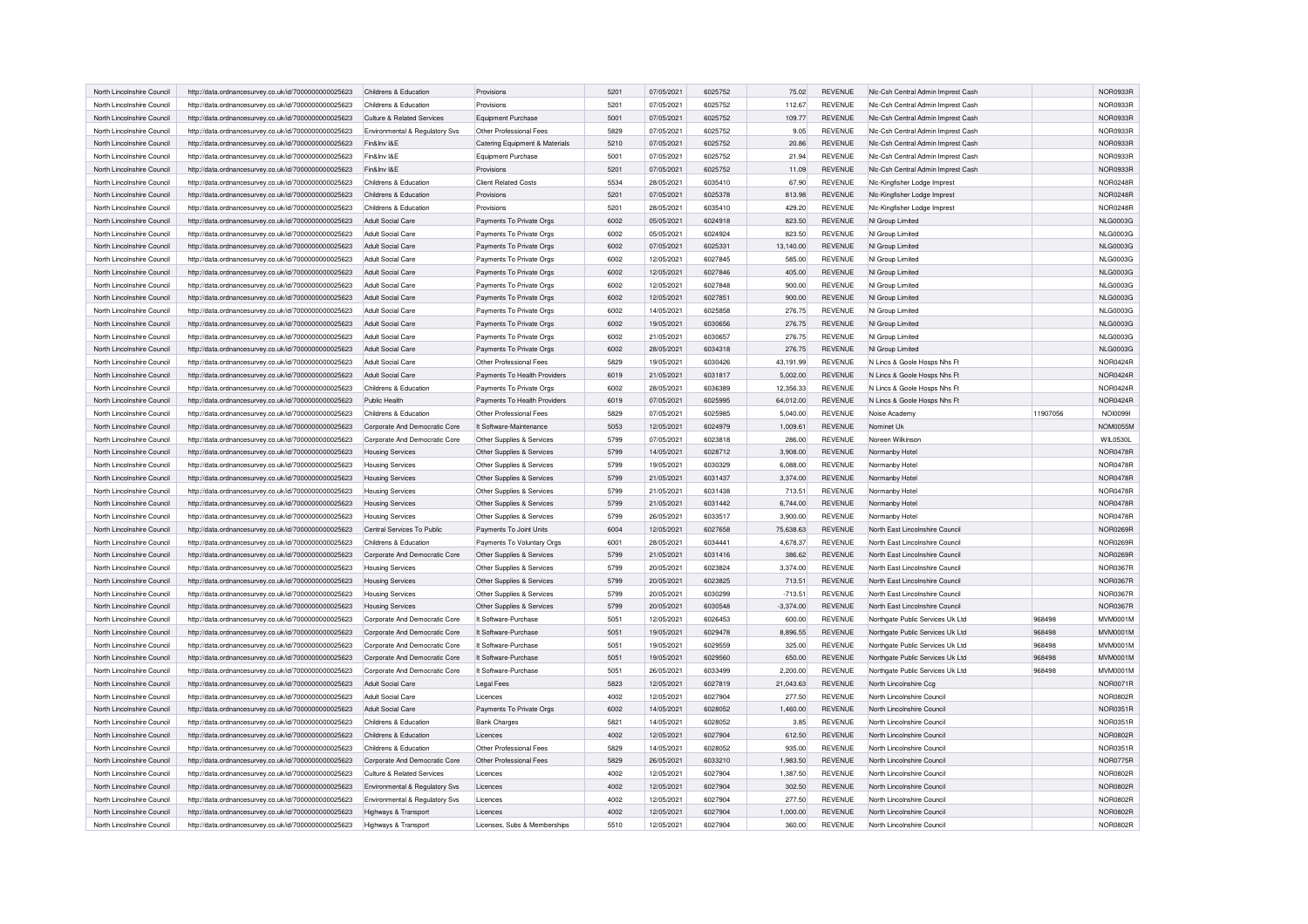| North Lincolnshire Council | http://data.ordnancesurvey.co.uk/id/7000000000025623 | Childrens & Education          | Provisions                     | 5201 | 07/05/2021 | 6025752 | 75.02       | <b>REVENUE</b> | Nic-Csh Central Admin Imprest Cash |          | NOR0933E        |
|----------------------------|------------------------------------------------------|--------------------------------|--------------------------------|------|------------|---------|-------------|----------------|------------------------------------|----------|-----------------|
| North Lincolnshire Council | http://data.ordnancesurvey.co.uk/id/7000000000025623 | Childrens & Education          | Provisions                     | 5201 | 07/05/2021 | 6025752 | 112.67      | <b>REVENUE</b> | Nic-Csh Central Admin Imprest Cash |          | NOR0933R        |
| North Lincolnshire Council | http://data.ordnancesurvey.co.uk/id/7000000000025623 | Culture & Related Services     | Equipment Purchase             | 5001 | 07/05/2021 | 6025752 | 109.77      | <b>REVENUE</b> | NIc-Csh Central Admin Imprest Cash |          | NOR0933R        |
| North Lincolnshire Council | http://data.ordnancesurvey.co.uk/id/7000000000025623 | Environmental & Regulatory Svs | Other Professional Fees        | 5829 | 07/05/2021 | 6025752 | 9.05        | <b>REVENUE</b> | Nic-Csh Central Admin Imprest Cash |          | NOR0933F        |
| North Lincolnshire Council | http://data.ordnancesurvey.co.uk/id/7000000000025623 | Fin&Inv I&E                    | Catering Equipment & Materials | 5210 | 07/05/2021 | 6025752 | 20.86       | <b>REVENUE</b> | Nic-Csh Central Admin Imprest Cash |          | NOR0933F        |
| North Lincolnshire Council | http://data.ordnancesurvey.co.uk/id/7000000000025623 | Fin&Inv I&F                    | Equipment Purchase             | 5001 | 07/05/2021 | 6025752 | 21.94       | <b>REVENUE</b> | Nic-Csh Central Admin Imprest Cash |          | NOR0933R        |
| North Lincolnshire Council | http://data.ordnancesurvey.co.uk/id/7000000000025623 | Fin&Inv I&E                    | Provisions                     | 5201 | 07/05/2021 | 6025752 | 11.09       | <b>REVENUE</b> | Nic-Csh Central Admin Imprest Cash |          | NOR0933R        |
| North Lincolnshire Council | http://data.ordnancesurvey.co.uk/id/7000000000025623 | Childrens & Education          | <b>Client Related Costs</b>    | 5534 | 28/05/2021 | 6035410 | 67.90       | <b>REVENUE</b> | NIc-Kingfisher Lodge Imprest       |          | <b>NOR0248F</b> |
| North Lincolnshire Council | http://data.ordnancesurvey.co.uk/id/7000000000025623 | Childrens & Education          | Provisions                     | 5201 | 07/05/2021 | 6025378 | 813.98      | <b>REVENUE</b> | NIc-Kingfisher Lodge Imprest       |          | <b>NOR0248R</b> |
| North Lincolnshire Council | http://data.ordnancesurvey.co.uk/id/7000000000025623 | Childrens & Education          | Provisions                     | 5201 | 28/05/2021 | 6035410 | 429.20      | <b>REVENUE</b> | Nic-Kingfisher Lodge Imprest       |          | <b>NOR0248R</b> |
| North Lincolnshire Council | http://data.ordnancesurvey.co.uk/id/7000000000025623 | Adult Social Care              | Payments To Private Orgs       | 6002 | 05/05/2021 | 6024918 | 823.50      | <b>REVENUE</b> | NI Group Limited                   |          | <b>NLG0003G</b> |
| North Lincolnshire Council | http://data.ordnancesurvey.co.uk/id/7000000000025623 | Adult Social Care              | Payments To Private Orgs       | 6002 | 05/05/2021 | 6024924 | 823.50      | <b>REVENUE</b> | NI Group Limited                   |          | <b>NLG0003G</b> |
| North Lincolnshire Council | http://data.ordnancesurvey.co.uk/id/7000000000025623 | Adult Social Care              | Payments To Private Orgs       | 6002 | 07/05/2021 | 6025331 | 13,140.00   | <b>REVENUE</b> | NI Group Limited                   |          | <b>NLG0003G</b> |
| North Lincolnshire Council | http://data.ordnancesurvey.co.uk/id/7000000000025623 | Adult Social Care              | Payments To Private Orgs       | 6002 | 12/05/2021 | 6027845 | 585.00      | <b>REVENUE</b> | NI Group Limited                   |          | <b>NLG0003G</b> |
| North Lincolnshire Council | http://data.ordnancesurvey.co.uk/id/7000000000025623 | Adult Social Care              | Payments To Private Orgs       | 6002 | 12/05/2021 | 6027846 | 405.00      | <b>REVENUE</b> | NI Group Limited                   |          | <b>NLG0003G</b> |
| North Lincolnshire Council | http://data.ordnancesurvey.co.uk/id/7000000000025623 | Adult Social Care              | Payments To Private Orgs       | 6002 | 12/05/2021 | 6027848 | 900.00      | <b>REVENUE</b> | NI Group Limited                   |          | <b>NLG0003G</b> |
| North Lincolnshire Council | http://data.ordnancesurvey.co.uk/id/7000000000025623 | Adult Social Care              | Payments To Private Orgs       | 6002 | 12/05/2021 | 6027851 | 900.00      | <b>REVENUE</b> | NI Group Limited                   |          | <b>NLG0003G</b> |
| North Lincolnshire Council | http://data.ordnancesurvey.co.uk/id/7000000000025623 | Adult Social Care              | Payments To Private Orgs       | 6002 | 14/05/2021 | 6025858 | 276.75      | <b>REVENUE</b> | NI Group Limited                   |          | <b>NLG0003G</b> |
| North Lincolnshire Council | http://data.ordnancesurvey.co.uk/id/7000000000025623 | Adult Social Care              | Payments To Private Orgs       | 6002 | 19/05/2021 | 6030656 | 276.75      | <b>REVENUE</b> | NI Group Limited                   |          | <b>NLG0003G</b> |
| North Lincolnshire Council | http://data.ordnancesurvey.co.uk/id/7000000000025623 | Adult Social Care              | Payments To Private Orgs       | 6002 | 21/05/2021 | 6030657 | 276.75      | <b>REVENUE</b> | NI Group Limited                   |          | <b>NLG0003G</b> |
| North Lincolnshire Council | http://data.ordnancesurvey.co.uk/id/7000000000025623 | Adult Social Care              | Payments To Private Orgs       | 6002 | 28/05/2021 | 6034318 | 276.75      | <b>REVENUE</b> | NI Group Limited                   |          | <b>NLG0003G</b> |
| North Lincolnshire Council | http://data.ordnancesurvey.co.uk/id/7000000000025623 | Adult Social Care              | Other Professional Fees        | 5829 | 19/05/2021 | 6030426 | 43,191.99   | <b>REVENUE</b> | N Lincs & Goole Hosps Nhs Ft       |          | NOR0424F        |
| North Lincolnshire Council | http://data.ordnancesurvey.co.uk/id/7000000000025623 | Adult Social Care              | Payments To Health Providers   | 6019 | 21/05/2021 | 6031817 | 5,002.00    | <b>REVENUE</b> | N Lincs & Goole Hosps Nhs Ft       |          | <b>NOR0424R</b> |
| North Lincolnshire Council | http://data.ordnancesurvey.co.uk/id/7000000000025623 | Childrens & Education          | Payments To Private Orgs       | 6002 | 28/05/2021 | 6036389 | 12,356.33   | <b>REVENUE</b> | N Lincs & Goole Hosps Nhs Ft       |          | <b>NOR0424R</b> |
| North Lincolnshire Council | http://data.ordnancesurvey.co.uk/id/7000000000025623 | Public Health                  | Payments To Health Providers   | 6019 | 07/05/2021 | 6025995 | 64,012.00   | <b>REVENUE</b> | N Lincs & Goole Hosps Nhs Ft       |          | <b>NOR0424F</b> |
| North Lincolnshire Council | http://data.ordnancesurvey.co.uk/id/7000000000025623 | Childrens & Education          | Other Professional Fees        | 5829 | 07/05/2021 | 6025985 | 5.040.00    | <b>REVENUE</b> | Noise Academy                      | 11907056 | NOI00991        |
| North Lincolnshire Council | http://data.ordnancesurvey.co.uk/id/7000000000025623 | Corporate And Democratic Core  | It Software-Maintenance        | 5053 | 12/05/2021 | 6024979 | 1,009.61    | <b>REVENUE</b> | Nominet Uk                         |          | <b>NOM0055M</b> |
| North Lincolnshire Council | http://data.ordnancesurvey.co.uk/id/7000000000025623 | Corporate And Democratic Core  | Other Supplies & Services      | 5799 | 07/05/2021 | 6023818 | 286.00      | <b>REVENUE</b> | Noreen Wilkinson                   |          | <b>WIL0530L</b> |
| North Lincolnshire Council | http://data.ordnancesurvey.co.uk/id/7000000000025623 | <b>Housing Services</b>        | Other Supplies & Services      | 5799 | 14/05/2021 | 6028712 | 3,908.00    | REVENUE        | Normanby Hotel                     |          | <b>NOR0478F</b> |
| North Lincolnshire Council | http://data.ordnancesurvey.co.uk/id/7000000000025623 | <b>Housing Services</b>        | Other Supplies & Services      | 5799 | 19/05/2021 | 6030329 | 6,088.00    | <b>REVENUE</b> | Normanby Hotel                     |          | <b>NOR0478F</b> |
| North Lincolnshire Council | http://data.ordnancesurvey.co.uk/id/7000000000025623 | <b>Housing Services</b>        | Other Supplies & Services      | 5799 | 21/05/2021 | 6031437 | 3,374.00    | <b>REVENUE</b> | Normanby Hotel                     |          | <b>NOR0478R</b> |
| North Lincolnshire Council | http://data.ordnancesurvey.co.uk/id/7000000000025623 | <b>Housing Services</b>        | Other Supplies & Services      | 5799 | 21/05/2021 | 6031438 | 713.51      | <b>REVENUE</b> | Normanby Hotel                     |          | <b>NOR0478R</b> |
| North Lincolnshire Council | http://data.ordnancesurvey.co.uk/id/7000000000025623 | <b>Housing Services</b>        | Other Supplies & Services      | 5799 | 21/05/2021 | 6031442 | 6,744.00    | <b>REVENUE</b> | Normanby Hotel                     |          | <b>NOR0478R</b> |
| North Lincolnshire Council | http://data.ordnancesurvey.co.uk/id/7000000000025623 | <b>Housing Services</b>        | Other Supplies & Services      | 5799 | 26/05/2021 | 6033517 | 3,900.00    | <b>REVENUE</b> | Normanby Hotel                     |          | <b>NOR0478F</b> |
| North Lincolnshire Council | http://data.ordnancesurvey.co.uk/id/7000000000025623 | Central Services To Public     | Payments To Joint Units        | 6004 | 12/05/2021 | 6027658 | 75,638.63   | <b>REVENUE</b> | North East Lincolnshire Council    |          | <b>NOR0269F</b> |
| North Lincolnshire Council | http://data.ordnancesurvey.co.uk/id/7000000000025623 | Childrens & Education          | Payments To Voluntary Orgs     | 6001 | 28/05/2021 | 6034441 | 4,678.37    | <b>REVENUE</b> | North East Lincolnshire Council    |          | NOR0269F        |
| North Lincolnshire Council | http://data.ordnancesurvey.co.uk/id/7000000000025623 | Corporate And Democratic Core  | Other Supplies & Services      | 5799 | 21/05/2021 | 6031416 | 386.62      | <b>REVENUE</b> | North East Lincolnshire Council    |          | <b>NOR0269F</b> |
| North Lincolnshire Council | http://data.ordnancesurvey.co.uk/id/7000000000025623 | <b>Housing Services</b>        | Other Supplies & Services      | 5799 | 20/05/2021 | 6023824 | 3,374.00    | <b>REVENUE</b> | North East Lincolnshire Council    |          | <b>NOR0367R</b> |
| North Lincolnshire Council | http://data.ordnancesurvey.co.uk/id/7000000000025623 | <b>Housing Services</b>        | Other Supplies & Services      | 5799 | 20/05/2021 | 6023825 | 713.51      | <b>REVENUE</b> | North East Lincolnshire Council    |          | <b>NOR0367R</b> |
| North Lincolnshire Council | http://data.ordnancesurvey.co.uk/id/7000000000025623 | <b>Housing Services</b>        | Other Supplies & Services      | 5799 | 20/05/2021 | 6030299 | $-713.51$   | <b>REVENUE</b> | North East Lincolnshire Council    |          | <b>NOR0367R</b> |
| North Lincolnshire Council | http://data.ordnancesurvey.co.uk/id/7000000000025623 | <b>Housing Services</b>        | Other Supplies & Services      | 5799 | 20/05/2021 | 6030548 | $-3,374.00$ | <b>REVENUE</b> | North East Lincolnshire Council    |          | <b>NOR0367R</b> |
| North Lincolnshire Council | http://data.ordnancesurvey.co.uk/id/7000000000025623 | Corporate And Democratic Core  | It Software-Purchase           | 5051 | 12/05/2021 | 6026453 | 600.00      | <b>REVENUE</b> | Northgate Public Services Uk Ltd   | 968498   | <b>MVM0001M</b> |
| North Lincolnshire Council | http://data.ordnancesurvey.co.uk/id/7000000000025623 | Corporate And Democratic Core  | It Software-Purchase           | 5051 | 19/05/2021 | 6029478 | 8,896.55    | <b>REVENUE</b> | Northgate Public Services Uk Ltd   | 968498   | <b>MVM0001M</b> |
| North Lincolnshire Council | http://data.ordnancesurvey.co.uk/id/7000000000025623 | Corporate And Democratic Core  | It Software-Purchase           | 5051 | 19/05/2021 | 6029559 | 325.00      | <b>REVENUE</b> | Northgate Public Services Uk Ltd   | 968498   | <b>MVM0001M</b> |
| North Lincolnshire Council | http://data.ordnancesurvey.co.uk/id/7000000000025623 | Corporate And Democratic Core  | It Software-Purchase           | 5051 | 19/05/2021 | 6029560 | 650.00      | <b>REVENUE</b> | Northgate Public Services Uk Ltd   | 968498   | <b>MVM0001M</b> |
| North Lincolnshire Council | http://data.ordnancesurvey.co.uk/id/7000000000025623 | Corporate And Democratic Core  | It Software-Purchase           | 5051 | 26/05/2021 | 6033499 | 2,200.00    | <b>REVENUE</b> | Northgate Public Services Uk Ltd   | 968498   | <b>MVM0001M</b> |
| North Lincolnshire Council | http://data.ordnancesurvey.co.uk/id/7000000000025623 | Adult Social Care              | <b>Legal Fees</b>              | 5823 | 12/05/2021 | 6027819 | 21,043.63   | REVENUE        | North Lincolnshire Ccg             |          | NOR0071R        |
| North Lincolnshire Council | http://data.ordnancesurvey.co.uk/id/7000000000025623 | Adult Social Care              | Licences                       | 4002 | 12/05/2021 | 6027904 | 277.50      | <b>REVENUE</b> | North Lincolnshire Council         |          | <b>NOR0802R</b> |
| North Lincolnshire Council | http://data.ordnancesurvey.co.uk/id/7000000000025623 | Adult Social Care              | Payments To Private Orgs       | 6002 | 14/05/2021 | 6028052 | 1,460.00    | <b>REVENUE</b> | North Lincolnshire Council         |          | <b>NOR0351R</b> |
| North Lincolnshire Council | http://data.ordnancesurvey.co.uk/id/7000000000025623 | Childrens & Education          | <b>Bank Charges</b>            | 5821 | 14/05/2021 | 6028052 | 3.85        | <b>REVENUE</b> | North Lincolnshire Council         |          | NOR0351R        |
| North Lincolnshire Council | http://data.ordnancesurvey.co.uk/id/7000000000025623 | Childrens & Education          | Licences                       | 4002 | 12/05/2021 | 6027904 | 612.50      | <b>REVENUE</b> | North Lincolnshire Council         |          | <b>NOR0802R</b> |
| North Lincolnshire Council | http://data.ordnancesurvey.co.uk/id/7000000000025623 | Childrens & Education          | Other Professional Fees        | 5829 | 14/05/2021 | 6028052 | 935.00      | <b>REVENUE</b> | North Lincolnshire Council         |          | NOR0351R        |
| North Lincolnshire Council | http://data.ordnancesurvey.co.uk/id/7000000000025623 | Corporate And Democratic Core  | Other Professional Fees        | 5829 | 26/05/2021 | 6033210 | 1,983.50    | <b>REVENUE</b> | North Lincolnshire Council         |          | <b>NOR0775R</b> |
| North Lincolnshire Council | http://data.ordnancesurvey.co.uk/id/7000000000025623 | Culture & Related Services     | Licences                       | 4002 | 12/05/2021 | 6027904 | 1,387.50    | <b>REVENUE</b> | North Lincolnshire Counci          |          | <b>NOR0802F</b> |
| North Lincolnshire Council | http://data.ordnancesurvey.co.uk/id/7000000000025623 | Environmental & Regulatory Svs | Licences                       | 4002 | 12/05/2021 | 6027904 | 302.50      | <b>REVENUE</b> | North Lincolnshire Council         |          | <b>NOR0802R</b> |
| North Lincolnshire Council | http://data.ordnancesurvey.co.uk/id/7000000000025623 | Environmental & Regulatory Svs | Licences                       | 4002 | 12/05/2021 | 6027904 | 277.50      | <b>REVENUE</b> | North Lincolnshire Council         |          | <b>NOR0802R</b> |
| North Lincolnshire Council | http://data.ordnancesurvey.co.uk/id/7000000000025623 | Highways & Transport           | Licences                       | 4002 | 12/05/2021 | 6027904 | 1,000.00    | <b>REVENUE</b> | North Lincolnshire Council         |          | <b>NOR0802R</b> |
| North Lincolnshire Council | http://data.ordnancesurvey.co.uk/id/7000000000025623 | Highways & Transport           | Licenses, Subs & Memberships   | 5510 | 12/05/2021 | 6027904 | 360.00      | <b>REVENUE</b> | North Lincolnshire Council         |          | <b>NOR0802R</b> |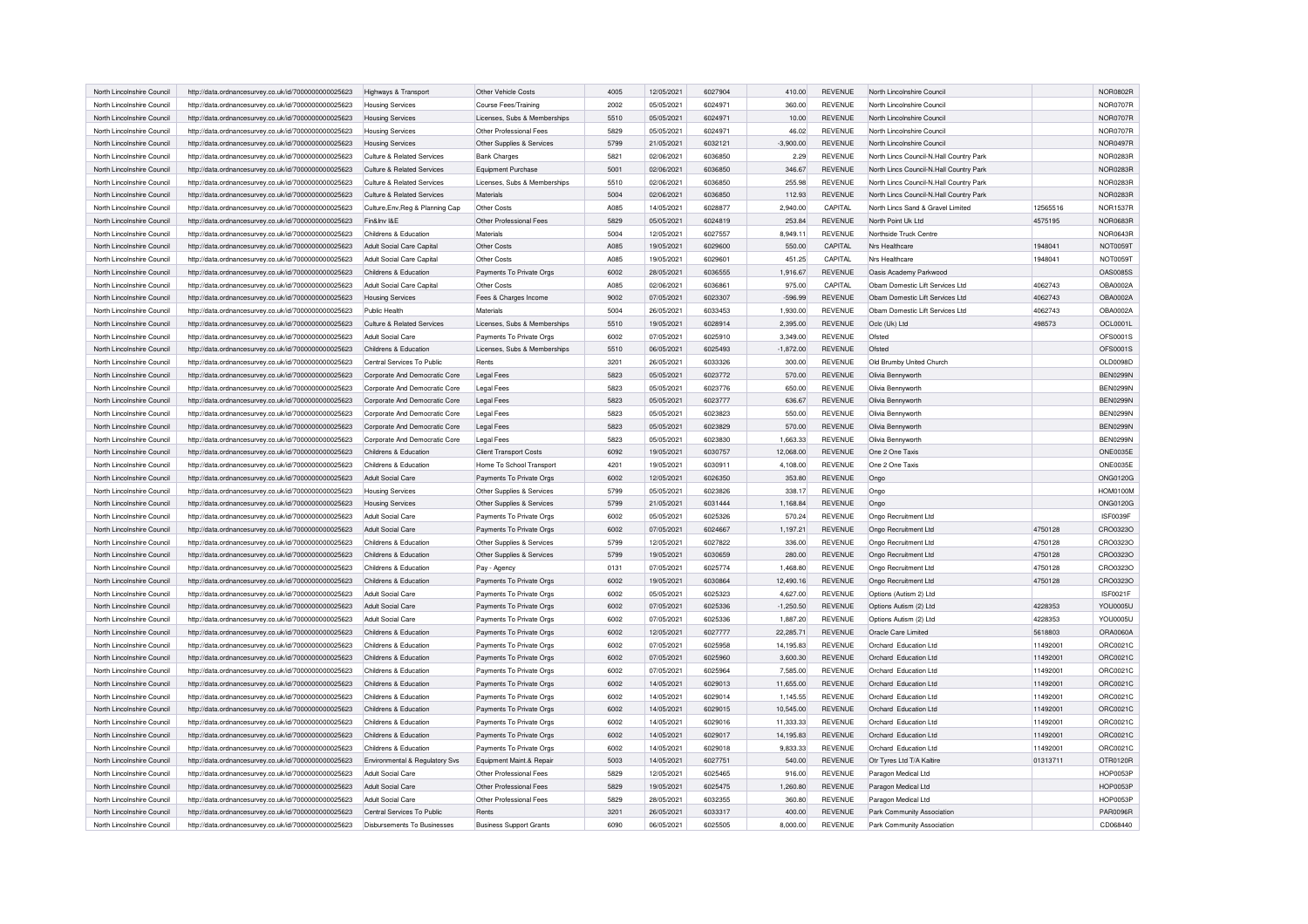| North Lincolnshire Council | http://data.ordnancesurvey.co.uk/id/7000000000025623 | Highways & Transport             | Other Vehicle Costs            | 4005 | 12/05/2021 | 6027904 | 410.00      | <b>REVENUE</b> | North Lincolnshire Council              |          | <b>NOR0802R</b> |
|----------------------------|------------------------------------------------------|----------------------------------|--------------------------------|------|------------|---------|-------------|----------------|-----------------------------------------|----------|-----------------|
| North Lincolnshire Council | http://data.ordnancesurvey.co.uk/id/7000000000025623 | <b>Housing Services</b>          | Course Fees/Training           | 2002 | 05/05/2021 | 6024971 | 360.00      | <b>REVENUE</b> | North Lincolnshire Counci               |          | <b>NOR0707R</b> |
| North Lincolnshire Council | http://data.ordnancesurvey.co.uk/id/7000000000025623 | <b>Housing Services</b>          | Licenses, Subs & Memberships   | 5510 | 05/05/2021 | 6024971 | 10.00       | <b>REVENUE</b> | North Lincolnshire Council              |          | <b>NOR0707R</b> |
| North Lincolnshire Council | http://data.ordnancesurvey.co.uk/id/7000000000025623 | <b>Housing Services</b>          | Other Professional Fees        | 5829 | 05/05/2021 | 6024971 | 46.02       | <b>REVENUE</b> | North Lincolnshire Council              |          | <b>NOR0707R</b> |
| North Lincolnshire Council | http://data.ordnancesurvey.co.uk/id/7000000000025623 | <b>Housing Services</b>          | Other Supplies & Services      | 5799 | 21/05/2021 | 6032121 | $-3,900.00$ | <b>REVENUE</b> | North Lincolnshire Council              |          | <b>NOR0497R</b> |
| North Lincolnshire Council | http://data.ordnancesurvey.co.uk/id/7000000000025623 | Culture & Related Services       | <b>Bank Charges</b>            | 5821 | 02/06/2021 | 6036850 | 2.29        | <b>REVENUE</b> | North Lincs Council-N.Hall Country Park |          | <b>NOR0283R</b> |
| North Lincolnshire Council | http://data.ordnancesurvey.co.uk/id/7000000000025623 | Culture & Related Services       | Equipment Purchase             | 5001 | 02/06/2021 | 6036850 | 346.67      | <b>REVENUE</b> | North Lincs Council-N.Hall Country Park |          | <b>NOR0283F</b> |
| North Lincolnshire Council | http://data.ordnancesurvey.co.uk/id/7000000000025623 | Culture & Related Services       | Licenses, Subs & Memberships   | 5510 | 02/06/2021 | 6036850 | 255.98      | REVENUE        | North Lincs Council-N.Hall Country Park |          | <b>NOR0283R</b> |
| North Lincolnshire Council | http://data.ordnancesurvey.co.uk/id/7000000000025623 | Culture & Related Services       | Materials                      | 5004 | 02/06/2021 | 6036850 | 112.93      | <b>REVENUE</b> | North Lincs Council-N.Hall Country Park |          | <b>NOR0283R</b> |
| North Lincolnshire Council | http://data.ordnancesurvey.co.uk/id/7000000000025623 | Culture, Env, Reg & Planning Cap | Other Costs                    | A085 | 14/05/2021 | 6028877 | 2.940.00    | CAPITAL        | North Lincs Sand & Gravel Limited       | 12565516 | <b>NOR1537R</b> |
| North Lincolnshire Council | http://data.ordnancesurvey.co.uk/id/7000000000025623 | Fin&Inv I&F                      | Other Professional Fees        | 5829 | 05/05/2021 | 6024819 | 253.84      | <b>REVENUE</b> | North Point Uk Ltd                      | 4575195  | <b>NOR0683R</b> |
| North Lincolnshire Council | http://data.ordnancesurvey.co.uk/id/7000000000025623 | Childrens & Education            | Materials                      | 5004 | 12/05/2021 | 6027557 | 8,949.11    | <b>REVENUE</b> | Northside Truck Centre                  |          | <b>NOR0643R</b> |
| North Lincolnshire Council | http://data.ordnancesurvey.co.uk/id/7000000000025623 | Adult Social Care Capital        | Other Costs                    | A085 | 19/05/2021 | 6029600 | 550.00      | CAPITAL        | Nrs Healthcare                          | 1948041  | <b>NOT0059T</b> |
| North Lincolnshire Council | http://data.ordnancesurvey.co.uk/id/7000000000025623 | Adult Social Care Capital        | Other Costs                    | A085 | 19/05/2021 | 6029601 | 451.25      | CAPITAL        | Nrs Healthcare                          | 1948041  | <b>NOT0059T</b> |
| North Lincolnshire Council | http://data.ordnancesurvey.co.uk/id/7000000000025623 | Childrens & Education            | Payments To Private Orgs       | 6002 | 28/05/2021 | 6036555 | 1,916.67    | <b>REVENUE</b> | Oasis Academy Parkwood                  |          | OAS0085S        |
| North Lincolnshire Council | http://data.ordnancesurvey.co.uk/id/7000000000025623 | Adult Social Care Capital        | Other Costs                    | A085 | 02/06/2021 | 6036861 | 975.00      | CAPITAL        | Obam Domestic Lift Services Ltd         | 4062743  | OBA0002A        |
| North Lincolnshire Council | http://data.ordnancesurvey.co.uk/id/7000000000025623 | <b>Housing Services</b>          | Fees & Charges Income          | 9002 | 07/05/2021 | 6023307 | $-596.99$   | <b>REVENUE</b> | Obam Domestic Lift Services Ltd         | 4062743  | <b>OBA0002A</b> |
| North Lincolnshire Council | http://data.ordnancesurvey.co.uk/id/7000000000025623 | Public Health                    | Materials                      | 5004 | 26/05/2021 | 6033453 | 1.930.00    | <b>REVENUE</b> | Oham Domestic Lift Services Ltd         | 4062743  | OBA0002A        |
| North Lincolnshire Council | http://data.ordnancesurvey.co.uk/id/7000000000025623 | Culture & Related Services       | Licenses, Subs & Memberships   | 5510 | 19/05/2021 | 6028914 | 2,395.00    | REVENUE        | Oclc (Uk) Ltd                           | 498573   | OCL0001L        |
| North Lincolnshire Council | http://data.ordnancesurvey.co.uk/id/7000000000025623 | Adult Social Care                | Payments To Private Orgs       | 6002 | 07/05/2021 | 6025910 | 3,349.00    | <b>REVENUE</b> | Ofsted                                  |          | OFS0001S        |
| North Lincolnshire Council | http://data.ordnancesurvey.co.uk/id/7000000000025623 | Childrens & Education            | Licenses, Subs & Memberships   | 5510 | 06/05/2021 | 6025493 | $-1,872.00$ | <b>REVENUE</b> | Ofsted                                  |          | OFS0001S        |
| North Lincolnshire Council | http://data.ordnancesurvey.co.uk/id/7000000000025623 | Central Services To Public       | Rents                          | 3201 | 26/05/2021 | 6033326 | 300.00      | <b>REVENUE</b> | Old Brumby United Church                |          | OLD0098D        |
| North Lincolnshire Council | http://data.ordnancesurvey.co.uk/id/7000000000025623 | Corporate And Democratic Core    | Legal Fees                     | 5823 | 05/05/2021 | 6023772 | 570.00      | <b>REVENUE</b> | Olivia Bennyworth                       |          | <b>BEN0299N</b> |
| North Lincolnshire Council | http://data.ordnancesurvey.co.uk/id/7000000000025623 | Cornorate And Democratic Core    | <b>Legal Fees</b>              | 5823 | 05/05/2021 | 6023776 | 650.00      | <b>REVENUE</b> | Olivia Bennyworth                       |          | <b>BEN0299N</b> |
| North Lincolnshire Council | http://data.ordnancesurvey.co.uk/id/7000000000025623 | Corporate And Democratic Core    | <b>Legal Fees</b>              | 5823 | 05/05/2021 | 6023777 | 636.67      | <b>REVENUE</b> | Olivia Bennyworth                       |          | <b>BEN0299N</b> |
| North Lincolnshire Council | http://data.ordnancesurvey.co.uk/id/7000000000025623 | Corporate And Democratic Core    | Legal Fees                     | 5823 | 05/05/2021 | 6023823 | 550.00      | <b>REVENUE</b> | Olivia Bennyworth                       |          | <b>BEN0299N</b> |
| North Lincolnshire Council | http://data.ordnancesurvey.co.uk/id/7000000000025623 | Corporate And Democratic Core    | <b>Legal Fees</b>              | 5823 | 05/05/2021 | 6023829 | 570.00      | <b>REVENUE</b> | Olivia Bennyworth                       |          | <b>BEN0299N</b> |
| North Lincolnshire Council | http://data.ordnancesurvey.co.uk/id/7000000000025623 | Corporate And Democratic Core    | <b>Legal Fees</b>              | 5823 | 05/05/2021 | 6023830 | 1,663.33    | <b>REVENUE</b> | Olivia Bennyworth                       |          | <b>BEN0299N</b> |
| North Lincolnshire Council | http://data.ordnancesurvey.co.uk/id/7000000000025623 | Childrens & Education            | <b>Client Transport Costs</b>  | 6092 | 19/05/2021 | 6030757 | 12,068.00   | <b>REVENUE</b> | One 2 One Taxis                         |          | ONE0035E        |
| North Lincolnshire Council | http://data.ordnancesurvey.co.uk/id/7000000000025623 | Childrens & Education            | Home To School Transport       | 4201 | 19/05/2021 | 6030911 | 4,108.00    | <b>REVENUE</b> | One 2 One Taxis                         |          | ONE0035E        |
| North Lincolnshire Council | http://data.ordnancesurvey.co.uk/id/7000000000025623 | Adult Social Care                | Payments To Private Orgs       | 6002 | 12/05/2021 | 6026350 | 353.80      | <b>REVENUE</b> | Ongo                                    |          | ONG0120G        |
| North Lincolnshire Council | http://data.ordnancesurvey.co.uk/id/7000000000025623 | <b>Housing Services</b>          | Other Supplies & Services      | 5799 | 05/05/2021 | 6023826 | 338.17      | <b>REVENUE</b> | Ongo                                    |          | <b>HOM0100M</b> |
| North Lincolnshire Council | http://data.ordnancesurvey.co.uk/id/7000000000025623 | <b>Housing Services</b>          | Other Supplies & Services      | 5799 | 21/05/2021 | 6031444 | 1,168.84    | <b>REVENUE</b> | Ongo                                    |          | ONG0120G        |
| North Lincolnshire Council | http://data.ordnancesurvey.co.uk/id/7000000000025623 | Adult Social Care                | Payments To Private Orgs       | 6002 | 05/05/2021 | 6025326 | 570.24      | <b>REVENUE</b> | Ongo Recruitment Ltd                    |          | ISF0039F        |
| North Lincolnshire Council | http://data.ordnancesurvey.co.uk/id/7000000000025623 | Adult Social Care                | Payments To Private Orgs       | 6002 | 07/05/2021 | 6024667 | 1,197.21    | <b>REVENUE</b> | Ongo Recruitment Ltd                    | 4750128  | CRO0323O        |
| North Lincolnshire Council | http://data.ordnancesurvey.co.uk/id/7000000000025623 | Childrens & Education            | Other Supplies & Services      | 5799 | 12/05/2021 | 6027822 | 336.00      | <b>REVENUE</b> | Ongo Recruitment Ltd                    | 4750128  | CRO0323C        |
| North Lincolnshire Council | http://data.ordnancesurvey.co.uk/id/7000000000025623 | Childrens & Education            | Other Supplies & Services      | 5799 | 19/05/2021 | 6030659 | 280.00      | <b>REVENUE</b> | Ongo Recruitment Ltd                    | 4750128  | CRO0323O        |
| North Lincolnshire Council | http://data.ordnancesurvey.co.uk/id/7000000000025623 | Childrens & Education            | Pay - Agency                   | 0131 | 07/05/2021 | 6025774 | 1.468.80    | <b>REVENUE</b> | Ongo Recruitment Ltd                    | 4750128  | CRO0323O        |
| North Lincolnshire Council | http://data.ordnancesurvey.co.uk/id/7000000000025623 | Childrens & Education            | Payments To Private Orgs       | 6002 | 19/05/2021 | 6030864 | 12,490.16   | <b>REVENUE</b> | Ongo Recruitment Ltd                    | 4750128  | CRO0323O        |
| North Lincolnshire Council | http://data.ordnancesurvey.co.uk/id/7000000000025623 | Adult Social Care                | Payments To Private Orgs       | 6002 | 05/05/2021 | 6025323 | 4,627.00    | <b>REVENUE</b> | Options (Autism 2) Ltd                  |          | ISF0021F        |
| North Lincolnshire Council | http://data.ordnancesurvey.co.uk/id/7000000000025623 | <b>Adult Social Care</b>         | Payments To Private Orgs       | 6002 | 07/05/2021 | 6025336 | $-1,250.50$ | <b>REVENUE</b> | Options Autism (2) Ltd                  | 4228353  | <b>YOU0005U</b> |
| North Lincolnshire Council | http://data.ordnancesurvey.co.uk/id/7000000000025623 | Adult Social Care                | Payments To Private Orgs       | 6002 | 07/05/2021 | 6025336 | 1,887.20    | <b>REVENUE</b> | Options Autism (2) Ltd                  | 4228353  | <b>YOU0005U</b> |
| North Lincolnshire Council | http://data.ordnancesurvey.co.uk/id/7000000000025623 | Childrens & Education            | Payments To Private Orgs       | 6002 | 12/05/2021 | 6027777 | 22,285.71   | <b>REVENUE</b> | Oracle Care Limited                     | 5618803  | ORA0060A        |
| North Lincolnshire Council | http://data.ordnancesurvey.co.uk/id/7000000000025623 | Childrens & Education            | Payments To Private Orgs       | 6002 | 07/05/2021 | 6025958 | 14,195.83   | <b>REVENUE</b> | Orchard Education Ltd                   | 11492001 | ORC0021C        |
| North Lincolnshire Council | http://data.ordnancesurvey.co.uk/id/7000000000025623 | Childrens & Education            | Payments To Private Orgs       | 6002 | 07/05/2021 | 6025960 | 3,600.30    | <b>REVENUE</b> | Orchard Education Ltd                   | 11492001 | ORC0021C        |
| North Lincolnshire Council | http://data.ordnancesurvey.co.uk/id/7000000000025623 | Childrens & Education            | Payments To Private Orgs       | 6002 | 07/05/2021 | 6025964 | 7,585.00    | REVENUE        | Orchard Education Ltd                   | 11492001 | ORC0021C        |
| North Lincolnshire Council | http://data.ordnancesurvey.co.uk/id/7000000000025623 | Childrens & Education            | Payments To Private Orgs       | 6002 | 14/05/2021 | 6029013 | 11,655.00   | REVENUE        | Orchard Education Ltd                   | 11492001 | ORC0021C        |
| North Lincolnshire Council | http://data.ordnancesurvey.co.uk/id/7000000000025623 | Childrens & Education            | Payments To Private Orgs       | 6002 | 14/05/2021 | 6029014 | 1,145.55    | <b>REVENUE</b> | Orchard Education Ltd                   | 11492001 | ORC0021C        |
| North Lincolnshire Council | http://data.ordnancesurvey.co.uk/id/7000000000025623 | Childrens & Education            | Payments To Private Orgs       | 6002 | 14/05/2021 | 6029015 | 10,545.00   | <b>REVENUE</b> | Orchard Education Ltd                   | 11492001 | ORC0021C        |
| North Lincolnshire Council | http://data.ordnancesurvey.co.uk/id/7000000000025623 | Childrens & Education            | Payments To Private Orgs       | 6002 | 14/05/2021 | 6029016 | 11,333.33   | <b>REVENUE</b> | Orchard Education Ltd                   | 11492001 | ORC0021C        |
| North Lincolnshire Council | http://data.ordnancesurvey.co.uk/id/7000000000025623 | Childrens & Education            | Payments To Private Orgs       | 6002 | 14/05/2021 | 6029017 | 14,195.83   | <b>REVENUE</b> | Orchard Education Ltd                   | 11492001 | ORC0021C        |
| North Lincolnshire Council | http://data.ordnancesurvey.co.uk/id/7000000000025623 | Childrens & Education            | Payments To Private Orgs       | 6002 | 14/05/2021 | 6029018 | 9,833.33    | <b>REVENUE</b> | Orchard Education Ltd                   | 11492001 | ORC0021C        |
| North Lincolnshire Council | http://data.ordnancesurvey.co.uk/id/7000000000025623 | Environmental & Regulatory Svs   | Equipment Maint.& Repair       | 5003 | 14/05/2021 | 6027751 | 540.00      | <b>REVENUE</b> | Otr Tyres Ltd T/A Kaltire               | 01313711 | OTR0120R        |
| North Lincolnshire Council | http://data.ordnancesurvey.co.uk/id/7000000000025623 | Adult Social Care                | Other Professional Fees        | 5829 | 12/05/2021 | 6025465 | 916.00      | REVENUE        | Paragon Medical Ltd                     |          | <b>HOP0053F</b> |
| North Lincolnshire Council | http://data.ordnancesurvey.co.uk/id/7000000000025623 | <b>Adult Social Care</b>         | Other Professional Fees        | 5829 | 19/05/2021 | 6025475 | 1,260.80    | REVENUE        | Paragon Medical Ltd                     |          | <b>HOP0053F</b> |
| North Lincolnshire Council | http://data.ordnancesurvey.co.uk/id/7000000000025623 | Adult Social Care                | Other Professional Fees        | 5829 | 28/05/2021 | 6032355 | 360.80      | REVENUE        | Paragon Medical Ltd                     |          | <b>HOP0053F</b> |
| North Lincolnshire Council | http://data.ordnancesurvey.co.uk/id/7000000000025623 | Central Services To Public       | Rents                          | 3201 | 26/05/2021 | 6033317 | 400.00      | REVENUE        | Park Community Association              |          | <b>PAR0096R</b> |
| North Lincolnshire Council | http://data.ordnancesurvey.co.uk/id/7000000000025623 | Disbursements To Businesses      | <b>Business Support Grants</b> | 6090 | 06/05/2021 | 6025505 | 8.000.00    | <b>REVENUE</b> | Park Community Association              |          | CD068440        |
|                            |                                                      |                                  |                                |      |            |         |             |                |                                         |          |                 |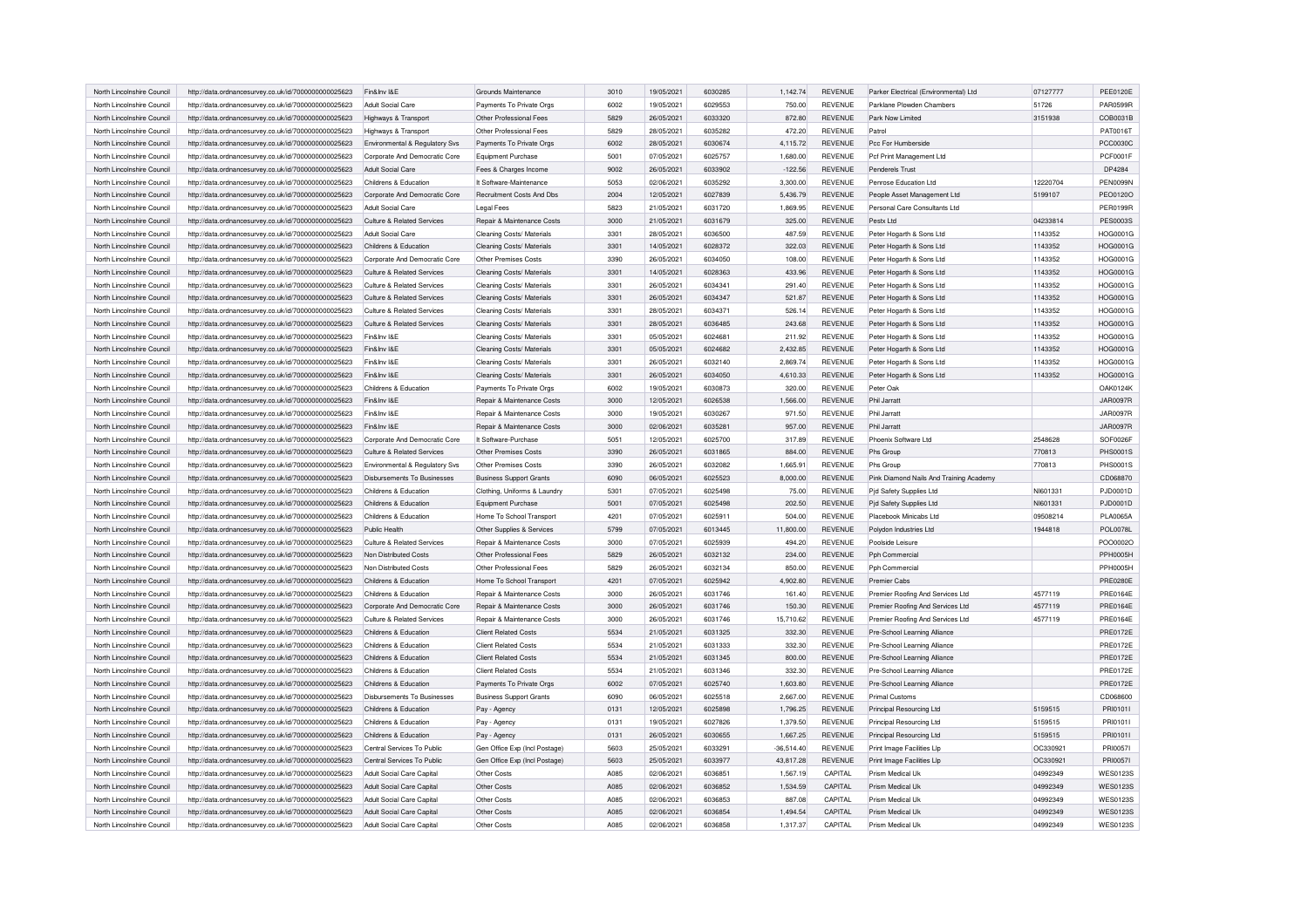| North Lincolnshire Council | http://data.ordnancesurvey.co.uk/id/7000000000025623                                                         | Fin&Inv I&E                    | Grounds Maintenance                   | 3010         | 19/05/2021               | 6030285            | 1,142.74             | <b>REVENUE</b>     | Parker Electrical (Environmental) Ltd                 | 07127777             | <b>PEE0120E</b>                    |
|----------------------------|--------------------------------------------------------------------------------------------------------------|--------------------------------|---------------------------------------|--------------|--------------------------|--------------------|----------------------|--------------------|-------------------------------------------------------|----------------------|------------------------------------|
| North Lincolnshire Council | http://data.ordnancesurvey.co.uk/id/7000000000025623                                                         | Adult Social Care              | Payments To Private Orgs              | 6002         | 19/05/2021               | 6029553            | 750.00               | REVENUE            | Parklane Plowden Chambers                             | 51726                | <b>PAR0599R</b>                    |
| North Lincolnshire Council | http://data.ordnancesurvey.co.uk/id/7000000000025623                                                         | Highways & Transport           | Other Professional Fees               | 5829         | 26/05/2021               | 6033320            | 872.80               | <b>REVENUE</b>     | Park Now Limited                                      | 3151938              | COB0031B                           |
| North Lincolnshire Council | http://data.ordnancesurvey.co.uk/id/7000000000025623                                                         | Highways & Transport           | Other Professional Fees               | 5829         | 28/05/2021               | 6035282            | 472.20               | <b>REVENUE</b>     | Patrol                                                |                      | PAT0016T                           |
| North Lincolnshire Council | http://data.ordnancesurvey.co.uk/id/7000000000025623                                                         | Environmental & Regulatory Sys | Payments To Private Orgs              | 6002         | 28/05/2021               | 6030674            | 4,115.72             | <b>REVENUE</b>     | Pcc For Humberside                                    |                      | <b>PCC0030C</b>                    |
| North Lincolnshire Council | http://data.ordnancesurvey.co.uk/id/7000000000025623                                                         | Corporate And Democratic Core  | Equipment Purchase                    | 5001         | 07/05/2021               | 6025757            | 1.680.00             | <b>REVENUE</b>     | Pcf Print Management Ltd                              |                      | <b>PCF0001F</b>                    |
| North Lincolnshire Council |                                                                                                              |                                |                                       |              |                          | 6033902            |                      |                    |                                                       |                      | DP4284                             |
|                            | http://data.ordnancesurvey.co.uk/id/7000000000025623                                                         | Adult Social Care              | Fees & Charges Income                 | 9002         | 26/05/2021               |                    | $-122.56$            | <b>REVENUE</b>     | Penderels Trust                                       |                      |                                    |
| North Lincolnshire Council | http://data.ordnancesurvey.co.uk/id/7000000000025623                                                         | Childrens & Education          | It Software-Maintenance               | 5053         | 02/06/2021               | 6035292            | 3,300.00             | <b>REVENUE</b>     | Penrose Education Ltd                                 | 12220704             | <b>PEN0099N</b>                    |
| North Lincolnshire Council | http://data.ordnancesurvey.co.uk/id/7000000000025623                                                         | Corporate And Democratic Core  | Recruitment Costs And Dbs             | 2004         | 12/05/2021               | 6027839            | 5,436.79             | <b>REVENUE</b>     | People Asset Management Ltd                           | 5199107              | PEO0120O                           |
| North Lincolnshire Council | http://data.ordnancesurvey.co.uk/id/7000000000025623                                                         | Adult Social Care              | <b>Legal Fees</b>                     | 5823         | 21/05/2021               | 6031720            | 1,869.95             | <b>REVENUE</b>     | Personal Care Consultants Ltd                         |                      | <b>PER0199R</b>                    |
| North Lincolnshire Council | http://data.ordnancesurvey.co.uk/id/7000000000025623                                                         | Culture & Related Services     | Repair & Maintenance Costs            | 3000         | 21/05/2021               | 6031679            | 325.00               | <b>REVENUE</b>     | Pestx Ltd                                             | 04233814             | <b>PES0003S</b>                    |
| North Lincolnshire Council | http://data.ordnancesurvey.co.uk/id/7000000000025623                                                         | Adult Social Care              | Cleaning Costs/ Materials             | 3301         | 28/05/2021               | 6036500            | 487.59               | <b>REVENUE</b>     | Peter Hogarth & Sons Ltd                              | 1143352              | HOG0001G                           |
| North Lincolnshire Council | http://data.ordnancesurvey.co.uk/id/7000000000025623                                                         | Childrens & Education          | Cleaning Costs/ Materials             | 3301         | 14/05/2021               | 6028372            | 322.03               | <b>REVENUE</b>     | Peter Hogarth & Sons Ltd                              | 1143352              | HOG0001G                           |
| North Lincolnshire Council | http://data.ordnancesurvey.co.uk/id/7000000000025623                                                         | Corporate And Democratic Core  | Other Premises Costs                  | 3390         | 26/05/2021               | 6034050            | 108.00               | <b>REVENUE</b>     | Peter Hogarth & Sons Ltd                              | 1143352              | HOG0001G                           |
| North Lincolnshire Council | http://data.ordnancesurvey.co.uk/id/7000000000025623                                                         | Culture & Related Services     | Cleaning Costs/ Materials             | 3301         | 14/05/2021               | 6028363            | 433.96               | <b>REVENUE</b>     | Peter Hogarth & Sons Ltd                              | 1143352              | HOG0001G                           |
| North Lincolnshire Council | http://data.ordnancesurvey.co.uk/id/7000000000025623                                                         | Culture & Related Services     | Cleaning Costs/ Materials             | 3301         | 26/05/2021               | 6034341            | 291.40               | <b>REVENUE</b>     | Peter Hogarth & Sons Ltd                              | 1143352              | HOG0001G                           |
| North Lincolnshire Council | http://data.ordnancesurvey.co.uk/id/7000000000025623                                                         | Culture & Related Services     | Cleaning Costs/ Materials             | 3301         | 26/05/2021               | 6034347            | 521.87               | <b>REVENUE</b>     | Peter Hogarth & Sons Ltd                              | 1143352              | HOG0001G                           |
| North Lincolnshire Council | http://data.ordnancesurvey.co.uk/id/7000000000025623                                                         | Culture & Related Services     | Cleaning Costs/ Materials             | 3301         | 28/05/2021               | 6034371            | 526.14               | <b>REVENUE</b>     | Peter Hogarth & Sons Ltd                              | 1143352              | HOG0001G                           |
| North Lincolnshire Council | http://data.ordnancesurvey.co.uk/id/7000000000025623                                                         | Culture & Related Services     | Cleaning Costs/ Materials             | 3301         | 28/05/2021               | 6036485            | 243.68               | <b>REVENUE</b>     | Peter Hogarth & Sons Ltd                              | 1143352              | HOG0001G                           |
| North Lincolnshire Council |                                                                                                              | Fin&Inv I&F                    |                                       | 3301         | 05/05/2021               | 6024681            |                      | <b>REVENUE</b>     |                                                       | 1143352              | HOG0001G                           |
|                            | http://data.ordnancesurvey.co.uk/id/7000000000025623                                                         |                                | Cleaning Costs/ Materials             |              |                          |                    | 211.92               |                    | Peter Hogarth & Sons Ltd                              |                      |                                    |
| North Lincolnshire Council | http://data.ordnancesurvey.co.uk/id/7000000000025623                                                         | Fin&Inv I&E                    | Cleaning Costs/ Materials             | 3301         | 05/05/2021               | 6024682            | 2,432.85             | <b>REVENUE</b>     | Peter Hogarth & Sons Ltd                              | 1143352              | HOG0001G                           |
| North Lincolnshire Council | http://data.ordnancesurvey.co.uk/id/7000000000025623                                                         | Fin&Inv I&E                    | Cleaning Costs/ Materials             | 3301         | 26/05/2021               | 6032140            | 2,869.74             | <b>REVENUE</b>     | Peter Hogarth & Sons Ltd                              | 1143352              | HOG0001G                           |
| North Lincolnshire Council | http://data.ordnancesurvey.co.uk/id/7000000000025623                                                         | Fin&Inv I&E                    | Cleaning Costs/ Materials             | 3301         | 26/05/2021               | 6034050            | 4,610.33             | <b>REVENUE</b>     | Peter Hogarth & Sons Ltd                              | 1143352              | HOG0001G                           |
| North Lincolnshire Council | http://data.ordnancesurvey.co.uk/id/7000000000025623                                                         | Childrens & Education          | Payments To Private Orgs              | 6002         | 19/05/2021               | 6030873            | 320.00               | <b>REVENUE</b>     | Peter Oak                                             |                      | <b>OAK0124K</b>                    |
| North Lincolnshire Council | http://data.ordnancesurvey.co.uk/id/7000000000025623                                                         | Fin&Inv I&E                    | Repair & Maintenance Costs            | 3000         | 12/05/2021               | 6026538            | 1,566.00             | <b>REVENUE</b>     | Phil Jarratt                                          |                      | <b>JAR0097R</b>                    |
| North Lincolnshire Council | http://data.ordnancesurvey.co.uk/id/7000000000025623                                                         | Fin&Inv I&E                    | <b>Benair &amp; Maintenance Costs</b> | 3000         | 19/05/2021               | 6030267            | 971.50               | <b>REVENUE</b>     | Phil Jarratt                                          |                      | <b>JAR0097R</b>                    |
| North Lincolnshire Council | http://data.ordnancesurvey.co.uk/id/7000000000025623                                                         | Fin&Inv I&E                    | Repair & Maintenance Costs            | 3000         | 02/06/2021               | 6035281            | 957.00               | <b>REVENUE</b>     | Phil Jarratt                                          |                      | <b>JAR0097R</b>                    |
| North Lincolnshire Council | http://data.ordnancesurvey.co.uk/id/7000000000025623                                                         | Corporate And Democratic Core  | It Software-Purchase                  | 5051         | 12/05/2021               | 6025700            | 317.89               | <b>REVENUE</b>     | Phoenix Software Ltd                                  | 2548628              | SOF0026F                           |
| North Lincolnshire Council | http://data.ordnancesurvey.co.uk/id/7000000000025623                                                         | Culture & Related Services     | <b>Other Premises Costs</b>           | 3390         | 26/05/2021               | 6031865            | 884.00               | <b>REVENUE</b>     | Phs Group                                             | 770813               | <b>PHS0001S</b>                    |
|                            |                                                                                                              |                                |                                       |              |                          |                    |                      |                    |                                                       |                      |                                    |
| North Lincolnshire Council | http://data.ordnancesurvey.co.uk/id/7000000000025623                                                         | Environmental & Regulatory Svs | Other Premises Costs                  | 3390         | 26/05/2021               | 6032082            | 1,665.91             | <b>REVENUE</b>     | Phs Group                                             | 770813               | PHS0001S                           |
| North Lincolnshire Council |                                                                                                              | Disbursements To Businesses    |                                       | 6090         | 06/05/2021               | 6025523            | 8,000.00             | <b>REVENUE</b>     |                                                       |                      | CD068870                           |
| North Lincolnshire Council | http://data.ordnancesurvey.co.uk/id/7000000000025623                                                         | Childrens & Education          | <b>Business Support Grants</b>        |              |                          |                    |                      |                    | Pink Diamond Nails And Training Academy               |                      |                                    |
|                            | http://data.ordnancesurvey.co.uk/id/7000000000025623                                                         |                                | Clothing, Uniforms & Laundry          | 5301         | 07/05/2021               | 6025498            | 75.00                | <b>REVENUE</b>     | Pid Safety Supplies Ltd                               | NI601331             | PJD0001D                           |
| North Lincolnshire Council | http://data.ordnancesurvey.co.uk/id/7000000000025623                                                         | Childrens & Education          | <b>Equipment Purchase</b>             | 5001         | 07/05/2021               | 6025498            | 202.50               | <b>REVENUE</b>     | Pjd Safety Supplies Ltd                               | NI601331             | PJD0001D                           |
| North Lincolnshire Council | http://data.ordnancesurvey.co.uk/id/7000000000025623                                                         | Childrens & Education          | Home To School Transport              | 4201         | 07/05/2021               | 6025911            | 504.00               | <b>REVENUE</b>     | Placebook Minicabs Ltd                                | 09508214             | <b>PLA0065A</b>                    |
| North Lincolnshire Council | http://data.ordnancesurvey.co.uk/id/7000000000025623                                                         | Public Health                  | Other Supplies & Services             | 5799         | 07/05/2021               | 6013445            | 11,800.00            | <b>REVENUE</b>     | Polydon Industries Ltd                                | 1944818              | <b>POL0078L</b>                    |
| North Lincolnshire Council | http://data.ordnancesurvey.co.uk/id/7000000000025623                                                         | Culture & Related Services     | Repair & Maintenance Costs            | 3000         | 07/05/2021               | 6025939            | 494.20               | REVENUE            | Poolside Leisure                                      |                      | POO0002C                           |
| North Lincolnshire Council | http://data.ordnancesurvey.co.uk/id/7000000000025623                                                         | Non Distributed Costs          | Other Professional Fees               | 5829         | 26/05/2021               | 6032132            | 234.00               | <b>REVENUE</b>     | Pph Commercial                                        |                      | <b>PPH0005H</b>                    |
| North Lincolnshire Council | http://data.ordnancesurvey.co.uk/id/7000000000025623                                                         | Non Distributed Costs          | Other Professional Fees               | 5829         | 26/05/2021               | 6032134            | 850.00               | REVENUE            | Pph Commercial                                        |                      | <b>PPH0005H</b>                    |
| North Lincolnshire Council | http://data.ordnancesurvey.co.uk/id/7000000000025623                                                         | Childrens & Education          | Home To School Transport              | 4201         | 07/05/2021               | 6025942            | 4,902.80             | REVENUE            | <b>Premier Cabs</b>                                   |                      | <b>PRE0280E</b>                    |
| North Lincolnshire Council | http://data.ordnancesurvey.co.uk/id/7000000000025623                                                         | Childrens & Education          | <b>Benair &amp; Maintenance Costs</b> | 3000         | 26/05/2021               | 6031746            | 161.40               | <b>REVENUE</b>     | Premier Roofing And Services Ltd                      | 4577119              | <b>PRE0164E</b>                    |
| North Lincolnshire Council | http://data.ordnancesurvey.co.uk/id/7000000000025623                                                         | Corporate And Democratic Core  | Repair & Maintenance Costs            | 3000         | 26/05/2021               | 6031746            | 150.30               | REVENUE            | Premier Roofing And Services Ltd                      | 4577119              | PRE0164E                           |
| North Lincolnshire Council | http://data.ordnancesurvey.co.uk/id/7000000000025623                                                         | Culture & Related Services     | Repair & Maintenance Costs            | 3000         | 26/05/2021               | 6031746            | 15,710.62            | REVENUE            | Premier Roofing And Services Ltd                      | 4577119              | <b>PRE0164E</b>                    |
| North Lincolnshire Council | http://data.ordnancesurvey.co.uk/id/7000000000025623                                                         | Childrens & Education          | <b>Client Related Costs</b>           | 5534         | 21/05/2021               | 6031325            | 332.30               | REVENUE            | Pre-School Learning Alliance                          |                      | PRE0172E                           |
| North Lincolnshire Council | http://data.ordnancesurvey.co.uk/id/7000000000025623                                                         | Childrens & Education          | <b>Client Related Costs</b>           | 5534         | 21/05/2021               | 6031333            | 332.30               | REVENUE            | Pre-School Learning Alliance                          |                      | <b>PRE0172E</b>                    |
| North Lincolnshire Council | http://data.ordnancesurvey.co.uk/id/7000000000025623                                                         | Childrens & Education          | <b>Client Related Costs</b>           | 5534         | 21/05/2021               | 6031345            | 800.00               | REVENUE            | Pre-School Learning Alliance                          |                      | <b>PRE0172E</b>                    |
| North Lincolnshire Council | http://data.ordnancesurvey.co.uk/id/7000000000025623                                                         | Childrens & Education          | <b>Client Related Costs</b>           | 5534         | 21/05/2021               | 6031346            | 332.30               | <b>REVENUE</b>     | Pre-School Learning Alliance                          |                      | <b>PRE0172E</b>                    |
| North Lincolnshire Council |                                                                                                              | Childrens & Education          |                                       |              |                          | 6025740            |                      |                    |                                                       |                      |                                    |
| North Lincolnshire Council | http://data.ordnancesurvey.co.uk/id/7000000000025623                                                         |                                | Payments To Private Orgs              | 6002<br>6090 | 07/05/2021               | 6025518            | 1,603.80             | REVENUE            | Pre-School Learning Alliance<br><b>Primal Customs</b> |                      | <b>PRE0172E</b>                    |
|                            | http://data.ordnancesurvey.co.uk/id/7000000000025623                                                         | Disbursements To Businesses    | <b>Business Support Grants</b>        |              | 06/05/2021               |                    | 2,667.00             | REVENUE            |                                                       |                      | CD068600                           |
| North Lincolnshire Council | http://data.ordnancesurvey.co.uk/id/7000000000025623                                                         | Childrens & Education          | Pay - Agency                          | 0131         | 12/05/2021               | 6025898            | 1,796.25             | REVENUE            | Principal Resourcing Ltd                              | 5159515              | PRI01011                           |
| North Lincolnshire Council | http://data.ordnancesurvey.co.uk/id/7000000000025623                                                         | Childrens & Education          | Pay - Agency                          | 0131         | 19/05/2021               | 6027826            | 1,379.50             | REVENUE            | Principal Resourcing Ltd                              | 5159515              | PRI01011                           |
| North Lincolnshire Council | http://data.ordnancesurvey.co.uk/id/7000000000025623                                                         | Childrens & Education          | Pay - Agency                          | 0131         | 26/05/2021               | 6030655            | 1,667.25             | REVENUE            | Principal Resourcing Ltd                              | 5159515              | PRI01011                           |
| North Lincolnshire Council | http://data.ordnancesurvey.co.uk/id/7000000000025623                                                         | Central Services To Public     | Gen Office Exp (Incl Postage)         | 5603         | 25/05/2021               | 6033291            | $-36,514.40$         | REVENUE            | Print Image Facilities Llp                            | OC330921             | PRI0057I                           |
| North Lincolnshire Council | http://data.ordnancesurvey.co.uk/id/7000000000025623                                                         | Central Services To Public     | Gen Office Exp (Incl Postage)         | 5603         | 25/05/2021               | 6033977            | 43,817.28            | REVENUE            | Print Image Facilities Llp                            | OC330921             | PRI00571                           |
| North Lincolnshire Council | http://data.ordnancesurvey.co.uk/id/7000000000025623                                                         | Adult Social Care Capital      | Other Costs                           | A085         | 02/06/2021               | 6036851            | 1.567.19             | CAPITAL            | Prism Medical Uk                                      | 04992349             | <b>WES0123S</b>                    |
| North Lincolnshire Council | http://data.ordnancesurvey.co.uk/id/7000000000025623                                                         | Adult Social Care Capital      | Other Costs                           | A085         | 02/06/2021               | 6036852            | 1,534.59             | CAPITAL            | Prism Medical Uk                                      | 04992349             | <b>WES0123S</b>                    |
| North Lincolnshire Council | http://data.ordnancesurvey.co.uk/id/7000000000025623                                                         | Adult Social Care Capital      | Other Costs                           | A085         | 02/06/2021               | 6036853            | 887.08               | CAPITAL            | Prism Medical Uk                                      | 04992349             | <b>WES01239</b>                    |
| North Lincolnshire Council | http://data.ordnancesurvey.co.uk/id/7000000000025623<br>http://data.ordnancesurvey.co.uk/id/7000000000025623 | Adult Social Care Capital      | Other Costs                           | A085<br>A085 | 02/06/2021<br>02/06/2021 | 6036854<br>6036858 | 1,494.54<br>1,317.37 | CAPITAL<br>CAPITAL | Prism Medical Uk                                      | 04992349<br>04992349 | <b>WES0123S</b><br><b>WES0123S</b> |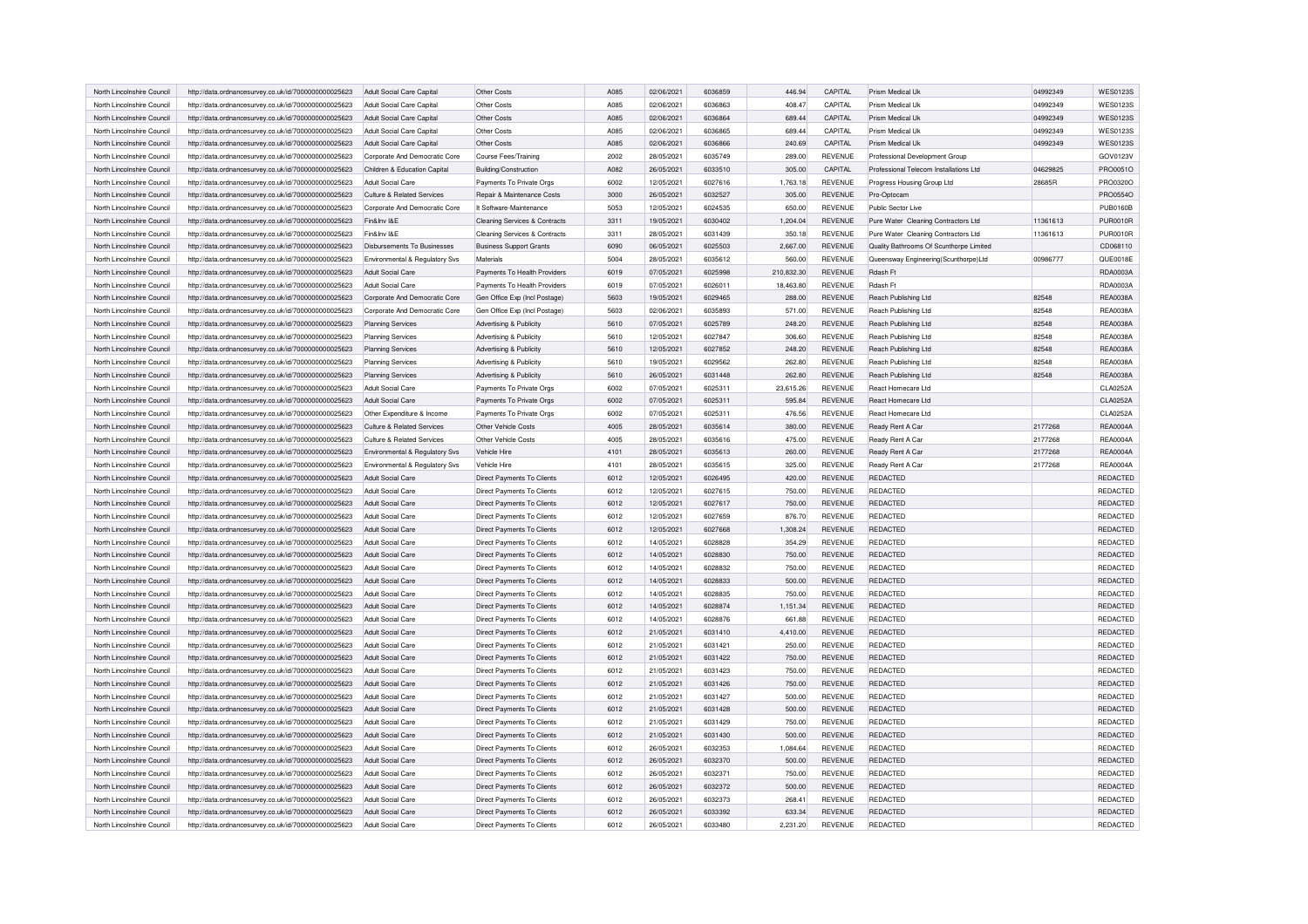| North Lincolnshire Council<br>http://data.ordnancesurvey.co.uk/id/7000000000025623<br>Adult Social Care Capital<br>Other Costs<br>A085<br>02/06/2021<br>6036863<br>408.47<br>CAPITAL<br>Prism Medical Uk<br>04992349<br>North Lincolnshire Council<br>http://data.ordnancesurvey.co.uk/id/7000000000025623<br>Adult Social Care Capital<br>Other Costs<br>A085<br>02/06/2021<br>6036864<br>689.44<br>CAPITAL<br>Prism Medical Uk<br>04992349<br>Other Costs<br>A085<br>02/06/2021<br>6036865<br>CAPITAL<br>Prism Medical Uk<br>04992349<br>North Lincolnshire Council<br>http://data.ordnancesurvey.co.uk/id/7000000000025623<br>Adult Social Care Capital<br>689.44<br>North Lincolnshire Council<br>http://data.ordnancesurvey.co.uk/id/7000000000025623<br>Adult Social Care Capital<br>Other Costs<br>A085<br>02/06/2021<br>6036866<br>240.69<br>CAPITAL<br>Prism Medical Uk<br>04992349<br>North Lincolnshire Council<br>2002<br>28/05/2021<br>6035749<br>289.00<br><b>REVENUE</b><br>http://data.ordnancesurvey.co.uk/id/7000000000025623<br>Corporate And Democratic Core<br>Course Fees/Training<br>Professional Development Group<br>North Lincolnshire Council<br>Children & Education Capital<br>Building/Construction<br>A082<br>26/05/2021<br>6033510<br>CAPITAL<br>Professional Telecom Installations Ltd<br>04629825<br>http://data.ordnancesurvey.co.uk/id/7000000000025623<br>305.00<br>North Lincolnshire Council<br>http://data.ordnancesurvey.co.uk/id/7000000000025623<br>Adult Social Care<br>Payments To Private Orgs<br>6002<br>12/05/2021<br>6027616<br>1,763.18<br><b>REVENUE</b><br>Progress Housing Group Ltd<br>28685R<br>North Lincolnshire Council<br>http://data.ordnancesurvey.co.uk/id/7000000000025623<br>Culture & Related Services<br>Repair & Maintenance Costs<br>3000<br>26/05/2021<br>6032527<br>305.00<br><b>REVENUE</b><br>Pro-Optocam<br>North Lincolnshire Council<br>It Software-Maintenance<br>5053<br>12/05/2021<br>6024535<br><b>REVENUE</b><br>Public Sector Live<br>http://data.ordnancesurvey.co.uk/id/7000000000025623<br>Corporate And Democratic Core<br>650.00<br>North Lincolnshire Council<br>http://data.ordnancesurvey.co.uk/id/7000000000025623<br>Fin&Inv I&F<br><b>Cleaning Services &amp; Contracts</b><br>3311<br>19/05/2021<br>6030402<br>1,204.04<br><b>REVENUE</b><br>Pure Water Cleaning Contractors Ltd<br>11361613<br>North Lincolnshire Council<br>Fin&Inv I&E<br>3311<br>28/05/2021<br>6031439<br>350.18<br><b>REVENUE</b><br>11361613<br>http://data.ordnancesurvey.co.uk/id/7000000000025623<br><b>Cleaning Services &amp; Contracts</b><br>Pure Water Cleaning Contractors Ltd<br><b>REVENUE</b><br>North Lincolnshire Council<br>Disbursements To Businesses<br><b>Business Support Grants</b><br>6090<br>06/05/2021<br>6025503<br>2,667.00<br>http://data.ordnancesurvey.co.uk/id/7000000000025623<br>Quality Bathrooms Of Scunthorpe Limited<br>5004<br>28/05/2021<br><b>REVENUE</b><br>00986777<br>North Lincolnshire Council<br>Environmental & Regulatory Svs<br><b>Materials</b><br>6035612<br>560.00<br>Queensway Engineering(Scunthorpe)Ltd<br>http://data.ordnancesurvey.co.uk/id/7000000000025623<br>6019<br>07/05/2021<br>210,832.30<br><b>REVENUE</b><br>Rdash Ft<br>North Lincolnshire Council<br>http://data.ordnancesurvey.co.uk/id/7000000000025623<br>Adult Social Care<br>Payments To Health Providers<br>6025998<br>North Lincolnshire Council<br>http://data.ordnancesurvey.co.uk/id/7000000000025623<br>Adult Social Care<br>Payments To Health Providers<br>6019<br>07/05/2021<br>6026011<br>18,463.80<br><b>REVENUE</b><br>Rdash Ft<br>North Lincolnshire Council<br>http://data.ordnancesurvey.co.uk/id/7000000000025623<br>Corporate And Democratic Core<br>Gen Office Exp (Incl Postage)<br>5603<br>19/05/2021<br>6029465<br><b>REVENUE</b><br>Reach Publishing Ltd<br>82548<br>288.00<br>5603<br>6035893<br>82548<br>North Lincolnshire Council<br>http://data.ordnancesurvey.co.uk/id/7000000000025623<br>Corporate And Democratic Core<br>Gen Office Exp (Incl Postage)<br>02/06/2021<br>571.00<br><b>REVENUE</b><br>Reach Publishing Ltd<br>North Lincolnshire Council<br>http://data.ordnancesurvey.co.uk/id/7000000000025623<br>Advertising & Publicity<br>5610<br>07/05/2021<br>6025789<br>248.20<br><b>REVENUE</b><br>Reach Publishing Ltd<br>82548<br>Planning Services<br>5610<br>12/05/2021<br>6027847<br><b>REVENUE</b><br>North Lincolnshire Council<br>Advertising & Publicity<br>306.60<br>Reach Publishing Ltd<br>82548<br>http://data.ordnancesurvey.co.uk/id/7000000000025623<br><b>Planning Services</b><br>5610<br>12/05/2021<br>6027852<br>82548<br>North Lincolnshire Council<br>http://data.ordnancesurvey.co.uk/id/7000000000025623<br><b>Planning Services</b><br>Advertising & Publicity<br>248.20<br><b>REVENUE</b><br>Reach Publishing Ltd<br>North Lincolnshire Council<br>http://data.ordnancesurvey.co.uk/id/7000000000025623<br><b>Planning Services</b><br>Advertising & Publicity<br>5610<br>19/05/2021<br>6029562<br>262.80<br><b>REVENUE</b><br>Reach Publishing Ltd<br>82548<br>North Lincolnshire Council<br>http://data.ordnancesurvey.co.uk/id/7000000000025623<br>Advertising & Publicity<br>5610<br>26/05/2021<br>6031448<br>262.80<br><b>REVENUE</b><br>Reach Publishing Ltd<br>82548<br><b>Planning Services</b><br>07/05/2021<br>6025311<br>North Lincolnshire Council<br>http://data.ordnancesurvey.co.uk/id/7000000000025623<br>Adult Social Care<br>Payments To Private Orgs<br>6002<br>23,615.26<br><b>REVENUE</b><br><b>React Homecare Ltd</b><br>North Lincolnshire Council<br>http://data.ordnancesurvey.co.uk/id/7000000000025623<br>Adult Social Care<br>Payments To Private Orgs<br>6002<br>07/05/2021<br>6025311<br>595.84<br><b>REVENUE</b><br>React Homecare Ltd<br>North Lincolnshire Council<br>6002<br>07/05/2021<br>6025311<br>476.56<br><b>REVENUE</b><br>http://data.ordnancesurvey.co.uk/id/7000000000025623<br>Other Expenditure & Income<br>Payments To Private Orgs<br><b>React Homecare Ltd</b><br>Other Vehicle Costs<br>4005<br>28/05/2021<br>6035614<br>380.00<br><b>REVENUE</b><br>2177268<br>North Lincolnshire Council<br>http://data.ordnancesurvey.co.uk/id/7000000000025623<br>Culture & Related Services<br>Ready Rent A Car<br>4005<br>28/05/2021<br>2177268<br>North Lincolnshire Council<br>Other Vehicle Costs<br>6035616<br>475.00<br><b>REVENUE</b><br>Ready Rent A Car<br>http://data.ordnancesurvey.co.uk/id/7000000000025623<br>Culture & Related Services<br>4101<br>2177268<br>North Lincolnshire Council<br>http://data.ordnancesurvey.co.uk/id/7000000000025623<br>Environmental & Regulatory Svs<br>Vehicle Hire<br>28/05/2021<br>6035613<br>260.00<br>REVENUE<br>Ready Rent A Car<br>North Lincolnshire Council<br>http://data.ordnancesurvey.co.uk/id/7000000000025623<br>Environmental & Regulatory Svs<br>Vehicle Hire<br>4101<br>28/05/2021<br>6035615<br>325.00<br><b>REVENUE</b><br>Ready Rent A Car<br>2177268<br>North Lincolnshire Council<br>Direct Payments To Clients<br>6012<br>12/05/2021<br>6026495<br>420.00<br><b>REVENUE</b><br><b>REDACTED</b><br>http://data.ordnancesurvey.co.uk/id/7000000000025623<br>Adult Social Care<br>Adult Social Care<br>6012<br>12/05/2021<br>6027615<br>750.00<br><b>REVENUE</b><br>REDACTED<br>North Lincolnshire Council<br>http://data.ordnancesurvey.co.uk/id/7000000000025623<br>Direct Payments To Clients<br>Direct Payments To Clients<br>6012<br>12/05/2021<br>6027617<br><b>REVENUE</b><br><b>REDACTED</b><br>North Lincolnshire Council<br>http://data.ordnancesurvey.co.uk/id/7000000000025623<br>Adult Social Care<br>750.00<br>12/05/2021<br>6027659<br>REDACTED<br>North Lincolnshire Council<br>Adult Social Care<br>Direct Payments To Clients<br>6012<br>876.70<br><b>REVENUE</b><br>http://data.ordnancesurvey.co.uk/id/7000000000025623<br>6012<br>12/05/2021<br>REDACTED<br>North Lincolnshire Council<br>http://data.ordnancesurvey.co.uk/id/7000000000025623<br>Adult Social Care<br>Direct Payments To Clients<br>6027668<br>1,308.24<br><b>REVENUE</b><br>North Lincolnshire Council<br>http://data.ordnancesurvey.co.uk/id/7000000000025623<br>Adult Social Care<br><b>Direct Payments To Clients</b><br>6012<br>14/05/2021<br>6028828<br>354.29<br><b>REVENUE</b><br><b>REDACTED</b><br>North Lincolnshire Council<br>http://data.ordnancesurvey.co.uk/id/7000000000025623<br><b>Adult Social Care</b><br>Direct Payments To Clients<br>6012<br>14/05/2021<br>6028830<br>750.00<br><b>REVENUE</b><br><b>REDACTED</b><br>14/05/2021<br>REDACTED<br>North Lincolnshire Council<br>http://data.ordnancesurvey.co.uk/id/7000000000025623<br>Adult Social Care<br><b>Direct Payments To Clients</b><br>6012<br>6028832<br>750.00<br><b>REVENUE</b><br>North Lincolnshire Council<br>http://data.ordnancesurvey.co.uk/id/7000000000025623<br>Adult Social Care<br>Direct Payments To Clients<br>6012<br>14/05/2021<br>6028833<br>500.00<br><b>REVENUE</b><br><b>REDACTED</b><br>Direct Payments To Clients<br>6012<br>14/05/2021<br>6028835<br>750.00<br><b>REVENUE</b><br>REDACTED<br>North Lincolnshire Council<br>http://data.ordnancesurvey.co.uk/id/7000000000025623<br>Adult Social Care<br>6012<br>14/05/2021<br>6028874<br>1,151.34<br><b>REVENUE</b><br>REDACTED<br>North Lincolnshire Council<br>http://data.ordnancesurvey.co.uk/id/7000000000025623<br>Adult Social Care<br>Direct Payments To Clients<br>6012<br>14/05/2021<br>REDACTED<br>North Lincolnshire Council<br>Adult Social Care<br>Direct Payments To Clients<br>6028876<br>661.88<br><b>REVENUE</b><br>http://data.ordnancesurvey.co.uk/id/7000000000025623<br>6012<br>REDACTED<br>North Lincolnshire Council<br>http://data.ordnancesurvey.co.uk/id/7000000000025623<br>Adult Social Care<br>Direct Payments To Clients<br>21/05/2021<br>6031410<br>4,410.00<br>REVENUE<br>REDACTED<br>North Lincolnshire Council<br>http://data.ordnancesurvey.co.uk/id/7000000000025623<br>Adult Social Care<br><b>Direct Payments To Clients</b><br>6012<br>21/05/2021<br>6031421<br>250.00<br><b>REVENUE</b><br>North Lincolnshire Council<br>http://data.ordnancesurvey.co.uk/id/7000000000025623<br>Adult Social Care<br><b>Direct Payments To Clients</b><br>6012<br>21/05/2021<br>6031422<br>750.00<br><b>REVENUE</b><br><b>REDACTED</b><br>6012<br>21/05/2021<br>6031423<br>750.00<br><b>REVENUE</b><br>REDACTED<br>North Lincolnshire Council<br>http://data.ordnancesurvey.co.uk/id/7000000000025623<br>Adult Social Care<br>Direct Payments To Clients<br>Direct Payments To Clients<br>6012<br>21/05/2021<br>6031426<br>750.00<br><b>REVENUE</b><br>REDACTED<br>North Lincolnshire Council<br>http://data.ordnancesurvey.co.uk/id/7000000000025623<br>Adult Social Care<br>6012<br>21/05/2021<br>6031427<br>500.00<br><b>REVENUE</b><br><b>REDACTED</b><br>North Lincolnshire Council<br>http://data.ordnancesurvey.co.uk/id/7000000000025623<br>Adult Social Care<br>Direct Payments To Clients<br>REDACTED<br>North Lincolnshire Council<br>http://data.ordnancesurvey.co.uk/id/7000000000025623<br>Adult Social Care<br>Direct Payments To Clients<br>6012<br>21/05/2021<br>6031428<br>500.00<br>REVENUE<br>North Lincolnshire Council<br>http://data.ordnancesurvey.co.uk/id/7000000000025623<br>Adult Social Care<br><b>Direct Payments To Clients</b><br>6012<br>21/05/2021<br>6031429<br>750.00<br><b>REVENUE</b><br><b>REDACTED</b><br>North Lincolnshire Council<br>Adult Social Care<br>Direct Payments To Clients<br>6012<br>21/05/2021<br>6031430<br>500.00<br><b>REVENUE</b><br><b>REDACTED</b><br>http://data.ordnancesurvey.co.uk/id/7000000000025623<br>26/05/2021<br>6032353<br>REDACTED<br>North Lincolnshire Council<br>http://data.ordnancesurvey.co.uk/id/7000000000025623<br>Adult Social Care<br><b>Direct Payments To Clients</b><br>6012<br>1,084.64<br><b>REVENUE</b><br>North Lincolnshire Council<br>http://data.ordnancesurvey.co.uk/id/7000000000025623<br>Adult Social Care<br>Direct Payments To Clients<br>6012<br>26/05/2021<br>6032370<br>500.00<br><b>REVENUE</b><br><b>REDACTED</b><br>6012<br>26/05/2021<br>6032371<br><b>REVENUE</b><br>REDACTED<br>North Lincolnshire Council<br>Adult Social Care<br><b>Direct Payments To Clients</b><br>750.00<br>http://data.ordnancesurvey.co.uk/id/7000000000025623<br>6012<br>6032372<br><b>REVENUE</b><br>REDACTED<br>North Lincolnshire Council | North Lincolnshire Council | http://data.ordnancesurvey.co.uk/id/7000000000025623 | Adult Social Care Capital | Other Costs                | A085 | 02/06/2021 | 6036859 | 446.94 | CAPITAL | Prism Medical Uk | 04992349 | <b>WES0123S</b> |
|-----------------------------------------------------------------------------------------------------------------------------------------------------------------------------------------------------------------------------------------------------------------------------------------------------------------------------------------------------------------------------------------------------------------------------------------------------------------------------------------------------------------------------------------------------------------------------------------------------------------------------------------------------------------------------------------------------------------------------------------------------------------------------------------------------------------------------------------------------------------------------------------------------------------------------------------------------------------------------------------------------------------------------------------------------------------------------------------------------------------------------------------------------------------------------------------------------------------------------------------------------------------------------------------------------------------------------------------------------------------------------------------------------------------------------------------------------------------------------------------------------------------------------------------------------------------------------------------------------------------------------------------------------------------------------------------------------------------------------------------------------------------------------------------------------------------------------------------------------------------------------------------------------------------------------------------------------------------------------------------------------------------------------------------------------------------------------------------------------------------------------------------------------------------------------------------------------------------------------------------------------------------------------------------------------------------------------------------------------------------------------------------------------------------------------------------------------------------------------------------------------------------------------------------------------------------------------------------------------------------------------------------------------------------------------------------------------------------------------------------------------------------------------------------------------------------------------------------------------------------------------------------------------------------------------------------------------------------------------------------------------------------------------------------------------------------------------------------------------------------------------------------------------------------------------------------------------------------------------------------------------------------------------------------------------------------------------------------------------------------------------------------------------------------------------------------------------------------------------------------------------------------------------------------------------------------------------------------------------------------------------------------------------------------------------------------------------------------------------------------------------------------------------------------------------------------------------------------------------------------------------------------------------------------------------------------------------------------------------------------------------------------------------------------------------------------------------------------------------------------------------------------------------------------------------------------------------------------------------------------------------------------------------------------------------------------------------------------------------------------------------------------------------------------------------------------------------------------------------------------------------------------------------------------------------------------------------------------------------------------------------------------------------------------------------------------------------------------------------------------------------------------------------------------------------------------------------------------------------------------------------------------------------------------------------------------------------------------------------------------------------------------------------------------------------------------------------------------------------------------------------------------------------------------------------------------------------------------------------------------------------------------------------------------------------------------------------------------------------------------------------------------------------------------------------------------------------------------------------------------------------------------------------------------------------------------------------------------------------------------------------------------------------------------------------------------------------------------------------------------------------------------------------------------------------------------------------------------------------------------------------------------------------------------------------------------------------------------------------------------------------------------------------------------------------------------------------------------------------------------------------------------------------------------------------------------------------------------------------------------------------------------------------------------------------------------------------------------------------------------------------------------------------------------------------------------------------------------------------------------------------------------------------------------------------------------------------------------------------------------------------------------------------------------------------------------------------------------------------------------------------------------------------------------------------------------------------------------------------------------------------------------------------------------------------------------------------------------------------------------------------------------------------------------------------------------------------------------------------------------------------------------------------------------------------------------------------------------------------------------------------------------------------------------------------------------------------------------------------------------------------------------------------------------------------------------------------------------------------------------------------------------------------------------------------------------------------------------------------------------------------------------------------------------------------------------------------------------------------------------------------------------------------------------------------------------------------------------------------------------------------------------------------------------------------------------------------------------------------------------------------------------------------------------------------------------------------------------------------------------------------------------------------------------------------------------------------------------------------------------------------------------------------------------------------------------------------------------------------------------------------------------------------------------------------------------------------------------------------------------------------------------------------------------------------------------------------------------------------------------------------------------------------------------------------------------------------------------------------------------------------------------------------------------------------------------------------------------------------------------------------------------------------------------------------------------------------------------------------------------------------------------------------------------------------------------------------------------------------------------------------------------------------------------------------------------------------------------------------------------------------------------------------------------------------------------------------------------------------------------------------------------------------------------------------------------------------------------------------------------------------------------------------------------------------------------------------------------------------------------------------------------------------------------------------------------------------------------------------------------------------------------------------------------------------------------------------------------------------------------------------------------------------------------------------------------------------------------------------------------------------------------------------------------------------------------------------------------------------------------------------------------------------------------------------------------------------------------------------------------------------------------------------------------------------------------------------------------------------------------------------------------------------------------------------------------------------------------------------------------------------------------------------------------------------------------------------------------------------------------------------------------------------------------------------------------------------------------------------------------------------------------------------------------------------------------------------------------------------------------------------------------------------------------------------------------------------------------------------------------------------------------------------------------------------------------------------------------------------------------------------------------------------------------------------------------------------------------------------------------------------------------------------------------------------------------------------------------------------------------------------------------------------------------------------------------------------------------------------------------------------------------------------------------------------------------------------------------------------------------------------------------------------------------------------------------------------------------------------------------------------------------------------------------------------------------------------------------------------------------------------------------------------------------------------------------------------------------------------------------------------------------------------------------------------------------------------------------------------------------------------------------------------------------------------------------------------------------------------------------------------------------------------------------------------------------------------------------------------------------------------------------------------------------------------------------------------------------------------------|----------------------------|------------------------------------------------------|---------------------------|----------------------------|------|------------|---------|--------|---------|------------------|----------|-----------------|
|                                                                                                                                                                                                                                                                                                                                                                                                                                                                                                                                                                                                                                                                                                                                                                                                                                                                                                                                                                                                                                                                                                                                                                                                                                                                                                                                                                                                                                                                                                                                                                                                                                                                                                                                                                                                                                                                                                                                                                                                                                                                                                                                                                                                                                                                                                                                                                                                                                                                                                                                                                                                                                                                                                                                                                                                                                                                                                                                                                                                                                                                                                                                                                                                                                                                                                                                                                                                                                                                                                                                                                                                                                                                                                                                                                                                                                                                                                                                                                                                                                                                                                                                                                                                                                                                                                                                                                                                                                                                                                                                                                                                                                                                                                                                                                                                                                                                                                                                                                                                                                                                                                                                                                                                                                                                                                                                                                                                                                                                                                                                                                                                                                                                                                                                                                                                                                                                                                                                                                                                                                                                                                                                                                                                                                                                                                                                                                                                                                                                                                                                                                                                                                                                                                                                                                                                                                                                                                                                                                                                                                                                                                                                                                                                                                                                                                                                                                                                                                                                                                                                                                                                                                                                                                                                                                                                                                                                                                                                                                                                                                                                                                                                                                                                                                                                                                                                                                                                                                                                                                                                                                                                                                                                                                                                                                                                                                                                                                                                                                                                                                                                                                                                                                                                                                                                                                                                                                                                                                                                                                                                                                                                                                                                                                                                                                                                                                                                                                                                                                                                                                                                                                                                                                                                                                                                                                                                                                                                                                                                                                                                                                                                                                                                                                                                                                                                                                                                                                                                                                                                                                                                                                                                                                                                                                                                                                                                                                                                                                                                                                                                                                                                                                                                                                                                                                                                                                                                                                                                                                                                                                                                                                                                                                                                                                                                                                                                                                                                                                                                                   |                            |                                                      |                           |                            |      |            |         |        |         |                  |          | <b>WES0123S</b> |
|                                                                                                                                                                                                                                                                                                                                                                                                                                                                                                                                                                                                                                                                                                                                                                                                                                                                                                                                                                                                                                                                                                                                                                                                                                                                                                                                                                                                                                                                                                                                                                                                                                                                                                                                                                                                                                                                                                                                                                                                                                                                                                                                                                                                                                                                                                                                                                                                                                                                                                                                                                                                                                                                                                                                                                                                                                                                                                                                                                                                                                                                                                                                                                                                                                                                                                                                                                                                                                                                                                                                                                                                                                                                                                                                                                                                                                                                                                                                                                                                                                                                                                                                                                                                                                                                                                                                                                                                                                                                                                                                                                                                                                                                                                                                                                                                                                                                                                                                                                                                                                                                                                                                                                                                                                                                                                                                                                                                                                                                                                                                                                                                                                                                                                                                                                                                                                                                                                                                                                                                                                                                                                                                                                                                                                                                                                                                                                                                                                                                                                                                                                                                                                                                                                                                                                                                                                                                                                                                                                                                                                                                                                                                                                                                                                                                                                                                                                                                                                                                                                                                                                                                                                                                                                                                                                                                                                                                                                                                                                                                                                                                                                                                                                                                                                                                                                                                                                                                                                                                                                                                                                                                                                                                                                                                                                                                                                                                                                                                                                                                                                                                                                                                                                                                                                                                                                                                                                                                                                                                                                                                                                                                                                                                                                                                                                                                                                                                                                                                                                                                                                                                                                                                                                                                                                                                                                                                                                                                                                                                                                                                                                                                                                                                                                                                                                                                                                                                                                                                                                                                                                                                                                                                                                                                                                                                                                                                                                                                                                                                                                                                                                                                                                                                                                                                                                                                                                                                                                                                                                                                                                                                                                                                                                                                                                                                                                                                                                                                                                                                                   |                            |                                                      |                           |                            |      |            |         |        |         |                  |          | <b>WES0123S</b> |
|                                                                                                                                                                                                                                                                                                                                                                                                                                                                                                                                                                                                                                                                                                                                                                                                                                                                                                                                                                                                                                                                                                                                                                                                                                                                                                                                                                                                                                                                                                                                                                                                                                                                                                                                                                                                                                                                                                                                                                                                                                                                                                                                                                                                                                                                                                                                                                                                                                                                                                                                                                                                                                                                                                                                                                                                                                                                                                                                                                                                                                                                                                                                                                                                                                                                                                                                                                                                                                                                                                                                                                                                                                                                                                                                                                                                                                                                                                                                                                                                                                                                                                                                                                                                                                                                                                                                                                                                                                                                                                                                                                                                                                                                                                                                                                                                                                                                                                                                                                                                                                                                                                                                                                                                                                                                                                                                                                                                                                                                                                                                                                                                                                                                                                                                                                                                                                                                                                                                                                                                                                                                                                                                                                                                                                                                                                                                                                                                                                                                                                                                                                                                                                                                                                                                                                                                                                                                                                                                                                                                                                                                                                                                                                                                                                                                                                                                                                                                                                                                                                                                                                                                                                                                                                                                                                                                                                                                                                                                                                                                                                                                                                                                                                                                                                                                                                                                                                                                                                                                                                                                                                                                                                                                                                                                                                                                                                                                                                                                                                                                                                                                                                                                                                                                                                                                                                                                                                                                                                                                                                                                                                                                                                                                                                                                                                                                                                                                                                                                                                                                                                                                                                                                                                                                                                                                                                                                                                                                                                                                                                                                                                                                                                                                                                                                                                                                                                                                                                                                                                                                                                                                                                                                                                                                                                                                                                                                                                                                                                                                                                                                                                                                                                                                                                                                                                                                                                                                                                                                                                                                                                                                                                                                                                                                                                                                                                                                                                                                                                                                                   |                            |                                                      |                           |                            |      |            |         |        |         |                  |          | <b>WES0123S</b> |
|                                                                                                                                                                                                                                                                                                                                                                                                                                                                                                                                                                                                                                                                                                                                                                                                                                                                                                                                                                                                                                                                                                                                                                                                                                                                                                                                                                                                                                                                                                                                                                                                                                                                                                                                                                                                                                                                                                                                                                                                                                                                                                                                                                                                                                                                                                                                                                                                                                                                                                                                                                                                                                                                                                                                                                                                                                                                                                                                                                                                                                                                                                                                                                                                                                                                                                                                                                                                                                                                                                                                                                                                                                                                                                                                                                                                                                                                                                                                                                                                                                                                                                                                                                                                                                                                                                                                                                                                                                                                                                                                                                                                                                                                                                                                                                                                                                                                                                                                                                                                                                                                                                                                                                                                                                                                                                                                                                                                                                                                                                                                                                                                                                                                                                                                                                                                                                                                                                                                                                                                                                                                                                                                                                                                                                                                                                                                                                                                                                                                                                                                                                                                                                                                                                                                                                                                                                                                                                                                                                                                                                                                                                                                                                                                                                                                                                                                                                                                                                                                                                                                                                                                                                                                                                                                                                                                                                                                                                                                                                                                                                                                                                                                                                                                                                                                                                                                                                                                                                                                                                                                                                                                                                                                                                                                                                                                                                                                                                                                                                                                                                                                                                                                                                                                                                                                                                                                                                                                                                                                                                                                                                                                                                                                                                                                                                                                                                                                                                                                                                                                                                                                                                                                                                                                                                                                                                                                                                                                                                                                                                                                                                                                                                                                                                                                                                                                                                                                                                                                                                                                                                                                                                                                                                                                                                                                                                                                                                                                                                                                                                                                                                                                                                                                                                                                                                                                                                                                                                                                                                                                                                                                                                                                                                                                                                                                                                                                                                                                                                                                                   |                            |                                                      |                           |                            |      |            |         |        |         |                  |          | <b>WES0123S</b> |
|                                                                                                                                                                                                                                                                                                                                                                                                                                                                                                                                                                                                                                                                                                                                                                                                                                                                                                                                                                                                                                                                                                                                                                                                                                                                                                                                                                                                                                                                                                                                                                                                                                                                                                                                                                                                                                                                                                                                                                                                                                                                                                                                                                                                                                                                                                                                                                                                                                                                                                                                                                                                                                                                                                                                                                                                                                                                                                                                                                                                                                                                                                                                                                                                                                                                                                                                                                                                                                                                                                                                                                                                                                                                                                                                                                                                                                                                                                                                                                                                                                                                                                                                                                                                                                                                                                                                                                                                                                                                                                                                                                                                                                                                                                                                                                                                                                                                                                                                                                                                                                                                                                                                                                                                                                                                                                                                                                                                                                                                                                                                                                                                                                                                                                                                                                                                                                                                                                                                                                                                                                                                                                                                                                                                                                                                                                                                                                                                                                                                                                                                                                                                                                                                                                                                                                                                                                                                                                                                                                                                                                                                                                                                                                                                                                                                                                                                                                                                                                                                                                                                                                                                                                                                                                                                                                                                                                                                                                                                                                                                                                                                                                                                                                                                                                                                                                                                                                                                                                                                                                                                                                                                                                                                                                                                                                                                                                                                                                                                                                                                                                                                                                                                                                                                                                                                                                                                                                                                                                                                                                                                                                                                                                                                                                                                                                                                                                                                                                                                                                                                                                                                                                                                                                                                                                                                                                                                                                                                                                                                                                                                                                                                                                                                                                                                                                                                                                                                                                                                                                                                                                                                                                                                                                                                                                                                                                                                                                                                                                                                                                                                                                                                                                                                                                                                                                                                                                                                                                                                                                                                                                                                                                                                                                                                                                                                                                                                                                                                                                                                                   |                            |                                                      |                           |                            |      |            |         |        |         |                  |          | GOV0123V        |
|                                                                                                                                                                                                                                                                                                                                                                                                                                                                                                                                                                                                                                                                                                                                                                                                                                                                                                                                                                                                                                                                                                                                                                                                                                                                                                                                                                                                                                                                                                                                                                                                                                                                                                                                                                                                                                                                                                                                                                                                                                                                                                                                                                                                                                                                                                                                                                                                                                                                                                                                                                                                                                                                                                                                                                                                                                                                                                                                                                                                                                                                                                                                                                                                                                                                                                                                                                                                                                                                                                                                                                                                                                                                                                                                                                                                                                                                                                                                                                                                                                                                                                                                                                                                                                                                                                                                                                                                                                                                                                                                                                                                                                                                                                                                                                                                                                                                                                                                                                                                                                                                                                                                                                                                                                                                                                                                                                                                                                                                                                                                                                                                                                                                                                                                                                                                                                                                                                                                                                                                                                                                                                                                                                                                                                                                                                                                                                                                                                                                                                                                                                                                                                                                                                                                                                                                                                                                                                                                                                                                                                                                                                                                                                                                                                                                                                                                                                                                                                                                                                                                                                                                                                                                                                                                                                                                                                                                                                                                                                                                                                                                                                                                                                                                                                                                                                                                                                                                                                                                                                                                                                                                                                                                                                                                                                                                                                                                                                                                                                                                                                                                                                                                                                                                                                                                                                                                                                                                                                                                                                                                                                                                                                                                                                                                                                                                                                                                                                                                                                                                                                                                                                                                                                                                                                                                                                                                                                                                                                                                                                                                                                                                                                                                                                                                                                                                                                                                                                                                                                                                                                                                                                                                                                                                                                                                                                                                                                                                                                                                                                                                                                                                                                                                                                                                                                                                                                                                                                                                                                                                                                                                                                                                                                                                                                                                                                                                                                                                                                                                                   |                            |                                                      |                           |                            |      |            |         |        |         |                  |          | PRO0051O        |
|                                                                                                                                                                                                                                                                                                                                                                                                                                                                                                                                                                                                                                                                                                                                                                                                                                                                                                                                                                                                                                                                                                                                                                                                                                                                                                                                                                                                                                                                                                                                                                                                                                                                                                                                                                                                                                                                                                                                                                                                                                                                                                                                                                                                                                                                                                                                                                                                                                                                                                                                                                                                                                                                                                                                                                                                                                                                                                                                                                                                                                                                                                                                                                                                                                                                                                                                                                                                                                                                                                                                                                                                                                                                                                                                                                                                                                                                                                                                                                                                                                                                                                                                                                                                                                                                                                                                                                                                                                                                                                                                                                                                                                                                                                                                                                                                                                                                                                                                                                                                                                                                                                                                                                                                                                                                                                                                                                                                                                                                                                                                                                                                                                                                                                                                                                                                                                                                                                                                                                                                                                                                                                                                                                                                                                                                                                                                                                                                                                                                                                                                                                                                                                                                                                                                                                                                                                                                                                                                                                                                                                                                                                                                                                                                                                                                                                                                                                                                                                                                                                                                                                                                                                                                                                                                                                                                                                                                                                                                                                                                                                                                                                                                                                                                                                                                                                                                                                                                                                                                                                                                                                                                                                                                                                                                                                                                                                                                                                                                                                                                                                                                                                                                                                                                                                                                                                                                                                                                                                                                                                                                                                                                                                                                                                                                                                                                                                                                                                                                                                                                                                                                                                                                                                                                                                                                                                                                                                                                                                                                                                                                                                                                                                                                                                                                                                                                                                                                                                                                                                                                                                                                                                                                                                                                                                                                                                                                                                                                                                                                                                                                                                                                                                                                                                                                                                                                                                                                                                                                                                                                                                                                                                                                                                                                                                                                                                                                                                                                                                                                                   |                            |                                                      |                           |                            |      |            |         |        |         |                  |          | PRO0320O        |
|                                                                                                                                                                                                                                                                                                                                                                                                                                                                                                                                                                                                                                                                                                                                                                                                                                                                                                                                                                                                                                                                                                                                                                                                                                                                                                                                                                                                                                                                                                                                                                                                                                                                                                                                                                                                                                                                                                                                                                                                                                                                                                                                                                                                                                                                                                                                                                                                                                                                                                                                                                                                                                                                                                                                                                                                                                                                                                                                                                                                                                                                                                                                                                                                                                                                                                                                                                                                                                                                                                                                                                                                                                                                                                                                                                                                                                                                                                                                                                                                                                                                                                                                                                                                                                                                                                                                                                                                                                                                                                                                                                                                                                                                                                                                                                                                                                                                                                                                                                                                                                                                                                                                                                                                                                                                                                                                                                                                                                                                                                                                                                                                                                                                                                                                                                                                                                                                                                                                                                                                                                                                                                                                                                                                                                                                                                                                                                                                                                                                                                                                                                                                                                                                                                                                                                                                                                                                                                                                                                                                                                                                                                                                                                                                                                                                                                                                                                                                                                                                                                                                                                                                                                                                                                                                                                                                                                                                                                                                                                                                                                                                                                                                                                                                                                                                                                                                                                                                                                                                                                                                                                                                                                                                                                                                                                                                                                                                                                                                                                                                                                                                                                                                                                                                                                                                                                                                                                                                                                                                                                                                                                                                                                                                                                                                                                                                                                                                                                                                                                                                                                                                                                                                                                                                                                                                                                                                                                                                                                                                                                                                                                                                                                                                                                                                                                                                                                                                                                                                                                                                                                                                                                                                                                                                                                                                                                                                                                                                                                                                                                                                                                                                                                                                                                                                                                                                                                                                                                                                                                                                                                                                                                                                                                                                                                                                                                                                                                                                                                                                                   |                            |                                                      |                           |                            |      |            |         |        |         |                  |          | PRO0554O        |
|                                                                                                                                                                                                                                                                                                                                                                                                                                                                                                                                                                                                                                                                                                                                                                                                                                                                                                                                                                                                                                                                                                                                                                                                                                                                                                                                                                                                                                                                                                                                                                                                                                                                                                                                                                                                                                                                                                                                                                                                                                                                                                                                                                                                                                                                                                                                                                                                                                                                                                                                                                                                                                                                                                                                                                                                                                                                                                                                                                                                                                                                                                                                                                                                                                                                                                                                                                                                                                                                                                                                                                                                                                                                                                                                                                                                                                                                                                                                                                                                                                                                                                                                                                                                                                                                                                                                                                                                                                                                                                                                                                                                                                                                                                                                                                                                                                                                                                                                                                                                                                                                                                                                                                                                                                                                                                                                                                                                                                                                                                                                                                                                                                                                                                                                                                                                                                                                                                                                                                                                                                                                                                                                                                                                                                                                                                                                                                                                                                                                                                                                                                                                                                                                                                                                                                                                                                                                                                                                                                                                                                                                                                                                                                                                                                                                                                                                                                                                                                                                                                                                                                                                                                                                                                                                                                                                                                                                                                                                                                                                                                                                                                                                                                                                                                                                                                                                                                                                                                                                                                                                                                                                                                                                                                                                                                                                                                                                                                                                                                                                                                                                                                                                                                                                                                                                                                                                                                                                                                                                                                                                                                                                                                                                                                                                                                                                                                                                                                                                                                                                                                                                                                                                                                                                                                                                                                                                                                                                                                                                                                                                                                                                                                                                                                                                                                                                                                                                                                                                                                                                                                                                                                                                                                                                                                                                                                                                                                                                                                                                                                                                                                                                                                                                                                                                                                                                                                                                                                                                                                                                                                                                                                                                                                                                                                                                                                                                                                                                                                                                                   |                            |                                                      |                           |                            |      |            |         |        |         |                  |          | <b>PUB0160B</b> |
|                                                                                                                                                                                                                                                                                                                                                                                                                                                                                                                                                                                                                                                                                                                                                                                                                                                                                                                                                                                                                                                                                                                                                                                                                                                                                                                                                                                                                                                                                                                                                                                                                                                                                                                                                                                                                                                                                                                                                                                                                                                                                                                                                                                                                                                                                                                                                                                                                                                                                                                                                                                                                                                                                                                                                                                                                                                                                                                                                                                                                                                                                                                                                                                                                                                                                                                                                                                                                                                                                                                                                                                                                                                                                                                                                                                                                                                                                                                                                                                                                                                                                                                                                                                                                                                                                                                                                                                                                                                                                                                                                                                                                                                                                                                                                                                                                                                                                                                                                                                                                                                                                                                                                                                                                                                                                                                                                                                                                                                                                                                                                                                                                                                                                                                                                                                                                                                                                                                                                                                                                                                                                                                                                                                                                                                                                                                                                                                                                                                                                                                                                                                                                                                                                                                                                                                                                                                                                                                                                                                                                                                                                                                                                                                                                                                                                                                                                                                                                                                                                                                                                                                                                                                                                                                                                                                                                                                                                                                                                                                                                                                                                                                                                                                                                                                                                                                                                                                                                                                                                                                                                                                                                                                                                                                                                                                                                                                                                                                                                                                                                                                                                                                                                                                                                                                                                                                                                                                                                                                                                                                                                                                                                                                                                                                                                                                                                                                                                                                                                                                                                                                                                                                                                                                                                                                                                                                                                                                                                                                                                                                                                                                                                                                                                                                                                                                                                                                                                                                                                                                                                                                                                                                                                                                                                                                                                                                                                                                                                                                                                                                                                                                                                                                                                                                                                                                                                                                                                                                                                                                                                                                                                                                                                                                                                                                                                                                                                                                                                                                                                   |                            |                                                      |                           |                            |      |            |         |        |         |                  |          | <b>PUR0010R</b> |
|                                                                                                                                                                                                                                                                                                                                                                                                                                                                                                                                                                                                                                                                                                                                                                                                                                                                                                                                                                                                                                                                                                                                                                                                                                                                                                                                                                                                                                                                                                                                                                                                                                                                                                                                                                                                                                                                                                                                                                                                                                                                                                                                                                                                                                                                                                                                                                                                                                                                                                                                                                                                                                                                                                                                                                                                                                                                                                                                                                                                                                                                                                                                                                                                                                                                                                                                                                                                                                                                                                                                                                                                                                                                                                                                                                                                                                                                                                                                                                                                                                                                                                                                                                                                                                                                                                                                                                                                                                                                                                                                                                                                                                                                                                                                                                                                                                                                                                                                                                                                                                                                                                                                                                                                                                                                                                                                                                                                                                                                                                                                                                                                                                                                                                                                                                                                                                                                                                                                                                                                                                                                                                                                                                                                                                                                                                                                                                                                                                                                                                                                                                                                                                                                                                                                                                                                                                                                                                                                                                                                                                                                                                                                                                                                                                                                                                                                                                                                                                                                                                                                                                                                                                                                                                                                                                                                                                                                                                                                                                                                                                                                                                                                                                                                                                                                                                                                                                                                                                                                                                                                                                                                                                                                                                                                                                                                                                                                                                                                                                                                                                                                                                                                                                                                                                                                                                                                                                                                                                                                                                                                                                                                                                                                                                                                                                                                                                                                                                                                                                                                                                                                                                                                                                                                                                                                                                                                                                                                                                                                                                                                                                                                                                                                                                                                                                                                                                                                                                                                                                                                                                                                                                                                                                                                                                                                                                                                                                                                                                                                                                                                                                                                                                                                                                                                                                                                                                                                                                                                                                                                                                                                                                                                                                                                                                                                                                                                                                                                                                                                                   |                            |                                                      |                           |                            |      |            |         |        |         |                  |          | <b>PUR0010R</b> |
|                                                                                                                                                                                                                                                                                                                                                                                                                                                                                                                                                                                                                                                                                                                                                                                                                                                                                                                                                                                                                                                                                                                                                                                                                                                                                                                                                                                                                                                                                                                                                                                                                                                                                                                                                                                                                                                                                                                                                                                                                                                                                                                                                                                                                                                                                                                                                                                                                                                                                                                                                                                                                                                                                                                                                                                                                                                                                                                                                                                                                                                                                                                                                                                                                                                                                                                                                                                                                                                                                                                                                                                                                                                                                                                                                                                                                                                                                                                                                                                                                                                                                                                                                                                                                                                                                                                                                                                                                                                                                                                                                                                                                                                                                                                                                                                                                                                                                                                                                                                                                                                                                                                                                                                                                                                                                                                                                                                                                                                                                                                                                                                                                                                                                                                                                                                                                                                                                                                                                                                                                                                                                                                                                                                                                                                                                                                                                                                                                                                                                                                                                                                                                                                                                                                                                                                                                                                                                                                                                                                                                                                                                                                                                                                                                                                                                                                                                                                                                                                                                                                                                                                                                                                                                                                                                                                                                                                                                                                                                                                                                                                                                                                                                                                                                                                                                                                                                                                                                                                                                                                                                                                                                                                                                                                                                                                                                                                                                                                                                                                                                                                                                                                                                                                                                                                                                                                                                                                                                                                                                                                                                                                                                                                                                                                                                                                                                                                                                                                                                                                                                                                                                                                                                                                                                                                                                                                                                                                                                                                                                                                                                                                                                                                                                                                                                                                                                                                                                                                                                                                                                                                                                                                                                                                                                                                                                                                                                                                                                                                                                                                                                                                                                                                                                                                                                                                                                                                                                                                                                                                                                                                                                                                                                                                                                                                                                                                                                                                                                                                                                   |                            |                                                      |                           |                            |      |            |         |        |         |                  |          | CD068110        |
|                                                                                                                                                                                                                                                                                                                                                                                                                                                                                                                                                                                                                                                                                                                                                                                                                                                                                                                                                                                                                                                                                                                                                                                                                                                                                                                                                                                                                                                                                                                                                                                                                                                                                                                                                                                                                                                                                                                                                                                                                                                                                                                                                                                                                                                                                                                                                                                                                                                                                                                                                                                                                                                                                                                                                                                                                                                                                                                                                                                                                                                                                                                                                                                                                                                                                                                                                                                                                                                                                                                                                                                                                                                                                                                                                                                                                                                                                                                                                                                                                                                                                                                                                                                                                                                                                                                                                                                                                                                                                                                                                                                                                                                                                                                                                                                                                                                                                                                                                                                                                                                                                                                                                                                                                                                                                                                                                                                                                                                                                                                                                                                                                                                                                                                                                                                                                                                                                                                                                                                                                                                                                                                                                                                                                                                                                                                                                                                                                                                                                                                                                                                                                                                                                                                                                                                                                                                                                                                                                                                                                                                                                                                                                                                                                                                                                                                                                                                                                                                                                                                                                                                                                                                                                                                                                                                                                                                                                                                                                                                                                                                                                                                                                                                                                                                                                                                                                                                                                                                                                                                                                                                                                                                                                                                                                                                                                                                                                                                                                                                                                                                                                                                                                                                                                                                                                                                                                                                                                                                                                                                                                                                                                                                                                                                                                                                                                                                                                                                                                                                                                                                                                                                                                                                                                                                                                                                                                                                                                                                                                                                                                                                                                                                                                                                                                                                                                                                                                                                                                                                                                                                                                                                                                                                                                                                                                                                                                                                                                                                                                                                                                                                                                                                                                                                                                                                                                                                                                                                                                                                                                                                                                                                                                                                                                                                                                                                                                                                                                                                                                   |                            |                                                      |                           |                            |      |            |         |        |         |                  |          | QUE0018E        |
|                                                                                                                                                                                                                                                                                                                                                                                                                                                                                                                                                                                                                                                                                                                                                                                                                                                                                                                                                                                                                                                                                                                                                                                                                                                                                                                                                                                                                                                                                                                                                                                                                                                                                                                                                                                                                                                                                                                                                                                                                                                                                                                                                                                                                                                                                                                                                                                                                                                                                                                                                                                                                                                                                                                                                                                                                                                                                                                                                                                                                                                                                                                                                                                                                                                                                                                                                                                                                                                                                                                                                                                                                                                                                                                                                                                                                                                                                                                                                                                                                                                                                                                                                                                                                                                                                                                                                                                                                                                                                                                                                                                                                                                                                                                                                                                                                                                                                                                                                                                                                                                                                                                                                                                                                                                                                                                                                                                                                                                                                                                                                                                                                                                                                                                                                                                                                                                                                                                                                                                                                                                                                                                                                                                                                                                                                                                                                                                                                                                                                                                                                                                                                                                                                                                                                                                                                                                                                                                                                                                                                                                                                                                                                                                                                                                                                                                                                                                                                                                                                                                                                                                                                                                                                                                                                                                                                                                                                                                                                                                                                                                                                                                                                                                                                                                                                                                                                                                                                                                                                                                                                                                                                                                                                                                                                                                                                                                                                                                                                                                                                                                                                                                                                                                                                                                                                                                                                                                                                                                                                                                                                                                                                                                                                                                                                                                                                                                                                                                                                                                                                                                                                                                                                                                                                                                                                                                                                                                                                                                                                                                                                                                                                                                                                                                                                                                                                                                                                                                                                                                                                                                                                                                                                                                                                                                                                                                                                                                                                                                                                                                                                                                                                                                                                                                                                                                                                                                                                                                                                                                                                                                                                                                                                                                                                                                                                                                                                                                                                                                                                   |                            |                                                      |                           |                            |      |            |         |        |         |                  |          | RDA0003A        |
|                                                                                                                                                                                                                                                                                                                                                                                                                                                                                                                                                                                                                                                                                                                                                                                                                                                                                                                                                                                                                                                                                                                                                                                                                                                                                                                                                                                                                                                                                                                                                                                                                                                                                                                                                                                                                                                                                                                                                                                                                                                                                                                                                                                                                                                                                                                                                                                                                                                                                                                                                                                                                                                                                                                                                                                                                                                                                                                                                                                                                                                                                                                                                                                                                                                                                                                                                                                                                                                                                                                                                                                                                                                                                                                                                                                                                                                                                                                                                                                                                                                                                                                                                                                                                                                                                                                                                                                                                                                                                                                                                                                                                                                                                                                                                                                                                                                                                                                                                                                                                                                                                                                                                                                                                                                                                                                                                                                                                                                                                                                                                                                                                                                                                                                                                                                                                                                                                                                                                                                                                                                                                                                                                                                                                                                                                                                                                                                                                                                                                                                                                                                                                                                                                                                                                                                                                                                                                                                                                                                                                                                                                                                                                                                                                                                                                                                                                                                                                                                                                                                                                                                                                                                                                                                                                                                                                                                                                                                                                                                                                                                                                                                                                                                                                                                                                                                                                                                                                                                                                                                                                                                                                                                                                                                                                                                                                                                                                                                                                                                                                                                                                                                                                                                                                                                                                                                                                                                                                                                                                                                                                                                                                                                                                                                                                                                                                                                                                                                                                                                                                                                                                                                                                                                                                                                                                                                                                                                                                                                                                                                                                                                                                                                                                                                                                                                                                                                                                                                                                                                                                                                                                                                                                                                                                                                                                                                                                                                                                                                                                                                                                                                                                                                                                                                                                                                                                                                                                                                                                                                                                                                                                                                                                                                                                                                                                                                                                                                                                                                                                   |                            |                                                      |                           |                            |      |            |         |        |         |                  |          | RDA0003A        |
|                                                                                                                                                                                                                                                                                                                                                                                                                                                                                                                                                                                                                                                                                                                                                                                                                                                                                                                                                                                                                                                                                                                                                                                                                                                                                                                                                                                                                                                                                                                                                                                                                                                                                                                                                                                                                                                                                                                                                                                                                                                                                                                                                                                                                                                                                                                                                                                                                                                                                                                                                                                                                                                                                                                                                                                                                                                                                                                                                                                                                                                                                                                                                                                                                                                                                                                                                                                                                                                                                                                                                                                                                                                                                                                                                                                                                                                                                                                                                                                                                                                                                                                                                                                                                                                                                                                                                                                                                                                                                                                                                                                                                                                                                                                                                                                                                                                                                                                                                                                                                                                                                                                                                                                                                                                                                                                                                                                                                                                                                                                                                                                                                                                                                                                                                                                                                                                                                                                                                                                                                                                                                                                                                                                                                                                                                                                                                                                                                                                                                                                                                                                                                                                                                                                                                                                                                                                                                                                                                                                                                                                                                                                                                                                                                                                                                                                                                                                                                                                                                                                                                                                                                                                                                                                                                                                                                                                                                                                                                                                                                                                                                                                                                                                                                                                                                                                                                                                                                                                                                                                                                                                                                                                                                                                                                                                                                                                                                                                                                                                                                                                                                                                                                                                                                                                                                                                                                                                                                                                                                                                                                                                                                                                                                                                                                                                                                                                                                                                                                                                                                                                                                                                                                                                                                                                                                                                                                                                                                                                                                                                                                                                                                                                                                                                                                                                                                                                                                                                                                                                                                                                                                                                                                                                                                                                                                                                                                                                                                                                                                                                                                                                                                                                                                                                                                                                                                                                                                                                                                                                                                                                                                                                                                                                                                                                                                                                                                                                                                                                                                   |                            |                                                      |                           |                            |      |            |         |        |         |                  |          | <b>REA0038A</b> |
|                                                                                                                                                                                                                                                                                                                                                                                                                                                                                                                                                                                                                                                                                                                                                                                                                                                                                                                                                                                                                                                                                                                                                                                                                                                                                                                                                                                                                                                                                                                                                                                                                                                                                                                                                                                                                                                                                                                                                                                                                                                                                                                                                                                                                                                                                                                                                                                                                                                                                                                                                                                                                                                                                                                                                                                                                                                                                                                                                                                                                                                                                                                                                                                                                                                                                                                                                                                                                                                                                                                                                                                                                                                                                                                                                                                                                                                                                                                                                                                                                                                                                                                                                                                                                                                                                                                                                                                                                                                                                                                                                                                                                                                                                                                                                                                                                                                                                                                                                                                                                                                                                                                                                                                                                                                                                                                                                                                                                                                                                                                                                                                                                                                                                                                                                                                                                                                                                                                                                                                                                                                                                                                                                                                                                                                                                                                                                                                                                                                                                                                                                                                                                                                                                                                                                                                                                                                                                                                                                                                                                                                                                                                                                                                                                                                                                                                                                                                                                                                                                                                                                                                                                                                                                                                                                                                                                                                                                                                                                                                                                                                                                                                                                                                                                                                                                                                                                                                                                                                                                                                                                                                                                                                                                                                                                                                                                                                                                                                                                                                                                                                                                                                                                                                                                                                                                                                                                                                                                                                                                                                                                                                                                                                                                                                                                                                                                                                                                                                                                                                                                                                                                                                                                                                                                                                                                                                                                                                                                                                                                                                                                                                                                                                                                                                                                                                                                                                                                                                                                                                                                                                                                                                                                                                                                                                                                                                                                                                                                                                                                                                                                                                                                                                                                                                                                                                                                                                                                                                                                                                                                                                                                                                                                                                                                                                                                                                                                                                                                                                                                   |                            |                                                      |                           |                            |      |            |         |        |         |                  |          | <b>REA0038A</b> |
|                                                                                                                                                                                                                                                                                                                                                                                                                                                                                                                                                                                                                                                                                                                                                                                                                                                                                                                                                                                                                                                                                                                                                                                                                                                                                                                                                                                                                                                                                                                                                                                                                                                                                                                                                                                                                                                                                                                                                                                                                                                                                                                                                                                                                                                                                                                                                                                                                                                                                                                                                                                                                                                                                                                                                                                                                                                                                                                                                                                                                                                                                                                                                                                                                                                                                                                                                                                                                                                                                                                                                                                                                                                                                                                                                                                                                                                                                                                                                                                                                                                                                                                                                                                                                                                                                                                                                                                                                                                                                                                                                                                                                                                                                                                                                                                                                                                                                                                                                                                                                                                                                                                                                                                                                                                                                                                                                                                                                                                                                                                                                                                                                                                                                                                                                                                                                                                                                                                                                                                                                                                                                                                                                                                                                                                                                                                                                                                                                                                                                                                                                                                                                                                                                                                                                                                                                                                                                                                                                                                                                                                                                                                                                                                                                                                                                                                                                                                                                                                                                                                                                                                                                                                                                                                                                                                                                                                                                                                                                                                                                                                                                                                                                                                                                                                                                                                                                                                                                                                                                                                                                                                                                                                                                                                                                                                                                                                                                                                                                                                                                                                                                                                                                                                                                                                                                                                                                                                                                                                                                                                                                                                                                                                                                                                                                                                                                                                                                                                                                                                                                                                                                                                                                                                                                                                                                                                                                                                                                                                                                                                                                                                                                                                                                                                                                                                                                                                                                                                                                                                                                                                                                                                                                                                                                                                                                                                                                                                                                                                                                                                                                                                                                                                                                                                                                                                                                                                                                                                                                                                                                                                                                                                                                                                                                                                                                                                                                                                                                                                                                   |                            |                                                      |                           |                            |      |            |         |        |         |                  |          | <b>REA0038A</b> |
|                                                                                                                                                                                                                                                                                                                                                                                                                                                                                                                                                                                                                                                                                                                                                                                                                                                                                                                                                                                                                                                                                                                                                                                                                                                                                                                                                                                                                                                                                                                                                                                                                                                                                                                                                                                                                                                                                                                                                                                                                                                                                                                                                                                                                                                                                                                                                                                                                                                                                                                                                                                                                                                                                                                                                                                                                                                                                                                                                                                                                                                                                                                                                                                                                                                                                                                                                                                                                                                                                                                                                                                                                                                                                                                                                                                                                                                                                                                                                                                                                                                                                                                                                                                                                                                                                                                                                                                                                                                                                                                                                                                                                                                                                                                                                                                                                                                                                                                                                                                                                                                                                                                                                                                                                                                                                                                                                                                                                                                                                                                                                                                                                                                                                                                                                                                                                                                                                                                                                                                                                                                                                                                                                                                                                                                                                                                                                                                                                                                                                                                                                                                                                                                                                                                                                                                                                                                                                                                                                                                                                                                                                                                                                                                                                                                                                                                                                                                                                                                                                                                                                                                                                                                                                                                                                                                                                                                                                                                                                                                                                                                                                                                                                                                                                                                                                                                                                                                                                                                                                                                                                                                                                                                                                                                                                                                                                                                                                                                                                                                                                                                                                                                                                                                                                                                                                                                                                                                                                                                                                                                                                                                                                                                                                                                                                                                                                                                                                                                                                                                                                                                                                                                                                                                                                                                                                                                                                                                                                                                                                                                                                                                                                                                                                                                                                                                                                                                                                                                                                                                                                                                                                                                                                                                                                                                                                                                                                                                                                                                                                                                                                                                                                                                                                                                                                                                                                                                                                                                                                                                                                                                                                                                                                                                                                                                                                                                                                                                                                                                                                   |                            |                                                      |                           |                            |      |            |         |        |         |                  |          | <b>REA0038A</b> |
|                                                                                                                                                                                                                                                                                                                                                                                                                                                                                                                                                                                                                                                                                                                                                                                                                                                                                                                                                                                                                                                                                                                                                                                                                                                                                                                                                                                                                                                                                                                                                                                                                                                                                                                                                                                                                                                                                                                                                                                                                                                                                                                                                                                                                                                                                                                                                                                                                                                                                                                                                                                                                                                                                                                                                                                                                                                                                                                                                                                                                                                                                                                                                                                                                                                                                                                                                                                                                                                                                                                                                                                                                                                                                                                                                                                                                                                                                                                                                                                                                                                                                                                                                                                                                                                                                                                                                                                                                                                                                                                                                                                                                                                                                                                                                                                                                                                                                                                                                                                                                                                                                                                                                                                                                                                                                                                                                                                                                                                                                                                                                                                                                                                                                                                                                                                                                                                                                                                                                                                                                                                                                                                                                                                                                                                                                                                                                                                                                                                                                                                                                                                                                                                                                                                                                                                                                                                                                                                                                                                                                                                                                                                                                                                                                                                                                                                                                                                                                                                                                                                                                                                                                                                                                                                                                                                                                                                                                                                                                                                                                                                                                                                                                                                                                                                                                                                                                                                                                                                                                                                                                                                                                                                                                                                                                                                                                                                                                                                                                                                                                                                                                                                                                                                                                                                                                                                                                                                                                                                                                                                                                                                                                                                                                                                                                                                                                                                                                                                                                                                                                                                                                                                                                                                                                                                                                                                                                                                                                                                                                                                                                                                                                                                                                                                                                                                                                                                                                                                                                                                                                                                                                                                                                                                                                                                                                                                                                                                                                                                                                                                                                                                                                                                                                                                                                                                                                                                                                                                                                                                                                                                                                                                                                                                                                                                                                                                                                                                                                                                                                   |                            |                                                      |                           |                            |      |            |         |        |         |                  |          |                 |
|                                                                                                                                                                                                                                                                                                                                                                                                                                                                                                                                                                                                                                                                                                                                                                                                                                                                                                                                                                                                                                                                                                                                                                                                                                                                                                                                                                                                                                                                                                                                                                                                                                                                                                                                                                                                                                                                                                                                                                                                                                                                                                                                                                                                                                                                                                                                                                                                                                                                                                                                                                                                                                                                                                                                                                                                                                                                                                                                                                                                                                                                                                                                                                                                                                                                                                                                                                                                                                                                                                                                                                                                                                                                                                                                                                                                                                                                                                                                                                                                                                                                                                                                                                                                                                                                                                                                                                                                                                                                                                                                                                                                                                                                                                                                                                                                                                                                                                                                                                                                                                                                                                                                                                                                                                                                                                                                                                                                                                                                                                                                                                                                                                                                                                                                                                                                                                                                                                                                                                                                                                                                                                                                                                                                                                                                                                                                                                                                                                                                                                                                                                                                                                                                                                                                                                                                                                                                                                                                                                                                                                                                                                                                                                                                                                                                                                                                                                                                                                                                                                                                                                                                                                                                                                                                                                                                                                                                                                                                                                                                                                                                                                                                                                                                                                                                                                                                                                                                                                                                                                                                                                                                                                                                                                                                                                                                                                                                                                                                                                                                                                                                                                                                                                                                                                                                                                                                                                                                                                                                                                                                                                                                                                                                                                                                                                                                                                                                                                                                                                                                                                                                                                                                                                                                                                                                                                                                                                                                                                                                                                                                                                                                                                                                                                                                                                                                                                                                                                                                                                                                                                                                                                                                                                                                                                                                                                                                                                                                                                                                                                                                                                                                                                                                                                                                                                                                                                                                                                                                                                                                                                                                                                                                                                                                                                                                                                                                                                                                                                                                                   |                            |                                                      |                           |                            |      |            |         |        |         |                  |          | <b>REA0038A</b> |
|                                                                                                                                                                                                                                                                                                                                                                                                                                                                                                                                                                                                                                                                                                                                                                                                                                                                                                                                                                                                                                                                                                                                                                                                                                                                                                                                                                                                                                                                                                                                                                                                                                                                                                                                                                                                                                                                                                                                                                                                                                                                                                                                                                                                                                                                                                                                                                                                                                                                                                                                                                                                                                                                                                                                                                                                                                                                                                                                                                                                                                                                                                                                                                                                                                                                                                                                                                                                                                                                                                                                                                                                                                                                                                                                                                                                                                                                                                                                                                                                                                                                                                                                                                                                                                                                                                                                                                                                                                                                                                                                                                                                                                                                                                                                                                                                                                                                                                                                                                                                                                                                                                                                                                                                                                                                                                                                                                                                                                                                                                                                                                                                                                                                                                                                                                                                                                                                                                                                                                                                                                                                                                                                                                                                                                                                                                                                                                                                                                                                                                                                                                                                                                                                                                                                                                                                                                                                                                                                                                                                                                                                                                                                                                                                                                                                                                                                                                                                                                                                                                                                                                                                                                                                                                                                                                                                                                                                                                                                                                                                                                                                                                                                                                                                                                                                                                                                                                                                                                                                                                                                                                                                                                                                                                                                                                                                                                                                                                                                                                                                                                                                                                                                                                                                                                                                                                                                                                                                                                                                                                                                                                                                                                                                                                                                                                                                                                                                                                                                                                                                                                                                                                                                                                                                                                                                                                                                                                                                                                                                                                                                                                                                                                                                                                                                                                                                                                                                                                                                                                                                                                                                                                                                                                                                                                                                                                                                                                                                                                                                                                                                                                                                                                                                                                                                                                                                                                                                                                                                                                                                                                                                                                                                                                                                                                                                                                                                                                                                                                                                                   |                            |                                                      |                           |                            |      |            |         |        |         |                  |          | <b>REA0038A</b> |
|                                                                                                                                                                                                                                                                                                                                                                                                                                                                                                                                                                                                                                                                                                                                                                                                                                                                                                                                                                                                                                                                                                                                                                                                                                                                                                                                                                                                                                                                                                                                                                                                                                                                                                                                                                                                                                                                                                                                                                                                                                                                                                                                                                                                                                                                                                                                                                                                                                                                                                                                                                                                                                                                                                                                                                                                                                                                                                                                                                                                                                                                                                                                                                                                                                                                                                                                                                                                                                                                                                                                                                                                                                                                                                                                                                                                                                                                                                                                                                                                                                                                                                                                                                                                                                                                                                                                                                                                                                                                                                                                                                                                                                                                                                                                                                                                                                                                                                                                                                                                                                                                                                                                                                                                                                                                                                                                                                                                                                                                                                                                                                                                                                                                                                                                                                                                                                                                                                                                                                                                                                                                                                                                                                                                                                                                                                                                                                                                                                                                                                                                                                                                                                                                                                                                                                                                                                                                                                                                                                                                                                                                                                                                                                                                                                                                                                                                                                                                                                                                                                                                                                                                                                                                                                                                                                                                                                                                                                                                                                                                                                                                                                                                                                                                                                                                                                                                                                                                                                                                                                                                                                                                                                                                                                                                                                                                                                                                                                                                                                                                                                                                                                                                                                                                                                                                                                                                                                                                                                                                                                                                                                                                                                                                                                                                                                                                                                                                                                                                                                                                                                                                                                                                                                                                                                                                                                                                                                                                                                                                                                                                                                                                                                                                                                                                                                                                                                                                                                                                                                                                                                                                                                                                                                                                                                                                                                                                                                                                                                                                                                                                                                                                                                                                                                                                                                                                                                                                                                                                                                                                                                                                                                                                                                                                                                                                                                                                                                                                                                                                                   |                            |                                                      |                           |                            |      |            |         |        |         |                  |          | <b>REA0038A</b> |
|                                                                                                                                                                                                                                                                                                                                                                                                                                                                                                                                                                                                                                                                                                                                                                                                                                                                                                                                                                                                                                                                                                                                                                                                                                                                                                                                                                                                                                                                                                                                                                                                                                                                                                                                                                                                                                                                                                                                                                                                                                                                                                                                                                                                                                                                                                                                                                                                                                                                                                                                                                                                                                                                                                                                                                                                                                                                                                                                                                                                                                                                                                                                                                                                                                                                                                                                                                                                                                                                                                                                                                                                                                                                                                                                                                                                                                                                                                                                                                                                                                                                                                                                                                                                                                                                                                                                                                                                                                                                                                                                                                                                                                                                                                                                                                                                                                                                                                                                                                                                                                                                                                                                                                                                                                                                                                                                                                                                                                                                                                                                                                                                                                                                                                                                                                                                                                                                                                                                                                                                                                                                                                                                                                                                                                                                                                                                                                                                                                                                                                                                                                                                                                                                                                                                                                                                                                                                                                                                                                                                                                                                                                                                                                                                                                                                                                                                                                                                                                                                                                                                                                                                                                                                                                                                                                                                                                                                                                                                                                                                                                                                                                                                                                                                                                                                                                                                                                                                                                                                                                                                                                                                                                                                                                                                                                                                                                                                                                                                                                                                                                                                                                                                                                                                                                                                                                                                                                                                                                                                                                                                                                                                                                                                                                                                                                                                                                                                                                                                                                                                                                                                                                                                                                                                                                                                                                                                                                                                                                                                                                                                                                                                                                                                                                                                                                                                                                                                                                                                                                                                                                                                                                                                                                                                                                                                                                                                                                                                                                                                                                                                                                                                                                                                                                                                                                                                                                                                                                                                                                                                                                                                                                                                                                                                                                                                                                                                                                                                                                                                                   |                            |                                                      |                           |                            |      |            |         |        |         |                  |          | CLA0252A        |
|                                                                                                                                                                                                                                                                                                                                                                                                                                                                                                                                                                                                                                                                                                                                                                                                                                                                                                                                                                                                                                                                                                                                                                                                                                                                                                                                                                                                                                                                                                                                                                                                                                                                                                                                                                                                                                                                                                                                                                                                                                                                                                                                                                                                                                                                                                                                                                                                                                                                                                                                                                                                                                                                                                                                                                                                                                                                                                                                                                                                                                                                                                                                                                                                                                                                                                                                                                                                                                                                                                                                                                                                                                                                                                                                                                                                                                                                                                                                                                                                                                                                                                                                                                                                                                                                                                                                                                                                                                                                                                                                                                                                                                                                                                                                                                                                                                                                                                                                                                                                                                                                                                                                                                                                                                                                                                                                                                                                                                                                                                                                                                                                                                                                                                                                                                                                                                                                                                                                                                                                                                                                                                                                                                                                                                                                                                                                                                                                                                                                                                                                                                                                                                                                                                                                                                                                                                                                                                                                                                                                                                                                                                                                                                                                                                                                                                                                                                                                                                                                                                                                                                                                                                                                                                                                                                                                                                                                                                                                                                                                                                                                                                                                                                                                                                                                                                                                                                                                                                                                                                                                                                                                                                                                                                                                                                                                                                                                                                                                                                                                                                                                                                                                                                                                                                                                                                                                                                                                                                                                                                                                                                                                                                                                                                                                                                                                                                                                                                                                                                                                                                                                                                                                                                                                                                                                                                                                                                                                                                                                                                                                                                                                                                                                                                                                                                                                                                                                                                                                                                                                                                                                                                                                                                                                                                                                                                                                                                                                                                                                                                                                                                                                                                                                                                                                                                                                                                                                                                                                                                                                                                                                                                                                                                                                                                                                                                                                                                                                                                                                                   |                            |                                                      |                           |                            |      |            |         |        |         |                  |          | CLA0252A        |
|                                                                                                                                                                                                                                                                                                                                                                                                                                                                                                                                                                                                                                                                                                                                                                                                                                                                                                                                                                                                                                                                                                                                                                                                                                                                                                                                                                                                                                                                                                                                                                                                                                                                                                                                                                                                                                                                                                                                                                                                                                                                                                                                                                                                                                                                                                                                                                                                                                                                                                                                                                                                                                                                                                                                                                                                                                                                                                                                                                                                                                                                                                                                                                                                                                                                                                                                                                                                                                                                                                                                                                                                                                                                                                                                                                                                                                                                                                                                                                                                                                                                                                                                                                                                                                                                                                                                                                                                                                                                                                                                                                                                                                                                                                                                                                                                                                                                                                                                                                                                                                                                                                                                                                                                                                                                                                                                                                                                                                                                                                                                                                                                                                                                                                                                                                                                                                                                                                                                                                                                                                                                                                                                                                                                                                                                                                                                                                                                                                                                                                                                                                                                                                                                                                                                                                                                                                                                                                                                                                                                                                                                                                                                                                                                                                                                                                                                                                                                                                                                                                                                                                                                                                                                                                                                                                                                                                                                                                                                                                                                                                                                                                                                                                                                                                                                                                                                                                                                                                                                                                                                                                                                                                                                                                                                                                                                                                                                                                                                                                                                                                                                                                                                                                                                                                                                                                                                                                                                                                                                                                                                                                                                                                                                                                                                                                                                                                                                                                                                                                                                                                                                                                                                                                                                                                                                                                                                                                                                                                                                                                                                                                                                                                                                                                                                                                                                                                                                                                                                                                                                                                                                                                                                                                                                                                                                                                                                                                                                                                                                                                                                                                                                                                                                                                                                                                                                                                                                                                                                                                                                                                                                                                                                                                                                                                                                                                                                                                                                                                                                                   |                            |                                                      |                           |                            |      |            |         |        |         |                  |          | <b>CLA0252A</b> |
|                                                                                                                                                                                                                                                                                                                                                                                                                                                                                                                                                                                                                                                                                                                                                                                                                                                                                                                                                                                                                                                                                                                                                                                                                                                                                                                                                                                                                                                                                                                                                                                                                                                                                                                                                                                                                                                                                                                                                                                                                                                                                                                                                                                                                                                                                                                                                                                                                                                                                                                                                                                                                                                                                                                                                                                                                                                                                                                                                                                                                                                                                                                                                                                                                                                                                                                                                                                                                                                                                                                                                                                                                                                                                                                                                                                                                                                                                                                                                                                                                                                                                                                                                                                                                                                                                                                                                                                                                                                                                                                                                                                                                                                                                                                                                                                                                                                                                                                                                                                                                                                                                                                                                                                                                                                                                                                                                                                                                                                                                                                                                                                                                                                                                                                                                                                                                                                                                                                                                                                                                                                                                                                                                                                                                                                                                                                                                                                                                                                                                                                                                                                                                                                                                                                                                                                                                                                                                                                                                                                                                                                                                                                                                                                                                                                                                                                                                                                                                                                                                                                                                                                                                                                                                                                                                                                                                                                                                                                                                                                                                                                                                                                                                                                                                                                                                                                                                                                                                                                                                                                                                                                                                                                                                                                                                                                                                                                                                                                                                                                                                                                                                                                                                                                                                                                                                                                                                                                                                                                                                                                                                                                                                                                                                                                                                                                                                                                                                                                                                                                                                                                                                                                                                                                                                                                                                                                                                                                                                                                                                                                                                                                                                                                                                                                                                                                                                                                                                                                                                                                                                                                                                                                                                                                                                                                                                                                                                                                                                                                                                                                                                                                                                                                                                                                                                                                                                                                                                                                                                                                                                                                                                                                                                                                                                                                                                                                                                                                                                                                                                   |                            |                                                      |                           |                            |      |            |         |        |         |                  |          | <b>REA0004A</b> |
|                                                                                                                                                                                                                                                                                                                                                                                                                                                                                                                                                                                                                                                                                                                                                                                                                                                                                                                                                                                                                                                                                                                                                                                                                                                                                                                                                                                                                                                                                                                                                                                                                                                                                                                                                                                                                                                                                                                                                                                                                                                                                                                                                                                                                                                                                                                                                                                                                                                                                                                                                                                                                                                                                                                                                                                                                                                                                                                                                                                                                                                                                                                                                                                                                                                                                                                                                                                                                                                                                                                                                                                                                                                                                                                                                                                                                                                                                                                                                                                                                                                                                                                                                                                                                                                                                                                                                                                                                                                                                                                                                                                                                                                                                                                                                                                                                                                                                                                                                                                                                                                                                                                                                                                                                                                                                                                                                                                                                                                                                                                                                                                                                                                                                                                                                                                                                                                                                                                                                                                                                                                                                                                                                                                                                                                                                                                                                                                                                                                                                                                                                                                                                                                                                                                                                                                                                                                                                                                                                                                                                                                                                                                                                                                                                                                                                                                                                                                                                                                                                                                                                                                                                                                                                                                                                                                                                                                                                                                                                                                                                                                                                                                                                                                                                                                                                                                                                                                                                                                                                                                                                                                                                                                                                                                                                                                                                                                                                                                                                                                                                                                                                                                                                                                                                                                                                                                                                                                                                                                                                                                                                                                                                                                                                                                                                                                                                                                                                                                                                                                                                                                                                                                                                                                                                                                                                                                                                                                                                                                                                                                                                                                                                                                                                                                                                                                                                                                                                                                                                                                                                                                                                                                                                                                                                                                                                                                                                                                                                                                                                                                                                                                                                                                                                                                                                                                                                                                                                                                                                                                                                                                                                                                                                                                                                                                                                                                                                                                                                                                                                   |                            |                                                      |                           |                            |      |            |         |        |         |                  |          | <b>REA0004A</b> |
|                                                                                                                                                                                                                                                                                                                                                                                                                                                                                                                                                                                                                                                                                                                                                                                                                                                                                                                                                                                                                                                                                                                                                                                                                                                                                                                                                                                                                                                                                                                                                                                                                                                                                                                                                                                                                                                                                                                                                                                                                                                                                                                                                                                                                                                                                                                                                                                                                                                                                                                                                                                                                                                                                                                                                                                                                                                                                                                                                                                                                                                                                                                                                                                                                                                                                                                                                                                                                                                                                                                                                                                                                                                                                                                                                                                                                                                                                                                                                                                                                                                                                                                                                                                                                                                                                                                                                                                                                                                                                                                                                                                                                                                                                                                                                                                                                                                                                                                                                                                                                                                                                                                                                                                                                                                                                                                                                                                                                                                                                                                                                                                                                                                                                                                                                                                                                                                                                                                                                                                                                                                                                                                                                                                                                                                                                                                                                                                                                                                                                                                                                                                                                                                                                                                                                                                                                                                                                                                                                                                                                                                                                                                                                                                                                                                                                                                                                                                                                                                                                                                                                                                                                                                                                                                                                                                                                                                                                                                                                                                                                                                                                                                                                                                                                                                                                                                                                                                                                                                                                                                                                                                                                                                                                                                                                                                                                                                                                                                                                                                                                                                                                                                                                                                                                                                                                                                                                                                                                                                                                                                                                                                                                                                                                                                                                                                                                                                                                                                                                                                                                                                                                                                                                                                                                                                                                                                                                                                                                                                                                                                                                                                                                                                                                                                                                                                                                                                                                                                                                                                                                                                                                                                                                                                                                                                                                                                                                                                                                                                                                                                                                                                                                                                                                                                                                                                                                                                                                                                                                                                                                                                                                                                                                                                                                                                                                                                                                                                                                                                                                   |                            |                                                      |                           |                            |      |            |         |        |         |                  |          |                 |
|                                                                                                                                                                                                                                                                                                                                                                                                                                                                                                                                                                                                                                                                                                                                                                                                                                                                                                                                                                                                                                                                                                                                                                                                                                                                                                                                                                                                                                                                                                                                                                                                                                                                                                                                                                                                                                                                                                                                                                                                                                                                                                                                                                                                                                                                                                                                                                                                                                                                                                                                                                                                                                                                                                                                                                                                                                                                                                                                                                                                                                                                                                                                                                                                                                                                                                                                                                                                                                                                                                                                                                                                                                                                                                                                                                                                                                                                                                                                                                                                                                                                                                                                                                                                                                                                                                                                                                                                                                                                                                                                                                                                                                                                                                                                                                                                                                                                                                                                                                                                                                                                                                                                                                                                                                                                                                                                                                                                                                                                                                                                                                                                                                                                                                                                                                                                                                                                                                                                                                                                                                                                                                                                                                                                                                                                                                                                                                                                                                                                                                                                                                                                                                                                                                                                                                                                                                                                                                                                                                                                                                                                                                                                                                                                                                                                                                                                                                                                                                                                                                                                                                                                                                                                                                                                                                                                                                                                                                                                                                                                                                                                                                                                                                                                                                                                                                                                                                                                                                                                                                                                                                                                                                                                                                                                                                                                                                                                                                                                                                                                                                                                                                                                                                                                                                                                                                                                                                                                                                                                                                                                                                                                                                                                                                                                                                                                                                                                                                                                                                                                                                                                                                                                                                                                                                                                                                                                                                                                                                                                                                                                                                                                                                                                                                                                                                                                                                                                                                                                                                                                                                                                                                                                                                                                                                                                                                                                                                                                                                                                                                                                                                                                                                                                                                                                                                                                                                                                                                                                                                                                                                                                                                                                                                                                                                                                                                                                                                                                                                                                                   |                            |                                                      |                           |                            |      |            |         |        |         |                  |          | <b>REA0004A</b> |
|                                                                                                                                                                                                                                                                                                                                                                                                                                                                                                                                                                                                                                                                                                                                                                                                                                                                                                                                                                                                                                                                                                                                                                                                                                                                                                                                                                                                                                                                                                                                                                                                                                                                                                                                                                                                                                                                                                                                                                                                                                                                                                                                                                                                                                                                                                                                                                                                                                                                                                                                                                                                                                                                                                                                                                                                                                                                                                                                                                                                                                                                                                                                                                                                                                                                                                                                                                                                                                                                                                                                                                                                                                                                                                                                                                                                                                                                                                                                                                                                                                                                                                                                                                                                                                                                                                                                                                                                                                                                                                                                                                                                                                                                                                                                                                                                                                                                                                                                                                                                                                                                                                                                                                                                                                                                                                                                                                                                                                                                                                                                                                                                                                                                                                                                                                                                                                                                                                                                                                                                                                                                                                                                                                                                                                                                                                                                                                                                                                                                                                                                                                                                                                                                                                                                                                                                                                                                                                                                                                                                                                                                                                                                                                                                                                                                                                                                                                                                                                                                                                                                                                                                                                                                                                                                                                                                                                                                                                                                                                                                                                                                                                                                                                                                                                                                                                                                                                                                                                                                                                                                                                                                                                                                                                                                                                                                                                                                                                                                                                                                                                                                                                                                                                                                                                                                                                                                                                                                                                                                                                                                                                                                                                                                                                                                                                                                                                                                                                                                                                                                                                                                                                                                                                                                                                                                                                                                                                                                                                                                                                                                                                                                                                                                                                                                                                                                                                                                                                                                                                                                                                                                                                                                                                                                                                                                                                                                                                                                                                                                                                                                                                                                                                                                                                                                                                                                                                                                                                                                                                                                                                                                                                                                                                                                                                                                                                                                                                                                                                                                                   |                            |                                                      |                           |                            |      |            |         |        |         |                  |          | <b>REA0004A</b> |
|                                                                                                                                                                                                                                                                                                                                                                                                                                                                                                                                                                                                                                                                                                                                                                                                                                                                                                                                                                                                                                                                                                                                                                                                                                                                                                                                                                                                                                                                                                                                                                                                                                                                                                                                                                                                                                                                                                                                                                                                                                                                                                                                                                                                                                                                                                                                                                                                                                                                                                                                                                                                                                                                                                                                                                                                                                                                                                                                                                                                                                                                                                                                                                                                                                                                                                                                                                                                                                                                                                                                                                                                                                                                                                                                                                                                                                                                                                                                                                                                                                                                                                                                                                                                                                                                                                                                                                                                                                                                                                                                                                                                                                                                                                                                                                                                                                                                                                                                                                                                                                                                                                                                                                                                                                                                                                                                                                                                                                                                                                                                                                                                                                                                                                                                                                                                                                                                                                                                                                                                                                                                                                                                                                                                                                                                                                                                                                                                                                                                                                                                                                                                                                                                                                                                                                                                                                                                                                                                                                                                                                                                                                                                                                                                                                                                                                                                                                                                                                                                                                                                                                                                                                                                                                                                                                                                                                                                                                                                                                                                                                                                                                                                                                                                                                                                                                                                                                                                                                                                                                                                                                                                                                                                                                                                                                                                                                                                                                                                                                                                                                                                                                                                                                                                                                                                                                                                                                                                                                                                                                                                                                                                                                                                                                                                                                                                                                                                                                                                                                                                                                                                                                                                                                                                                                                                                                                                                                                                                                                                                                                                                                                                                                                                                                                                                                                                                                                                                                                                                                                                                                                                                                                                                                                                                                                                                                                                                                                                                                                                                                                                                                                                                                                                                                                                                                                                                                                                                                                                                                                                                                                                                                                                                                                                                                                                                                                                                                                                                                                                                   |                            |                                                      |                           |                            |      |            |         |        |         |                  |          | REDACTED        |
|                                                                                                                                                                                                                                                                                                                                                                                                                                                                                                                                                                                                                                                                                                                                                                                                                                                                                                                                                                                                                                                                                                                                                                                                                                                                                                                                                                                                                                                                                                                                                                                                                                                                                                                                                                                                                                                                                                                                                                                                                                                                                                                                                                                                                                                                                                                                                                                                                                                                                                                                                                                                                                                                                                                                                                                                                                                                                                                                                                                                                                                                                                                                                                                                                                                                                                                                                                                                                                                                                                                                                                                                                                                                                                                                                                                                                                                                                                                                                                                                                                                                                                                                                                                                                                                                                                                                                                                                                                                                                                                                                                                                                                                                                                                                                                                                                                                                                                                                                                                                                                                                                                                                                                                                                                                                                                                                                                                                                                                                                                                                                                                                                                                                                                                                                                                                                                                                                                                                                                                                                                                                                                                                                                                                                                                                                                                                                                                                                                                                                                                                                                                                                                                                                                                                                                                                                                                                                                                                                                                                                                                                                                                                                                                                                                                                                                                                                                                                                                                                                                                                                                                                                                                                                                                                                                                                                                                                                                                                                                                                                                                                                                                                                                                                                                                                                                                                                                                                                                                                                                                                                                                                                                                                                                                                                                                                                                                                                                                                                                                                                                                                                                                                                                                                                                                                                                                                                                                                                                                                                                                                                                                                                                                                                                                                                                                                                                                                                                                                                                                                                                                                                                                                                                                                                                                                                                                                                                                                                                                                                                                                                                                                                                                                                                                                                                                                                                                                                                                                                                                                                                                                                                                                                                                                                                                                                                                                                                                                                                                                                                                                                                                                                                                                                                                                                                                                                                                                                                                                                                                                                                                                                                                                                                                                                                                                                                                                                                                                                                                                                   |                            |                                                      |                           |                            |      |            |         |        |         |                  |          | REDACTED        |
|                                                                                                                                                                                                                                                                                                                                                                                                                                                                                                                                                                                                                                                                                                                                                                                                                                                                                                                                                                                                                                                                                                                                                                                                                                                                                                                                                                                                                                                                                                                                                                                                                                                                                                                                                                                                                                                                                                                                                                                                                                                                                                                                                                                                                                                                                                                                                                                                                                                                                                                                                                                                                                                                                                                                                                                                                                                                                                                                                                                                                                                                                                                                                                                                                                                                                                                                                                                                                                                                                                                                                                                                                                                                                                                                                                                                                                                                                                                                                                                                                                                                                                                                                                                                                                                                                                                                                                                                                                                                                                                                                                                                                                                                                                                                                                                                                                                                                                                                                                                                                                                                                                                                                                                                                                                                                                                                                                                                                                                                                                                                                                                                                                                                                                                                                                                                                                                                                                                                                                                                                                                                                                                                                                                                                                                                                                                                                                                                                                                                                                                                                                                                                                                                                                                                                                                                                                                                                                                                                                                                                                                                                                                                                                                                                                                                                                                                                                                                                                                                                                                                                                                                                                                                                                                                                                                                                                                                                                                                                                                                                                                                                                                                                                                                                                                                                                                                                                                                                                                                                                                                                                                                                                                                                                                                                                                                                                                                                                                                                                                                                                                                                                                                                                                                                                                                                                                                                                                                                                                                                                                                                                                                                                                                                                                                                                                                                                                                                                                                                                                                                                                                                                                                                                                                                                                                                                                                                                                                                                                                                                                                                                                                                                                                                                                                                                                                                                                                                                                                                                                                                                                                                                                                                                                                                                                                                                                                                                                                                                                                                                                                                                                                                                                                                                                                                                                                                                                                                                                                                                                                                                                                                                                                                                                                                                                                                                                                                                                                                                                                                   |                            |                                                      |                           |                            |      |            |         |        |         |                  |          | REDACTED        |
|                                                                                                                                                                                                                                                                                                                                                                                                                                                                                                                                                                                                                                                                                                                                                                                                                                                                                                                                                                                                                                                                                                                                                                                                                                                                                                                                                                                                                                                                                                                                                                                                                                                                                                                                                                                                                                                                                                                                                                                                                                                                                                                                                                                                                                                                                                                                                                                                                                                                                                                                                                                                                                                                                                                                                                                                                                                                                                                                                                                                                                                                                                                                                                                                                                                                                                                                                                                                                                                                                                                                                                                                                                                                                                                                                                                                                                                                                                                                                                                                                                                                                                                                                                                                                                                                                                                                                                                                                                                                                                                                                                                                                                                                                                                                                                                                                                                                                                                                                                                                                                                                                                                                                                                                                                                                                                                                                                                                                                                                                                                                                                                                                                                                                                                                                                                                                                                                                                                                                                                                                                                                                                                                                                                                                                                                                                                                                                                                                                                                                                                                                                                                                                                                                                                                                                                                                                                                                                                                                                                                                                                                                                                                                                                                                                                                                                                                                                                                                                                                                                                                                                                                                                                                                                                                                                                                                                                                                                                                                                                                                                                                                                                                                                                                                                                                                                                                                                                                                                                                                                                                                                                                                                                                                                                                                                                                                                                                                                                                                                                                                                                                                                                                                                                                                                                                                                                                                                                                                                                                                                                                                                                                                                                                                                                                                                                                                                                                                                                                                                                                                                                                                                                                                                                                                                                                                                                                                                                                                                                                                                                                                                                                                                                                                                                                                                                                                                                                                                                                                                                                                                                                                                                                                                                                                                                                                                                                                                                                                                                                                                                                                                                                                                                                                                                                                                                                                                                                                                                                                                                                                                                                                                                                                                                                                                                                                                                                                                                                                                                                                   |                            |                                                      |                           |                            |      |            |         |        |         |                  |          | REDACTED        |
|                                                                                                                                                                                                                                                                                                                                                                                                                                                                                                                                                                                                                                                                                                                                                                                                                                                                                                                                                                                                                                                                                                                                                                                                                                                                                                                                                                                                                                                                                                                                                                                                                                                                                                                                                                                                                                                                                                                                                                                                                                                                                                                                                                                                                                                                                                                                                                                                                                                                                                                                                                                                                                                                                                                                                                                                                                                                                                                                                                                                                                                                                                                                                                                                                                                                                                                                                                                                                                                                                                                                                                                                                                                                                                                                                                                                                                                                                                                                                                                                                                                                                                                                                                                                                                                                                                                                                                                                                                                                                                                                                                                                                                                                                                                                                                                                                                                                                                                                                                                                                                                                                                                                                                                                                                                                                                                                                                                                                                                                                                                                                                                                                                                                                                                                                                                                                                                                                                                                                                                                                                                                                                                                                                                                                                                                                                                                                                                                                                                                                                                                                                                                                                                                                                                                                                                                                                                                                                                                                                                                                                                                                                                                                                                                                                                                                                                                                                                                                                                                                                                                                                                                                                                                                                                                                                                                                                                                                                                                                                                                                                                                                                                                                                                                                                                                                                                                                                                                                                                                                                                                                                                                                                                                                                                                                                                                                                                                                                                                                                                                                                                                                                                                                                                                                                                                                                                                                                                                                                                                                                                                                                                                                                                                                                                                                                                                                                                                                                                                                                                                                                                                                                                                                                                                                                                                                                                                                                                                                                                                                                                                                                                                                                                                                                                                                                                                                                                                                                                                                                                                                                                                                                                                                                                                                                                                                                                                                                                                                                                                                                                                                                                                                                                                                                                                                                                                                                                                                                                                                                                                                                                                                                                                                                                                                                                                                                                                                                                                                                                                                   |                            |                                                      |                           |                            |      |            |         |        |         |                  |          | REDACTED        |
|                                                                                                                                                                                                                                                                                                                                                                                                                                                                                                                                                                                                                                                                                                                                                                                                                                                                                                                                                                                                                                                                                                                                                                                                                                                                                                                                                                                                                                                                                                                                                                                                                                                                                                                                                                                                                                                                                                                                                                                                                                                                                                                                                                                                                                                                                                                                                                                                                                                                                                                                                                                                                                                                                                                                                                                                                                                                                                                                                                                                                                                                                                                                                                                                                                                                                                                                                                                                                                                                                                                                                                                                                                                                                                                                                                                                                                                                                                                                                                                                                                                                                                                                                                                                                                                                                                                                                                                                                                                                                                                                                                                                                                                                                                                                                                                                                                                                                                                                                                                                                                                                                                                                                                                                                                                                                                                                                                                                                                                                                                                                                                                                                                                                                                                                                                                                                                                                                                                                                                                                                                                                                                                                                                                                                                                                                                                                                                                                                                                                                                                                                                                                                                                                                                                                                                                                                                                                                                                                                                                                                                                                                                                                                                                                                                                                                                                                                                                                                                                                                                                                                                                                                                                                                                                                                                                                                                                                                                                                                                                                                                                                                                                                                                                                                                                                                                                                                                                                                                                                                                                                                                                                                                                                                                                                                                                                                                                                                                                                                                                                                                                                                                                                                                                                                                                                                                                                                                                                                                                                                                                                                                                                                                                                                                                                                                                                                                                                                                                                                                                                                                                                                                                                                                                                                                                                                                                                                                                                                                                                                                                                                                                                                                                                                                                                                                                                                                                                                                                                                                                                                                                                                                                                                                                                                                                                                                                                                                                                                                                                                                                                                                                                                                                                                                                                                                                                                                                                                                                                                                                                                                                                                                                                                                                                                                                                                                                                                                                                                                                                                   |                            |                                                      |                           |                            |      |            |         |        |         |                  |          | REDACTED        |
|                                                                                                                                                                                                                                                                                                                                                                                                                                                                                                                                                                                                                                                                                                                                                                                                                                                                                                                                                                                                                                                                                                                                                                                                                                                                                                                                                                                                                                                                                                                                                                                                                                                                                                                                                                                                                                                                                                                                                                                                                                                                                                                                                                                                                                                                                                                                                                                                                                                                                                                                                                                                                                                                                                                                                                                                                                                                                                                                                                                                                                                                                                                                                                                                                                                                                                                                                                                                                                                                                                                                                                                                                                                                                                                                                                                                                                                                                                                                                                                                                                                                                                                                                                                                                                                                                                                                                                                                                                                                                                                                                                                                                                                                                                                                                                                                                                                                                                                                                                                                                                                                                                                                                                                                                                                                                                                                                                                                                                                                                                                                                                                                                                                                                                                                                                                                                                                                                                                                                                                                                                                                                                                                                                                                                                                                                                                                                                                                                                                                                                                                                                                                                                                                                                                                                                                                                                                                                                                                                                                                                                                                                                                                                                                                                                                                                                                                                                                                                                                                                                                                                                                                                                                                                                                                                                                                                                                                                                                                                                                                                                                                                                                                                                                                                                                                                                                                                                                                                                                                                                                                                                                                                                                                                                                                                                                                                                                                                                                                                                                                                                                                                                                                                                                                                                                                                                                                                                                                                                                                                                                                                                                                                                                                                                                                                                                                                                                                                                                                                                                                                                                                                                                                                                                                                                                                                                                                                                                                                                                                                                                                                                                                                                                                                                                                                                                                                                                                                                                                                                                                                                                                                                                                                                                                                                                                                                                                                                                                                                                                                                                                                                                                                                                                                                                                                                                                                                                                                                                                                                                                                                                                                                                                                                                                                                                                                                                                                                                                                                                                                   |                            |                                                      |                           |                            |      |            |         |        |         |                  |          | REDACTED        |
|                                                                                                                                                                                                                                                                                                                                                                                                                                                                                                                                                                                                                                                                                                                                                                                                                                                                                                                                                                                                                                                                                                                                                                                                                                                                                                                                                                                                                                                                                                                                                                                                                                                                                                                                                                                                                                                                                                                                                                                                                                                                                                                                                                                                                                                                                                                                                                                                                                                                                                                                                                                                                                                                                                                                                                                                                                                                                                                                                                                                                                                                                                                                                                                                                                                                                                                                                                                                                                                                                                                                                                                                                                                                                                                                                                                                                                                                                                                                                                                                                                                                                                                                                                                                                                                                                                                                                                                                                                                                                                                                                                                                                                                                                                                                                                                                                                                                                                                                                                                                                                                                                                                                                                                                                                                                                                                                                                                                                                                                                                                                                                                                                                                                                                                                                                                                                                                                                                                                                                                                                                                                                                                                                                                                                                                                                                                                                                                                                                                                                                                                                                                                                                                                                                                                                                                                                                                                                                                                                                                                                                                                                                                                                                                                                                                                                                                                                                                                                                                                                                                                                                                                                                                                                                                                                                                                                                                                                                                                                                                                                                                                                                                                                                                                                                                                                                                                                                                                                                                                                                                                                                                                                                                                                                                                                                                                                                                                                                                                                                                                                                                                                                                                                                                                                                                                                                                                                                                                                                                                                                                                                                                                                                                                                                                                                                                                                                                                                                                                                                                                                                                                                                                                                                                                                                                                                                                                                                                                                                                                                                                                                                                                                                                                                                                                                                                                                                                                                                                                                                                                                                                                                                                                                                                                                                                                                                                                                                                                                                                                                                                                                                                                                                                                                                                                                                                                                                                                                                                                                                                                                                                                                                                                                                                                                                                                                                                                                                                                                                                                                   |                            |                                                      |                           |                            |      |            |         |        |         |                  |          | REDACTED        |
|                                                                                                                                                                                                                                                                                                                                                                                                                                                                                                                                                                                                                                                                                                                                                                                                                                                                                                                                                                                                                                                                                                                                                                                                                                                                                                                                                                                                                                                                                                                                                                                                                                                                                                                                                                                                                                                                                                                                                                                                                                                                                                                                                                                                                                                                                                                                                                                                                                                                                                                                                                                                                                                                                                                                                                                                                                                                                                                                                                                                                                                                                                                                                                                                                                                                                                                                                                                                                                                                                                                                                                                                                                                                                                                                                                                                                                                                                                                                                                                                                                                                                                                                                                                                                                                                                                                                                                                                                                                                                                                                                                                                                                                                                                                                                                                                                                                                                                                                                                                                                                                                                                                                                                                                                                                                                                                                                                                                                                                                                                                                                                                                                                                                                                                                                                                                                                                                                                                                                                                                                                                                                                                                                                                                                                                                                                                                                                                                                                                                                                                                                                                                                                                                                                                                                                                                                                                                                                                                                                                                                                                                                                                                                                                                                                                                                                                                                                                                                                                                                                                                                                                                                                                                                                                                                                                                                                                                                                                                                                                                                                                                                                                                                                                                                                                                                                                                                                                                                                                                                                                                                                                                                                                                                                                                                                                                                                                                                                                                                                                                                                                                                                                                                                                                                                                                                                                                                                                                                                                                                                                                                                                                                                                                                                                                                                                                                                                                                                                                                                                                                                                                                                                                                                                                                                                                                                                                                                                                                                                                                                                                                                                                                                                                                                                                                                                                                                                                                                                                                                                                                                                                                                                                                                                                                                                                                                                                                                                                                                                                                                                                                                                                                                                                                                                                                                                                                                                                                                                                                                                                                                                                                                                                                                                                                                                                                                                                                                                                                                                                                   |                            |                                                      |                           |                            |      |            |         |        |         |                  |          | REDACTED        |
|                                                                                                                                                                                                                                                                                                                                                                                                                                                                                                                                                                                                                                                                                                                                                                                                                                                                                                                                                                                                                                                                                                                                                                                                                                                                                                                                                                                                                                                                                                                                                                                                                                                                                                                                                                                                                                                                                                                                                                                                                                                                                                                                                                                                                                                                                                                                                                                                                                                                                                                                                                                                                                                                                                                                                                                                                                                                                                                                                                                                                                                                                                                                                                                                                                                                                                                                                                                                                                                                                                                                                                                                                                                                                                                                                                                                                                                                                                                                                                                                                                                                                                                                                                                                                                                                                                                                                                                                                                                                                                                                                                                                                                                                                                                                                                                                                                                                                                                                                                                                                                                                                                                                                                                                                                                                                                                                                                                                                                                                                                                                                                                                                                                                                                                                                                                                                                                                                                                                                                                                                                                                                                                                                                                                                                                                                                                                                                                                                                                                                                                                                                                                                                                                                                                                                                                                                                                                                                                                                                                                                                                                                                                                                                                                                                                                                                                                                                                                                                                                                                                                                                                                                                                                                                                                                                                                                                                                                                                                                                                                                                                                                                                                                                                                                                                                                                                                                                                                                                                                                                                                                                                                                                                                                                                                                                                                                                                                                                                                                                                                                                                                                                                                                                                                                                                                                                                                                                                                                                                                                                                                                                                                                                                                                                                                                                                                                                                                                                                                                                                                                                                                                                                                                                                                                                                                                                                                                                                                                                                                                                                                                                                                                                                                                                                                                                                                                                                                                                                                                                                                                                                                                                                                                                                                                                                                                                                                                                                                                                                                                                                                                                                                                                                                                                                                                                                                                                                                                                                                                                                                                                                                                                                                                                                                                                                                                                                                                                                                                                                                                   |                            |                                                      |                           |                            |      |            |         |        |         |                  |          | <b>REDACTED</b> |
|                                                                                                                                                                                                                                                                                                                                                                                                                                                                                                                                                                                                                                                                                                                                                                                                                                                                                                                                                                                                                                                                                                                                                                                                                                                                                                                                                                                                                                                                                                                                                                                                                                                                                                                                                                                                                                                                                                                                                                                                                                                                                                                                                                                                                                                                                                                                                                                                                                                                                                                                                                                                                                                                                                                                                                                                                                                                                                                                                                                                                                                                                                                                                                                                                                                                                                                                                                                                                                                                                                                                                                                                                                                                                                                                                                                                                                                                                                                                                                                                                                                                                                                                                                                                                                                                                                                                                                                                                                                                                                                                                                                                                                                                                                                                                                                                                                                                                                                                                                                                                                                                                                                                                                                                                                                                                                                                                                                                                                                                                                                                                                                                                                                                                                                                                                                                                                                                                                                                                                                                                                                                                                                                                                                                                                                                                                                                                                                                                                                                                                                                                                                                                                                                                                                                                                                                                                                                                                                                                                                                                                                                                                                                                                                                                                                                                                                                                                                                                                                                                                                                                                                                                                                                                                                                                                                                                                                                                                                                                                                                                                                                                                                                                                                                                                                                                                                                                                                                                                                                                                                                                                                                                                                                                                                                                                                                                                                                                                                                                                                                                                                                                                                                                                                                                                                                                                                                                                                                                                                                                                                                                                                                                                                                                                                                                                                                                                                                                                                                                                                                                                                                                                                                                                                                                                                                                                                                                                                                                                                                                                                                                                                                                                                                                                                                                                                                                                                                                                                                                                                                                                                                                                                                                                                                                                                                                                                                                                                                                                                                                                                                                                                                                                                                                                                                                                                                                                                                                                                                                                                                                                                                                                                                                                                                                                                                                                                                                                                                                                                                                   |                            |                                                      |                           |                            |      |            |         |        |         |                  |          | REDACTED        |
|                                                                                                                                                                                                                                                                                                                                                                                                                                                                                                                                                                                                                                                                                                                                                                                                                                                                                                                                                                                                                                                                                                                                                                                                                                                                                                                                                                                                                                                                                                                                                                                                                                                                                                                                                                                                                                                                                                                                                                                                                                                                                                                                                                                                                                                                                                                                                                                                                                                                                                                                                                                                                                                                                                                                                                                                                                                                                                                                                                                                                                                                                                                                                                                                                                                                                                                                                                                                                                                                                                                                                                                                                                                                                                                                                                                                                                                                                                                                                                                                                                                                                                                                                                                                                                                                                                                                                                                                                                                                                                                                                                                                                                                                                                                                                                                                                                                                                                                                                                                                                                                                                                                                                                                                                                                                                                                                                                                                                                                                                                                                                                                                                                                                                                                                                                                                                                                                                                                                                                                                                                                                                                                                                                                                                                                                                                                                                                                                                                                                                                                                                                                                                                                                                                                                                                                                                                                                                                                                                                                                                                                                                                                                                                                                                                                                                                                                                                                                                                                                                                                                                                                                                                                                                                                                                                                                                                                                                                                                                                                                                                                                                                                                                                                                                                                                                                                                                                                                                                                                                                                                                                                                                                                                                                                                                                                                                                                                                                                                                                                                                                                                                                                                                                                                                                                                                                                                                                                                                                                                                                                                                                                                                                                                                                                                                                                                                                                                                                                                                                                                                                                                                                                                                                                                                                                                                                                                                                                                                                                                                                                                                                                                                                                                                                                                                                                                                                                                                                                                                                                                                                                                                                                                                                                                                                                                                                                                                                                                                                                                                                                                                                                                                                                                                                                                                                                                                                                                                                                                                                                                                                                                                                                                                                                                                                                                                                                                                                                                                                                                                   |                            |                                                      |                           |                            |      |            |         |        |         |                  |          | REDACTED        |
|                                                                                                                                                                                                                                                                                                                                                                                                                                                                                                                                                                                                                                                                                                                                                                                                                                                                                                                                                                                                                                                                                                                                                                                                                                                                                                                                                                                                                                                                                                                                                                                                                                                                                                                                                                                                                                                                                                                                                                                                                                                                                                                                                                                                                                                                                                                                                                                                                                                                                                                                                                                                                                                                                                                                                                                                                                                                                                                                                                                                                                                                                                                                                                                                                                                                                                                                                                                                                                                                                                                                                                                                                                                                                                                                                                                                                                                                                                                                                                                                                                                                                                                                                                                                                                                                                                                                                                                                                                                                                                                                                                                                                                                                                                                                                                                                                                                                                                                                                                                                                                                                                                                                                                                                                                                                                                                                                                                                                                                                                                                                                                                                                                                                                                                                                                                                                                                                                                                                                                                                                                                                                                                                                                                                                                                                                                                                                                                                                                                                                                                                                                                                                                                                                                                                                                                                                                                                                                                                                                                                                                                                                                                                                                                                                                                                                                                                                                                                                                                                                                                                                                                                                                                                                                                                                                                                                                                                                                                                                                                                                                                                                                                                                                                                                                                                                                                                                                                                                                                                                                                                                                                                                                                                                                                                                                                                                                                                                                                                                                                                                                                                                                                                                                                                                                                                                                                                                                                                                                                                                                                                                                                                                                                                                                                                                                                                                                                                                                                                                                                                                                                                                                                                                                                                                                                                                                                                                                                                                                                                                                                                                                                                                                                                                                                                                                                                                                                                                                                                                                                                                                                                                                                                                                                                                                                                                                                                                                                                                                                                                                                                                                                                                                                                                                                                                                                                                                                                                                                                                                                                                                                                                                                                                                                                                                                                                                                                                                                                                                                                                   |                            |                                                      |                           |                            |      |            |         |        |         |                  |          | REDACTED        |
|                                                                                                                                                                                                                                                                                                                                                                                                                                                                                                                                                                                                                                                                                                                                                                                                                                                                                                                                                                                                                                                                                                                                                                                                                                                                                                                                                                                                                                                                                                                                                                                                                                                                                                                                                                                                                                                                                                                                                                                                                                                                                                                                                                                                                                                                                                                                                                                                                                                                                                                                                                                                                                                                                                                                                                                                                                                                                                                                                                                                                                                                                                                                                                                                                                                                                                                                                                                                                                                                                                                                                                                                                                                                                                                                                                                                                                                                                                                                                                                                                                                                                                                                                                                                                                                                                                                                                                                                                                                                                                                                                                                                                                                                                                                                                                                                                                                                                                                                                                                                                                                                                                                                                                                                                                                                                                                                                                                                                                                                                                                                                                                                                                                                                                                                                                                                                                                                                                                                                                                                                                                                                                                                                                                                                                                                                                                                                                                                                                                                                                                                                                                                                                                                                                                                                                                                                                                                                                                                                                                                                                                                                                                                                                                                                                                                                                                                                                                                                                                                                                                                                                                                                                                                                                                                                                                                                                                                                                                                                                                                                                                                                                                                                                                                                                                                                                                                                                                                                                                                                                                                                                                                                                                                                                                                                                                                                                                                                                                                                                                                                                                                                                                                                                                                                                                                                                                                                                                                                                                                                                                                                                                                                                                                                                                                                                                                                                                                                                                                                                                                                                                                                                                                                                                                                                                                                                                                                                                                                                                                                                                                                                                                                                                                                                                                                                                                                                                                                                                                                                                                                                                                                                                                                                                                                                                                                                                                                                                                                                                                                                                                                                                                                                                                                                                                                                                                                                                                                                                                                                                                                                                                                                                                                                                                                                                                                                                                                                                                                                                                                   |                            |                                                      |                           |                            |      |            |         |        |         |                  |          | REDACTED        |
|                                                                                                                                                                                                                                                                                                                                                                                                                                                                                                                                                                                                                                                                                                                                                                                                                                                                                                                                                                                                                                                                                                                                                                                                                                                                                                                                                                                                                                                                                                                                                                                                                                                                                                                                                                                                                                                                                                                                                                                                                                                                                                                                                                                                                                                                                                                                                                                                                                                                                                                                                                                                                                                                                                                                                                                                                                                                                                                                                                                                                                                                                                                                                                                                                                                                                                                                                                                                                                                                                                                                                                                                                                                                                                                                                                                                                                                                                                                                                                                                                                                                                                                                                                                                                                                                                                                                                                                                                                                                                                                                                                                                                                                                                                                                                                                                                                                                                                                                                                                                                                                                                                                                                                                                                                                                                                                                                                                                                                                                                                                                                                                                                                                                                                                                                                                                                                                                                                                                                                                                                                                                                                                                                                                                                                                                                                                                                                                                                                                                                                                                                                                                                                                                                                                                                                                                                                                                                                                                                                                                                                                                                                                                                                                                                                                                                                                                                                                                                                                                                                                                                                                                                                                                                                                                                                                                                                                                                                                                                                                                                                                                                                                                                                                                                                                                                                                                                                                                                                                                                                                                                                                                                                                                                                                                                                                                                                                                                                                                                                                                                                                                                                                                                                                                                                                                                                                                                                                                                                                                                                                                                                                                                                                                                                                                                                                                                                                                                                                                                                                                                                                                                                                                                                                                                                                                                                                                                                                                                                                                                                                                                                                                                                                                                                                                                                                                                                                                                                                                                                                                                                                                                                                                                                                                                                                                                                                                                                                                                                                                                                                                                                                                                                                                                                                                                                                                                                                                                                                                                                                                                                                                                                                                                                                                                                                                                                                                                                                                                                                                                   |                            |                                                      |                           |                            |      |            |         |        |         |                  |          | REDACTED        |
|                                                                                                                                                                                                                                                                                                                                                                                                                                                                                                                                                                                                                                                                                                                                                                                                                                                                                                                                                                                                                                                                                                                                                                                                                                                                                                                                                                                                                                                                                                                                                                                                                                                                                                                                                                                                                                                                                                                                                                                                                                                                                                                                                                                                                                                                                                                                                                                                                                                                                                                                                                                                                                                                                                                                                                                                                                                                                                                                                                                                                                                                                                                                                                                                                                                                                                                                                                                                                                                                                                                                                                                                                                                                                                                                                                                                                                                                                                                                                                                                                                                                                                                                                                                                                                                                                                                                                                                                                                                                                                                                                                                                                                                                                                                                                                                                                                                                                                                                                                                                                                                                                                                                                                                                                                                                                                                                                                                                                                                                                                                                                                                                                                                                                                                                                                                                                                                                                                                                                                                                                                                                                                                                                                                                                                                                                                                                                                                                                                                                                                                                                                                                                                                                                                                                                                                                                                                                                                                                                                                                                                                                                                                                                                                                                                                                                                                                                                                                                                                                                                                                                                                                                                                                                                                                                                                                                                                                                                                                                                                                                                                                                                                                                                                                                                                                                                                                                                                                                                                                                                                                                                                                                                                                                                                                                                                                                                                                                                                                                                                                                                                                                                                                                                                                                                                                                                                                                                                                                                                                                                                                                                                                                                                                                                                                                                                                                                                                                                                                                                                                                                                                                                                                                                                                                                                                                                                                                                                                                                                                                                                                                                                                                                                                                                                                                                                                                                                                                                                                                                                                                                                                                                                                                                                                                                                                                                                                                                                                                                                                                                                                                                                                                                                                                                                                                                                                                                                                                                                                                                                                                                                                                                                                                                                                                                                                                                                                                                                                                                                                                   |                            |                                                      |                           |                            |      |            |         |        |         |                  |          | REDACTED        |
|                                                                                                                                                                                                                                                                                                                                                                                                                                                                                                                                                                                                                                                                                                                                                                                                                                                                                                                                                                                                                                                                                                                                                                                                                                                                                                                                                                                                                                                                                                                                                                                                                                                                                                                                                                                                                                                                                                                                                                                                                                                                                                                                                                                                                                                                                                                                                                                                                                                                                                                                                                                                                                                                                                                                                                                                                                                                                                                                                                                                                                                                                                                                                                                                                                                                                                                                                                                                                                                                                                                                                                                                                                                                                                                                                                                                                                                                                                                                                                                                                                                                                                                                                                                                                                                                                                                                                                                                                                                                                                                                                                                                                                                                                                                                                                                                                                                                                                                                                                                                                                                                                                                                                                                                                                                                                                                                                                                                                                                                                                                                                                                                                                                                                                                                                                                                                                                                                                                                                                                                                                                                                                                                                                                                                                                                                                                                                                                                                                                                                                                                                                                                                                                                                                                                                                                                                                                                                                                                                                                                                                                                                                                                                                                                                                                                                                                                                                                                                                                                                                                                                                                                                                                                                                                                                                                                                                                                                                                                                                                                                                                                                                                                                                                                                                                                                                                                                                                                                                                                                                                                                                                                                                                                                                                                                                                                                                                                                                                                                                                                                                                                                                                                                                                                                                                                                                                                                                                                                                                                                                                                                                                                                                                                                                                                                                                                                                                                                                                                                                                                                                                                                                                                                                                                                                                                                                                                                                                                                                                                                                                                                                                                                                                                                                                                                                                                                                                                                                                                                                                                                                                                                                                                                                                                                                                                                                                                                                                                                                                                                                                                                                                                                                                                                                                                                                                                                                                                                                                                                                                                                                                                                                                                                                                                                                                                                                                                                                                                                                                                                   |                            |                                                      |                           |                            |      |            |         |        |         |                  |          | REDACTED        |
|                                                                                                                                                                                                                                                                                                                                                                                                                                                                                                                                                                                                                                                                                                                                                                                                                                                                                                                                                                                                                                                                                                                                                                                                                                                                                                                                                                                                                                                                                                                                                                                                                                                                                                                                                                                                                                                                                                                                                                                                                                                                                                                                                                                                                                                                                                                                                                                                                                                                                                                                                                                                                                                                                                                                                                                                                                                                                                                                                                                                                                                                                                                                                                                                                                                                                                                                                                                                                                                                                                                                                                                                                                                                                                                                                                                                                                                                                                                                                                                                                                                                                                                                                                                                                                                                                                                                                                                                                                                                                                                                                                                                                                                                                                                                                                                                                                                                                                                                                                                                                                                                                                                                                                                                                                                                                                                                                                                                                                                                                                                                                                                                                                                                                                                                                                                                                                                                                                                                                                                                                                                                                                                                                                                                                                                                                                                                                                                                                                                                                                                                                                                                                                                                                                                                                                                                                                                                                                                                                                                                                                                                                                                                                                                                                                                                                                                                                                                                                                                                                                                                                                                                                                                                                                                                                                                                                                                                                                                                                                                                                                                                                                                                                                                                                                                                                                                                                                                                                                                                                                                                                                                                                                                                                                                                                                                                                                                                                                                                                                                                                                                                                                                                                                                                                                                                                                                                                                                                                                                                                                                                                                                                                                                                                                                                                                                                                                                                                                                                                                                                                                                                                                                                                                                                                                                                                                                                                                                                                                                                                                                                                                                                                                                                                                                                                                                                                                                                                                                                                                                                                                                                                                                                                                                                                                                                                                                                                                                                                                                                                                                                                                                                                                                                                                                                                                                                                                                                                                                                                                                                                                                                                                                                                                                                                                                                                                                                                                                                                                                                                   |                            |                                                      |                           |                            |      |            |         |        |         |                  |          | REDACTED        |
|                                                                                                                                                                                                                                                                                                                                                                                                                                                                                                                                                                                                                                                                                                                                                                                                                                                                                                                                                                                                                                                                                                                                                                                                                                                                                                                                                                                                                                                                                                                                                                                                                                                                                                                                                                                                                                                                                                                                                                                                                                                                                                                                                                                                                                                                                                                                                                                                                                                                                                                                                                                                                                                                                                                                                                                                                                                                                                                                                                                                                                                                                                                                                                                                                                                                                                                                                                                                                                                                                                                                                                                                                                                                                                                                                                                                                                                                                                                                                                                                                                                                                                                                                                                                                                                                                                                                                                                                                                                                                                                                                                                                                                                                                                                                                                                                                                                                                                                                                                                                                                                                                                                                                                                                                                                                                                                                                                                                                                                                                                                                                                                                                                                                                                                                                                                                                                                                                                                                                                                                                                                                                                                                                                                                                                                                                                                                                                                                                                                                                                                                                                                                                                                                                                                                                                                                                                                                                                                                                                                                                                                                                                                                                                                                                                                                                                                                                                                                                                                                                                                                                                                                                                                                                                                                                                                                                                                                                                                                                                                                                                                                                                                                                                                                                                                                                                                                                                                                                                                                                                                                                                                                                                                                                                                                                                                                                                                                                                                                                                                                                                                                                                                                                                                                                                                                                                                                                                                                                                                                                                                                                                                                                                                                                                                                                                                                                                                                                                                                                                                                                                                                                                                                                                                                                                                                                                                                                                                                                                                                                                                                                                                                                                                                                                                                                                                                                                                                                                                                                                                                                                                                                                                                                                                                                                                                                                                                                                                                                                                                                                                                                                                                                                                                                                                                                                                                                                                                                                                                                                                                                                                                                                                                                                                                                                                                                                                                                                                                                                                                                   |                            |                                                      |                           |                            |      |            |         |        |         |                  |          | REDACTED        |
|                                                                                                                                                                                                                                                                                                                                                                                                                                                                                                                                                                                                                                                                                                                                                                                                                                                                                                                                                                                                                                                                                                                                                                                                                                                                                                                                                                                                                                                                                                                                                                                                                                                                                                                                                                                                                                                                                                                                                                                                                                                                                                                                                                                                                                                                                                                                                                                                                                                                                                                                                                                                                                                                                                                                                                                                                                                                                                                                                                                                                                                                                                                                                                                                                                                                                                                                                                                                                                                                                                                                                                                                                                                                                                                                                                                                                                                                                                                                                                                                                                                                                                                                                                                                                                                                                                                                                                                                                                                                                                                                                                                                                                                                                                                                                                                                                                                                                                                                                                                                                                                                                                                                                                                                                                                                                                                                                                                                                                                                                                                                                                                                                                                                                                                                                                                                                                                                                                                                                                                                                                                                                                                                                                                                                                                                                                                                                                                                                                                                                                                                                                                                                                                                                                                                                                                                                                                                                                                                                                                                                                                                                                                                                                                                                                                                                                                                                                                                                                                                                                                                                                                                                                                                                                                                                                                                                                                                                                                                                                                                                                                                                                                                                                                                                                                                                                                                                                                                                                                                                                                                                                                                                                                                                                                                                                                                                                                                                                                                                                                                                                                                                                                                                                                                                                                                                                                                                                                                                                                                                                                                                                                                                                                                                                                                                                                                                                                                                                                                                                                                                                                                                                                                                                                                                                                                                                                                                                                                                                                                                                                                                                                                                                                                                                                                                                                                                                                                                                                                                                                                                                                                                                                                                                                                                                                                                                                                                                                                                                                                                                                                                                                                                                                                                                                                                                                                                                                                                                                                                                                                                                                                                                                                                                                                                                                                                                                                                                                                                                                                                   |                            |                                                      |                           |                            |      |            |         |        |         |                  |          | REDACTED        |
|                                                                                                                                                                                                                                                                                                                                                                                                                                                                                                                                                                                                                                                                                                                                                                                                                                                                                                                                                                                                                                                                                                                                                                                                                                                                                                                                                                                                                                                                                                                                                                                                                                                                                                                                                                                                                                                                                                                                                                                                                                                                                                                                                                                                                                                                                                                                                                                                                                                                                                                                                                                                                                                                                                                                                                                                                                                                                                                                                                                                                                                                                                                                                                                                                                                                                                                                                                                                                                                                                                                                                                                                                                                                                                                                                                                                                                                                                                                                                                                                                                                                                                                                                                                                                                                                                                                                                                                                                                                                                                                                                                                                                                                                                                                                                                                                                                                                                                                                                                                                                                                                                                                                                                                                                                                                                                                                                                                                                                                                                                                                                                                                                                                                                                                                                                                                                                                                                                                                                                                                                                                                                                                                                                                                                                                                                                                                                                                                                                                                                                                                                                                                                                                                                                                                                                                                                                                                                                                                                                                                                                                                                                                                                                                                                                                                                                                                                                                                                                                                                                                                                                                                                                                                                                                                                                                                                                                                                                                                                                                                                                                                                                                                                                                                                                                                                                                                                                                                                                                                                                                                                                                                                                                                                                                                                                                                                                                                                                                                                                                                                                                                                                                                                                                                                                                                                                                                                                                                                                                                                                                                                                                                                                                                                                                                                                                                                                                                                                                                                                                                                                                                                                                                                                                                                                                                                                                                                                                                                                                                                                                                                                                                                                                                                                                                                                                                                                                                                                                                                                                                                                                                                                                                                                                                                                                                                                                                                                                                                                                                                                                                                                                                                                                                                                                                                                                                                                                                                                                                                                                                                                                                                                                                                                                                                                                                                                                                                                                                                                                                                   |                            |                                                      |                           |                            |      |            |         |        |         |                  |          | REDACTED        |
|                                                                                                                                                                                                                                                                                                                                                                                                                                                                                                                                                                                                                                                                                                                                                                                                                                                                                                                                                                                                                                                                                                                                                                                                                                                                                                                                                                                                                                                                                                                                                                                                                                                                                                                                                                                                                                                                                                                                                                                                                                                                                                                                                                                                                                                                                                                                                                                                                                                                                                                                                                                                                                                                                                                                                                                                                                                                                                                                                                                                                                                                                                                                                                                                                                                                                                                                                                                                                                                                                                                                                                                                                                                                                                                                                                                                                                                                                                                                                                                                                                                                                                                                                                                                                                                                                                                                                                                                                                                                                                                                                                                                                                                                                                                                                                                                                                                                                                                                                                                                                                                                                                                                                                                                                                                                                                                                                                                                                                                                                                                                                                                                                                                                                                                                                                                                                                                                                                                                                                                                                                                                                                                                                                                                                                                                                                                                                                                                                                                                                                                                                                                                                                                                                                                                                                                                                                                                                                                                                                                                                                                                                                                                                                                                                                                                                                                                                                                                                                                                                                                                                                                                                                                                                                                                                                                                                                                                                                                                                                                                                                                                                                                                                                                                                                                                                                                                                                                                                                                                                                                                                                                                                                                                                                                                                                                                                                                                                                                                                                                                                                                                                                                                                                                                                                                                                                                                                                                                                                                                                                                                                                                                                                                                                                                                                                                                                                                                                                                                                                                                                                                                                                                                                                                                                                                                                                                                                                                                                                                                                                                                                                                                                                                                                                                                                                                                                                                                                                                                                                                                                                                                                                                                                                                                                                                                                                                                                                                                                                                                                                                                                                                                                                                                                                                                                                                                                                                                                                                                                                                                                                                                                                                                                                                                                                                                                                                                                                                                                                                                                   |                            |                                                      |                           |                            |      |            |         |        |         |                  |          | REDACTED        |
|                                                                                                                                                                                                                                                                                                                                                                                                                                                                                                                                                                                                                                                                                                                                                                                                                                                                                                                                                                                                                                                                                                                                                                                                                                                                                                                                                                                                                                                                                                                                                                                                                                                                                                                                                                                                                                                                                                                                                                                                                                                                                                                                                                                                                                                                                                                                                                                                                                                                                                                                                                                                                                                                                                                                                                                                                                                                                                                                                                                                                                                                                                                                                                                                                                                                                                                                                                                                                                                                                                                                                                                                                                                                                                                                                                                                                                                                                                                                                                                                                                                                                                                                                                                                                                                                                                                                                                                                                                                                                                                                                                                                                                                                                                                                                                                                                                                                                                                                                                                                                                                                                                                                                                                                                                                                                                                                                                                                                                                                                                                                                                                                                                                                                                                                                                                                                                                                                                                                                                                                                                                                                                                                                                                                                                                                                                                                                                                                                                                                                                                                                                                                                                                                                                                                                                                                                                                                                                                                                                                                                                                                                                                                                                                                                                                                                                                                                                                                                                                                                                                                                                                                                                                                                                                                                                                                                                                                                                                                                                                                                                                                                                                                                                                                                                                                                                                                                                                                                                                                                                                                                                                                                                                                                                                                                                                                                                                                                                                                                                                                                                                                                                                                                                                                                                                                                                                                                                                                                                                                                                                                                                                                                                                                                                                                                                                                                                                                                                                                                                                                                                                                                                                                                                                                                                                                                                                                                                                                                                                                                                                                                                                                                                                                                                                                                                                                                                                                                                                                                                                                                                                                                                                                                                                                                                                                                                                                                                                                                                                                                                                                                                                                                                                                                                                                                                                                                                                                                                                                                                                                                                                                                                                                                                                                                                                                                                                                                                                                                                                                                   |                            |                                                      |                           |                            |      |            |         |        |         |                  |          | REDACTED        |
|                                                                                                                                                                                                                                                                                                                                                                                                                                                                                                                                                                                                                                                                                                                                                                                                                                                                                                                                                                                                                                                                                                                                                                                                                                                                                                                                                                                                                                                                                                                                                                                                                                                                                                                                                                                                                                                                                                                                                                                                                                                                                                                                                                                                                                                                                                                                                                                                                                                                                                                                                                                                                                                                                                                                                                                                                                                                                                                                                                                                                                                                                                                                                                                                                                                                                                                                                                                                                                                                                                                                                                                                                                                                                                                                                                                                                                                                                                                                                                                                                                                                                                                                                                                                                                                                                                                                                                                                                                                                                                                                                                                                                                                                                                                                                                                                                                                                                                                                                                                                                                                                                                                                                                                                                                                                                                                                                                                                                                                                                                                                                                                                                                                                                                                                                                                                                                                                                                                                                                                                                                                                                                                                                                                                                                                                                                                                                                                                                                                                                                                                                                                                                                                                                                                                                                                                                                                                                                                                                                                                                                                                                                                                                                                                                                                                                                                                                                                                                                                                                                                                                                                                                                                                                                                                                                                                                                                                                                                                                                                                                                                                                                                                                                                                                                                                                                                                                                                                                                                                                                                                                                                                                                                                                                                                                                                                                                                                                                                                                                                                                                                                                                                                                                                                                                                                                                                                                                                                                                                                                                                                                                                                                                                                                                                                                                                                                                                                                                                                                                                                                                                                                                                                                                                                                                                                                                                                                                                                                                                                                                                                                                                                                                                                                                                                                                                                                                                                                                                                                                                                                                                                                                                                                                                                                                                                                                                                                                                                                                                                                                                                                                                                                                                                                                                                                                                                                                                                                                                                                                                                                                                                                                                                                                                                                                                                                                                                                                                                                                                                                   |                            |                                                      |                           |                            |      |            |         |        |         |                  |          | REDACTED        |
| North Lincolnshire Council<br>http://data.ordnancesurvey.co.uk/id/7000000000025623<br>Adult Social Care<br><b>Direct Payments To Clients</b><br>6012<br>26/05/2021<br>6032373<br>268.41<br><b>REVENUE</b><br><b>REDACTED</b>                                                                                                                                                                                                                                                                                                                                                                                                                                                                                                                                                                                                                                                                                                                                                                                                                                                                                                                                                                                                                                                                                                                                                                                                                                                                                                                                                                                                                                                                                                                                                                                                                                                                                                                                                                                                                                                                                                                                                                                                                                                                                                                                                                                                                                                                                                                                                                                                                                                                                                                                                                                                                                                                                                                                                                                                                                                                                                                                                                                                                                                                                                                                                                                                                                                                                                                                                                                                                                                                                                                                                                                                                                                                                                                                                                                                                                                                                                                                                                                                                                                                                                                                                                                                                                                                                                                                                                                                                                                                                                                                                                                                                                                                                                                                                                                                                                                                                                                                                                                                                                                                                                                                                                                                                                                                                                                                                                                                                                                                                                                                                                                                                                                                                                                                                                                                                                                                                                                                                                                                                                                                                                                                                                                                                                                                                                                                                                                                                                                                                                                                                                                                                                                                                                                                                                                                                                                                                                                                                                                                                                                                                                                                                                                                                                                                                                                                                                                                                                                                                                                                                                                                                                                                                                                                                                                                                                                                                                                                                                                                                                                                                                                                                                                                                                                                                                                                                                                                                                                                                                                                                                                                                                                                                                                                                                                                                                                                                                                                                                                                                                                                                                                                                                                                                                                                                                                                                                                                                                                                                                                                                                                                                                                                                                                                                                                                                                                                                                                                                                                                                                                                                                                                                                                                                                                                                                                                                                                                                                                                                                                                                                                                                                                                                                                                                                                                                                                                                                                                                                                                                                                                                                                                                                                                                                                                                                                                                                                                                                                                                                                                                                                                                                                                                                                                                                                                                                                                                                                                                                                                                                                                                                                                                                                                                                                      |                            | http://data.ordnancesurvey.co.uk/id/7000000000025623 | Adult Social Care         | Direct Payments To Clients |      | 26/05/2021 |         | 500.00 |         |                  |          | REDACTED        |
| Direct Payments To Clients<br>6012<br>26/05/2021<br>6033392<br>633.34<br><b>REVENUE</b><br><b>REDACTED</b><br>North Lincolnshire Council<br>http://data.ordnancesurvey.co.uk/id/7000000000025623<br>Adult Social Care                                                                                                                                                                                                                                                                                                                                                                                                                                                                                                                                                                                                                                                                                                                                                                                                                                                                                                                                                                                                                                                                                                                                                                                                                                                                                                                                                                                                                                                                                                                                                                                                                                                                                                                                                                                                                                                                                                                                                                                                                                                                                                                                                                                                                                                                                                                                                                                                                                                                                                                                                                                                                                                                                                                                                                                                                                                                                                                                                                                                                                                                                                                                                                                                                                                                                                                                                                                                                                                                                                                                                                                                                                                                                                                                                                                                                                                                                                                                                                                                                                                                                                                                                                                                                                                                                                                                                                                                                                                                                                                                                                                                                                                                                                                                                                                                                                                                                                                                                                                                                                                                                                                                                                                                                                                                                                                                                                                                                                                                                                                                                                                                                                                                                                                                                                                                                                                                                                                                                                                                                                                                                                                                                                                                                                                                                                                                                                                                                                                                                                                                                                                                                                                                                                                                                                                                                                                                                                                                                                                                                                                                                                                                                                                                                                                                                                                                                                                                                                                                                                                                                                                                                                                                                                                                                                                                                                                                                                                                                                                                                                                                                                                                                                                                                                                                                                                                                                                                                                                                                                                                                                                                                                                                                                                                                                                                                                                                                                                                                                                                                                                                                                                                                                                                                                                                                                                                                                                                                                                                                                                                                                                                                                                                                                                                                                                                                                                                                                                                                                                                                                                                                                                                                                                                                                                                                                                                                                                                                                                                                                                                                                                                                                                                                                                                                                                                                                                                                                                                                                                                                                                                                                                                                                                                                                                                                                                                                                                                                                                                                                                                                                                                                                                                                                                                                                                                                                                                                                                                                                                                                                                                                                                                                                                                                                                             |                            |                                                      |                           |                            |      |            |         |        |         |                  |          | REDACTED        |
|                                                                                                                                                                                                                                                                                                                                                                                                                                                                                                                                                                                                                                                                                                                                                                                                                                                                                                                                                                                                                                                                                                                                                                                                                                                                                                                                                                                                                                                                                                                                                                                                                                                                                                                                                                                                                                                                                                                                                                                                                                                                                                                                                                                                                                                                                                                                                                                                                                                                                                                                                                                                                                                                                                                                                                                                                                                                                                                                                                                                                                                                                                                                                                                                                                                                                                                                                                                                                                                                                                                                                                                                                                                                                                                                                                                                                                                                                                                                                                                                                                                                                                                                                                                                                                                                                                                                                                                                                                                                                                                                                                                                                                                                                                                                                                                                                                                                                                                                                                                                                                                                                                                                                                                                                                                                                                                                                                                                                                                                                                                                                                                                                                                                                                                                                                                                                                                                                                                                                                                                                                                                                                                                                                                                                                                                                                                                                                                                                                                                                                                                                                                                                                                                                                                                                                                                                                                                                                                                                                                                                                                                                                                                                                                                                                                                                                                                                                                                                                                                                                                                                                                                                                                                                                                                                                                                                                                                                                                                                                                                                                                                                                                                                                                                                                                                                                                                                                                                                                                                                                                                                                                                                                                                                                                                                                                                                                                                                                                                                                                                                                                                                                                                                                                                                                                                                                                                                                                                                                                                                                                                                                                                                                                                                                                                                                                                                                                                                                                                                                                                                                                                                                                                                                                                                                                                                                                                                                                                                                                                                                                                                                                                                                                                                                                                                                                                                                                                                                                                                                                                                                                                                                                                                                                                                                                                                                                                                                                                                                                                                                                                                                                                                                                                                                                                                                                                                                                                                                                                                                                                                                                                                                                                                                                                                                                                                                                                                                                                                                                                                   |                            |                                                      |                           |                            |      |            |         |        |         |                  |          | REDACTED        |
|                                                                                                                                                                                                                                                                                                                                                                                                                                                                                                                                                                                                                                                                                                                                                                                                                                                                                                                                                                                                                                                                                                                                                                                                                                                                                                                                                                                                                                                                                                                                                                                                                                                                                                                                                                                                                                                                                                                                                                                                                                                                                                                                                                                                                                                                                                                                                                                                                                                                                                                                                                                                                                                                                                                                                                                                                                                                                                                                                                                                                                                                                                                                                                                                                                                                                                                                                                                                                                                                                                                                                                                                                                                                                                                                                                                                                                                                                                                                                                                                                                                                                                                                                                                                                                                                                                                                                                                                                                                                                                                                                                                                                                                                                                                                                                                                                                                                                                                                                                                                                                                                                                                                                                                                                                                                                                                                                                                                                                                                                                                                                                                                                                                                                                                                                                                                                                                                                                                                                                                                                                                                                                                                                                                                                                                                                                                                                                                                                                                                                                                                                                                                                                                                                                                                                                                                                                                                                                                                                                                                                                                                                                                                                                                                                                                                                                                                                                                                                                                                                                                                                                                                                                                                                                                                                                                                                                                                                                                                                                                                                                                                                                                                                                                                                                                                                                                                                                                                                                                                                                                                                                                                                                                                                                                                                                                                                                                                                                                                                                                                                                                                                                                                                                                                                                                                                                                                                                                                                                                                                                                                                                                                                                                                                                                                                                                                                                                                                                                                                                                                                                                                                                                                                                                                                                                                                                                                                                                                                                                                                                                                                                                                                                                                                                                                                                                                                                                                                                                                                                                                                                                                                                                                                                                                                                                                                                                                                                                                                                                                                                                                                                                                                                                                                                                                                                                                                                                                                                                                                                                                                                                                                                                                                                                                                                                                                                                                                                                                                                                                                   |                            |                                                      |                           |                            |      |            |         |        |         |                  |          |                 |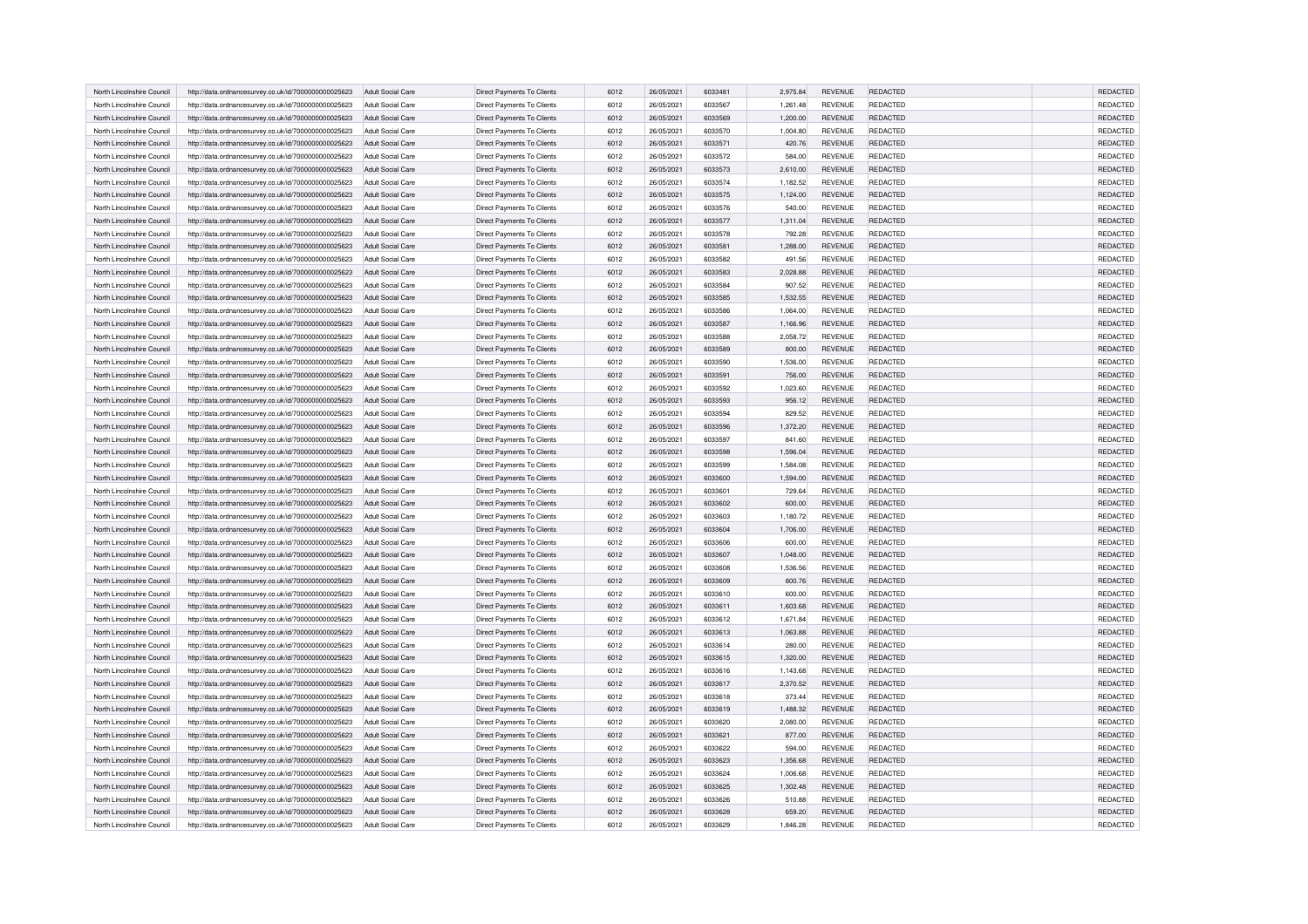| North Lincolnshire Council | http://data.ordnancesurvey.co.uk/id/7000000000025623 | Adult Social Care        | Direct Payments To Clients        | 6012 | 26/05/2021 | 6033481 | 2.975.84 | <b>REVENUE</b> | REDACTED        | <b>REDACTED</b> |
|----------------------------|------------------------------------------------------|--------------------------|-----------------------------------|------|------------|---------|----------|----------------|-----------------|-----------------|
| North Lincolnshire Council | http://data.ordnancesurvey.co.uk/id/7000000000025623 | Adult Social Care        | Direct Payments To Clients        | 6012 | 26/05/2021 | 6033567 | 1,261.48 | <b>REVENUE</b> | REDACTED        | REDACTED        |
| North Lincolnshire Counci  | http://data.ordnancesurvey.co.uk/id/7000000000025623 | Adult Social Care        | Direct Payments To Clients        | 6012 | 26/05/2021 | 6033569 | 1,200.00 | REVENUE        | REDACTED        | REDACTED        |
| North Lincolnshire Council | http://data.ordnancesurvey.co.uk/id/7000000000025623 | Adult Social Care        | Direct Payments To Clients        | 6012 | 26/05/2021 | 6033570 | 1,004.80 | <b>REVENUE</b> | REDACTED        | REDACTED        |
| North Lincolnshire Council | http://data.ordnancesurvey.co.uk/id/7000000000025623 | Adult Social Care        | Direct Payments To Clients        | 6012 | 26/05/2021 | 6033571 | 420.76   | <b>REVENUE</b> | <b>REDACTED</b> | REDACTED        |
| North Lincolnshire Council | http://data.ordnancesurvey.co.uk/id/7000000000025623 | <b>Adult Social Care</b> | Direct Payments To Clients        | 6012 | 26/05/2021 | 6033572 | 584.00   | REVENUE        | REDACTED        | REDACTED        |
| North Lincolnshire Council | http://data.ordnancesurvey.co.uk/id/7000000000025623 | Adult Social Care        | Direct Payments To Clients        | 6012 | 26/05/2021 | 6033573 | 2,610.00 | <b>REVENUE</b> | REDACTED        | <b>REDACTED</b> |
| North Lincolnshire Council | http://data.ordnancesurvey.co.uk/id/7000000000025623 | Adult Social Care        | Direct Payments To Clients        | 6012 | 26/05/2021 | 6033574 | 1,182.52 | <b>REVENUE</b> | REDACTED        | REDACTED        |
| North Lincolnshire Counci  | http://data.ordnancesurvey.co.uk/id/7000000000025623 | <b>Adult Social Care</b> | Direct Payments To Clients        | 6012 | 26/05/2021 | 6033575 | 1,124.00 | <b>REVENUE</b> | REDACTED        | REDACTED        |
| North Lincolnshire Council | http://data.ordnancesurvey.co.uk/id/7000000000025623 | Adult Social Care        | Direct Payments To Clients        | 6012 | 26/05/2021 | 6033576 | 540.00   | REVENUE        | REDACTED        | REDACTED        |
| North Lincolnshire Council | http://data.ordnancesurvey.co.uk/id/7000000000025623 | Adult Social Care        | Direct Payments To Clients        | 6012 | 26/05/2021 | 6033577 | 1,311.04 | <b>REVENUE</b> | REDACTED        | REDACTED        |
| North Lincolnshire Council | http://data.ordnancesurvey.co.uk/id/7000000000025623 | Adult Social Care        | Direct Payments To Clients        | 6012 | 26/05/2021 | 6033578 | 792.28   | <b>REVENUE</b> | REDACTED        | REDACTED        |
| North Lincolnshire Council | http://data.ordnancesurvey.co.uk/id/7000000000025623 | Adult Social Care        | Direct Payments To Clients        | 6012 | 26/05/2021 | 6033581 | 1,288.00 | <b>REVENUE</b> | REDACTED        | REDACTED        |
| North Lincolnshire Council | http://data.ordnancesurvey.co.uk/id/7000000000025623 | Adult Social Care        | Direct Payments To Clients        | 6012 | 26/05/2021 | 6033582 | 491.56   | <b>REVENUE</b> | REDACTED        | REDACTED        |
| North Lincolnshire Council | http://data.ordnancesurvey.co.uk/id/7000000000025623 | Adult Social Care        | Direct Payments To Clients        | 6012 | 26/05/2021 | 6033583 | 2.028.88 | <b>REVENUE</b> | REDACTED        | REDACTED        |
| North Lincolnshire Council | http://data.ordnancesurvey.co.uk/id/7000000000025623 | Adult Social Care        | Direct Payments To Clients        | 6012 | 26/05/2021 | 6033584 | 907.52   | <b>REVENUE</b> | <b>REDACTED</b> | REDACTED        |
| North Lincolnshire Council | http://data.ordnancesurvey.co.uk/id/7000000000025623 | Adult Social Care        | Direct Payments To Clients        | 6012 | 26/05/2021 | 6033585 | 1,532.55 | REVENUE        | REDACTED        | REDACTED        |
| North Lincolnshire Council | http://data.ordnancesurvey.co.uk/id/7000000000025623 | Adult Social Care        | Direct Payments To Clients        | 6012 | 26/05/2021 | 6033586 | 1,064.00 | REVENUE        | REDACTED        | REDACTED        |
|                            |                                                      |                          |                                   | 6012 | 26/05/2021 | 6033587 |          | <b>REVENUE</b> | <b>REDACTED</b> | <b>REDACTED</b> |
| North Lincolnshire Council | http://data.ordnancesurvey.co.uk/id/7000000000025623 | Adult Social Care        | <b>Direct Payments To Clients</b> |      |            |         | 1,166.96 |                |                 |                 |
| North Lincolnshire Council | http://data.ordnancesurvey.co.uk/id/7000000000025623 | Adult Social Care        | Direct Payments To Clients        | 6012 | 26/05/2021 | 6033588 | 2,058.72 | <b>REVENUE</b> | <b>REDACTED</b> | REDACTED        |
| North Lincolnshire Counci  | http://data.ordnancesurvey.co.uk/id/7000000000025623 | Adult Social Care        | Direct Payments To Clients        | 6012 | 26/05/2021 | 6033589 | 800.00   | <b>REVENUE</b> | REDACTED        | <b>REDACTED</b> |
| North Lincolnshire Council | http://data.ordnancesurvey.co.uk/id/7000000000025623 | Adult Social Care        | Direct Payments To Clients        | 6012 | 26/05/2021 | 6033590 | 1,536.00 | REVENUE        | REDACTED        | REDACTED        |
| North Lincolnshire Council | http://data.ordnancesurvey.co.uk/id/7000000000025623 | Adult Social Care        | <b>Direct Payments To Clients</b> | 6012 | 26/05/2021 | 6033591 | 756.00   | <b>REVENUE</b> | <b>REDACTED</b> | REDACTED        |
| North Lincolnshire Council | http://data.ordnancesurvey.co.uk/id/7000000000025623 | <b>Adult Social Care</b> | Direct Payments To Clients        | 6012 | 26/05/2021 | 6033592 | 1,023.60 | <b>REVENUE</b> | REDACTED        | REDACTED        |
| North Lincolnshire Council | http://data.ordnancesurvey.co.uk/id/7000000000025623 | Adult Social Care        | Direct Payments To Clients        | 6012 | 26/05/2021 | 6033593 | 956.12   | <b>REVENUE</b> | REDACTED        | REDACTED        |
| North Lincolnshire Council | http://data.ordnancesurvey.co.uk/id/7000000000025623 | Adult Social Care        | Direct Payments To Clients        | 6012 | 26/05/2021 | 6033594 | 829.52   | <b>REVENUE</b> | <b>REDACTED</b> | <b>REDACTED</b> |
| North Lincolnshire Council | http://data.ordnancesurvey.co.uk/id/7000000000025623 | Adult Social Care        | Direct Payments To Clients        | 6012 | 26/05/2021 | 6033596 | 1,372.20 | <b>REVENUE</b> | REDACTED        | REDACTED        |
| North Lincolnshire Council | http://data.ordnancesurvey.co.uk/id/7000000000025623 | Adult Social Care        | Direct Payments To Clients        | 6012 | 26/05/2021 | 6033597 | 841.60   | <b>REVENUE</b> | REDACTED        | REDACTED        |
| North Lincolnshire Counci  | http://data.ordnancesurvey.co.uk/id/7000000000025623 | Adult Social Care        | Direct Payments To Clients        | 6012 | 26/05/2021 | 6033598 | 1,596.04 | <b>REVENUE</b> | REDACTED        | REDACTED        |
| North Lincolnshire Council | http://data.ordnancesurvey.co.uk/id/7000000000025623 | Adult Social Care        | Direct Payments To Clients        | 6012 | 26/05/2021 | 6033599 | 1,584.08 | REVENUE        | REDACTED        | REDACTED        |
| North Lincolnshire Council | http://data.ordnancesurvey.co.uk/id/7000000000025623 | Adult Social Care        | Direct Payments To Clients        | 6012 | 26/05/2021 | 6033600 | 1,594.00 | <b>REVENUE</b> | REDACTED        | REDACTED        |
| North Lincolnshire Council | http://data.ordnancesurvey.co.uk/id/7000000000025623 | Adult Social Care        | Direct Payments To Clients        | 6012 | 26/05/2021 | 6033601 | 729.64   | <b>REVENUE</b> | <b>REDACTED</b> | <b>REDACTED</b> |
| North Lincolnshire Counci  | http://data.ordnancesurvey.co.uk/id/7000000000025623 | Adult Social Care        | Direct Payments To Clients        | 6012 | 26/05/2021 | 6033602 | 600.00   | <b>REVENUE</b> | REDACTED        | REDACTED        |
| North Lincolnshire Council | http://data.ordnancesurvey.co.uk/id/7000000000025623 | Adult Social Care        | Direct Payments To Clients        | 6012 | 26/05/2021 | 6033603 | 1,180.72 | <b>REVENUE</b> | REDACTED        | REDACTED        |
| North Lincolnshire Counci  | http://data.ordnancesurvey.co.uk/id/7000000000025623 | Adult Social Care        | Direct Payments To Clients        | 6012 | 26/05/2021 | 6033604 | 1,706.00 | <b>REVENUE</b> | REDACTED        | REDACTED        |
| North Lincolnshire Council | http://data.ordnancesurvey.co.uk/id/7000000000025623 | Adult Social Care        | Direct Payments To Clients        | 6012 | 26/05/2021 | 6033606 | 600.00   | REVENUE        | REDACTED        | REDACTED        |
| North Lincolnshire Council | http://data.ordnancesurvey.co.uk/id/7000000000025623 | <b>Adult Social Care</b> | Direct Payments To Clients        | 6012 | 26/05/2021 | 6033607 | 1,048.00 | <b>REVENUE</b> | REDACTED        | REDACTED        |
|                            |                                                      |                          | Direct Payments To Clients        | 6012 | 26/05/2021 | 6033608 |          |                | REDACTED        | REDACTED        |
| North Lincolnshire Council | http://data.ordnancesurvey.co.uk/id/7000000000025623 | <b>Adult Social Care</b> |                                   |      |            |         | 1,536.56 | REVENUE        |                 |                 |
| North Lincolnshire Council | http://data.ordnancesurvey.co.uk/id/7000000000025623 | Adult Social Care        | Direct Payments To Clients        | 6012 | 26/05/2021 | 6033609 | 800.76   | <b>REVENUE</b> | REDACTED        | <b>REDACTED</b> |
| North Lincolnshire Council | http://data.ordnancesurvey.co.uk/id/7000000000025623 | Adult Social Care        | Direct Payments To Clients        | 6012 | 26/05/2021 | 6033610 | 600.00   | <b>REVENUE</b> | <b>REDACTED</b> | <b>REDACTED</b> |
| North Lincolnshire Council | http://data.ordnancesurvey.co.uk/id/7000000000025623 | Adult Social Care        | Direct Payments To Clients        | 6012 | 26/05/2021 | 6033611 | 1,603.68 | <b>REVENUE</b> | REDACTED        | REDACTED        |
| North Lincolnshire Council | http://data.ordnancesurvey.co.uk/id/7000000000025623 | Adult Social Care        | Direct Payments To Clients        | 6012 | 26/05/2021 | 6033612 | 1,671.84 | <b>REVENUE</b> | REDACTED        | REDACTED        |
| North Lincolnshire Council | http://data.ordnancesurvey.co.uk/id/7000000000025623 | Adult Social Care        | Direct Payments To Clients        | 6012 | 26/05/2021 | 6033613 | 1,063.88 | REVENUE        | REDACTED        | REDACTED        |
| North Lincolnshire Council | http://data.ordnancesurvey.co.uk/id/7000000000025623 | <b>Adult Social Care</b> | <b>Direct Payments To Clients</b> | 6012 | 26/05/2021 | 6033614 | 280.00   | <b>REVENUE</b> | <b>REDACTED</b> | REDACTED        |
| North Lincolnshire Council | http://data.ordnancesurvey.co.uk/id/7000000000025623 | Adult Social Care        | Direct Payments To Clients        | 6012 | 26/05/2021 | 6033615 | 1,320.00 | <b>REVENUE</b> | REDACTED        | <b>REDACTED</b> |
| North Lincolnshire Council | http://data.ordnancesurvey.co.uk/id/7000000000025623 | Adult Social Care        | Direct Payments To Clients        | 6012 | 26/05/2021 | 6033616 | 1,143.68 | <b>REVENUE</b> | REDACTED        | REDACTED        |
| North Lincolnshire Council | http://data.ordnancesurvey.co.uk/id/7000000000025623 | Adult Social Care        | Direct Payments To Clients        | 6012 | 26/05/2021 | 6033617 | 2,370.52 | <b>REVENUE</b> | REDACTED        | REDACTED        |
| North Lincolnshire Council | http://data.ordnancesurvey.co.uk/id/7000000000025623 | Adult Social Care        | Direct Payments To Clients        | 6012 | 26/05/2021 | 6033618 | 373.44   | <b>REVENUE</b> | <b>REDACTED</b> | REDACTED        |
| North Lincolnshire Council | http://data.ordnancesurvey.co.uk/id/7000000000025623 | Adult Social Care        | Direct Payments To Clients        | 6012 | 26/05/2021 | 6033619 | 1,488.32 | REVENUE        | REDACTED        | REDACTED        |
| North Lincolnshire Council | http://data.ordnancesurvey.co.uk/id/7000000000025623 | Adult Social Care        | Direct Payments To Clients        | 6012 | 26/05/2021 | 6033620 | 2,080.00 | <b>REVENUE</b> | REDACTED        | REDACTED        |
| North Lincolnshire Council | http://data.ordnancesurvey.co.uk/id/7000000000025623 | Adult Social Care        | Direct Payments To Clients        | 6012 | 26/05/2021 | 6033621 | 877.00   | <b>REVENUE</b> | <b>REDACTED</b> | REDACTED        |
| North Lincolnshire Council | http://data.ordnancesurvey.co.uk/id/7000000000025623 | <b>Adult Social Care</b> | Direct Payments To Clients        | 6012 | 26/05/2021 | 6033622 | 594.00   | <b>REVENUE</b> | <b>REDACTED</b> | REDACTED        |
| North Lincolnshire Council | http://data.ordnancesurvey.co.uk/id/7000000000025623 | Adult Social Care        | Direct Payments To Clients        | 6012 | 26/05/2021 | 6033623 | 1,356.68 | <b>REVENUE</b> | REDACTED        | REDACTED        |
| North Lincolnshire Council | http://data.ordnancesurvey.co.uk/id/7000000000025623 | Adult Social Care        | Direct Payments To Clients        | 6012 | 26/05/2021 | 6033624 | 1,006.68 | <b>REVENUE</b> | REDACTED        | REDACTED        |
| North Lincolnshire Council | http://data.ordnancesurvey.co.uk/id/7000000000025623 | Adult Social Care        | Direct Payments To Clients        | 6012 | 26/05/2021 | 6033625 | 1,302.48 | <b>REVENUE</b> | REDACTED        | REDACTED        |
| North Lincolnshire Council | http://data.ordnancesurvey.co.uk/id/7000000000025623 | <b>Adult Social Care</b> | Direct Payments To Clients        | 6012 | 26/05/2021 | 6033626 | 510.88   | <b>REVENUE</b> | <b>REDACTED</b> | REDACTED        |
| North Lincolnshire Council | http://data.ordnancesurvey.co.uk/id/7000000000025623 | Adult Social Care        | Direct Payments To Clients        | 6012 | 26/05/2021 | 6033628 | 659.20   | <b>REVENUE</b> | REDACTED        | REDACTED        |
| North Lincolnshire Council | http://data.ordnancesurvey.co.uk/id/7000000000025623 | Adult Social Care        | Direct Payments To Clients        | 6012 | 26/05/2021 | 6033629 | 1,846.28 | <b>REVENUE</b> | REDACTED        | REDACTED        |
|                            |                                                      |                          |                                   |      |            |         |          |                |                 |                 |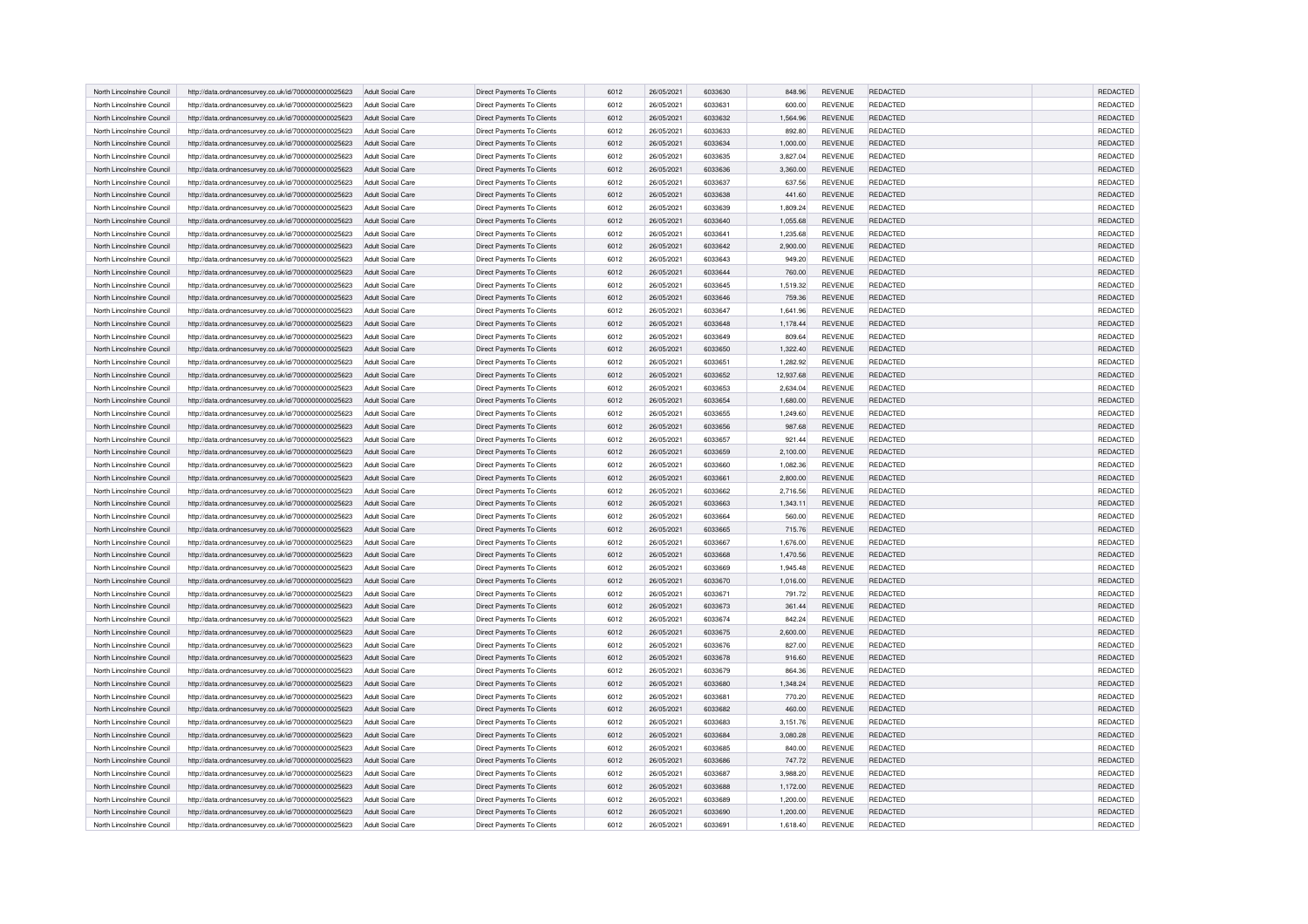| North Lincolnshire Council | http://data.ordnancesurvey.co.uk/id/7000000000025623 | Adult Social Care        | Direct Payments To Clients        | 6012 | 26/05/2021 | 6033630 | 848.96    | <b>REVENUE</b> | REDACTED        | <b>REDACTED</b>      |
|----------------------------|------------------------------------------------------|--------------------------|-----------------------------------|------|------------|---------|-----------|----------------|-----------------|----------------------|
| North Lincolnshire Council |                                                      |                          |                                   |      |            |         |           |                | REDACTED        | REDACTED             |
|                            | http://data.ordnancesurvey.co.uk/id/7000000000025623 | Adult Social Care        | <b>Direct Payments To Clients</b> | 6012 | 26/05/2021 | 6033631 | 600.00    | <b>REVENUE</b> |                 |                      |
| North Lincolnshire Counci  | http://data.ordnancesurvey.co.uk/id/7000000000025623 | Adult Social Care        | Direct Payments To Clients        | 6012 | 26/05/2021 | 6033632 | 1,564.96  | REVENUE        | REDACTED        | REDACTED             |
| North Lincolnshire Council | http://data.ordnancesurvey.co.uk/id/7000000000025623 | Adult Social Care        | <b>Direct Payments To Clients</b> | 6012 | 26/05/2021 | 6033633 | 892.80    | <b>REVENUE</b> | REDACTED        | REDACTED             |
| North Lincolnshire Council | http://data.ordnancesurvey.co.uk/id/7000000000025623 | Adult Social Care        | Direct Payments To Clients        | 6012 | 26/05/2021 | 6033634 | 1,000.00  | <b>REVENUE</b> | <b>REDACTED</b> | REDACTED             |
| North Lincolnshire Council | http://data.ordnancesurvey.co.uk/id/7000000000025623 | <b>Adult Social Care</b> | Direct Payments To Clients        | 6012 | 26/05/2021 | 6033635 | 3,827.04  | <b>REVENUE</b> | REDACTED        | REDACTED             |
| North Lincolnshire Council | http://data.ordnancesurvey.co.uk/id/7000000000025623 | Adult Social Care        | Direct Payments To Clients        | 6012 | 26/05/2021 | 6033636 | 3,360.00  | <b>REVENUE</b> | REDACTED        | <b>REDACTED</b>      |
| North Lincolnshire Council | http://data.ordnancesurvey.co.uk/id/7000000000025623 | Adult Social Care        | Direct Payments To Clients        | 6012 | 26/05/2021 | 6033637 | 637.56    | <b>REVENUE</b> | REDACTED        | REDACTED             |
| North Lincolnshire Counci  | http://data.ordnancesurvey.co.uk/id/7000000000025623 | <b>Adult Social Care</b> | Direct Payments To Clients        | 6012 | 26/05/2021 | 6033638 | 441.60    | <b>REVENUE</b> | REDACTED        | REDACTED             |
| North Lincolnshire Council | http://data.ordnancesurvey.co.uk/id/7000000000025623 | Adult Social Care        | Direct Payments To Clients        | 6012 | 26/05/2021 | 6033639 | 1,809.24  | <b>REVENUE</b> | REDACTED        | REDACTED             |
| North Lincolnshire Council | http://data.ordnancesurvey.co.uk/id/7000000000025623 | Adult Social Care        | Direct Payments To Clients        | 6012 | 26/05/2021 | 6033640 | 1,055.68  | <b>REVENUE</b> | REDACTED        | REDACTED             |
| North Lincolnshire Council | http://data.ordnancesurvey.co.uk/id/7000000000025623 | Adult Social Care        | Direct Payments To Clients        | 6012 | 26/05/2021 | 6033641 | 1,235.68  | <b>REVENUE</b> | REDACTED        | REDACTED             |
| North Lincolnshire Council | http://data.ordnancesurvey.co.uk/id/7000000000025623 | Adult Social Care        | Direct Payments To Clients        | 6012 | 26/05/2021 | 6033642 | 2,900.00  | <b>REVENUE</b> | REDACTED        | REDACTED             |
| North Lincolnshire Council | http://data.ordnancesurvey.co.uk/id/7000000000025623 | Adult Social Care        | Direct Payments To Clients        | 6012 | 26/05/2021 | 6033643 | 949.20    | <b>REVENUE</b> | REDACTED        | REDACTED             |
| North Lincolnshire Council | http://data.ordnancesurvey.co.uk/id/7000000000025623 | Adult Social Care        | Direct Payments To Clients        | 6012 | 26/05/2021 | 6033644 | 760.00    | <b>REVENUE</b> | REDACTED        | REDACTED             |
| North Lincolnshire Council | http://data.ordnancesurvey.co.uk/id/7000000000025623 | Adult Social Care        | Direct Payments To Clients        | 6012 | 26/05/2021 | 6033645 | 1,519.32  | <b>REVENUE</b> | <b>REDACTED</b> | REDACTED             |
| North Lincolnshire Council | http://data.ordnancesurvey.co.uk/id/7000000000025623 | Adult Social Care        | Direct Payments To Clients        | 6012 | 26/05/2021 | 6033646 | 759.36    | REVENUE        | REDACTED        | REDACTED             |
| North Lincolnshire Council | http://data.ordnancesurvey.co.uk/id/7000000000025623 | Adult Social Care        | Direct Payments To Clients        | 6012 | 26/05/2021 | 6033647 | 1,641.96  | <b>REVENUE</b> | REDACTED        | REDACTED             |
| North Lincolnshire Council | http://data.ordnancesurvey.co.uk/id/7000000000025623 | Adult Social Care        | <b>Direct Payments To Clients</b> | 6012 | 26/05/2021 | 6033648 | 1,178.44  | <b>REVENUE</b> | <b>REDACTED</b> | <b>REDACTED</b>      |
| North Lincolnshire Council | http://data.ordnancesurvey.co.uk/id/7000000000025623 | Adult Social Care        | Direct Payments To Clients        | 6012 | 26/05/2021 | 6033649 | 809.64    | <b>REVENUE</b> | <b>REDACTED</b> | REDACTED             |
| North Lincolnshire Counci  | http://data.ordnancesurvey.co.uk/id/7000000000025623 | Adult Social Care        | Direct Payments To Clients        | 6012 | 26/05/2021 | 6033650 | 1,322.40  | <b>REVENUE</b> | REDACTED        | <b>REDACTED</b>      |
| North Lincolnshire Council | http://data.ordnancesurvey.co.uk/id/7000000000025623 | Adult Social Care        | Direct Payments To Clients        | 6012 | 26/05/2021 | 6033651 | 1,282.92  | REVENUE        | REDACTED        | REDACTED             |
| North Lincolnshire Council | http://data.ordnancesurvey.co.uk/id/7000000000025623 | Adult Social Care        | <b>Direct Payments To Clients</b> | 6012 | 26/05/2021 | 6033652 | 12,937.68 | <b>REVENUE</b> | <b>REDACTED</b> | REDACTED             |
| North Lincolnshire Council | http://data.ordnancesurvey.co.uk/id/7000000000025623 | <b>Adult Social Care</b> | Direct Payments To Clients        | 6012 | 26/05/2021 | 6033653 | 2,634.04  | <b>REVENUE</b> | REDACTED        | REDACTED             |
| North Lincolnshire Council | http://data.ordnancesurvey.co.uk/id/7000000000025623 | Adult Social Care        | Direct Payments To Clients        | 6012 | 26/05/2021 | 6033654 | 1,680.00  | <b>REVENUE</b> | REDACTED        | REDACTED             |
| North Lincolnshire Council | http://data.ordnancesurvey.co.uk/id/7000000000025623 | Adult Social Care        | Direct Payments To Clients        | 6012 | 26/05/2021 | 6033655 | 1,249.60  | <b>REVENUE</b> | <b>REDACTED</b> | <b>REDACTED</b>      |
| North Lincolnshire Council | http://data.ordnancesurvey.co.uk/id/7000000000025623 | Adult Social Care        | Direct Payments To Clients        | 6012 | 26/05/2021 | 6033656 | 987.68    | <b>REVENUE</b> | REDACTED        | REDACTED             |
| North Lincolnshire Council | http://data.ordnancesurvey.co.uk/id/7000000000025623 | Adult Social Care        | Direct Payments To Clients        | 6012 | 26/05/2021 | 6033657 | 921.44    | <b>REVENUE</b> | REDACTED        | REDACTED             |
| North Lincolnshire Counci  | http://data.ordnancesurvey.co.uk/id/7000000000025623 | Adult Social Care        | Direct Payments To Clients        | 6012 | 26/05/2021 | 6033659 | 2,100.00  | <b>REVENUE</b> | REDACTED        | REDACTED             |
| North Lincolnshire Council | http://data.ordnancesurvey.co.uk/id/7000000000025623 | Adult Social Care        | Direct Payments To Clients        | 6012 | 26/05/2021 | 6033660 | 1,082.36  | REVENUE        | REDACTED        | REDACTED             |
| North Lincolnshire Council | http://data.ordnancesurvey.co.uk/id/7000000000025623 | Adult Social Care        | Direct Payments To Clients        | 6012 | 26/05/2021 | 6033661 | 2,800.00  | <b>REVENUE</b> | REDACTED        | REDACTED             |
| North Lincolnshire Council | http://data.ordnancesurvey.co.uk/id/7000000000025623 | Adult Social Care        | Direct Payments To Clients        | 6012 | 26/05/2021 | 6033662 | 2,716.56  | <b>REVENUE</b> | <b>REDACTED</b> | <b>REDACTED</b>      |
| North Lincolnshire Counci  | http://data.ordnancesurvey.co.uk/id/7000000000025623 | Adult Social Care        | Direct Payments To Clients        | 6012 | 26/05/2021 | 6033663 | 1,343.11  | <b>REVENUE</b> | REDACTED        | REDACTED             |
| North Lincolnshire Council |                                                      |                          |                                   |      |            | 6033664 |           | <b>REVENUE</b> |                 |                      |
|                            | http://data.ordnancesurvey.co.uk/id/7000000000025623 | Adult Social Care        | Direct Payments To Clients        | 6012 | 26/05/2021 |         | 560.00    |                | REDACTED        | REDACTED<br>REDACTED |
| North Lincolnshire Counci  | http://data.ordnancesurvey.co.uk/id/7000000000025623 | Adult Social Care        | Direct Payments To Clients        | 6012 | 26/05/2021 | 6033665 | 715.76    | <b>REVENUE</b> | REDACTED        |                      |
| North Lincolnshire Council | http://data.ordnancesurvey.co.uk/id/7000000000025623 | Adult Social Care        | Direct Payments To Clients        | 6012 | 26/05/2021 | 6033667 | 1,676.00  | REVENUE        | REDACTED        | REDACTED             |
| North Lincolnshire Council | http://data.ordnancesurvey.co.uk/id/7000000000025623 | <b>Adult Social Care</b> | Direct Payments To Clients        | 6012 | 26/05/2021 | 6033668 | 1,470.56  | <b>REVENUE</b> | REDACTED        | REDACTED             |
| North Lincolnshire Council | http://data.ordnancesurvey.co.uk/id/7000000000025623 | <b>Adult Social Care</b> | Direct Payments To Clients        | 6012 | 26/05/2021 | 6033669 | 1,945.48  | REVENUE        | REDACTED        | REDACTED             |
| North Lincolnshire Council | http://data.ordnancesurvey.co.uk/id/7000000000025623 | Adult Social Care        | Direct Payments To Clients        | 6012 | 26/05/2021 | 6033670 | 1,016.00  | <b>REVENUE</b> | REDACTED        | <b>REDACTED</b>      |
| North Lincolnshire Council | http://data.ordnancesurvey.co.uk/id/7000000000025623 | Adult Social Care        | Direct Payments To Clients        | 6012 | 26/05/2021 | 6033671 | 791.72    | <b>REVENUE</b> | <b>REDACTED</b> | <b>REDACTED</b>      |
| North Lincolnshire Council | http://data.ordnancesurvey.co.uk/id/7000000000025623 | Adult Social Care        | Direct Payments To Clients        | 6012 | 26/05/2021 | 6033673 | 361.44    | <b>REVENUE</b> | REDACTED        | REDACTED             |
| North Lincolnshire Council | http://data.ordnancesurvey.co.uk/id/7000000000025623 | Adult Social Care        | Direct Payments To Clients        | 6012 | 26/05/2021 | 6033674 | 842.24    | <b>REVENUE</b> | REDACTED        | REDACTED             |
| North Lincolnshire Council | http://data.ordnancesurvey.co.uk/id/7000000000025623 | Adult Social Care        | Direct Payments To Clients        | 6012 | 26/05/2021 | 6033675 | 2,600.00  | REVENUE        | REDACTED        | REDACTED             |
| North Lincolnshire Council | http://data.ordnancesurvey.co.uk/id/7000000000025623 | <b>Adult Social Care</b> | <b>Direct Payments To Clients</b> | 6012 | 26/05/2021 | 6033676 | 827.00    | <b>REVENUE</b> | <b>REDACTED</b> | REDACTED             |
| North Lincolnshire Council | http://data.ordnancesurvey.co.uk/id/7000000000025623 | Adult Social Care        | Direct Payments To Clients        | 6012 | 26/05/2021 | 6033678 | 916.60    | <b>REVENUE</b> | REDACTED        | <b>REDACTED</b>      |
| North Lincolnshire Council | http://data.ordnancesurvey.co.uk/id/7000000000025623 | Adult Social Care        | Direct Payments To Clients        | 6012 | 26/05/2021 | 6033679 | 864.36    | <b>REVENUE</b> | REDACTED        | REDACTED             |
| North Lincolnshire Council | http://data.ordnancesurvey.co.uk/id/7000000000025623 | Adult Social Care        | Direct Payments To Clients        | 6012 | 26/05/2021 | 6033680 | 1.348.24  | <b>REVENUE</b> | REDACTED        | REDACTED             |
| North Lincolnshire Council | http://data.ordnancesurvey.co.uk/id/7000000000025623 | Adult Social Care        | Direct Payments To Clients        | 6012 | 26/05/2021 | 6033681 | 770.20    | <b>REVENUE</b> | <b>REDACTED</b> | REDACTED             |
| North Lincolnshire Council | http://data.ordnancesurvey.co.uk/id/7000000000025623 | Adult Social Care        | Direct Payments To Clients        | 6012 | 26/05/2021 | 6033682 | 460.00    | <b>REVENUE</b> | REDACTED        | REDACTED             |
| North Lincolnshire Council | http://data.ordnancesurvey.co.uk/id/7000000000025623 | Adult Social Care        | Direct Payments To Clients        | 6012 | 26/05/2021 | 6033683 | 3,151.76  | <b>REVENUE</b> | REDACTED        | REDACTED             |
| North Lincolnshire Council | http://data.ordnancesurvey.co.uk/id/7000000000025623 | Adult Social Care        | Direct Payments To Clients        | 6012 | 26/05/2021 | 6033684 | 3,080.28  | <b>REVENUE</b> | <b>REDACTED</b> | REDACTED             |
| North Lincolnshire Council | http://data.ordnancesurvey.co.uk/id/7000000000025623 | <b>Adult Social Care</b> | Direct Payments To Clients        | 6012 | 26/05/2021 | 6033685 | 840.00    | <b>REVENUE</b> | <b>REDACTED</b> | REDACTED             |
| North Lincolnshire Council | http://data.ordnancesurvey.co.uk/id/7000000000025623 | Adult Social Care        | Direct Payments To Clients        | 6012 | 26/05/2021 | 6033686 | 747.72    | <b>REVENUE</b> | REDACTED        | REDACTED             |
| North Lincolnshire Council | http://data.ordnancesurvey.co.uk/id/7000000000025623 | Adult Social Care        | Direct Payments To Clients        | 6012 | 26/05/2021 | 6033687 | 3.988.20  | <b>REVENUE</b> | REDACTED        | REDACTED             |
| North Lincolnshire Council | http://data.ordnancesurvey.co.uk/id/7000000000025623 | Adult Social Care        | Direct Payments To Clients        | 6012 | 26/05/2021 | 6033688 | 1,172.00  | <b>REVENUE</b> | REDACTED        | REDACTED             |
| North Lincolnshire Council | http://data.ordnancesurvey.co.uk/id/7000000000025623 | <b>Adult Social Care</b> | Direct Payments To Clients        | 6012 | 26/05/2021 | 6033689 | 1,200.00  | <b>REVENUE</b> | REDACTED        | REDACTED             |
| North Lincolnshire Council | http://data.ordnancesurvey.co.uk/id/7000000000025623 | Adult Social Care        | Direct Payments To Clients        | 6012 | 26/05/2021 | 6033690 | 1,200.00  | <b>REVENUE</b> | REDACTED        | REDACTED             |
| North Lincolnshire Council | http://data.ordnancesurvey.co.uk/id/7000000000025623 | Adult Social Care        | Direct Payments To Clients        | 6012 | 26/05/2021 | 6033691 | 1,618.40  | <b>REVENUE</b> | REDACTED        | REDACTED             |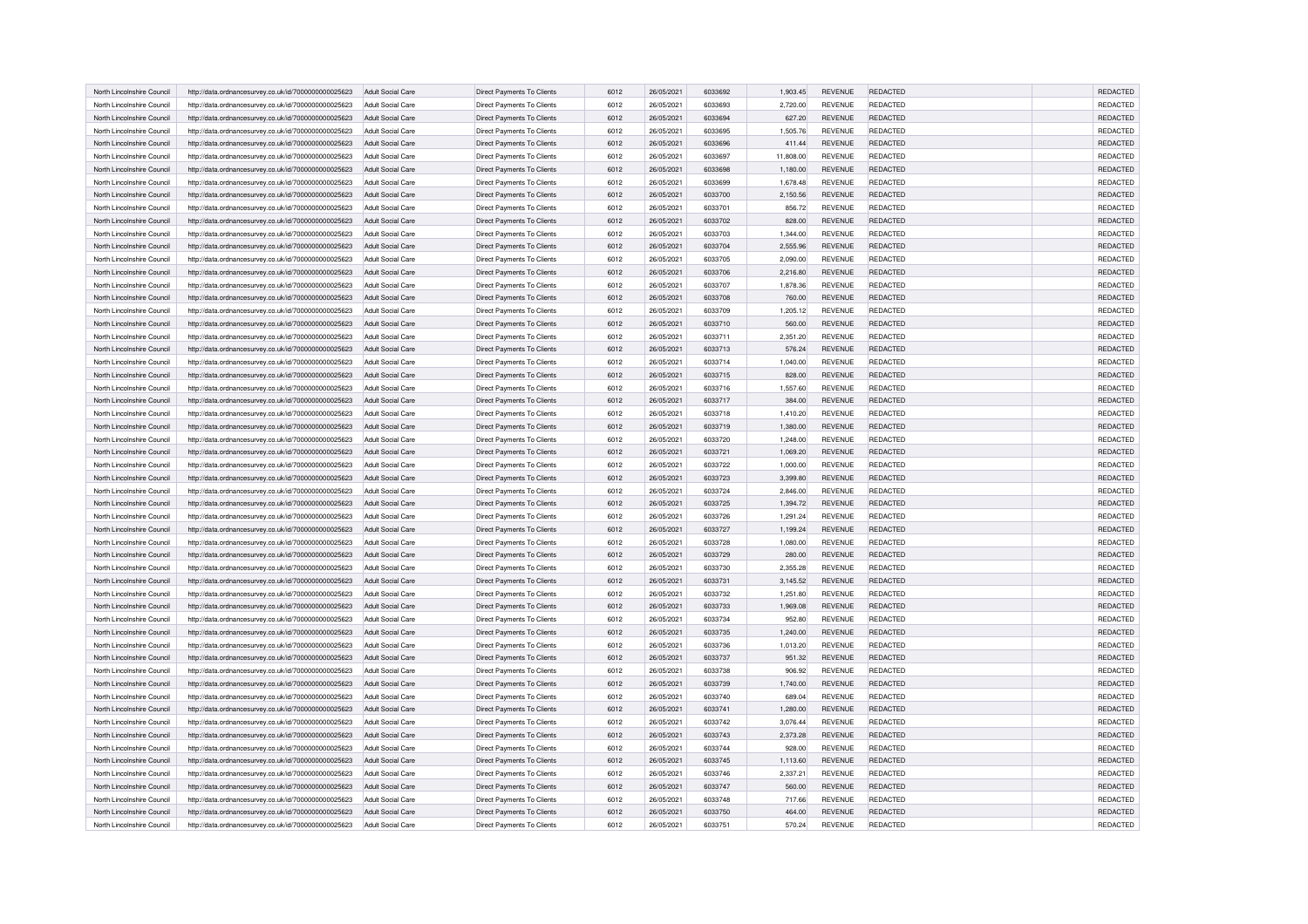| North Lincolnshire Council | http://data.ordnancesurvey.co.uk/id/7000000000025623 | Adult Social Care        | Direct Payments To Clients        | 6012 | 26/05/2021 | 6033692 | 1.903.45  | <b>REVENUE</b> | REDACTED        | <b>REDACTED</b>      |
|----------------------------|------------------------------------------------------|--------------------------|-----------------------------------|------|------------|---------|-----------|----------------|-----------------|----------------------|
| North Lincolnshire Council |                                                      |                          |                                   |      |            | 6033693 |           |                | REDACTED        | REDACTED             |
|                            | http://data.ordnancesurvey.co.uk/id/7000000000025623 | Adult Social Care        | <b>Direct Payments To Clients</b> | 6012 | 26/05/2021 |         | 2,720.00  | <b>REVENUE</b> |                 |                      |
| North Lincolnshire Counci  | http://data.ordnancesurvey.co.uk/id/7000000000025623 | Adult Social Care        | Direct Payments To Clients        | 6012 | 26/05/2021 | 6033694 | 627.20    | <b>REVENUE</b> | REDACTED        | REDACTED             |
| North Lincolnshire Council | http://data.ordnancesurvey.co.uk/id/7000000000025623 | Adult Social Care        | <b>Direct Payments To Clients</b> | 6012 | 26/05/2021 | 6033695 | 1,505.76  | <b>REVENUE</b> | REDACTED        | REDACTED             |
| North Lincolnshire Council | http://data.ordnancesurvey.co.uk/id/7000000000025623 | Adult Social Care        | Direct Payments To Clients        | 6012 | 26/05/2021 | 6033696 | 411.44    | <b>REVENUE</b> | <b>REDACTED</b> | REDACTED             |
| North Lincolnshire Council | http://data.ordnancesurvey.co.uk/id/7000000000025623 | <b>Adult Social Care</b> | Direct Payments To Clients        | 6012 | 26/05/2021 | 6033697 | 11,808.00 | <b>REVENUE</b> | REDACTED        | REDACTED             |
| North Lincolnshire Council | http://data.ordnancesurvey.co.uk/id/7000000000025623 | Adult Social Care        | Direct Payments To Clients        | 6012 | 26/05/2021 | 6033698 | 1,180.00  | <b>REVENUE</b> | REDACTED        | <b>REDACTED</b>      |
| North Lincolnshire Council | http://data.ordnancesurvey.co.uk/id/7000000000025623 | Adult Social Care        | Direct Payments To Clients        | 6012 | 26/05/2021 | 6033699 | 1,678.48  | <b>REVENUE</b> | REDACTED        | REDACTED             |
| North Lincolnshire Counci  | http://data.ordnancesurvey.co.uk/id/7000000000025623 | <b>Adult Social Care</b> | Direct Payments To Clients        | 6012 | 26/05/2021 | 6033700 | 2,150.56  | <b>REVENUE</b> | REDACTED        | REDACTED             |
| North Lincolnshire Council | http://data.ordnancesurvey.co.uk/id/7000000000025623 | Adult Social Care        | Direct Payments To Clients        | 6012 | 26/05/2021 | 6033701 | 856.72    | <b>REVENUE</b> | REDACTED        | REDACTED             |
| North Lincolnshire Council | http://data.ordnancesurvey.co.uk/id/7000000000025623 | Adult Social Care        | Direct Payments To Clients        | 6012 | 26/05/2021 | 6033702 | 828.00    | <b>REVENUE</b> | REDACTED        | REDACTED             |
| North Lincolnshire Council | http://data.ordnancesurvey.co.uk/id/7000000000025623 | Adult Social Care        | Direct Payments To Clients        | 6012 | 26/05/2021 | 6033703 | 1,344.00  | <b>REVENUE</b> | REDACTED        | REDACTED             |
| North Lincolnshire Council | http://data.ordnancesurvey.co.uk/id/7000000000025623 | Adult Social Care        | Direct Payments To Clients        | 6012 | 26/05/2021 | 6033704 | 2,555.96  | <b>REVENUE</b> | REDACTED        | REDACTED             |
| North Lincolnshire Council | http://data.ordnancesurvey.co.uk/id/7000000000025623 | Adult Social Care        | Direct Payments To Clients        | 6012 | 26/05/2021 | 6033705 | 2,090.00  | <b>REVENUE</b> | REDACTED        | REDACTED             |
| North Lincolnshire Council | http://data.ordnancesurvey.co.uk/id/7000000000025623 | Adult Social Care        | Direct Payments To Clients        | 6012 | 26/05/2021 | 6033706 | 2,216.80  | <b>REVENUE</b> | REDACTED        | REDACTED             |
| North Lincolnshire Council | http://data.ordnancesurvey.co.uk/id/7000000000025623 | Adult Social Care        | Direct Payments To Clients        | 6012 | 26/05/2021 | 6033707 | 1,878.36  | <b>REVENUE</b> | <b>REDACTED</b> | REDACTED             |
| North Lincolnshire Council | http://data.ordnancesurvey.co.uk/id/7000000000025623 | Adult Social Care        | Direct Payments To Clients        | 6012 | 26/05/2021 | 6033708 | 760.00    | REVENUE        | REDACTED        | REDACTED             |
| North Lincolnshire Council | http://data.ordnancesurvey.co.uk/id/7000000000025623 | Adult Social Care        | Direct Payments To Clients        | 6012 | 26/05/2021 | 6033709 | 1,205.12  | REVENUE        | REDACTED        | REDACTED             |
| North Lincolnshire Council | http://data.ordnancesurvey.co.uk/id/7000000000025623 | Adult Social Care        | <b>Direct Payments To Clients</b> | 6012 | 26/05/2021 | 6033710 | 560.00    | <b>REVENUE</b> | <b>REDACTED</b> | <b>REDACTED</b>      |
| North Lincolnshire Council | http://data.ordnancesurvey.co.uk/id/7000000000025623 | Adult Social Care        | Direct Payments To Clients        | 6012 | 26/05/2021 | 6033711 | 2,351.20  | <b>REVENUE</b> | <b>REDACTED</b> | REDACTED             |
| North Lincolnshire Counci  | http://data.ordnancesurvey.co.uk/id/7000000000025623 | Adult Social Care        | Direct Payments To Clients        | 6012 | 26/05/2021 | 6033713 | 576.24    | <b>REVENUE</b> | REDACTED        | <b>REDACTED</b>      |
| North Lincolnshire Council | http://data.ordnancesurvey.co.uk/id/7000000000025623 | Adult Social Care        | Direct Payments To Clients        | 6012 | 26/05/2021 | 6033714 | 1,040.00  | REVENUE        | REDACTED        | REDACTED             |
| North Lincolnshire Council | http://data.ordnancesurvey.co.uk/id/7000000000025623 | Adult Social Care        | <b>Direct Payments To Clients</b> | 6012 | 26/05/2021 | 6033715 | 828.00    | <b>REVENUE</b> | <b>REDACTED</b> | REDACTED             |
| North Lincolnshire Council | http://data.ordnancesurvey.co.uk/id/7000000000025623 | <b>Adult Social Care</b> | Direct Payments To Clients        | 6012 | 26/05/2021 | 6033716 | 1,557.60  | REVENUE        | REDACTED        | REDACTED             |
| North Lincolnshire Council | http://data.ordnancesurvey.co.uk/id/7000000000025623 | Adult Social Care        | <b>Direct Payments To Clients</b> | 6012 | 26/05/2021 | 6033717 | 384.00    | <b>REVENUE</b> | REDACTED        | REDACTED             |
| North Lincolnshire Council | http://data.ordnancesurvey.co.uk/id/7000000000025623 | Adult Social Care        | Direct Payments To Clients        | 6012 | 26/05/2021 | 6033718 | 1.410.20  | <b>REVENUE</b> | <b>REDACTED</b> | <b>REDACTED</b>      |
| North Lincolnshire Council | http://data.ordnancesurvey.co.uk/id/7000000000025623 | Adult Social Care        | Direct Payments To Clients        | 6012 | 26/05/2021 | 6033719 | 1,380.00  | <b>REVENUE</b> | REDACTED        | REDACTED             |
| North Lincolnshire Council | http://data.ordnancesurvey.co.uk/id/7000000000025623 | Adult Social Care        | Direct Payments To Clients        | 6012 | 26/05/2021 | 6033720 | 1,248.00  | <b>REVENUE</b> | REDACTED        | REDACTED             |
| North Lincolnshire Counci  | http://data.ordnancesurvey.co.uk/id/7000000000025623 | Adult Social Care        | Direct Payments To Clients        | 6012 | 26/05/2021 | 6033721 | 1,069.20  | <b>REVENUE</b> | REDACTED        | REDACTED             |
| North Lincolnshire Council | http://data.ordnancesurvey.co.uk/id/7000000000025623 | Adult Social Care        | Direct Payments To Clients        | 6012 | 26/05/2021 | 6033722 | 1,000.00  | REVENUE        | REDACTED        | REDACTED             |
| North Lincolnshire Council | http://data.ordnancesurvey.co.uk/id/7000000000025623 | Adult Social Care        | Direct Payments To Clients        | 6012 | 26/05/2021 | 6033723 | 3,399.80  | <b>REVENUE</b> | REDACTED        | REDACTED             |
| North Lincolnshire Council | http://data.ordnancesurvey.co.uk/id/7000000000025623 | Adult Social Care        | Direct Payments To Clients        | 6012 | 26/05/2021 | 6033724 | 2,846.00  | REVENUE        | <b>REDACTED</b> | <b>REDACTED</b>      |
| North Lincolnshire Counci  | http://data.ordnancesurvey.co.uk/id/7000000000025623 | Adult Social Care        | Direct Payments To Clients        | 6012 | 26/05/2021 | 6033725 | 1.394.72  | <b>REVENUE</b> | REDACTED        | REDACTED             |
| North Lincolnshire Council |                                                      |                          |                                   |      |            | 6033726 |           | <b>REVENUE</b> |                 |                      |
|                            | http://data.ordnancesurvey.co.uk/id/7000000000025623 | Adult Social Care        | Direct Payments To Clients        | 6012 | 26/05/2021 |         | 1,291.24  |                | REDACTED        | REDACTED<br>REDACTED |
| North Lincolnshire Counci  | http://data.ordnancesurvey.co.uk/id/7000000000025623 | Adult Social Care        | Direct Payments To Clients        | 6012 | 26/05/2021 | 6033727 | 1,199.24  | <b>REVENUE</b> | REDACTED        |                      |
| North Lincolnshire Council | http://data.ordnancesurvey.co.uk/id/7000000000025623 | Adult Social Care        | Direct Payments To Clients        | 6012 | 26/05/2021 | 6033728 | 1,080.00  | REVENUE        | REDACTED        | REDACTED             |
| North Lincolnshire Council | http://data.ordnancesurvey.co.uk/id/7000000000025623 | <b>Adult Social Care</b> | Direct Payments To Clients        | 6012 | 26/05/2021 | 6033729 | 280.00    | <b>REVENUE</b> | REDACTED        | REDACTED             |
| North Lincolnshire Council | http://data.ordnancesurvey.co.uk/id/7000000000025623 | <b>Adult Social Care</b> | Direct Payments To Clients        | 6012 | 26/05/2021 | 6033730 | 2,355.28  | REVENUE        | REDACTED        | REDACTED             |
| North Lincolnshire Council | http://data.ordnancesurvey.co.uk/id/7000000000025623 | Adult Social Care        | Direct Payments To Clients        | 6012 | 26/05/2021 | 6033731 | 3,145.52  | <b>REVENUE</b> | REDACTED        | <b>REDACTED</b>      |
| North Lincolnshire Council | http://data.ordnancesurvey.co.uk/id/7000000000025623 | Adult Social Care        | Direct Payments To Clients        | 6012 | 26/05/2021 | 6033732 | 1.251.80  | <b>REVENUE</b> | <b>REDACTED</b> | <b>REDACTED</b>      |
| North Lincolnshire Council | http://data.ordnancesurvey.co.uk/id/7000000000025623 | Adult Social Care        | Direct Payments To Clients        | 6012 | 26/05/2021 | 6033733 | 1,969.08  | <b>REVENUE</b> | REDACTED        | REDACTED             |
| North Lincolnshire Council | http://data.ordnancesurvey.co.uk/id/7000000000025623 | Adult Social Care        | Direct Payments To Clients        | 6012 | 26/05/2021 | 6033734 | 952.80    | <b>REVENUE</b> | REDACTED        | REDACTED             |
| North Lincolnshire Council | http://data.ordnancesurvey.co.uk/id/7000000000025623 | Adult Social Care        | Direct Payments To Clients        | 6012 | 26/05/2021 | 6033735 | 1,240.00  | REVENUE        | REDACTED        | REDACTED             |
| North Lincolnshire Council | http://data.ordnancesurvey.co.uk/id/7000000000025623 | <b>Adult Social Care</b> | <b>Direct Payments To Clients</b> | 6012 | 26/05/2021 | 6033736 | 1,013.20  | <b>REVENUE</b> | <b>REDACTED</b> | REDACTED             |
| North Lincolnshire Council | http://data.ordnancesurvey.co.uk/id/7000000000025623 | Adult Social Care        | Direct Payments To Clients        | 6012 | 26/05/2021 | 6033737 | 951.32    | <b>REVENUE</b> | REDACTED        | <b>REDACTED</b>      |
| North Lincolnshire Council | http://data.ordnancesurvey.co.uk/id/7000000000025623 | Adult Social Care        | Direct Payments To Clients        | 6012 | 26/05/2021 | 6033738 | 906.92    | REVENUE        | REDACTED        | REDACTED             |
| North Lincolnshire Council | http://data.ordnancesurvey.co.uk/id/7000000000025623 | Adult Social Care        | Direct Payments To Clients        | 6012 | 26/05/2021 | 6033739 | 1.740.00  | <b>REVENUE</b> | REDACTED        | REDACTED             |
| North Lincolnshire Council | http://data.ordnancesurvey.co.uk/id/7000000000025623 | Adult Social Care        | Direct Payments To Clients        | 6012 | 26/05/2021 | 6033740 | 689.04    | <b>REVENUE</b> | <b>REDACTED</b> | REDACTED             |
| North Lincolnshire Council | http://data.ordnancesurvey.co.uk/id/7000000000025623 | Adult Social Care        | Direct Payments To Clients        | 6012 | 26/05/2021 | 6033741 | 1,280.00  | <b>REVENUE</b> | REDACTED        | REDACTED             |
| North Lincolnshire Council | http://data.ordnancesurvey.co.uk/id/7000000000025623 | Adult Social Care        | Direct Payments To Clients        | 6012 | 26/05/2021 | 6033742 | 3,076.44  | <b>REVENUE</b> | REDACTED        | REDACTED             |
| North Lincolnshire Council | http://data.ordnancesurvey.co.uk/id/7000000000025623 | Adult Social Care        | Direct Payments To Clients        | 6012 | 26/05/2021 | 6033743 | 2,373.28  | <b>REVENUE</b> | <b>REDACTED</b> | REDACTED             |
| North Lincolnshire Council | http://data.ordnancesurvey.co.uk/id/7000000000025623 | <b>Adult Social Care</b> | Direct Payments To Clients        | 6012 | 26/05/2021 | 6033744 | 928.00    | <b>REVENUE</b> | <b>REDACTED</b> | REDACTED             |
| North Lincolnshire Council | http://data.ordnancesurvey.co.uk/id/7000000000025623 | Adult Social Care        | Direct Payments To Clients        | 6012 | 26/05/2021 | 6033745 | 1,113.60  | <b>REVENUE</b> | REDACTED        | REDACTED             |
| North Lincolnshire Council | http://data.ordnancesurvey.co.uk/id/7000000000025623 | Adult Social Care        | Direct Payments To Clients        | 6012 | 26/05/2021 | 6033746 | 2,337.21  | <b>REVENUE</b> | <b>REDACTED</b> | REDACTED             |
| North Lincolnshire Council | http://data.ordnancesurvey.co.uk/id/7000000000025623 | Adult Social Care        | Direct Payments To Clients        | 6012 | 26/05/2021 | 6033747 | 560.00    | <b>REVENUE</b> | REDACTED        | REDACTED             |
| North Lincolnshire Council | http://data.ordnancesurvey.co.uk/id/7000000000025623 | <b>Adult Social Care</b> | Direct Payments To Clients        | 6012 | 26/05/2021 | 6033748 | 717.66    | <b>REVENUE</b> | REDACTED        | REDACTED             |
| North Lincolnshire Council | http://data.ordnancesurvey.co.uk/id/7000000000025623 | Adult Social Care        | Direct Payments To Clients        | 6012 | 26/05/2021 | 6033750 | 464.00    | <b>REVENUE</b> | REDACTED        | REDACTED             |
| North Lincolnshire Council | http://data.ordnancesurvey.co.uk/id/7000000000025623 | Adult Social Care        | Direct Payments To Clients        | 6012 | 26/05/2021 | 6033751 | 570.24    | <b>REVENUE</b> | REDACTED        | REDACTED             |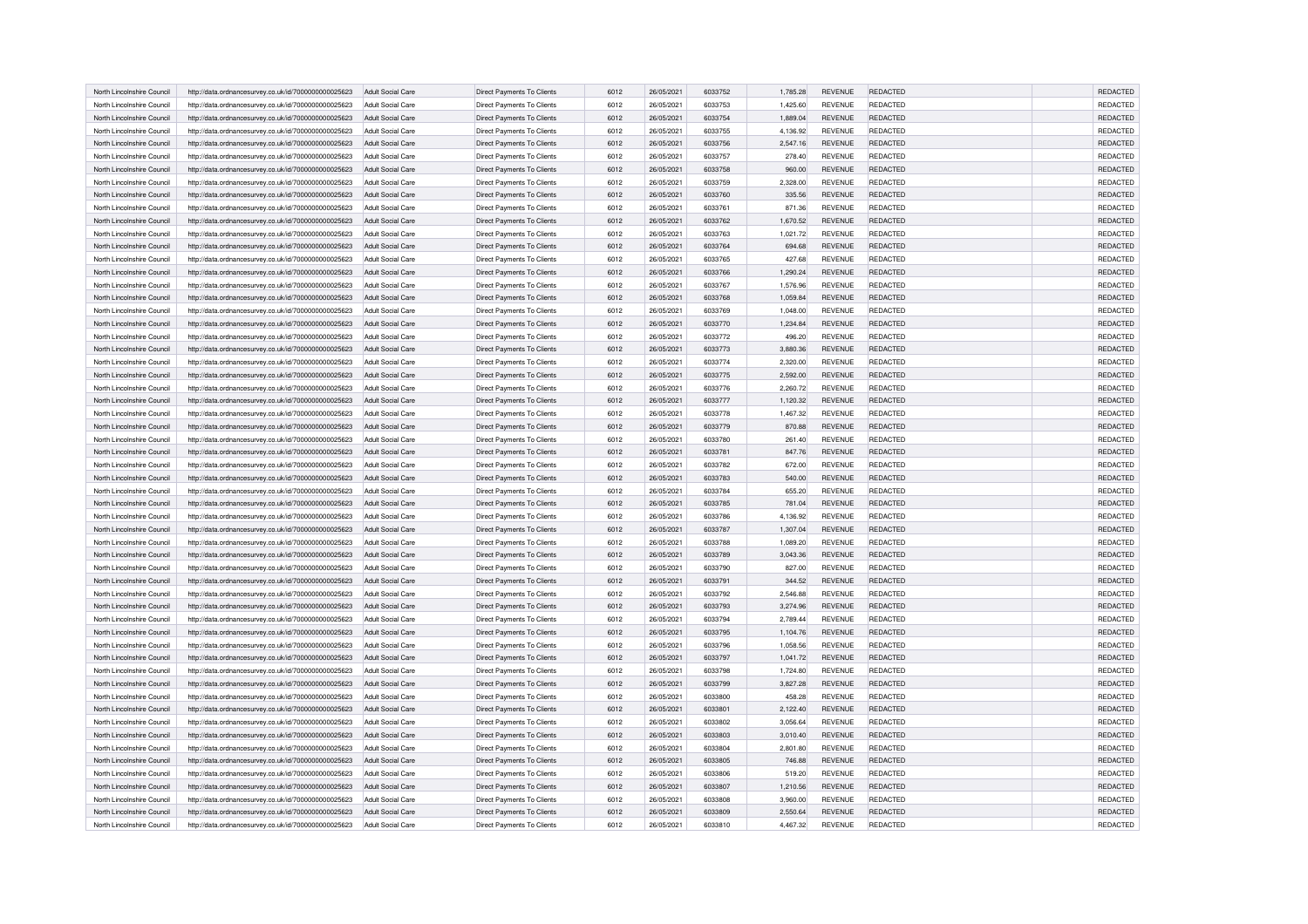|                            |                                                      |                                        |                                   |      |            |         |          |                |                 | <b>REDACTED</b> |
|----------------------------|------------------------------------------------------|----------------------------------------|-----------------------------------|------|------------|---------|----------|----------------|-----------------|-----------------|
| North Lincolnshire Council | http://data.ordnancesurvey.co.uk/id/7000000000025623 | Adult Social Care                      | Direct Payments To Clients        | 6012 | 26/05/2021 | 6033752 | 1.785.28 | <b>REVENUE</b> | REDACTED        |                 |
| North Lincolnshire Council | http://data.ordnancesurvey.co.uk/id/7000000000025623 | Adult Social Care                      | <b>Direct Payments To Clients</b> | 6012 | 26/05/2021 | 6033753 | 1,425.60 | <b>REVENUE</b> | REDACTED        | REDACTED        |
| North Lincolnshire Counci  | http://data.ordnancesurvey.co.uk/id/7000000000025623 | Adult Social Care                      | Direct Payments To Clients        | 6012 | 26/05/2021 | 6033754 | 1,889.04 | <b>REVENUE</b> | REDACTED        | REDACTED        |
| North Lincolnshire Council | http://data.ordnancesurvey.co.uk/id/7000000000025623 | Adult Social Care                      | <b>Direct Payments To Clients</b> | 6012 | 26/05/2021 | 6033755 | 4,136.92 | <b>REVENUE</b> | REDACTED        | REDACTED        |
| North Lincolnshire Council | http://data.ordnancesurvey.co.uk/id/7000000000025623 | Adult Social Care                      | Direct Payments To Clients        | 6012 | 26/05/2021 | 6033756 | 2,547.16 | <b>REVENUE</b> | <b>REDACTED</b> | REDACTED        |
| North Lincolnshire Council | http://data.ordnancesurvey.co.uk/id/7000000000025623 | <b>Adult Social Care</b>               | Direct Payments To Clients        | 6012 | 26/05/2021 | 6033757 | 278.40   | <b>REVENUE</b> | REDACTED        | REDACTED        |
| North Lincolnshire Council | http://data.ordnancesurvey.co.uk/id/7000000000025623 | Adult Social Care                      | Direct Payments To Clients        | 6012 | 26/05/2021 | 6033758 | 960.00   | <b>REVENUE</b> | REDACTED        | <b>REDACTED</b> |
| North Lincolnshire Council | http://data.ordnancesurvey.co.uk/id/7000000000025623 | Adult Social Care                      | Direct Payments To Clients        | 6012 | 26/05/2021 | 6033759 | 2,328.00 | <b>REVENUE</b> | REDACTED        | REDACTED        |
| North Lincolnshire Counci  | http://data.ordnancesurvey.co.uk/id/7000000000025623 | <b>Adult Social Care</b>               | Direct Payments To Clients        | 6012 | 26/05/2021 | 6033760 | 335.56   | <b>REVENUE</b> | REDACTED        | REDACTED        |
| North Lincolnshire Council | http://data.ordnancesurvey.co.uk/id/7000000000025623 | Adult Social Care                      | Direct Payments To Clients        | 6012 | 26/05/2021 | 6033761 | 871.36   | <b>REVENUE</b> | REDACTED        | REDACTED        |
| North Lincolnshire Council | http://data.ordnancesurvey.co.uk/id/7000000000025623 | Adult Social Care                      | Direct Payments To Clients        | 6012 | 26/05/2021 | 6033762 | 1,670.52 | <b>REVENUE</b> | REDACTED        | REDACTED        |
| North Lincolnshire Council | http://data.ordnancesurvey.co.uk/id/7000000000025623 | Adult Social Care                      | Direct Payments To Clients        | 6012 | 26/05/2021 | 6033763 | 1,021.72 | <b>REVENUE</b> | REDACTED        | REDACTED        |
| North Lincolnshire Council | http://data.ordnancesurvey.co.uk/id/7000000000025623 | Adult Social Care                      | Direct Payments To Clients        | 6012 | 26/05/2021 | 6033764 | 694.68   | <b>REVENUE</b> | REDACTED        | REDACTED        |
| North Lincolnshire Council | http://data.ordnancesurvey.co.uk/id/7000000000025623 | Adult Social Care                      | Direct Payments To Clients        | 6012 | 26/05/2021 | 6033765 | 427.68   | <b>REVENUE</b> | REDACTED        | REDACTED        |
| North Lincolnshire Council | http://data.ordnancesurvey.co.uk/id/7000000000025623 | Adult Social Care                      | Direct Payments To Clients        | 6012 | 26/05/2021 | 6033766 | 1,290.24 | <b>REVENUE</b> | REDACTED        | REDACTED        |
| North Lincolnshire Council | http://data.ordnancesurvey.co.uk/id/7000000000025623 | Adult Social Care                      | Direct Payments To Clients        | 6012 | 26/05/2021 | 6033767 | 1,576.96 | <b>REVENUE</b> | <b>REDACTED</b> | REDACTED        |
|                            |                                                      |                                        |                                   |      |            | 6033768 |          |                | REDACTED        | REDACTED        |
| North Lincolnshire Council | http://data.ordnancesurvey.co.uk/id/7000000000025623 | Adult Social Care                      | Direct Payments To Clients        | 6012 | 26/05/2021 |         | 1,059.84 | REVENUE        |                 |                 |
| North Lincolnshire Council | http://data.ordnancesurvey.co.uk/id/7000000000025623 | Adult Social Care                      | Direct Payments To Clients        | 6012 | 26/05/2021 | 6033769 | 1,048.00 | <b>REVENUE</b> | REDACTED        | REDACTED        |
| North Lincolnshire Council | http://data.ordnancesurvey.co.uk/id/7000000000025623 | Adult Social Care                      | <b>Direct Payments To Clients</b> | 6012 | 26/05/2021 | 6033770 | 1,234.84 | <b>REVENUE</b> | <b>REDACTED</b> | <b>REDACTED</b> |
| North Lincolnshire Council | http://data.ordnancesurvey.co.uk/id/7000000000025623 | Adult Social Care                      | Direct Payments To Clients        | 6012 | 26/05/2021 | 6033772 | 496.20   | <b>REVENUE</b> | <b>REDACTED</b> | REDACTED        |
| North Lincolnshire Counci  | http://data.ordnancesurvey.co.uk/id/7000000000025623 | Adult Social Care                      | Direct Payments To Clients        | 6012 | 26/05/2021 | 6033773 | 3.880.36 | <b>REVENUE</b> | REDACTED        | <b>REDACTED</b> |
| North Lincolnshire Council | http://data.ordnancesurvey.co.uk/id/7000000000025623 | Adult Social Care                      | Direct Payments To Clients        | 6012 | 26/05/2021 | 6033774 | 2,320.00 | REVENUE        | REDACTED        | REDACTED        |
| North Lincolnshire Council | http://data.ordnancesurvey.co.uk/id/7000000000025623 | Adult Social Care                      | <b>Direct Payments To Clients</b> | 6012 | 26/05/2021 | 6033775 | 2,592.00 | <b>REVENUE</b> | <b>REDACTED</b> | REDACTED        |
| North Lincolnshire Council | http://data.ordnancesurvey.co.uk/id/7000000000025623 | <b>Adult Social Care</b>               | Direct Payments To Clients        | 6012 | 26/05/2021 | 6033776 | 2,260.72 | <b>REVENUE</b> | REDACTED        | REDACTED        |
| North Lincolnshire Council | http://data.ordnancesurvey.co.uk/id/7000000000025623 | Adult Social Care                      | Direct Payments To Clients        | 6012 | 26/05/2021 | 6033777 | 1,120.32 | <b>REVENUE</b> | REDACTED        | REDACTED        |
| North Lincolnshire Council | http://data.ordnancesurvey.co.uk/id/7000000000025623 | Adult Social Care                      | Direct Payments To Clients        | 6012 | 26/05/2021 | 6033778 | 1,467.32 | <b>REVENUE</b> | <b>REDACTED</b> | <b>REDACTED</b> |
| North Lincolnshire Council | http://data.ordnancesurvey.co.uk/id/7000000000025623 | Adult Social Care                      | Direct Payments To Clients        | 6012 | 26/05/2021 | 6033779 | 870.88   | <b>REVENUE</b> | REDACTED        | REDACTED        |
| North Lincolnshire Council | http://data.ordnancesurvey.co.uk/id/7000000000025623 | Adult Social Care                      | Direct Payments To Clients        | 6012 | 26/05/2021 | 6033780 | 261.40   | <b>REVENUE</b> | REDACTED        | REDACTED        |
| North Lincolnshire Counci  | http://data.ordnancesurvey.co.uk/id/7000000000025623 | Adult Social Care                      | Direct Payments To Clients        | 6012 | 26/05/2021 | 6033781 | 847.76   | <b>REVENUE</b> | REDACTED        | REDACTED        |
| North Lincolnshire Council | http://data.ordnancesurvey.co.uk/id/7000000000025623 | Adult Social Care                      | Direct Payments To Clients        | 6012 | 26/05/2021 | 6033782 | 672.00   | REVENUE        | REDACTED        | REDACTED        |
| North Lincolnshire Council | http://data.ordnancesurvey.co.uk/id/7000000000025623 | Adult Social Care                      | Direct Payments To Clients        | 6012 | 26/05/2021 | 6033783 | 540.00   | <b>REVENUE</b> | REDACTED        | REDACTED        |
| North Lincolnshire Council | http://data.ordnancesurvey.co.uk/id/7000000000025623 | Adult Social Care                      | Direct Payments To Clients        | 6012 | 26/05/2021 | 6033784 | 655.20   | <b>REVENUE</b> | <b>REDACTED</b> | <b>REDACTED</b> |
| North Lincolnshire Counci  | http://data.ordnancesurvey.co.uk/id/7000000000025623 | Adult Social Care                      | Direct Payments To Clients        | 6012 | 26/05/2021 | 6033785 | 781.04   | <b>REVENUE</b> | REDACTED        | REDACTED        |
| North Lincolnshire Council |                                                      |                                        |                                   | 6012 | 26/05/2021 | 6033786 |          | <b>REVENUE</b> | REDACTED        | REDACTED        |
| North Lincolnshire Counci  | http://data.ordnancesurvey.co.uk/id/7000000000025623 | Adult Social Care<br>Adult Social Care | Direct Payments To Clients        | 6012 | 26/05/2021 | 6033787 | 4,136.92 | <b>REVENUE</b> | REDACTED        | REDACTED        |
|                            | http://data.ordnancesurvey.co.uk/id/7000000000025623 |                                        | Direct Payments To Clients        |      |            |         | 1,307.04 |                |                 |                 |
| North Lincolnshire Council | http://data.ordnancesurvey.co.uk/id/7000000000025623 | Adult Social Care                      | Direct Payments To Clients        | 6012 | 26/05/2021 | 6033788 | 1,089.20 | REVENUE        | REDACTED        | REDACTED        |
| North Lincolnshire Council | http://data.ordnancesurvey.co.uk/id/7000000000025623 | <b>Adult Social Care</b>               | Direct Payments To Clients        | 6012 | 26/05/2021 | 6033789 | 3,043.36 | <b>REVENUE</b> | REDACTED        | REDACTED        |
| North Lincolnshire Council | http://data.ordnancesurvey.co.uk/id/7000000000025623 | <b>Adult Social Care</b>               | Direct Payments To Clients        | 6012 | 26/05/2021 | 6033790 | 827.00   | REVENUE        | REDACTED        | REDACTED        |
| North Lincolnshire Council | http://data.ordnancesurvey.co.uk/id/7000000000025623 | Adult Social Care                      | Direct Payments To Clients        | 6012 | 26/05/2021 | 6033791 | 344.52   | <b>REVENUE</b> | REDACTED        | <b>REDACTED</b> |
| North Lincolnshire Council | http://data.ordnancesurvey.co.uk/id/7000000000025623 | Adult Social Care                      | Direct Payments To Clients        | 6012 | 26/05/2021 | 6033792 | 2.546.88 | <b>REVENUE</b> | <b>REDACTED</b> | <b>REDACTED</b> |
| North Lincolnshire Council | http://data.ordnancesurvey.co.uk/id/7000000000025623 | Adult Social Care                      | Direct Payments To Clients        | 6012 | 26/05/2021 | 6033793 | 3,274.96 | <b>REVENUE</b> | REDACTED        | REDACTED        |
| North Lincolnshire Council | http://data.ordnancesurvey.co.uk/id/7000000000025623 | Adult Social Care                      | Direct Payments To Clients        | 6012 | 26/05/2021 | 6033794 | 2,789.44 | <b>REVENUE</b> | REDACTED        | REDACTED        |
| North Lincolnshire Council | http://data.ordnancesurvey.co.uk/id/7000000000025623 | Adult Social Care                      | Direct Payments To Clients        | 6012 | 26/05/2021 | 6033795 | 1,104.76 | REVENUE        | REDACTED        | REDACTED        |
| North Lincolnshire Council | http://data.ordnancesurvey.co.uk/id/7000000000025623 | <b>Adult Social Care</b>               | <b>Direct Payments To Clients</b> | 6012 | 26/05/2021 | 6033796 | 1,058.56 | <b>REVENUE</b> | <b>REDACTED</b> | REDACTED        |
| North Lincolnshire Council | http://data.ordnancesurvey.co.uk/id/7000000000025623 | Adult Social Care                      | Direct Payments To Clients        | 6012 | 26/05/2021 | 6033797 | 1,041.72 | <b>REVENUE</b> | REDACTED        | <b>REDACTED</b> |
| North Lincolnshire Council | http://data.ordnancesurvey.co.uk/id/7000000000025623 | Adult Social Care                      | Direct Payments To Clients        | 6012 | 26/05/2021 | 6033798 | 1,724.80 | <b>REVENUE</b> | REDACTED        | REDACTED        |
| North Lincolnshire Council | http://data.ordnancesurvey.co.uk/id/7000000000025623 | Adult Social Care                      | Direct Payments To Clients        | 6012 | 26/05/2021 | 6033799 | 3,827.28 | <b>REVENUE</b> | REDACTED        | REDACTED        |
| North Lincolnshire Council | http://data.ordnancesurvey.co.uk/id/7000000000025623 | Adult Social Care                      | Direct Payments To Clients        | 6012 | 26/05/2021 | 6033800 | 458.28   | <b>REVENUE</b> | <b>REDACTED</b> | REDACTED        |
| North Lincolnshire Council | http://data.ordnancesurvey.co.uk/id/7000000000025623 | Adult Social Care                      | Direct Payments To Clients        | 6012 | 26/05/2021 | 6033801 | 2,122.40 | REVENUE        | REDACTED        | REDACTED        |
| North Lincolnshire Council | http://data.ordnancesurvey.co.uk/id/7000000000025623 | Adult Social Care                      | Direct Payments To Clients        | 6012 | 26/05/2021 | 6033802 | 3,056.64 | <b>REVENUE</b> | REDACTED        | REDACTED        |
| North Lincolnshire Council | http://data.ordnancesurvey.co.uk/id/7000000000025623 | Adult Social Care                      | Direct Payments To Clients        | 6012 | 26/05/2021 | 6033803 | 3,010.40 | <b>REVENUE</b> | <b>REDACTED</b> | REDACTED        |
| North Lincolnshire Council | http://data.ordnancesurvey.co.uk/id/7000000000025623 | <b>Adult Social Care</b>               | Direct Payments To Clients        | 6012 | 26/05/2021 | 6033804 | 2,801.80 | <b>REVENUE</b> | <b>REDACTED</b> | REDACTED        |
| North Lincolnshire Council | http://data.ordnancesurvey.co.uk/id/7000000000025623 | Adult Social Care                      | Direct Payments To Clients        | 6012 | 26/05/2021 | 6033805 | 746.88   | <b>REVENUE</b> | REDACTED        | REDACTED        |
| North Lincolnshire Council | http://data.ordnancesurvey.co.uk/id/7000000000025623 | Adult Social Care                      | Direct Payments To Clients        | 6012 | 26/05/2021 | 6033806 | 519.20   | <b>REVENUE</b> | <b>REDACTED</b> | REDACTED        |
|                            |                                                      |                                        |                                   |      |            |         |          |                |                 |                 |
| North Lincolnshire Council | http://data.ordnancesurvey.co.uk/id/7000000000025623 | Adult Social Care                      | Direct Payments To Clients        | 6012 | 26/05/2021 | 6033807 | 1,210.56 | <b>REVENUE</b> | REDACTED        | REDACTED        |
| North Lincolnshire Council | http://data.ordnancesurvey.co.uk/id/7000000000025623 | <b>Adult Social Care</b>               | Direct Payments To Clients        | 6012 | 26/05/2021 | 6033808 | 3,960.00 | <b>REVENUE</b> | <b>REDACTED</b> | REDACTED        |
| North Lincolnshire Council | http://data.ordnancesurvey.co.uk/id/7000000000025623 | Adult Social Care                      | Direct Payments To Clients        | 6012 | 26/05/2021 | 6033809 | 2,550.64 | <b>REVENUE</b> | REDACTED        | REDACTED        |
| North Lincolnshire Council | http://data.ordnancesurvey.co.uk/id/7000000000025623 | Adult Social Care                      | Direct Payments To Clients        | 6012 | 26/05/2021 | 6033810 | 4,467.32 | <b>REVENUE</b> | REDACTED        | REDACTED        |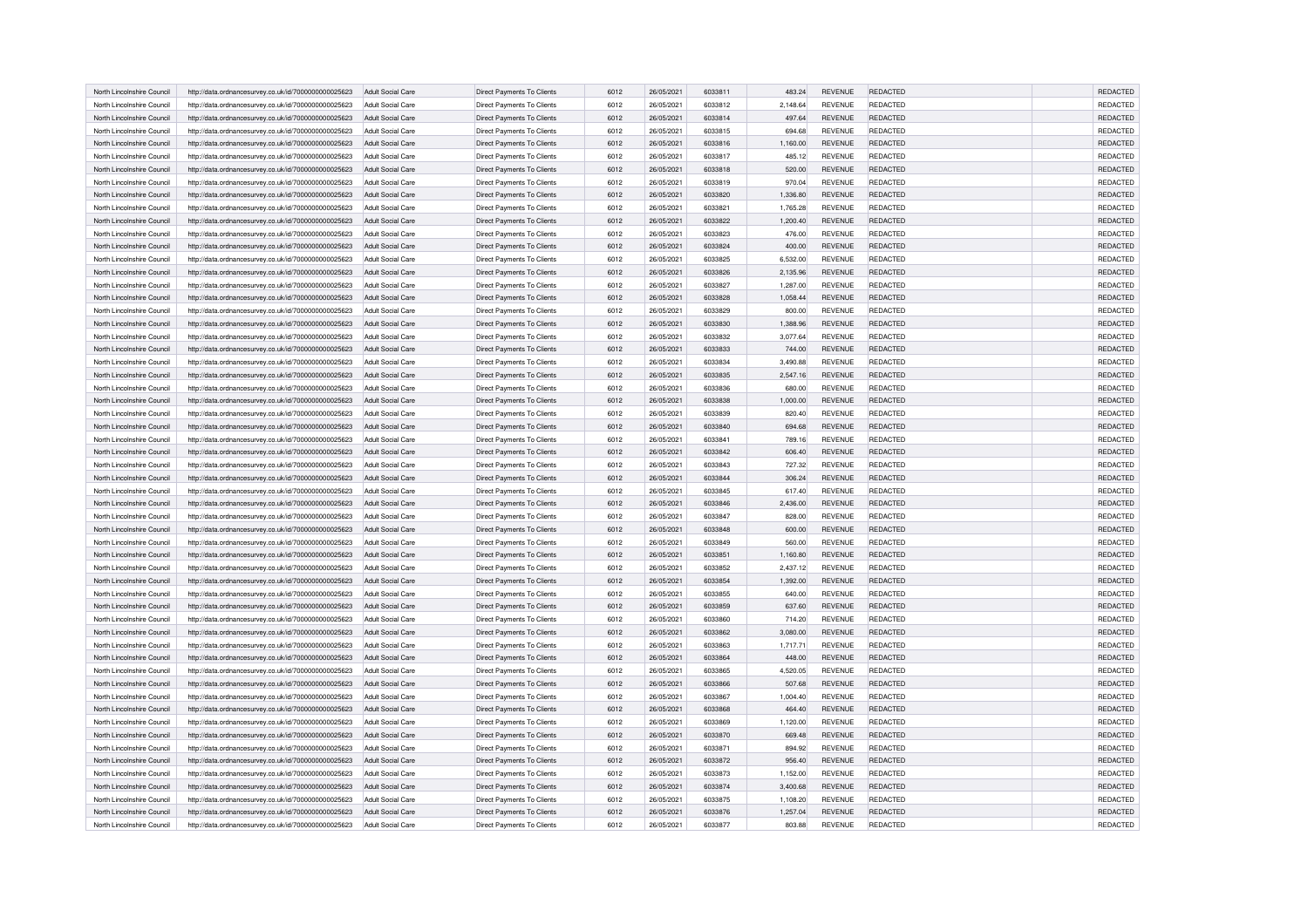|                            |                                                      |                          |                                                          |      |            | 6033811            |          |                |                 | <b>REDACTED</b> |
|----------------------------|------------------------------------------------------|--------------------------|----------------------------------------------------------|------|------------|--------------------|----------|----------------|-----------------|-----------------|
| North Lincolnshire Council | http://data.ordnancesurvey.co.uk/id/7000000000025623 | Adult Social Care        | Direct Payments To Clients                               | 6012 | 26/05/2021 |                    | 483.24   | <b>REVENUE</b> | REDACTED        |                 |
| North Lincolnshire Council | http://data.ordnancesurvey.co.uk/id/7000000000025623 | Adult Social Care        | <b>Direct Payments To Clients</b>                        | 6012 | 26/05/2021 | 6033812            | 2,148.64 | <b>REVENUE</b> | REDACTED        | REDACTED        |
| North Lincolnshire Counci  | http://data.ordnancesurvey.co.uk/id/7000000000025623 | Adult Social Care        | Direct Payments To Clients                               | 6012 | 26/05/2021 | 6033814            | 497.64   | <b>REVENUE</b> | REDACTED        | REDACTED        |
| North Lincolnshire Council | http://data.ordnancesurvey.co.uk/id/7000000000025623 | Adult Social Care        | <b>Direct Payments To Clients</b>                        | 6012 | 26/05/2021 | 6033815            | 694.68   | <b>REVENUE</b> | REDACTED        | REDACTED        |
| North Lincolnshire Council | http://data.ordnancesurvey.co.uk/id/7000000000025623 | Adult Social Care        | Direct Payments To Clients                               | 6012 | 26/05/2021 | 6033816            | 1,160.00 | <b>REVENUE</b> | <b>REDACTED</b> | <b>REDACTED</b> |
| North Lincolnshire Council | http://data.ordnancesurvey.co.uk/id/7000000000025623 | <b>Adult Social Care</b> | Direct Payments To Clients                               | 6012 | 26/05/2021 | 6033817            | 485.12   | <b>REVENUE</b> | REDACTED        | REDACTED        |
| North Lincolnshire Council | http://data.ordnancesurvey.co.uk/id/7000000000025623 | Adult Social Care        | Direct Payments To Clients                               | 6012 | 26/05/2021 | 6033818            | 520.00   | <b>REVENUE</b> | REDACTED        | <b>REDACTED</b> |
| North Lincolnshire Council | http://data.ordnancesurvey.co.uk/id/7000000000025623 | Adult Social Care        | Direct Payments To Clients                               | 6012 | 26/05/2021 | 6033819            | 970.04   | <b>REVENUE</b> | REDACTED        | REDACTED        |
| North Lincolnshire Counci  | http://data.ordnancesurvey.co.uk/id/7000000000025623 | <b>Adult Social Care</b> | Direct Payments To Clients                               | 6012 | 26/05/2021 | 6033820            | 1,336.80 | <b>REVENUE</b> | REDACTED        | REDACTED        |
| North Lincolnshire Council | http://data.ordnancesurvey.co.uk/id/7000000000025623 | Adult Social Care        | Direct Payments To Clients                               | 6012 | 26/05/2021 | 6033821            | 1,765.28 | <b>REVENUE</b> | REDACTED        | REDACTED        |
| North Lincolnshire Council | http://data.ordnancesurvey.co.uk/id/7000000000025623 | Adult Social Care        | Direct Payments To Clients                               | 6012 | 26/05/2021 | 6033822            | 1,200.40 | <b>REVENUE</b> | REDACTED        | REDACTED        |
| North Lincolnshire Council | http://data.ordnancesurvey.co.uk/id/7000000000025623 | Adult Social Care        | Direct Payments To Clients                               | 6012 | 26/05/2021 | 6033823            | 476.00   | <b>REVENUE</b> | REDACTED        | REDACTED        |
| North Lincolnshire Council | http://data.ordnancesurvey.co.uk/id/7000000000025623 | Adult Social Care        | Direct Payments To Clients                               | 6012 | 26/05/2021 | 6033824            | 400.00   | <b>REVENUE</b> | REDACTED        | REDACTED        |
| North Lincolnshire Council | http://data.ordnancesurvey.co.uk/id/7000000000025623 | Adult Social Care        | Direct Payments To Clients                               | 6012 | 26/05/2021 | 6033825            | 6,532.00 | <b>REVENUE</b> | REDACTED        | REDACTED        |
| North Lincolnshire Council | http://data.ordnancesurvey.co.uk/id/7000000000025623 | Adult Social Care        | Direct Payments To Clients                               | 6012 | 26/05/2021 | 6033826            | 2,135.96 | <b>REVENUE</b> | REDACTED        | REDACTED        |
| North Lincolnshire Council | http://data.ordnancesurvey.co.uk/id/7000000000025623 | Adult Social Care        | Direct Payments To Clients                               | 6012 | 26/05/2021 | 6033827            | 1,287.00 | <b>REVENUE</b> | <b>REDACTED</b> | REDACTED        |
| North Lincolnshire Council | http://data.ordnancesurvey.co.uk/id/7000000000025623 | Adult Social Care        | Direct Payments To Clients                               | 6012 | 26/05/2021 | 6033828            | 1,058.44 | REVENUE        | REDACTED        | REDACTED        |
| North Lincolnshire Council | http://data.ordnancesurvey.co.uk/id/7000000000025623 | Adult Social Care        | Direct Payments To Clients                               | 6012 | 26/05/2021 | 6033829            | 800.00   | <b>REVENUE</b> | REDACTED        | REDACTED        |
| North Lincolnshire Council | http://data.ordnancesurvey.co.uk/id/7000000000025623 | Adult Social Care        | <b>Direct Payments To Clients</b>                        | 6012 | 26/05/2021 | 6033830            | 1,388.96 | <b>REVENUE</b> | <b>REDACTED</b> | <b>REDACTED</b> |
| North Lincolnshire Council | http://data.ordnancesurvey.co.uk/id/7000000000025623 | Adult Social Care        | Direct Payments To Clients                               | 6012 | 26/05/2021 | 6033832            | 3,077.64 | <b>REVENUE</b> | <b>REDACTED</b> | REDACTED        |
| North Lincolnshire Counci  | http://data.ordnancesurvey.co.uk/id/7000000000025623 | Adult Social Care        | Direct Payments To Clients                               | 6012 | 26/05/2021 | 6033833            | 744.00   | <b>REVENUE</b> | REDACTED        | <b>REDACTED</b> |
| North Lincolnshire Council | http://data.ordnancesurvey.co.uk/id/7000000000025623 | Adult Social Care        | Direct Payments To Clients                               | 6012 | 26/05/2021 | 6033834            | 3,490.88 | REVENUE        | REDACTED        | REDACTED        |
| North Lincolnshire Council | http://data.ordnancesurvey.co.uk/id/7000000000025623 | Adult Social Care        | <b>Direct Payments To Clients</b>                        | 6012 | 26/05/2021 | 6033835            | 2,547.16 | <b>REVENUE</b> | <b>REDACTED</b> | REDACTED        |
| North Lincolnshire Council | http://data.ordnancesurvey.co.uk/id/7000000000025623 | <b>Adult Social Care</b> | Direct Payments To Clients                               | 6012 | 26/05/2021 | 6033836            | 680.00   | <b>REVENUE</b> | REDACTED        | REDACTED        |
| North Lincolnshire Council | http://data.ordnancesurvey.co.uk/id/7000000000025623 | Adult Social Care        | Direct Payments To Clients                               | 6012 | 26/05/2021 | 6033838            | 1,000.00 | <b>REVENUE</b> | REDACTED        | REDACTED        |
| North Lincolnshire Council | http://data.ordnancesurvey.co.uk/id/7000000000025623 | Adult Social Care        | Direct Payments To Clients                               | 6012 | 26/05/2021 | 6033839            | 820.40   | <b>REVENUE</b> | <b>REDACTED</b> | <b>REDACTED</b> |
| North Lincolnshire Council | http://data.ordnancesurvey.co.uk/id/7000000000025623 | Adult Social Care        | Direct Payments To Clients                               | 6012 | 26/05/2021 | 6033840            | 694.68   | <b>REVENUE</b> | REDACTED        | REDACTED        |
| North Lincolnshire Council | http://data.ordnancesurvey.co.uk/id/7000000000025623 | Adult Social Care        | Direct Payments To Clients                               | 6012 | 26/05/2021 | 6033841            | 789.16   | <b>REVENUE</b> | REDACTED        | REDACTED        |
| North Lincolnshire Counci  | http://data.ordnancesurvey.co.uk/id/7000000000025623 | Adult Social Care        | Direct Payments To Clients                               | 6012 | 26/05/2021 | 6033842            | 606.40   | <b>REVENUE</b> | REDACTED        | REDACTED        |
| North Lincolnshire Council | http://data.ordnancesurvey.co.uk/id/7000000000025623 | Adult Social Care        | Direct Payments To Clients                               | 6012 | 26/05/2021 | 6033843            | 727.32   | REVENUE        | REDACTED        | REDACTED        |
| North Lincolnshire Council | http://data.ordnancesurvey.co.uk/id/7000000000025623 | Adult Social Care        | Direct Payments To Clients                               | 6012 | 26/05/2021 | 6033844            | 306.24   | <b>REVENUE</b> | REDACTED        | REDACTED        |
| North Lincolnshire Council | http://data.ordnancesurvey.co.uk/id/7000000000025623 | Adult Social Care        |                                                          | 6012 | 26/05/2021 | 6033845            | 617.40   | <b>REVENUE</b> | <b>REDACTED</b> | <b>REDACTED</b> |
| North Lincolnshire Counci  | http://data.ordnancesurvey.co.uk/id/7000000000025623 | Adult Social Care        | Direct Payments To Clients<br>Direct Payments To Clients | 6012 | 26/05/2021 | 6033846            | 2,436.00 | <b>REVENUE</b> | REDACTED        | REDACTED        |
|                            |                                                      |                          |                                                          |      |            |                    |          |                |                 |                 |
| North Lincolnshire Council | http://data.ordnancesurvey.co.uk/id/7000000000025623 | Adult Social Care        | Direct Payments To Clients                               | 6012 | 26/05/2021 | 6033847<br>6033848 | 828.00   | <b>REVENUE</b> | REDACTED        | REDACTED        |
| North Lincolnshire Counci  | http://data.ordnancesurvey.co.uk/id/7000000000025623 | Adult Social Care        | Direct Payments To Clients                               | 6012 | 26/05/2021 |                    | 600.00   | <b>REVENUE</b> | REDACTED        | REDACTED        |
| North Lincolnshire Council | http://data.ordnancesurvey.co.uk/id/7000000000025623 | Adult Social Care        | Direct Payments To Clients                               | 6012 | 26/05/2021 | 6033849            | 560.00   | REVENUE        | REDACTED        | REDACTED        |
| North Lincolnshire Council | http://data.ordnancesurvey.co.uk/id/7000000000025623 | <b>Adult Social Care</b> | Direct Payments To Clients                               | 6012 | 26/05/2021 | 6033851            | 1,160.80 | <b>REVENUE</b> | REDACTED        | REDACTED        |
| North Lincolnshire Council | http://data.ordnancesurvey.co.uk/id/7000000000025623 | <b>Adult Social Care</b> | Direct Payments To Clients                               | 6012 | 26/05/2021 | 6033852            | 2,437.12 | REVENUE        | REDACTED        | REDACTED        |
| North Lincolnshire Council | http://data.ordnancesurvey.co.uk/id/7000000000025623 | Adult Social Care        | Direct Payments To Clients                               | 6012 | 26/05/2021 | 6033854            | 1,392.00 | <b>REVENUE</b> | REDACTED        | <b>REDACTED</b> |
| North Lincolnshire Council | http://data.ordnancesurvey.co.uk/id/7000000000025623 | Adult Social Care        | Direct Payments To Clients                               | 6012 | 26/05/2021 | 6033855            | 640.00   | <b>REVENUE</b> | <b>REDACTED</b> | <b>REDACTED</b> |
| North Lincolnshire Council | http://data.ordnancesurvey.co.uk/id/7000000000025623 | Adult Social Care        | Direct Payments To Clients                               | 6012 | 26/05/2021 | 6033859            | 637.60   | <b>REVENUE</b> | REDACTED        | REDACTED        |
| North Lincolnshire Council | http://data.ordnancesurvey.co.uk/id/7000000000025623 | Adult Social Care        | Direct Payments To Clients                               | 6012 | 26/05/2021 | <b>BASSOR</b>      | 714.20   | <b>REVENUE</b> | REDACTED        | REDACTED        |
| North Lincolnshire Council | http://data.ordnancesurvey.co.uk/id/7000000000025623 | Adult Social Care        | Direct Payments To Clients                               | 6012 | 26/05/2021 | 6033862            | 3,080.00 | <b>REVENUE</b> | REDACTED        | REDACTED        |
| North Lincolnshire Council | http://data.ordnancesurvey.co.uk/id/7000000000025623 | <b>Adult Social Care</b> | <b>Direct Payments To Clients</b>                        | 6012 | 26/05/2021 | 6033863            | 1,717.71 | <b>REVENUE</b> | <b>REDACTED</b> | REDACTED        |
| North Lincolnshire Council | http://data.ordnancesurvey.co.uk/id/7000000000025623 | Adult Social Care        | Direct Payments To Clients                               | 6012 | 26/05/2021 | 6033864            | 448.00   | <b>REVENUE</b> | REDACTED        | <b>REDACTED</b> |
| North Lincolnshire Council | http://data.ordnancesurvey.co.uk/id/7000000000025623 | Adult Social Care        | Direct Payments To Clients                               | 6012 | 26/05/2021 | 6033865            | 4,520.05 | <b>REVENUE</b> | REDACTED        | REDACTED        |
| North Lincolnshire Council | http://data.ordnancesurvey.co.uk/id/7000000000025623 | Adult Social Care        | Direct Payments To Clients                               | 6012 | 26/05/2021 | 6033866            | 507.68   | <b>REVENUE</b> | REDACTED        | REDACTED        |
| North Lincolnshire Council | http://data.ordnancesurvey.co.uk/id/7000000000025623 | Adult Social Care        | Direct Payments To Clients                               | 6012 | 26/05/2021 | 6033867            | 1,004.40 | <b>REVENUE</b> | <b>REDACTED</b> | REDACTED        |
| North Lincolnshire Council | http://data.ordnancesurvey.co.uk/id/7000000000025623 | Adult Social Care        | Direct Payments To Clients                               | 6012 | 26/05/2021 | 6033868            | 464.40   | <b>REVENUE</b> | REDACTED        | REDACTED        |
| North Lincolnshire Council | http://data.ordnancesurvey.co.uk/id/7000000000025623 | Adult Social Care        | Direct Payments To Clients                               | 6012 | 26/05/2021 | 6033869            | 1,120.00 | <b>REVENUE</b> | REDACTED        | REDACTED        |
| North Lincolnshire Council | http://data.ordnancesurvey.co.uk/id/7000000000025623 | Adult Social Care        | Direct Payments To Clients                               | 6012 | 26/05/2021 | 6033870            | 669.48   | <b>REVENUE</b> | <b>REDACTED</b> | REDACTED        |
| North Lincolnshire Council | http://data.ordnancesurvey.co.uk/id/7000000000025623 | <b>Adult Social Care</b> | Direct Payments To Clients                               | 6012 | 26/05/2021 | 6033871            | 894.92   | <b>REVENUE</b> | <b>REDACTED</b> | REDACTED        |
| North Lincolnshire Council | http://data.ordnancesurvey.co.uk/id/7000000000025623 | Adult Social Care        | Direct Payments To Clients                               | 6012 | 26/05/2021 | 6033872            | 956.40   | <b>REVENUE</b> | REDACTED        | REDACTED        |
| North Lincolnshire Council | http://data.ordnancesurvey.co.uk/id/7000000000025623 | Adult Social Care        | Direct Payments To Clients                               | 6012 | 26/05/2021 | 6033873            | 1,152.00 | <b>REVENUE</b> | REDACTED        | REDACTED        |
| North Lincolnshire Council | http://data.ordnancesurvey.co.uk/id/7000000000025623 | Adult Social Care        | Direct Payments To Clients                               | 6012 | 26/05/2021 | 6033874            | 3,400.68 | <b>REVENUE</b> | REDACTED        | REDACTED        |
| North Lincolnshire Council | http://data.ordnancesurvey.co.uk/id/7000000000025623 | <b>Adult Social Care</b> | Direct Payments To Clients                               | 6012 | 26/05/2021 | 6033875            | 1,108.20 | <b>REVENUE</b> | <b>REDACTED</b> | REDACTED        |
| North Lincolnshire Council | http://data.ordnancesurvey.co.uk/id/7000000000025623 | Adult Social Care        | Direct Payments To Clients                               | 6012 | 26/05/2021 | 6033876            | 1,257.04 | <b>REVENUE</b> | REDACTED        | REDACTED        |
| North Lincolnshire Council | http://data.ordnancesurvey.co.uk/id/7000000000025623 | Adult Social Care        | Direct Payments To Clients                               | 6012 | 26/05/2021 | 6033877            | 803.88   | <b>REVENUE</b> | REDACTED        | REDACTED        |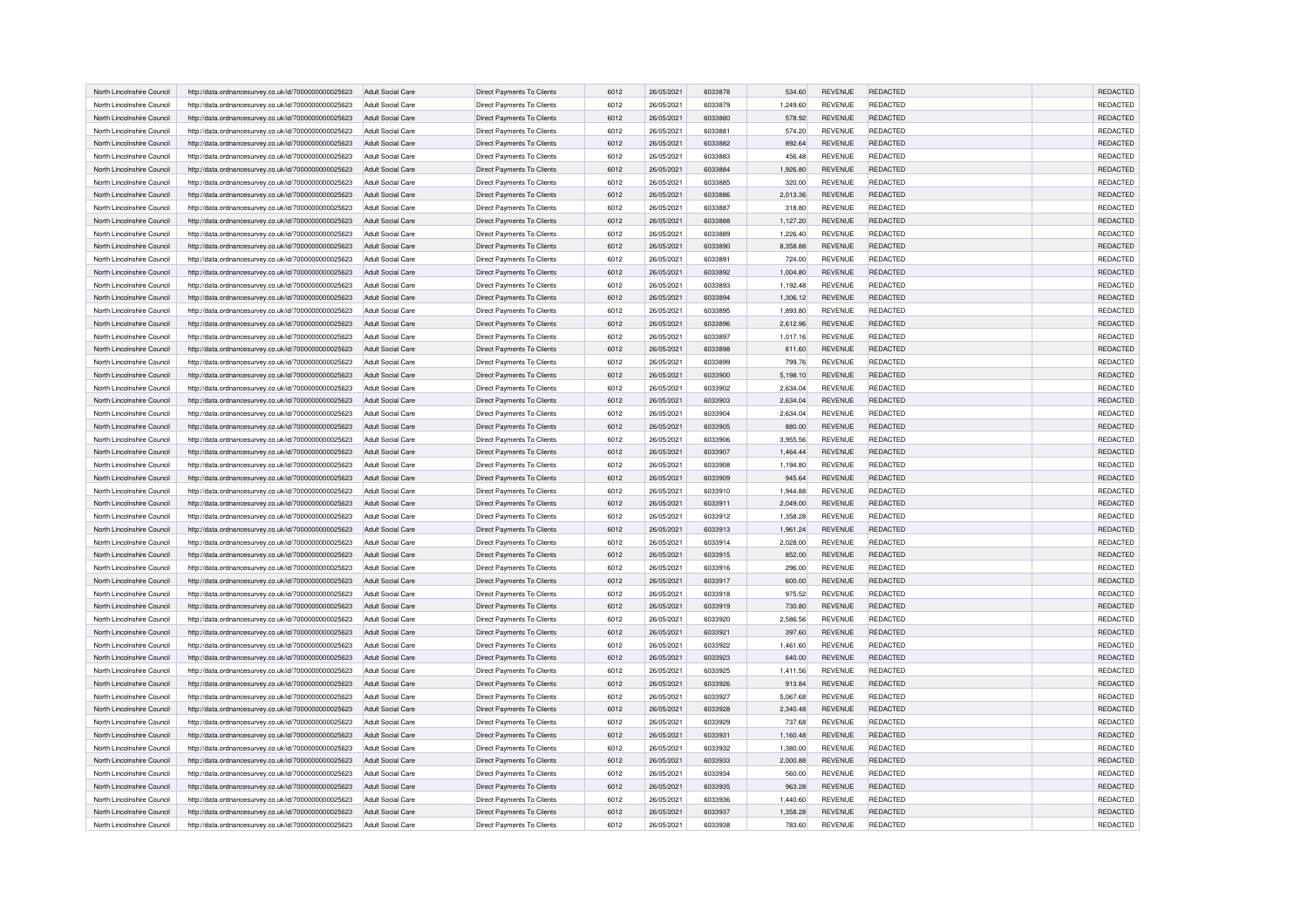|                            |                                                      |                          |                                   |      |            | 6033878        |          |                |                 | <b>REDACTED</b> |
|----------------------------|------------------------------------------------------|--------------------------|-----------------------------------|------|------------|----------------|----------|----------------|-----------------|-----------------|
| North Lincolnshire Council | http://data.ordnancesurvey.co.uk/id/7000000000025623 | Adult Social Care        | Direct Payments To Clients        | 6012 | 26/05/2021 |                | 534.60   | <b>REVENUE</b> | REDACTED        |                 |
| North Lincolnshire Council | http://data.ordnancesurvey.co.uk/id/7000000000025623 | Adult Social Care        | <b>Direct Payments To Clients</b> | 6012 | 26/05/2021 | 6033879        | 1,249.60 | <b>REVENUE</b> | REDACTED        | REDACTED        |
| North Lincolnshire Counci  | http://data.ordnancesurvey.co.uk/id/7000000000025623 | Adult Social Care        | Direct Payments To Clients        | 6012 | 26/05/2021 | 6033880        | 578.92   | <b>REVENUE</b> | REDACTED        | REDACTED        |
| North Lincolnshire Council | http://data.ordnancesurvey.co.uk/id/7000000000025623 | Adult Social Care        | <b>Direct Payments To Clients</b> | 6012 | 26/05/2021 | 6033881        | 574.20   | <b>REVENUE</b> | REDACTED        | REDACTED        |
| North Lincolnshire Council | http://data.ordnancesurvey.co.uk/id/7000000000025623 | Adult Social Care        | Direct Payments To Clients        | 6012 | 26/05/2021 | 6033882        | 892.64   | <b>REVENUE</b> | <b>REDACTED</b> | <b>REDACTED</b> |
| North Lincolnshire Council | http://data.ordnancesurvey.co.uk/id/7000000000025623 | <b>Adult Social Care</b> | Direct Payments To Clients        | 6012 | 26/05/2021 | 6033883        | 456.48   | <b>REVENUE</b> | REDACTED        | REDACTED        |
| North Lincolnshire Council | http://data.ordnancesurvey.co.uk/id/7000000000025623 | Adult Social Care        | Direct Payments To Clients        | 6012 | 26/05/2021 | 6033884        | 1,926.80 | <b>REVENUE</b> | REDACTED        | <b>REDACTED</b> |
| North Lincolnshire Council | http://data.ordnancesurvey.co.uk/id/7000000000025623 | Adult Social Care        | Direct Payments To Clients        | 6012 | 26/05/2021 | 6033885        | 320.00   | <b>REVENUE</b> | REDACTED        | REDACTED        |
| North Lincolnshire Counci  | http://data.ordnancesurvey.co.uk/id/7000000000025623 | <b>Adult Social Care</b> | Direct Payments To Clients        | 6012 | 26/05/2021 | 6033886        | 2,013.36 | <b>REVENUE</b> | REDACTED        | REDACTED        |
| North Lincolnshire Council | http://data.ordnancesurvey.co.uk/id/7000000000025623 | Adult Social Care        | Direct Payments To Clients        | 6012 | 26/05/2021 | 6033887        | 318.80   | <b>REVENUE</b> | REDACTED        | REDACTED        |
| North Lincolnshire Council | http://data.ordnancesurvey.co.uk/id/7000000000025623 | Adult Social Care        | Direct Payments To Clients        | 6012 | 26/05/2021 | 6033888        | 1,127.20 | <b>REVENUE</b> | REDACTED        | REDACTED        |
| North Lincolnshire Council | http://data.ordnancesurvey.co.uk/id/7000000000025623 | Adult Social Care        | Direct Payments To Clients        | 6012 | 26/05/2021 | 6033889        | 1,226.40 | <b>REVENUE</b> | REDACTED        | REDACTED        |
| North Lincolnshire Council | http://data.ordnancesurvey.co.uk/id/7000000000025623 | Adult Social Care        | Direct Payments To Clients        | 6012 | 26/05/2021 | 6033890        | 8,358.88 | <b>REVENUE</b> | REDACTED        | REDACTED        |
| North Lincolnshire Council | http://data.ordnancesurvey.co.uk/id/7000000000025623 | Adult Social Care        | Direct Payments To Clients        | 6012 | 26/05/2021 | 6033891        | 724.00   | <b>REVENUE</b> | REDACTED        | REDACTED        |
| North Lincolnshire Council | http://data.ordnancesurvey.co.uk/id/7000000000025623 | Adult Social Care        | Direct Payments To Clients        | 6012 | 26/05/2021 | <b>GO33892</b> | 1,004.80 | <b>REVENUE</b> | REDACTED        | REDACTED        |
| North Lincolnshire Council | http://data.ordnancesurvey.co.uk/id/7000000000025623 | Adult Social Care        | Direct Payments To Clients        | 6012 | 26/05/2021 | 6033893        | 1,192.48 | <b>REVENUE</b> | <b>REDACTED</b> | REDACTED        |
|                            |                                                      |                          |                                   |      |            | 6033894        |          |                | REDACTED        | REDACTED        |
| North Lincolnshire Council | http://data.ordnancesurvey.co.uk/id/7000000000025623 | Adult Social Care        | Direct Payments To Clients        | 6012 | 26/05/2021 |                | 1,306.12 | REVENUE        |                 |                 |
| North Lincolnshire Council | http://data.ordnancesurvey.co.uk/id/7000000000025623 | Adult Social Care        | Direct Payments To Clients        | 6012 | 26/05/2021 | 6033895        | 1,893.80 | <b>REVENUE</b> | REDACTED        | REDACTED        |
| North Lincolnshire Council | http://data.ordnancesurvey.co.uk/id/7000000000025623 | Adult Social Care        | <b>Direct Payments To Clients</b> | 6012 | 26/05/2021 | 6033896        | 2,612.96 | <b>REVENUE</b> | <b>REDACTED</b> | <b>REDACTED</b> |
| North Lincolnshire Council | http://data.ordnancesurvey.co.uk/id/7000000000025623 | Adult Social Care        | Direct Payments To Clients        | 6012 | 26/05/2021 | 6033897        | 1,017.16 | <b>REVENUE</b> | <b>REDACTED</b> | REDACTED        |
| North Lincolnshire Counci  | http://data.ordnancesurvey.co.uk/id/7000000000025623 | Adult Social Care        | Direct Payments To Clients        | 6012 | 26/05/2021 | 6033898        | 611.60   | <b>REVENUE</b> | REDACTED        | <b>REDACTED</b> |
| North Lincolnshire Council | http://data.ordnancesurvey.co.uk/id/7000000000025623 | Adult Social Care        | Direct Payments To Clients        | 6012 | 26/05/2021 | 6033899        | 799.76   | REVENUE        | REDACTED        | REDACTED        |
| North Lincolnshire Council | http://data.ordnancesurvey.co.uk/id/7000000000025623 | Adult Social Care        | <b>Direct Payments To Clients</b> | 6012 | 26/05/2021 | 6033900        | 5,198.10 | <b>REVENUE</b> | <b>REDACTED</b> | REDACTED        |
| North Lincolnshire Council | http://data.ordnancesurvey.co.uk/id/7000000000025623 | <b>Adult Social Care</b> | Direct Payments To Clients        | 6012 | 26/05/2021 | 6033902        | 2,634.04 | <b>REVENUE</b> | REDACTED        | REDACTED        |
| North Lincolnshire Council | http://data.ordnancesurvey.co.uk/id/7000000000025623 | Adult Social Care        | Direct Payments To Clients        | 6012 | 26/05/2021 | 6033903        | 2,634.04 | <b>REVENUE</b> | REDACTED        | REDACTED        |
| North Lincolnshire Council | http://data.ordnancesurvey.co.uk/id/7000000000025623 | Adult Social Care        | Direct Payments To Clients        | 6012 | 26/05/2021 | 6033904        | 2,634.04 | <b>REVENUE</b> | <b>REDACTED</b> | <b>REDACTED</b> |
| North Lincolnshire Council | http://data.ordnancesurvey.co.uk/id/7000000000025623 | Adult Social Care        | Direct Payments To Clients        | 6012 | 26/05/2021 | 6033905        | 880.00   | <b>REVENUE</b> | REDACTED        | REDACTED        |
| North Lincolnshire Council | http://data.ordnancesurvey.co.uk/id/7000000000025623 | Adult Social Care        | Direct Payments To Clients        | 6012 | 26/05/2021 | 6033906        | 3,955.56 | <b>REVENUE</b> | REDACTED        | REDACTED        |
| North Lincolnshire Counci  | http://data.ordnancesurvey.co.uk/id/7000000000025623 | Adult Social Care        | Direct Payments To Clients        | 6012 | 26/05/2021 | 6033907        | 1.464.44 | <b>REVENUE</b> | REDACTED        | REDACTED        |
| North Lincolnshire Council | http://data.ordnancesurvey.co.uk/id/7000000000025623 | Adult Social Care        | Direct Payments To Clients        | 6012 | 26/05/2021 | 6033908        | 1,194.80 | REVENUE        | REDACTED        | REDACTED        |
| North Lincolnshire Council | http://data.ordnancesurvey.co.uk/id/7000000000025623 | Adult Social Care        | Direct Payments To Clients        | 6012 | 26/05/2021 | 6033909        | 945.64   | <b>REVENUE</b> | REDACTED        | REDACTED        |
| North Lincolnshire Council | http://data.ordnancesurvey.co.uk/id/7000000000025623 | Adult Social Care        | Direct Payments To Clients        | 6012 | 26/05/2021 | 6033910        | 1,944.88 | <b>REVENUE</b> | <b>REDACTED</b> | <b>REDACTED</b> |
| North Lincolnshire Counci  | http://data.ordnancesurvey.co.uk/id/7000000000025623 | Adult Social Care        | Direct Payments To Clients        | 6012 | 26/05/2021 | 6033911        | 2,049.00 | <b>REVENUE</b> | REDACTED        | REDACTED        |
| North Lincolnshire Council |                                                      |                          |                                   | 6012 | 26/05/2021 | 6033912        |          | <b>REVENUE</b> | REDACTED        | REDACTED        |
|                            | http://data.ordnancesurvey.co.uk/id/7000000000025623 | Adult Social Care        | Direct Payments To Clients        |      |            |                | 1,358.28 |                |                 | REDACTED        |
| North Lincolnshire Counci  | http://data.ordnancesurvey.co.uk/id/7000000000025623 | Adult Social Care        | Direct Payments To Clients        | 6012 | 26/05/2021 | 6033913        | 1,961.24 | <b>REVENUE</b> | REDACTED        |                 |
| North Lincolnshire Council | http://data.ordnancesurvey.co.uk/id/7000000000025623 | Adult Social Care        | Direct Payments To Clients        | 6012 | 26/05/2021 | 6033914        | 2,028.00 | REVENUE        | REDACTED        | REDACTED        |
| North Lincolnshire Council | http://data.ordnancesurvey.co.uk/id/7000000000025623 | <b>Adult Social Care</b> | Direct Payments To Clients        | 6012 | 26/05/2021 | 6033915        | 852.00   | <b>REVENUE</b> | REDACTED        | REDACTED        |
| North Lincolnshire Council | http://data.ordnancesurvey.co.uk/id/7000000000025623 | <b>Adult Social Care</b> | Direct Payments To Clients        | 6012 | 26/05/2021 | 6033916        | 296.00   | REVENUE        | REDACTED        | REDACTED        |
| North Lincolnshire Council | http://data.ordnancesurvey.co.uk/id/7000000000025623 | Adult Social Care        | Direct Payments To Clients        | 6012 | 26/05/2021 | 6033917        | 600.00   | <b>REVENUE</b> | REDACTED        | <b>REDACTED</b> |
| North Lincolnshire Council | http://data.ordnancesurvey.co.uk/id/7000000000025623 | Adult Social Care        | Direct Payments To Clients        | 6012 | 26/05/2021 | 6033918        | 975.52   | <b>REVENUE</b> | <b>REDACTED</b> | <b>REDACTED</b> |
| North Lincolnshire Council | http://data.ordnancesurvey.co.uk/id/7000000000025623 | Adult Social Care        | Direct Payments To Clients        | 6012 | 26/05/2021 | 6033919        | 730.80   | <b>REVENUE</b> | REDACTED        | REDACTED        |
| North Lincolnshire Council | http://data.ordnancesurvey.co.uk/id/7000000000025623 | Adult Social Care        | Direct Payments To Clients        | 6012 | 26/05/2021 | 6033920        | 2,586.56 | <b>REVENUE</b> | REDACTED        | REDACTED        |
| North Lincolnshire Council | http://data.ordnancesurvey.co.uk/id/7000000000025623 | Adult Social Care        | Direct Payments To Clients        | 6012 | 26/05/2021 | 6033921        | 397.60   | REVENUE        | REDACTED        | REDACTED        |
| North Lincolnshire Council | http://data.ordnancesurvey.co.uk/id/7000000000025623 | <b>Adult Social Care</b> | Direct Payments To Clients        | 6012 | 26/05/2021 | 6033922        | 1,461.60 | <b>REVENUE</b> | <b>REDACTED</b> | REDACTED        |
| North Lincolnshire Council | http://data.ordnancesurvey.co.uk/id/7000000000025623 | Adult Social Care        | Direct Payments To Clients        | 6012 | 26/05/2021 | 6033923        | 640.00   | <b>REVENUE</b> | REDACTED        | <b>REDACTED</b> |
| North Lincolnshire Council | http://data.ordnancesurvey.co.uk/id/7000000000025623 | Adult Social Care        | Direct Payments To Clients        | 6012 | 26/05/2021 | 6033925        | 1,411.56 | <b>REVENUE</b> | REDACTED        | REDACTED        |
| North Lincolnshire Council | http://data.ordnancesurvey.co.uk/id/7000000000025623 | Adult Social Care        | Direct Payments To Clients        | 6012 | 26/05/2021 | 6033926        | 913.84   | <b>REVENUE</b> | REDACTED        | REDACTED        |
| North Lincolnshire Council | http://data.ordnancesurvey.co.uk/id/7000000000025623 | Adult Social Care        | Direct Payments To Clients        | 6012 | 26/05/2021 | 6033927        | 5,067.68 | <b>REVENUE</b> | <b>REDACTED</b> | REDACTED        |
| North Lincolnshire Council | http://data.ordnancesurvey.co.uk/id/7000000000025623 | Adult Social Care        | Direct Payments To Clients        | 6012 | 26/05/2021 | 6033928        | 2,340.48 | <b>REVENUE</b> | REDACTED        | REDACTED        |
| North Lincolnshire Council | http://data.ordnancesurvey.co.uk/id/7000000000025623 | Adult Social Care        | Direct Payments To Clients        | 6012 | 26/05/2021 | 6033929        | 737.68   | <b>REVENUE</b> | REDACTED        | REDACTED        |
| North Lincolnshire Council | http://data.ordnancesurvey.co.uk/id/7000000000025623 | Adult Social Care        | Direct Payments To Clients        | 6012 | 26/05/2021 | 6033931        | 1,160.48 | <b>REVENUE</b> | <b>REDACTED</b> | REDACTED        |
| North Lincolnshire Council | http://data.ordnancesurvey.co.uk/id/7000000000025623 | <b>Adult Social Care</b> | Direct Payments To Clients        | 6012 | 26/05/2021 | 6033932        | 1,380.00 | <b>REVENUE</b> | <b>REDACTED</b> | REDACTED        |
| North Lincolnshire Council | http://data.ordnancesurvey.co.uk/id/7000000000025623 | Adult Social Care        | Direct Payments To Clients        | 6012 | 26/05/2021 | 6033933        | 2,000.88 | <b>REVENUE</b> | REDACTED        | REDACTED        |
| North Lincolnshire Council | http://data.ordnancesurvey.co.uk/id/7000000000025623 | Adult Social Care        | Direct Payments To Clients        | 6012 | 26/05/2021 | 6033934        | 560.00   | <b>REVENUE</b> | REDACTED        | REDACTED        |
|                            |                                                      |                          |                                   | 6012 |            |                |          | <b>REVENUE</b> |                 |                 |
| North Lincolnshire Council | http://data.ordnancesurvey.co.uk/id/7000000000025623 | Adult Social Care        | Direct Payments To Clients        |      | 26/05/2021 | 6033935        | 963.28   |                | REDACTED        | REDACTED        |
| North Lincolnshire Council | http://data.ordnancesurvey.co.uk/id/7000000000025623 | <b>Adult Social Care</b> | Direct Payments To Clients        | 6012 | 26/05/2021 | 6033936        | 1,440.60 | <b>REVENUE</b> | <b>REDACTED</b> | REDACTED        |
| North Lincolnshire Council | http://data.ordnancesurvey.co.uk/id/7000000000025623 | Adult Social Care        | Direct Payments To Clients        | 6012 | 26/05/2021 | 6033937        | 1,358.28 | <b>REVENUE</b> | REDACTED        | REDACTED        |
| North Lincolnshire Council | http://data.ordnancesurvey.co.uk/id/7000000000025623 | Adult Social Care        | Direct Payments To Clients        | 6012 | 26/05/2021 | 6033938        | 783.60   | <b>REVENUE</b> | REDACTED        | REDACTED        |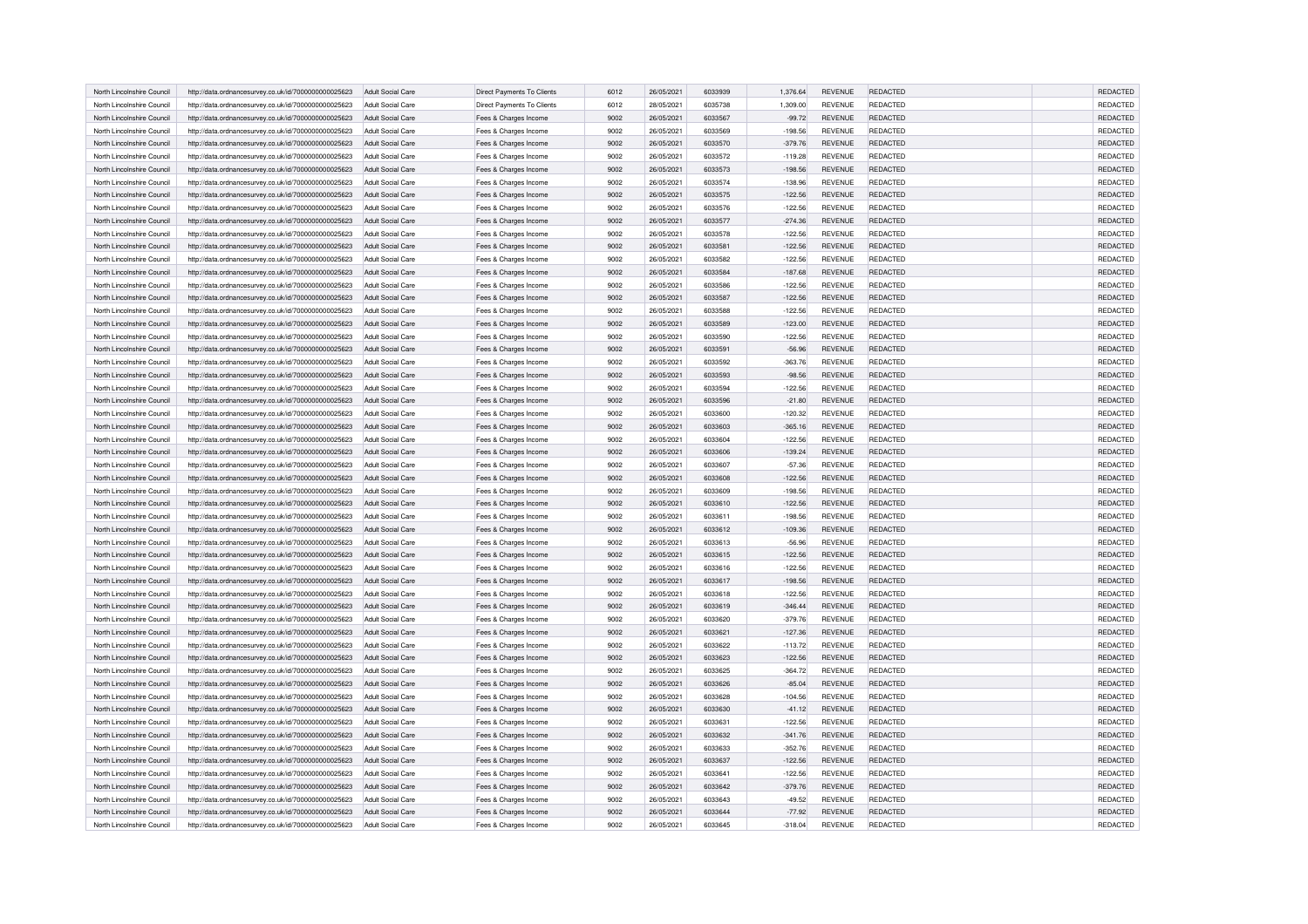| North Lincolnshire Council | http://data.ordnancesurvey.co.uk/id/7000000000025623 | Adult Social Care        | Direct Payments To Clients | 6012 | 26/05/2021 | 6033939 | 1.376.64  | <b>REVENUE</b> | REDACTED        | <b>REDACTED</b> |
|----------------------------|------------------------------------------------------|--------------------------|----------------------------|------|------------|---------|-----------|----------------|-----------------|-----------------|
| North Lincolnshire Council | http://data.ordnancesurvey.co.uk/id/7000000000025623 | Adult Social Care        | Direct Payments To Clients | 6012 | 28/05/2021 | 6035738 | 1,309.00  | <b>REVENUE</b> | <b>REDACTED</b> | REDACTED        |
| North Lincolnshire Counci  | http://data.ordnancesurvey.co.uk/id/7000000000025623 | Adult Social Care        | Fees & Charges Income      | 9002 | 26/05/2021 | 6033567 | $-99.72$  | REVENUE        | REDACTED        | REDACTED        |
| North Lincolnshire Council | http://data.ordnancesurvey.co.uk/id/7000000000025623 | Adult Social Care        | Fees & Charges Income      | 9002 | 26/05/2021 | 6033569 | $-198.56$ | <b>REVENUE</b> | REDACTED        | REDACTED        |
| North Lincolnshire Council |                                                      | Adult Social Care        |                            | 9002 | 26/05/2021 | 6033570 | $-379.76$ | <b>REVENUE</b> | <b>REDACTED</b> | REDACTED        |
|                            | http://data.ordnancesurvey.co.uk/id/7000000000025623 |                          | Fees & Charges Income      |      |            |         |           |                |                 |                 |
| North Lincolnshire Council | http://data.ordnancesurvey.co.uk/id/7000000000025623 | <b>Adult Social Care</b> | Fees & Charges Income      | 9002 | 26/05/2021 | 6033572 | $-119.28$ | <b>REVENUE</b> | REDACTED        | REDACTED        |
| North Lincolnshire Council | http://data.ordnancesurvey.co.uk/id/7000000000025623 | Adult Social Care        | Fees & Charges Income      | 9002 | 26/05/2021 | 6033573 | $-198.56$ | <b>REVENUE</b> | REDACTED        | REDACTED        |
| North Lincolnshire Council | http://data.ordnancesurvey.co.uk/id/7000000000025623 | Adult Social Care        | Fees & Charges Income      | 9002 | 26/05/2021 | 6033574 | $-138.96$ | <b>REVENUE</b> | REDACTED        | REDACTED        |
| North Lincolnshire Counci  | http://data.ordnancesurvey.co.uk/id/7000000000025623 | <b>Adult Social Care</b> | Fees & Charges Income      | 9002 | 26/05/2021 | 6033575 | $-122.56$ | <b>REVENUE</b> | REDACTED        | REDACTED        |
| North Lincolnshire Council | http://data.ordnancesurvey.co.uk/id/7000000000025623 | <b>Adult Social Care</b> | Fees & Charges Income      | 9002 | 26/05/2021 | 6033576 | $-122.56$ | <b>REVENUE</b> | REDACTED        | REDACTED        |
| North Lincolnshire Counci  | http://data.ordnancesurvey.co.uk/id/7000000000025623 | Adult Social Care        | Fees & Charges Income      | 9002 | 26/05/2021 | 6033577 | $-274.36$ | <b>REVENUE</b> | REDACTED        | REDACTED        |
| North Lincolnshire Council | http://data.ordnancesurvey.co.uk/id/7000000000025623 | <b>Adult Social Care</b> | Fees & Charges Income      | 9002 | 26/05/2021 | 6033578 | $-122.56$ | <b>REVENUE</b> | REDACTED        | REDACTED        |
| North Lincolnshire Council | http://data.ordnancesurvey.co.uk/id/7000000000025623 | Adult Social Care        | Fees & Charges Income      | 9002 | 26/05/2021 | 6033581 | $-122.56$ | <b>REVENUE</b> | <b>REDACTED</b> | REDACTED        |
| North Lincolnshire Council | http://data.ordnancesurvey.co.uk/id/7000000000025623 | Adult Social Care        | Fees & Charges Income      | 9002 | 26/05/2021 | 6033582 | $-122.56$ | <b>REVENUE</b> | REDACTED        | REDACTED        |
| North Lincolnshire Counci  | http://data.ordnancesurvey.co.uk/id/7000000000025623 | Adult Social Care        | Fees & Charges Income      | 9002 | 26/05/2021 | 6033584 | $-187.68$ | <b>REVENUE</b> | REDACTED        | REDACTED        |
| North Lincolnshire Counci  | http://data.ordnancesurvey.co.uk/id/7000000000025623 | Adult Social Care        | Fees & Charges Income      | 9002 | 26/05/2021 | 6033586 | $-122.56$ | <b>REVENUE</b> | <b>REDACTED</b> | REDACTED        |
| North Lincolnshire Council | http://data.ordnancesurvey.co.uk/id/7000000000025623 | Adult Social Care        | Fees & Charges Income      | 9002 | 26/05/2021 | 6033587 | $-122.56$ | REVENUE        | REDACTED        | REDACTED        |
| North Lincolnshire Council | http://data.ordnancesurvey.co.uk/id/7000000000025623 | <b>Adult Social Care</b> | Fees & Charges Income      | 9002 | 26/05/2021 | 6033588 | $-122.56$ | <b>REVENUE</b> | <b>REDACTED</b> | REDACTED        |
| North Lincolnshire Council | http://data.ordnancesurvey.co.uk/id/7000000000025623 | Adult Social Care        | Fees & Charges Income      | 9002 | 26/05/2021 | 6033589 | $-123.00$ | <b>REVENUE</b> | <b>REDACTED</b> | <b>REDACTED</b> |
| North Lincolnshire Council | http://data.ordnancesurvey.co.uk/id/7000000000025623 | <b>Adult Social Care</b> | Fees & Charges Income      | 9002 | 26/05/2021 | 6033590 | $-122.56$ | <b>REVENUE</b> | <b>REDACTED</b> | REDACTED        |
| North Lincolnshire Counci  | http://data.ordnancesurvey.co.uk/id/7000000000025623 | Adult Social Care        | Fees & Charges Income      | 9002 | 26/05/2021 | 6033591 | $-56.96$  | <b>REVENUE</b> | REDACTED        | REDACTED        |
| North Lincolnshire Counci  | http://data.ordnancesurvey.co.uk/id/7000000000025623 | Adult Social Care        | Fees & Charges Income      | 9002 | 26/05/2021 | 6033592 | $-363.76$ | <b>REVENUE</b> | REDACTED        | REDACTED        |
| North Lincolnshire Council | http://data.ordnancesurvey.co.uk/id/7000000000025623 | <b>Adult Social Care</b> | Fees & Charges Income      | 9002 | 26/05/2021 | 6033593 | $-98.56$  | <b>REVENUE</b> | <b>REDACTED</b> | <b>REDACTED</b> |
| North Lincolnshire Council | http://data.ordnancesurvey.co.uk/id/7000000000025623 | <b>Adult Social Care</b> | Fees & Charges Income      | 9002 | 26/05/2021 | 6033594 | $-122.56$ | <b>REVENUE</b> | <b>REDACTED</b> | REDACTED        |
| North Lincolnshire Council | http://data.ordnancesurvey.co.uk/id/7000000000025623 | Adult Social Care        | Fees & Charges Income      | 9002 | 26/05/2021 | 6033596 | $-21.80$  | <b>REVENUE</b> | REDACTED        | REDACTED        |
| North Lincolnshire Council | http://data.ordnancesurvey.co.uk/id/7000000000025623 | Adult Social Care        |                            | 9002 | 26/05/2021 | 6033600 | $-120.32$ | <b>REVENUE</b> | REDACTED        | REDACTED        |
| North Lincolnshire Counci  |                                                      | Adult Social Care        | Fees & Charges Income      | 9002 | 26/05/2021 | 6033603 | $-365.16$ | <b>REVENUE</b> | REDACTED        | REDACTED        |
|                            | http://data.ordnancesurvey.co.uk/id/7000000000025623 |                          | Fees & Charges Income      |      |            | 6033604 |           |                |                 |                 |
| North Lincolnshire Council | http://data.ordnancesurvey.co.uk/id/7000000000025623 | Adult Social Care        | Fees & Charges Income      | 9002 | 26/05/2021 |         | $-122.56$ | <b>REVENUE</b> | REDACTED        | REDACTED        |
| North Lincolnshire Counci  | http://data.ordnancesurvey.co.uk/id/7000000000025623 | Adult Social Care        | Fees & Charges Income      | 9002 | 26/05/2021 | 6033606 | $-139.24$ | <b>REVENUE</b> | REDACTED        | REDACTED        |
| North Lincolnshire Council | http://data.ordnancesurvey.co.uk/id/7000000000025623 | <b>Adult Social Care</b> | Fees & Charges Income      | 9002 | 26/05/2021 | 6033607 | $-57.36$  | <b>REVENUE</b> | REDACTED        | REDACTED        |
| North Lincolnshire Council | http://data.ordnancesurvey.co.uk/id/7000000000025623 | Adult Social Care        | Fees & Charges Income      | 9002 | 26/05/2021 | 6033608 | $-122.56$ | <b>REVENUE</b> | REDACTED        | <b>REDACTED</b> |
| North Lincolnshire Council | http://data.ordnancesurvey.co.uk/id/7000000000025623 | Adult Social Care        | Fees & Charges Income      | 9002 | 26/05/2021 | 6033609 | $-198.56$ | <b>REVENUE</b> | <b>REDACTED</b> | REDACTED        |
| North Lincolnshire Counci  | http://data.ordnancesurvey.co.uk/id/7000000000025623 | Adult Social Care        | Fees & Charges Income      | 9002 | 26/05/2021 | 6033610 | $-122.56$ | <b>REVENUE</b> | REDACTED        | REDACTED        |
| North Lincolnshire Counci  | http://data.ordnancesurvey.co.uk/id/7000000000025623 | Adult Social Care        | Fees & Charges Income      | 9002 | 26/05/2021 | 6033611 | $-198.56$ | <b>REVENUE</b> | REDACTED        | REDACTED        |
| North Lincolnshire Counci  | http://data.ordnancesurvey.co.uk/id/7000000000025623 | Adult Social Care        | Fees & Charges Income      | 9002 | 26/05/2021 | 6033612 | $-109.36$ | <b>REVENUE</b> | REDACTED        | REDACTED        |
| North Lincolnshire Council | http://data.ordnancesurvey.co.uk/id/7000000000025623 | Adult Social Care        | Fees & Charges Income      | 9002 | 26/05/2021 | 6033613 | $-56.96$  | <b>REVENUE</b> | REDACTED        | REDACTED        |
| North Lincolnshire Council | http://data.ordnancesurvey.co.uk/id/7000000000025623 | <b>Adult Social Care</b> | Fees & Charges Income      | 9002 | 26/05/2021 | 6033615 | $-122.56$ | <b>REVENUE</b> | <b>REDACTED</b> | <b>REDACTED</b> |
| North Lincolnshire Council | http://data.ordnancesurvey.co.uk/id/7000000000025623 | <b>Adult Social Care</b> | Fees & Charges Income      | 9002 | 26/05/2021 | 6033616 | $-122.56$ | REVENUE        | REDACTED        | REDACTED        |
| North Lincolnshire Council | http://data.ordnancesurvey.co.uk/id/7000000000025623 | Adult Social Care        | Fees & Charges Income      | 9002 | 26/05/2021 | 6033617 | $-198.56$ | <b>REVENUE</b> | REDACTED        | <b>REDACTED</b> |
| North Lincolnshire Council | http://data.ordnancesurvey.co.uk/id/7000000000025623 | Adult Social Care        | Fees & Charges Income      | 9002 | 26/05/2021 | 6033618 | $-122.56$ | <b>REVENUE</b> | <b>REDACTED</b> | <b>REDACTED</b> |
| North Lincolnshire Council | http://data.ordnancesurvey.co.uk/id/7000000000025623 | Adult Social Care        | Fees & Charges Income      | 9002 | 26/05/2021 | 6033619 | $-346.44$ | <b>REVENUE</b> | REDACTED        | REDACTED        |
| North Lincolnshire Council | http://data.ordnancesurvey.co.uk/id/7000000000025623 | Adult Social Care        | Fees & Charges Income      | 9002 | 26/05/2021 | 6033620 | $-379.76$ | <b>REVENUE</b> | REDACTED        | REDACTED        |
| North Lincolnshire Counci  | http://data.ordnancesurvey.co.uk/id/7000000000025623 | Adult Social Care        | Fees & Charges Income      | 9002 | 26/05/2021 | 6033621 | $-127.36$ | <b>REVENUE</b> | REDACTED        | REDACTED        |
| North Lincolnshire Council | http://data.ordnancesurvey.co.uk/id/7000000000025623 | <b>Adult Social Care</b> | Fees & Charges Income      | 9002 | 26/05/2021 | 6033622 | $-113.72$ | <b>REVENUE</b> | <b>REDACTED</b> | REDACTED        |
| North Lincolnshire Council | http://data.ordnancesurvey.co.uk/id/7000000000025623 | <b>Adult Social Care</b> | Fees & Charges Income      | 9002 | 26/05/2021 | 6033623 | $-122.56$ | <b>REVENUE</b> | <b>REDACTED</b> | REDACTED        |
| North Lincolnshire Council | http://data.ordnancesurvey.co.uk/id/7000000000025623 | Adult Social Care        | Fees & Charges Income      | 9002 | 26/05/2021 | 6033625 | $-364.72$ | REVENUE        | REDACTED        | REDACTED        |
| North Lincolnshire Council | http://data.ordnancesurvey.co.uk/id/7000000000025623 | Adult Social Care        | Fees & Charges Income      | 9002 | 26/05/2021 | 6033626 | $-85.04$  | <b>REVENUE</b> | REDACTED        | REDACTED        |
| North Lincolnshire Council | http://data.ordnancesurvey.co.uk/id/7000000000025623 | Adult Social Care        | Fees & Charges Income      | 9002 | 26/05/2021 | 6033628 | $-104.56$ | <b>REVENUE</b> | <b>REDACTED</b> | REDACTED        |
| North Lincolnshire Counci  | http://data.ordnancesurvey.co.uk/id/7000000000025623 | Adult Social Care        | Fees & Charges Income      | 9002 | 26/05/2021 | 6033630 | $-41.12$  | REVENUE        | REDACTED        | REDACTED        |
| North Lincolnshire Council | http://data.ordnancesurvey.co.uk/id/7000000000025623 | Adult Social Care        | Fees & Charges Income      | 9002 | 26/05/2021 | 6033631 | $-122.56$ | <b>REVENUE</b> | REDACTED        | REDACTED        |
| North Lincolnshire Council | http://data.ordnancesurvey.co.uk/id/7000000000025623 | <b>Adult Social Care</b> | Fees & Charges Income      | 9002 | 26/05/2021 | 6033632 | $-341.76$ | <b>REVENUE</b> | <b>REDACTED</b> | REDACTED        |
| North Lincolnshire Council | http://data.ordnancesurvey.co.uk/id/7000000000025623 | <b>Adult Social Care</b> | Fees & Charges Income      | 9002 | 26/05/2021 | 6033633 | $-352.76$ | <b>REVENUE</b> | <b>REDACTED</b> | REDACTED        |
| North Lincolnshire Council | http://data.ordnancesurvey.co.uk/id/7000000000025623 | Adult Social Care        | Fees & Charges Income      | 9002 | 26/05/2021 | 6033637 | $-122.56$ | <b>REVENUE</b> | <b>REDACTED</b> | REDACTED        |
| North Lincolnshire Council | http://data.ordnancesurvey.co.uk/id/7000000000025623 | Adult Social Care        |                            | 9002 | 26/05/2021 | 6033641 | $-122.56$ | <b>REVENUE</b> | <b>REDACTED</b> | REDACTED        |
|                            |                                                      |                          | Fees & Charges Income      |      |            |         |           |                |                 |                 |
| North Lincolnshire Council | http://data.ordnancesurvey.co.uk/id/7000000000025623 | Adult Social Care        | Fees & Charges Income      | 9002 | 26/05/2021 | 6033642 | $-379.76$ | REVENUE        | REDACTED        | REDACTED        |
| North Lincolnshire Council | http://data.ordnancesurvey.co.uk/id/7000000000025623 | <b>Adult Social Care</b> | Fees & Charges Income      | 9002 | 26/05/2021 | 6033643 | $-49.52$  | <b>REVENUE</b> | <b>REDACTED</b> | <b>REDACTED</b> |
| North Lincolnshire Council | http://data.ordnancesurvey.co.uk/id/7000000000025623 | Adult Social Care        | Fees & Charges Income      | 9002 | 26/05/2021 | 6033644 | $-77.92$  | <b>REVENUE</b> | REDACTED        | REDACTED        |
| North Lincolnshire Council | http://data.ordnancesurvey.co.uk/id/7000000000025623 | Adult Social Care        | Fees & Charges Income      | 9002 | 26/05/2021 | 6033645 | $-318.04$ | <b>REVENUE</b> | REDACTED        | REDACTED        |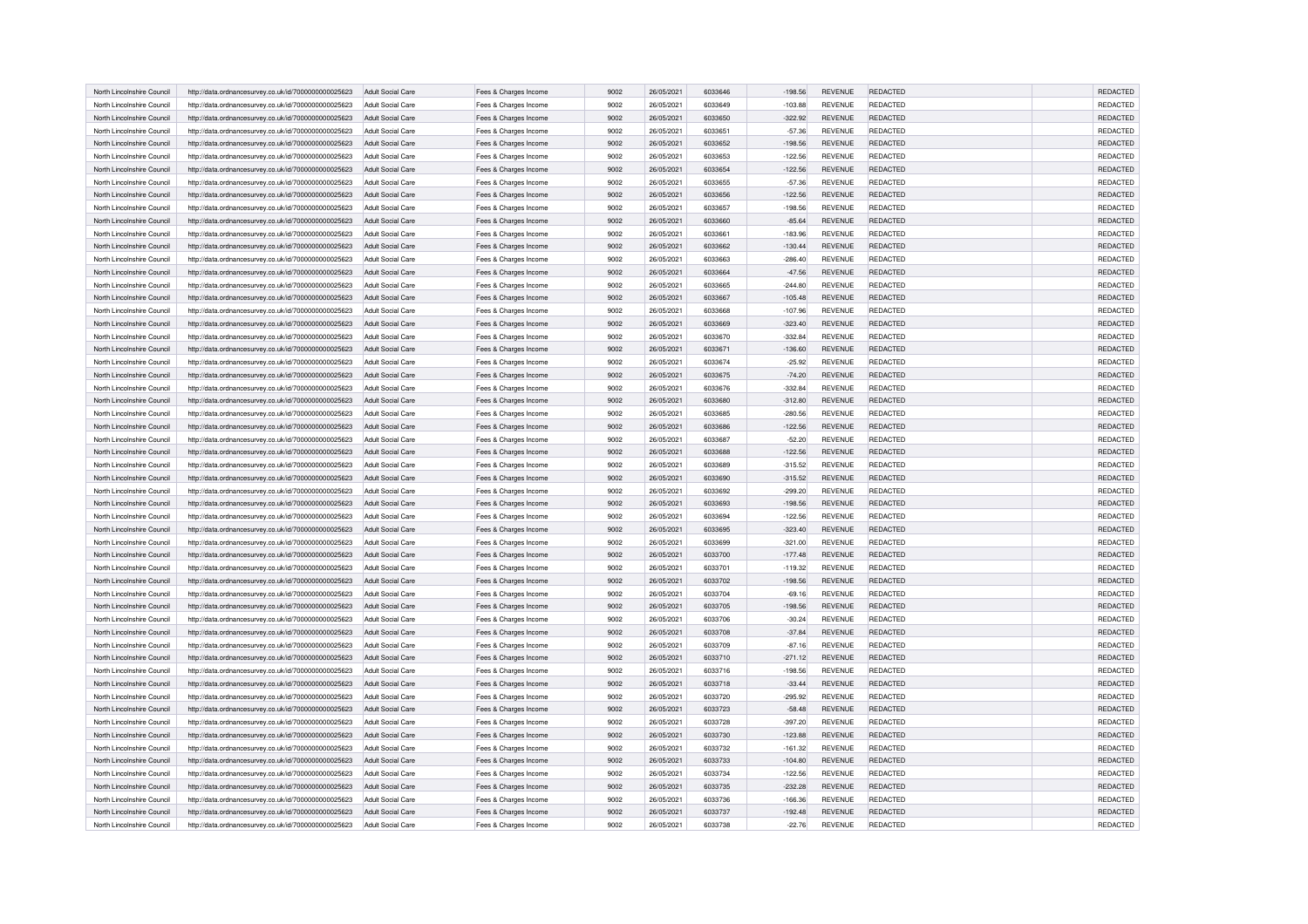| North Lincolnshire Council | http://data.ordnancesurvey.co.uk/id/7000000000025623                                                         | Adult Social Care                                    | Fees & Charges Income                          | 9002         | 26/05/2021 | 6033646 | $-198.56$             | <b>REVENUE</b> | REDACTED        | <b>REDACTED</b> |
|----------------------------|--------------------------------------------------------------------------------------------------------------|------------------------------------------------------|------------------------------------------------|--------------|------------|---------|-----------------------|----------------|-----------------|-----------------|
| North Lincolnshire Council | http://data.ordnancesurvey.co.uk/id/7000000000025623                                                         | Adult Social Care                                    | Fees & Charges Income                          | 9002         | 26/05/2021 | 6033649 | $-103.88$             | <b>REVENUE</b> | REDACTED        | REDACTED        |
| North Lincolnshire Counci  | http://data.ordnancesurvey.co.uk/id/7000000000025623                                                         | Adult Social Care                                    | Fees & Charges Income                          | 9002         | 26/05/2021 | 6033650 | $-322.92$             | <b>REVENUE</b> | REDACTED        | REDACTED        |
| North Lincolnshire Council | http://data.ordnancesurvey.co.uk/id/7000000000025623                                                         | Adult Social Care                                    | Fees & Charges Income                          | 9002         | 26/05/2021 | 6033651 | $-57.36$              | <b>REVENUE</b> | REDACTED        | REDACTED        |
| North Lincolnshire Council | http://data.ordnancesurvey.co.uk/id/7000000000025623                                                         | Adult Social Care                                    | Fees & Charges Income                          | 9002         | 26/05/2021 | 6033652 | $-198.56$             | REVENUE        | REDACTED        | REDACTED        |
| North Lincolnshire Council | http://data.ordnancesurvey.co.uk/id/7000000000025623                                                         | <b>Adult Social Care</b>                             | Fees & Charges Income                          | 9002         | 26/05/2021 | 6033653 | $-122.56$             | <b>REVENUE</b> | <b>REDACTED</b> | REDACTED        |
| North Lincolnshire Council | http://data.ordnancesurvey.co.uk/id/7000000000025623                                                         | Adult Social Care                                    | Fees & Charges Income                          | 9002         | 26/05/2021 | 6033654 | $-122.56$             | <b>REVENUE</b> | REDACTED        | REDACTED        |
|                            |                                                                                                              |                                                      |                                                |              |            |         |                       |                |                 |                 |
| North Lincolnshire Council | http://data.ordnancesurvey.co.uk/id/7000000000025623                                                         | Adult Social Care                                    | Fees & Charges Income                          | 9002         | 26/05/2021 | 6033655 | $-57.36$              | REVENUE        | REDACTED        | REDACTED        |
| North Lincolnshire Counci  | http://data.ordnancesurvey.co.uk/id/7000000000025623                                                         | <b>Adult Social Care</b>                             | Fees & Charges Income                          | 9002         | 26/05/2021 | 6033656 | $-122.56$             | <b>REVENUE</b> | REDACTED        | REDACTED        |
| North Lincolnshire Counci  | http://data.ordnancesurvey.co.uk/id/7000000000025623                                                         | Adult Social Care                                    | Fees & Charges Income                          | 9002         | 26/05/2021 | 6033657 | $-198.56$             | REVENUE        | REDACTED        | REDACTED        |
| North Lincolnshire Council | http://data.ordnancesurvey.co.uk/id/7000000000025623                                                         | Adult Social Care                                    | Fees & Charges Income                          | 9002         | 26/05/2021 | 6033660 | $-85.64$              | <b>REVENUE</b> | <b>REDACTED</b> | REDACTED        |
| North Lincolnshire Council | http://data.ordnancesurvey.co.uk/id/7000000000025623                                                         | Adult Social Care                                    | Fees & Charges Income                          | 9002         | 26/05/2021 | 603366  | $-183.96$             | <b>REVENUE</b> | <b>REDACTED</b> | REDACTED        |
| North Lincolnshire Council | http://data.ordnancesurvey.co.uk/id/7000000000025623                                                         | Adult Social Care                                    | Fees & Charges Income                          | 9002         | 26/05/2021 | 6033662 | $-130.44$             | <b>REVENUE</b> | REDACTED        | REDACTED        |
| North Lincolnshire Council | http://data.ordnancesurvey.co.uk/id/7000000000025623                                                         | Adult Social Care                                    | Fees & Charges Income                          | 9002         | 26/05/2021 | 6033663 | $-286.40$             | <b>REVENUE</b> | <b>REDACTED</b> | REDACTED        |
| North Lincolnshire Council | http://data.ordnancesurvey.co.uk/id/7000000000025623                                                         | Adult Social Care                                    | Fees & Charges Income                          | 9002         | 26/05/2021 | 6033664 | $-47.56$              | <b>REVENUE</b> | REDACTED        | REDACTED        |
| North Lincolnshire Council | http://data.ordnancesurvey.co.uk/id/7000000000025623                                                         | Adult Social Care                                    | Fees & Charges Income                          | 9002         | 26/05/2021 | 6033665 | $-244.80$             | <b>REVENUE</b> | <b>REDACTED</b> | REDACTED        |
| North Lincolnshire Counci  | http://data.ordnancesurvey.co.uk/id/7000000000025623                                                         | Adult Social Care                                    | Fees & Charges Income                          | 9002         | 26/05/2021 | 6033667 | $-105.48$             | <b>REVENUE</b> | REDACTED        | REDACTED        |
| North Lincolnshire Council | http://data.ordnancesurvey.co.uk/id/7000000000025623                                                         | Adult Social Care                                    | Fees & Charges Income                          | 9002         | 26/05/2021 | 6033668 | $-107.96$             | REVENUE        | REDACTED        | REDACTED        |
| North Lincolnshire Council | http://data.ordnancesurvey.co.uk/id/7000000000025623                                                         | Adult Social Care                                    | Fees & Charges Income                          | 9002         | 26/05/2021 | 6033669 | $-323.40$             | <b>REVENUE</b> | REDACTED        | REDACTED        |
| North Lincolnshire Council | http://data.ordnancesurvey.co.uk/id/7000000000025623                                                         | <b>Adult Social Care</b>                             | Fees & Charges Income                          | 9002         | 26/05/2021 | 6033670 | $-332.84$             | <b>REVENUE</b> | REDACTED        | REDACTED        |
| North Lincolnshire Council | http://data.ordnancesurvey.co.uk/id/7000000000025623                                                         | Adult Social Care                                    | Fees & Charges Income                          | 9002         | 26/05/2021 | 6033671 | $-136.60$             | <b>REVENUE</b> | REDACTED        | REDACTED        |
| North Lincolnshire Council | http://data.ordnancesurvey.co.uk/id/7000000000025623                                                         | Adult Social Care                                    | Fees & Charges Income                          | 9002         | 26/05/2021 | 6033674 | $-25.92$              | REVENUE        | REDACTED        | REDACTED        |
| North Lincolnshire Counci  | http://data.ordnancesurvey.co.uk/id/7000000000025623                                                         | Adult Social Care                                    | Fees & Charges Income                          | 9002         | 26/05/2021 | 6033675 | $-74.20$              | <b>REVENUE</b> | REDACTED        | REDACTED        |
| North Lincolnshire Council | http://data.ordnancesurvey.co.uk/id/7000000000025623                                                         | Adult Social Care                                    | Fees & Charges Income                          | 9002         | 26/05/2021 | 6033676 | $-332.84$             | <b>REVENUE</b> | <b>REDACTED</b> | REDACTED        |
| North Lincolnshire Council |                                                                                                              | Adult Social Care                                    |                                                | 9002         | 26/05/2021 | 6033680 | $-312.80$             | <b>REVENUE</b> | REDACTED        | <b>REDACTED</b> |
|                            | http://data.ordnancesurvey.co.uk/id/7000000000025623                                                         |                                                      | Fees & Charges Income                          |              |            |         |                       |                |                 |                 |
| North Lincolnshire Council | http://data.ordnancesurvey.co.uk/id/7000000000025623                                                         | <b>Adult Social Care</b>                             | Fees & Charges Income                          | 9002         | 26/05/2021 | 6033685 | $-280.56$             | <b>REVENUE</b> | REDACTED        | REDACTED        |
| North Lincolnshire Council | http://data.ordnancesurvey.co.uk/id/7000000000025623                                                         | Adult Social Care                                    | Fees & Charges Income                          | 9002         | 26/05/2021 | 6033686 | $-122.56$             | <b>REVENUE</b> | <b>REDACTED</b> | <b>REDACTED</b> |
| North Lincolnshire Council | http://data.ordnancesurvey.co.uk/id/7000000000025623                                                         | Adult Social Care                                    | Fees & Charges Income                          | 9002         | 26/05/2021 | 6033687 | $-52.20$              | <b>REVENUE</b> | REDACTED        | REDACTED        |
| North Lincolnshire Council | http://data.ordnancesurvey.co.uk/id/7000000000025623                                                         | Adult Social Care                                    | Fees & Charges Income                          | 9002         | 26/05/2021 | 6033688 | $-122.56$             | <b>REVENUE</b> | REDACTED        | REDACTED        |
| North Lincolnshire Counci  | http://data.ordnancesurvey.co.uk/id/7000000000025623                                                         | Adult Social Care                                    | Fees & Charges Income                          | 9002         | 26/05/2021 | 6033689 | $-315.52$             | <b>REVENUE</b> | <b>REDACTED</b> | REDACTED        |
| North Lincolnshire Council | http://data.ordnancesurvey.co.uk/id/7000000000025623                                                         | Adult Social Care                                    | Fees & Charges Income                          | 9002         | 26/05/2021 | 6033690 | $-315.52$             | REVENUE        | REDACTED        | REDACTED        |
| North Lincolnshire Council | http://data.ordnancesurvey.co.uk/id/7000000000025623                                                         | Adult Social Care                                    | Fees & Charges Income                          | 9002         | 26/05/2021 | 6033692 | $-299.20$             | <b>REVENUE</b> | <b>REDACTED</b> | REDACTED        |
| North Lincolnshire Counci  | http://data.ordnancesurvey.co.uk/id/7000000000025623                                                         | Adult Social Care                                    | Fees & Charges Income                          | 9002         | 26/05/2021 | 6033693 | $-198.56$             | <b>REVENUE</b> | <b>REDACTED</b> | <b>REDACTED</b> |
| North Lincolnshire Council | http://data.ordnancesurvey.co.uk/id/7000000000025623                                                         | Adult Social Care                                    | Fees & Charges Income                          | 9002         | 26/05/2021 | 6033694 | $-122.56$             | <b>REVENUE</b> | <b>REDACTED</b> | <b>REDACTED</b> |
| North Lincolnshire Counci  | http://data.ordnancesurvey.co.uk/id/7000000000025623                                                         | Adult Social Care                                    | Fees & Charges Income                          | 9002         | 26/05/2021 | 6033695 | $-323.40$             | <b>REVENUE</b> | REDACTED        | REDACTED        |
| North Lincolnshire Counci  | http://data.ordnancesurvey.co.uk/id/7000000000025623                                                         | Adult Social Care                                    | Fees & Charges Income                          | 9002         | 26/05/2021 | 6033699 | $-321.00$             | REVENUE        | REDACTED        | REDACTED        |
| North Lincolnshire Council | http://data.ordnancesurvey.co.uk/id/7000000000025623                                                         | <b>Adult Social Care</b>                             | Fees & Charges Income                          | 9002         | 26/05/2021 | 6033700 | $-177.48$             | <b>REVENUE</b> | <b>REDACTED</b> | REDACTED        |
| North Lincolnshire Council | http://data.ordnancesurvey.co.uk/id/7000000000025623                                                         | Adult Social Care                                    | Fees & Charges Income                          | 9002         | 26/05/2021 | 6033701 | $-119.32$             | <b>REVENUE</b> | <b>REDACTED</b> | REDACTED        |
| North Lincolnshire Council | http://data.ordnancesurvey.co.uk/id/7000000000025623                                                         | Adult Social Care                                    | Fees & Charges Income                          | 9002         | 26/05/2021 | 6033702 | $-198.56$             | <b>REVENUE</b> | REDACTED        | REDACTED        |
| North Lincolnshire Council | http://data.ordnancesurvey.co.uk/id/7000000000025623                                                         | Adult Social Care                                    | Fees & Charges Income                          | 9002         | 26/05/2021 | 6033704 | $-69.16$              | <b>REVENUE</b> | REDACTED        | <b>REDACTED</b> |
| North Lincolnshire Council | http://data.ordnancesurvey.co.uk/id/7000000000025623                                                         | Adult Social Care                                    | Fees & Charges Income                          | 9002         | 26/05/2021 | 6033705 | $-198.56$             | <b>REVENUE</b> | REDACTED        | REDACTED        |
| North Lincolnshire Council | http://data.ordnancesurvey.co.uk/id/7000000000025623                                                         | Adult Social Care                                    | Fees & Charges Income                          | 9002         | 26/05/2021 | 6033706 | $-30.24$              | <b>REVENUE</b> | REDACTED        | REDACTED        |
| North Lincolnshire Counci  | http://data.ordnancesurvey.co.uk/id/7000000000025623                                                         | Adult Social Care                                    | Fees & Charges Income                          | 9002         | 26/05/2021 | 6033708 | $-37.84$              | <b>REVENUE</b> | REDACTED        | REDACTED        |
| North Lincolnshire Counci  |                                                                                                              |                                                      |                                                |              | 26/05/2021 | 6033709 |                       | <b>REVENUE</b> | REDACTED        | REDACTED        |
| North Lincolnshire Council | http://data.ordnancesurvey.co.uk/id/7000000000025623<br>http://data.ordnancesurvey.co.uk/id/7000000000025623 | <b>Adult Social Care</b><br><b>Adult Social Care</b> | Fees & Charges Income<br>Fees & Charges Income | 9002<br>9002 | 26/05/2021 | 6033710 | $-87.16$<br>$-271.12$ | <b>REVENUE</b> | <b>REDACTED</b> | REDACTED        |
|                            |                                                                                                              |                                                      |                                                |              |            |         |                       |                |                 |                 |
| North Lincolnshire Council | http://data.ordnancesurvey.co.uk/id/7000000000025623                                                         | Adult Social Care                                    | Fees & Charges Income                          | 9002         | 26/05/2021 | 6033716 | $-198.56$             | REVENUE        | <b>REDACTED</b> | REDACTED        |
| North Lincolnshire Council | http://data.ordnancesurvey.co.uk/id/7000000000025623                                                         | Adult Social Care                                    | Fees & Charges Income                          | 9002         | 26/05/2021 | 6033718 | $-33.44$              | <b>REVENUE</b> | REDACTED        | REDACTED        |
| North Lincolnshire Council | http://data.ordnancesurvey.co.uk/id/7000000000025623                                                         | Adult Social Care                                    | Fees & Charges Income                          | 9002         | 26/05/2021 | 6033720 | $-295.92$             | <b>REVENUE</b> | REDACTED        | REDACTED        |
| North Lincolnshire Counci  | http://data.ordnancesurvey.co.uk/id/7000000000025623                                                         | Adult Social Care                                    | Fees & Charges Income                          | 9002         | 26/05/2021 | 6033723 | $-58.48$              | <b>REVENUE</b> | REDACTED        | REDACTED        |
| North Lincolnshire Council | http://data.ordnancesurvey.co.uk/id/7000000000025623                                                         | Adult Social Care                                    | Fees & Charges Income                          | 9002         | 26/05/2021 | 6033728 | $-397.20$             | <b>REVENUE</b> | <b>REDACTED</b> | REDACTED        |
| North Lincolnshire Council | http://data.ordnancesurvey.co.uk/id/7000000000025623                                                         | <b>Adult Social Care</b>                             | Fees & Charges Income                          | 9002         | 26/05/2021 | 6033730 | $-123.88$             | <b>REVENUE</b> | <b>REDACTED</b> | REDACTED        |
| North Lincolnshire Council | http://data.ordnancesurvey.co.uk/id/7000000000025623                                                         | <b>Adult Social Care</b>                             | Fees & Charges Income                          | 9002         | 26/05/2021 | 6033732 | $-161.32$             | <b>REVENUE</b> | <b>REDACTED</b> | REDACTED        |
| North Lincolnshire Council | http://data.ordnancesurvey.co.uk/id/7000000000025623                                                         | Adult Social Care                                    | Fees & Charges Income                          | 9002         | 26/05/2021 | 6033733 | $-104.80$             | <b>REVENUE</b> | REDACTED        | REDACTED        |
| North Lincolnshire Council | http://data.ordnancesurvey.co.uk/id/7000000000025623                                                         | Adult Social Care                                    | Fees & Charges Income                          | 9002         | 26/05/2021 | 6033734 | $-122.56$             | <b>REVENUE</b> | REDACTED        | REDACTED        |
| North Lincolnshire Council | http://data.ordnancesurvey.co.uk/id/7000000000025623                                                         | Adult Social Care                                    | Fees & Charges Income                          | 9002         | 26/05/2021 | 6033735 | $-232.28$             | <b>REVENUE</b> | REDACTED        | REDACTED        |
| North Lincolnshire Council | http://data.ordnancesurvey.co.uk/id/7000000000025623                                                         | <b>Adult Social Care</b>                             | Fees & Charges Income                          | 9002         | 26/05/2021 | 6033736 | $-166.36$             | <b>REVENUE</b> | <b>REDACTED</b> | <b>REDACTED</b> |
| North Lincolnshire Council | http://data.ordnancesurvey.co.uk/id/7000000000025623                                                         | <b>Adult Social Care</b>                             | Fees & Charges Income                          | 9002         | 26/05/2021 | 6033737 | $-192.48$             | <b>REVENUE</b> | REDACTED        | REDACTED        |
| North Lincolnshire Council | http://data.ordnancesurvey.co.uk/id/7000000000025623                                                         | Adult Social Care                                    | Fees & Charges Income                          | 9002         | 26/05/2021 | 6033738 | $-22.76$              | <b>REVENUE</b> | REDACTED        | REDACTED        |
|                            |                                                                                                              |                                                      |                                                |              |            |         |                       |                |                 |                 |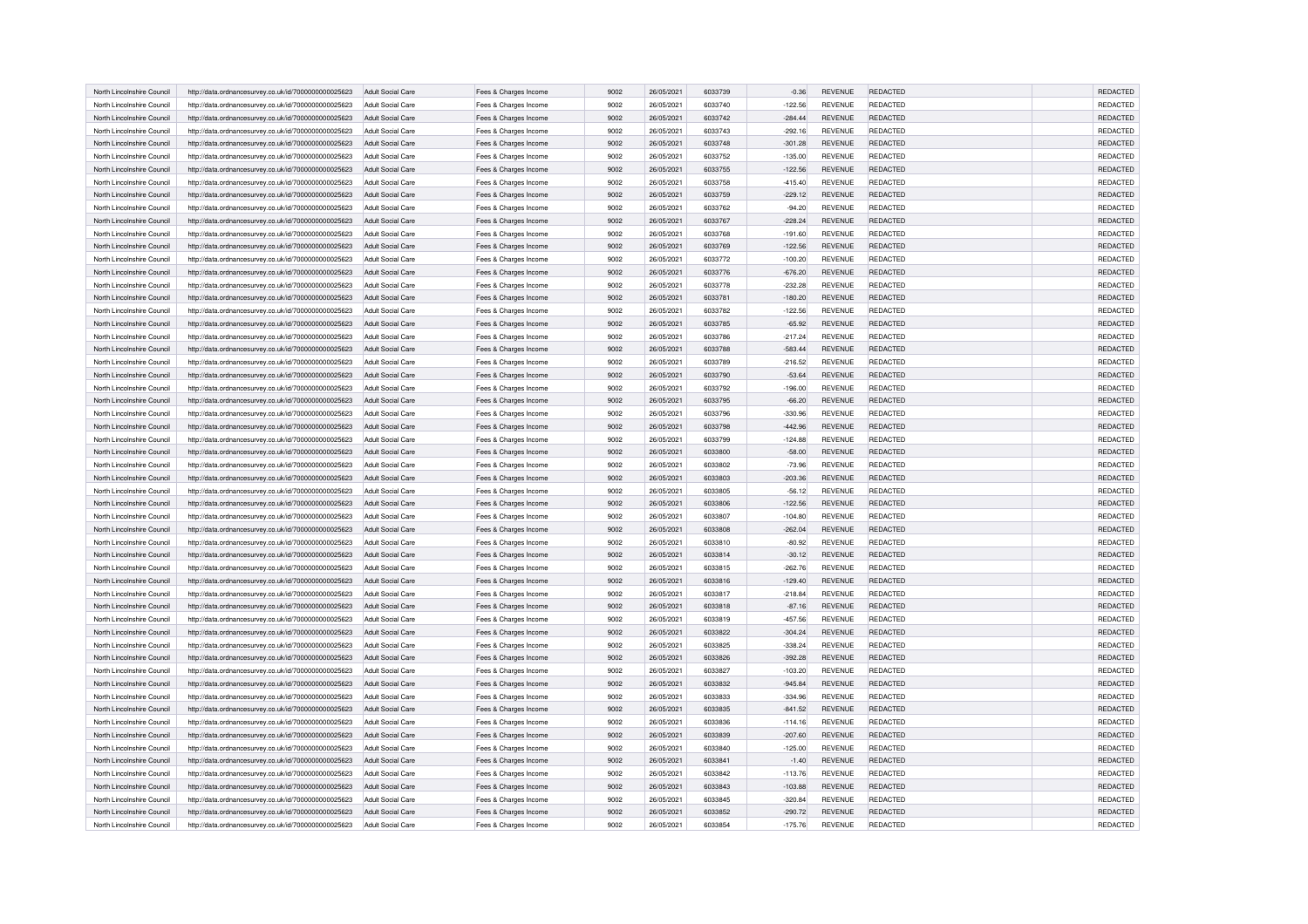| North Lincolnshire Council | http://data.ordnancesurvey.co.uk/id/7000000000025623 | Adult Social Care        | Fees & Charges Income | 9002 | 26/05/2021 | 6033739 | $-0.36$   | <b>REVENUE</b> | REDACTED        | REDACTED        |
|----------------------------|------------------------------------------------------|--------------------------|-----------------------|------|------------|---------|-----------|----------------|-----------------|-----------------|
| North Lincolnshire Council | http://data.ordnancesurvey.co.uk/id/7000000000025623 | Adult Social Care        | Fees & Charges Income | 9002 | 26/05/2021 | 6033740 | $-122.56$ | <b>REVENUE</b> | REDACTED        | REDACTED        |
| North Lincolnshire Council | http://data.ordnancesurvey.co.uk/id/7000000000025623 | Adult Social Care        | Fees & Charges Income | 9002 | 26/05/2021 | 6033742 | $-284.44$ | <b>REVENUE</b> | REDACTED        | REDACTED        |
| North Lincolnshire Council | http://data.ordnancesurvey.co.uk/id/7000000000025623 | Adult Social Care        | Fees & Charges Income | 9002 | 26/05/2021 | 6033743 | $-292.16$ | <b>REVENUE</b> | <b>REDACTED</b> | REDACTED        |
| North Lincolnshire Council | http://data.ordnancesurvey.co.uk/id/7000000000025623 | Adult Social Care        | Fees & Charges Income | 9002 | 26/05/2021 | 6033748 | $-301.28$ | REVENUE        | REDACTED        | REDACTED        |
| North Lincolnshire Council | http://data.ordnancesurvey.co.uk/id/7000000000025623 | Adult Social Care        | Fees & Charges Income | 9002 | 26/05/2021 | 6033752 | $-135.00$ | <b>REVENUE</b> | <b>REDACTED</b> | REDACTED        |
| North Lincolnshire Council | http://data.ordnancesurvey.co.uk/id/7000000000025623 | Adult Social Care        | Fees & Charges Income | 9002 | 26/05/2021 | 6033755 | $-122.56$ | <b>REVENUE</b> | <b>REDACTED</b> | REDACTED        |
| North Lincolnshire Council | http://data.ordnancesurvey.co.uk/id/7000000000025623 | Adult Social Care        | Fees & Charges Income | 9002 | 26/05/2021 | 6033758 | $-415.40$ | <b>REVENUE</b> | REDACTED        | REDACTED        |
| North Lincolnshire Council | http://data.ordnancesurvey.co.uk/id/7000000000025623 | Adult Social Care        | Fees & Charges Income | 9002 | 26/05/2021 | 6033759 | $-229.12$ | REVENUE        | <b>REDACTED</b> | REDACTED        |
| North Lincolnshire Council | http://data.ordnancesurvey.co.uk/id/7000000000025623 | Adult Social Care        | Fees & Charges Income | 9002 | 26/05/2021 | 6033762 | $-94.20$  | REVENUE        | <b>REDACTED</b> | REDACTED        |
| North Lincolnshire Council | http://data.ordnancesurvey.co.uk/id/7000000000025623 | <b>Adult Social Care</b> | Fees & Charges Income | 9002 | 26/05/2021 | 6033767 | $-228.24$ | <b>REVENUE</b> | REDACTED        | REDACTED        |
| North Lincolnshire Council | http://data.ordnancesurvey.co.uk/id/7000000000025623 | Adult Social Care        | Fees & Charges Income | 9002 | 26/05/2021 | 6033768 | $-191.60$ | <b>REVENUE</b> | REDACTED        | REDACTED        |
| North Lincolnshire Council | http://data.ordnancesurvey.co.uk/id/7000000000025623 | <b>Adult Social Care</b> | Fees & Charges Income | 9002 | 26/05/2021 | 6033769 | $-122.56$ | <b>REVENUE</b> | <b>REDACTED</b> | REDACTED        |
| North Lincolnshire Council | http://data.ordnancesurvey.co.uk/id/7000000000025623 | Adult Social Care        | Fees & Charges Income | 9002 | 26/05/2021 | 6033772 | $-100.20$ | <b>REVENUE</b> | REDACTED        | REDACTED        |
| North Lincolnshire Council | http://data.ordnancesurvey.co.uk/id/7000000000025623 | Adult Social Care        | Fees & Charges Income | 9002 | 26/05/2021 | 6033776 | $-676.20$ | <b>REVENUE</b> | <b>REDACTED</b> | REDACTED        |
| North Lincolnshire Council | http://data.ordnancesurvey.co.uk/id/7000000000025623 | Adult Social Care        | Fees & Charges Income | 9002 | 26/05/2021 | 6033778 | $-232.28$ | <b>REVENUE</b> | <b>REDACTED</b> | REDACTED        |
| North Lincolnshire Council | http://data.ordnancesurvey.co.uk/id/7000000000025623 | Adult Social Care        | Fees & Charges Income | 9002 | 26/05/2021 | 6033781 | $-180.20$ | <b>REVENUE</b> | REDACTED        | REDACTED        |
| North Lincolnshire Council | http://data.ordnancesurvey.co.uk/id/7000000000025623 | Adult Social Care        | Fees & Charges Income | 9002 | 26/05/2021 | 6033782 | $-122.56$ | <b>REVENUE</b> | REDACTED        | REDACTED        |
| North Lincolnshire Council | http://data.ordnancesurvey.co.uk/id/7000000000025623 | Adult Social Care        | Fees & Charges Income | 9002 | 26/05/2021 | 6033785 | $-65.92$  | <b>REVENUE</b> | <b>REDACTED</b> | REDACTED        |
| North Lincolnshire Council | http://data.ordnancesurvey.co.uk/id/7000000000025623 | Adult Social Care        | Fees & Charges Income | 9002 | 26/05/2021 | 6033786 | $-217.24$ | <b>REVENUE</b> | REDACTED        | REDACTED        |
| North Lincolnshire Council | http://data.ordnancesurvey.co.uk/id/7000000000025623 | Adult Social Care        | Fees & Charges Income | 9002 | 26/05/2021 | 6033788 | $-583.44$ | <b>REVENUE</b> | <b>REDACTED</b> | REDACTED        |
| North Lincolnshire Council | http://data.ordnancesurvey.co.uk/id/7000000000025623 | Adult Social Care        | Fees & Charges Income | 9002 | 26/05/2021 | 6033789 | $-216.52$ | REVENUE        | REDACTED        | REDACTED        |
| North Lincolnshire Council | http://data.ordnancesurvey.co.uk/id/7000000000025623 | Adult Social Care        | Fees & Charges Income | 9002 | 26/05/2021 | 6033790 | $-53.64$  | <b>REVENUE</b> | REDACTED        | REDACTED        |
| North Lincolnshire Council | http://data.ordnancesurvey.co.uk/id/7000000000025623 | Adult Social Care        | Fees & Charges Income | 9002 | 26/05/2021 | 6033792 | $-196.00$ | <b>REVENUE</b> | <b>REDACTED</b> | REDACTED        |
| North Lincolnshire Council | http://data.ordnancesurvey.co.uk/id/7000000000025623 | Adult Social Care        | Fees & Charges Income | 9002 | 26/05/2021 | 6033795 | $-66.20$  | <b>REVENUE</b> | <b>REDACTED</b> | REDACTED        |
| North Lincolnshire Council | http://data.ordnancesurvey.co.uk/id/7000000000025623 | Adult Social Care        | Fees & Charges Income | 9002 | 26/05/2021 | 6033796 | $-330.96$ | <b>REVENUE</b> | REDACTED        | REDACTED        |
| North Lincolnshire Council | http://data.ordnancesurvey.co.uk/id/7000000000025623 | <b>Adult Social Care</b> | Fees & Charges Income | 9002 | 26/05/2021 | 6033798 | $-442.96$ | <b>REVENUE</b> | <b>REDACTED</b> | REDACTED        |
| North Lincolnshire Council | http://data.ordnancesurvey.co.uk/id/7000000000025623 | Adult Social Care        | Fees & Charges Income | 9002 | 26/05/2021 | 6033799 | $-124.88$ | <b>REVENUE</b> | REDACTED        | REDACTED        |
| North Lincolnshire Council | http://data.ordnancesurvey.co.uk/id/7000000000025623 | Adult Social Care        | Fees & Charges Income | 9002 | 26/05/2021 | 6033800 | $-58.00$  | <b>REVENUE</b> | REDACTED        | REDACTED        |
| North Lincolnshire Council | http://data.ordnancesurvey.co.uk/id/7000000000025623 | Adult Social Care        | Fees & Charges Income | 9002 | 26/05/2021 | 6033802 | $-73.96$  | <b>REVENUE</b> | <b>REDACTED</b> | REDACTED        |
| North Lincolnshire Council | http://data.ordnancesurvey.co.uk/id/7000000000025623 | Adult Social Care        | Fees & Charges Income | 9002 | 26/05/2021 | 6033803 | $-203.36$ | REVENUE        | REDACTED        | REDACTED        |
| North Lincolnshire Council | http://data.ordnancesurvey.co.uk/id/7000000000025623 | Adult Social Care        | Fees & Charges Income | 9002 | 26/05/2021 | 6033805 | $-56.12$  | <b>REVENUE</b> | REDACTED        | REDACTED        |
| North Lincolnshire Council | http://data.ordnancesurvey.co.uk/id/7000000000025623 | Adult Social Care        | Fees & Charges Income | 9002 | 26/05/2021 | 6033806 | $-122.56$ | <b>REVENUE</b> | <b>REDACTED</b> | REDACTED        |
| North Lincolnshire Council | http://data.ordnancesurvey.co.uk/id/7000000000025623 | Adult Social Care        | Fees & Charges Income | 9002 | 26/05/2021 | 6033807 | $-104.80$ | <b>REVENUE</b> | REDACTED        | REDACTED        |
| North Lincolnshire Council | http://data.ordnancesurvey.co.uk/id/7000000000025623 | Adult Social Care        | Fees & Charges Income | 9002 | 26/05/2021 | 6033808 | $-262.04$ | <b>REVENUE</b> | REDACTED        | REDACTED        |
| North Lincolnshire Council | http://data.ordnancesurvey.co.uk/id/7000000000025623 | Adult Social Care        | Fees & Charges Income | 9002 | 26/05/2021 | 6033810 | $-80.92$  | <b>REVENUE</b> | REDACTED        | REDACTED        |
| North Lincolnshire Council | http://data.ordnancesurvey.co.uk/id/7000000000025623 | <b>Adult Social Care</b> | Fees & Charges Income | 9002 | 26/05/2021 | 6033814 | $-30.12$  | <b>REVENUE</b> | <b>REDACTED</b> | REDACTED        |
| North Lincolnshire Council | http://data.ordnancesurvey.co.uk/id/7000000000025623 | Adult Social Care        | Fees & Charges Income | 9002 | 26/05/2021 | 6033815 | $-262.76$ | <b>REVENUE</b> | REDACTED        | REDACTED        |
| North Lincolnshire Council | http://data.ordnancesurvey.co.uk/id/7000000000025623 | Adult Social Care        | Fees & Charges Income | 9002 | 26/05/2021 | 6033816 | $-129.40$ | <b>REVENUE</b> | <b>REDACTED</b> | <b>REDACTED</b> |
| North Lincolnshire Council | http://data.ordnancesurvey.co.uk/id/7000000000025623 | Adult Social Care        | Fees & Charges Income | 9002 | 26/05/2021 | 6033817 | $-218.84$ | <b>REVENUE</b> | <b>REDACTED</b> | REDACTED        |
| North Lincolnshire Council | http://data.ordnancesurvey.co.uk/id/7000000000025623 | Adult Social Care        | Fees & Charges Income | 9002 | 26/05/2021 | 6033818 | $-87.16$  | <b>REVENUE</b> | <b>REDACTED</b> | <b>REDACTED</b> |
| North Lincolnshire Council | http://data.ordnancesurvey.co.uk/id/7000000000025623 | Adult Social Care        | Fees & Charges Income | 9002 | 26/05/2021 | 6033819 | $-457.56$ | <b>REVENUE</b> | <b>REDACTED</b> | REDACTED        |
| North Lincolnshire Council | http://data.ordnancesurvey.co.uk/id/7000000000025623 | Adult Social Care        | Fees & Charges Income | 9002 | 26/05/2021 | 6033822 | $-304.24$ | <b>REVENUE</b> | REDACTED        | REDACTED        |
| North Lincolnshire Council | http://data.ordnancesurvey.co.uk/id/7000000000025623 | Adult Social Care        | Fees & Charges Income | 9002 | 26/05/2021 | 6033825 | $-338.24$ | <b>REVENUE</b> | REDACTED        | REDACTED        |
| North Lincolnshire Council | http://data.ordnancesurvey.co.uk/id/7000000000025623 | Adult Social Care        | Fees & Charges Income | 9002 | 26/05/2021 | 6033826 | $-392.28$ | <b>REVENUE</b> | <b>REDACTED</b> | REDACTED        |
| North Lincolnshire Council | http://data.ordnancesurvey.co.uk/id/7000000000025623 | Adult Social Care        | Fees & Charges Income | 9002 | 26/05/2021 | 6033827 | $-103.20$ | <b>REVENUE</b> | <b>REDACTED</b> | REDACTED        |
| North Lincolnshire Council | http://data.ordnancesurvey.co.uk/id/7000000000025623 | Adult Social Care        | Fees & Charges Income | 9002 | 26/05/2021 | 6033832 | $-945.84$ | <b>REVENUE</b> | <b>REDACTED</b> | REDACTED        |
| North Lincolnshire Council | http://data.ordnancesurvey.co.uk/id/7000000000025623 | Adult Social Care        | Fees & Charges Income | 9002 | 26/05/2021 | 6033833 | $-334.96$ | <b>REVENUE</b> | <b>REDACTED</b> | REDACTED        |
| North Lincolnshire Council | http://data.ordnancesurvey.co.uk/id/7000000000025623 | Adult Social Care        | Fees & Charges Income | 9002 | 26/05/2021 | 6033835 | $-841.52$ | <b>REVENUE</b> | REDACTED        | REDACTED        |
| North Lincolnshire Council | http://data.ordnancesurvey.co.uk/id/7000000000025623 | Adult Social Care        | Fees & Charges Income | 9002 | 26/05/2021 | 6033836 | $-114.16$ | <b>REVENUE</b> | <b>REDACTED</b> | REDACTED        |
| North Lincolnshire Council | http://data.ordnancesurvey.co.uk/id/7000000000025623 | <b>Adult Social Care</b> | Fees & Charges Income | 9002 | 26/05/2021 | 6033839 | $-207.60$ | <b>REVENUE</b> | <b>REDACTED</b> | REDACTED        |
| North Lincolnshire Council | http://data.ordnancesurvey.co.uk/id/7000000000025623 | Adult Social Care        | Fees & Charges Income | 9002 | 26/05/2021 | 6033840 | $-125.00$ | <b>REVENUE</b> | REDACTED        | REDACTED        |
| North Lincolnshire Council | http://data.ordnancesurvey.co.uk/id/7000000000025623 | Adult Social Care        | Fees & Charges Income | 9002 | 26/05/2021 | 6033841 | $-1.40$   | <b>REVENUE</b> | <b>REDACTED</b> | REDACTED        |
| North Lincolnshire Council | http://data.ordnancesurvey.co.uk/id/7000000000025623 | Adult Social Care        | Fees & Charges Income | 9002 | 26/05/2021 | 6033842 | $-113.76$ | <b>REVENUE</b> | REDACTED        | REDACTED        |
| North Lincolnshire Council | http://data.ordnancesurvey.co.uk/id/7000000000025623 | Adult Social Care        | Fees & Charges Income | 9002 | 26/05/2021 | 6033843 | $-103.88$ | <b>REVENUE</b> | REDACTED        | REDACTED        |
| North Lincolnshire Council | http://data.ordnancesurvey.co.uk/id/7000000000025623 | Adult Social Care        | Fees & Charges Income | 9002 | 26/05/2021 | 6033845 | $-320.84$ | <b>REVENUE</b> | <b>REDACTED</b> | REDACTED        |
| North Lincolnshire Council | http://data.ordnancesurvey.co.uk/id/7000000000025623 | Adult Social Care        | Fees & Charges Income | 9002 | 26/05/2021 | 6033852 | $-290.72$ | <b>REVENUE</b> | <b>REDACTED</b> | REDACTED        |
| North Lincolnshire Council | http://data.ordnancesurvey.co.uk/id/7000000000025623 | Adult Social Care        | Fees & Charges Income | 9002 | 26/05/2021 | 6033854 | $-175.76$ | <b>REVENUE</b> | REDACTED        | REDACTED        |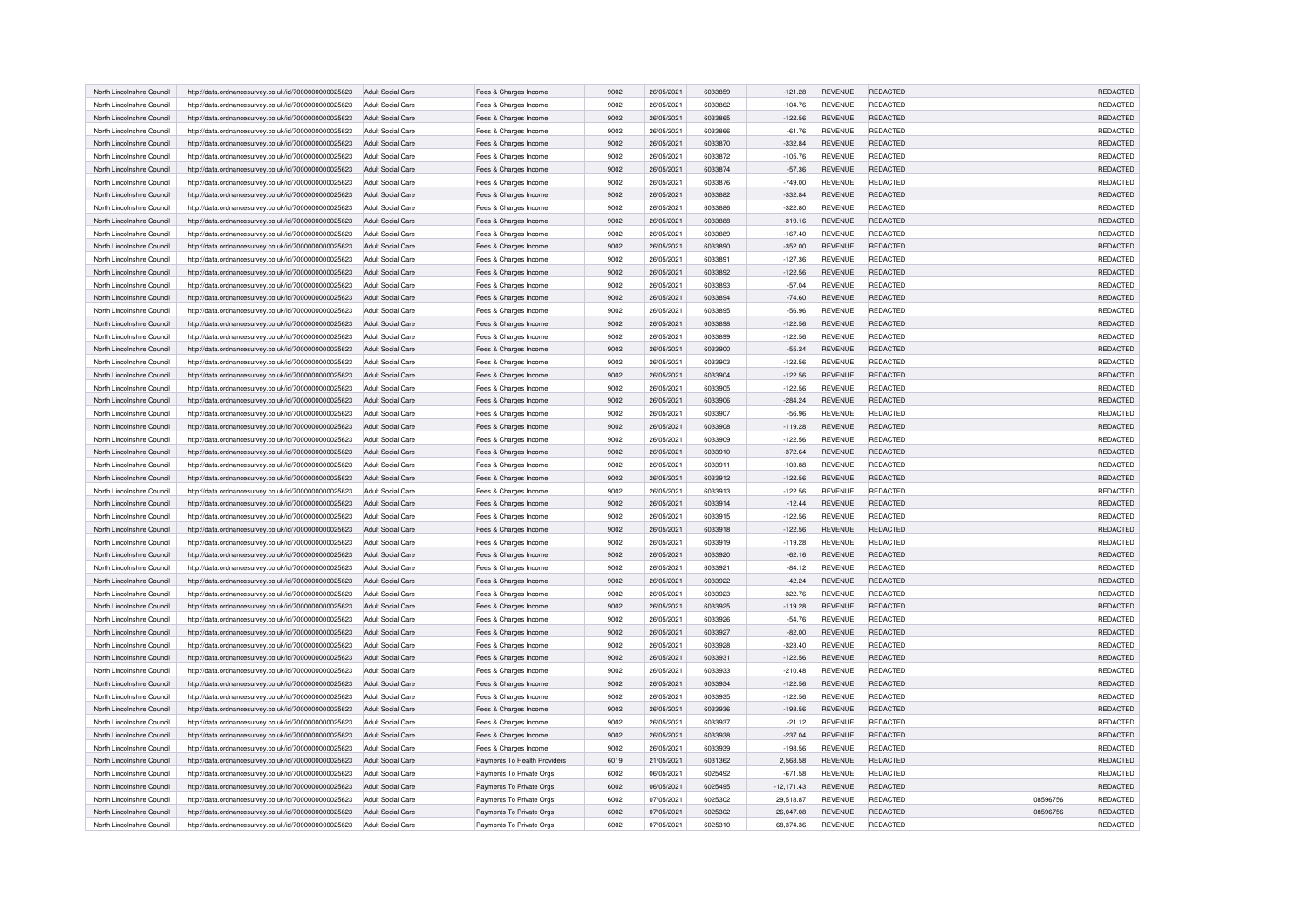| North Lincolnshire Council | http://data.ordnancesurvey.co.uk/id/7000000000025623 | Adult Social Care        | Fees & Charges Income        | 9002 | 26/05/2021 | 6033859 | $-121.28$    | <b>REVENUE</b> | REDACTED        |          | REDACTED        |
|----------------------------|------------------------------------------------------|--------------------------|------------------------------|------|------------|---------|--------------|----------------|-----------------|----------|-----------------|
| North Lincolnshire Council | http://data.ordnancesurvey.co.uk/id/7000000000025623 | Adult Social Care        | Fees & Charges Income        | 9002 | 26/05/2021 | 6033862 | $-104.76$    | <b>REVENUE</b> | REDACTED        |          | REDACTED        |
| North Lincolnshire Council | http://data.ordnancesurvey.co.uk/id/7000000000025623 | Adult Social Care        | Fees & Charges Income        | 9002 | 26/05/2021 | 6033865 | $-122.56$    | <b>REVENUE</b> | REDACTED        |          | REDACTED        |
| North Lincolnshire Council | http://data.ordnancesurvey.co.uk/id/7000000000025623 | Adult Social Care        | Fees & Charges Income        | 9002 | 26/05/2021 | 6033866 | $-61.76$     | <b>REVENUE</b> | <b>REDACTED</b> |          | REDACTED        |
| North Lincolnshire Council | http://data.ordnancesurvey.co.uk/id/7000000000025623 | Adult Social Care        | Fees & Charges Income        | 9002 | 26/05/2021 | 6033870 | $-332.84$    | REVENUE        | REDACTED        |          | REDACTED        |
| North Lincolnshire Council | http://data.ordnancesurvey.co.uk/id/7000000000025623 | Adult Social Care        | Fees & Charges Income        | 9002 | 26/05/2021 | 6033872 | $-105.76$    | <b>REVENUE</b> | <b>REDACTED</b> |          | REDACTED        |
| North Lincolnshire Council | http://data.ordnancesurvey.co.uk/id/7000000000025623 | Adult Social Care        | Fees & Charges Income        | 9002 | 26/05/2021 | 6033874 | $-57.36$     | <b>REVENUE</b> | <b>REDACTED</b> |          | REDACTED        |
| North Lincolnshire Council | http://data.ordnancesurvey.co.uk/id/7000000000025623 | Adult Social Care        | Fees & Charges Income        | 9002 | 26/05/2021 | 6033876 | $-749.00$    | <b>REVENUE</b> | REDACTED        |          | REDACTED        |
| North Lincolnshire Council | http://data.ordnancesurvey.co.uk/id/7000000000025623 | Adult Social Care        | Fees & Charges Income        | 9002 | 26/05/2021 | 6033882 | $-332.84$    | <b>REVENUE</b> | <b>REDACTED</b> |          | REDACTED        |
| North Lincolnshire Council | http://data.ordnancesurvey.co.uk/id/7000000000025623 | Adult Social Care        | Fees & Charges Income        | 9002 | 26/05/2021 | 6033886 | $-322.80$    | <b>REVENUE</b> | <b>REDACTED</b> |          | REDACTED        |
| North Lincolnshire Council | http://data.ordnancesurvey.co.uk/id/7000000000025623 | <b>Adult Social Care</b> | Fees & Charges Income        | 9002 | 26/05/2021 | 6033888 | $-319.16$    | <b>REVENUE</b> | REDACTED        |          | REDACTED        |
| North Lincolnshire Council | http://data.ordnancesurvey.co.uk/id/7000000000025623 | Adult Social Care        | Fees & Charges Income        | 9002 | 26/05/2021 | 6033889 | $-167.40$    | <b>REVENUE</b> | REDACTED        |          | REDACTED        |
| North Lincolnshire Council | http://data.ordnancesurvey.co.uk/id/7000000000025623 | <b>Adult Social Care</b> | Fees & Charges Income        | 9002 | 26/05/2021 | 6033890 | $-352.00$    | <b>REVENUE</b> | REDACTED        |          | REDACTED        |
| North Lincolnshire Council | http://data.ordnancesurvey.co.uk/id/7000000000025623 | Adult Social Care        | Fees & Charges Income        | 9002 | 26/05/2021 | 6033891 | $-127.36$    | <b>REVENUE</b> | REDACTED        |          | REDACTED        |
| North Lincolnshire Council | http://data.ordnancesurvey.co.uk/id/7000000000025623 | Adult Social Care        | Fees & Charges Income        | 9002 | 26/05/2021 | 6033892 | $-122.56$    | <b>REVENUE</b> | REDACTED        |          | <b>REDACTED</b> |
| North Lincolnshire Council | http://data.ordnancesurvey.co.uk/id/7000000000025623 | Adult Social Care        | Fees & Charges Income        | 9002 | 26/05/2021 | 6033893 | $-57.04$     | <b>REVENUE</b> | REDACTED        |          | REDACTED        |
| North Lincolnshire Council | http://data.ordnancesurvey.co.uk/id/7000000000025623 | Adult Social Care        | Fees & Charges Income        | 9002 | 26/05/2021 | 6033894 | $-74.60$     | <b>REVENUE</b> | REDACTED        |          | REDACTED        |
| North Lincolnshire Council | http://data.ordnancesurvey.co.uk/id/7000000000025623 | Adult Social Care        | Fees & Charges Income        | 9002 | 26/05/2021 | 6033895 | $-56.96$     | <b>REVENUE</b> | REDACTED        |          | REDACTED        |
| North Lincolnshire Council | http://data.ordnancesurvey.co.uk/id/7000000000025623 | Adult Social Care        | Fees & Charges Income        | 9002 | 26/05/2021 | 6033898 | $-122.56$    | <b>REVENUE</b> | <b>REDACTED</b> |          | REDACTED        |
| North Lincolnshire Council | http://data.ordnancesurvey.co.uk/id/7000000000025623 | Adult Social Care        | Fees & Charges Income        | 9002 | 26/05/2021 | 6033899 | $-122.56$    | <b>REVENUE</b> | REDACTED        |          | REDACTED        |
| North Lincolnshire Council | http://data.ordnancesurvey.co.uk/id/7000000000025623 | Adult Social Care        | Fees & Charges Income        | 9002 | 26/05/2021 | 6033900 | $-55.24$     | <b>REVENUE</b> | REDACTED        |          | REDACTED        |
| North Lincolnshire Council | http://data.ordnancesurvey.co.uk/id/7000000000025623 | Adult Social Care        | Fees & Charges Income        | 9002 | 26/05/2021 | 6033903 | $-122.56$    | REVENUE        | <b>REDACTED</b> |          | REDACTED        |
| North Lincolnshire Council | http://data.ordnancesurvey.co.uk/id/7000000000025623 | Adult Social Care        | Fees & Charges Income        | 9002 | 26/05/2021 | 6033904 | $-122.56$    | <b>REVENUE</b> | REDACTED        |          | REDACTED        |
| North Lincolnshire Council | http://data.ordnancesurvey.co.uk/id/7000000000025623 | Adult Social Care        | Fees & Charges Income        | 9002 | 26/05/2021 | 6033905 | $-122.56$    | <b>REVENUE</b> | <b>REDACTED</b> |          | REDACTED        |
| North Lincolnshire Council | http://data.ordnancesurvey.co.uk/id/7000000000025623 | Adult Social Care        | Fees & Charges Income        | 9002 | 26/05/2021 | 6033906 | $-284.24$    | <b>REVENUE</b> | REDACTED        |          | REDACTED        |
| North Lincolnshire Council | http://data.ordnancesurvey.co.uk/id/7000000000025623 | Adult Social Care        | Fees & Charges Income        | 9002 | 26/05/2021 | 6033907 | $-56.96$     | <b>REVENUE</b> | <b>REDACTED</b> |          | REDACTED        |
| North Lincolnshire Council | http://data.ordnancesurvey.co.uk/id/7000000000025623 | <b>Adult Social Care</b> | Fees & Charges Income        | 9002 | 26/05/2021 | 6033908 | $-119.28$    | <b>REVENUE</b> | <b>REDACTED</b> |          | REDACTED        |
| North Lincolnshire Council | http://data.ordnancesurvey.co.uk/id/7000000000025623 | Adult Social Care        | Fees & Charges Income        | 9002 | 26/05/2021 | 6033909 | $-122.56$    | <b>REVENUE</b> | REDACTED        |          | <b>REDACTED</b> |
| North Lincolnshire Council | http://data.ordnancesurvey.co.uk/id/7000000000025623 | Adult Social Care        | Fees & Charges Income        | 9002 | 26/05/2021 | 6033910 | $-372.64$    | <b>REVENUE</b> | REDACTED        |          | REDACTED        |
| North Lincolnshire Council | http://data.ordnancesurvey.co.uk/id/7000000000025623 | Adult Social Care        | Fees & Charges Income        | 9002 | 26/05/2021 | 6033911 | $-103.88$    | <b>REVENUE</b> | <b>REDACTED</b> |          | REDACTED        |
| North Lincolnshire Council | http://data.ordnancesurvey.co.uk/id/7000000000025623 | Adult Social Care        | Fees & Charges Income        | 9002 | 26/05/2021 | 6033912 | $-122.56$    | REVENUE        | REDACTED        |          | REDACTED        |
| North Lincolnshire Council | http://data.ordnancesurvey.co.uk/id/7000000000025623 | Adult Social Care        | Fees & Charges Income        | 9002 | 26/05/2021 | 6033913 | $-122.56$    | <b>REVENUE</b> | REDACTED        |          | REDACTED        |
| North Lincolnshire Council | http://data.ordnancesurvey.co.uk/id/7000000000025623 | Adult Social Care        | Fees & Charges Income        | 9002 | 26/05/2021 | 6033914 | $-12.44$     | <b>REVENUE</b> | <b>REDACTED</b> |          | REDACTED        |
| North Lincolnshire Council | http://data.ordnancesurvey.co.uk/id/7000000000025623 | Adult Social Care        | Fees & Charges Income        | 9002 | 26/05/2021 | 6033915 | $-122.56$    | <b>REVENUE</b> | REDACTED        |          | REDACTED        |
| North Lincolnshire Council | http://data.ordnancesurvey.co.uk/id/7000000000025623 | Adult Social Care        | Fees & Charges Income        | 9002 | 26/05/2021 | 6033918 | $-122.56$    | <b>REVENUE</b> | REDACTED        |          | REDACTED        |
| North Lincolnshire Council | http://data.ordnancesurvey.co.uk/id/7000000000025623 | Adult Social Care        | Fees & Charges Income        | 9002 | 26/05/2021 | 6033919 | $-119.28$    | <b>REVENUE</b> | REDACTED        |          | REDACTED        |
| North Lincolnshire Council | http://data.ordnancesurvey.co.uk/id/7000000000025623 | <b>Adult Social Care</b> | Fees & Charges Income        | 9002 | 26/05/2021 | 6033920 | $-62.16$     | <b>REVENUE</b> | <b>REDACTED</b> |          | REDACTED        |
| North Lincolnshire Council | http://data.ordnancesurvey.co.uk/id/7000000000025623 | Adult Social Care        | Fees & Charges Income        | 9002 | 26/05/2021 | 6033921 | $-84.12$     | <b>REVENUE</b> | REDACTED        |          | REDACTED        |
| North Lincolnshire Council | http://data.ordnancesurvey.co.uk/id/7000000000025623 | Adult Social Care        | Fees & Charges Income        | 9002 | 26/05/2021 | 6033922 | $-42.24$     | <b>REVENUE</b> | <b>REDACTED</b> |          | <b>REDACTED</b> |
| North Lincolnshire Council | http://data.ordnancesurvey.co.uk/id/7000000000025623 | Adult Social Care        | Fees & Charges Income        | 9002 | 26/05/2021 | 6033923 | $-322.76$    | <b>REVENUE</b> | REDACTED        |          | REDACTED        |
| North Lincolnshire Council | http://data.ordnancesurvey.co.uk/id/7000000000025623 | Adult Social Care        | Fees & Charges Income        | 9002 | 26/05/2021 | 6033925 | $-119.28$    | <b>REVENUE</b> | <b>REDACTED</b> |          | <b>REDACTED</b> |
| North Lincolnshire Council | http://data.ordnancesurvey.co.uk/id/7000000000025623 | Adult Social Care        | Fees & Charges Income        | 9002 | 26/05/2021 | 6033926 | $-54.76$     | <b>REVENUE</b> | <b>REDACTED</b> |          | REDACTED        |
| North Lincolnshire Council | http://data.ordnancesurvey.co.uk/id/7000000000025623 | Adult Social Care        | Fees & Charges Income        | 9002 | 26/05/2021 | 6033927 | $-82.00$     | <b>REVENUE</b> | REDACTED        |          | REDACTED        |
| North Lincolnshire Council | http://data.ordnancesurvey.co.uk/id/7000000000025623 | Adult Social Care        | Fees & Charges Income        | 9002 | 26/05/2021 | 6033928 | $-323.40$    | <b>REVENUE</b> | REDACTED        |          | REDACTED        |
| North Lincolnshire Council | http://data.ordnancesurvey.co.uk/id/7000000000025623 | Adult Social Care        | Fees & Charges Income        | 9002 | 26/05/2021 | 6033931 | $-122.56$    | <b>REVENUE</b> | <b>REDACTED</b> |          | REDACTED        |
| North Lincolnshire Council | http://data.ordnancesurvey.co.uk/id/7000000000025623 | Adult Social Care        | Fees & Charges Income        | 9002 | 26/05/2021 | 6033933 | $-210.48$    | <b>REVENUE</b> | <b>REDACTED</b> |          | REDACTED        |
| North Lincolnshire Council | http://data.ordnancesurvey.co.uk/id/7000000000025623 | Adult Social Care        | Fees & Charges Income        | 9002 | 26/05/2021 | 6033934 | $-122.56$    | <b>REVENUE</b> | REDACTED        |          | REDACTED        |
| North Lincolnshire Council | http://data.ordnancesurvey.co.uk/id/7000000000025623 | Adult Social Care        | Fees & Charges Income        | 9002 | 26/05/2021 | 6033935 | $-122.56$    | <b>REVENUE</b> | <b>REDACTED</b> |          | REDACTED        |
| North Lincolnshire Council | http://data.ordnancesurvey.co.uk/id/7000000000025623 | Adult Social Care        | Fees & Charges Income        | 9002 | 26/05/2021 | 6033936 | $-198.56$    | <b>REVENUE</b> | REDACTED        |          | REDACTED        |
| North Lincolnshire Council | http://data.ordnancesurvey.co.uk/id/7000000000025623 | Adult Social Care        | Fees & Charges Income        | 9002 | 26/05/2021 | 6033937 | $-21.12$     | <b>REVENUE</b> | <b>REDACTED</b> |          | REDACTED        |
| North Lincolnshire Council | http://data.ordnancesurvey.co.uk/id/7000000000025623 | <b>Adult Social Care</b> | Fees & Charges Income        | 9002 | 26/05/2021 | 6033938 | $-237.04$    | <b>REVENUE</b> | <b>REDACTED</b> |          | REDACTED        |
| North Lincolnshire Council | http://data.ordnancesurvey.co.uk/id/7000000000025623 | Adult Social Care        | Fees & Charges Income        | 9002 | 26/05/2021 | 6033939 | $-198.56$    | <b>REVENUE</b> | <b>REDACTED</b> |          | REDACTED        |
| North Lincolnshire Council | http://data.ordnancesurvey.co.uk/id/7000000000025623 | Adult Social Care        | Payments To Health Providers | 6019 | 21/05/2021 | 6031362 | 2,568.58     | <b>REVENUE</b> | <b>REDACTED</b> |          | REDACTED        |
| North Lincolnshire Council | http://data.ordnancesurvey.co.uk/id/7000000000025623 | Adult Social Care        | Payments To Private Orgs     | 6002 | 06/05/2021 | 6025492 | $-671.58$    | <b>REVENUE</b> | REDACTED        |          | REDACTED        |
| North Lincolnshire Council | http://data.ordnancesurvey.co.uk/id/7000000000025623 | Adult Social Care        | Payments To Private Orgs     | 6002 | 06/05/2021 | 6025495 | $-12,171.43$ | REVENUE        | <b>REDACTED</b> |          | REDACTED        |
| North Lincolnshire Council | http://data.ordnancesurvey.co.uk/id/7000000000025623 | Adult Social Care        | Payments To Private Orgs     | 6002 | 07/05/2021 | 6025302 | 29,518.87    | <b>REVENUE</b> | <b>REDACTED</b> | 08596756 | REDACTED        |
| North Lincolnshire Council | http://data.ordnancesurvey.co.uk/id/7000000000025623 | Adult Social Care        | Payments To Private Orgs     | 6002 | 07/05/2021 | 6025302 | 26,047.08    | <b>REVENUE</b> | <b>REDACTED</b> | 08596756 | REDACTED        |
| North Lincolnshire Council | http://data.ordnancesurvey.co.uk/id/7000000000025623 | Adult Social Care        | Payments To Private Orgs     | 6002 | 07/05/2021 | 6025310 | 68.374.36    | <b>REVENUE</b> | REDACTED        |          | REDACTED        |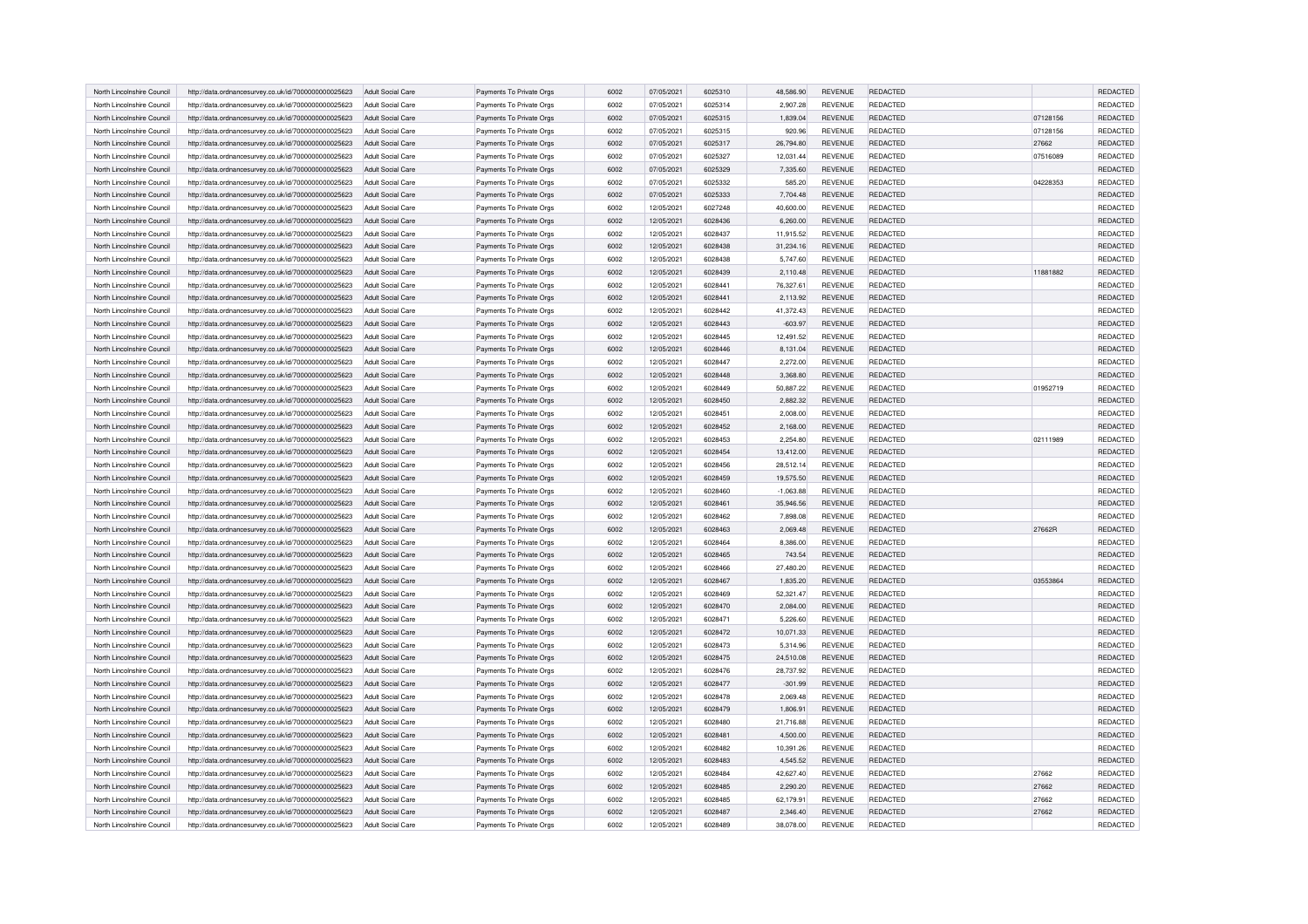| North Lincolnshire Council | http://data.ordnancesurvey.co.uk/id/7000000000025623 | Adult Social Care        | Payments To Private Orgs | 6002 | 07/05/2021 | 6025310 | 48.586.90   | <b>REVENUE</b> | REDACTED        |          | REDACTED |
|----------------------------|------------------------------------------------------|--------------------------|--------------------------|------|------------|---------|-------------|----------------|-----------------|----------|----------|
| North Lincolnshire Council | http://data.ordnancesurvey.co.uk/id/7000000000025623 | Adult Social Care        | Payments To Private Orgs | 6002 | 07/05/2021 | 6025314 | 2,907.28    | <b>REVENUE</b> | <b>REDACTED</b> |          | REDACTED |
| North Lincolnshire Council | http://data.ordnancesurvey.co.uk/id/7000000000025623 | <b>Adult Social Care</b> | Payments To Private Orgs | 6002 | 07/05/2021 | 6025315 | 1,839.04    | <b>REVENUE</b> | REDACTED        | 07128156 | REDACTED |
| North Lincolnshire Council | http://data.ordnancesurvey.co.uk/id/7000000000025623 | Adult Social Care        | Payments To Private Orgs | 6002 | 07/05/2021 | 6025315 | 920.96      | <b>REVENUE</b> | REDACTED        | 07128156 | REDACTED |
| North Lincolnshire Council | http://data.ordnancesurvey.co.uk/id/7000000000025623 | Adult Social Care        | Payments To Private Orgs | 6002 | 07/05/2021 | 6025317 | 26,794.80   | <b>REVENUE</b> | REDACTED        | 27662    | REDACTED |
| North Lincolnshire Council | http://data.ordnancesurvey.co.uk/id/7000000000025623 | Adult Social Care        | Payments To Private Orgs | 6002 | 07/05/2021 | 6025327 | 12,031.44   | <b>REVENUE</b> | REDACTED        | 07516089 | REDACTED |
| North Lincolnshire Council | http://data.ordnancesurvey.co.uk/id/7000000000025623 | Adult Social Care        | Payments To Private Orgs | 6002 | 07/05/2021 | 6025329 | 7,335.60    | <b>REVENUE</b> | REDACTED        |          | REDACTED |
| North Lincolnshire Council | http://data.ordnancesurvey.co.uk/id/7000000000025623 | Adult Social Care        | Payments To Private Orgs | 6002 | 07/05/2021 | 6025332 | 585.20      | <b>REVENUE</b> | REDACTED        | 04228353 | REDACTED |
| North Lincolnshire Council | http://data.ordnancesurvey.co.uk/id/7000000000025623 | Adult Social Care        | Payments To Private Orgs | 6002 | 07/05/2021 | 6025333 | 7,704.48    | <b>REVENUE</b> | <b>REDACTED</b> |          | REDACTED |
| North Lincolnshire Council | http://data.ordnancesurvey.co.uk/id/7000000000025623 | Adult Social Care        | Payments To Private Orgs | 6002 | 12/05/2021 | 6027248 | 40,600.00   | <b>REVENUE</b> | REDACTED        |          | REDACTED |
| North Lincolnshire Council | http://data.ordnancesurvey.co.uk/id/7000000000025623 | Adult Social Care        | Payments To Private Orgs | 6002 | 12/05/2021 | 6028436 | 6,260.00    | <b>REVENUE</b> | <b>REDACTED</b> |          | REDACTED |
| North Lincolnshire Council | http://data.ordnancesurvey.co.uk/id/7000000000025623 | Adult Social Care        | Payments To Private Orgs | 6002 | 12/05/2021 | 6028437 | 11,915.52   | <b>REVENUE</b> | <b>REDACTED</b> |          | REDACTED |
| North Lincolnshire Council | http://data.ordnancesurvey.co.uk/id/7000000000025623 | Adult Social Care        | Payments To Private Orgs | 6002 | 12/05/2021 | 6028438 | 31,234.16   | <b>REVENUE</b> | <b>REDACTED</b> |          | REDACTED |
| North Lincolnshire Council | http://data.ordnancesurvey.co.uk/id/7000000000025623 | Adult Social Care        | Payments To Private Orgs | 6002 | 12/05/2021 | 6028438 | 5,747.60    | <b>REVENUE</b> | REDACTED        |          | REDACTED |
| North Lincolnshire Council | http://data.ordnancesurvey.co.uk/id/7000000000025623 | Adult Social Care        | Payments To Private Orgs | 6002 | 12/05/2021 | 6028439 | 2,110.48    | <b>REVENUE</b> | REDACTED        | 11881882 | REDACTED |
| North Lincolnshire Council | http://data.ordnancesurvey.co.uk/id/7000000000025623 | Adult Social Care        | Payments To Private Orgs | 6002 | 12/05/2021 | 6028441 | 76,327.61   | REVENUE        | REDACTED        |          | REDACTED |
| North Lincolnshire Council | http://data.ordnancesurvey.co.uk/id/7000000000025623 | Adult Social Care        | Payments To Private Orgs | 6002 | 12/05/2021 | 6028441 | 2,113.92    | REVENUE        | REDACTED        |          | REDACTED |
| North Lincolnshire Council | http://data.ordnancesurvey.co.uk/id/7000000000025623 | Adult Social Care        | Payments To Private Orgs | 6002 | 12/05/2021 | 6028442 | 41,372.43   | REVENUE        | REDACTED        |          | REDACTED |
| North Lincolnshire Council | http://data.ordnancesurvey.co.uk/id/7000000000025623 | Adult Social Care        | Payments To Private Orgs | 6002 | 12/05/2021 | 6028443 | $-603.97$   | <b>REVENUE</b> | <b>REDACTED</b> |          | REDACTED |
| North Lincolnshire Council | http://data.ordnancesurvey.co.uk/id/7000000000025623 | Adult Social Care        | Payments To Private Orgs | 6002 | 12/05/2021 | 6028445 | 12,491.52   | <b>REVENUE</b> | REDACTED        |          | REDACTED |
| North Lincolnshire Council | http://data.ordnancesurvey.co.uk/id/7000000000025623 | Adult Social Care        | Payments To Private Orgs | 6002 | 12/05/2021 | 6028446 | 8,131.04    | <b>REVENUE</b> | <b>REDACTED</b> |          | REDACTED |
| North Lincolnshire Council | http://data.ordnancesurvey.co.uk/id/7000000000025623 | Adult Social Care        | Payments To Private Orgs | 6002 | 12/05/2021 | 6028447 | 2,272.00    | <b>REVENUE</b> | REDACTED        |          | REDACTED |
| North Lincolnshire Council | http://data.ordnancesurvey.co.uk/id/7000000000025623 | Adult Social Care        | Payments To Private Orgs | 6002 | 12/05/2021 | 6028448 | 3,368.80    | <b>REVENUE</b> | REDACTED        |          | REDACTED |
| North Lincolnshire Council | http://data.ordnancesurvey.co.uk/id/7000000000025623 | Adult Social Care        | Payments To Private Orgs | 6002 | 12/05/2021 | 6028449 | 50,887.22   | REVENUE        | <b>REDACTED</b> | 01952719 | REDACTED |
| North Lincolnshire Council | http://data.ordnancesurvey.co.uk/id/7000000000025623 | <b>Adult Social Care</b> | Payments To Private Orgs | 6002 | 12/05/2021 | 6028450 | 2,882.32    | <b>REVENUE</b> | <b>REDACTED</b> |          | REDACTED |
| North Lincolnshire Council | http://data.ordnancesurvey.co.uk/id/7000000000025623 | Adult Social Care        | Payments To Private Orgs | 6002 | 12/05/2021 | 6028451 | 2,008.00    | REVENUE        | REDACTED        |          | REDACTED |
| North Lincolnshire Council | http://data.ordnancesurvey.co.uk/id/7000000000025623 | Adult Social Care        | Payments To Private Orgs | 6002 | 12/05/2021 | 6028452 | 2,168.00    | <b>REVENUE</b> | <b>REDACTED</b> |          | REDACTED |
| North Lincolnshire Council | http://data.ordnancesurvey.co.uk/id/7000000000025623 | Adult Social Care        | Payments To Private Orgs | 6002 | 12/05/2021 | 6028453 | 2.254.80    | <b>REVENUE</b> | <b>REDACTED</b> | 02111989 | REDACTED |
| North Lincolnshire Council | http://data.ordnancesurvey.co.uk/id/7000000000025623 | Adult Social Care        | Payments To Private Orgs | 6002 | 12/05/2021 | 6028454 | 13,412.00   | <b>REVENUE</b> | REDACTED        |          | REDACTED |
| North Lincolnshire Council | http://data.ordnancesurvey.co.uk/id/7000000000025623 | Adult Social Care        | Payments To Private Orgs | 6002 | 12/05/2021 | 6028456 | 28,512.14   | REVENUE        | REDACTED        |          | REDACTED |
| North Lincolnshire Council | http://data.ordnancesurvey.co.uk/id/7000000000025623 | Adult Social Care        | Payments To Private Orgs | 6002 | 12/05/2021 | 6028459 | 19,575.50   | <b>REVENUE</b> | <b>REDACTED</b> |          | REDACTED |
| North Lincolnshire Council | http://data.ordnancesurvey.co.uk/id/7000000000025623 | Adult Social Care        | Payments To Private Orgs | 6002 | 12/05/2021 | 6028460 | $-1,063.88$ | REVENUE        | <b>REDACTED</b> |          | REDACTED |
| North Lincolnshire Council | http://data.ordnancesurvey.co.uk/id/7000000000025623 | Adult Social Care        | Payments To Private Orgs | 6002 | 12/05/2021 | 6028461 | 35,946.56   | <b>REVENUE</b> | <b>REDACTED</b> |          | REDACTED |
| North Lincolnshire Council | http://data.ordnancesurvey.co.uk/id/7000000000025623 | Adult Social Care        | Payments To Private Orgs | 6002 | 12/05/2021 | 6028462 | 7,898.08    | REVENUE        | <b>REDACTED</b> |          | REDACTED |
| North Lincolnshire Council | http://data.ordnancesurvey.co.uk/id/7000000000025623 | Adult Social Care        | Payments To Private Orgs | 6002 | 12/05/2021 | 6028463 | 2,069.48    | <b>REVENUE</b> | <b>REDACTED</b> | 27662R   | REDACTED |
| North Lincolnshire Council | http://data.ordnancesurvey.co.uk/id/7000000000025623 | Adult Social Care        | Payments To Private Orgs | 6002 | 12/05/2021 | 6028464 | 8,386.00    | REVENUE        | <b>REDACTED</b> |          | REDACTED |
| North Lincolnshire Council | http://data.ordnancesurvey.co.uk/id/7000000000025623 | Adult Social Care        | Payments To Private Orgs | 6002 | 12/05/2021 | 6028465 | 743.54      | <b>REVENUE</b> | <b>REDACTED</b> |          | REDACTED |
| North Lincolnshire Council | http://data.ordnancesurvey.co.uk/id/7000000000025623 | Adult Social Care        | Payments To Private Orgs | 6002 | 12/05/2021 | 6028466 | 27,480.20   | <b>REVENUE</b> | <b>REDACTED</b> |          | REDACTED |
| North Lincolnshire Council | http://data.ordnancesurvey.co.uk/id/7000000000025623 | Adult Social Care        | Payments To Private Orgs | 6002 | 12/05/2021 | 6028467 | 1,835.20    | <b>REVENUE</b> | <b>REDACTED</b> | 03553864 | REDACTED |
| North Lincolnshire Council | http://data.ordnancesurvey.co.uk/id/7000000000025623 | Adult Social Care        | Payments To Private Orgs | 6002 | 12/05/2021 | 6028469 | 52.321.47   | <b>REVENUE</b> | <b>REDACTED</b> |          | REDACTED |
| North Lincolnshire Council | http://data.ordnancesurvey.co.uk/id/7000000000025623 | Adult Social Care        | Payments To Private Orgs | 6002 | 12/05/2021 | 6028470 | 2,084.00    | <b>REVENUE</b> | <b>REDACTED</b> |          | REDACTED |
| North Lincolnshire Council | http://data.ordnancesurvey.co.uk/id/7000000000025623 | Adult Social Care        | Payments To Private Orgs | 6002 | 12/05/2021 | 6028471 | 5,226.60    | <b>REVENUE</b> | <b>REDACTED</b> |          | REDACTED |
| North Lincolnshire Council | http://data.ordnancesurvey.co.uk/id/7000000000025623 | Adult Social Care        | Payments To Private Orgs | 6002 | 12/05/2021 | 6028472 | 10,071.33   | <b>REVENUE</b> | <b>REDACTED</b> |          | REDACTED |
| North Lincolnshire Council | http://data.ordnancesurvey.co.uk/id/7000000000025623 | Adult Social Care        | Payments To Private Orgs | 6002 | 12/05/2021 | 6028473 | 5,314.96    | <b>REVENUE</b> | <b>REDACTED</b> |          | REDACTED |
| North Lincolnshire Council | http://data.ordnancesurvey.co.uk/id/7000000000025623 | Adult Social Care        | Payments To Private Orgs | 6002 | 12/05/2021 | 6028475 | 24,510.08   | <b>REVENUE</b> | REDACTED        |          | REDACTED |
| North Lincolnshire Council | http://data.ordnancesurvey.co.uk/id/7000000000025623 | Adult Social Care        | Payments To Private Orgs | 6002 | 12/05/2021 | 6028476 | 28,737.92   | <b>REVENUE</b> | <b>REDACTED</b> |          | REDACTED |
| North Lincolnshire Council | http://data.ordnancesurvey.co.uk/id/7000000000025623 | Adult Social Care        | Payments To Private Orgs | 6002 | 12/05/2021 | 6028477 | $-301.99$   | <b>REVENUE</b> | <b>REDACTED</b> |          | REDACTED |
| North Lincolnshire Council | http://data.ordnancesurvey.co.uk/id/7000000000025623 | Adult Social Care        | Payments To Private Orgs | 6002 | 12/05/2021 | 6028478 | 2,069.48    | <b>REVENUE</b> | <b>REDACTED</b> |          | REDACTED |
| North Lincolnshire Council | http://data.ordnancesurvey.co.uk/id/7000000000025623 | Adult Social Care        | Payments To Private Orgs | 6002 | 12/05/2021 | 6028479 | 1,806.91    | <b>REVENUE</b> | <b>REDACTED</b> |          | REDACTED |
| North Lincolnshire Council | http://data.ordnancesurvey.co.uk/id/7000000000025623 | Adult Social Care        | Payments To Private Orgs | 6002 | 12/05/2021 | 6028480 | 21,716.88   | REVENUE        | <b>REDACTED</b> |          | REDACTED |
| North Lincolnshire Council | http://data.ordnancesurvey.co.uk/id/7000000000025623 | Adult Social Care        | Payments To Private Orgs | 6002 | 12/05/2021 | 6028481 | 4,500.00    | <b>REVENUE</b> | <b>REDACTED</b> |          | REDACTED |
| North Lincolnshire Council | http://data.ordnancesurvey.co.uk/id/7000000000025623 | Adult Social Care        | Payments To Private Orgs | 6002 | 12/05/2021 | 6028482 | 10,391.26   | REVENUE        | REDACTED        |          | REDACTED |
| North Lincolnshire Council | http://data.ordnancesurvey.co.uk/id/7000000000025623 | Adult Social Care        | Payments To Private Orgs | 6002 | 12/05/2021 | 6028483 | 4,545.52    | <b>REVENUE</b> | <b>REDACTED</b> |          | REDACTED |
| North Lincolnshire Council | http://data.ordnancesurvey.co.uk/id/7000000000025623 | Adult Social Care        | Payments To Private Orgs | 6002 | 12/05/2021 | 6028484 | 42,627.40   | <b>REVENUE</b> | REDACTED        | 27662    | REDACTED |
| North Lincolnshire Council | http://data.ordnancesurvey.co.uk/id/7000000000025623 | Adult Social Care        | Payments To Private Orgs | 6002 | 12/05/2021 | 6028485 | 2,290.20    | <b>REVENUE</b> | <b>REDACTED</b> | 27662    | REDACTED |
| North Lincolnshire Council | http://data.ordnancesurvey.co.uk/id/7000000000025623 | Adult Social Care        | Payments To Private Orgs | 6002 | 12/05/2021 | 6028485 | 62,179.91   | <b>REVENUE</b> | <b>REDACTED</b> | 27662    | REDACTED |
| North Lincolnshire Council | http://data.ordnancesurvey.co.uk/id/7000000000025623 | Adult Social Care        | Payments To Private Orgs | 6002 | 12/05/2021 | 6028487 | 2.346.40    | <b>REVENUE</b> | <b>REDACTED</b> | 27662    | REDACTED |
| North Lincolnshire Council | http://data.ordnancesurvey.co.uk/id/7000000000025623 | Adult Social Care        | Payments To Private Orgs | 6002 | 12/05/2021 | 6028489 | 38,078.00   | <b>REVENUE</b> | REDACTED        |          | REDACTED |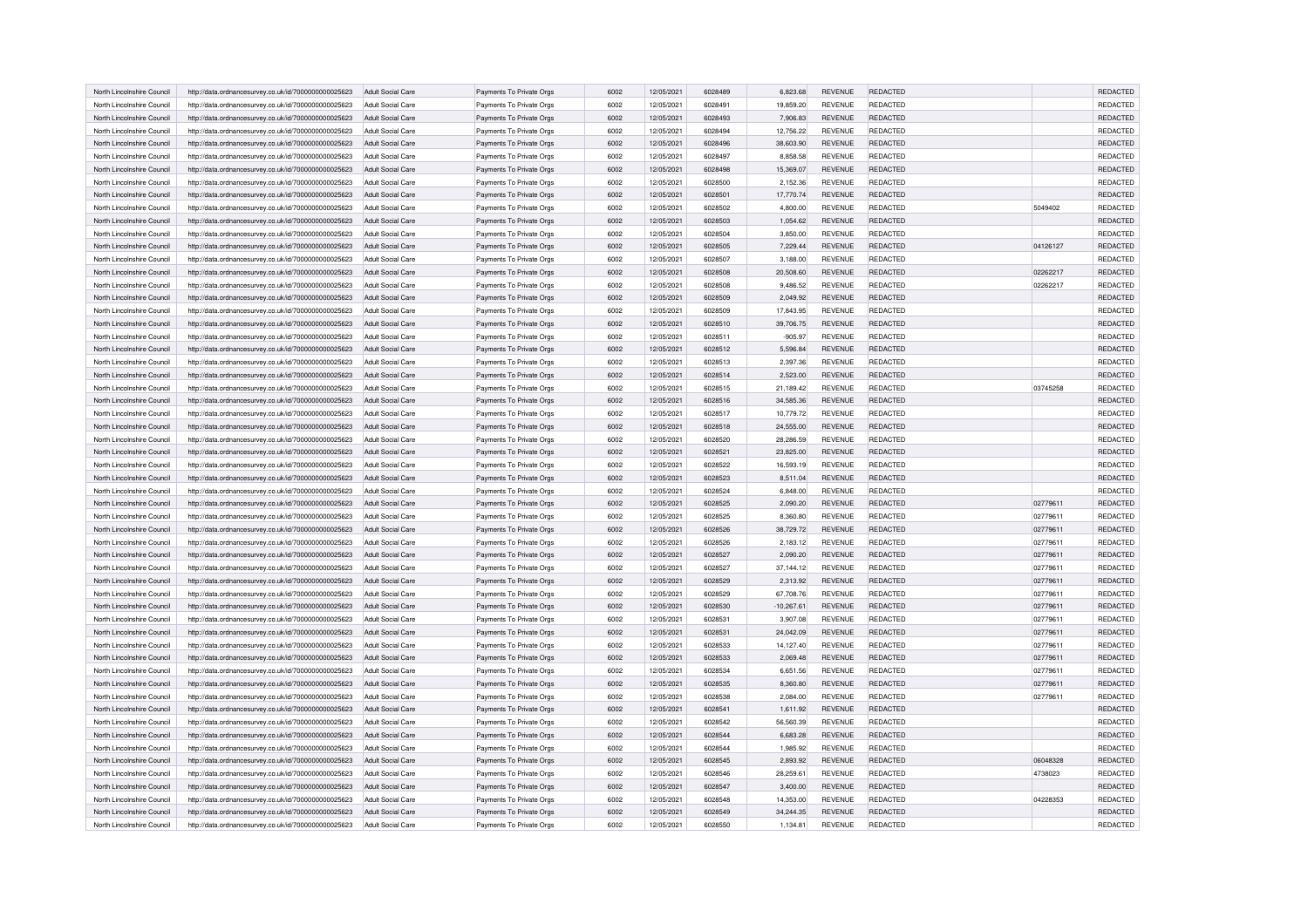| North Lincolnshire Council | http://data.ordnancesurvey.co.uk/id/7000000000025623 | Adult Social Care        | Payments To Private Orgs | 6002 | 12/05/2021 | 6028489 | 6,823.68     | <b>REVENUE</b> | REDACTED        |          | REDACTED |
|----------------------------|------------------------------------------------------|--------------------------|--------------------------|------|------------|---------|--------------|----------------|-----------------|----------|----------|
| North Lincolnshire Council | http://data.ordnancesurvey.co.uk/id/7000000000025623 | Adult Social Care        | Payments To Private Orgs | 6002 | 12/05/2021 | 6028491 | 19,859.20    | <b>REVENUE</b> | <b>REDACTED</b> |          | REDACTED |
| North Lincolnshire Council | http://data.ordnancesurvey.co.uk/id/7000000000025623 | Adult Social Care        | Payments To Private Orgs | 6002 | 12/05/2021 | 6028493 | 7,906.83     | <b>REVENUE</b> | REDACTED        |          | REDACTED |
| North Lincolnshire Council | http://data.ordnancesurvey.co.uk/id/7000000000025623 | Adult Social Care        | Payments To Private Orgs | 6002 | 12/05/2021 | 6028494 | 12,756.22    | <b>REVENUE</b> | REDACTED        |          | REDACTED |
| North Lincolnshire Council | http://data.ordnancesurvey.co.uk/id/7000000000025623 | Adult Social Care        | Payments To Private Orgs | 6002 | 12/05/2021 | 6028496 | 38,603.90    | <b>REVENUE</b> | <b>REDACTED</b> |          | REDACTED |
| North Lincolnshire Council | http://data.ordnancesurvey.co.uk/id/7000000000025623 | Adult Social Care        | Payments To Private Orgs | 6002 | 12/05/2021 | 6028497 | 8,858.58     | <b>REVENUE</b> | REDACTED        |          | REDACTED |
| North Lincolnshire Council | http://data.ordnancesurvey.co.uk/id/7000000000025623 | Adult Social Care        | Payments To Private Orgs | 6002 | 12/05/2021 | 6028498 | 15,369.07    | <b>REVENUE</b> | REDACTED        |          | REDACTED |
| North Lincolnshire Council | http://data.ordnancesurvey.co.uk/id/7000000000025623 | Adult Social Care        | Payments To Private Orgs | 6002 | 12/05/2021 | 6028500 | 2,152.36     | <b>REVENUE</b> | REDACTED        |          | REDACTED |
| North Lincolnshire Council | http://data.ordnancesurvey.co.uk/id/7000000000025623 | Adult Social Care        | Payments To Private Orgs | 6002 | 12/05/2021 | 6028501 | 17,770.74    | <b>REVENUE</b> | <b>REDACTED</b> |          | REDACTED |
| North Lincolnshire Council | http://data.ordnancesurvey.co.uk/id/7000000000025623 | Adult Social Care        | Payments To Private Orgs | 6002 | 12/05/2021 | 6028502 | 4,800.00     | <b>REVENUE</b> | <b>REDACTED</b> | 5049402  | REDACTED |
| North Lincolnshire Council | http://data.ordnancesurvey.co.uk/id/7000000000025623 | Adult Social Care        | Payments To Private Orgs | 6002 | 12/05/2021 | 6028503 | 1,054.62     | <b>REVENUE</b> | <b>REDACTED</b> |          | REDACTED |
| North Lincolnshire Council | http://data.ordnancesurvey.co.uk/id/7000000000025623 | Adult Social Care        | Payments To Private Orgs | 6002 | 12/05/2021 | 6028504 | 3,850.00     | <b>REVENUE</b> | <b>REDACTED</b> |          | REDACTED |
| North Lincolnshire Council | http://data.ordnancesurvey.co.uk/id/7000000000025623 | Adult Social Care        | Payments To Private Orgs | 6002 | 12/05/2021 | 6028505 | 7,229.44     | <b>REVENUE</b> | <b>REDACTED</b> | 04126127 | REDACTED |
| North Lincolnshire Council | http://data.ordnancesurvey.co.uk/id/7000000000025623 | Adult Social Care        | Payments To Private Orgs | 6002 | 12/05/2021 | 6028507 | 3,188.00     | <b>REVENUE</b> | REDACTED        |          | REDACTED |
| North Lincolnshire Council | http://data.ordnancesurvey.co.uk/id/7000000000025623 | Adult Social Care        | Payments To Private Orgs | 6002 | 12/05/2021 | 6028508 | 20,508.60    | <b>REVENUE</b> | REDACTED        | 02262217 | REDACTED |
| North Lincolnshire Council | http://data.ordnancesurvey.co.uk/id/7000000000025623 | Adult Social Care        | Payments To Private Orgs | 6002 | 12/05/2021 | 6028508 | 9,486.52     | REVENUE        | <b>REDACTED</b> | 02262217 | REDACTED |
| North Lincolnshire Council | http://data.ordnancesurvey.co.uk/id/7000000000025623 | Adult Social Care        | Payments To Private Orgs | 6002 | 12/05/2021 | 6028509 | 2,049.92     | REVENUE        | REDACTED        |          | REDACTED |
| North Lincolnshire Council | http://data.ordnancesurvey.co.uk/id/7000000000025623 | Adult Social Care        | Payments To Private Orgs | 6002 | 12/05/2021 | 6028509 | 17,843.95    | REVENUE        | REDACTED        |          | REDACTED |
| North Lincolnshire Council | http://data.ordnancesurvey.co.uk/id/7000000000025623 | Adult Social Care        | Payments To Private Orgs | 6002 | 12/05/2021 | 6028510 | 39,706.75    | <b>REVENUE</b> | <b>REDACTED</b> |          | REDACTED |
| North Lincolnshire Council | http://data.ordnancesurvey.co.uk/id/7000000000025623 | Adult Social Care        | Payments To Private Orgs | 6002 | 12/05/2021 | 6028511 | $-905.97$    | <b>REVENUE</b> | REDACTED        |          | REDACTED |
| North Lincolnshire Council | http://data.ordnancesurvey.co.uk/id/7000000000025623 | Adult Social Care        | Payments To Private Orgs | 6002 | 12/05/2021 | 6028512 | 5,596.84     | <b>REVENUE</b> | REDACTED        |          | REDACTED |
| North Lincolnshire Council | http://data.ordnancesurvey.co.uk/id/7000000000025623 | Adult Social Care        | Payments To Private Orgs | 6002 | 12/05/2021 | 6028513 | 2,397.36     | <b>REVENUE</b> | REDACTED        |          | REDACTED |
| North Lincolnshire Council | http://data.ordnancesurvey.co.uk/id/7000000000025623 | <b>Adult Social Care</b> | Payments To Private Orgs | 6002 | 12/05/2021 | 6028514 | 2,523.00     | <b>REVENUE</b> | <b>REDACTED</b> |          | REDACTED |
| North Lincolnshire Council | http://data.ordnancesurvey.co.uk/id/7000000000025623 | Adult Social Care        | Payments To Private Orgs | 6002 | 12/05/2021 | 6028515 | 21,189.42    | REVENUE        | <b>REDACTED</b> | 03745258 | REDACTED |
| North Lincolnshire Council | http://data.ordnancesurvey.co.uk/id/7000000000025623 | <b>Adult Social Care</b> | Payments To Private Orgs | 6002 | 12/05/2021 | 6028516 | 34,585.36    | <b>REVENUE</b> | <b>REDACTED</b> |          | REDACTED |
| North Lincolnshire Council | http://data.ordnancesurvey.co.uk/id/7000000000025623 | Adult Social Care        | Payments To Private Orgs | 6002 | 12/05/2021 | 6028517 | 10,779.72    | REVENUE        | REDACTED        |          | REDACTED |
| North Lincolnshire Council | http://data.ordnancesurvey.co.uk/id/7000000000025623 | Adult Social Care        | Payments To Private Orgs | 6002 | 12/05/2021 | 6028518 | 24,555.00    | <b>REVENUE</b> | <b>REDACTED</b> |          | REDACTED |
| North Lincolnshire Council | http://data.ordnancesurvey.co.uk/id/7000000000025623 | Adult Social Care        | Payments To Private Orgs | 6002 | 12/05/2021 | 6028520 | 28.286.59    | REVENUE        | <b>REDACTED</b> |          | REDACTED |
| North Lincolnshire Council | http://data.ordnancesurvey.co.uk/id/7000000000025623 | Adult Social Care        | Payments To Private Orgs | 6002 | 12/05/2021 | 6028521 | 23,825.00    | <b>REVENUE</b> | REDACTED        |          | REDACTED |
| North Lincolnshire Council | http://data.ordnancesurvey.co.uk/id/7000000000025623 | Adult Social Care        | Payments To Private Orgs | 6002 | 12/05/2021 | 6028522 | 16,593.19    | REVENUE        | REDACTED        |          | REDACTED |
| North Lincolnshire Council | http://data.ordnancesurvey.co.uk/id/7000000000025623 | Adult Social Care        | Payments To Private Orgs | 6002 | 12/05/2021 | 6028523 | 8,511.04     | <b>REVENUE</b> | <b>REDACTED</b> |          | REDACTED |
| North Lincolnshire Council | http://data.ordnancesurvey.co.uk/id/7000000000025623 | Adult Social Care        | Payments To Private Orgs | 6002 | 12/05/2021 | 6028524 | 6,848.00     | REVENUE        | <b>REDACTED</b> |          | REDACTED |
| North Lincolnshire Council | http://data.ordnancesurvey.co.uk/id/7000000000025623 | Adult Social Care        | Payments To Private Orgs | 6002 | 12/05/2021 | 6028525 | 2,090.20     | <b>REVENUE</b> | <b>REDACTED</b> | 02779611 | REDACTED |
| North Lincolnshire Council | http://data.ordnancesurvey.co.uk/id/7000000000025623 | Adult Social Care        | Payments To Private Orgs | 6002 | 12/05/2021 | 6028525 | 8,360.80     | REVENUE        | <b>REDACTED</b> | 02779611 | REDACTED |
| North Lincolnshire Council | http://data.ordnancesurvey.co.uk/id/7000000000025623 | Adult Social Care        | Payments To Private Orgs | 6002 | 12/05/2021 | 6028526 | 38,729.72    | <b>REVENUE</b> | <b>REDACTED</b> | 02779611 | REDACTED |
| North Lincolnshire Council | http://data.ordnancesurvey.co.uk/id/7000000000025623 | Adult Social Care        | Payments To Private Orgs | 6002 | 12/05/2021 | 6028526 | 2,183.12     | REVENUE        | <b>REDACTED</b> | 02779611 | REDACTED |
| North Lincolnshire Council | http://data.ordnancesurvey.co.uk/id/7000000000025623 | Adult Social Care        | Payments To Private Orgs | 6002 | 12/05/2021 | 6028527 | 2,090.20     | <b>REVENUE</b> | <b>REDACTED</b> | 02779611 | REDACTED |
| North Lincolnshire Council | http://data.ordnancesurvey.co.uk/id/7000000000025623 | Adult Social Care        | Payments To Private Orgs | 6002 | 12/05/2021 | 6028527 | 37,144.12    | <b>REVENUE</b> | <b>REDACTED</b> | 02779611 | REDACTED |
| North Lincolnshire Council | http://data.ordnancesurvey.co.uk/id/7000000000025623 | Adult Social Care        | Payments To Private Orgs | 6002 | 12/05/2021 | 6028529 | 2,313.92     | <b>REVENUE</b> | <b>REDACTED</b> | 02779611 | REDACTED |
| North Lincolnshire Council | http://data.ordnancesurvey.co.uk/id/7000000000025623 | Adult Social Care        | Payments To Private Orgs | 6002 | 12/05/2021 | 6028529 | 67,708.76    | <b>REVENUE</b> | <b>REDACTED</b> | 02779611 | REDACTED |
| North Lincolnshire Council | http://data.ordnancesurvey.co.uk/id/7000000000025623 | Adult Social Care        | Payments To Private Orgs | 6002 | 12/05/2021 | 6028530 | $-10,267.61$ | <b>REVENUE</b> | <b>REDACTED</b> | 02779611 | REDACTED |
| North Lincolnshire Council | http://data.ordnancesurvey.co.uk/id/7000000000025623 | Adult Social Care        | Payments To Private Orgs | 6002 | 12/05/2021 | 6028531 | 3,907.08     | <b>REVENUE</b> | <b>REDACTED</b> | 02779611 | REDACTED |
| North Lincolnshire Council | http://data.ordnancesurvey.co.uk/id/7000000000025623 | Adult Social Care        | Payments To Private Orgs | 6002 | 12/05/2021 | 6028531 | 24,042.09    | <b>REVENUE</b> | <b>REDACTED</b> | 02779611 | REDACTED |
| North Lincolnshire Council | http://data.ordnancesurvey.co.uk/id/7000000000025623 | Adult Social Care        | Payments To Private Orgs | 6002 | 12/05/2021 | 6028533 | 14,127.40    | <b>REVENUE</b> | <b>REDACTED</b> | 02779611 | REDACTED |
| North Lincolnshire Council | http://data.ordnancesurvey.co.uk/id/7000000000025623 | Adult Social Care        | Payments To Private Orgs | 6002 | 12/05/2021 | 6028533 | 2,069.48     | <b>REVENUE</b> | REDACTED        | 02779611 | REDACTED |
| North Lincolnshire Council | http://data.ordnancesurvey.co.uk/id/7000000000025623 | Adult Social Care        | Payments To Private Orgs | 6002 | 12/05/2021 | 6028534 | 6,651.56     | <b>REVENUE</b> | <b>REDACTED</b> | 02779611 | REDACTED |
| North Lincolnshire Council | http://data.ordnancesurvey.co.uk/id/7000000000025623 | Adult Social Care        | Payments To Private Orgs | 6002 | 12/05/2021 | 6028535 | 8,360.80     | <b>REVENUE</b> | <b>REDACTED</b> | 02779611 | REDACTED |
| North Lincolnshire Council | http://data.ordnancesurvey.co.uk/id/7000000000025623 | Adult Social Care        | Payments To Private Orgs | 6002 | 12/05/2021 | 6028538 | 2.084.00     | <b>REVENUE</b> | <b>REDACTED</b> | 02779611 | REDACTED |
| North Lincolnshire Council | http://data.ordnancesurvey.co.uk/id/7000000000025623 | Adult Social Care        | Payments To Private Orgs | 6002 | 12/05/2021 | 6028541 | 1,611.92     | <b>REVENUE</b> | <b>REDACTED</b> |          | REDACTED |
| North Lincolnshire Council | http://data.ordnancesurvey.co.uk/id/7000000000025623 | Adult Social Care        | Payments To Private Orgs | 6002 | 12/05/2021 | 6028542 | 56,560.39    | REVENUE        | <b>REDACTED</b> |          | REDACTED |
| North Lincolnshire Council | http://data.ordnancesurvey.co.uk/id/7000000000025623 | Adult Social Care        | Payments To Private Orgs | 6002 | 12/05/2021 | 6028544 | 6,683.28     | <b>REVENUE</b> | <b>REDACTED</b> |          | REDACTED |
| North Lincolnshire Council | http://data.ordnancesurvey.co.uk/id/7000000000025623 | Adult Social Care        | Payments To Private Orgs | 6002 | 12/05/2021 | 6028544 | 1,985.92     | REVENUE        | REDACTED        |          | REDACTED |
| North Lincolnshire Council | http://data.ordnancesurvey.co.uk/id/7000000000025623 | Adult Social Care        | Payments To Private Orgs | 6002 | 12/05/2021 | 6028545 | 2,893.92     | <b>REVENUE</b> | <b>REDACTED</b> | 06048328 | REDACTED |
| North Lincolnshire Council | http://data.ordnancesurvey.co.uk/id/7000000000025623 | Adult Social Care        | Payments To Private Orgs | 6002 | 12/05/2021 | 6028546 | 28.259.61    | <b>REVENUE</b> | REDACTED        | 4738023  | REDACTED |
| North Lincolnshire Council | http://data.ordnancesurvey.co.uk/id/7000000000025623 | Adult Social Care        | Payments To Private Orgs | 6002 | 12/05/2021 | 6028547 | 3,400.00     | <b>REVENUE</b> | <b>REDACTED</b> |          | REDACTED |
| North Lincolnshire Council | http://data.ordnancesurvey.co.uk/id/7000000000025623 | Adult Social Care        | Payments To Private Orgs | 6002 | 12/05/2021 | 6028548 | 14,353.00    | <b>REVENUE</b> | <b>REDACTED</b> | 04228353 | REDACTED |
| North Lincolnshire Council | http://data.ordnancesurvey.co.uk/id/7000000000025623 | Adult Social Care        | Payments To Private Orgs | 6002 | 12/05/2021 | 6028549 | 34,244.35    | <b>REVENUE</b> | <b>REDACTED</b> |          | REDACTED |
| North Lincolnshire Council | http://data.ordnancesurvey.co.uk/id/7000000000025623 | Adult Social Care        | Payments To Private Orgs | 6002 | 12/05/2021 | 6028550 | 1,134.81     | <b>REVENUE</b> | <b>REDACTED</b> |          | REDACTED |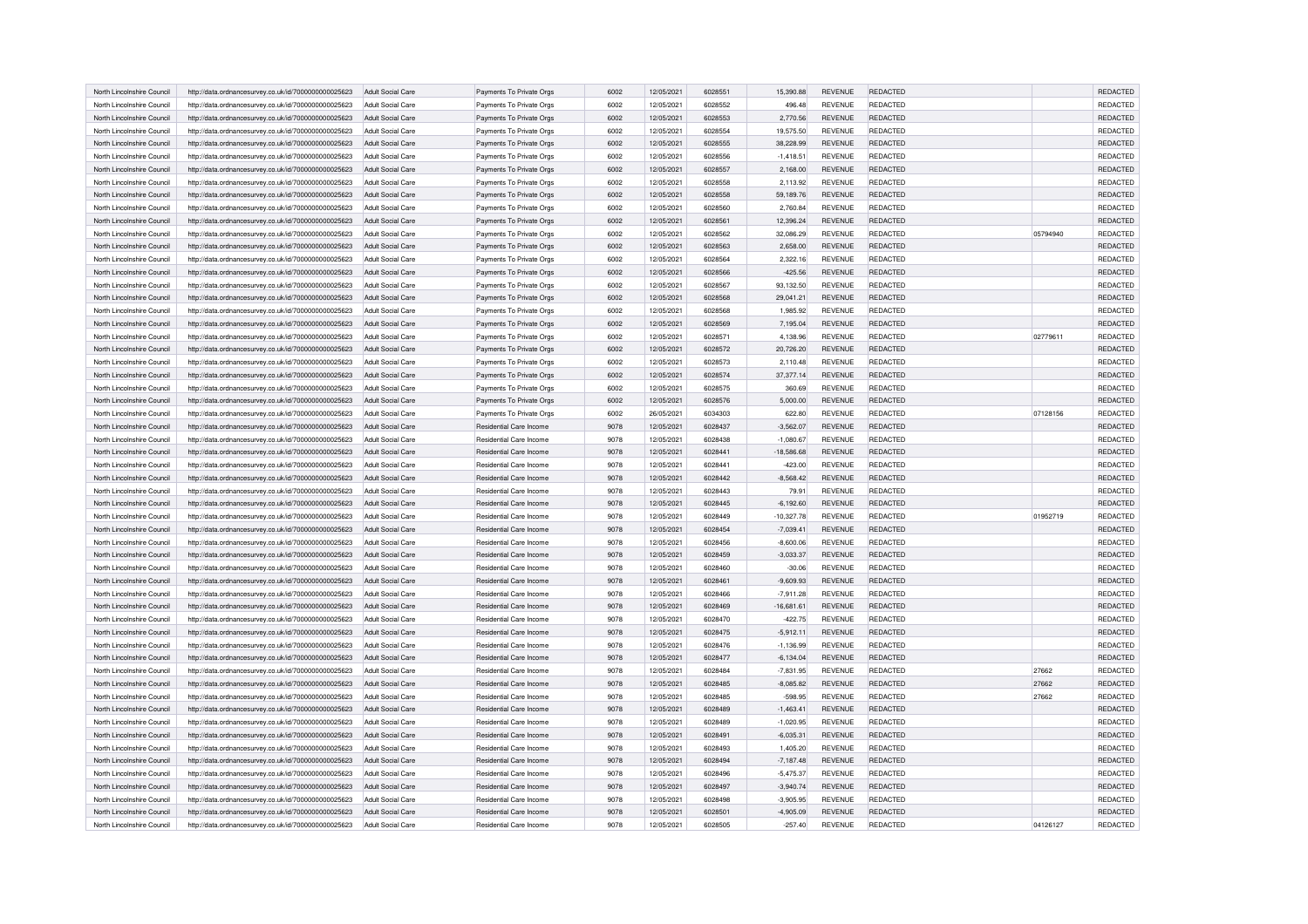| North Lincolnshire Council | http://data.ordnancesurvey.co.uk/id/7000000000025623 | Adult Social Care        | Payments To Private Orgs       | 6002 | 12/05/2021 | 6028551 | 15,390.88    | <b>REVENUE</b> | REDACTED        |          | REDACTED |
|----------------------------|------------------------------------------------------|--------------------------|--------------------------------|------|------------|---------|--------------|----------------|-----------------|----------|----------|
| North Lincolnshire Council | http://data.ordnancesurvey.co.uk/id/7000000000025623 | Adult Social Care        | Payments To Private Orgs       | 6002 | 12/05/2021 | 6028552 | 496.48       | <b>REVENUE</b> | <b>REDACTED</b> |          | REDACTED |
| North Lincolnshire Council | http://data.ordnancesurvey.co.uk/id/7000000000025623 | Adult Social Care        | Payments To Private Orgs       | 6002 | 12/05/2021 | 6028553 | 2,770.56     | REVENUE        | REDACTED        |          | REDACTED |
| North Lincolnshire Council | http://data.ordnancesurvey.co.uk/id/7000000000025623 | Adult Social Care        | Payments To Private Orgs       | 6002 | 12/05/2021 | 6028554 | 19,575.50    | <b>REVENUE</b> | REDACTED        |          | REDACTED |
| North Lincolnshire Council | http://data.ordnancesurvey.co.uk/id/7000000000025623 | Adult Social Care        | Payments To Private Orgs       | 6002 | 12/05/2021 | 6028555 | 38,228.99    | <b>REVENUE</b> | <b>REDACTED</b> |          | REDACTED |
| North Lincolnshire Council | http://data.ordnancesurvey.co.uk/id/7000000000025623 | Adult Social Care        | Payments To Private Orgs       | 6002 | 12/05/2021 | 6028556 | $-1,418.51$  | <b>REVENUE</b> | REDACTED        |          | REDACTED |
| North Lincolnshire Council | http://data.ordnancesurvey.co.uk/id/7000000000025623 | Adult Social Care        | Payments To Private Orgs       | 6002 | 12/05/2021 | 6028557 | 2,168.00     | <b>REVENUE</b> | REDACTED        |          | REDACTED |
|                            |                                                      |                          |                                | 6002 |            | 6028558 |              |                |                 |          |          |
| North Lincolnshire Council | http://data.ordnancesurvey.co.uk/id/7000000000025623 | Adult Social Care        | Payments To Private Orgs       |      | 12/05/2021 |         | 2,113.92     | <b>REVENUE</b> | REDACTED        |          | REDACTED |
| North Lincolnshire Council | http://data.ordnancesurvey.co.uk/id/7000000000025623 | Adult Social Care        | Payments To Private Orgs       | 6002 | 12/05/2021 | 6028558 | 59,189.76    | <b>REVENUE</b> | REDACTED        |          | REDACTED |
| North Lincolnshire Council | http://data.ordnancesurvey.co.uk/id/7000000000025623 | Adult Social Care        | Payments To Private Orgs       | 6002 | 12/05/2021 | 6028560 | 2,760.84     | <b>REVENUE</b> | <b>REDACTED</b> |          | REDACTED |
| North Lincolnshire Council | http://data.ordnancesurvey.co.uk/id/7000000000025623 | Adult Social Care        | Payments To Private Orgs       | 6002 | 12/05/2021 | 6028561 | 12,396.24    | <b>REVENUE</b> | <b>REDACTED</b> |          | REDACTED |
| North Lincolnshire Council | http://data.ordnancesurvey.co.uk/id/7000000000025623 | Adult Social Care        | Payments To Private Orgs       | 6002 | 12/05/2021 | 6028562 | 32,086.29    | <b>REVENUE</b> | REDACTED        | 05794940 | REDACTED |
| North Lincolnshire Council | http://data.ordnancesurvey.co.uk/id/7000000000025623 | Adult Social Care        | Payments To Private Orgs       | 6002 | 12/05/2021 | 6028563 | 2,658.00     | <b>REVENUE</b> | <b>REDACTED</b> |          | REDACTED |
| North Lincolnshire Council | http://data.ordnancesurvey.co.uk/id/7000000000025623 | Adult Social Care        | Payments To Private Orgs       | 6002 | 12/05/2021 | 6028564 | 2,322.16     | <b>REVENUE</b> | REDACTED        |          | REDACTED |
| North Lincolnshire Council | http://data.ordnancesurvey.co.uk/id/7000000000025623 | Adult Social Care        | Payments To Private Orgs       | 6002 | 12/05/2021 | 6028566 | $-425.56$    | <b>REVENUE</b> | REDACTED        |          | REDACTED |
| North Lincolnshire Council | http://data.ordnancesurvey.co.uk/id/7000000000025623 | Adult Social Care        | Payments To Private Orgs       | 6002 | 12/05/2021 | 6028567 | 93,132.50    | <b>REVENUE</b> | <b>REDACTED</b> |          | REDACTED |
| North Lincolnshire Council | http://data.ordnancesurvey.co.uk/id/7000000000025623 | Adult Social Care        | Payments To Private Orgs       | 6002 | 12/05/2021 | 6028568 | 29,041.21    | REVENUE        | REDACTED        |          | REDACTED |
| North Lincolnshire Council | http://data.ordnancesurvey.co.uk/id/7000000000025623 | Adult Social Care        | Payments To Private Orgs       | 6002 | 12/05/2021 | 6028568 | 1,985.92     | REVENUE        | <b>REDACTED</b> |          | REDACTED |
| North Lincolnshire Council | http://data.ordnancesurvey.co.uk/id/7000000000025623 | Adult Social Care        | Payments To Private Orgs       | 6002 | 12/05/2021 | 6028569 | 7,195.04     | <b>REVENUE</b> | <b>REDACTED</b> |          | REDACTED |
| North Lincolnshire Council | http://data.ordnancesurvey.co.uk/id/7000000000025623 | Adult Social Care        | Payments To Private Orgs       | 6002 | 12/05/2021 | 6028571 | 4,138.96     | <b>REVENUE</b> | REDACTED        | 02779611 | REDACTED |
| North Lincolnshire Council | http://data.ordnancesurvey.co.uk/id/7000000000025623 | Adult Social Care        | Payments To Private Orgs       | 6002 | 12/05/2021 | 6028572 | 20,726.20    | <b>REVENUE</b> | REDACTED        |          | REDACTED |
| North Lincolnshire Council | http://data.ordnancesurvey.co.uk/id/7000000000025623 | Adult Social Care        | Payments To Private Orgs       | 6002 | 12/05/2021 | 6028573 | 2,110.48     | REVENUE        | REDACTED        |          | REDACTED |
| North Lincolnshire Council | http://data.ordnancesurvey.co.uk/id/7000000000025623 | Adult Social Care        | Payments To Private Orgs       | 6002 | 12/05/2021 | 6028574 | 37,377.14    | <b>REVENUE</b> | <b>REDACTED</b> |          | REDACTED |
| North Lincolnshire Council | http://data.ordnancesurvey.co.uk/id/7000000000025623 | Adult Social Care        | Payments To Private Orgs       | 6002 | 12/05/2021 | 6028575 | 360.69       | REVENUE        | <b>REDACTED</b> |          | REDACTED |
| North Lincolnshire Council | http://data.ordnancesurvey.co.uk/id/7000000000025623 | <b>Adult Social Care</b> | Payments To Private Orgs       | 6002 | 12/05/2021 | 6028576 | 5,000.00     | <b>REVENUE</b> | <b>REDACTED</b> |          | REDACTED |
|                            |                                                      |                          |                                |      |            |         |              |                |                 |          |          |
| North Lincolnshire Council | http://data.ordnancesurvey.co.uk/id/7000000000025623 | Adult Social Care        | Payments To Private Orgs       | 6002 | 26/05/2021 | 6034303 | 622.80       | REVENUE        | REDACTED        | 07128156 | REDACTED |
| North Lincolnshire Council | http://data.ordnancesurvey.co.uk/id/7000000000025623 | Adult Social Care        | <b>Besidential Care Income</b> | 9078 | 12/05/2021 | 6028437 | $-3,562.07$  | <b>REVENUE</b> | <b>REDACTED</b> |          | REDACTED |
| North Lincolnshire Council | http://data.ordnancesurvey.co.uk/id/7000000000025623 | Adult Social Care        | Residential Care Income        | 9078 | 12/05/2021 | 6028438 | $-1,080.67$  | <b>REVENUE</b> | <b>REDACTED</b> |          | REDACTED |
| North Lincolnshire Council | http://data.ordnancesurvey.co.uk/id/7000000000025623 | Adult Social Care        | Residential Care Income        | 9078 | 12/05/2021 | 6028441 | $-18,586.68$ | <b>REVENUE</b> | REDACTED        |          | REDACTED |
| North Lincolnshire Council | http://data.ordnancesurvey.co.uk/id/7000000000025623 | Adult Social Care        | Residential Care Income        | 9078 | 12/05/2021 | 6028441 | $-423.00$    | REVENUE        | <b>REDACTED</b> |          | REDACTED |
| North Lincolnshire Council | http://data.ordnancesurvey.co.uk/id/7000000000025623 | Adult Social Care        | Residential Care Income        | 9078 | 12/05/2021 | 6028442 | $-8,568.42$  | <b>REVENUE</b> | REDACTED        |          | REDACTED |
| North Lincolnshire Council | http://data.ordnancesurvey.co.uk/id/7000000000025623 | Adult Social Care        | Residential Care Income        | 9078 | 12/05/2021 | 6028443 | 79.91        | REVENUE        | <b>REDACTED</b> |          | REDACTED |
| North Lincolnshire Council | http://data.ordnancesurvey.co.uk/id/7000000000025623 | Adult Social Care        | <b>Besidential Care Income</b> | 9078 | 12/05/2021 | 6028445 | $-6,192.60$  | <b>REVENUE</b> | <b>REDACTED</b> |          | REDACTED |
| North Lincolnshire Council | http://data.ordnancesurvey.co.uk/id/7000000000025623 | Adult Social Care        | Residential Care Income        | 9078 | 12/05/2021 | 6028449 | $-10,327.78$ | REVENUE        | <b>REDACTED</b> | 01952719 | REDACTED |
| North Lincolnshire Council | http://data.ordnancesurvey.co.uk/id/7000000000025623 | Adult Social Care        | Residential Care Income        | 9078 | 12/05/2021 | 6028454 | $-7,039.41$  | <b>REVENUE</b> | REDACTED        |          | REDACTED |
| North Lincolnshire Council | http://data.ordnancesurvey.co.uk/id/7000000000025623 | Adult Social Care        | Residential Care Income        | 9078 | 12/05/2021 | 6028456 | $-8,600.06$  | REVENUE        | REDACTED        |          | REDACTED |
| North Lincolnshire Council | http://data.ordnancesurvey.co.uk/id/7000000000025623 | Adult Social Care        | Residential Care Income        | 9078 | 12/05/2021 | 6028459 | $-3,033.37$  | <b>REVENUE</b> | <b>REDACTED</b> |          | REDACTED |
| North Lincolnshire Council | http://data.ordnancesurvey.co.uk/id/7000000000025623 | Adult Social Care        | Residential Care Income        | 9078 | 12/05/2021 | 6028460 | $-30.06$     | <b>RFVFNUF</b> | <b>REDACTED</b> |          | REDACTED |
| North Lincolnshire Council | http://data.ordnancesurvey.co.uk/id/7000000000025623 | Adult Social Care        | Residential Care Income        | 9078 | 12/05/2021 | 6028461 | $-9,609.93$  | <b>REVENUE</b> | <b>REDACTED</b> |          | REDACTED |
| North Lincolnshire Council | http://data.ordnancesurvey.co.uk/id/7000000000025623 | Adult Social Care        | <b>Besidential Care Income</b> | 9078 | 12/05/2021 | 6028466 | $-7.911.28$  | <b>REVENUE</b> | <b>REDACTED</b> |          | REDACTED |
| North Lincolnshire Council | http://data.ordnancesurvey.co.uk/id/7000000000025623 | Adult Social Care        | Residential Care Income        | 9078 | 12/05/2021 | 6028469 | $-16,681.61$ | <b>REVENUE</b> | REDACTED        |          | REDACTED |
| North Lincolnshire Council | http://data.ordnancesurvey.co.uk/id/7000000000025623 | Adult Social Care        | <b>Besidential Care Income</b> | 9078 | 12/05/2021 | 6028470 | $-422.75$    | <b>RFVFNUF</b> | <b>REDACTED</b> |          | REDACTED |
| North Lincolnshire Council | http://data.ordnancesurvey.co.uk/id/7000000000025623 | Adult Social Care        | Residential Care Income        | 9078 | 12/05/2021 | 6028475 | $-5,912.11$  | <b>REVENUE</b> | REDACTED        |          | REDACTED |
| North Lincolnshire Council | http://data.ordnancesurvey.co.uk/id/7000000000025623 | Adult Social Care        | Residential Care Income        | 9078 | 12/05/2021 | 6028476 | $-1,136.99$  | REVENUE        | REDACTED        |          | REDACTED |
| North Lincolnshire Council | http://data.ordnancesurvey.co.uk/id/7000000000025623 | Adult Social Care        | Residential Care Income        | 9078 | 12/05/2021 | 6028477 | $-6,134.04$  | <b>REVENUE</b> | <b>REDACTED</b> |          | REDACTED |
| North Lincolnshire Council | http://data.ordnancesurvey.co.uk/id/7000000000025623 | Adult Social Care        | <b>Besidential Care Income</b> | 9078 | 12/05/2021 | 6028484 | $-7,831.95$  | <b>REVENUE</b> | <b>REDACTED</b> | 27662    | REDACTED |
| North Lincolnshire Council |                                                      |                          |                                | 9078 |            | 6028485 |              |                |                 | 27662    |          |
|                            | http://data.ordnancesurvey.co.uk/id/7000000000025623 | Adult Social Care        | Residential Care Income        |      | 12/05/2021 |         | $-8,085.82$  | <b>REVENUE</b> | REDACTED        |          | REDACTED |
| North Lincolnshire Council | http://data.ordnancesurvey.co.uk/id/7000000000025623 | Adult Social Care        | Residential Care Income        | 9078 | 12/05/2021 | 6028485 | $-598.95$    | <b>REVENUE</b> | <b>REDACTED</b> | 27662    | REDACTED |
| North Lincolnshire Council | http://data.ordnancesurvey.co.uk/id/7000000000025623 | Adult Social Care        | Residential Care Income        | 9078 | 12/05/2021 | 6028489 | $-1,463.41$  | <b>REVENUE</b> | REDACTED        |          | REDACTED |
| North Lincolnshire Council | http://data.ordnancesurvey.co.uk/id/7000000000025623 | Adult Social Care        | Residential Care Income        | 9078 | 12/05/2021 | 6028489 | $-1,020.95$  | REVENUE        | <b>REDACTED</b> |          | REDACTED |
| North Lincolnshire Council | http://data.ordnancesurvey.co.uk/id/7000000000025623 | Adult Social Care        | Residential Care Income        | 9078 | 12/05/2021 | 6028491 | $-6,035.31$  | <b>REVENUE</b> | <b>REDACTED</b> |          | REDACTED |
| North Lincolnshire Council | http://data.ordnancesurvey.co.uk/id/7000000000025623 | Adult Social Care        | Residential Care Income        | 9078 | 12/05/2021 | 6028493 | 1,405.20     | REVENUE        | <b>REDACTED</b> |          | REDACTED |
| North Lincolnshire Council | http://data.ordnancesurvey.co.uk/id/7000000000025623 | Adult Social Care        | Residential Care Income        | 9078 | 12/05/2021 | 6028494 | $-7,187.48$  | <b>REVENUE</b> | <b>REDACTED</b> |          | REDACTED |
| North Lincolnshire Council | http://data.ordnancesurvey.co.uk/id/7000000000025623 | Adult Social Care        | <b>Besidential Care Income</b> | 9078 | 12/05/2021 | 6028496 | $-5,475.37$  | <b>REVENUE</b> | <b>REDACTED</b> |          | REDACTED |
| North Lincolnshire Council | http://data.ordnancesurvey.co.uk/id/7000000000025623 | Adult Social Care        | <b>Besidential Care Income</b> | 9078 | 12/05/2021 | 6028497 | $-3,940.74$  | <b>REVENUE</b> | <b>REDACTED</b> |          | REDACTED |
| North Lincolnshire Council | http://data.ordnancesurvey.co.uk/id/7000000000025623 | Adult Social Care        | Residential Care Income        | 9078 | 12/05/2021 | 6028498 | $-3,905.95$  | <b>REVENUE</b> | <b>REDACTED</b> |          | REDACTED |
| North Lincolnshire Council | http://data.ordnancesurvey.co.uk/id/7000000000025623 | Adult Social Care        | <b>Besidential Care Income</b> | 9078 | 12/05/2021 | 6028501 | $-4,905.09$  | <b>REVENUE</b> | <b>REDACTED</b> |          | REDACTED |
| North Lincolnshire Council | http://data.ordnancesurvey.co.uk/id/7000000000025623 | Adult Social Care        | Residential Care Income        | 9078 | 12/05/2021 | 6028505 | $-257.40$    | REVENUE        | <b>REDACTED</b> | 04126127 | REDACTED |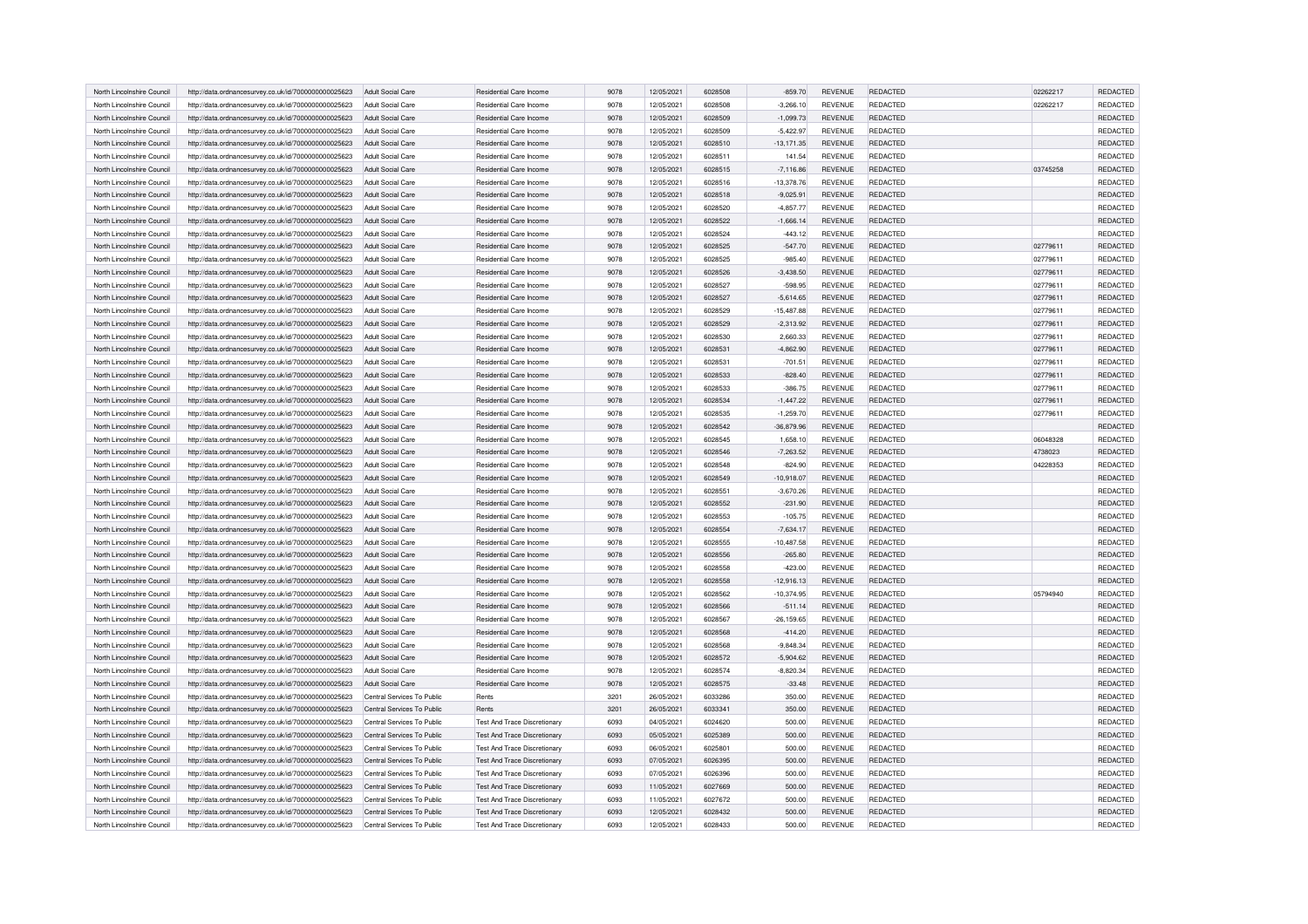| North Lincolnshire Council | http://data.ordnancesurvey.co.uk/id/7000000000025623 | Adult Social Care          | Residential Care Income             | 9078         | 12/05/2021 | 6028508 | $-859.70$     | <b>REVENUE</b> | REDACTED                           | 02262217 | REDACTED        |
|----------------------------|------------------------------------------------------|----------------------------|-------------------------------------|--------------|------------|---------|---------------|----------------|------------------------------------|----------|-----------------|
| North Lincolnshire Council | http://data.ordnancesurvey.co.uk/id/7000000000025623 | Adult Social Care          | Residential Care Income             | 9078         | 12/05/2021 | 6028508 | $-3,266.10$   | <b>REVENUE</b> | <b>REDACTED</b>                    | 02262217 | <b>REDACTED</b> |
| North Lincolnshire Council | http://data.ordnancesurvey.co.uk/id/7000000000025623 | Adult Social Care          | Residential Care Income             | 9078         | 12/05/2021 | 6028509 | $-1,099.73$   | REVENUE        | REDACTED                           |          | REDACTED        |
| North Lincolnshire Council | http://data.ordnancesurvey.co.uk/id/7000000000025623 | Adult Social Care          | Residential Care Income             | 9078         | 12/05/2021 | 6028509 | $-5,422.97$   | <b>REVENUE</b> | REDACTED                           |          | REDACTED        |
| North Lincolnshire Council | http://data.ordnancesurvey.co.uk/id/7000000000025623 | Adult Social Care          | Residential Care Income             | 9078         | 12/05/2021 | 6028510 | $-13,171.35$  | <b>REVENUE</b> | REDACTED                           |          | REDACTED        |
| North Lincolnshire Council | http://data.ordnancesurvey.co.uk/id/7000000000025623 | Adult Social Care          | Residential Care Income             | 9078         | 12/05/2021 | 6028511 | 141.54        | <b>REVENUE</b> | REDACTED                           |          | REDACTED        |
| North Lincolnshire Council | http://data.ordnancesurvey.co.uk/id/7000000000025623 | Adult Social Care          | Residential Care Income             | 9078         | 12/05/2021 | 6028515 | $-7,116.86$   | <b>REVENUE</b> | REDACTED                           | 03745258 | REDACTED        |
| North Lincolnshire Council | http://data.ordnancesurvey.co.uk/id/7000000000025623 | Adult Social Care          | Residential Care Income             | 9078         | 12/05/2021 | 6028516 | $-13,378.76$  | <b>REVENUE</b> | REDACTED                           |          | REDACTED        |
| North Lincolnshire Council | http://data.ordnancesurvey.co.uk/id/7000000000025623 | Adult Social Care          | Residential Care Income             | 9078         | 12/05/2021 | 6028518 | $-9,025.91$   | REVENUE        | <b>REDACTED</b>                    |          | REDACTED        |
| North Lincolnshire Council | http://data.ordnancesurvey.co.uk/id/7000000000025623 | Adult Social Care          | Residential Care Income             | 9078         | 12/05/2021 | 6028520 | $-4,857.77$   | <b>REVENUE</b> | <b>REDACTED</b>                    |          | REDACTED        |
| North Lincolnshire Council | http://data.ordnancesurvey.co.uk/id/7000000000025623 | Adult Social Care          | Residential Care Income             | 9078         | 12/05/2021 | 6028522 | $-1,666.14$   | <b>REVENUE</b> | <b>REDACTED</b>                    |          | REDACTED        |
| North Lincolnshire Council | http://data.ordnancesurvey.co.uk/id/7000000000025623 | Adult Social Care          | Residential Care Income             | 9078         | 12/05/2021 | 6028524 | $-443.12$     | <b>REVENUE</b> | REDACTED                           |          | REDACTED        |
| North Lincolnshire Council | http://data.ordnancesurvey.co.uk/id/7000000000025623 | Adult Social Care          | <b>Besidential Care Income</b>      | 9078         | 12/05/2021 | 6028525 | $-547.70$     | <b>REVENUE</b> | <b>REDACTED</b>                    | 02779611 | REDACTED        |
| North Lincolnshire Council | http://data.ordnancesurvey.co.uk/id/7000000000025623 | Adult Social Care          | <b>Besidential Care Income</b>      | 9078         | 12/05/2021 | 6028525 | $-985.40$     | <b>REVENUE</b> | REDACTED                           | 02779611 | <b>REDACTED</b> |
| North Lincolnshire Council | http://data.ordnancesurvey.co.uk/id/7000000000025623 | <b>Adult Social Care</b>   | <b>Besidential Care Income</b>      | 9078         | 12/05/2021 | 6028526 | $-3,438.50$   | <b>REVENUE</b> | REDACTED                           | 02779611 | REDACTED        |
| North Lincolnshire Council | http://data.ordnancesurvey.co.uk/id/7000000000025623 | Adult Social Care          | Residential Care Income             | 9078         | 12/05/2021 | 6028527 | $-598.95$     | <b>REVENUE</b> | REDACTED                           | 02779611 | REDACTED        |
| North Lincolnshire Council | http://data.ordnancesurvey.co.uk/id/7000000000025623 | Adult Social Care          | Residential Care Income             | 9078         | 12/05/2021 | 6028527 | $-5,614.65$   | REVENUE        | REDACTED                           | 02779611 | REDACTED        |
| North Lincolnshire Council | http://data.ordnancesurvey.co.uk/id/7000000000025623 | Adult Social Care          | Residential Care Income             | 9078         | 12/05/2021 | 6028529 | $-15,487.88$  | <b>REVENUE</b> | REDACTED                           | 02779611 | REDACTED        |
| North Lincolnshire Council | http://data.ordnancesurvey.co.uk/id/7000000000025623 | Adult Social Care          | Residential Care Income             | 9078         | 12/05/2021 | 6028529 | $-2,313.92$   | <b>REVENUE</b> | <b>REDACTED</b>                    | 02779611 | <b>REDACTED</b> |
| North Lincolnshire Council | http://data.ordnancesurvey.co.uk/id/7000000000025623 | Adult Social Care          | <b>Besidential Care Income</b>      | 9078         | 12/05/2021 | 6028530 | 2,660.33      | <b>REVENUE</b> | REDACTED                           | 02779611 | REDACTED        |
| North Lincolnshire Council |                                                      | Adult Social Care          | <b>Besidential Care Income</b>      | 9078         | 12/05/2021 | 6028531 | $-4,862.90$   | <b>REVENUE</b> | REDACTED                           | 02779611 | REDACTED        |
| North Lincolnshire Council | http://data.ordnancesurvey.co.uk/id/7000000000025623 |                            | Residential Care Income             | 9078         |            | 6028531 |               |                | REDACTED                           | 02779611 | REDACTED        |
|                            | http://data.ordnancesurvey.co.uk/id/7000000000025623 | Adult Social Care          |                                     |              | 12/05/2021 |         | $-701.51$     | <b>REVENUE</b> |                                    |          | REDACTED        |
| North Lincolnshire Council | http://data.ordnancesurvey.co.uk/id/7000000000025623 | Adult Social Care          | Residential Care Income             | 9078         | 12/05/2021 | 6028533 | $-828.40$     | <b>REVENUE</b> | REDACTED                           | 02779611 |                 |
| North Lincolnshire Council | http://data.ordnancesurvey.co.uk/id/7000000000025623 | Adult Social Care          | Residential Care Income             | 9078<br>9078 | 12/05/2021 | 6028533 | $-386.75$     | <b>REVENUE</b> | <b>REDACTED</b><br><b>REDACTED</b> | 02779611 | REDACTED        |
| North Lincolnshire Council | http://data.ordnancesurvey.co.uk/id/7000000000025623 | Adult Social Care          | Residential Care Income             |              | 12/05/2021 | 6028534 | $-1,447.22$   | <b>REVENUE</b> |                                    | 02779611 | REDACTED        |
| North Lincolnshire Council | http://data.ordnancesurvey.co.uk/id/7000000000025623 | Adult Social Care          | Residential Care Income             | 9078         | 12/05/2021 | 6028535 | $-1,259.70$   | <b>REVENUE</b> | REDACTED                           | 02779611 | REDACTED        |
| North Lincolnshire Council | http://data.ordnancesurvey.co.uk/id/7000000000025623 | Adult Social Care          | <b>Besidential Care Income</b>      | 9078         | 12/05/2021 | 6028542 | $-36,879.96$  | <b>REVENUE</b> | <b>REDACTED</b>                    |          | REDACTED        |
| North Lincolnshire Council | http://data.ordnancesurvey.co.uk/id/7000000000025623 | Adult Social Care          | Residential Care Income             | 9078         | 12/05/2021 | 6028545 | 1.658.10      | <b>REVENUE</b> | <b>REDACTED</b>                    | 06048328 | REDACTED        |
| North Lincolnshire Council | http://data.ordnancesurvey.co.uk/id/7000000000025623 | Adult Social Care          | Residential Care Income             | 9078         | 12/05/2021 | 6028546 | $-7,263.52$   | <b>REVENUE</b> | REDACTED                           | 4738023  | REDACTED        |
| North Lincolnshire Council | http://data.ordnancesurvey.co.uk/id/7000000000025623 | Adult Social Care          | Residential Care Income             | 9078         | 12/05/2021 | 6028548 | $-824.90$     | REVENUE        | REDACTED                           | 04228353 | REDACTED        |
| North Lincolnshire Council | http://data.ordnancesurvey.co.uk/id/7000000000025623 | Adult Social Care          | Residential Care Income             | 9078         | 12/05/2021 | 6028549 | $-10,918.07$  | <b>REVENUE</b> | REDACTED                           |          | REDACTED        |
| North Lincolnshire Council | http://data.ordnancesurvey.co.uk/id/7000000000025623 | Adult Social Care          | Residential Care Income             | 9078         | 12/05/2021 | 6028551 | $-3,670.26$   | <b>REVENUE</b> | <b>REDACTED</b>                    |          | REDACTED        |
| North Lincolnshire Council | http://data.ordnancesurvey.co.uk/id/7000000000025623 | Adult Social Care          | <b>Besidential Care Income</b>      | 9078         | 12/05/2021 | 6028552 | $-231.90$     | <b>REVENUE</b> | <b>REDACTED</b>                    |          | REDACTED        |
| North Lincolnshire Council | http://data.ordnancesurvey.co.uk/id/7000000000025623 | Adult Social Care          | Residential Care Income             | 9078         | 12/05/2021 | 6028553 | $-105.75$     | <b>REVENUE</b> | <b>REDACTED</b>                    |          | REDACTED        |
| North Lincolnshire Council | http://data.ordnancesurvey.co.uk/id/7000000000025623 | Adult Social Care          | Residential Care Income             | 9078         | 12/05/2021 | 6028554 | $-7,634.17$   | <b>REVENUE</b> | REDACTED                           |          | REDACTED        |
| North Lincolnshire Council | http://data.ordnancesurvey.co.uk/id/7000000000025623 | Adult Social Care          | Residential Care Income             | 9078         | 12/05/2021 | 6028555 | $-10,487.58$  | <b>REVENUE</b> | REDACTED                           |          | REDACTED        |
| North Lincolnshire Council | http://data.ordnancesurvey.co.uk/id/7000000000025623 | <b>Adult Social Care</b>   | Residential Care Income             | 9078         | 12/05/2021 | 6028556 | $-265.80$     | <b>REVENUE</b> | REDACTED                           |          | REDACTED        |
| North Lincolnshire Council | http://data.ordnancesurvey.co.uk/id/7000000000025623 | Adult Social Care          | Residential Care Income             | 9078         | 12/05/2021 | 6028558 | $-423.00$     | <b>REVENUE</b> | REDACTED                           |          | REDACTED        |
| North Lincolnshire Council | http://data.ordnancesurvey.co.uk/id/7000000000025623 | Adult Social Care          | Residential Care Income             | 9078         | 12/05/2021 | 6028558 | $-12,916.13$  | <b>REVENUE</b> | <b>REDACTED</b>                    |          | REDACTED        |
| North Lincolnshire Council | http://data.ordnancesurvey.co.uk/id/7000000000025623 | Adult Social Care          | <b>Besidential Care Income</b>      | 9078         | 12/05/2021 | 6028562 | $-10,374.95$  | <b>REVENUE</b> | <b>REDACTED</b>                    | 05794940 | REDACTED        |
| North Lincolnshire Council | http://data.ordnancesurvey.co.uk/id/7000000000025623 | Adult Social Care          | Residential Care Income             | 9078         | 12/05/2021 | 6028566 | $-511.14$     | <b>REVENUE</b> | REDACTED                           |          | REDACTED        |
| North Lincolnshire Council | http://data.ordnancesurvey.co.uk/id/7000000000025623 | Adult Social Care          | <b>Besidential Care Income</b>      | 9078         | 12/05/2021 | 6028567 | $-26, 159.65$ | <b>REVENUE</b> | <b>REDACTED</b>                    |          | REDACTED        |
| North Lincolnshire Council | http://data.ordnancesurvey.co.uk/id/7000000000025623 | Adult Social Care          | Residential Care Income             | 9078         | 12/05/2021 | 6028568 | $-414.20$     | REVENUE        | REDACTED                           |          | REDACTED        |
| North Lincolnshire Council | http://data.ordnancesurvey.co.uk/id/7000000000025623 | Adult Social Care          | Residential Care Income             | 9078         | 12/05/2021 | 6028568 | $-9,848.34$   | <b>REVENUE</b> | REDACTED                           |          | REDACTED        |
| North Lincolnshire Council | http://data.ordnancesurvey.co.uk/id/7000000000025623 | Adult Social Care          | Residential Care Income             | 9078         | 12/05/2021 | 6028572 | $-5,904.62$   | <b>REVENUE</b> | REDACTED                           |          | REDACTED        |
| North Lincolnshire Council | http://data.ordnancesurvey.co.uk/id/7000000000025623 | Adult Social Care          | <b>Besidential Care Income</b>      | 9078         | 12/05/2021 | 6028574 | $-8,820.34$   | <b>REVENUE</b> | <b>REDACTED</b>                    |          | REDACTED        |
| North Lincolnshire Council | http://data.ordnancesurvey.co.uk/id/7000000000025623 | Adult Social Care          | <b>Besidential Care Income</b>      | 9078         | 12/05/2021 | 6028575 | $-33.48$      | <b>REVENUE</b> | <b>REDACTED</b>                    |          | REDACTED        |
| North Lincolnshire Council | http://data.ordnancesurvey.co.uk/id/7000000000025623 | Central Services To Public | Rents                               | 3201         | 26/05/2021 | 6033286 | 350.00        | <b>REVENUE</b> | <b>REDACTED</b>                    |          | REDACTED        |
| North Lincolnshire Council | http://data.ordnancesurvey.co.uk/id/7000000000025623 | Central Services To Public | Rents                               | 3201         | 26/05/2021 | 6033341 | 350.00        | <b>REVENUE</b> | REDACTED                           |          | REDACTED        |
| North Lincolnshire Council | http://data.ordnancesurvey.co.uk/id/7000000000025623 | Central Services To Public | <b>Test And Trace Discretionary</b> | 6093         | 04/05/2021 | 6024620 | 500.00        | <b>REVENUE</b> | <b>REDACTED</b>                    |          | REDACTED        |
| North Lincolnshire Council | http://data.ordnancesurvey.co.uk/id/7000000000025623 | Central Services To Public | <b>Test And Trace Discretionan</b>  | 6093         | 05/05/2021 | 6025389 | 500.00        | <b>REVENUE</b> | <b>REDACTED</b>                    |          | REDACTED        |
| North Lincolnshire Council | http://data.ordnancesurvey.co.uk/id/7000000000025623 | Central Services To Public | <b>Test And Trace Discretionary</b> | 6093         | 06/05/2021 | 6025801 | 500.00        | <b>REVENUE</b> | REDACTED                           |          | REDACTED        |
| North Lincolnshire Council | http://data.ordnancesurvey.co.uk/id/7000000000025623 | Central Services To Public | <b>Test And Trace Discretionary</b> | 6093         | 07/05/2021 | 6026395 | 500.00        | <b>REVENUE</b> | <b>REDACTED</b>                    |          | REDACTED        |
| North Lincolnshire Council | http://data.ordnancesurvey.co.uk/id/7000000000025623 | Central Services To Public | <b>Test And Trace Discretionary</b> | 6093         | 07/05/2021 | 6026396 | 500.00        | <b>REVENUE</b> | REDACTED                           |          | <b>REDACTED</b> |
| North Lincolnshire Council | http://data.ordnancesurvey.co.uk/id/7000000000025623 | Central Services To Public | <b>Test And Trace Discretionary</b> | 6093         | 11/05/2021 | 6027669 | 500.00        | <b>REVENUE</b> | REDACTED                           |          | REDACTED        |
| North Lincolnshire Council | http://data.ordnancesurvey.co.uk/id/7000000000025623 | Central Services To Public | <b>Test And Trace Discretionary</b> | 6093         | 11/05/2021 | 6027672 | 500.00        | <b>REVENUE</b> | <b>REDACTED</b>                    |          | REDACTED        |
| North Lincolnshire Council | http://data.ordnancesurvey.co.uk/id/7000000000025623 | Central Services To Public | <b>Test And Trace Discretionary</b> | 6093         | 12/05/2021 | 6028432 | 500.00        | <b>REVENUE</b> | <b>REDACTED</b>                    |          | REDACTED        |
| North Lincolnshire Council | http://data.ordnancesurvey.co.uk/id/7000000000025623 | Central Services To Public | <b>Test And Trace Discretionary</b> | 6093         | 12/05/2021 | 6028433 | 500.00        | <b>REVENUE</b> | <b>REDACTED</b>                    |          | REDACTED        |
|                            |                                                      |                            |                                     |              |            |         |               |                |                                    |          |                 |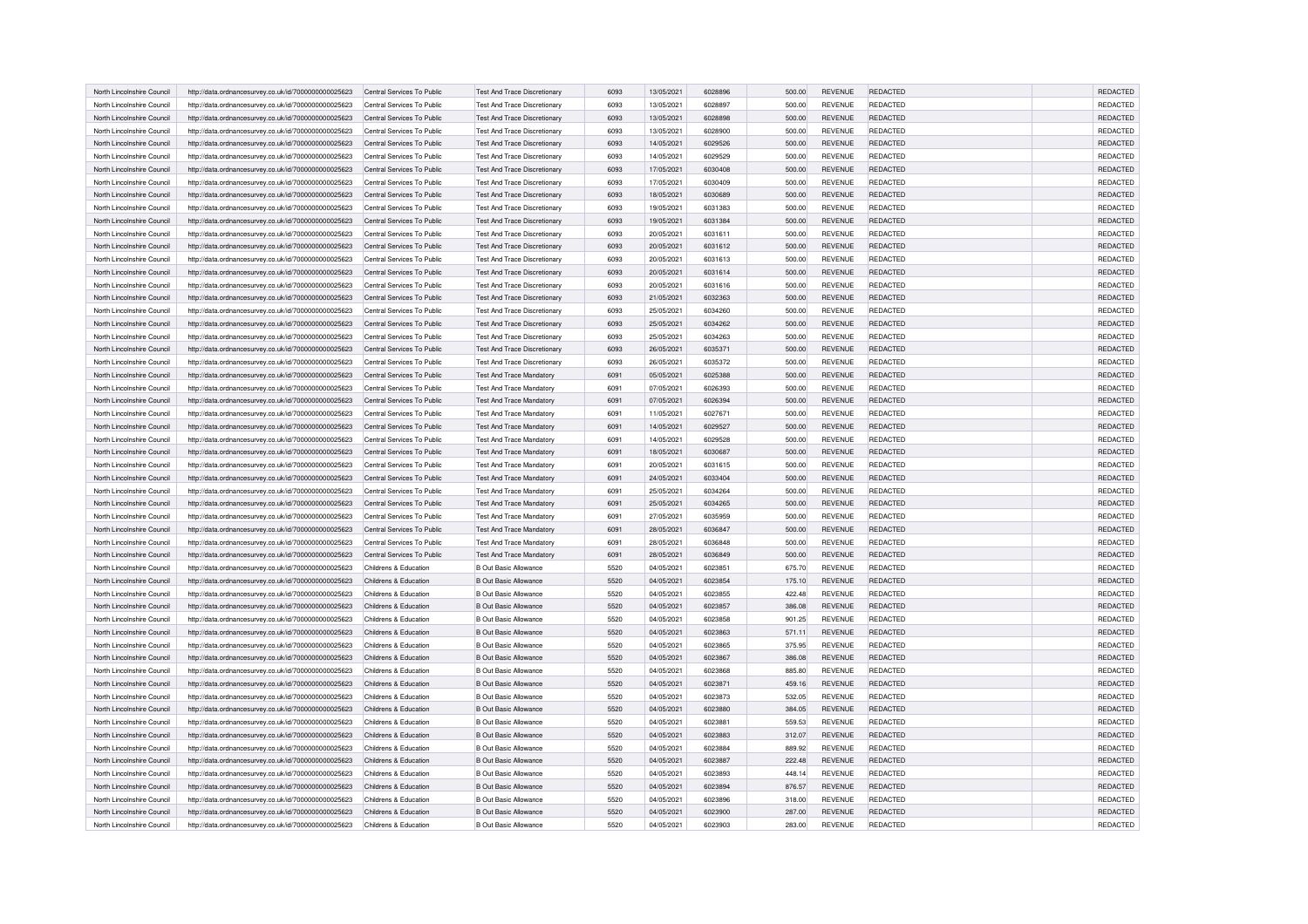| North Lincolnshire Council | http://data.ordnancesurvey.co.uk/id/7000000000025623 | Central Services To Public | <b>Test And Trace Discretionary</b> | 6093 | 13/05/2021 | 6028896 | 500.00 | REVENUE        | REDACTED        | <b>REDACTED</b> |
|----------------------------|------------------------------------------------------|----------------------------|-------------------------------------|------|------------|---------|--------|----------------|-----------------|-----------------|
| North Lincolnshire Council | http://data.ordnancesurvey.co.uk/id/7000000000025623 | Central Services To Public | Test And Trace Discretionary        | 6093 | 13/05/2021 | 6028897 | 500.00 | <b>REVENUE</b> | <b>REDACTED</b> | REDACTED        |
| North Lincolnshire Council | http://data.ordnancesurvey.co.uk/id/7000000000025623 | Central Services To Public | <b>Test And Trace Discretionary</b> | 6093 | 13/05/2021 | 6028898 | 500.00 | <b>REVENUE</b> | REDACTED        | REDACTED        |
| North Lincolnshire Council | http://data.ordnancesurvey.co.uk/id/7000000000025623 | Central Services To Public | <b>Test And Trace Discretionary</b> | 6093 | 13/05/2021 | 6028900 | 500.00 | <b>REVENUE</b> | <b>REDACTED</b> | REDACTED        |
| North Lincolnshire Council | http://data.ordnancesurvey.co.uk/id/7000000000025623 | Central Services To Public | <b>Test And Trace Discretionary</b> | 6093 | 14/05/2021 | 6029526 | 500.00 | <b>REVENUE</b> | REDACTED        | <b>REDACTED</b> |
| North Lincolnshire Council | http://data.ordnancesurvey.co.uk/id/7000000000025623 | Central Services To Public | <b>Test And Trace Discretionary</b> | 6093 | 14/05/2021 | 6029529 | 500.00 | <b>REVENUE</b> | <b>REDACTED</b> | REDACTED        |
| North Lincolnshire Council | http://data.ordnancesurvey.co.uk/id/7000000000025623 | Central Services To Public | <b>Test And Trace Discretionary</b> | 6093 | 17/05/2021 | 6030408 | 500.00 | <b>REVENUE</b> | REDACTED        | REDACTED        |
| North Lincolnshire Council | http://data.ordnancesurvey.co.uk/id/7000000000025623 | Central Services To Public | Test And Trace Discretionary        | 6093 | 17/05/2021 | 6030409 | 500.00 | <b>REVENUE</b> | <b>REDACTED</b> | REDACTED        |
| North Lincolnshire Council | http://data.ordnancesurvey.co.uk/id/7000000000025623 | Central Services To Public | Test And Trace Discretionary        | 6093 | 18/05/2021 | 6030689 | 500.00 | <b>REVENUE</b> | <b>REDACTED</b> | REDACTED        |
| North Lincolnshire Council | http://data.ordnancesurvey.co.uk/id/7000000000025623 | Central Services To Public | Test And Trace Discretionary        | 6093 | 19/05/2021 | 6031383 | 500.00 | <b>REVENUE</b> | REDACTED        | REDACTED        |
| North Lincolnshire Council | http://data.ordnancesurvey.co.uk/id/7000000000025623 | Central Services To Public | <b>Test And Trace Discretionary</b> | 6093 | 19/05/2021 | 6031384 | 500.00 | <b>REVENUE</b> | REDACTED        | <b>REDACTED</b> |
| North Lincolnshire Council | http://data.ordnancesurvey.co.uk/id/7000000000025623 | Central Services To Public | <b>Test And Trace Discretionary</b> | 6093 | 20/05/2021 | 6031611 | 500.00 | <b>REVENUE</b> | <b>REDACTED</b> | <b>REDACTED</b> |
| North Lincolnshire Council | http://data.ordnancesurvey.co.uk/id/7000000000025623 | Central Services To Public | <b>Test And Trace Discretionary</b> | 6093 | 20/05/2021 | 6031612 | 500.00 | <b>REVENUE</b> | REDACTED        | REDACTED        |
| North Lincolnshire Council | http://data.ordnancesurvey.co.uk/id/7000000000025623 | Central Services To Public | <b>Test And Trace Discretionary</b> | 6093 | 20/05/2021 | 6031613 | 500.00 | <b>REVENUE</b> | REDACTED        | <b>REDACTED</b> |
| North Lincolnshire Council | http://data.ordnancesurvey.co.uk/id/7000000000025623 | Central Services To Public | <b>Test And Trace Discretionary</b> | 6093 | 20/05/2021 | 6031614 | 500.00 | REVENUE        | REDACTED        | REDACTED        |
| North Lincolnshire Council | http://data.ordnancesurvey.co.uk/id/7000000000025623 | Central Services To Public | <b>Test And Trace Discretionary</b> | 6093 | 20/05/2021 | 6031616 | 500.00 | <b>REVENUE</b> | <b>REDACTED</b> | REDACTED        |
| North Lincolnshire Council | http://data.ordnancesurvey.co.uk/id/7000000000025623 | Central Services To Public | <b>Test And Trace Discretionary</b> | 6093 | 21/05/2021 | 6032363 | 500.00 | <b>REVENUE</b> | REDACTED        | REDACTED        |
| North Lincolnshire Council | http://data.ordnancesurvey.co.uk/id/7000000000025623 | Central Services To Public | <b>Test And Trace Discretionary</b> | 6093 | 25/05/2021 | 6034260 | 500.00 | <b>REVENUE</b> | REDACTED        | REDACTED        |
| North Lincolnshire Council | http://data.ordnancesurvey.co.uk/id/7000000000025623 | Central Services To Public | <b>Test And Trace Discretionary</b> | 6093 | 25/05/2021 | 6034262 | 500.00 | <b>REVENUE</b> | REDACTED        | <b>REDACTED</b> |
| North Lincolnshire Council |                                                      | Central Services To Public |                                     | 6093 | 25/05/2021 | 6034263 |        | <b>REVENUE</b> | <b>REDACTED</b> | REDACTED        |
|                            | http://data.ordnancesurvey.co.uk/id/7000000000025623 |                            | <b>Test And Trace Discretionary</b> | 6093 |            | 6035371 | 500.00 |                | REDACTED        |                 |
| North Lincolnshire Council | http://data.ordnancesurvey.co.uk/id/7000000000025623 | Central Services To Public | <b>Test And Trace Discretionary</b> |      | 26/05/2021 |         | 500.00 | <b>REVENUE</b> |                 | REDACTED        |
| North Lincolnshire Council | http://data.ordnancesurvey.co.uk/id/7000000000025623 | Central Services To Public | Test And Trace Discretionary        | 6093 | 26/05/2021 | 6035372 | 500.00 | <b>REVENUE</b> | <b>REDACTED</b> | REDACTED        |
| North Lincolnshire Council | http://data.ordnancesurvey.co.uk/id/7000000000025623 | Central Services To Public | <b>Test And Trace Mandatory</b>     | 6091 | 05/05/2021 | 6025388 | 500.00 | <b>REVENUE</b> | <b>REDACTED</b> | REDACTED        |
| North Lincolnshire Council | http://data.ordnancesurvey.co.uk/id/7000000000025623 | Central Services To Public | <b>Test And Trace Mandatory</b>     | 6091 | 07/05/2021 | 6026393 | 500.00 | <b>REVENUE</b> | <b>REDACTED</b> | <b>REDACTED</b> |
| North Lincolnshire Council | http://data.ordnancesurvey.co.uk/id/7000000000025623 | Central Services To Public | <b>Test And Trace Mandatory</b>     | 6091 | 07/05/2021 | 6026394 | 500.00 | <b>REVENUE</b> | REDACTED        | <b>REDACTED</b> |
| North Lincolnshire Council | http://data.ordnancesurvey.co.uk/id/7000000000025623 | Central Services To Public | <b>Test And Trace Mandatory</b>     | 6091 | 11/05/2021 | 6027671 | 500.00 | <b>REVENUE</b> | REDACTED        | <b>REDACTED</b> |
| North Lincolnshire Council | http://data.ordnancesurvey.co.uk/id/7000000000025623 | Central Services To Public | <b>Test And Trace Mandatory</b>     | 6091 | 14/05/2021 | 6029527 | 500.00 | <b>REVENUE</b> | REDACTED        | REDACTED        |
| North Lincolnshire Council | http://data.ordnancesurvey.co.uk/id/7000000000025623 | Central Services To Public | <b>Test And Trace Mandatory</b>     | 6091 | 14/05/2021 | 6029528 | 500.00 | REVENUE        | REDACTED        | REDACTED        |
| North Lincolnshire Council | http://data.ordnancesurvey.co.uk/id/7000000000025623 | Central Services To Public | <b>Test And Trace Mandatory</b>     | 6091 | 18/05/2021 | 6030687 | 500.00 | REVENUE        | REDACTED        | REDACTED        |
| North Lincolnshire Council | http://data.ordnancesurvey.co.uk/id/7000000000025623 | Central Services To Public | <b>Test And Trace Mandatory</b>     | 6091 | 20/05/2021 | 6031615 | 500.00 | REVENUE        | REDACTED        | REDACTED        |
| North Lincolnshire Council | http://data.ordnancesurvey.co.uk/id/7000000000025623 | Central Services To Public | <b>Test And Trace Mandatory</b>     | 6091 | 24/05/2021 | 6033404 | 500.00 | <b>REVENUE</b> | REDACTED        | <b>REDACTED</b> |
| North Lincolnshire Council | http://data.ordnancesurvey.co.uk/id/7000000000025623 | Central Services To Public | <b>Test And Trace Mandatory</b>     | 6091 | 25/05/2021 | 6034264 | 500.00 | REVENUE        | REDACTED        | REDACTED        |
| North Lincolnshire Council | http://data.ordnancesurvey.co.uk/id/7000000000025623 | Central Services To Public | <b>Test And Trace Mandatory</b>     | 6091 | 25/05/2021 | 6034265 | 500.00 | <b>REVENUE</b> | REDACTED        | <b>REDACTED</b> |
| North Lincolnshire Council | http://data.ordnancesurvey.co.uk/id/7000000000025623 | Central Services To Public | <b>Test And Trace Mandatory</b>     | 6091 | 27/05/2021 | 6035959 | 500.00 | REVENUE        | REDACTED        | REDACTED        |
| North Lincolnshire Council | http://data.ordnancesurvey.co.uk/id/7000000000025623 | Central Services To Public | <b>Test And Trace Mandatory</b>     | 6091 | 28/05/2021 | 6036847 | 500.00 | REVENUE        | REDACTED        | REDACTED        |
| North Lincolnshire Council | http://data.ordnancesurvey.co.uk/id/7000000000025623 | Central Services To Public | <b>Test And Trace Mandatory</b>     | 6091 | 28/05/2021 | 6036848 | 500.00 | REVENUE        | REDACTED        | REDACTED        |
| North Lincolnshire Council | http://data.ordnancesurvey.co.uk/id/7000000000025623 | Central Services To Public | <b>Test And Trace Mandatory</b>     | 6091 | 28/05/2021 | 6036849 | 500.00 | <b>REVENUE</b> | REDACTED        | REDACTED        |
| North Lincolnshire Council | http://data.ordnancesurvey.co.uk/id/7000000000025623 | Childrens & Education      | <b>B Out Basic Allowance</b>        | 5520 | 04/05/2021 | 6023851 | 675.70 | <b>REVENUE</b> | REDACTED        | <b>REDACTED</b> |
| North Lincolnshire Council | http://data.ordnancesurvey.co.uk/id/7000000000025623 | Childrens & Education      | <b>B Out Basic Allowance</b>        | 5520 | 04/05/2021 | 6023854 | 175.10 | <b>REVENUE</b> | REDACTED        | REDACTED        |
| North Lincolnshire Council | http://data.ordnancesurvey.co.uk/id/7000000000025623 | Childrens & Education      | <b>B Out Basic Allowance</b>        | 5520 | 04/05/2021 | 6023855 | 422.48 | <b>REVENUE</b> | REDACTED        | REDACTED        |
| North Lincolnshire Council | http://data.ordnancesurvey.co.uk/id/7000000000025623 | Childrens & Education      | <b>B Out Basic Allowance</b>        | 5520 | 04/05/2021 | 6023857 | 386.08 | <b>REVENUE</b> | REDACTED        | REDACTED        |
| North Lincolnshire Council | http://data.ordnancesurvey.co.uk/id/7000000000025623 | Childrens & Education      | <b>B Out Basic Allowance</b>        | 5520 | 04/05/2021 | 6023858 | 901.25 | <b>REVENUE</b> | REDACTED        | REDACTED        |
| North Lincolnshire Council | http://data.ordnancesurvey.co.uk/id/7000000000025623 | Childrens & Education      | <b>B Out Basic Allowance</b>        | 5520 | 04/05/2021 | 6023863 | 571.11 | REVENUE        | REDACTED        | REDACTED        |
| North Lincolnshire Council | http://data.ordnancesurvey.co.uk/id/7000000000025623 | Childrens & Education      | <b>B Out Basic Allowance</b>        | 5520 | 04/05/2021 | 6023865 | 375.95 | <b>REVENUE</b> | REDACTED        | REDACTED        |
| North Lincolnshire Council | http://data.ordnancesurvey.co.uk/id/7000000000025623 | Childrens & Education      | <b>B Out Basic Allowance</b>        | 5520 | 04/05/2021 | 6023867 | 386.08 | <b>REVENUE</b> | REDACTED        | REDACTED        |
| North Lincolnshire Council | http://data.ordnancesurvey.co.uk/id/7000000000025623 | Childrens & Education      | <b>B Out Basic Allowance</b>        | 5520 | 04/05/2021 | 6023868 | 885.80 | REVENUE        | REDACTED        | REDACTED        |
| North Lincolnshire Council | http://data.ordnancesurvey.co.uk/id/7000000000025623 | Childrens & Education      | <b>B Out Basic Allowance</b>        | 5520 | 04/05/2021 | 6023871 | 459.16 | <b>REVENUE</b> | REDACTED        | REDACTED        |
| North Lincolnshire Council | http://data.ordnancesurvey.co.uk/id/7000000000025623 | Childrens & Education      | B Out Basic Allowance               | 5520 | 04/05/2021 | 6023873 | 532.05 | <b>REVENUE</b> | REDACTED        | REDACTED        |
| North Lincolnshire Council | http://data.ordnancesurvey.co.uk/id/7000000000025623 | Childrens & Education      | <b>B Out Basic Allowance</b>        | 5520 | 04/05/2021 | 6023880 | 384.05 | REVENUE        | REDACTED        | REDACTED        |
| North Lincolnshire Council | http://data.ordnancesurvey.co.uk/id/7000000000025623 | Childrens & Education      | <b>B Out Basic Allowance</b>        | 5520 | 04/05/2021 | 6023881 | 559.53 | REVENUE        | REDACTED        | REDACTED        |
| North Lincolnshire Council | http://data.ordnancesurvey.co.uk/id/7000000000025623 | Childrens & Education      | <b>B Out Basic Allowance</b>        | 5520 | 04/05/2021 | 6023883 | 312.07 | REVENUE        | REDACTED        | REDACTED        |
| North Lincolnshire Council | http://data.ordnancesurvey.co.uk/id/7000000000025623 | Childrens & Education      | <b>B Out Basic Allowance</b>        | 5520 | 04/05/2021 | 6023884 | 889.92 | REVENUE        | REDACTED        | REDACTED        |
| North Lincolnshire Council | http://data.ordnancesurvey.co.uk/id/7000000000025623 | Childrens & Education      | <b>B Out Basic Allowance</b>        | 5520 | 04/05/2021 | 6023887 | 222.48 | <b>REVENUE</b> | REDACTED        | REDACTED        |
| North Lincolnshire Council | http://data.ordnancesurvey.co.uk/id/7000000000025623 | Childrens & Education      | <b>B Out Basic Allowance</b>        | 5520 | 04/05/2021 | 6023893 | 448.14 | <b>REVENUE</b> | REDACTED        | REDACTED        |
| North Lincolnshire Council | http://data.ordnancesurvey.co.uk/id/7000000000025623 | Childrens & Education      | B Out Basic Allowance               | 5520 | 04/05/2021 | 6023894 | 876.57 | <b>REVENUE</b> | REDACTED        | REDACTED        |
| North Lincolnshire Council | http://data.ordnancesurvey.co.uk/id/7000000000025623 | Childrens & Education      | <b>B Out Basic Allowance</b>        | 5520 | 04/05/2021 | 6023896 | 318.00 | <b>REVENUE</b> | REDACTED        | REDACTED        |
| North Lincolnshire Council | http://data.ordnancesurvey.co.uk/id/7000000000025623 | Childrens & Education      | <b>B Out Basic Allowance</b>        | 5520 | 04/05/2021 | 6023900 | 287.00 | REVENUE        | REDACTED        | REDACTED        |
| North Lincolnshire Council | http://data.ordnancesurvey.co.uk/id/7000000000025623 | Childrens & Education      | <b>B Out Basic Allowance</b>        | 5520 | 04/05/2021 | 6023903 | 283.00 | REVENUE        | REDACTED        | REDACTED        |
|                            |                                                      |                            |                                     |      |            |         |        |                |                 |                 |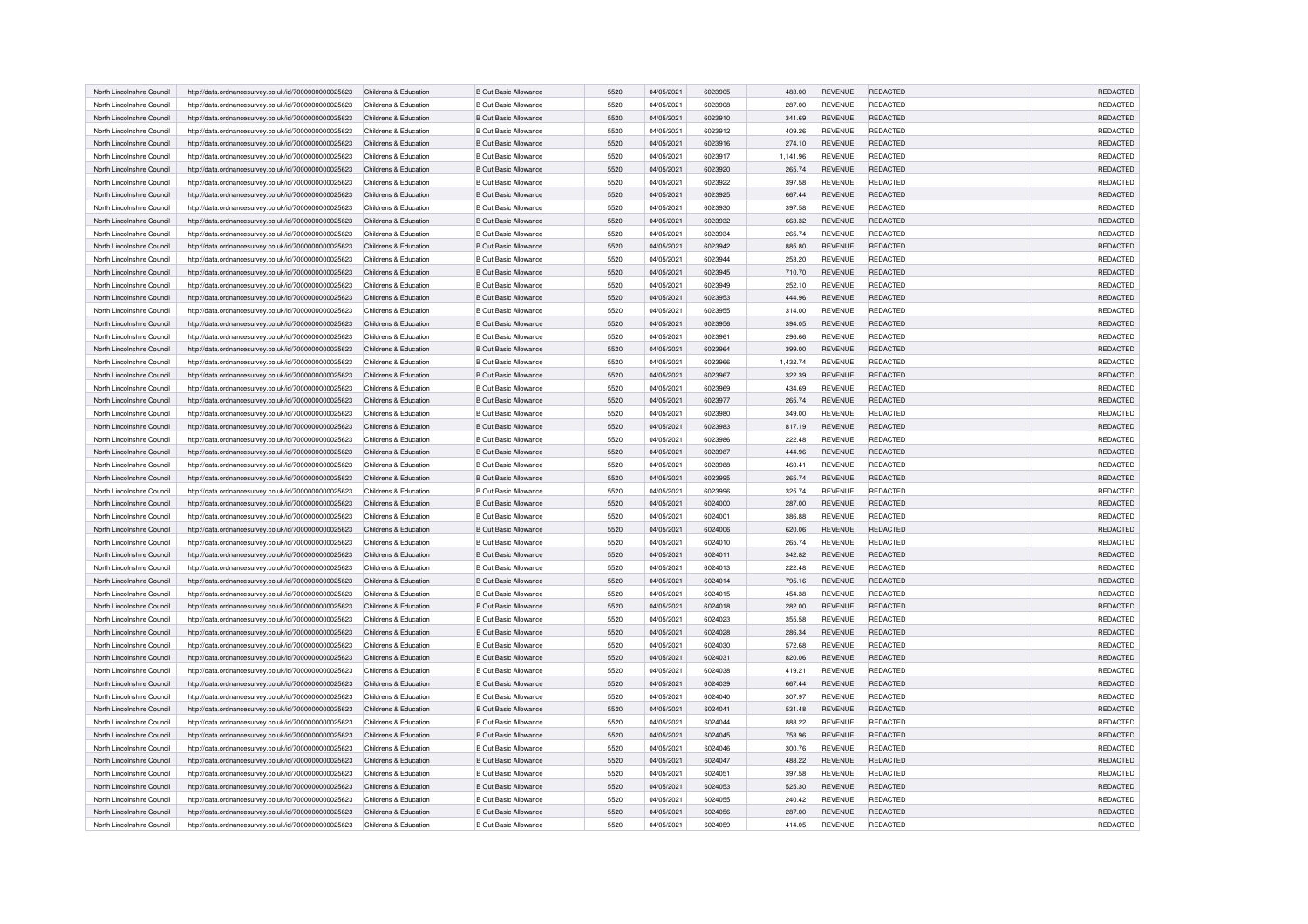| North Lincolnshire Council | http://data.ordnancesurvey.co.uk/id/7000000000025623 | Childrens & Education | <b>B Out Basic Allowance</b> | 5520 | 04/05/2021 | 6023905 | 483.00   | <b>REVENUE</b> | REDACTED        | <b>REDACTED</b> |
|----------------------------|------------------------------------------------------|-----------------------|------------------------------|------|------------|---------|----------|----------------|-----------------|-----------------|
| North Lincolnshire Council | http://data.ordnancesurvey.co.uk/id/7000000000025623 | Childrens & Education | <b>B Out Basic Allowance</b> | 5520 | 04/05/2021 | 6023908 | 287.00   | <b>REVENUE</b> | <b>REDACTED</b> | <b>REDACTED</b> |
| North Lincolnshire Council | http://data.ordnancesurvey.co.uk/id/7000000000025623 | Childrens & Education | <b>B Out Basic Allowance</b> | 5520 | 04/05/2021 | 6023910 | 341.69   | REVENUE        | REDACTED        | <b>REDACTED</b> |
| North Lincolnshire Council | http://data.ordnancesurvey.co.uk/id/7000000000025623 | Childrens & Education | <b>B Out Basic Allowance</b> | 5520 | 04/05/2021 | 6023912 | 409.26   | <b>REVENUE</b> | <b>REDACTED</b> | REDACTED        |
| North Lincolnshire Council |                                                      | Childrens & Education | <b>B Out Basic Allowance</b> | 5520 | 04/05/2021 | 6023916 | 274.10   | <b>REVENUE</b> | <b>REDACTED</b> | REDACTED        |
|                            | http://data.ordnancesurvey.co.uk/id/7000000000025623 |                       |                              |      |            |         |          |                |                 |                 |
| North Lincolnshire Council | http://data.ordnancesurvey.co.uk/id/7000000000025623 | Childrens & Education | <b>B Out Basic Allowance</b> | 5520 | 04/05/2021 | 6023917 | 1,141.96 | REVENUE        | <b>REDACTED</b> | REDACTED        |
| North Lincolnshire Council | http://data.ordnancesurvey.co.uk/id/7000000000025623 | Childrens & Education | <b>B Out Basic Allowance</b> | 5520 | 04/05/2021 | 6023920 | 265.74   | <b>REVENUE</b> | REDACTED        | <b>REDACTED</b> |
| North Lincolnshire Council | http://data.ordnancesurvey.co.uk/id/7000000000025623 | Childrens & Education | <b>B Out Basic Allowance</b> | 5520 | 04/05/2021 | 6023922 | 397.58   | REVENUE        | REDACTED        | REDACTED        |
| North Lincolnshire Council | http://data.ordnancesurvey.co.uk/id/7000000000025623 | Childrens & Education | <b>B Out Basic Allowance</b> | 5520 | 04/05/2021 | 6023925 | 667.44   | <b>REVENUE</b> | REDACTED        | REDACTED        |
| North Lincolnshire Council | http://data.ordnancesurvey.co.uk/id/7000000000025623 | Childrens & Education | <b>B Out Basic Allowance</b> | 5520 | 04/05/2021 | 6023930 | 397.58   | REVENUE        | REDACTED        | REDACTED        |
| North Lincolnshire Council | http://data.ordnancesurvey.co.uk/id/7000000000025623 | Childrens & Education | <b>B Out Basic Allowance</b> | 5520 | 04/05/2021 | 6023932 | 663.32   | <b>REVENUE</b> | REDACTED        | REDACTED        |
| North Lincolnshire Council | http://data.ordnancesurvey.co.uk/id/7000000000025623 | Childrens & Education | <b>B Out Basic Allowance</b> | 5520 | 04/05/2021 | 6023934 | 265.74   | <b>REVENUE</b> | <b>REDACTED</b> | REDACTED        |
| North Lincolnshire Council | http://data.ordnancesurvey.co.uk/id/7000000000025623 | Childrens & Education | <b>B Out Basic Allowance</b> | 5520 | 04/05/2021 | 6023942 | 885.80   | <b>REVENUE</b> | REDACTED        | REDACTED        |
| North Lincolnshire Council | http://data.ordnancesurvey.co.uk/id/7000000000025623 | Childrens & Education | <b>B Out Basic Allowance</b> | 5520 | 04/05/2021 | 6023944 | 253.20   | <b>REVENUE</b> | REDACTED        | REDACTED        |
| North Lincolnshire Council | http://data.ordnancesurvey.co.uk/id/7000000000025623 | Childrens & Education | <b>B Out Basic Allowance</b> | 5520 | 04/05/2021 | 6023945 | 710.70   | REVENUE        | REDACTED        | REDACTED        |
| North Lincolnshire Council | http://data.ordnancesurvey.co.uk/id/7000000000025623 | Childrens & Education | <b>B Out Basic Allowance</b> | 5520 | 04/05/2021 | 6023949 | 252.10   | <b>REVENUE</b> | <b>REDACTED</b> | REDACTED        |
| North Lincolnshire Council | http://data.ordnancesurvey.co.uk/id/7000000000025623 | Childrens & Education | <b>B Out Basic Allowance</b> | 5520 | 04/05/2021 | 6023953 | 444.96   | REVENUE        | REDACTED        | REDACTED        |
| North Lincolnshire Council | http://data.ordnancesurvey.co.uk/id/7000000000025623 | Childrens & Education | <b>B Out Basic Allowance</b> | 5520 | 04/05/2021 | 6023955 | 314.00   | REVENUE        | REDACTED        | REDACTED        |
| North Lincolnshire Council | http://data.ordnancesurvey.co.uk/id/7000000000025623 | Childrens & Education | <b>B Out Basic Allowance</b> | 5520 | 04/05/2021 | 6023956 | 394.05   | <b>REVENUE</b> | <b>REDACTED</b> | <b>REDACTED</b> |
| North Lincolnshire Council | http://data.ordnancesurvey.co.uk/id/7000000000025623 | Childrens & Education | <b>B Out Basic Allowance</b> | 5520 | 04/05/2021 | 6023961 | 296.66   | <b>REVENUE</b> | <b>REDACTED</b> | REDACTED        |
| North Lincolnshire Council | http://data.ordnancesurvey.co.uk/id/7000000000025623 | Childrens & Education | <b>B Out Basic Allowance</b> | 5520 | 04/05/2021 | 6023964 | 399.00   | <b>REVENUE</b> | REDACTED        | REDACTED        |
| North Lincolnshire Council | http://data.ordnancesurvey.co.uk/id/7000000000025623 | Childrens & Education | <b>B Out Basic Allowance</b> | 5520 | 04/05/2021 | 6023966 | 1,432.74 | REVENUE        | REDACTED        | REDACTED        |
| North Lincolnshire Council | http://data.ordnancesurvey.co.uk/id/7000000000025623 | Childrens & Education | <b>B Out Basic Allowance</b> | 5520 | 04/05/2021 | 6023967 | 322.39   | REVENUE        | <b>REDACTED</b> | REDACTED        |
| North Lincolnshire Council | http://data.ordnancesurvey.co.uk/id/7000000000025623 | Childrens & Education | <b>B Out Basic Allowance</b> | 5520 | 04/05/2021 | 6023969 | 434.69   | REVENUE        | REDACTED        | REDACTED        |
| North Lincolnshire Council | http://data.ordnancesurvey.co.uk/id/7000000000025623 | Childrens & Education | <b>B Out Basic Allowance</b> | 5520 | 04/05/2021 | 6023977 | 265.74   | REVENUE        | REDACTED        | REDACTED        |
| North Lincolnshire Council | http://data.ordnancesurvey.co.uk/id/7000000000025623 | Childrens & Education | <b>B Out Basic Allowance</b> | 5520 | 04/05/2021 | 6023980 | 349.00   | REVENUE        | <b>REDACTED</b> | REDACTED        |
| North Lincolnshire Council | http://data.ordnancesurvey.co.uk/id/7000000000025623 | Childrens & Education | B Out Basic Allowance        | 5520 | 04/05/2021 | 6023983 | 817.19   | <b>REVENUE</b> | REDACTED        | REDACTED        |
| North Lincolnshire Council | http://data.ordnancesurvey.co.uk/id/7000000000025623 | Childrens & Education | <b>B Out Basic Allowance</b> | 5520 | 04/05/2021 | 6023986 | 222.48   | <b>REVENUE</b> | REDACTED        | REDACTED        |
| North Lincolnshire Council | http://data.ordnancesurvey.co.uk/id/7000000000025623 | Childrens & Education | B Out Basic Allowance        | 5520 | 04/05/2021 | 6023987 | 444.96   | REVENUE        | REDACTED        | REDACTED        |
| North Lincolnshire Council | http://data.ordnancesurvey.co.uk/id/7000000000025623 | Childrens & Education | <b>B Out Basic Allowance</b> | 5520 | 04/05/2021 | 6023988 | 460.41   | REVENUE        | REDACTED        | REDACTED        |
| North Lincolnshire Council | http://data.ordnancesurvey.co.uk/id/7000000000025623 | Childrens & Education | <b>B Out Basic Allowance</b> | 5520 | 04/05/2021 | 6023995 | 265.74   | REVENUE        | <b>REDACTED</b> | REDACTED        |
| North Lincolnshire Council | http://data.ordnancesurvey.co.uk/id/7000000000025623 | Childrens & Education | <b>B Out Basic Allowance</b> | 5520 | 04/05/2021 | 6023996 | 325.74   | REVENUE        | <b>REDACTED</b> | REDACTED        |
| North Lincolnshire Council | http://data.ordnancesurvey.co.uk/id/7000000000025623 | Childrens & Education | <b>B Out Basic Allowance</b> | 5520 | 04/05/2021 | 6024000 | 287.00   | <b>REVENUE</b> | <b>REDACTED</b> | <b>REDACTED</b> |
| North Lincolnshire Council |                                                      | Childrens & Education | <b>B Out Basic Allowance</b> | 5520 | 04/05/2021 | 6024001 | 386.88   | REVENUE        | REDACTED        | REDACTED        |
|                            | http://data.ordnancesurvey.co.uk/id/7000000000025623 |                       |                              |      |            |         |          |                |                 |                 |
| North Lincolnshire Council | http://data.ordnancesurvey.co.uk/id/7000000000025623 | Childrens & Education | <b>B Out Basic Allowance</b> | 5520 | 04/05/2021 | 6024006 | 620.06   | REVENUE        | <b>REDACTED</b> | REDACTED        |
| North Lincolnshire Council | http://data.ordnancesurvey.co.uk/id/7000000000025623 | Childrens & Education | <b>B Out Basic Allowance</b> | 5520 | 04/05/2021 | 6024010 | 265.74   | REVENUE        | <b>REDACTED</b> | REDACTED        |
| North Lincolnshire Council | http://data.ordnancesurvey.co.uk/id/7000000000025623 | Childrens & Education | <b>B Out Basic Allowance</b> | 5520 | 04/05/2021 | 6024011 | 342.82   | REVENUE        | <b>REDACTED</b> | REDACTED        |
| North Lincolnshire Council | http://data.ordnancesurvey.co.uk/id/7000000000025623 | Childrens & Education | <b>B Out Basic Allowance</b> | 5520 | 04/05/2021 | 6024013 | 222.48   | REVENUE        | REDACTED        | REDACTED        |
| North Lincolnshire Council | http://data.ordnancesurvey.co.uk/id/7000000000025623 | Childrens & Education | <b>B Out Basic Allowance</b> | 5520 | 04/05/2021 | 6024014 | 795.16   | REVENUE        | <b>REDACTED</b> | REDACTED        |
| North Lincolnshire Council | http://data.ordnancesurvey.co.uk/id/7000000000025623 | Childrens & Education | <b>B Out Basic Allowance</b> | 5520 | 04/05/2021 | 6024015 | 454.38   | <b>REVENUE</b> | <b>REDACTED</b> | REDACTED        |
| North Lincolnshire Council | http://data.ordnancesurvey.co.uk/id/7000000000025623 | Childrens & Education | B Out Basic Allowance        | 5520 | 04/05/2021 | 6024018 | 282.00   | REVENUE        | <b>REDACTED</b> | REDACTED        |
| North Lincolnshire Council | http://data.ordnancesurvey.co.uk/id/7000000000025623 | Childrens & Education | <b>B Out Basic Allowance</b> | 5520 | 04/05/2021 | 6024023 | 355.58   | <b>REVENUE</b> | <b>REDACTED</b> | REDACTED        |
| North Lincolnshire Council | http://data.ordnancesurvey.co.uk/id/7000000000025623 | Childrens & Education | <b>B Out Basic Allowance</b> | 5520 | 04/05/2021 | 6024028 | 286.34   | REVENUE        | <b>REDACTED</b> | REDACTED        |
| North Lincolnshire Council | http://data.ordnancesurvey.co.uk/id/7000000000025623 | Childrens & Education | <b>B Out Basic Allowance</b> | 5520 | 04/05/2021 | 6024030 | 572.68   | REVENUE        | REDACTED        | REDACTED        |
| North Lincolnshire Council | http://data.ordnancesurvey.co.uk/id/7000000000025623 | Childrens & Education | <b>B Out Basic Allowance</b> | 5520 | 04/05/2021 | 6024031 | 820.06   | REVENUE        | <b>REDACTED</b> | <b>REDACTED</b> |
| North Lincolnshire Council | http://data.ordnancesurvey.co.uk/id/7000000000025623 | Childrens & Education | <b>B Out Basic Allowance</b> | 5520 | 04/05/2021 | 6024038 | 419.21   | <b>REVENUE</b> | <b>REDACTED</b> | REDACTED        |
| North Lincolnshire Council | http://data.ordnancesurvey.co.uk/id/7000000000025623 | Childrens & Education | <b>B Out Basic Allowance</b> | 5520 | 04/05/2021 | 6024039 | 667.44   | REVENUE        | <b>REDACTED</b> | REDACTED        |
| North Lincolnshire Council | http://data.ordnancesurvey.co.uk/id/7000000000025623 | Childrens & Education | <b>B Out Basic Allowance</b> | 5520 | 04/05/2021 | 6024040 | 307.97   | REVENUE        | <b>REDACTED</b> | REDACTED        |
| North Lincolnshire Council | http://data.ordnancesurvey.co.uk/id/7000000000025623 | Childrens & Education | <b>B Out Basic Allowance</b> | 5520 | 04/05/2021 | 6024041 | 531.48   | REVENUE        | <b>REDACTED</b> | REDACTED        |
| North Lincolnshire Council | http://data.ordnancesurvey.co.uk/id/7000000000025623 | Childrens & Education | <b>B Out Basic Allowance</b> | 5520 | 04/05/2021 | 6024044 | 888.22   | REVENUE        | REDACTED        | REDACTED        |
| North Lincolnshire Council | http://data.ordnancesurvey.co.uk/id/7000000000025623 | Childrens & Education | <b>B Out Basic Allowance</b> | 5520 | 04/05/2021 | 6024045 | 753.96   | REVENUE        | <b>REDACTED</b> | REDACTED        |
| North Lincolnshire Council | http://data.ordnancesurvey.co.uk/id/7000000000025623 | Childrens & Education | <b>B Out Basic Allowance</b> | 5520 | 04/05/2021 | 6024046 | 300.76   | REVENUE        | REDACTED        | REDACTED        |
| North Lincolnshire Council | http://data.ordnancesurvey.co.uk/id/7000000000025623 | Childrens & Education | <b>B Out Basic Allowance</b> | 5520 | 04/05/2021 | 6024047 | 488.22   | REVENUE        | <b>REDACTED</b> | REDACTED        |
| North Lincolnshire Council | http://data.ordnancesurvey.co.uk/id/7000000000025623 | Childrens & Education | <b>B Out Basic Allowance</b> | 5520 | 04/05/2021 | 6024051 | 397.58   | <b>REVENUE</b> | REDACTED        | REDACTED        |
| North Lincolnshire Council | http://data.ordnancesurvey.co.uk/id/7000000000025623 | Childrens & Education | <b>B Out Basic Allowance</b> | 5520 | 04/05/2021 | 6024053 | 525.30   | REVENUE        | REDACTED        | REDACTED        |
| North Lincolnshire Council | http://data.ordnancesurvey.co.uk/id/7000000000025623 | Childrens & Education | <b>B Out Basic Allowance</b> | 5520 | 04/05/2021 | 6024055 | 240.42   | <b>REVENUE</b> | REDACTED        | REDACTED        |
| North Lincolnshire Council | http://data.ordnancesurvey.co.uk/id/7000000000025623 | Childrens & Education | <b>B Out Basic Allowance</b> | 5520 | 04/05/2021 | 6024056 | 287.00   | REVENUE        | <b>REDACTED</b> | REDACTED        |
| North Lincolnshire Council | http://data.ordnancesurvey.co.uk/id/7000000000025623 | Childrens & Education | <b>B Out Basic Allowance</b> | 5520 | 04/05/2021 | 6024059 | 414.05   | REVENUE        | REDACTED        | REDACTED        |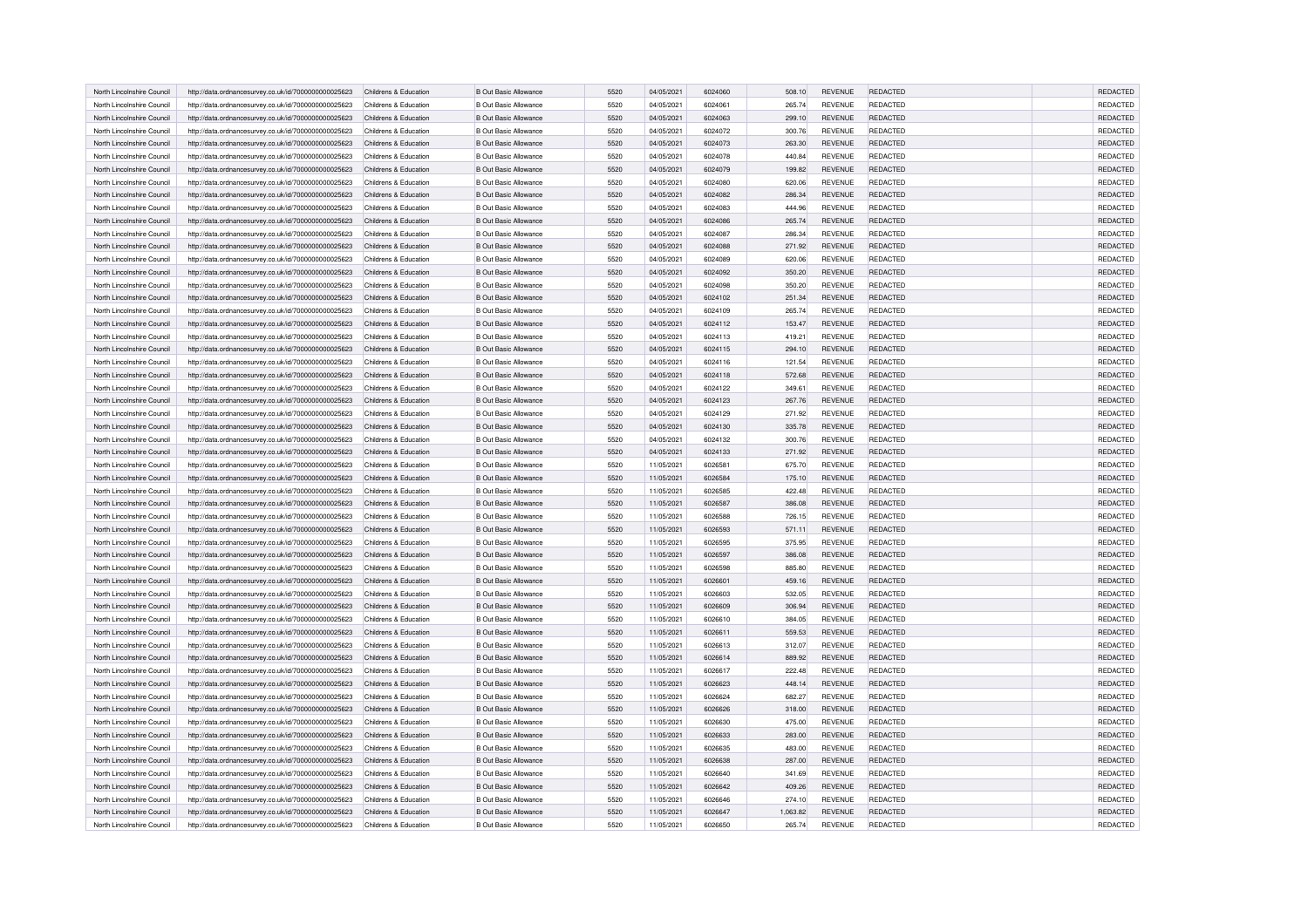| North Lincolnshire Council | http://data.ordnancesurvey.co.uk/id/7000000000025623 | Childrens & Education | <b>B Out Basic Allowance</b> | 5520 | 04/05/2021 | 6024060 | 508.10   | <b>REVENUE</b> | REDACTED        | <b>REDACTED</b> |
|----------------------------|------------------------------------------------------|-----------------------|------------------------------|------|------------|---------|----------|----------------|-----------------|-----------------|
| North Lincolnshire Council |                                                      | Childrens & Education | <b>B Out Basic Allowance</b> | 5520 | 04/05/2021 | 6024061 | 265.74   | <b>REVENUE</b> | <b>REDACTED</b> | <b>REDACTED</b> |
|                            | http://data.ordnancesurvey.co.uk/id/7000000000025623 |                       |                              |      |            |         |          |                |                 |                 |
| North Lincolnshire Council | http://data.ordnancesurvey.co.uk/id/7000000000025623 | Childrens & Education | <b>B Out Basic Allowance</b> | 5520 | 04/05/2021 | 6024063 | 299.10   | REVENUE        | REDACTED        | <b>REDACTED</b> |
| North Lincolnshire Council | http://data.ordnancesurvey.co.uk/id/7000000000025623 | Childrens & Education | <b>B Out Basic Allowance</b> | 5520 | 04/05/2021 | 6024072 | 300.76   | <b>REVENUE</b> | <b>REDACTED</b> | REDACTED        |
| North Lincolnshire Council | http://data.ordnancesurvey.co.uk/id/7000000000025623 | Childrens & Education | <b>B Out Basic Allowance</b> | 5520 | 04/05/2021 | 6024073 | 263.30   | <b>REVENUE</b> | <b>REDACTED</b> | REDACTED        |
| North Lincolnshire Council | http://data.ordnancesurvey.co.uk/id/7000000000025623 | Childrens & Education | <b>B Out Basic Allowance</b> | 5520 | 04/05/2021 | 6024078 | 440.84   | REVENUE        | REDACTED        | REDACTED        |
| North Lincolnshire Council | http://data.ordnancesurvey.co.uk/id/7000000000025623 | Childrens & Education | <b>B Out Basic Allowance</b> | 5520 | 04/05/2021 | 6024079 | 199.82   | <b>REVENUE</b> | REDACTED        | REDACTED        |
| North Lincolnshire Council | http://data.ordnancesurvey.co.uk/id/7000000000025623 | Childrens & Education | <b>B Out Basic Allowance</b> | 5520 | 04/05/2021 | 6024080 | 620.06   | <b>REVENUE</b> | REDACTED        | REDACTED        |
| North Lincolnshire Council | http://data.ordnancesurvey.co.uk/id/7000000000025623 | Childrens & Education | <b>B Out Basic Allowance</b> | 5520 | 04/05/2021 | 6024082 | 286.34   | <b>REVENUE</b> | REDACTED        | REDACTED        |
| North Lincolnshire Council | http://data.ordnancesurvey.co.uk/id/7000000000025623 | Childrens & Education | <b>B Out Basic Allowance</b> | 5520 | 04/05/2021 | 6024083 | 444.96   | <b>REVENUE</b> | REDACTED        | REDACTED        |
| North Lincolnshire Council | http://data.ordnancesurvey.co.uk/id/7000000000025623 | Childrens & Education | <b>B Out Basic Allowance</b> | 5520 | 04/05/2021 | 6024086 | 265.74   | <b>REVENUE</b> | REDACTED        | REDACTED        |
| North Lincolnshire Council | http://data.ordnancesurvey.co.uk/id/7000000000025623 | Childrens & Education | <b>B Out Basic Allowance</b> | 5520 | 04/05/2021 | 6024087 | 286.34   | <b>REVENUE</b> | <b>REDACTED</b> | REDACTED        |
| North Lincolnshire Council | http://data.ordnancesurvey.co.uk/id/7000000000025623 | Childrens & Education | <b>B Out Basic Allowance</b> | 5520 | 04/05/2021 | 6024088 | 271.92   | <b>REVENUE</b> | REDACTED        | REDACTED        |
| North Lincolnshire Council | http://data.ordnancesurvey.co.uk/id/7000000000025623 | Childrens & Education | <b>B Out Basic Allowance</b> | 5520 | 04/05/2021 | 6024089 | 620.06   | <b>REVENUE</b> | REDACTED        | REDACTED        |
| North Lincolnshire Council | http://data.ordnancesurvey.co.uk/id/7000000000025623 | Childrens & Education | <b>B Out Basic Allowance</b> | 5520 | 04/05/2021 | 6024092 | 350.20   | REVENUE        | REDACTED        | REDACTED        |
| North Lincolnshire Council | http://data.ordnancesurvey.co.uk/id/7000000000025623 | Childrens & Education | <b>B Out Basic Allowance</b> | 5520 | 04/05/2021 | 6024098 | 350.20   | <b>REVENUE</b> | <b>REDACTED</b> | REDACTED        |
| North Lincolnshire Council | http://data.ordnancesurvey.co.uk/id/7000000000025623 | Childrens & Education | <b>B Out Basic Allowance</b> | 5520 | 04/05/2021 | 6024102 | 251.34   | REVENUE        | REDACTED        | REDACTED        |
| North Lincolnshire Council | http://data.ordnancesurvey.co.uk/id/7000000000025623 | Childrens & Education | <b>B Out Basic Allowance</b> | 5520 | 04/05/2021 | 6024109 | 265.74   | REVENUE        | REDACTED        | REDACTED        |
| North Lincolnshire Council | http://data.ordnancesurvey.co.uk/id/7000000000025623 | Childrens & Education | <b>B Out Basic Allowance</b> | 5520 | 04/05/2021 | 6024112 | 153.47   | <b>REVENUE</b> | <b>REDACTED</b> | <b>REDACTED</b> |
|                            |                                                      |                       |                              |      |            |         |          |                |                 |                 |
| North Lincolnshire Council | http://data.ordnancesurvey.co.uk/id/7000000000025623 | Childrens & Education | <b>B Out Basic Allowance</b> | 5520 | 04/05/2021 | 6024113 | 419.21   | <b>REVENUE</b> | <b>REDACTED</b> | REDACTED        |
| North Lincolnshire Council | http://data.ordnancesurvey.co.uk/id/7000000000025623 | Childrens & Education | <b>B Out Basic Allowance</b> | 5520 | 04/05/2021 | 6024115 | 294.10   | <b>REVENUE</b> | REDACTED        | REDACTED        |
| North Lincolnshire Council | http://data.ordnancesurvey.co.uk/id/7000000000025623 | Childrens & Education | <b>B Out Basic Allowance</b> | 5520 | 04/05/2021 | 6024116 | 121.54   | REVENUE        | REDACTED        | REDACTED        |
| North Lincolnshire Council | http://data.ordnancesurvey.co.uk/id/7000000000025623 | Childrens & Education | <b>B Out Basic Allowance</b> | 5520 | 04/05/2021 | 6024118 | 572.68   | REVENUE        | <b>REDACTED</b> | REDACTED        |
| North Lincolnshire Council | http://data.ordnancesurvey.co.uk/id/7000000000025623 | Childrens & Education | <b>B Out Basic Allowance</b> | 5520 | 04/05/2021 | 6024122 | 349.61   | REVENUE        | REDACTED        | REDACTED        |
| North Lincolnshire Council | http://data.ordnancesurvey.co.uk/id/7000000000025623 | Childrens & Education | <b>B Out Basic Allowance</b> | 5520 | 04/05/2021 | 6024123 | 267.76   | REVENUE        | REDACTED        | REDACTED        |
| North Lincolnshire Council | http://data.ordnancesurvey.co.uk/id/7000000000025623 | Childrens & Education | <b>B Out Basic Allowance</b> | 5520 | 04/05/2021 | 6024129 | 271.92   | REVENUE        | <b>REDACTED</b> | REDACTED        |
| North Lincolnshire Council | http://data.ordnancesurvey.co.uk/id/7000000000025623 | Childrens & Education | B Out Basic Allowance        | 5520 | 04/05/2021 | 6024130 | 335.78   | <b>REVENUE</b> | REDACTED        | REDACTED        |
| North Lincolnshire Council | http://data.ordnancesurvey.co.uk/id/7000000000025623 | Childrens & Education | <b>B Out Basic Allowance</b> | 5520 | 04/05/2021 | 6024132 | 300.76   | <b>REVENUE</b> | REDACTED        | REDACTED        |
| North Lincolnshire Council | http://data.ordnancesurvey.co.uk/id/7000000000025623 | Childrens & Education | B Out Basic Allowance        | 5520 | 04/05/2021 | 6024133 | 271.92   | REVENUE        | REDACTED        | REDACTED        |
| North Lincolnshire Council | http://data.ordnancesurvey.co.uk/id/7000000000025623 | Childrens & Education | <b>B Out Basic Allowance</b> | 5520 | 11/05/2021 | 6026581 | 675.70   | REVENUE        | REDACTED        | REDACTED        |
| North Lincolnshire Council | http://data.ordnancesurvey.co.uk/id/7000000000025623 | Childrens & Education | <b>B Out Basic Allowance</b> | 5520 | 11/05/2021 | 6026584 | 175.10   | REVENUE        | <b>REDACTED</b> | REDACTED        |
| North Lincolnshire Council | http://data.ordnancesurvey.co.uk/id/7000000000025623 | Childrens & Education | <b>B Out Basic Allowance</b> | 5520 | 11/05/2021 | 6026585 | 422.48   | REVENUE        | <b>REDACTED</b> | REDACTED        |
| North Lincolnshire Council | http://data.ordnancesurvey.co.uk/id/7000000000025623 | Childrens & Education | <b>B Out Basic Allowance</b> | 5520 | 11/05/2021 | 6026587 | 386.08   | <b>REVENUE</b> | <b>REDACTED</b> | <b>REDACTED</b> |
| North Lincolnshire Council | http://data.ordnancesurvey.co.uk/id/7000000000025623 | Childrens & Education | <b>B Out Basic Allowance</b> | 5520 | 11/05/2021 | 6026588 | 726.15   | REVENUE        | REDACTED        | REDACTED        |
| North Lincolnshire Council | http://data.ordnancesurvey.co.uk/id/7000000000025623 | Childrens & Education | <b>B Out Basic Allowance</b> | 5520 | 11/05/2021 | 6026593 | 571.11   | REVENUE        | <b>REDACTED</b> | REDACTED        |
|                            |                                                      |                       |                              |      |            |         |          |                |                 |                 |
| North Lincolnshire Council | http://data.ordnancesurvey.co.uk/id/7000000000025623 | Childrens & Education | <b>B Out Basic Allowance</b> | 5520 | 11/05/2021 | 6026595 | 375.95   | REVENUE        | <b>REDACTED</b> | REDACTED        |
| North Lincolnshire Council | http://data.ordnancesurvey.co.uk/id/7000000000025623 | Childrens & Education | <b>B Out Basic Allowance</b> | 5520 | 11/05/2021 | 6026597 | 386.08   | REVENUE        | <b>REDACTED</b> | REDACTED        |
| North Lincolnshire Council | http://data.ordnancesurvey.co.uk/id/7000000000025623 | Childrens & Education | <b>B Out Basic Allowance</b> | 5520 | 11/05/2021 | 6026598 | 885.80   | REVENUE        | REDACTED        | REDACTED        |
| North Lincolnshire Council | http://data.ordnancesurvey.co.uk/id/7000000000025623 | Childrens & Education | <b>B Out Basic Allowance</b> | 5520 | 11/05/2021 | 6026601 | 459.16   | REVENUE        | <b>REDACTED</b> | REDACTED        |
| North Lincolnshire Council | http://data.ordnancesurvey.co.uk/id/7000000000025623 | Childrens & Education | <b>B Out Basic Allowance</b> | 5520 | 11/05/2021 | 6026603 | 532.05   | <b>REVENUE</b> | <b>REDACTED</b> | REDACTED        |
| North Lincolnshire Council | http://data.ordnancesurvey.co.uk/id/7000000000025623 | Childrens & Education | B Out Basic Allowance        | 5520 | 11/05/2021 | 6026609 | 306.94   | REVENUE        | <b>REDACTED</b> | REDACTED        |
| North Lincolnshire Council | http://data.ordnancesurvey.co.uk/id/7000000000025623 | Childrens & Education | <b>B Out Basic Allowance</b> | 5520 | 11/05/2021 | 6026610 | 384.05   | <b>REVENUE</b> | <b>REDACTED</b> | REDACTED        |
| North Lincolnshire Council | http://data.ordnancesurvey.co.uk/id/7000000000025623 | Childrens & Education | <b>B Out Basic Allowance</b> | 5520 | 11/05/2021 | 6026611 | 559.53   | REVENUE        | <b>REDACTED</b> | REDACTED        |
| North Lincolnshire Council | http://data.ordnancesurvey.co.uk/id/7000000000025623 | Childrens & Education | <b>B Out Basic Allowance</b> | 5520 | 11/05/2021 | 6026613 | 312.07   | REVENUE        | REDACTED        | REDACTED        |
| North Lincolnshire Council | http://data.ordnancesurvey.co.uk/id/7000000000025623 | Childrens & Education | <b>B Out Basic Allowance</b> | 5520 | 11/05/2021 | 6026614 | 889.92   | REVENUE        | <b>REDACTED</b> | <b>REDACTED</b> |
| North Lincolnshire Council | http://data.ordnancesurvey.co.uk/id/7000000000025623 | Childrens & Education | <b>B Out Basic Allowance</b> | 5520 | 11/05/2021 | 6026617 | 222.48   | <b>REVENUE</b> | <b>REDACTED</b> | REDACTED        |
| North Lincolnshire Council | http://data.ordnancesurvey.co.uk/id/7000000000025623 | Childrens & Education | <b>B Out Basic Allowance</b> | 5520 | 11/05/2021 | 6026623 | 448.14   | REVENUE        | <b>REDACTED</b> | REDACTED        |
| North Lincolnshire Council | http://data.ordnancesurvey.co.uk/id/7000000000025623 | Childrens & Education | <b>B Out Basic Allowance</b> | 5520 | 11/05/2021 | 6026624 | 682.27   | REVENUE        | <b>REDACTED</b> | REDACTED        |
| North Lincolnshire Council | http://data.ordnancesurvey.co.uk/id/7000000000025623 | Childrens & Education | <b>B Out Basic Allowance</b> | 5520 | 11/05/2021 | 6026626 | 318.00   | REVENUE        | <b>REDACTED</b> | REDACTED        |
| North Lincolnshire Council | http://data.ordnancesurvey.co.uk/id/7000000000025623 | Childrens & Education | <b>B Out Basic Allowance</b> | 5520 | 11/05/2021 | 6026630 | 475.00   | REVENUE        | REDACTED        | REDACTED        |
| North Lincolnshire Council | http://data.ordnancesurvey.co.uk/id/7000000000025623 | Childrens & Education | <b>B Out Basic Allowance</b> | 5520 | 11/05/2021 | 6026633 | 283.00   | REVENUE        | <b>REDACTED</b> | REDACTED        |
| North Lincolnshire Council | http://data.ordnancesurvey.co.uk/id/7000000000025623 | Childrens & Education | <b>B Out Basic Allowance</b> | 5520 | 11/05/2021 | 6026635 | 483.00   | REVENUE        | REDACTED        | REDACTED        |
| North Lincolnshire Council | http://data.ordnancesurvey.co.uk/id/7000000000025623 | Childrens & Education | <b>B Out Basic Allowance</b> | 5520 | 11/05/2021 | 6026638 | 287.00   | REVENUE        | <b>REDACTED</b> | REDACTED        |
| North Lincolnshire Council |                                                      | Childrens & Education | <b>B Out Basic Allowance</b> | 5520 | 11/05/2021 | 6026640 | 341.69   | <b>REVENUE</b> | REDACTED        | REDACTED        |
|                            | http://data.ordnancesurvey.co.uk/id/7000000000025623 |                       |                              |      |            |         |          |                |                 |                 |
| North Lincolnshire Council | http://data.ordnancesurvey.co.uk/id/7000000000025623 | Childrens & Education | <b>B Out Basic Allowance</b> | 5520 | 11/05/2021 | 6026642 | 409.26   | REVENUE        | REDACTED        | REDACTED        |
| North Lincolnshire Council | http://data.ordnancesurvey.co.uk/id/7000000000025623 | Childrens & Education | <b>B Out Basic Allowance</b> | 5520 | 11/05/2021 | 6026646 | 274.10   | <b>REVENUE</b> | REDACTED        | REDACTED        |
| North Lincolnshire Council | http://data.ordnancesurvey.co.uk/id/7000000000025623 | Childrens & Education | <b>B Out Basic Allowance</b> | 5520 | 11/05/2021 | 6026647 | 1,063.82 | REVENUE        | <b>REDACTED</b> | REDACTED        |
| North Lincolnshire Council | http://data.ordnancesurvey.co.uk/id/7000000000025623 | Childrens & Education | <b>B Out Basic Allowance</b> | 5520 | 11/05/2021 | 6026650 | 265.74   | REVENUE        | REDACTED        | REDACTED        |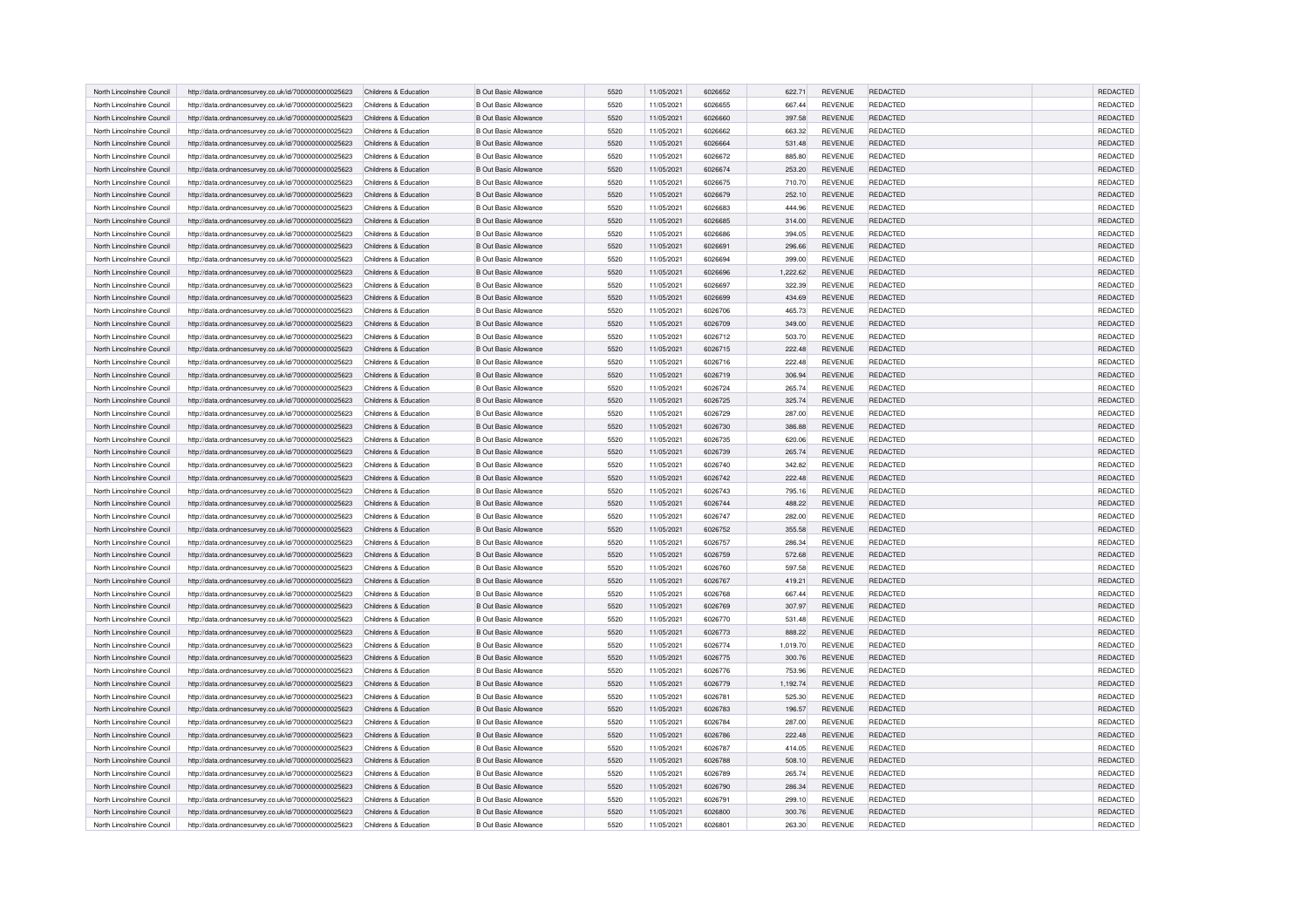| North Lincolnshire Council | http://data.ordnancesurvey.co.uk/id/7000000000025623 | Childrens & Education | <b>B Out Basic Allowance</b> | 5520 | 11/05/2021 | 6026652 | 622.71   | <b>REVENUE</b> | REDACTED        | <b>REDACTED</b> |
|----------------------------|------------------------------------------------------|-----------------------|------------------------------|------|------------|---------|----------|----------------|-----------------|-----------------|
| North Lincolnshire Council | http://data.ordnancesurvey.co.uk/id/7000000000025623 | Childrens & Education | <b>B Out Basic Allowance</b> | 5520 | 11/05/2021 | 6026655 | 667.44   | <b>REVENUE</b> | <b>REDACTED</b> | <b>REDACTED</b> |
| North Lincolnshire Council | http://data.ordnancesurvey.co.uk/id/7000000000025623 | Childrens & Education | <b>B Out Basic Allowance</b> | 5520 | 11/05/2021 | 6026660 | 397.58   | REVENUE        | REDACTED        | <b>REDACTED</b> |
| North Lincolnshire Council | http://data.ordnancesurvey.co.uk/id/7000000000025623 | Childrens & Education | <b>B Out Basic Allowance</b> | 5520 | 11/05/2021 | 6026662 | 663.32   | <b>REVENUE</b> | <b>REDACTED</b> | REDACTED        |
| North Lincolnshire Council |                                                      | Childrens & Education | <b>B Out Basic Allowance</b> | 5520 | 11/05/2021 | 6026664 | 531.48   | <b>REVENUE</b> | <b>REDACTED</b> | REDACTED        |
|                            | http://data.ordnancesurvey.co.uk/id/7000000000025623 |                       |                              |      |            |         |          |                |                 |                 |
| North Lincolnshire Council | http://data.ordnancesurvey.co.uk/id/7000000000025623 | Childrens & Education | <b>B Out Basic Allowance</b> | 5520 | 11/05/2021 | 6026672 | 885.80   | REVENUE        | REDACTED        | REDACTED        |
| North Lincolnshire Council | http://data.ordnancesurvey.co.uk/id/7000000000025623 | Childrens & Education | <b>B Out Basic Allowance</b> | 5520 | 11/05/2021 | 6026674 | 253.20   | <b>REVENUE</b> | REDACTED        | REDACTED        |
| North Lincolnshire Council | http://data.ordnancesurvey.co.uk/id/7000000000025623 | Childrens & Education | <b>B Out Basic Allowance</b> | 5520 | 11/05/2021 | 6026675 | 710.70   | <b>REVENUE</b> | REDACTED        | REDACTED        |
| North Lincolnshire Council | http://data.ordnancesurvey.co.uk/id/7000000000025623 | Childrens & Education | <b>B Out Basic Allowance</b> | 5520 | 11/05/2021 | 6026679 | 252.10   | <b>REVENUE</b> | REDACTED        | REDACTED        |
| North Lincolnshire Council | http://data.ordnancesurvey.co.uk/id/7000000000025623 | Childrens & Education | <b>B Out Basic Allowance</b> | 5520 | 11/05/2021 | 6026683 | 444.96   | REVENUE        | REDACTED        | REDACTED        |
| North Lincolnshire Council | http://data.ordnancesurvey.co.uk/id/7000000000025623 | Childrens & Education | <b>B Out Basic Allowance</b> | 5520 | 11/05/2021 | 6026685 | 314.00   | <b>REVENUE</b> | REDACTED        | REDACTED        |
| North Lincolnshire Council | http://data.ordnancesurvey.co.uk/id/7000000000025623 | Childrens & Education | <b>B Out Basic Allowance</b> | 5520 | 11/05/2021 | 6026686 | 394.05   | <b>REVENUE</b> | <b>REDACTED</b> | REDACTED        |
| North Lincolnshire Council | http://data.ordnancesurvey.co.uk/id/7000000000025623 | Childrens & Education | <b>B Out Basic Allowance</b> | 5520 | 11/05/2021 | 6026691 | 296.66   | <b>REVENUE</b> | REDACTED        | REDACTED        |
| North Lincolnshire Council | http://data.ordnancesurvey.co.uk/id/7000000000025623 | Childrens & Education | <b>B Out Basic Allowance</b> | 5520 | 11/05/2021 | 6026694 | 399.00   | <b>REVENUE</b> | REDACTED        | REDACTED        |
| North Lincolnshire Council | http://data.ordnancesurvey.co.uk/id/7000000000025623 | Childrens & Education | <b>B Out Basic Allowance</b> | 5520 | 11/05/2021 | 6026696 | 1,222.62 | REVENUE        | REDACTED        | REDACTED        |
| North Lincolnshire Council | http://data.ordnancesurvey.co.uk/id/7000000000025623 | Childrens & Education | <b>B Out Basic Allowance</b> | 5520 | 11/05/2021 | 6026697 | 322.39   | <b>REVENUE</b> | <b>REDACTED</b> | REDACTED        |
| North Lincolnshire Council | http://data.ordnancesurvey.co.uk/id/7000000000025623 | Childrens & Education | <b>B Out Basic Allowance</b> | 5520 | 11/05/2021 | 6026699 | 434.69   | REVENUE        | REDACTED        | REDACTED        |
| North Lincolnshire Council | http://data.ordnancesurvey.co.uk/id/7000000000025623 | Childrens & Education | <b>B Out Basic Allowance</b> | 5520 | 11/05/2021 | 6026706 | 465.73   | REVENUE        | REDACTED        | REDACTED        |
| North Lincolnshire Council | http://data.ordnancesurvey.co.uk/id/7000000000025623 | Childrens & Education | <b>B Out Basic Allowance</b> | 5520 | 11/05/2021 | 6026709 | 349.00   | <b>REVENUE</b> | <b>REDACTED</b> | <b>REDACTED</b> |
| North Lincolnshire Council | http://data.ordnancesurvey.co.uk/id/7000000000025623 | Childrens & Education | <b>B Out Basic Allowance</b> | 5520 | 11/05/2021 | 6026712 | 503.70   | <b>REVENUE</b> | REDACTED        | REDACTED        |
| North Lincolnshire Council | http://data.ordnancesurvey.co.uk/id/7000000000025623 | Childrens & Education | <b>B Out Basic Allowance</b> | 5520 | 11/05/2021 | 6026715 | 222.48   | <b>REVENUE</b> | REDACTED        | REDACTED        |
|                            |                                                      |                       |                              | 5520 |            |         |          |                | REDACTED        | REDACTED        |
| North Lincolnshire Council | http://data.ordnancesurvey.co.uk/id/7000000000025623 | Childrens & Education | <b>B Out Basic Allowance</b> |      | 11/05/2021 | 6026716 | 222.48   | REVENUE        |                 |                 |
| North Lincolnshire Council | http://data.ordnancesurvey.co.uk/id/7000000000025623 | Childrens & Education | <b>B Out Basic Allowance</b> | 5520 | 11/05/2021 | 6026719 | 306.94   | REVENUE        | <b>REDACTED</b> | REDACTED        |
| North Lincolnshire Council | http://data.ordnancesurvey.co.uk/id/7000000000025623 | Childrens & Education | <b>B Out Basic Allowance</b> | 5520 | 11/05/2021 | 6026724 | 265.74   | REVENUE        | REDACTED        | REDACTED        |
| North Lincolnshire Council | http://data.ordnancesurvey.co.uk/id/7000000000025623 | Childrens & Education | <b>B Out Basic Allowance</b> | 5520 | 11/05/2021 | 6026725 | 325.74   | REVENUE        | REDACTED        | REDACTED        |
| North Lincolnshire Council | http://data.ordnancesurvey.co.uk/id/7000000000025623 | Childrens & Education | <b>B Out Basic Allowance</b> | 5520 | 11/05/2021 | 6026729 | 287.00   | REVENUE        | <b>REDACTED</b> | REDACTED        |
| North Lincolnshire Council | http://data.ordnancesurvey.co.uk/id/7000000000025623 | Childrens & Education | B Out Basic Allowance        | 5520 | 11/05/2021 | 6026730 | 386.88   | <b>REVENUE</b> | REDACTED        | REDACTED        |
| North Lincolnshire Council | http://data.ordnancesurvey.co.uk/id/7000000000025623 | Childrens & Education | <b>B Out Basic Allowance</b> | 5520 | 11/05/2021 | 6026735 | 620.06   | <b>REVENUE</b> | REDACTED        | REDACTED        |
| North Lincolnshire Council | http://data.ordnancesurvey.co.uk/id/7000000000025623 | Childrens & Education | B Out Basic Allowance        | 5520 | 11/05/2021 | 6026739 | 265.74   | REVENUE        | REDACTED        | REDACTED        |
| North Lincolnshire Council | http://data.ordnancesurvey.co.uk/id/7000000000025623 | Childrens & Education | <b>B Out Basic Allowance</b> | 5520 | 11/05/2021 | 6026740 | 342.82   | REVENUE        | REDACTED        | REDACTED        |
| North Lincolnshire Council | http://data.ordnancesurvey.co.uk/id/7000000000025623 | Childrens & Education | <b>B Out Basic Allowance</b> | 5520 | 11/05/2021 | 6026742 | 222.48   | REVENUE        | <b>REDACTED</b> | REDACTED        |
| North Lincolnshire Council | http://data.ordnancesurvey.co.uk/id/7000000000025623 | Childrens & Education | <b>B Out Basic Allowance</b> | 5520 | 11/05/2021 | 6026743 | 795.16   | REVENUE        | <b>REDACTED</b> | REDACTED        |
| North Lincolnshire Council | http://data.ordnancesurvey.co.uk/id/7000000000025623 | Childrens & Education | <b>B Out Basic Allowance</b> | 5520 | 11/05/2021 | 6026744 | 488.22   | <b>REVENUE</b> | <b>REDACTED</b> | <b>REDACTED</b> |
| North Lincolnshire Council | http://data.ordnancesurvey.co.uk/id/7000000000025623 | Childrens & Education | <b>B Out Basic Allowance</b> | 5520 | 11/05/2021 | 6026747 | 282.00   | REVENUE        | REDACTED        | REDACTED        |
| North Lincolnshire Council | http://data.ordnancesurvey.co.uk/id/7000000000025623 | Childrens & Education | <b>B Out Basic Allowance</b> | 5520 | 11/05/2021 | 6026752 | 355.58   | REVENUE        | <b>REDACTED</b> | REDACTED        |
| North Lincolnshire Council | http://data.ordnancesurvey.co.uk/id/7000000000025623 | Childrens & Education | <b>B Out Basic Allowance</b> | 5520 | 11/05/2021 | 6026757 | 286.34   | REVENUE        | <b>REDACTED</b> | REDACTED        |
| North Lincolnshire Council | http://data.ordnancesurvey.co.uk/id/7000000000025623 | Childrens & Education | <b>B Out Basic Allowance</b> | 5520 | 11/05/2021 | 6026759 | 572.68   | REVENUE        | <b>REDACTED</b> | REDACTED        |
| North Lincolnshire Council | http://data.ordnancesurvey.co.uk/id/7000000000025623 | Childrens & Education | <b>B Out Basic Allowance</b> | 5520 | 11/05/2021 | 6026760 | 597.58   | REVENUE        | REDACTED        | REDACTED        |
| North Lincolnshire Council | http://data.ordnancesurvey.co.uk/id/7000000000025623 | Childrens & Education | <b>B Out Basic Allowance</b> | 5520 | 11/05/2021 | 6026767 | 419.21   | REVENUE        | <b>REDACTED</b> | REDACTED        |
| North Lincolnshire Council | http://data.ordnancesurvey.co.uk/id/7000000000025623 | Childrens & Education | <b>B Out Basic Allowance</b> | 5520 | 11/05/2021 | 6026768 | 667.44   | <b>REVENUE</b> | <b>REDACTED</b> | REDACTED        |
| North Lincolnshire Council | http://data.ordnancesurvey.co.uk/id/7000000000025623 | Childrens & Education | B Out Basic Allowance        | 5520 | 11/05/2021 | 6026769 | 307.97   | REVENUE        | <b>REDACTED</b> | REDACTED        |
| North Lincolnshire Council | http://data.ordnancesurvey.co.uk/id/7000000000025623 | Childrens & Education | <b>B Out Basic Allowance</b> | 5520 | 11/05/2021 | 6026770 | 531.48   | <b>REVENUE</b> | <b>REDACTED</b> | REDACTED        |
| North Lincolnshire Council | http://data.ordnancesurvey.co.uk/id/7000000000025623 | Childrens & Education | <b>B Out Basic Allowance</b> | 5520 | 11/05/2021 | 6026773 | 888.22   | REVENUE        | <b>REDACTED</b> | REDACTED        |
| North Lincolnshire Council | http://data.ordnancesurvey.co.uk/id/7000000000025623 | Childrens & Education | <b>B Out Basic Allowance</b> | 5520 | 11/05/2021 | 6026774 | 1,019.70 | REVENUE        | REDACTED        | REDACTED        |
|                            |                                                      |                       |                              |      |            |         |          |                |                 |                 |
| North Lincolnshire Council | http://data.ordnancesurvey.co.uk/id/7000000000025623 | Childrens & Education | <b>B Out Basic Allowance</b> | 5520 | 11/05/2021 | 6026775 | 300.76   | REVENUE        | <b>REDACTED</b> | <b>REDACTED</b> |
| North Lincolnshire Council | http://data.ordnancesurvey.co.uk/id/7000000000025623 | Childrens & Education | <b>B Out Basic Allowance</b> | 5520 | 11/05/2021 | 6026776 | 753.96   | REVENUE        | <b>REDACTED</b> | REDACTED        |
| North Lincolnshire Council | http://data.ordnancesurvey.co.uk/id/7000000000025623 | Childrens & Education | <b>B Out Basic Allowance</b> | 5520 | 11/05/2021 | 6026779 | 1,192.74 | REVENUE        | <b>REDACTED</b> | REDACTED        |
| North Lincolnshire Council | http://data.ordnancesurvey.co.uk/id/7000000000025623 | Childrens & Education | <b>B Out Basic Allowance</b> | 5520 | 11/05/2021 | 6026781 | 525.30   | REVENUE        | <b>REDACTED</b> | REDACTED        |
| North Lincolnshire Council | http://data.ordnancesurvey.co.uk/id/7000000000025623 | Childrens & Education | <b>B Out Basic Allowance</b> | 5520 | 11/05/2021 | 6026783 | 196.57   | REVENUE        | <b>REDACTED</b> | REDACTED        |
| North Lincolnshire Council | http://data.ordnancesurvey.co.uk/id/7000000000025623 | Childrens & Education | <b>B Out Basic Allowance</b> | 5520 | 11/05/2021 | 6026784 | 287.00   | REVENUE        | REDACTED        | REDACTED        |
| North Lincolnshire Council | http://data.ordnancesurvey.co.uk/id/7000000000025623 | Childrens & Education | <b>B Out Basic Allowance</b> | 5520 | 11/05/2021 | 6026786 | 222.48   | REVENUE        | <b>REDACTED</b> | <b>REDACTED</b> |
| North Lincolnshire Council | http://data.ordnancesurvey.co.uk/id/7000000000025623 | Childrens & Education | <b>B Out Basic Allowance</b> | 5520 | 11/05/2021 | 6026787 | 414.05   | REVENUE        | REDACTED        | <b>REDACTED</b> |
| North Lincolnshire Council | http://data.ordnancesurvey.co.uk/id/7000000000025623 | Childrens & Education | <b>B Out Basic Allowance</b> | 5520 | 11/05/2021 | 6026788 | 508.10   | REVENUE        | <b>REDACTED</b> | REDACTED        |
| North Lincolnshire Council | http://data.ordnancesurvey.co.uk/id/7000000000025623 | Childrens & Education | <b>B Out Basic Allowance</b> | 5520 | 11/05/2021 | 6026789 | 265.74   | <b>REVENUE</b> | REDACTED        | REDACTED        |
| North Lincolnshire Council | http://data.ordnancesurvey.co.uk/id/7000000000025623 | Childrens & Education | <b>B Out Basic Allowance</b> | 5520 | 11/05/2021 | 6026790 | 286.34   | REVENUE        | REDACTED        | REDACTED        |
|                            |                                                      |                       |                              |      |            |         |          |                |                 |                 |
| North Lincolnshire Council | http://data.ordnancesurvey.co.uk/id/7000000000025623 | Childrens & Education | <b>B Out Basic Allowance</b> | 5520 | 11/05/2021 | 6026791 | 299.10   | <b>REVENUE</b> | REDACTED        | REDACTED        |
| North Lincolnshire Council | http://data.ordnancesurvey.co.uk/id/7000000000025623 | Childrens & Education | <b>B Out Basic Allowance</b> | 5520 | 11/05/2021 | 6026800 | 300.76   | REVENUE        | <b>REDACTED</b> | REDACTED        |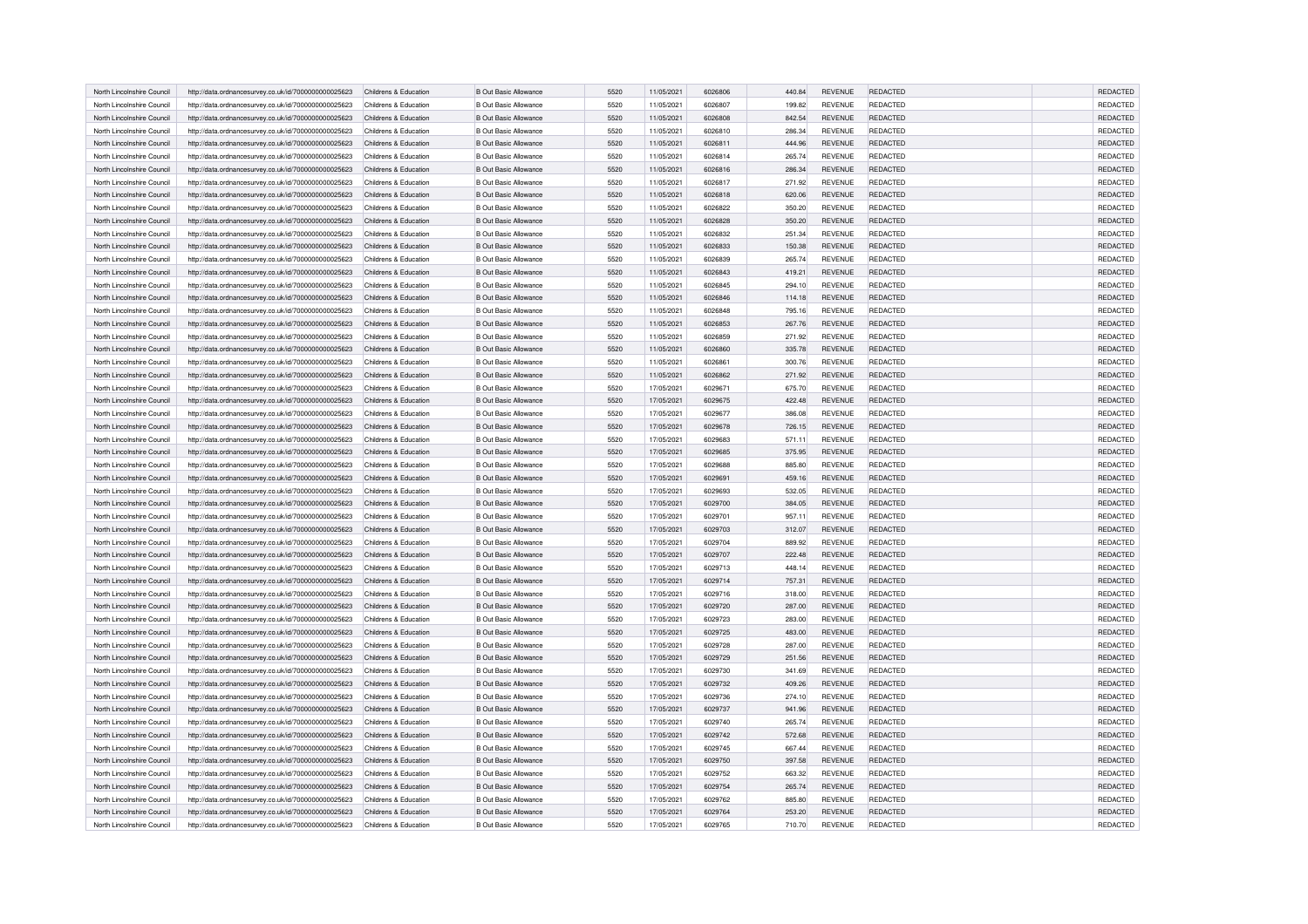| North Lincolnshire Council                               | http://data.ordnancesurvey.co.uk/id/7000000000025623 | Childrens & Education                          | <b>B Out Basic Allowance</b>                                 | 5520         | 11/05/2021               | 6026806            | 440.84           | <b>REVENUE</b>                   | REDACTED                           | <b>REDACTED</b> |
|----------------------------------------------------------|------------------------------------------------------|------------------------------------------------|--------------------------------------------------------------|--------------|--------------------------|--------------------|------------------|----------------------------------|------------------------------------|-----------------|
| North Lincolnshire Council                               | http://data.ordnancesurvey.co.uk/id/7000000000025623 | Childrens & Education                          | <b>B Out Basic Allowance</b>                                 | 5520         | 11/05/2021               | 6026807            | 199.82           | <b>REVENUE</b>                   | <b>REDACTED</b>                    | <b>REDACTED</b> |
| North Lincolnshire Council                               | http://data.ordnancesurvey.co.uk/id/7000000000025623 | Childrens & Education                          | <b>B Out Basic Allowance</b>                                 | 5520         | 11/05/2021               | 6026808            | 842.54           | REVENUE                          | REDACTED                           | REDACTED        |
|                                                          |                                                      |                                                |                                                              |              |                          |                    |                  |                                  |                                    | REDACTED        |
| North Lincolnshire Council<br>North Lincolnshire Council | http://data.ordnancesurvey.co.uk/id/7000000000025623 | Childrens & Education<br>Childrens & Education | <b>B Out Basic Allowance</b><br><b>B Out Basic Allowance</b> | 5520<br>5520 | 11/05/2021<br>11/05/2021 | 6026810<br>6026811 | 286.34<br>444.96 | <b>REVENUE</b><br><b>REVENUE</b> | <b>REDACTED</b><br><b>REDACTED</b> | REDACTED        |
|                                                          | http://data.ordnancesurvey.co.uk/id/7000000000025623 |                                                |                                                              |              |                          |                    |                  |                                  |                                    |                 |
| North Lincolnshire Council                               | http://data.ordnancesurvey.co.uk/id/7000000000025623 | Childrens & Education                          | <b>B Out Basic Allowance</b>                                 | 5520         | 11/05/2021               | 6026814            | 265.74           | REVENUE                          | <b>REDACTED</b>                    | REDACTED        |
| North Lincolnshire Council                               | http://data.ordnancesurvey.co.uk/id/7000000000025623 | Childrens & Education                          | <b>B Out Basic Allowance</b>                                 | 5520         | 11/05/2021               | 6026816            | 286.34           | <b>REVENUE</b>                   | REDACTED                           | <b>REDACTED</b> |
| North Lincolnshire Council                               | http://data.ordnancesurvey.co.uk/id/7000000000025623 | Childrens & Education                          | <b>B Out Basic Allowance</b>                                 | 5520         | 11/05/2021               | 6026817            | 271.92           | <b>REVENUE</b>                   | REDACTED                           | REDACTED        |
| North Lincolnshire Council                               | http://data.ordnancesurvey.co.uk/id/7000000000025623 | Childrens & Education                          | <b>B Out Basic Allowance</b>                                 | 5520         | 11/05/2021               | 6026818            | 620.06           | <b>REVENUE</b>                   | REDACTED                           | REDACTED        |
| North Lincolnshire Council                               | http://data.ordnancesurvey.co.uk/id/7000000000025623 | Childrens & Education                          | <b>B Out Basic Allowance</b>                                 | 5520         | 11/05/2021               | 6026822            | 350.20           | REVENUE                          | REDACTED                           | REDACTED        |
| North Lincolnshire Council                               | http://data.ordnancesurvey.co.uk/id/7000000000025623 | Childrens & Education                          | <b>B Out Basic Allowance</b>                                 | 5520         | 11/05/2021               | 6026828            | 350.20           | <b>REVENUE</b>                   | REDACTED                           | REDACTED        |
| North Lincolnshire Council                               | http://data.ordnancesurvey.co.uk/id/7000000000025623 | Childrens & Education                          | <b>B Out Basic Allowance</b>                                 | 5520         | 11/05/2021               | 6026832            | 251.34           | <b>REVENUE</b>                   | <b>REDACTED</b>                    | REDACTED        |
| North Lincolnshire Council                               | http://data.ordnancesurvey.co.uk/id/7000000000025623 | Childrens & Education                          | <b>B Out Basic Allowance</b>                                 | 5520         | 11/05/2021               | 6026833            | 150.38           | <b>REVENUE</b>                   | REDACTED                           | REDACTED        |
| North Lincolnshire Council                               | http://data.ordnancesurvey.co.uk/id/7000000000025623 | Childrens & Education                          | <b>B Out Basic Allowance</b>                                 | 5520         | 11/05/2021               | 6026839            | 265.74           | <b>REVENUE</b>                   | REDACTED                           | REDACTED        |
| North Lincolnshire Council                               | http://data.ordnancesurvey.co.uk/id/7000000000025623 | Childrens & Education                          | <b>B Out Basic Allowance</b>                                 | 5520         | 11/05/2021               | 6026843            | 419.21           | REVENUE                          | REDACTED                           | REDACTED        |
| North Lincolnshire Council                               | http://data.ordnancesurvey.co.uk/id/7000000000025623 | Childrens & Education                          | <b>B Out Basic Allowance</b>                                 | 5520         | 11/05/2021               | 6026845            | 294.10           | <b>REVENUE</b>                   | <b>REDACTED</b>                    | REDACTED        |
| North Lincolnshire Council                               | http://data.ordnancesurvey.co.uk/id/7000000000025623 | Childrens & Education                          | <b>B Out Basic Allowance</b>                                 | 5520         | 11/05/2021               | 6026846            | 114.18           | REVENUE                          | REDACTED                           | REDACTED        |
| North Lincolnshire Council                               | http://data.ordnancesurvey.co.uk/id/7000000000025623 | Childrens & Education                          | <b>B Out Basic Allowance</b>                                 | 5520         | 11/05/2021               | 6026848            | 795.16           | REVENUE                          | REDACTED                           | REDACTED        |
| North Lincolnshire Council                               | http://data.ordnancesurvey.co.uk/id/7000000000025623 | Childrens & Education                          | <b>B Out Basic Allowance</b>                                 | 5520         | 11/05/2021               | 6026853            | 267.76           | <b>REVENUE</b>                   | <b>REDACTED</b>                    | <b>REDACTED</b> |
| North Lincolnshire Council                               | http://data.ordnancesurvey.co.uk/id/7000000000025623 | Childrens & Education                          | <b>B Out Basic Allowance</b>                                 | 5520         | 11/05/2021               | 6026859            | 271.92           | <b>REVENUE</b>                   | REDACTED                           | REDACTED        |
| North Lincolnshire Council                               | http://data.ordnancesurvey.co.uk/id/7000000000025623 | Childrens & Education                          | <b>B Out Basic Allowance</b>                                 | 5520         | 11/05/2021               | 6026860            | 335.78           | <b>REVENUE</b>                   | REDACTED                           | REDACTED        |
| North Lincolnshire Council                               | http://data.ordnancesurvey.co.uk/id/7000000000025623 | Childrens & Education                          | <b>B Out Basic Allowance</b>                                 | 5520         | 11/05/2021               | 6026861            | 300.76           | REVENUE                          | REDACTED                           | REDACTED        |
| North Lincolnshire Council                               | http://data.ordnancesurvey.co.uk/id/7000000000025623 | Childrens & Education                          | <b>B Out Basic Allowance</b>                                 | 5520         | 11/05/2021               | 6026862            | 271.92           | REVENUE                          | <b>REDACTED</b>                    | REDACTED        |
| North Lincolnshire Council                               | http://data.ordnancesurvey.co.uk/id/7000000000025623 | Childrens & Education                          | <b>B Out Basic Allowance</b>                                 | 5520         | 17/05/2021               | 6029671            | 675.70           | REVENUE                          | REDACTED                           | REDACTED        |
| North Lincolnshire Council                               | http://data.ordnancesurvey.co.uk/id/7000000000025623 | Childrens & Education                          | <b>B Out Basic Allowance</b>                                 | 5520         | 17/05/2021               | 6029675            | 422.48           | REVENUE                          | REDACTED                           | REDACTED        |
| North Lincolnshire Council                               | http://data.ordnancesurvey.co.uk/id/7000000000025623 | Childrens & Education                          | <b>B Out Basic Allowance</b>                                 | 5520         | 17/05/2021               | 6029677            | 386.08           | REVENUE                          | <b>REDACTED</b>                    | REDACTED        |
| North Lincolnshire Council                               | http://data.ordnancesurvey.co.uk/id/7000000000025623 | Childrens & Education                          | B Out Basic Allowance                                        | 5520         | 17/05/2021               | 6029678            | 726.15           | <b>REVENUE</b>                   | REDACTED                           | REDACTED        |
| North Lincolnshire Council                               | http://data.ordnancesurvey.co.uk/id/7000000000025623 | Childrens & Education                          | <b>B Out Basic Allowance</b>                                 | 5520         | 17/05/2021               | 6029683            | 571.11           | <b>REVENUE</b>                   | REDACTED                           | REDACTED        |
| North Lincolnshire Council                               | http://data.ordnancesurvey.co.uk/id/7000000000025623 | Childrens & Education                          | B Out Basic Allowance                                        | 5520         | 17/05/2021               | 6029685            | 375.95           | REVENUE                          | REDACTED                           | REDACTED        |
| North Lincolnshire Council                               | http://data.ordnancesurvey.co.uk/id/7000000000025623 | Childrens & Education                          | <b>B Out Basic Allowance</b>                                 | 5520         | 17/05/2021               | 6029688            | 885.80           | REVENUE                          | REDACTED                           | REDACTED        |
| North Lincolnshire Council                               | http://data.ordnancesurvey.co.uk/id/7000000000025623 | Childrens & Education                          | <b>B Out Basic Allowance</b>                                 | 5520         | 17/05/2021               | 6029691            | 459.16           | REVENUE                          | <b>REDACTED</b>                    | REDACTED        |
| North Lincolnshire Council                               | http://data.ordnancesurvey.co.uk/id/7000000000025623 | Childrens & Education                          | <b>B Out Basic Allowance</b>                                 | 5520         | 17/05/2021               | 6029693            | 532.05           | REVENUE                          | <b>REDACTED</b>                    | REDACTED        |
| North Lincolnshire Council                               | http://data.ordnancesurvey.co.uk/id/7000000000025623 | Childrens & Education                          | <b>B Out Basic Allowance</b>                                 | 5520         | 17/05/2021               | 6029700            | 384.05           | <b>REVENUE</b>                   | <b>REDACTED</b>                    | <b>REDACTED</b> |
| North Lincolnshire Council                               |                                                      |                                                |                                                              |              | 17/05/2021               | 6029701            |                  | REVENUE                          | REDACTED                           | REDACTED        |
| North Lincolnshire Council                               | http://data.ordnancesurvey.co.uk/id/7000000000025623 | Childrens & Education<br>Childrens & Education | <b>B Out Basic Allowance</b><br><b>B Out Basic Allowance</b> | 5520<br>5520 |                          | 6029703            | 957.11           | REVENUE                          | <b>REDACTED</b>                    | REDACTED        |
|                                                          | http://data.ordnancesurvey.co.uk/id/7000000000025623 |                                                |                                                              |              | 17/05/2021               |                    | 312.07           |                                  |                                    |                 |
| North Lincolnshire Council                               | http://data.ordnancesurvey.co.uk/id/7000000000025623 | Childrens & Education                          | <b>B Out Basic Allowance</b>                                 | 5520         | 17/05/2021               | 6029704            | 889.92           | REVENUE                          | <b>REDACTED</b>                    | REDACTED        |
| North Lincolnshire Council                               | http://data.ordnancesurvey.co.uk/id/7000000000025623 | Childrens & Education                          | <b>B Out Basic Allowance</b>                                 | 5520         | 17/05/2021               | 6029707            | 222.48           | REVENUE                          | <b>REDACTED</b>                    | REDACTED        |
| North Lincolnshire Council                               | http://data.ordnancesurvey.co.uk/id/7000000000025623 | Childrens & Education                          | <b>B Out Basic Allowance</b>                                 | 5520         | 17/05/2021               | 6029713            | 448.14           | REVENUE                          | REDACTED                           | REDACTED        |
| North Lincolnshire Council                               | http://data.ordnancesurvey.co.uk/id/7000000000025623 | Childrens & Education                          | <b>B Out Basic Allowance</b>                                 | 5520         | 17/05/2021               | 6029714            | 757.31           | REVENUE                          | <b>REDACTED</b>                    | REDACTED        |
| North Lincolnshire Council                               | http://data.ordnancesurvey.co.uk/id/7000000000025623 | Childrens & Education                          | <b>B Out Basic Allowance</b>                                 | 5520         | 17/05/2021               | 6029716            | 318.00           | <b>REVENUE</b>                   | <b>REDACTED</b>                    | REDACTED        |
| North Lincolnshire Council                               | http://data.ordnancesurvey.co.uk/id/7000000000025623 | Childrens & Education                          | B Out Basic Allowance                                        | 5520         | 17/05/2021               | 6029720            | 287.00           | REVENUE                          | <b>REDACTED</b>                    | REDACTED        |
| North Lincolnshire Council                               | http://data.ordnancesurvey.co.uk/id/7000000000025623 | Childrens & Education                          | <b>B Out Basic Allowance</b>                                 | 5520         | 17/05/2021               | 6029723            | 283.00           | <b>REVENUE</b>                   | <b>REDACTED</b>                    | REDACTED        |
| North Lincolnshire Council                               | http://data.ordnancesurvey.co.uk/id/7000000000025623 | Childrens & Education                          | <b>B Out Basic Allowance</b>                                 | 5520         | 17/05/2021               | 6029725            | 483.00           | REVENUE                          | <b>REDACTED</b>                    | REDACTED        |
| North Lincolnshire Council                               | http://data.ordnancesurvey.co.uk/id/7000000000025623 | Childrens & Education                          | <b>B Out Basic Allowance</b>                                 | 5520         | 17/05/2021               | 6029728            | 287.00           | REVENUE                          | REDACTED                           | REDACTED        |
| North Lincolnshire Council                               | http://data.ordnancesurvey.co.uk/id/7000000000025623 | Childrens & Education                          | <b>B Out Basic Allowance</b>                                 | 5520         | 17/05/2021               | 6029729            | 251.56           | REVENUE                          | <b>REDACTED</b>                    | <b>REDACTED</b> |
| North Lincolnshire Council                               | http://data.ordnancesurvey.co.uk/id/7000000000025623 | Childrens & Education                          | <b>B Out Basic Allowance</b>                                 | 5520         | 17/05/2021               | 6029730            | 341.69           | <b>REVENUE</b>                   | <b>REDACTED</b>                    | REDACTED        |
| North Lincolnshire Council                               | http://data.ordnancesurvey.co.uk/id/7000000000025623 | Childrens & Education                          | <b>B Out Basic Allowance</b>                                 | 5520         | 17/05/2021               | 6029732            | 409.26           | REVENUE                          | <b>REDACTED</b>                    | REDACTED        |
| North Lincolnshire Council                               | http://data.ordnancesurvey.co.uk/id/7000000000025623 | Childrens & Education                          | <b>B Out Basic Allowance</b>                                 | 5520         | 17/05/2021               | 6029736            | 274.10           | REVENUE                          | <b>REDACTED</b>                    | REDACTED        |
| North Lincolnshire Council                               | http://data.ordnancesurvey.co.uk/id/7000000000025623 | Childrens & Education                          | <b>B Out Basic Allowance</b>                                 | 5520         | 17/05/2021               | 6029737            | 941.96           | REVENUE                          | <b>REDACTED</b>                    | REDACTED        |
| North Lincolnshire Council                               | http://data.ordnancesurvey.co.uk/id/7000000000025623 | Childrens & Education                          | <b>B Out Basic Allowance</b>                                 | 5520         | 17/05/2021               | 6029740            | 265.74           | REVENUE                          | REDACTED                           | REDACTED        |
| North Lincolnshire Council                               | http://data.ordnancesurvey.co.uk/id/7000000000025623 | Childrens & Education                          | <b>B Out Basic Allowance</b>                                 | 5520         | 17/05/2021               | 6029742            | 572.68           | REVENUE                          | <b>REDACTED</b>                    | <b>REDACTED</b> |
| North Lincolnshire Council                               | http://data.ordnancesurvey.co.uk/id/7000000000025623 | Childrens & Education                          | <b>B Out Basic Allowance</b>                                 | 5520         | 17/05/2021               | 6029745            | 667.44           | REVENUE                          | REDACTED                           | <b>REDACTED</b> |
| North Lincolnshire Council                               | http://data.ordnancesurvey.co.uk/id/7000000000025623 | Childrens & Education                          | <b>B Out Basic Allowance</b>                                 | 5520         | 17/05/2021               | 6029750            | 397.58           | REVENUE                          | <b>REDACTED</b>                    | REDACTED        |
| North Lincolnshire Council                               | http://data.ordnancesurvey.co.uk/id/7000000000025623 | Childrens & Education                          | <b>B Out Basic Allowance</b>                                 | 5520         | 17/05/2021               | 6029752            | 663.32           | <b>REVENUE</b>                   | REDACTED                           | REDACTED        |
| North Lincolnshire Council                               | http://data.ordnancesurvey.co.uk/id/7000000000025623 | Childrens & Education                          | <b>B Out Basic Allowance</b>                                 | 5520         | 17/05/2021               | 6029754            | 265.74           | REVENUE                          | REDACTED                           | REDACTED        |
| North Lincolnshire Council                               | http://data.ordnancesurvey.co.uk/id/7000000000025623 | Childrens & Education                          | <b>B Out Basic Allowance</b>                                 | 5520         | 17/05/2021               | 6029762            | 885.80           | <b>REVENUE</b>                   | REDACTED                           | REDACTED        |
| North Lincolnshire Council                               | http://data.ordnancesurvey.co.uk/id/7000000000025623 | Childrens & Education                          | <b>B Out Basic Allowance</b>                                 | 5520         | 17/05/2021               | 6029764            | 253.20           | REVENUE                          | <b>REDACTED</b>                    | REDACTED        |
| North Lincolnshire Council                               | http://data.ordnancesurvey.co.uk/id/7000000000025623 | Childrens & Education                          | <b>B Out Basic Allowance</b>                                 | 5520         | 17/05/2021               | 6029765            | 710.70           | REVENUE                          | REDACTED                           | REDACTED        |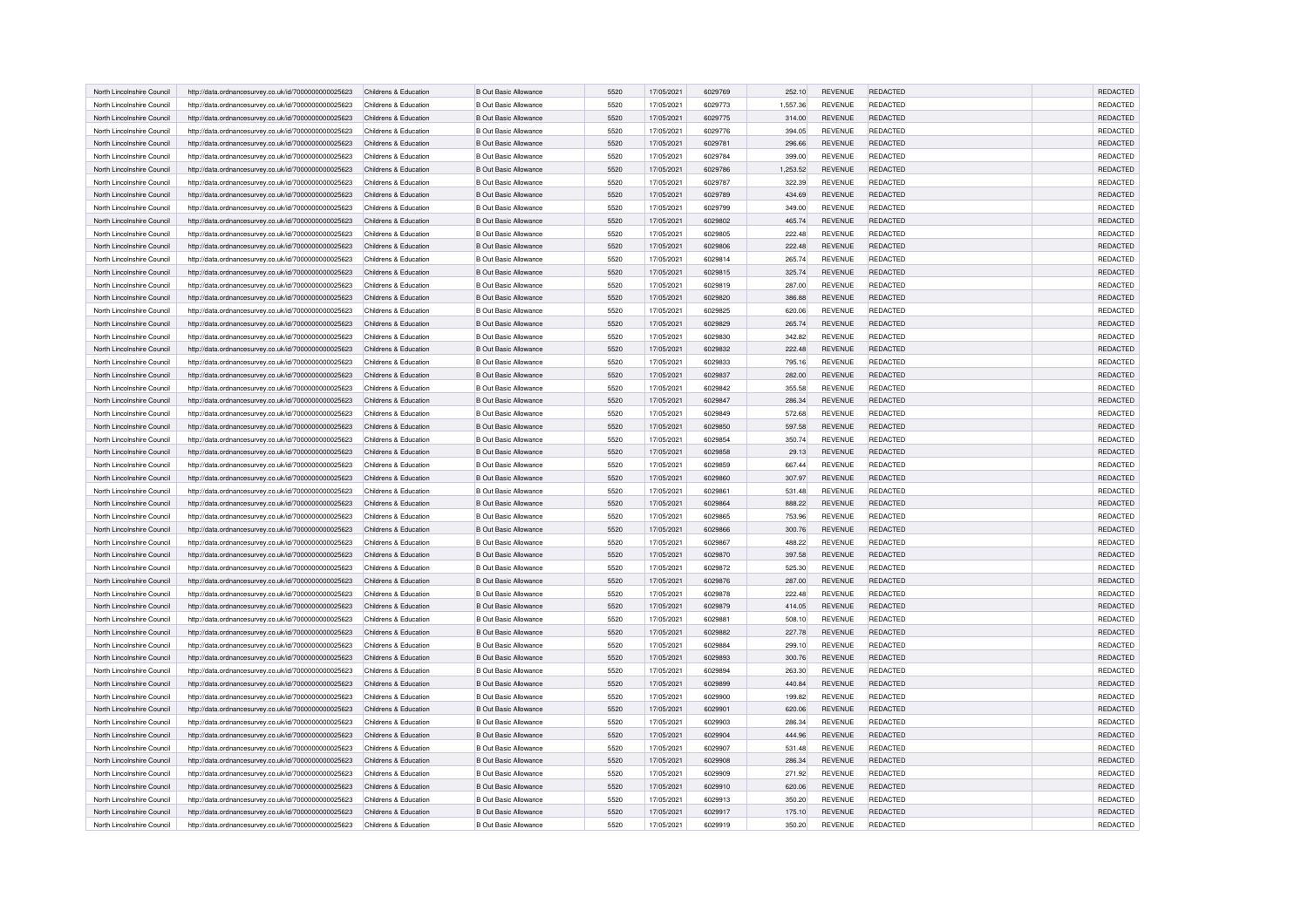| North Lincolnshire Council | http://data.ordnancesurvey.co.uk/id/7000000000025623 | Childrens & Education | <b>B Out Basic Allowance</b> | 5520         | 17/05/2021 | 6029769 | 252.10   | <b>REVENUE</b> | REDACTED        | <b>REDACTED</b> |
|----------------------------|------------------------------------------------------|-----------------------|------------------------------|--------------|------------|---------|----------|----------------|-----------------|-----------------|
| North Lincolnshire Council | http://data.ordnancesurvey.co.uk/id/7000000000025623 | Childrens & Education | <b>B Out Basic Allowance</b> | 5520         | 17/05/2021 | 6029773 | 1,557.36 | <b>REVENUE</b> | REDACTED        | REDACTED        |
| North Lincolnshire Counci  | http://data.ordnancesurvey.co.uk/id/7000000000025623 | Childrens & Education | <b>B Out Basic Allowance</b> | 5520         | 17/05/2021 | 6029775 | 314.00   | REVENUE        | REDACTED        | REDACTED        |
| North Lincolnshire Council | http://data.ordnancesurvey.co.uk/id/7000000000025623 | Childrens & Education | <b>B Out Basic Allowance</b> | 5520         | 17/05/2021 | 6029776 | 394.05   | <b>REVENUE</b> | REDACTED        | REDACTED        |
| North Lincolnshire Council | http://data.ordnancesurvey.co.uk/id/7000000000025623 | Childrens & Education | <b>B Out Basic Allowance</b> | 5520         | 17/05/2021 | 6029781 | 296.66   | <b>REVENUE</b> | REDACTED        | REDACTED        |
| North Lincolnshire Council | http://data.ordnancesurvey.co.uk/id/7000000000025623 | Childrens & Education | <b>B Out Basic Allowance</b> | 5520         | 17/05/2021 | 6029784 | 399.00   | <b>REVENUE</b> | <b>REDACTED</b> | REDACTED        |
| North Lincolnshire Council |                                                      | Childrens & Education | <b>B Out Basic Allowance</b> | 5520         | 17/05/2021 | 6029786 | 1,253.52 | <b>REVENUE</b> | REDACTED        | <b>REDACTED</b> |
|                            | http://data.ordnancesurvey.co.uk/id/7000000000025623 |                       |                              |              |            |         |          |                |                 |                 |
| North Lincolnshire Council | http://data.ordnancesurvey.co.uk/id/7000000000025623 | Childrens & Education | <b>B Out Basic Allowance</b> | 5520         | 17/05/2021 | 6029787 | 322.39   | <b>REVENUE</b> | REDACTED        | REDACTED        |
| North Lincolnshire Council | http://data.ordnancesurvey.co.uk/id/7000000000025623 | Childrens & Education | <b>B Out Basic Allowance</b> | 5520         | 17/05/2021 | 6029789 | 434.69   | <b>REVENUE</b> | <b>REDACTED</b> | REDACTED        |
| North Lincolnshire Council | http://data.ordnancesurvey.co.uk/id/7000000000025623 | Childrens & Education | <b>B Out Basic Allowance</b> | 5520         | 17/05/2021 | 6029799 | 349.00   | <b>REVENUE</b> | <b>REDACTED</b> | REDACTED        |
| North Lincolnshire Council | http://data.ordnancesurvey.co.uk/id/7000000000025623 | Childrens & Education | <b>B Out Basic Allowance</b> | 5520         | 17/05/2021 | 6029802 | 465.74   | <b>REVENUE</b> | REDACTED        | REDACTED        |
| North Lincolnshire Council | http://data.ordnancesurvey.co.uk/id/7000000000025623 | Childrens & Education | <b>B Out Basic Allowance</b> | 5520         | 17/05/2021 | 6029805 | 222.48   | <b>REVENUE</b> | <b>REDACTED</b> | REDACTED        |
| North Lincolnshire Council | http://data.ordnancesurvey.co.uk/id/7000000000025623 | Childrens & Education | <b>B Out Basic Allowance</b> | 5520         | 17/05/2021 | 6029806 | 222.48   | <b>REVENUE</b> | <b>REDACTED</b> | REDACTED        |
| North Lincolnshire Council | http://data.ordnancesurvey.co.uk/id/7000000000025623 | Childrens & Education | <b>B Out Basic Allowance</b> | 5520         | 17/05/2021 | 6029814 | 265.74   | <b>REVENUE</b> | REDACTED        | REDACTED        |
| North Lincolnshire Council | http://data.ordnancesurvey.co.uk/id/7000000000025623 | Childrens & Education | <b>B Out Basic Allowance</b> | 5520         | 17/05/2021 | 6029815 | 325.74   | REVENUE        | REDACTED        | REDACTED        |
| North Lincolnshire Council | http://data.ordnancesurvey.co.uk/id/7000000000025623 | Childrens & Education | <b>B Out Basic Allowance</b> | 5520         | 17/05/2021 | 6029819 | 287.00   | <b>REVENUE</b> | <b>REDACTED</b> | REDACTED        |
| North Lincolnshire Council | http://data.ordnancesurvey.co.uk/id/7000000000025623 | Childrens & Education | <b>B Out Basic Allowance</b> | 5520         | 17/05/2021 | 6029820 | 386.88   | REVENUE        | REDACTED        | REDACTED        |
| North Lincolnshire Council | http://data.ordnancesurvey.co.uk/id/7000000000025623 | Childrens & Education | <b>B Out Basic Allowance</b> | 5520         | 17/05/2021 | 6029825 | 620.06   | REVENUE        | REDACTED        | REDACTED        |
| North Lincolnshire Council | http://data.ordnancesurvey.co.uk/id/7000000000025623 | Childrens & Education | <b>B Out Basic Allowance</b> | 5520         | 17/05/2021 | 6029829 | 265.74   | REVENUE        | <b>REDACTED</b> | <b>REDACTED</b> |
| North Lincolnshire Council | http://data.ordnancesurvey.co.uk/id/7000000000025623 | Childrens & Education | <b>B Out Basic Allowance</b> | 5520         | 17/05/2021 | 6029830 | 342.82   | <b>REVENUE</b> | REDACTED        | REDACTED        |
| North Lincolnshire Council | http://data.ordnancesurvey.co.uk/id/7000000000025623 | Childrens & Education | <b>B Out Basic Allowance</b> | 5520         | 17/05/2021 | 6029832 | 222.48   | <b>REVENUE</b> | REDACTED        | REDACTED        |
| North Lincolnshire Council | http://data.ordnancesurvey.co.uk/id/7000000000025623 | Childrens & Education | <b>B Out Basic Allowance</b> | 5520         | 17/05/2021 | 6029833 | 795.16   | REVENUE        | REDACTED        | REDACTED        |
| North Lincolnshire Council | http://data.ordnancesurvey.co.uk/id/7000000000025623 | Childrens & Education | <b>B Out Basic Allowance</b> | 5520         | 17/05/2021 | 6029837 | 282.00   | REVENUE        | REDACTED        | REDACTED        |
| North Lincolnshire Council | http://data.ordnancesurvey.co.uk/id/7000000000025623 | Childrens & Education | <b>B Out Basic Allowance</b> | 5520         | 17/05/2021 | 6029842 | 355.58   | REVENUE        | REDACTED        | REDACTED        |
|                            |                                                      |                       |                              |              |            |         |          |                |                 |                 |
| North Lincolnshire Council | http://data.ordnancesurvey.co.uk/id/7000000000025623 | Childrens & Education | <b>B Out Basic Allowance</b> | 5520         | 17/05/2021 | 6029847 | 286.34   | REVENUE        | REDACTED        | REDACTED        |
| North Lincolnshire Council | http://data.ordnancesurvey.co.uk/id/7000000000025623 | Childrens & Education | <b>B Out Basic Allowance</b> | 5520         | 17/05/2021 | 6029849 | 572.68   | REVENUE        | <b>REDACTED</b> | REDACTED        |
| North Lincolnshire Council | http://data.ordnancesurvey.co.uk/id/7000000000025623 | Childrens & Education | <b>B Out Basic Allowance</b> | 5520         | 17/05/2021 | 6029850 | 597.58   | REVENUE        | REDACTED        | REDACTED        |
| North Lincolnshire Council | http://data.ordnancesurvey.co.uk/id/7000000000025623 | Childrens & Education | <b>B Out Basic Allowance</b> | 5520         | 17/05/2021 | 6029854 | 350.74   | <b>REVENUE</b> | REDACTED        | REDACTED        |
| North Lincolnshire Council | http://data.ordnancesurvey.co.uk/id/7000000000025623 | Childrens & Education | <b>B Out Basic Allowance</b> | 5520         | 17/05/2021 | 6029858 | 29.13    | <b>REVENUE</b> | REDACTED        | REDACTED        |
| North Lincolnshire Council | http://data.ordnancesurvey.co.uk/id/7000000000025623 | Childrens & Education | <b>B Out Basic Allowance</b> | 5520         | 17/05/2021 | 6029859 | 667.44   | <b>REVENUE</b> | <b>REDACTED</b> | REDACTED        |
| North Lincolnshire Council | http://data.ordnancesurvey.co.uk/id/7000000000025623 | Childrens & Education | <b>B Out Basic Allowance</b> | 5520         | 17/05/2021 | 6029860 | 307.97   | REVENUE        | <b>REDACTED</b> | REDACTED        |
| North Lincolnshire Council | http://data.ordnancesurvey.co.uk/id/7000000000025623 | Childrens & Education | <b>B Out Basic Allowance</b> | 5520         | 17/05/2021 | 6029861 | 531.48   | REVENUE        | REDACTED        | REDACTED        |
| North Lincolnshire Council | http://data.ordnancesurvey.co.uk/id/7000000000025623 | Childrens & Education | <b>B Out Basic Allowance</b> | 5520         | 17/05/2021 | 6029864 | 888.22   | REVENUE        | <b>REDACTED</b> | <b>REDACTED</b> |
| North Lincolnshire Council | http://data.ordnancesurvey.co.uk/id/7000000000025623 | Childrens & Education | <b>B Out Basic Allowance</b> | 5520         | 17/05/2021 | 6029865 | 753.96   | <b>REVENUE</b> | REDACTED        | REDACTED        |
| North Lincolnshire Council | http://data.ordnancesurvey.co.uk/id/7000000000025623 | Childrens & Education | B Out Basic Allowance        | 5520         | 17/05/2021 | 6029866 | 300.76   | <b>REVENUE</b> | REDACTED        | REDACTED        |
| North Lincolnshire Council | http://data.ordnancesurvey.co.uk/id/7000000000025623 | Childrens & Education | <b>B Out Basic Allowance</b> | 5520         | 17/05/2021 | 6029867 | 488.22   | <b>REVENUE</b> | <b>REDACTED</b> | REDACTED        |
| North Lincolnshire Council | http://data.ordnancesurvey.co.uk/id/7000000000025623 | Childrens & Education | <b>B Out Basic Allowance</b> | 5520         | 17/05/2021 | 6029870 | 397.58   | REVENUE        | <b>REDACTED</b> | REDACTED        |
| North Lincolnshire Council | http://data.ordnancesurvey.co.uk/id/7000000000025623 | Childrens & Education | <b>B Out Basic Allowance</b> | 5520         | 17/05/2021 | 6029872 | 525.30   | REVENUE        | REDACTED        | REDACTED        |
| North Lincolnshire Council | http://data.ordnancesurvey.co.uk/id/7000000000025623 | Childrens & Education | <b>B Out Basic Allowance</b> | 5520         | 17/05/2021 | 6029876 | 287.00   | REVENUE        | <b>REDACTED</b> | REDACTED        |
| North Lincolnshire Council | http://data.ordnancesurvey.co.uk/id/7000000000025623 | Childrens & Education | <b>B Out Basic Allowance</b> | 5520         | 17/05/2021 | 6029878 | 222.48   | REVENUE        | REDACTED        | REDACTED        |
| North Lincolnshire Council | http://data.ordnancesurvey.co.uk/id/7000000000025623 | Childrens & Education | <b>B Out Basic Allowance</b> | 5520         | 17/05/2021 | 6029879 | 414.05   | REVENUE        | <b>REDACTED</b> | REDACTED        |
| North Lincolnshire Council | http://data.ordnancesurvey.co.uk/id/7000000000025623 | Childrens & Education | <b>B Out Basic Allowance</b> | 5520         | 17/05/2021 | 6029881 | 508.10   | <b>REVENUE</b> | <b>REDACTED</b> | REDACTED        |
| North Lincolnshire Council | http://data.ordnancesurvey.co.uk/id/7000000000025623 | Childrens & Education | <b>B Out Basic Allowance</b> | 5520         | 17/05/2021 | 6029882 | 227.78   | REVENUE        | REDACTED        | REDACTED        |
|                            |                                                      |                       |                              |              |            |         |          |                |                 | REDACTED        |
| North Lincolnshire Council | http://data.ordnancesurvey.co.uk/id/7000000000025623 | Childrens & Education | <b>B Out Basic Allowance</b> | 5520<br>5520 | 17/05/2021 | 6029884 | 299.10   | <b>REVENUE</b> | REDACTED        |                 |
| North Lincolnshire Council | http://data.ordnancesurvey.co.uk/id/7000000000025623 | Childrens & Education | <b>B Out Basic Allowance</b> |              | 17/05/2021 | 6029893 | 300.76   | REVENUE        | <b>REDACTED</b> | <b>REDACTED</b> |
| North Lincolnshire Council | http://data.ordnancesurvey.co.uk/id/7000000000025623 | Childrens & Education | <b>B Out Basic Allowance</b> | 5520         | 17/05/2021 | 6029894 | 263.30   | REVENUE        | REDACTED        | REDACTED        |
| North Lincolnshire Council | http://data.ordnancesurvey.co.uk/id/7000000000025623 | Childrens & Education | <b>B Out Basic Allowance</b> | 5520         | 17/05/2021 | 6029899 | 440.84   | REVENUE        | <b>REDACTED</b> | <b>REDACTED</b> |
| North Lincolnshire Council | http://data.ordnancesurvey.co.uk/id/7000000000025623 | Childrens & Education | <b>B Out Basic Allowance</b> | 5520         | 17/05/2021 | 6029900 | 199.82   | <b>REVENUE</b> | REDACTED        | REDACTED        |
| North Lincolnshire Council | http://data.ordnancesurvey.co.uk/id/7000000000025623 | Childrens & Education | B Out Basic Allowance        | 5520         | 17/05/2021 | 6029901 | 620.06   | REVENUE        | REDACTED        | REDACTED        |
| North Lincolnshire Council | http://data.ordnancesurvey.co.uk/id/7000000000025623 | Childrens & Education | <b>B Out Basic Allowance</b> | 5520         | 17/05/2021 | 6029903 | 286.34   | <b>REVENUE</b> | <b>REDACTED</b> | REDACTED        |
| North Lincolnshire Council | http://data.ordnancesurvey.co.uk/id/7000000000025623 | Childrens & Education | <b>B Out Basic Allowance</b> | 5520         | 17/05/2021 | 6029904 | 444.96   | REVENUE        | <b>REDACTED</b> | REDACTED        |
| North Lincolnshire Council | http://data.ordnancesurvey.co.uk/id/7000000000025623 | Childrens & Education | <b>B Out Basic Allowance</b> | 5520         | 17/05/2021 | 6029907 | 531.48   | REVENUE        | REDACTED        | REDACTED        |
| North Lincolnshire Council | http://data.ordnancesurvey.co.uk/id/7000000000025623 | Childrens & Education | <b>B Out Basic Allowance</b> | 5520         | 17/05/2021 | 6029908 | 286.34   | <b>REVENUE</b> | <b>REDACTED</b> | REDACTED        |
| North Lincolnshire Council | http://data.ordnancesurvey.co.uk/id/7000000000025623 | Childrens & Education | <b>B Out Basic Allowance</b> | 5520         | 17/05/2021 | 6029909 | 271.92   | REVENUE        | REDACTED        | REDACTED        |
| North Lincolnshire Council | http://data.ordnancesurvey.co.uk/id/7000000000025623 | Childrens & Education | <b>B Out Basic Allowance</b> | 5520         | 17/05/2021 | 6029910 | 620.06   | <b>REVENUE</b> | <b>REDACTED</b> | REDACTED        |
| North Lincolnshire Council | http://data.ordnancesurvey.co.uk/id/7000000000025623 | Childrens & Education | <b>B Out Basic Allowance</b> | 5520         | 17/05/2021 | 6029913 | 350.20   | <b>REVENUE</b> | REDACTED        | REDACTED        |
| North Lincolnshire Council | http://data.ordnancesurvey.co.uk/id/7000000000025623 | Childrens & Education | <b>B Out Basic Allowance</b> | 5520         | 17/05/2021 | 6029917 | 175.10   | REVENUE        | <b>REDACTED</b> | REDACTED        |
| North Lincolnshire Council | http://data.ordnancesurvey.co.uk/id/7000000000025623 | Childrens & Education | <b>B Out Basic Allowance</b> | 5520         | 17/05/2021 | 6029919 | 350.20   | REVENUE        | <b>REDACTED</b> | REDACTED        |
|                            |                                                      |                       |                              |              |            |         |          |                |                 |                 |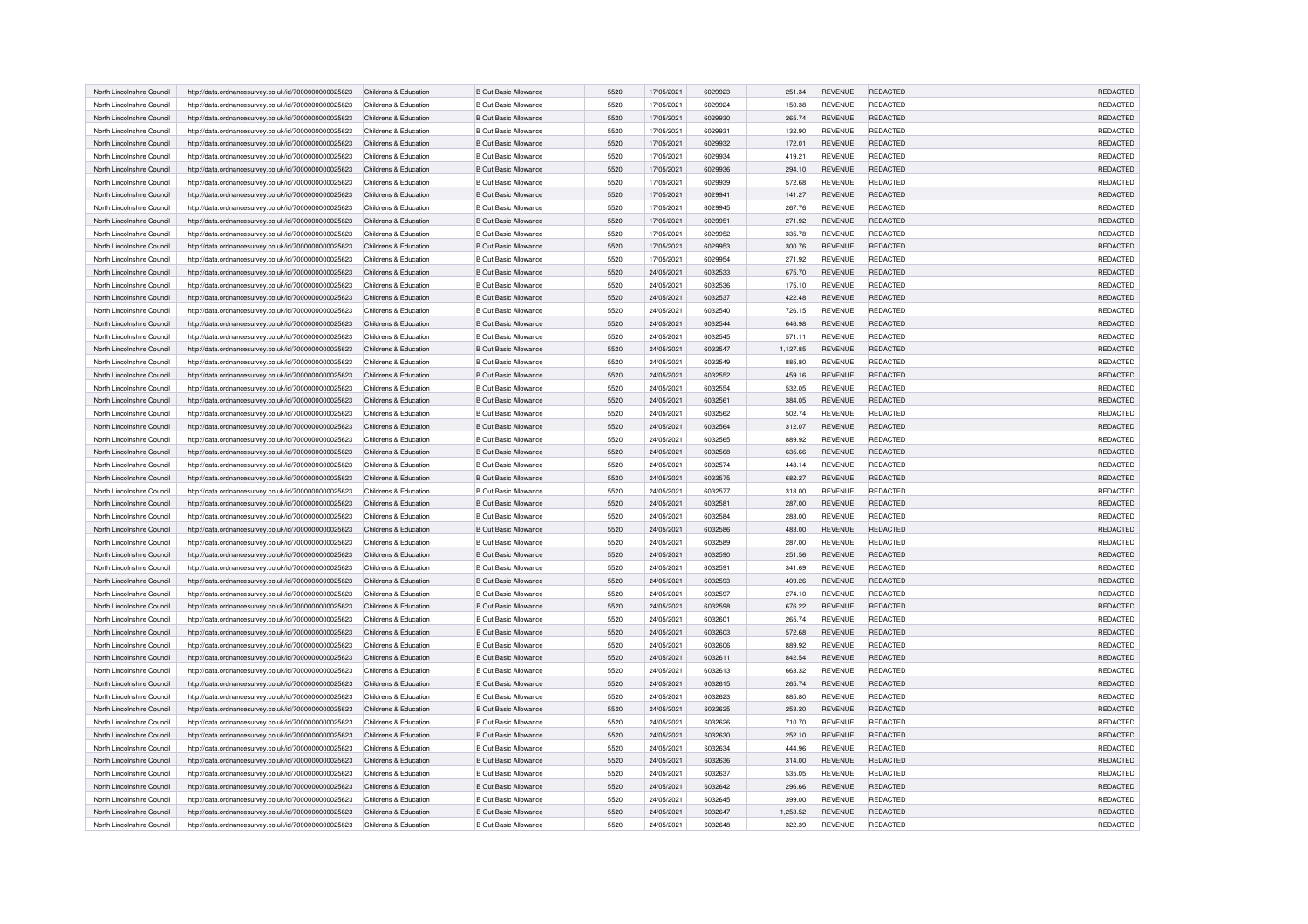| North Lincolnshire Council | http://data.ordnancesurvey.co.uk/id/7000000000025623 | Childrens & Education | <b>B Out Basic Allowance</b> | 5520 | 17/05/2021 | 6029923 | 251.34   | <b>REVENUE</b> | REDACTED        | <b>REDACTED</b> |
|----------------------------|------------------------------------------------------|-----------------------|------------------------------|------|------------|---------|----------|----------------|-----------------|-----------------|
| North Lincolnshire Council | http://data.ordnancesurvey.co.uk/id/7000000000025623 | Childrens & Education | <b>B Out Basic Allowance</b> | 5520 | 17/05/2021 | 6029924 | 150.38   | <b>REVENUE</b> | REDACTED        | <b>REDACTED</b> |
| North Lincolnshire Council | http://data.ordnancesurvey.co.uk/id/7000000000025623 | Childrens & Education | <b>B Out Basic Allowance</b> | 5520 | 17/05/2021 | 6029930 | 265.74   | REVENUE        | REDACTED        | REDACTED        |
| North Lincolnshire Council | http://data.ordnancesurvey.co.uk/id/7000000000025623 | Childrens & Education | <b>B Out Basic Allowance</b> | 5520 | 17/05/2021 | 6029931 | 132.90   | <b>REVENUE</b> | REDACTED        | REDACTED        |
| North Lincolnshire Council | http://data.ordnancesurvey.co.uk/id/7000000000025623 | Childrens & Education | <b>B Out Basic Allowance</b> | 5520 | 17/05/2021 | 6029932 | 172.01   | <b>REVENUE</b> | REDACTED        | REDACTED        |
|                            |                                                      |                       |                              |      |            | 6029934 |          | <b>REVENUE</b> | <b>REDACTED</b> | REDACTED        |
| North Lincolnshire Council | http://data.ordnancesurvey.co.uk/id/7000000000025623 | Childrens & Education | <b>B Out Basic Allowance</b> | 5520 | 17/05/2021 |         | 419.21   |                |                 |                 |
| North Lincolnshire Council | http://data.ordnancesurvey.co.uk/id/7000000000025623 | Childrens & Education | <b>B Out Basic Allowance</b> | 5520 | 17/05/2021 | 6029936 | 294.10   | <b>REVENUE</b> | REDACTED        | <b>REDACTED</b> |
| North Lincolnshire Council | http://data.ordnancesurvey.co.uk/id/7000000000025623 | Childrens & Education | <b>B Out Basic Allowance</b> | 5520 | 17/05/2021 | 6029939 | 572.68   | <b>REVENUE</b> | REDACTED        | REDACTED        |
| North Lincolnshire Council | http://data.ordnancesurvey.co.uk/id/7000000000025623 | Childrens & Education | <b>B Out Basic Allowance</b> | 5520 | 17/05/2021 | 6029941 | 141.27   | <b>REVENUE</b> | <b>REDACTED</b> | REDACTED        |
| North Lincolnshire Council | http://data.ordnancesurvey.co.uk/id/7000000000025623 | Childrens & Education | <b>B Out Basic Allowance</b> | 5520 | 17/05/2021 | 6029945 | 267.76   | <b>REVENUE</b> | <b>REDACTED</b> | REDACTED        |
| North Lincolnshire Council | http://data.ordnancesurvey.co.uk/id/7000000000025623 | Childrens & Education | <b>B Out Basic Allowance</b> | 5520 | 17/05/2021 | 6029951 | 271.92   | <b>REVENUE</b> | REDACTED        | REDACTED        |
| North Lincolnshire Council | http://data.ordnancesurvey.co.uk/id/7000000000025623 | Childrens & Education | <b>B Out Basic Allowance</b> | 5520 | 17/05/2021 | 6029952 | 335.78   | <b>REVENUE</b> | <b>REDACTED</b> | REDACTED        |
| North Lincolnshire Council | http://data.ordnancesurvey.co.uk/id/7000000000025623 | Childrens & Education | <b>B Out Basic Allowance</b> | 5520 | 17/05/2021 | 6029953 | 300.76   | <b>REVENUE</b> | <b>REDACTED</b> | REDACTED        |
| North Lincolnshire Council | http://data.ordnancesurvey.co.uk/id/7000000000025623 | Childrens & Education | <b>B Out Basic Allowance</b> | 5520 | 17/05/2021 | 6029954 | 271.92   | <b>REVENUE</b> | REDACTED        | REDACTED        |
| North Lincolnshire Council | http://data.ordnancesurvey.co.uk/id/7000000000025623 | Childrens & Education | <b>B Out Basic Allowance</b> | 5520 | 24/05/2021 | 6032533 | 675.70   | REVENUE        | REDACTED        | REDACTED        |
| North Lincolnshire Council | http://data.ordnancesurvey.co.uk/id/7000000000025623 | Childrens & Education | <b>B Out Basic Allowance</b> | 5520 | 24/05/2021 | 6032536 | 175.10   | <b>REVENUE</b> | <b>REDACTED</b> | REDACTED        |
| North Lincolnshire Council | http://data.ordnancesurvey.co.uk/id/7000000000025623 | Childrens & Education | <b>B Out Basic Allowance</b> | 5520 | 24/05/2021 | 6032537 | 422.48   | REVENUE        | REDACTED        | REDACTED        |
| North Lincolnshire Council | http://data.ordnancesurvey.co.uk/id/7000000000025623 | Childrens & Education | <b>B Out Basic Allowance</b> | 5520 | 24/05/2021 | 6032540 | 726.15   | REVENUE        | REDACTED        | REDACTED        |
| North Lincolnshire Council | http://data.ordnancesurvey.co.uk/id/7000000000025623 | Childrens & Education | <b>B Out Basic Allowance</b> | 5520 | 24/05/2021 | 6032544 | 646.98   | REVENUE        | <b>REDACTED</b> | <b>REDACTED</b> |
| North Lincolnshire Council | http://data.ordnancesurvey.co.uk/id/7000000000025623 | Childrens & Education | <b>B Out Basic Allowance</b> | 5520 | 24/05/2021 | 6032545 | 571.11   | <b>REVENUE</b> | REDACTED        | REDACTED        |
| North Lincolnshire Council | http://data.ordnancesurvey.co.uk/id/7000000000025623 | Childrens & Education | <b>B Out Basic Allowance</b> | 5520 | 24/05/2021 | 6032547 | 1,127.85 | <b>REVENUE</b> | REDACTED        | REDACTED        |
| North Lincolnshire Council | http://data.ordnancesurvey.co.uk/id/7000000000025623 | Childrens & Education | <b>B Out Basic Allowance</b> | 5520 | 24/05/2021 | 6032549 | 885.80   | REVENUE        | REDACTED        | REDACTED        |
| North Lincolnshire Council | http://data.ordnancesurvey.co.uk/id/7000000000025623 | Childrens & Education | <b>B Out Basic Allowance</b> | 5520 | 24/05/2021 | 6032552 | 459.16   | REVENUE        | REDACTED        | REDACTED        |
| North Lincolnshire Council | http://data.ordnancesurvey.co.uk/id/7000000000025623 | Childrens & Education | <b>B Out Basic Allowance</b> | 5520 | 24/05/2021 | 6032554 | 532.05   | REVENUE        | REDACTED        | REDACTED        |
| North Lincolnshire Council | http://data.ordnancesurvey.co.uk/id/7000000000025623 | Childrens & Education | <b>B Out Basic Allowance</b> | 5520 | 24/05/2021 | 6032561 | 384.05   | REVENUE        | REDACTED        | REDACTED        |
| North Lincolnshire Council | http://data.ordnancesurvey.co.uk/id/7000000000025623 | Childrens & Education | <b>B Out Basic Allowance</b> | 5520 | 24/05/2021 | 6032562 | 502.74   | REVENUE        | <b>REDACTED</b> | REDACTED        |
| North Lincolnshire Council | http://data.ordnancesurvey.co.uk/id/7000000000025623 | Childrens & Education | <b>B Out Basic Allowance</b> | 5520 | 24/05/2021 | 6032564 | 312.07   | REVENUE        | REDACTED        | REDACTED        |
| North Lincolnshire Council | http://data.ordnancesurvey.co.uk/id/7000000000025623 | Childrens & Education | <b>B Out Basic Allowance</b> | 5520 | 24/05/2021 | 6032565 | 889.92   | <b>REVENUE</b> | REDACTED        | REDACTED        |
| North Lincolnshire Council | http://data.ordnancesurvey.co.uk/id/7000000000025623 | Childrens & Education | <b>B Out Basic Allowance</b> | 5520 | 24/05/2021 | 6032568 | 635.66   | <b>REVENUE</b> | REDACTED        | REDACTED        |
| North Lincolnshire Council | http://data.ordnancesurvey.co.uk/id/7000000000025623 | Childrens & Education | <b>B Out Basic Allowance</b> | 5520 | 24/05/2021 | 6032574 | 448.14   | <b>REVENUE</b> | <b>REDACTED</b> | REDACTED        |
| North Lincolnshire Council | http://data.ordnancesurvey.co.uk/id/7000000000025623 | Childrens & Education | <b>B Out Basic Allowance</b> | 5520 | 24/05/2021 | 6032575 | 682.27   | REVENUE        | <b>REDACTED</b> | REDACTED        |
| North Lincolnshire Council | http://data.ordnancesurvey.co.uk/id/7000000000025623 | Childrens & Education | <b>B Out Basic Allowance</b> | 5520 | 24/05/2021 | 6032577 | 318.00   | REVENUE        | REDACTED        | REDACTED        |
| North Lincolnshire Council | http://data.ordnancesurvey.co.uk/id/7000000000025623 | Childrens & Education | <b>B Out Basic Allowance</b> | 5520 | 24/05/2021 | 6032581 | 287.00   | REVENUE        | <b>REDACTED</b> | <b>REDACTED</b> |
| North Lincolnshire Council | http://data.ordnancesurvey.co.uk/id/7000000000025623 | Childrens & Education | <b>B Out Basic Allowance</b> | 5520 | 24/05/2021 | 6032584 | 283.00   | <b>REVENUE</b> | REDACTED        | REDACTED        |
| North Lincolnshire Council |                                                      | Childrens & Education | B Out Basic Allowance        | 5520 |            | 6032586 |          | <b>REVENUE</b> | REDACTED        | REDACTED        |
|                            | http://data.ordnancesurvey.co.uk/id/7000000000025623 |                       |                              |      | 24/05/2021 |         | 483.00   |                |                 | REDACTED        |
| North Lincolnshire Council | http://data.ordnancesurvey.co.uk/id/7000000000025623 | Childrens & Education | <b>B Out Basic Allowance</b> | 5520 | 24/05/2021 | 6032589 | 287.00   | <b>REVENUE</b> | <b>REDACTED</b> |                 |
| North Lincolnshire Council | http://data.ordnancesurvey.co.uk/id/7000000000025623 | Childrens & Education | <b>B Out Basic Allowance</b> | 5520 | 24/05/2021 | 6032590 | 251.56   | REVENUE        | <b>REDACTED</b> | REDACTED        |
| North Lincolnshire Council | http://data.ordnancesurvey.co.uk/id/7000000000025623 | Childrens & Education | <b>B Out Basic Allowance</b> | 5520 | 24/05/2021 | 6032591 | 341.69   | REVENUE        | REDACTED        | REDACTED        |
| North Lincolnshire Council | http://data.ordnancesurvey.co.uk/id/7000000000025623 | Childrens & Education | <b>B Out Basic Allowance</b> | 5520 | 24/05/2021 | 6032593 | 409.26   | REVENUE        | REDACTED        | REDACTED        |
| North Lincolnshire Council | http://data.ordnancesurvey.co.uk/id/7000000000025623 | Childrens & Education | <b>B Out Basic Allowance</b> | 5520 | 24/05/2021 | 6032597 | 274.10   | REVENUE        | REDACTED        | REDACTED        |
| North Lincolnshire Council | http://data.ordnancesurvey.co.uk/id/7000000000025623 | Childrens & Education | <b>B Out Basic Allowance</b> | 5520 | 24/05/2021 | 6032598 | 676.22   | REVENUE        | <b>REDACTED</b> | REDACTED        |
| North Lincolnshire Council | http://data.ordnancesurvey.co.uk/id/7000000000025623 | Childrens & Education | <b>B Out Basic Allowance</b> | 5520 | 24/05/2021 | 6032601 | 265.74   | <b>REVENUE</b> | <b>REDACTED</b> | REDACTED        |
| North Lincolnshire Council | http://data.ordnancesurvey.co.uk/id/7000000000025623 | Childrens & Education | <b>B Out Basic Allowance</b> | 5520 | 24/05/2021 | 6032603 | 572.68   | REVENUE        | REDACTED        | REDACTED        |
| North Lincolnshire Council | http://data.ordnancesurvey.co.uk/id/7000000000025623 | Childrens & Education | <b>B Out Basic Allowance</b> | 5520 | 24/05/2021 | 6032606 | 889.92   | <b>REVENUE</b> | REDACTED        | REDACTED        |
| North Lincolnshire Council | http://data.ordnancesurvey.co.uk/id/7000000000025623 | Childrens & Education | <b>B Out Basic Allowance</b> | 5520 | 24/05/2021 | 6032611 | 842.54   | REVENUE        | REDACTED        | REDACTED        |
| North Lincolnshire Council | http://data.ordnancesurvey.co.uk/id/7000000000025623 | Childrens & Education | <b>B Out Basic Allowance</b> | 5520 | 24/05/2021 | 6032613 | 663.32   | REVENUE        | REDACTED        | REDACTED        |
| North Lincolnshire Council | http://data.ordnancesurvey.co.uk/id/7000000000025623 | Childrens & Education | <b>B Out Basic Allowance</b> | 5520 | 24/05/2021 | 6032615 | 265.74   | REVENUE        | <b>REDACTED</b> | <b>REDACTED</b> |
| North Lincolnshire Council | http://data.ordnancesurvey.co.uk/id/7000000000025623 | Childrens & Education | <b>B Out Basic Allowance</b> | 5520 | 24/05/2021 | 6032623 | 885.80   | <b>REVENUE</b> | REDACTED        | REDACTED        |
| North Lincolnshire Council | http://data.ordnancesurvey.co.uk/id/7000000000025623 | Childrens & Education | B Out Basic Allowance        | 5520 | 24/05/2021 | 6032625 | 253.20   | REVENUE        | REDACTED        | REDACTED        |
| North Lincolnshire Council | http://data.ordnancesurvey.co.uk/id/7000000000025623 | Childrens & Education | <b>B Out Basic Allowance</b> | 5520 | 24/05/2021 | 6032626 | 710.70   | <b>REVENUE</b> | <b>REDACTED</b> | REDACTED        |
| North Lincolnshire Council | http://data.ordnancesurvey.co.uk/id/7000000000025623 | Childrens & Education | <b>B Out Basic Allowance</b> | 5520 | 24/05/2021 | 6032630 | 252.10   | REVENUE        | <b>REDACTED</b> | REDACTED        |
| North Lincolnshire Council | http://data.ordnancesurvey.co.uk/id/7000000000025623 | Childrens & Education | <b>B Out Basic Allowance</b> | 5520 | 24/05/2021 | 6032634 | 444.96   | REVENUE        | REDACTED        | REDACTED        |
| North Lincolnshire Council | http://data.ordnancesurvey.co.uk/id/7000000000025623 | Childrens & Education | <b>B Out Basic Allowance</b> | 5520 | 24/05/2021 | 6032636 | 314.00   | REVENUE        | REDACTED        | REDACTED        |
| North Lincolnshire Council | http://data.ordnancesurvey.co.uk/id/7000000000025623 | Childrens & Education | <b>B Out Basic Allowance</b> | 5520 | 24/05/2021 | 6032637 | 535.05   | REVENUE        | REDACTED        | REDACTED        |
| North Lincolnshire Council | http://data.ordnancesurvey.co.uk/id/7000000000025623 | Childrens & Education | B Out Basic Allowance        | 5520 | 24/05/2021 | 6032642 | 296.66   | <b>REVENUE</b> | <b>REDACTED</b> | REDACTED        |
| North Lincolnshire Council | http://data.ordnancesurvey.co.uk/id/7000000000025623 | Childrens & Education | <b>B Out Basic Allowance</b> | 5520 | 24/05/2021 | 6032645 | 399.00   | <b>REVENUE</b> | REDACTED        | REDACTED        |
| North Lincolnshire Council | http://data.ordnancesurvey.co.uk/id/7000000000025623 | Childrens & Education | <b>B Out Basic Allowance</b> | 5520 | 24/05/2021 | 6032647 | 1,253.52 | REVENUE        | <b>REDACTED</b> | REDACTED        |
| North Lincolnshire Council | http://data.ordnancesurvey.co.uk/id/7000000000025623 | Childrens & Education | <b>B Out Basic Allowance</b> | 5520 | 24/05/2021 | 6032648 | 322.39   | REVENUE        | <b>REDACTED</b> | REDACTED        |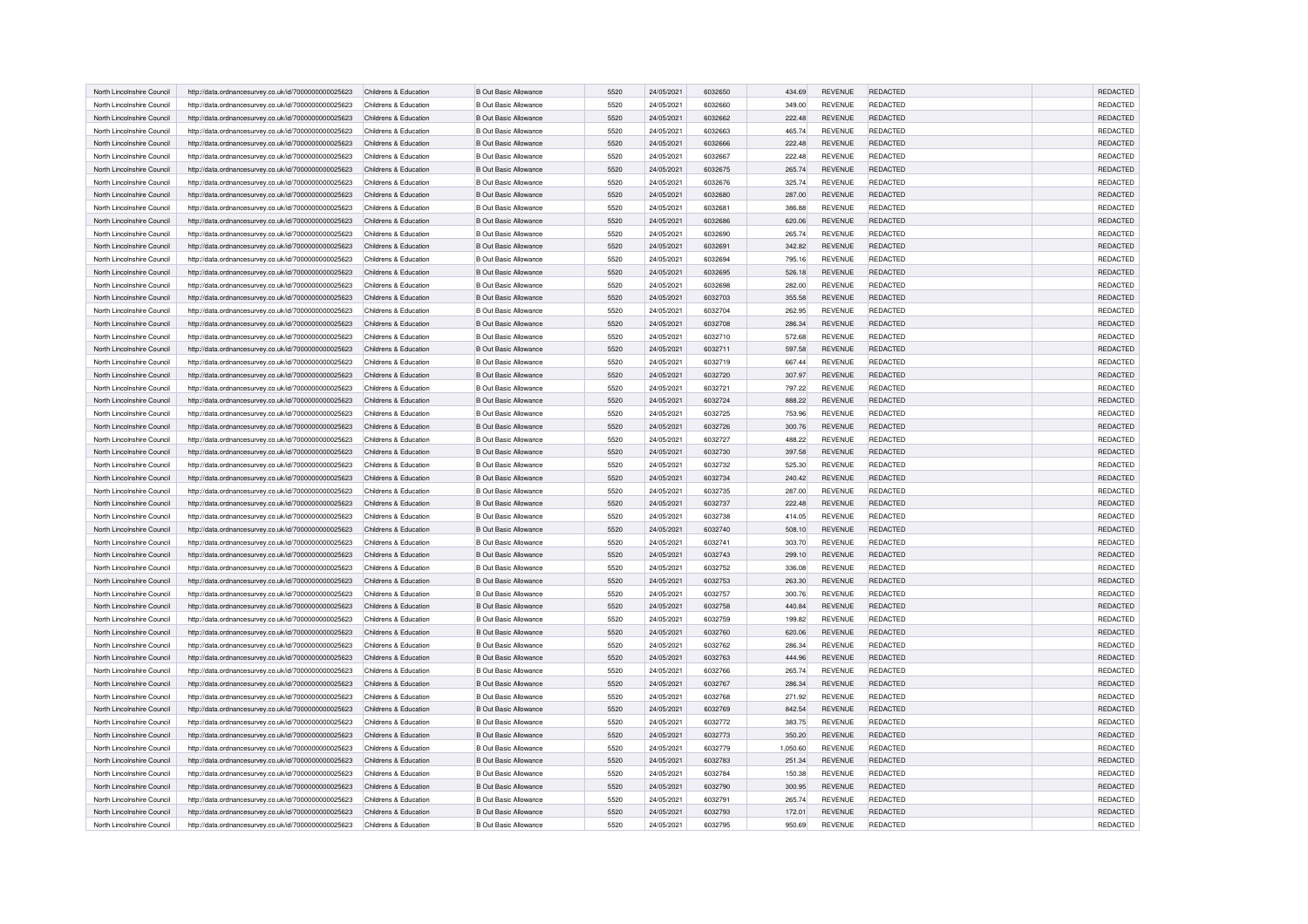| North Lincolnshire Council | http://data.ordnancesurvey.co.uk/id/7000000000025623 | Childrens & Education | <b>B Out Basic Allowance</b> | 5520 | 24/05/2021 | 6032650 | 434.69   | <b>REVENUE</b> | REDACTED        | <b>REDACTED</b> |
|----------------------------|------------------------------------------------------|-----------------------|------------------------------|------|------------|---------|----------|----------------|-----------------|-----------------|
| North Lincolnshire Council | http://data.ordnancesurvey.co.uk/id/7000000000025623 | Childrens & Education | <b>B Out Basic Allowance</b> | 5520 | 24/05/2021 | 6032660 | 349.00   | <b>REVENUE</b> | <b>REDACTED</b> | <b>REDACTED</b> |
| North Lincolnshire Council | http://data.ordnancesurvey.co.uk/id/7000000000025623 | Childrens & Education | <b>B Out Basic Allowance</b> | 5520 | 24/05/2021 | 6032662 | 222.48   | REVENUE        | REDACTED        | REDACTED        |
| North Lincolnshire Council | http://data.ordnancesurvey.co.uk/id/7000000000025623 | Childrens & Education | <b>B Out Basic Allowance</b> | 5520 | 24/05/2021 | 6032663 | 465.74   | <b>REVENUE</b> | <b>REDACTED</b> | REDACTED        |
| North Lincolnshire Council |                                                      | Childrens & Education | <b>B Out Basic Allowance</b> | 5520 | 24/05/2021 | 6032666 | 222.48   | <b>REVENUE</b> | <b>REDACTED</b> | REDACTED        |
|                            | http://data.ordnancesurvey.co.uk/id/7000000000025623 |                       |                              |      |            |         |          |                |                 |                 |
| North Lincolnshire Council | http://data.ordnancesurvey.co.uk/id/7000000000025623 | Childrens & Education | <b>B Out Basic Allowance</b> | 5520 | 24/05/2021 | 6032667 | 222.48   | REVENUE        | <b>REDACTED</b> | REDACTED        |
| North Lincolnshire Council | http://data.ordnancesurvey.co.uk/id/7000000000025623 | Childrens & Education | <b>B Out Basic Allowance</b> | 5520 | 24/05/2021 | 6032675 | 265.74   | <b>REVENUE</b> | REDACTED        | REDACTED        |
| North Lincolnshire Council | http://data.ordnancesurvey.co.uk/id/7000000000025623 | Childrens & Education | <b>B Out Basic Allowance</b> | 5520 | 24/05/2021 | 6032676 | 325.74   | <b>REVENUE</b> | REDACTED        | REDACTED        |
| North Lincolnshire Council | http://data.ordnancesurvey.co.uk/id/7000000000025623 | Childrens & Education | <b>B Out Basic Allowance</b> | 5520 | 24/05/2021 | 6032680 | 287.00   | <b>REVENUE</b> | REDACTED        | REDACTED        |
| North Lincolnshire Council | http://data.ordnancesurvey.co.uk/id/7000000000025623 | Childrens & Education | <b>B Out Basic Allowance</b> | 5520 | 24/05/2021 | 6032681 | 386.88   | REVENUE        | REDACTED        | REDACTED        |
| North Lincolnshire Council | http://data.ordnancesurvey.co.uk/id/7000000000025623 | Childrens & Education | <b>B Out Basic Allowance</b> | 5520 | 24/05/2021 | 6032686 | 620.06   | <b>REVENUE</b> | REDACTED        | REDACTED        |
| North Lincolnshire Council | http://data.ordnancesurvey.co.uk/id/7000000000025623 | Childrens & Education | <b>B Out Basic Allowance</b> | 5520 | 24/05/2021 | 6032690 | 265.74   | <b>REVENUE</b> | REDACTED        | REDACTED        |
| North Lincolnshire Council | http://data.ordnancesurvey.co.uk/id/7000000000025623 | Childrens & Education | <b>B Out Basic Allowance</b> | 5520 | 24/05/2021 | 6032691 | 342.82   | <b>REVENUE</b> | REDACTED        | REDACTED        |
| North Lincolnshire Council | http://data.ordnancesurvey.co.uk/id/7000000000025623 | Childrens & Education | <b>B Out Basic Allowance</b> | 5520 | 24/05/2021 | 6032694 | 795.16   | <b>REVENUE</b> | REDACTED        | REDACTED        |
| North Lincolnshire Council | http://data.ordnancesurvey.co.uk/id/7000000000025623 | Childrens & Education | <b>B Out Basic Allowance</b> | 5520 | 24/05/2021 | 6032695 | 526.18   | REVENUE        | REDACTED        | REDACTED        |
| North Lincolnshire Council | http://data.ordnancesurvey.co.uk/id/7000000000025623 | Childrens & Education | <b>B Out Basic Allowance</b> | 5520 | 24/05/2021 | 6032698 | 282.00   | <b>REVENUE</b> | REDACTED        | REDACTED        |
| North Lincolnshire Council | http://data.ordnancesurvey.co.uk/id/7000000000025623 | Childrens & Education | <b>B Out Basic Allowance</b> | 5520 | 24/05/2021 | 6032703 | 355.58   | REVENUE        | REDACTED        | REDACTED        |
| North Lincolnshire Council | http://data.ordnancesurvey.co.uk/id/7000000000025623 | Childrens & Education | <b>B Out Basic Allowance</b> | 5520 | 24/05/2021 | 6032704 | 262.95   | REVENUE        | REDACTED        | REDACTED        |
| North Lincolnshire Council | http://data.ordnancesurvey.co.uk/id/7000000000025623 | Childrens & Education | <b>B Out Basic Allowance</b> | 5520 | 24/05/2021 | 6032708 | 286.34   | REVENUE        | <b>REDACTED</b> | <b>REDACTED</b> |
| North Lincolnshire Council | http://data.ordnancesurvey.co.uk/id/7000000000025623 | Childrens & Education | <b>B Out Basic Allowance</b> | 5520 | 24/05/2021 | 6032710 | 572.68   | <b>REVENUE</b> | <b>REDACTED</b> | REDACTED        |
| North Lincolnshire Council | http://data.ordnancesurvey.co.uk/id/7000000000025623 | Childrens & Education | <b>B Out Basic Allowance</b> | 5520 | 24/05/2021 | 6032711 | 597.58   | <b>REVENUE</b> | REDACTED        | REDACTED        |
|                            |                                                      |                       |                              |      |            |         |          |                | REDACTED        | REDACTED        |
| North Lincolnshire Council | http://data.ordnancesurvey.co.uk/id/7000000000025623 | Childrens & Education | <b>B Out Basic Allowance</b> | 5520 | 24/05/2021 | 6032719 | 667.44   | REVENUE        |                 |                 |
| North Lincolnshire Council | http://data.ordnancesurvey.co.uk/id/7000000000025623 | Childrens & Education | <b>B Out Basic Allowance</b> | 5520 | 24/05/2021 | 6032720 | 307.97   | REVENUE        | <b>REDACTED</b> | REDACTED        |
| North Lincolnshire Council | http://data.ordnancesurvey.co.uk/id/7000000000025623 | Childrens & Education | <b>B Out Basic Allowance</b> | 5520 | 24/05/2021 | 6032721 | 797.22   | REVENUE        | REDACTED        | REDACTED        |
| North Lincolnshire Council | http://data.ordnancesurvey.co.uk/id/7000000000025623 | Childrens & Education | <b>B Out Basic Allowance</b> | 5520 | 24/05/2021 | 6032724 | 888.22   | REVENUE        | REDACTED        | REDACTED        |
| North Lincolnshire Council | http://data.ordnancesurvey.co.uk/id/7000000000025623 | Childrens & Education | <b>B Out Basic Allowance</b> | 5520 | 24/05/2021 | 6032725 | 753.96   | REVENUE        | <b>REDACTED</b> | REDACTED        |
| North Lincolnshire Council | http://data.ordnancesurvey.co.uk/id/7000000000025623 | Childrens & Education | B Out Basic Allowance        | 5520 | 24/05/2021 | 6032726 | 300.76   | <b>REVENUE</b> | REDACTED        | REDACTED        |
| North Lincolnshire Council | http://data.ordnancesurvey.co.uk/id/7000000000025623 | Childrens & Education | <b>B Out Basic Allowance</b> | 5520 | 24/05/2021 | 6032727 | 488.22   | <b>REVENUE</b> | REDACTED        | REDACTED        |
| North Lincolnshire Council | http://data.ordnancesurvey.co.uk/id/7000000000025623 | Childrens & Education | B Out Basic Allowance        | 5520 | 24/05/2021 | 6032730 | 397.58   | REVENUE        | REDACTED        | REDACTED        |
| North Lincolnshire Council | http://data.ordnancesurvey.co.uk/id/7000000000025623 | Childrens & Education | <b>B Out Basic Allowance</b> | 5520 | 24/05/2021 | 6032732 | 525.30   | REVENUE        | REDACTED        | REDACTED        |
| North Lincolnshire Council | http://data.ordnancesurvey.co.uk/id/7000000000025623 | Childrens & Education | <b>B Out Basic Allowance</b> | 5520 | 24/05/2021 | 6032734 | 240.42   | REVENUE        | <b>REDACTED</b> | REDACTED        |
| North Lincolnshire Council | http://data.ordnancesurvey.co.uk/id/7000000000025623 | Childrens & Education | <b>B Out Basic Allowance</b> | 5520 | 24/05/2021 | 6032735 | 287.00   | REVENUE        | <b>REDACTED</b> | REDACTED        |
| North Lincolnshire Council | http://data.ordnancesurvey.co.uk/id/7000000000025623 | Childrens & Education | <b>B Out Basic Allowance</b> | 5520 | 24/05/2021 | 6032737 | 222.48   | <b>REVENUE</b> | <b>REDACTED</b> | REDACTED        |
| North Lincolnshire Council | http://data.ordnancesurvey.co.uk/id/7000000000025623 | Childrens & Education | <b>B Out Basic Allowance</b> | 5520 | 24/05/2021 | 6032738 | 414.05   | REVENUE        | REDACTED        | REDACTED        |
| North Lincolnshire Council | http://data.ordnancesurvey.co.uk/id/7000000000025623 | Childrens & Education | <b>B Out Basic Allowance</b> | 5520 | 24/05/2021 | 6032740 | 508.10   | REVENUE        | <b>REDACTED</b> | REDACTED        |
| North Lincolnshire Council | http://data.ordnancesurvey.co.uk/id/7000000000025623 | Childrens & Education | <b>B Out Basic Allowance</b> | 5520 | 24/05/2021 | 6032741 | 303.70   | REVENUE        | <b>REDACTED</b> | REDACTED        |
| North Lincolnshire Council | http://data.ordnancesurvey.co.uk/id/7000000000025623 | Childrens & Education | <b>B Out Basic Allowance</b> | 5520 | 24/05/2021 | 6032743 | 299.10   | REVENUE        | <b>REDACTED</b> | REDACTED        |
| North Lincolnshire Council | http://data.ordnancesurvey.co.uk/id/7000000000025623 | Childrens & Education | <b>B Out Basic Allowance</b> | 5520 | 24/05/2021 | 6032752 | 336.08   | REVENUE        | REDACTED        | REDACTED        |
| North Lincolnshire Council | http://data.ordnancesurvey.co.uk/id/7000000000025623 | Childrens & Education | <b>B Out Basic Allowance</b> | 5520 | 24/05/2021 | 6032753 | 263.30   | REVENUE        | <b>REDACTED</b> | REDACTED        |
| North Lincolnshire Council | http://data.ordnancesurvey.co.uk/id/7000000000025623 | Childrens & Education | <b>B Out Basic Allowance</b> | 5520 | 24/05/2021 | 6032757 | 300.76   | <b>REVENUE</b> | <b>REDACTED</b> | REDACTED        |
| North Lincolnshire Council | http://data.ordnancesurvey.co.uk/id/7000000000025623 | Childrens & Education | B Out Basic Allowance        | 5520 | 24/05/2021 | 6032758 | 440.84   | REVENUE        | <b>REDACTED</b> | REDACTED        |
| North Lincolnshire Council | http://data.ordnancesurvey.co.uk/id/7000000000025623 | Childrens & Education | <b>B Out Basic Allowance</b> | 5520 | 24/05/2021 | 6032759 | 199.82   | <b>REVENUE</b> | <b>REDACTED</b> | REDACTED        |
| North Lincolnshire Council | http://data.ordnancesurvey.co.uk/id/7000000000025623 | Childrens & Education | <b>B Out Basic Allowance</b> | 5520 | 24/05/2021 | 6032760 | 620.06   | REVENUE        | <b>REDACTED</b> | REDACTED        |
| North Lincolnshire Council | http://data.ordnancesurvey.co.uk/id/7000000000025623 | Childrens & Education | <b>B Out Basic Allowance</b> | 5520 | 24/05/2021 | 6032762 | 286.34   | REVENUE        | REDACTED        | REDACTED        |
| North Lincolnshire Council | http://data.ordnancesurvey.co.uk/id/7000000000025623 | Childrens & Education | <b>B Out Basic Allowance</b> | 5520 | 24/05/2021 | 6032763 | 444.96   | REVENUE        | <b>REDACTED</b> | <b>REDACTED</b> |
|                            |                                                      |                       |                              |      |            |         |          |                |                 |                 |
| North Lincolnshire Council | http://data.ordnancesurvey.co.uk/id/7000000000025623 | Childrens & Education | <b>B Out Basic Allowance</b> | 5520 | 24/05/2021 | 6032766 | 265.74   | <b>REVENUE</b> | <b>REDACTED</b> | REDACTED        |
| North Lincolnshire Council | http://data.ordnancesurvey.co.uk/id/7000000000025623 | Childrens & Education | <b>B Out Basic Allowance</b> | 5520 | 24/05/2021 | 6032767 | 286.34   | REVENUE        | <b>REDACTED</b> | REDACTED        |
| North Lincolnshire Council | http://data.ordnancesurvey.co.uk/id/7000000000025623 | Childrens & Education | <b>B Out Basic Allowance</b> | 5520 | 24/05/2021 | 6032768 | 271.92   | REVENUE        | <b>REDACTED</b> | REDACTED        |
| North Lincolnshire Council | http://data.ordnancesurvey.co.uk/id/7000000000025623 | Childrens & Education | <b>B Out Basic Allowance</b> | 5520 | 24/05/2021 | 6032769 | 842.54   | REVENUE        | <b>REDACTED</b> | REDACTED        |
| North Lincolnshire Council | http://data.ordnancesurvey.co.uk/id/7000000000025623 | Childrens & Education | <b>B Out Basic Allowance</b> | 5520 | 24/05/2021 | 6032772 | 383.75   | REVENUE        | REDACTED        | REDACTED        |
| North Lincolnshire Council | http://data.ordnancesurvey.co.uk/id/7000000000025623 | Childrens & Education | <b>B Out Basic Allowance</b> | 5520 | 24/05/2021 | 6032773 | 350.20   | REVENUE        | <b>REDACTED</b> | <b>REDACTED</b> |
| North Lincolnshire Council | http://data.ordnancesurvey.co.uk/id/7000000000025623 | Childrens & Education | <b>B Out Basic Allowance</b> | 5520 | 24/05/2021 | 6032779 | 1,050.60 | REVENUE        | REDACTED        | <b>REDACTED</b> |
| North Lincolnshire Council | http://data.ordnancesurvey.co.uk/id/7000000000025623 | Childrens & Education | <b>B Out Basic Allowance</b> | 5520 | 24/05/2021 | 6032783 | 251.34   | REVENUE        | <b>REDACTED</b> | REDACTED        |
| North Lincolnshire Council | http://data.ordnancesurvey.co.uk/id/7000000000025623 | Childrens & Education | <b>B Out Basic Allowance</b> | 5520 | 24/05/2021 | 6032784 | 150.38   | <b>REVENUE</b> | REDACTED        | REDACTED        |
| North Lincolnshire Council | http://data.ordnancesurvey.co.uk/id/7000000000025623 | Childrens & Education | <b>B Out Basic Allowance</b> | 5520 | 24/05/2021 | 6032790 | 300.95   | REVENUE        | REDACTED        | REDACTED        |
| North Lincolnshire Council | http://data.ordnancesurvey.co.uk/id/7000000000025623 | Childrens & Education | <b>B Out Basic Allowance</b> | 5520 | 24/05/2021 | 6032791 | 265.74   | <b>REVENUE</b> | REDACTED        | REDACTED        |
| North Lincolnshire Council | http://data.ordnancesurvey.co.uk/id/7000000000025623 | Childrens & Education | <b>B Out Basic Allowance</b> | 5520 | 24/05/2021 | 6032793 | 172.01   | REVENUE        | <b>REDACTED</b> | REDACTED        |
| North Lincolnshire Council | http://data.ordnancesurvey.co.uk/id/7000000000025623 | Childrens & Education | <b>B Out Basic Allowance</b> | 5520 | 24/05/2021 | 6032795 | 950.69   | REVENUE        | REDACTED        | REDACTED        |
|                            |                                                      |                       |                              |      |            |         |          |                |                 |                 |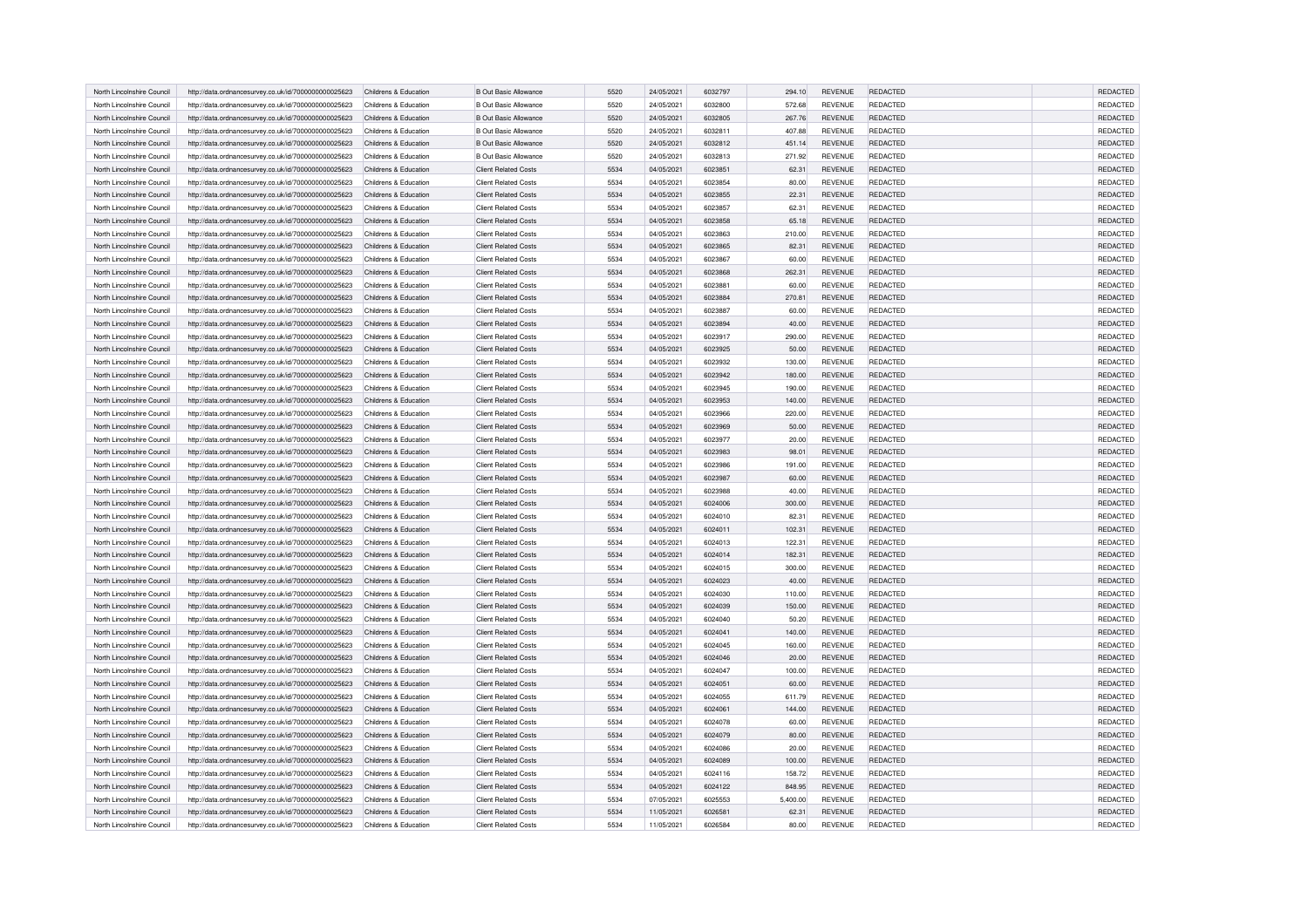| North Lincolnshire Council | http://data.ordnancesurvey.co.uk/id/7000000000025623 | Childrens & Education | <b>B Out Basic Allowance</b> | 5520 | 24/05/2021 | 6032797 | 294.10   | <b>REVENUE</b> | REDACTED        | <b>REDACTED</b> |
|----------------------------|------------------------------------------------------|-----------------------|------------------------------|------|------------|---------|----------|----------------|-----------------|-----------------|
| North Lincolnshire Council | http://data.ordnancesurvey.co.uk/id/7000000000025623 | Childrens & Education | <b>B Out Basic Allowance</b> | 5520 | 24/05/2021 | 6032800 | 572.68   | <b>REVENUE</b> | <b>REDACTED</b> | <b>REDACTED</b> |
| North Lincolnshire Counci  | http://data.ordnancesurvey.co.uk/id/7000000000025623 | Childrens & Education | <b>B Out Basic Allowance</b> | 5520 | 24/05/2021 | 6032805 | 267.76   | <b>REVENUE</b> | REDACTED        | REDACTED        |
| North Lincolnshire Council | http://data.ordnancesurvey.co.uk/id/7000000000025623 | Childrens & Education | <b>B Out Basic Allowance</b> | 5520 | 24/05/2021 | 6032811 | 407.88   | <b>REVENUE</b> | REDACTED        | REDACTED        |
| North Lincolnshire Council | http://data.ordnancesurvey.co.uk/id/7000000000025623 | Childrens & Education | <b>B Out Basic Allowance</b> | 5520 | 24/05/2021 | 6032812 | 451.14   | <b>REVENUE</b> | REDACTED        | REDACTED        |
| North Lincolnshire Council | http://data.ordnancesurvey.co.uk/id/7000000000025623 | Childrens & Education | <b>B Out Basic Allowance</b> | 5520 | 24/05/2021 | 6032813 | 271.92   | <b>REVENUE</b> | <b>REDACTED</b> | REDACTED        |
| North Lincolnshire Council | http://data.ordnancesurvey.co.uk/id/7000000000025623 | Childrens & Education | <b>Client Related Costs</b>  | 5534 | 04/05/2021 | 6023851 | 62.31    | <b>REVENUE</b> | REDACTED        | <b>REDACTED</b> |
|                            |                                                      |                       |                              |      |            |         |          |                |                 |                 |
| North Lincolnshire Council | http://data.ordnancesurvey.co.uk/id/7000000000025623 | Childrens & Education | <b>Client Related Costs</b>  | 5534 | 04/05/2021 | 6023854 | 80.00    | <b>REVENUE</b> | <b>REDACTED</b> | REDACTED        |
| North Lincolnshire Council | http://data.ordnancesurvey.co.uk/id/7000000000025623 | Childrens & Education | <b>Client Related Costs</b>  | 5534 | 04/05/2021 | 6023855 | 22.31    | <b>REVENUE</b> | <b>REDACTED</b> | REDACTED        |
| North Lincolnshire Council | http://data.ordnancesurvey.co.uk/id/7000000000025623 | Childrens & Education | <b>Client Related Costs</b>  | 5534 | 04/05/2021 | 6023857 | 62.31    | <b>REVENUE</b> | <b>REDACTED</b> | REDACTED        |
| North Lincolnshire Council | http://data.ordnancesurvey.co.uk/id/7000000000025623 | Childrens & Education | <b>Client Related Costs</b>  | 5534 | 04/05/2021 | 6023858 | 65.18    | <b>REVENUE</b> | REDACTED        | REDACTED        |
| North Lincolnshire Council | http://data.ordnancesurvey.co.uk/id/7000000000025623 | Childrens & Education | <b>Client Related Costs</b>  | 5534 | 04/05/2021 | 6023863 | 210.00   | <b>REVENUE</b> | REDACTED        | REDACTED        |
| North Lincolnshire Council | http://data.ordnancesurvey.co.uk/id/7000000000025623 | Childrens & Education | <b>Client Related Costs</b>  | 5534 | 04/05/2021 | 6023865 | 82.31    | <b>REVENUE</b> | <b>REDACTED</b> | REDACTED        |
| North Lincolnshire Council | http://data.ordnancesurvey.co.uk/id/7000000000025623 | Childrens & Education | <b>Client Related Costs</b>  | 5534 | 04/05/2021 | 6023867 | 60.00    | <b>REVENUE</b> | REDACTED        | REDACTED        |
| North Lincolnshire Council | http://data.ordnancesurvey.co.uk/id/7000000000025623 | Childrens & Education | <b>Client Related Costs</b>  | 5534 | 04/05/2021 | 6023868 | 262.31   | REVENUE        | REDACTED        | REDACTED        |
| North Lincolnshire Council | http://data.ordnancesurvey.co.uk/id/7000000000025623 | Childrens & Education | <b>Client Related Costs</b>  | 5534 | 04/05/2021 | 6023881 | 60.00    | <b>REVENUE</b> | <b>REDACTED</b> | REDACTED        |
| North Lincolnshire Council | http://data.ordnancesurvey.co.uk/id/7000000000025623 | Childrens & Education | <b>Client Related Costs</b>  | 5534 | 04/05/2021 | 6023884 | 270.81   | REVENUE        | REDACTED        | REDACTED        |
| North Lincolnshire Council | http://data.ordnancesurvey.co.uk/id/7000000000025623 | Childrens & Education | <b>Client Related Costs</b>  | 5534 | 04/05/2021 | 6023887 | 60.00    | REVENUE        | REDACTED        | REDACTED        |
| North Lincolnshire Council | http://data.ordnancesurvey.co.uk/id/7000000000025623 | Childrens & Education | <b>Client Related Costs</b>  | 5534 | 04/05/2021 | 6023894 | 40.00    | <b>REVENUE</b> | <b>REDACTED</b> | <b>REDACTED</b> |
| North Lincolnshire Council | http://data.ordnancesurvey.co.uk/id/7000000000025623 | Childrens & Education | <b>Client Related Costs</b>  | 5534 | 04/05/2021 | 6023917 | 290.00   | <b>REVENUE</b> | REDACTED        | REDACTED        |
| North Lincolnshire Council | http://data.ordnancesurvey.co.uk/id/7000000000025623 | Childrens & Education | <b>Client Related Costs</b>  | 5534 | 04/05/2021 | 6023925 | 50.00    | <b>REVENUE</b> | REDACTED        | REDACTED        |
| North Lincolnshire Council | http://data.ordnancesurvey.co.uk/id/7000000000025623 | Childrens & Education | <b>Client Related Costs</b>  | 5534 | 04/05/2021 | 6023932 | 130.00   | REVENUE        | REDACTED        | REDACTED        |
| North Lincolnshire Council | http://data.ordnancesurvey.co.uk/id/7000000000025623 | Childrens & Education | <b>Client Related Costs</b>  | 5534 | 04/05/2021 | 6023942 | 180.00   | REVENUE        | REDACTED        | REDACTED        |
| North Lincolnshire Council | http://data.ordnancesurvey.co.uk/id/7000000000025623 | Childrens & Education | <b>Client Related Costs</b>  | 5534 | 04/05/2021 | 6023945 | 190.00   | REVENUE        | REDACTED        | REDACTED        |
| North Lincolnshire Council |                                                      | Childrens & Education | <b>Client Related Costs</b>  | 5534 | 04/05/2021 | 6023953 |          | REVENUE        | REDACTED        | REDACTED        |
|                            | http://data.ordnancesurvey.co.uk/id/7000000000025623 |                       |                              | 5534 |            | 6023966 | 140.00   |                |                 | REDACTED        |
| North Lincolnshire Council | http://data.ordnancesurvey.co.uk/id/7000000000025623 | Childrens & Education | <b>Client Related Costs</b>  |      | 04/05/2021 |         | 220.00   | REVENUE        | <b>REDACTED</b> |                 |
| North Lincolnshire Council | http://data.ordnancesurvey.co.uk/id/7000000000025623 | Childrens & Education | <b>Client Related Costs</b>  | 5534 | 04/05/2021 | 6023969 | 50.00    | REVENUE        | REDACTED        | REDACTED        |
| North Lincolnshire Council | http://data.ordnancesurvey.co.uk/id/7000000000025623 | Childrens & Education | <b>Client Related Costs</b>  | 5534 | 04/05/2021 | 6023977 | 20.00    | <b>REVENUE</b> | REDACTED        | REDACTED        |
| North Lincolnshire Council | http://data.ordnancesurvey.co.uk/id/7000000000025623 | Childrens & Education | <b>Client Related Costs</b>  | 5534 | 04/05/2021 | 6023983 | 98.01    | <b>REVENUE</b> | REDACTED        | REDACTED        |
| North Lincolnshire Council | http://data.ordnancesurvey.co.uk/id/7000000000025623 | Childrens & Education | <b>Client Related Costs</b>  | 5534 | 04/05/2021 | 6023986 | 191.00   | <b>REVENUE</b> | <b>REDACTED</b> | REDACTED        |
| North Lincolnshire Council | http://data.ordnancesurvey.co.uk/id/7000000000025623 | Childrens & Education | <b>Client Related Costs</b>  | 5534 | 04/05/2021 | 6023987 | 60.00    | REVENUE        | <b>REDACTED</b> | REDACTED        |
| North Lincolnshire Council | http://data.ordnancesurvey.co.uk/id/7000000000025623 | Childrens & Education | <b>Client Related Costs</b>  | 5534 | 04/05/2021 | 6023988 | 40.00    | REVENUE        | REDACTED        | REDACTED        |
| North Lincolnshire Council | http://data.ordnancesurvey.co.uk/id/7000000000025623 | Childrens & Education | <b>Client Related Costs</b>  | 5534 | 04/05/2021 | 6024006 | 300.00   | REVENUE        | <b>REDACTED</b> | <b>REDACTED</b> |
| North Lincolnshire Council | http://data.ordnancesurvey.co.uk/id/7000000000025623 | Childrens & Education | Client Related Costs         | 5534 | 04/05/2021 | 6024010 | 82.31    | <b>REVENUE</b> | REDACTED        | REDACTED        |
| North Lincolnshire Council | http://data.ordnancesurvey.co.uk/id/7000000000025623 | Childrens & Education | <b>Client Related Costs</b>  | 5534 | 04/05/2021 | 6024011 | 102.31   | <b>REVENUE</b> | REDACTED        | REDACTED        |
| North Lincolnshire Council | http://data.ordnancesurvey.co.uk/id/7000000000025623 | Childrens & Education | <b>Client Related Costs</b>  | 5534 | 04/05/2021 | 6024013 | 122.31   | REVENUE        | <b>REDACTED</b> | REDACTED        |
| North Lincolnshire Council | http://data.ordnancesurvey.co.uk/id/7000000000025623 | Childrens & Education | <b>Client Related Costs</b>  | 5534 | 04/05/2021 | 6024014 | 182.31   | REVENUE        | <b>REDACTED</b> | REDACTED        |
| North Lincolnshire Council | http://data.ordnancesurvey.co.uk/id/7000000000025623 | Childrens & Education | <b>Client Related Costs</b>  | 5534 | 04/05/2021 | 6024015 | 300.00   | REVENUE        | REDACTED        | REDACTED        |
| North Lincolnshire Council | http://data.ordnancesurvey.co.uk/id/7000000000025623 | Childrens & Education | <b>Client Related Costs</b>  | 5534 | 04/05/2021 | 6024023 | 40.00    | REVENUE        | <b>REDACTED</b> | REDACTED        |
| North Lincolnshire Council | http://data.ordnancesurvey.co.uk/id/7000000000025623 | Childrens & Education | <b>Client Related Costs</b>  | 5534 | 04/05/2021 | 6024030 | 110.00   | REVENUE        | REDACTED        | REDACTED        |
| North Lincolnshire Council | http://data.ordnancesurvey.co.uk/id/7000000000025623 | Childrens & Education | <b>Client Related Costs</b>  | 5534 | 04/05/2021 | 6024039 | 150.00   | REVENUE        | <b>REDACTED</b> | REDACTED        |
| North Lincolnshire Council | http://data.ordnancesurvey.co.uk/id/7000000000025623 | Childrens & Education | <b>Client Related Costs</b>  | 5534 | 04/05/2021 | 6024040 | 50.20    | <b>REVENUE</b> | <b>REDACTED</b> | REDACTED        |
| North Lincolnshire Council | http://data.ordnancesurvey.co.uk/id/7000000000025623 | Childrens & Education | <b>Client Related Costs</b>  | 5534 | 04/05/2021 | 6024041 | 140.00   | REVENUE        | REDACTED        | REDACTED        |
| North Lincolnshire Council | http://data.ordnancesurvey.co.uk/id/7000000000025623 | Childrens & Education | <b>Client Related Costs</b>  | 5534 | 04/05/2021 | 6024045 | 160.00   | <b>REVENUE</b> | REDACTED        | REDACTED        |
| North Lincolnshire Council | http://data.ordnancesurvey.co.uk/id/7000000000025623 | Childrens & Education | <b>Client Related Costs</b>  | 5534 | 04/05/2021 | 6024046 | 20.00    | REVENUE        | REDACTED        | REDACTED        |
| North Lincolnshire Council | http://data.ordnancesurvey.co.uk/id/7000000000025623 | Childrens & Education | <b>Client Related Costs</b>  | 5534 | 04/05/2021 | 6024047 | 100.00   | REVENUE        | REDACTED        | REDACTED        |
| North Lincolnshire Council | http://data.ordnancesurvey.co.uk/id/7000000000025623 | Childrens & Education | <b>Client Related Costs</b>  | 5534 | 04/05/2021 | 6024051 | 60.00    | REVENUE        | <b>REDACTED</b> | <b>REDACTED</b> |
| North Lincolnshire Council | http://data.ordnancesurvey.co.uk/id/7000000000025623 | Childrens & Education | <b>Client Related Costs</b>  | 5534 | 04/05/2021 | 6024055 | 611.79   | <b>REVENUE</b> | REDACTED        | REDACTED        |
| North Lincolnshire Council |                                                      |                       | <b>Client Related Costs</b>  |      |            | 6024061 |          | <b>REVENUE</b> |                 |                 |
|                            | http://data.ordnancesurvey.co.uk/id/7000000000025623 | Childrens & Education |                              | 5534 | 04/05/2021 |         | 144.00   |                | REDACTED        | REDACTED        |
| North Lincolnshire Council | http://data.ordnancesurvey.co.uk/id/7000000000025623 | Childrens & Education | <b>Client Related Costs</b>  | 5534 | 04/05/2021 | 6024078 | 60.00    | <b>REVENUE</b> | <b>REDACTED</b> | REDACTED        |
| North Lincolnshire Council | http://data.ordnancesurvey.co.uk/id/7000000000025623 | Childrens & Education | <b>Client Related Costs</b>  | 5534 | 04/05/2021 | 6024079 | 80.00    | REVENUE        | <b>REDACTED</b> | REDACTED        |
| North Lincolnshire Council | http://data.ordnancesurvey.co.uk/id/7000000000025623 | Childrens & Education | <b>Client Related Costs</b>  | 5534 | 04/05/2021 | 6024086 | 20.00    | REVENUE        | REDACTED        | REDACTED        |
| North Lincolnshire Council | http://data.ordnancesurvey.co.uk/id/7000000000025623 | Childrens & Education | <b>Client Related Costs</b>  | 5534 | 04/05/2021 | 6024089 | 100.00   | <b>REVENUE</b> | REDACTED        | REDACTED        |
| North Lincolnshire Council | http://data.ordnancesurvey.co.uk/id/7000000000025623 | Childrens & Education | <b>Client Related Costs</b>  | 5534 | 04/05/2021 | 6024116 | 158.72   | REVENUE        | REDACTED        | REDACTED        |
| North Lincolnshire Council | http://data.ordnancesurvey.co.uk/id/7000000000025623 | Childrens & Education | <b>Client Related Costs</b>  | 5534 | 04/05/2021 | 6024122 | 848.95   | <b>REVENUE</b> | <b>REDACTED</b> | REDACTED        |
| North Lincolnshire Council | http://data.ordnancesurvey.co.uk/id/7000000000025623 | Childrens & Education | <b>Client Related Costs</b>  | 5534 | 07/05/2021 | 6025553 | 5.400.00 | <b>REVENUE</b> | <b>REDACTED</b> | REDACTED        |
| North Lincolnshire Council | http://data.ordnancesurvey.co.uk/id/7000000000025623 | Childrens & Education | <b>Client Related Costs</b>  | 5534 | 11/05/2021 | 6026581 | 62.31    | REVENUE        | <b>REDACTED</b> | REDACTED        |
| North Lincolnshire Council | http://data.ordnancesurvey.co.uk/id/7000000000025623 | Childrens & Education | <b>Client Related Costs</b>  | 5534 | 11/05/2021 | 6026584 | 80.00    | REVENUE        | <b>REDACTED</b> | REDACTED        |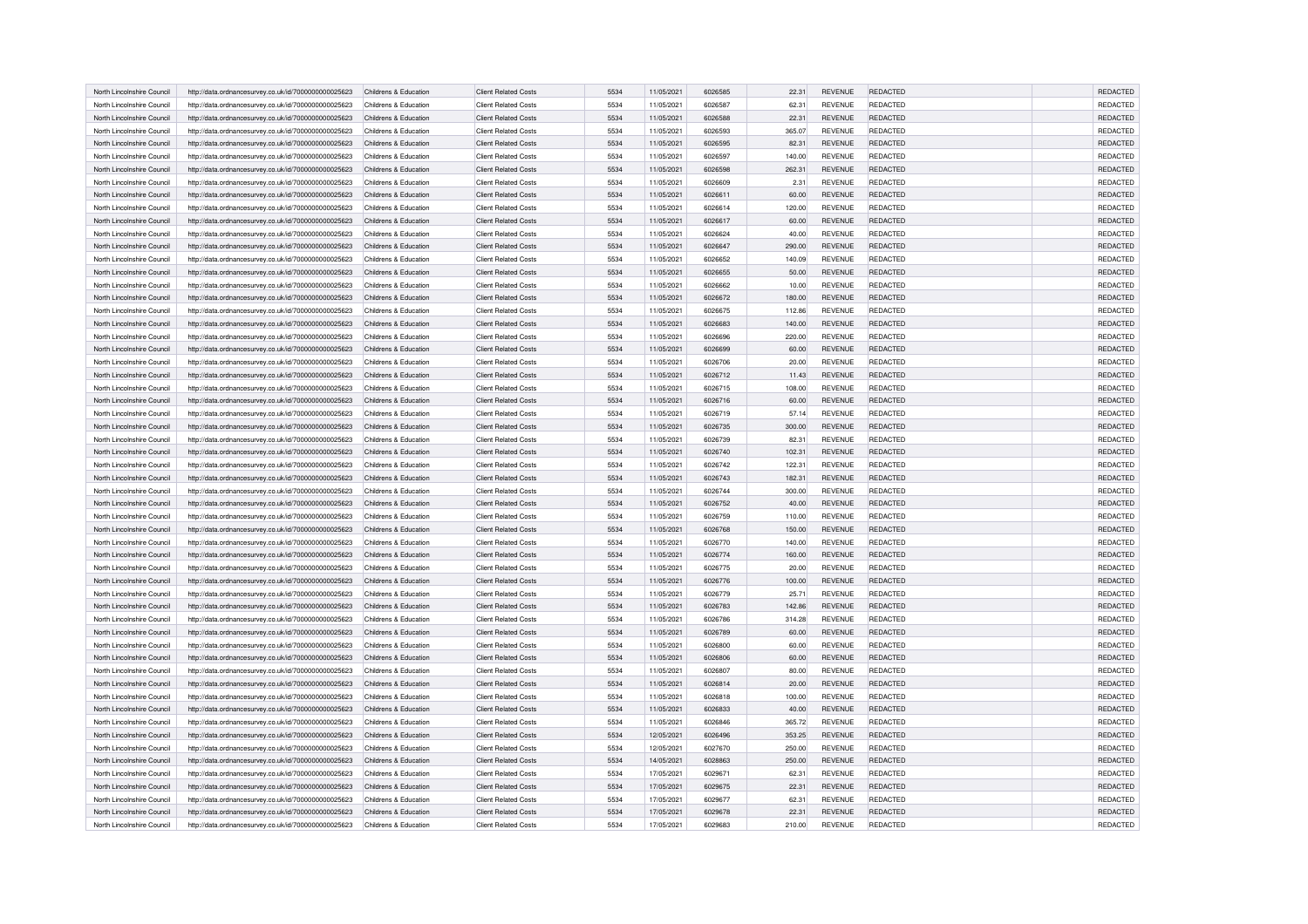| North Lincolnshire Council | http://data.ordnancesurvey.co.uk/id/7000000000025623 | Childrens & Education | <b>Client Related Costs</b> | 5534 | 11/05/2021 | 6026585 | 22.31  | <b>REVENUE</b> | REDACTED        | REDACTED        |
|----------------------------|------------------------------------------------------|-----------------------|-----------------------------|------|------------|---------|--------|----------------|-----------------|-----------------|
| North Lincolnshire Council | http://data.ordnancesurvey.co.uk/id/7000000000025623 | Childrens & Education | <b>Client Related Costs</b> | 5534 | 11/05/2021 | 6026587 | 62.31  | <b>REVENUE</b> | <b>REDACTED</b> | REDACTED        |
| North Lincolnshire Council | http://data.ordnancesurvey.co.uk/id/7000000000025623 | Childrens & Education | <b>Client Related Costs</b> | 5534 | 11/05/2021 | 6026588 | 22.31  | REVENUE        | REDACTED        | REDACTED        |
| North Lincolnshire Council | http://data.ordnancesurvey.co.uk/id/7000000000025623 | Childrens & Education | <b>Client Related Costs</b> | 5534 | 11/05/2021 | 6026593 | 365.07 | <b>REVENUE</b> | <b>REDACTED</b> | REDACTED        |
| North Lincolnshire Council | http://data.ordnancesurvey.co.uk/id/7000000000025623 | Childrens & Education | <b>Client Related Costs</b> | 5534 | 11/05/2021 | 6026595 | 82.31  | <b>REVENUE</b> | REDACTED        | REDACTED        |
| North Lincolnshire Council | http://data.ordnancesurvey.co.uk/id/7000000000025623 | Childrens & Education | <b>Client Related Costs</b> | 5534 | 11/05/2021 | 6026597 | 140.00 | <b>REVENUE</b> | REDACTED        | REDACTED        |
| North Lincolnshire Council | http://data.ordnancesurvey.co.uk/id/7000000000025623 | Childrens & Education | <b>Client Related Costs</b> | 5534 | 11/05/2021 | 6026598 | 262.31 | <b>REVENUE</b> | <b>REDACTED</b> | REDACTED        |
| North Lincolnshire Council | http://data.ordnancesurvey.co.uk/id/7000000000025623 | Childrens & Education | <b>Client Related Costs</b> | 5534 | 11/05/2021 | 6026609 | 2.31   | <b>REVENUE</b> | REDACTED        | REDACTED        |
| North Lincolnshire Council | http://data.ordnancesurvey.co.uk/id/7000000000025623 | Childrens & Education | <b>Client Related Costs</b> | 5534 | 11/05/2021 | 6026611 | 60.00  | <b>REVENUE</b> | REDACTED        | REDACTED        |
| North Lincolnshire Council | http://data.ordnancesurvey.co.uk/id/7000000000025623 | Childrens & Education | <b>Client Related Costs</b> | 5534 | 11/05/2021 | 6026614 | 120.00 | <b>REVENUE</b> | <b>REDACTED</b> | REDACTED        |
| North Lincolnshire Council | http://data.ordnancesurvey.co.uk/id/7000000000025623 | Childrens & Education | <b>Client Related Costs</b> | 5534 | 11/05/2021 | 6026617 | 60.00  | <b>REVENUE</b> | <b>REDACTED</b> | REDACTED        |
| North Lincolnshire Council | http://data.ordnancesurvey.co.uk/id/7000000000025623 | Childrens & Education | <b>Client Related Costs</b> | 5534 | 11/05/2021 | 6026624 | 40.00  | <b>REVENUE</b> | REDACTED        | REDACTED        |
| North Lincolnshire Council | http://data.ordnancesurvey.co.uk/id/7000000000025623 | Childrens & Education | <b>Client Related Costs</b> | 5534 | 11/05/2021 | 6026647 | 290.00 | <b>REVENUE</b> | <b>REDACTED</b> | REDACTED        |
| North Lincolnshire Council | http://data.ordnancesurvey.co.uk/id/7000000000025623 | Childrens & Education | Client Related Costs        | 5534 | 11/05/2021 | 6026652 | 140.09 | <b>REVENUE</b> | REDACTED        | REDACTED        |
| North Lincolnshire Council | http://data.ordnancesurvey.co.uk/id/7000000000025623 | Childrens & Education | <b>Client Related Costs</b> | 5534 | 11/05/2021 | 6026655 | 50.00  | <b>REVENUE</b> | REDACTED        | REDACTED        |
| North Lincolnshire Council | http://data.ordnancesurvey.co.uk/id/7000000000025623 | Childrens & Education | <b>Client Related Costs</b> | 5534 | 11/05/2021 | 6026662 | 10.00  | REVENUE        | <b>REDACTED</b> | REDACTED        |
| North Lincolnshire Council | http://data.ordnancesurvey.co.uk/id/7000000000025623 | Childrens & Education | <b>Client Related Costs</b> | 5534 | 11/05/2021 | 6026672 | 180.00 | REVENUE        | REDACTED        | REDACTED        |
| North Lincolnshire Council | http://data.ordnancesurvey.co.uk/id/7000000000025623 | Childrens & Education | <b>Client Related Costs</b> | 5534 | 11/05/2021 | 6026675 | 112.86 | REVENUE        | <b>REDACTED</b> | REDACTED        |
| North Lincolnshire Council | http://data.ordnancesurvey.co.uk/id/7000000000025623 | Childrens & Education | <b>Client Related Costs</b> | 5534 | 11/05/2021 | 6026683 | 140.00 | <b>REVENUE</b> | <b>REDACTED</b> | <b>REDACTED</b> |
| North Lincolnshire Council | http://data.ordnancesurvey.co.uk/id/7000000000025623 | Childrens & Education | Client Related Costs        | 5534 | 11/05/2021 | 6026696 | 220.00 | <b>REVENUE</b> | REDACTED        | REDACTED        |
| North Lincolnshire Council | http://data.ordnancesurvey.co.uk/id/7000000000025623 | Childrens & Education | <b>Client Related Costs</b> | 5534 | 11/05/2021 | 6026699 | 60.00  | <b>REVENUE</b> | <b>REDACTED</b> | REDACTED        |
| North Lincolnshire Council | http://data.ordnancesurvey.co.uk/id/7000000000025623 | Childrens & Education | <b>Client Related Costs</b> | 5534 | 11/05/2021 | 6026706 | 20.00  | <b>REVENUE</b> | REDACTED        | REDACTED        |
| North Lincolnshire Council | http://data.ordnancesurvey.co.uk/id/7000000000025623 | Childrens & Education | <b>Client Related Costs</b> | 5534 | 11/05/2021 | 6026712 | 11.43  | <b>REVENUE</b> | <b>REDACTED</b> | REDACTED        |
| North Lincolnshire Council | http://data.ordnancesurvey.co.uk/id/7000000000025623 | Childrens & Education | <b>Client Related Costs</b> | 5534 | 11/05/2021 | 6026715 | 108.00 | REVENUE        | <b>REDACTED</b> | REDACTED        |
| North Lincolnshire Council | http://data.ordnancesurvey.co.uk/id/7000000000025623 | Childrens & Education | <b>Client Related Costs</b> | 5534 | 11/05/2021 | 6026716 | 60.00  | <b>REVENUE</b> | <b>REDACTED</b> | REDACTED        |
| North Lincolnshire Council | http://data.ordnancesurvey.co.uk/id/7000000000025623 | Childrens & Education | <b>Client Related Costs</b> | 5534 | 11/05/2021 | 6026719 | 57.14  | REVENUE        | REDACTED        | REDACTED        |
| North Lincolnshire Council | http://data.ordnancesurvey.co.uk/id/7000000000025623 | Childrens & Education | <b>Client Related Costs</b> | 5534 | 11/05/2021 | 6026735 | 300.00 | <b>REVENUE</b> | <b>REDACTED</b> | REDACTED        |
| North Lincolnshire Council | http://data.ordnancesurvey.co.uk/id/7000000000025623 | Childrens & Education | <b>Client Related Costs</b> | 5534 | 11/05/2021 | 6026739 | 82.31  | <b>REVENUE</b> | <b>REDACTED</b> | REDACTED        |
| North Lincolnshire Council | http://data.ordnancesurvey.co.uk/id/7000000000025623 | Childrens & Education | <b>Client Related Costs</b> | 5534 | 11/05/2021 | 6026740 | 102.31 | <b>REVENUE</b> | <b>REDACTED</b> | REDACTED        |
| North Lincolnshire Council | http://data.ordnancesurvey.co.uk/id/7000000000025623 | Childrens & Education | <b>Client Related Costs</b> | 5534 | 11/05/2021 | 6026742 | 122.31 | REVENUE        | REDACTED        | REDACTED        |
| North Lincolnshire Council | http://data.ordnancesurvey.co.uk/id/7000000000025623 | Childrens & Education | <b>Client Related Costs</b> | 5534 | 11/05/2021 | 6026743 | 182.31 | REVENUE        | REDACTED        | REDACTED        |
| North Lincolnshire Council | http://data.ordnancesurvey.co.uk/id/7000000000025623 | Childrens & Education | <b>Client Related Costs</b> | 5534 | 11/05/2021 | 6026744 | 300.00 | REVENUE        | <b>REDACTED</b> | REDACTED        |
| North Lincolnshire Council | http://data.ordnancesurvey.co.uk/id/7000000000025623 | Childrens & Education | <b>Client Related Costs</b> | 5534 | 11/05/2021 | 6026752 | 40.00  | <b>REVENUE</b> | <b>REDACTED</b> | REDACTED        |
| North Lincolnshire Council | http://data.ordnancesurvey.co.uk/id/7000000000025623 | Childrens & Education | <b>Client Related Costs</b> | 5534 | 11/05/2021 | 6026759 | 110.00 | REVENUE        | <b>REDACTED</b> | REDACTED        |
| North Lincolnshire Council | http://data.ordnancesurvey.co.uk/id/7000000000025623 | Childrens & Education | <b>Client Related Costs</b> | 5534 | 11/05/2021 | 6026768 | 150.00 | <b>REVENUE</b> | <b>REDACTED</b> | REDACTED        |
| North Lincolnshire Council | http://data.ordnancesurvey.co.uk/id/7000000000025623 | Childrens & Education | <b>Client Related Costs</b> | 5534 | 11/05/2021 | 6026770 | 140.00 | REVENUE        | <b>REDACTED</b> | REDACTED        |
| North Lincolnshire Council | http://data.ordnancesurvey.co.uk/id/7000000000025623 | Childrens & Education | <b>Client Related Costs</b> | 5534 | 11/05/2021 | 6026774 | 160.00 | REVENUE        | <b>REDACTED</b> | REDACTED        |
| North Lincolnshire Council | http://data.ordnancesurvey.co.uk/id/7000000000025623 | Childrens & Education | <b>Client Related Costs</b> | 5534 | 11/05/2021 | 6026775 | 20.00  | <b>REVENUE</b> | <b>REDACTED</b> | REDACTED        |
| North Lincolnshire Council | http://data.ordnancesurvey.co.uk/id/7000000000025623 | Childrens & Education | <b>Client Related Costs</b> | 5534 | 11/05/2021 | 6026776 | 100.00 | REVENUE        | <b>REDACTED</b> | REDACTED        |
| North Lincolnshire Council | http://data.ordnancesurvey.co.uk/id/7000000000025623 | Childrens & Education | <b>Client Related Costs</b> | 5534 | 11/05/2021 | 6026779 | 25.71  | <b>REVENUE</b> | <b>REDACTED</b> | REDACTED        |
| North Lincolnshire Council | http://data.ordnancesurvey.co.uk/id/7000000000025623 | Childrens & Education | <b>Client Related Costs</b> | 5534 | 11/05/2021 | 6026783 | 142.86 | REVENUE        | <b>REDACTED</b> | REDACTED        |
| North Lincolnshire Council | http://data.ordnancesurvey.co.uk/id/7000000000025623 | Childrens & Education | <b>Client Related Costs</b> | 5534 | 11/05/2021 | 6026786 | 314.28 | <b>REVENUE</b> | <b>REDACTED</b> | REDACTED        |
| North Lincolnshire Council | http://data.ordnancesurvey.co.uk/id/7000000000025623 | Childrens & Education | <b>Client Related Costs</b> | 5534 | 11/05/2021 | 6026789 | 60.00  | <b>REVENUE</b> | <b>REDACTED</b> | REDACTED        |
| North Lincolnshire Council | http://data.ordnancesurvey.co.uk/id/7000000000025623 | Childrens & Education | <b>Client Related Costs</b> | 5534 | 11/05/2021 | 6026800 | 60.00  | <b>REVENUE</b> | REDACTED        | REDACTED        |
| North Lincolnshire Council | http://data.ordnancesurvey.co.uk/id/7000000000025623 | Childrens & Education | <b>Client Related Costs</b> | 5534 | 11/05/2021 | 6026806 | 60.00  | REVENUE        | REDACTED        | REDACTED        |
| North Lincolnshire Council | http://data.ordnancesurvey.co.uk/id/7000000000025623 | Childrens & Education | <b>Client Related Costs</b> | 5534 | 11/05/2021 | 6026807 | 80.00  | <b>REVENUE</b> | <b>REDACTED</b> | REDACTED        |
| North Lincolnshire Council | http://data.ordnancesurvey.co.uk/id/7000000000025623 | Childrens & Education | <b>Client Related Costs</b> | 5534 | 11/05/2021 | 6026814 | 20.00  | <b>REVENUE</b> | <b>REDACTED</b> | REDACTED        |
| North Lincolnshire Council | http://data.ordnancesurvey.co.uk/id/7000000000025623 | Childrens & Education | <b>Client Related Costs</b> | 5534 | 11/05/2021 | 6026818 | 100.00 | <b>REVENUE</b> | <b>REDACTED</b> | REDACTED        |
| North Lincolnshire Council | http://data.ordnancesurvey.co.uk/id/7000000000025623 | Childrens & Education | <b>Client Related Costs</b> | 5534 | 11/05/2021 | 6026833 | 40.00  | REVENUE        | <b>REDACTED</b> | REDACTED        |
| North Lincolnshire Council | http://data.ordnancesurvey.co.uk/id/7000000000025623 | Childrens & Education | <b>Client Related Costs</b> | 5534 | 11/05/2021 | 6026846 | 365.72 | REVENUE        | <b>REDACTED</b> | REDACTED        |
| North Lincolnshire Council | http://data.ordnancesurvey.co.uk/id/7000000000025623 | Childrens & Education | <b>Client Related Costs</b> | 5534 | 12/05/2021 | 6026496 | 353.25 | REVENUE        | <b>REDACTED</b> | REDACTED        |
| North Lincolnshire Council | http://data.ordnancesurvey.co.uk/id/7000000000025623 | Childrens & Education | <b>Client Related Costs</b> | 5534 | 12/05/2021 | 6027670 | 250.00 | REVENUE        | REDACTED        | REDACTED        |
| North Lincolnshire Council | http://data.ordnancesurvey.co.uk/id/7000000000025623 | Childrens & Education | <b>Client Related Costs</b> | 5534 | 14/05/2021 | 6028863 | 250.00 | REVENUE        | <b>REDACTED</b> | REDACTED        |
| North Lincolnshire Council | http://data.ordnancesurvey.co.uk/id/7000000000025623 | Childrens & Education | Client Related Costs        | 5534 | 17/05/2021 | 6029671 | 62.31  | <b>REVENUE</b> | REDACTED        | REDACTED        |
| North Lincolnshire Council | http://data.ordnancesurvey.co.uk/id/7000000000025623 | Childrens & Education | <b>Client Related Costs</b> | 5534 | 17/05/2021 | 6029675 | 22.31  | <b>REVENUE</b> | REDACTED        | REDACTED        |
| North Lincolnshire Council | http://data.ordnancesurvey.co.uk/id/7000000000025623 | Childrens & Education | <b>Client Related Costs</b> | 5534 | 17/05/2021 | 6029677 | 62.31  | REVENUE        | <b>REDACTED</b> | REDACTED        |
| North Lincolnshire Council | http://data.ordnancesurvey.co.uk/id/7000000000025623 | Childrens & Education | <b>Client Related Costs</b> | 5534 | 17/05/2021 | 6029678 | 22.31  | <b>REVENUE</b> | REDACTED        | REDACTED        |
| North Lincolnshire Council | http://data.ordnancesurvey.co.uk/id/7000000000025623 | Childrens & Education | <b>Client Related Costs</b> | 5534 | 17/05/2021 | 6029683 | 210.00 | REVENUE        | <b>REDACTED</b> | REDACTED        |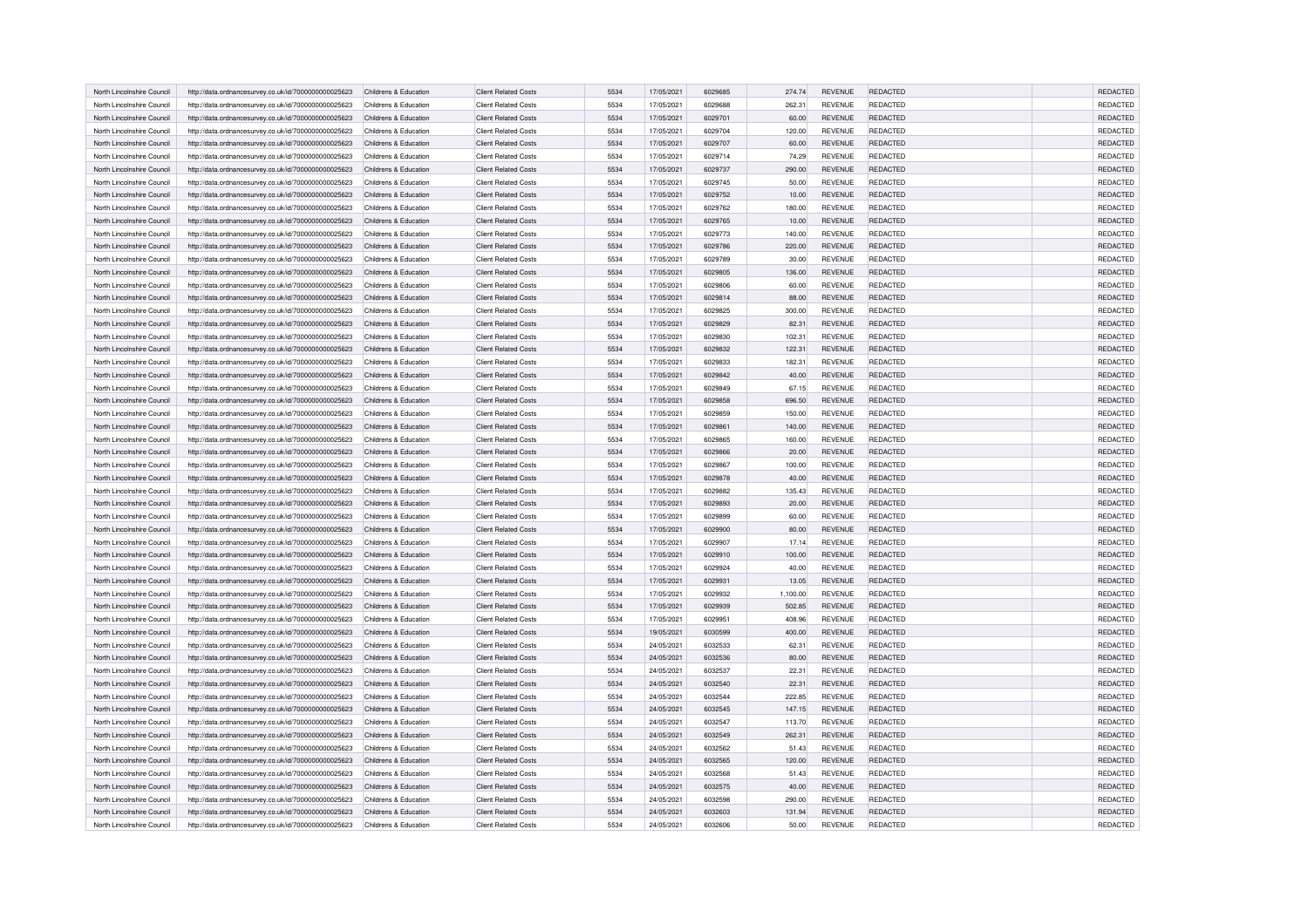| North Lincolnshire Council | http://data.ordnancesurvey.co.uk/id/7000000000025623 | Childrens & Education | <b>Client Related Costs</b> | 5534 | 17/05/2021 | 6029685 | 274.74   | <b>REVENUE</b> | REDACTED        | <b>REDACTED</b> |
|----------------------------|------------------------------------------------------|-----------------------|-----------------------------|------|------------|---------|----------|----------------|-----------------|-----------------|
| North Lincolnshire Council | http://data.ordnancesurvey.co.uk/id/7000000000025623 | Childrens & Education | <b>Client Related Costs</b> | 5534 | 17/05/2021 | 6029688 | 262.31   | <b>REVENUE</b> | REDACTED        | <b>REDACTED</b> |
| North Lincolnshire Council | http://data.ordnancesurvey.co.uk/id/7000000000025623 | Childrens & Education | <b>Client Related Costs</b> | 5534 | 17/05/2021 | 6029701 | 60.00    | <b>REVENUE</b> | REDACTED        | <b>REDACTED</b> |
| North Lincolnshire Council | http://data.ordnancesurvey.co.uk/id/7000000000025623 | Childrens & Education | <b>Client Related Costs</b> | 5534 | 17/05/2021 | 6029704 | 120.00   | REVENUE        | REDACTED        | REDACTED        |
| North Lincolnshire Council | http://data.ordnancesurvey.co.uk/id/7000000000025623 | Childrens & Education | <b>Client Related Costs</b> | 5534 | 17/05/2021 | 6029707 | 60.00    | REVENUE        | REDACTED        | REDACTED        |
| North Lincolnshire Council | http://data.ordnancesurvey.co.uk/id/7000000000025623 | Childrens & Education | <b>Client Related Costs</b> | 5534 | 17/05/2021 | 6029714 | 74.29    | REVENUE        | REDACTED        | REDACTED        |
| North Lincolnshire Council | http://data.ordnancesurvey.co.uk/id/7000000000025623 | Childrens & Education | <b>Client Related Costs</b> | 5534 | 17/05/2021 | 6029737 | 290.00   | <b>REVENUE</b> | REDACTED        | REDACTED        |
| North Lincolnshire Council | http://data.ordnancesurvey.co.uk/id/7000000000025623 | Childrens & Education | <b>Client Related Costs</b> | 5534 | 17/05/2021 | 6029745 | 50.00    | REVENUE        | REDACTED        | REDACTED        |
| North Lincolnshire Council | http://data.ordnancesurvey.co.uk/id/7000000000025623 | Childrens & Education | Client Related Costs        | 5534 | 17/05/2021 | 6029752 | 10.00    | REVENUE        | REDACTED        | REDACTED        |
| North Lincolnshire Council | http://data.ordnancesurvey.co.uk/id/7000000000025623 | Childrens & Education | <b>Client Related Costs</b> | 5534 | 17/05/2021 | 6029762 | 180.00   | <b>REVENUE</b> | REDACTED        | REDACTED        |
| North Lincolnshire Council | http://data.ordnancesurvey.co.uk/id/7000000000025623 | Childrens & Education | <b>Client Related Costs</b> | 5534 | 17/05/2021 | 6029765 | 10.00    | <b>REVENUE</b> | <b>REDACTED</b> | <b>REDACTED</b> |
| North Lincolnshire Council | http://data.ordnancesurvey.co.uk/id/7000000000025623 | Childrens & Education | <b>Client Related Costs</b> | 5534 | 17/05/2021 | 6029773 | 140.00   | REVENUE        | REDACTED        | REDACTED        |
| North Lincolnshire Council | http://data.ordnancesurvey.co.uk/id/7000000000025623 | Childrens & Education | <b>Client Related Costs</b> | 5534 | 17/05/2021 | 6029786 | 220.00   | <b>REVENUE</b> | REDACTED        | REDACTED        |
| North Lincolnshire Council | http://data.ordnancesurvey.co.uk/id/7000000000025623 | Childrens & Education | <b>Client Related Costs</b> | 5534 | 17/05/2021 | 6029789 | 30.00    | REVENUE        | REDACTED        | REDACTED        |
| North Lincolnshire Council | http://data.ordnancesurvey.co.uk/id/7000000000025623 | Childrens & Education | <b>Client Related Costs</b> | 5534 | 17/05/2021 | 6029805 | 136.00   | <b>REVENUE</b> | REDACTED        | REDACTED        |
| North Lincolnshire Council | http://data.ordnancesurvey.co.uk/id/7000000000025623 | Childrens & Education | <b>Client Related Costs</b> | 5534 | 17/05/2021 | 6029806 | 60.00    | <b>REVENUE</b> | REDACTED        | REDACTED        |
| North Lincolnshire Council | http://data.ordnancesurvey.co.uk/id/7000000000025623 | Childrens & Education | <b>Client Related Costs</b> | 5534 | 17/05/2021 | 6029814 | 88.00    | <b>REVENUE</b> | REDACTED        | REDACTED        |
| North Lincolnshire Council | http://data.ordnancesurvey.co.uk/id/7000000000025623 | Childrens & Education | <b>Client Related Costs</b> | 5534 | 17/05/2021 | 6029825 | 300.00   | REVENUE        | REDACTED        | REDACTED        |
| North Lincolnshire Council | http://data.ordnancesurvey.co.uk/id/7000000000025623 | Childrens & Education | <b>Client Related Costs</b> | 5534 | 17/05/2021 | 6029829 | 82.31    | <b>REVENUE</b> | REDACTED        | REDACTED        |
| North Lincolnshire Council | http://data.ordnancesurvey.co.uk/id/7000000000025623 | Childrens & Education | <b>Client Related Costs</b> | 5534 | 17/05/2021 | 6029830 | 102.31   | <b>REVENUE</b> | REDACTED        | REDACTED        |
| North Lincolnshire Council | http://data.ordnancesurvey.co.uk/id/7000000000025623 | Childrens & Education | <b>Client Related Costs</b> | 5534 | 17/05/2021 | 6029832 | 122.31   | <b>REVENUE</b> | REDACTED        | REDACTED        |
| North Lincolnshire Council | http://data.ordnancesurvey.co.uk/id/7000000000025623 | Childrens & Education | <b>Client Related Costs</b> | 5534 | 17/05/2021 | 6029833 | 182.31   | REVENUE        | REDACTED        | REDACTED        |
| North Lincolnshire Council | http://data.ordnancesurvey.co.uk/id/7000000000025623 | Childrens & Education | <b>Client Related Costs</b> | 5534 | 17/05/2021 | 6029842 | 40.00    | REVENUE        | REDACTED        | REDACTED        |
| North Lincolnshire Council | http://data.ordnancesurvey.co.uk/id/7000000000025623 | Childrens & Education | <b>Client Related Costs</b> | 5534 | 17/05/2021 | 6029849 | 67.15    | REVENUE        | <b>REDACTED</b> | REDACTED        |
| North Lincolnshire Council | http://data.ordnancesurvey.co.uk/id/7000000000025623 | Childrens & Education | <b>Client Related Costs</b> | 5534 | 17/05/2021 | 6029858 | 696.50   | REVENUE        | REDACTED        | REDACTED        |
| North Lincolnshire Council | http://data.ordnancesurvey.co.uk/id/7000000000025623 | Childrens & Education | <b>Client Related Costs</b> | 5534 | 17/05/2021 | 6029859 | 150.00   | REVENUE        | <b>REDACTED</b> | REDACTED        |
| North Lincolnshire Council | http://data.ordnancesurvey.co.uk/id/7000000000025623 | Childrens & Education | <b>Client Related Costs</b> | 5534 | 17/05/2021 | 6029861 | 140.00   | REVENUE        | REDACTED        | REDACTED        |
| North Lincolnshire Council | http://data.ordnancesurvey.co.uk/id/7000000000025623 | Childrens & Education | <b>Client Related Costs</b> | 5534 | 17/05/2021 | 6029865 | 160.00   | <b>REVENUE</b> | REDACTED        | REDACTED        |
| North Lincolnshire Council | http://data.ordnancesurvey.co.uk/id/7000000000025623 | Childrens & Education | <b>Client Related Costs</b> | 5534 | 17/05/2021 | 6029866 | 20.00    | REVENUE        | REDACTED        | REDACTED        |
| North Lincolnshire Council | http://data.ordnancesurvey.co.uk/id/7000000000025623 | Childrens & Education | <b>Client Related Costs</b> | 5534 | 17/05/2021 | 6029867 | 100.00   | REVENUE        | <b>REDACTED</b> | REDACTED        |
| North Lincolnshire Council | http://data.ordnancesurvey.co.uk/id/7000000000025623 | Childrens & Education | <b>Client Related Costs</b> | 5534 | 17/05/2021 | 6029878 | 40.00    | REVENUE        | <b>REDACTED</b> | REDACTED        |
| North Lincolnshire Council | http://data.ordnancesurvey.co.uk/id/7000000000025623 | Childrens & Education | <b>Client Related Costs</b> | 5534 | 17/05/2021 | 6029882 | 135.43   | REVENUE        | <b>REDACTED</b> | REDACTED        |
| North Lincolnshire Council | http://data.ordnancesurvey.co.uk/id/7000000000025623 | Childrens & Education | <b>Client Related Costs</b> | 5534 | 17/05/2021 | 6029893 | 20.00    | REVENUE        | <b>REDACTED</b> | <b>REDACTED</b> |
| North Lincolnshire Council | http://data.ordnancesurvey.co.uk/id/7000000000025623 | Childrens & Education | <b>Client Related Costs</b> | 5534 | 17/05/2021 | 6029899 | 60.00    | REVENUE        | REDACTED        | REDACTED        |
| North Lincolnshire Council | http://data.ordnancesurvey.co.uk/id/7000000000025623 | Childrens & Education | Client Related Costs        | 5534 | 17/05/2021 | 6029900 | 80.00    | REVENUE        | REDACTED        | REDACTED        |
| North Lincolnshire Council | http://data.ordnancesurvey.co.uk/id/7000000000025623 | Childrens & Education | <b>Client Related Costs</b> | 5534 | 17/05/2021 | 6029907 | 17.14    | REVENUE        | <b>REDACTED</b> | REDACTED        |
| North Lincolnshire Council | http://data.ordnancesurvey.co.uk/id/7000000000025623 | Childrens & Education | <b>Client Related Costs</b> | 5534 | 17/05/2021 | 6029910 | 100.00   | REVENUE        | <b>REDACTED</b> | REDACTED        |
| North Lincolnshire Council | http://data.ordnancesurvey.co.uk/id/7000000000025623 | Childrens & Education | <b>Client Related Costs</b> | 5534 | 17/05/2021 | 6029924 | 40.00    | REVENUE        | REDACTED        | REDACTED        |
| North Lincolnshire Council | http://data.ordnancesurvey.co.uk/id/7000000000025623 | Childrens & Education | <b>Client Related Costs</b> | 5534 | 17/05/2021 | 6029931 | 13.05    | REVENUE        | <b>REDACTED</b> | REDACTED        |
| North Lincolnshire Council | http://data.ordnancesurvey.co.uk/id/7000000000025623 | Childrens & Education | <b>Client Related Costs</b> | 5534 | 17/05/2021 | 6029932 | 1,100.00 | REVENUE        | REDACTED        | <b>REDACTED</b> |
| North Lincolnshire Council | http://data.ordnancesurvey.co.uk/id/7000000000025623 | Childrens & Education | <b>Client Related Costs</b> | 5534 | 17/05/2021 | 6029939 | 502.85   | <b>REVENUE</b> | <b>REDACTED</b> | <b>REDACTED</b> |
| North Lincolnshire Council | http://data.ordnancesurvey.co.uk/id/7000000000025623 | Childrens & Education | <b>Client Related Costs</b> | 5534 | 17/05/2021 | 6029951 | 408.96   | <b>REVENUE</b> | <b>REDACTED</b> | REDACTED        |
| North Lincolnshire Council | http://data.ordnancesurvey.co.uk/id/7000000000025623 | Childrens & Education | <b>Client Related Costs</b> | 5534 | 19/05/2021 | 6030599 | 400.00   | REVENUE        | REDACTED        | REDACTED        |
| North Lincolnshire Council | http://data.ordnancesurvey.co.uk/id/7000000000025623 | Childrens & Education | <b>Client Related Costs</b> | 5534 | 24/05/2021 | 6032533 | 62.31    | REVENUE        | REDACTED        | REDACTED        |
| North Lincolnshire Council | http://data.ordnancesurvey.co.uk/id/7000000000025623 | Childrens & Education | <b>Client Related Costs</b> | 5534 | 24/05/2021 | 6032536 | 80.00    | REVENUE        | <b>REDACTED</b> | <b>REDACTED</b> |
| North Lincolnshire Council | http://data.ordnancesurvey.co.uk/id/7000000000025623 | Childrens & Education | <b>Client Related Costs</b> | 5534 | 24/05/2021 | 6032537 | 22.31    | REVENUE        | <b>REDACTED</b> | REDACTED        |
| North Lincolnshire Council | http://data.ordnancesurvey.co.uk/id/7000000000025623 | Childrens & Education | <b>Client Related Costs</b> | 5534 | 24/05/2021 | 6032540 | 22.31    | REVENUE        | <b>REDACTED</b> | <b>REDACTED</b> |
| North Lincolnshire Council | http://data.ordnancesurvey.co.uk/id/7000000000025623 | Childrens & Education | <b>Client Related Costs</b> | 5534 | 24/05/2021 | 6032544 | 222.85   | REVENUE        | <b>REDACTED</b> | REDACTED        |
| North Lincolnshire Council | http://data.ordnancesurvey.co.uk/id/7000000000025623 | Childrens & Education | <b>Client Related Costs</b> | 5534 | 24/05/2021 | 6032545 | 147.15   | <b>REVENUE</b> | <b>REDACTED</b> | REDACTED        |
| North Lincolnshire Council | http://data.ordnancesurvey.co.uk/id/7000000000025623 | Childrens & Education | <b>Client Related Costs</b> | 5534 | 24/05/2021 | 6032547 | 113.70   | REVENUE        | REDACTED        | REDACTED        |
| North Lincolnshire Council | http://data.ordnancesurvey.co.uk/id/7000000000025623 | Childrens & Education | <b>Client Related Costs</b> | 5534 | 24/05/2021 | 6032549 | 262.31   | REVENUE        | <b>REDACTED</b> | REDACTED        |
| North Lincolnshire Council | http://data.ordnancesurvey.co.uk/id/7000000000025623 | Childrens & Education | <b>Client Related Costs</b> | 5534 | 24/05/2021 | 6032562 | 51.43    | REVENUE        | REDACTED        | REDACTED        |
| North Lincolnshire Council | http://data.ordnancesurvey.co.uk/id/7000000000025623 | Childrens & Education | <b>Client Related Costs</b> | 5534 | 24/05/2021 | 6032565 | 120.00   | REVENUE        | <b>REDACTED</b> | REDACTED        |
| North Lincolnshire Council | http://data.ordnancesurvey.co.uk/id/7000000000025623 | Childrens & Education | <b>Client Related Costs</b> | 5534 | 24/05/2021 | 6032568 | 51.43    | <b>REVENUE</b> | REDACTED        | REDACTED        |
| North Lincolnshire Council | http://data.ordnancesurvey.co.uk/id/7000000000025623 | Childrens & Education | <b>Client Related Costs</b> | 5534 | 24/05/2021 | 6032575 | 40.00    | REVENUE        | REDACTED        | REDACTED        |
| North Lincolnshire Council | http://data.ordnancesurvey.co.uk/id/7000000000025623 | Childrens & Education | <b>Client Related Costs</b> | 5534 | 24/05/2021 | 6032598 | 290.00   | <b>REVENUE</b> | REDACTED        | REDACTED        |
| North Lincolnshire Council | http://data.ordnancesurvey.co.uk/id/7000000000025623 | Childrens & Education | <b>Client Related Costs</b> | 5534 | 24/05/2021 | 6032603 | 131.94   | REVENUE        | <b>REDACTED</b> | REDACTED        |
| North Lincolnshire Council | http://data.ordnancesurvey.co.uk/id/7000000000025623 | Childrens & Education | <b>Client Related Costs</b> | 5534 | 24/05/2021 | 6032606 | 50.00    | REVENUE        | <b>REDACTED</b> | REDACTED        |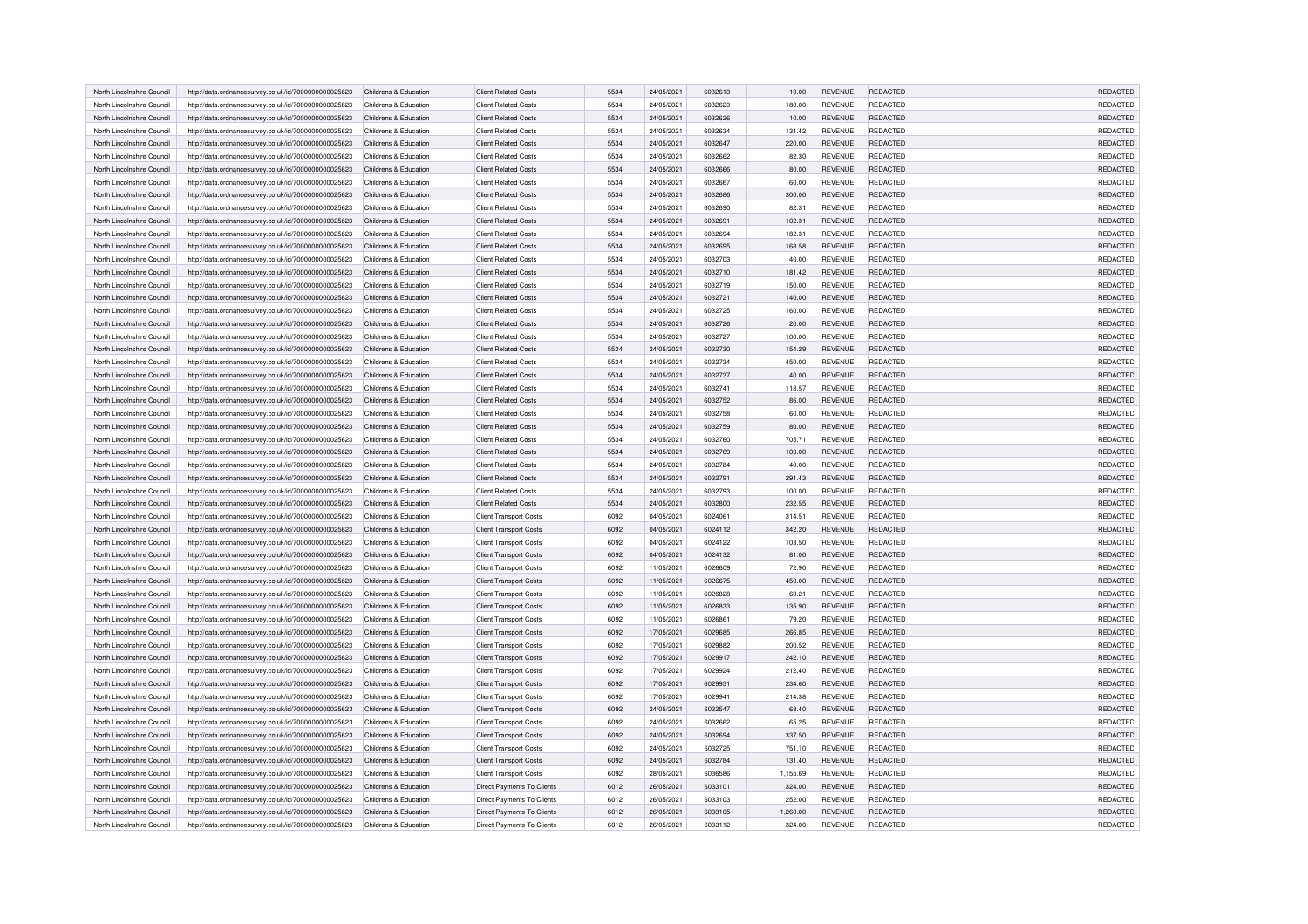| North Lincolnshire Council | http://data.ordnancesurvey.co.uk/id/7000000000025623 | Childrens & Education | <b>Client Related Costs</b>       | 5534 | 24/05/2021 | 6032613 | 10.00    | <b>REVENUE</b> | REDACTED        | REDACTED        |
|----------------------------|------------------------------------------------------|-----------------------|-----------------------------------|------|------------|---------|----------|----------------|-----------------|-----------------|
| North Lincolnshire Council | http://data.ordnancesurvey.co.uk/id/7000000000025623 | Childrens & Education | <b>Client Related Costs</b>       | 5534 | 24/05/2021 | 6032623 | 180.00   | <b>REVENUE</b> | <b>REDACTED</b> | REDACTED        |
| North Lincolnshire Council | http://data.ordnancesurvey.co.uk/id/7000000000025623 | Childrens & Education | <b>Client Related Costs</b>       | 5534 | 24/05/2021 | 6032626 | 10.00    | REVENUE        | REDACTED        | REDACTED        |
| North Lincolnshire Council | http://data.ordnancesurvey.co.uk/id/7000000000025623 | Childrens & Education | <b>Client Related Costs</b>       | 5534 | 24/05/2021 | 6032634 | 131.42   | <b>REVENUE</b> | <b>REDACTED</b> | REDACTED        |
| North Lincolnshire Council | http://data.ordnancesurvey.co.uk/id/7000000000025623 | Childrens & Education | <b>Client Related Costs</b>       | 5534 | 24/05/2021 | 6032647 | 220.00   | <b>REVENUE</b> | REDACTED        | REDACTED        |
| North Lincolnshire Council | http://data.ordnancesurvey.co.uk/id/7000000000025623 | Childrens & Education | <b>Client Related Costs</b>       | 5534 | 24/05/2021 | 6032662 | 82.30    | <b>REVENUE</b> | REDACTED        | REDACTED        |
| North Lincolnshire Council | http://data.ordnancesurvey.co.uk/id/7000000000025623 | Childrens & Education | <b>Client Related Costs</b>       | 5534 | 24/05/2021 | 6032666 | 80.00    | <b>REVENUE</b> | <b>REDACTED</b> | REDACTED        |
| North Lincolnshire Council | http://data.ordnancesurvey.co.uk/id/7000000000025623 | Childrens & Education | <b>Client Related Costs</b>       | 5534 | 24/05/2021 | 6032667 | 60.00    | <b>REVENUE</b> | REDACTED        | REDACTED        |
| North Lincolnshire Council | http://data.ordnancesurvey.co.uk/id/7000000000025623 | Childrens & Education | <b>Client Related Costs</b>       | 5534 | 24/05/2021 | 6032686 | 300.00   | <b>REVENUE</b> | REDACTED        | REDACTED        |
| North Lincolnshire Council | http://data.ordnancesurvey.co.uk/id/7000000000025623 | Childrens & Education | <b>Client Related Costs</b>       | 5534 | 24/05/2021 | 6032690 | 82.31    | <b>REVENUE</b> | <b>REDACTED</b> | REDACTED        |
| North Lincolnshire Council | http://data.ordnancesurvey.co.uk/id/7000000000025623 | Childrens & Education | <b>Client Related Costs</b>       | 5534 | 24/05/2021 | 6032691 | 102.31   | <b>REVENUE</b> | <b>REDACTED</b> | REDACTED        |
| North Lincolnshire Council | http://data.ordnancesurvey.co.uk/id/7000000000025623 | Childrens & Education | <b>Client Related Costs</b>       | 5534 | 24/05/2021 | 6032694 | 182.31   | <b>REVENUE</b> | REDACTED        | REDACTED        |
| North Lincolnshire Council | http://data.ordnancesurvey.co.uk/id/7000000000025623 | Childrens & Education | <b>Client Related Costs</b>       | 5534 | 24/05/2021 | 6032695 | 168.58   | <b>REVENUE</b> | <b>REDACTED</b> | REDACTED        |
| North Lincolnshire Council | http://data.ordnancesurvey.co.uk/id/7000000000025623 | Childrens & Education | Client Related Costs              | 5534 | 24/05/2021 | 6032703 | 40.00    | <b>REVENUE</b> | REDACTED        | REDACTED        |
| North Lincolnshire Council | http://data.ordnancesurvey.co.uk/id/7000000000025623 | Childrens & Education | <b>Client Related Costs</b>       | 5534 | 24/05/2021 | 6032710 | 181.42   | <b>REVENUE</b> | REDACTED        | REDACTED        |
| North Lincolnshire Council | http://data.ordnancesurvey.co.uk/id/7000000000025623 | Childrens & Education | <b>Client Related Costs</b>       | 5534 | 24/05/2021 | 6032719 | 150.00   | REVENUE        | REDACTED        | REDACTED        |
| North Lincolnshire Council | http://data.ordnancesurvey.co.uk/id/7000000000025623 | Childrens & Education | <b>Client Related Costs</b>       | 5534 | 24/05/2021 | 6032721 | 140.00   | REVENUE        | REDACTED        | REDACTED        |
| North Lincolnshire Council | http://data.ordnancesurvey.co.uk/id/7000000000025623 | Childrens & Education | <b>Client Related Costs</b>       | 5534 | 24/05/2021 | 6032725 | 160.00   | REVENUE        | REDACTED        | REDACTED        |
| North Lincolnshire Council | http://data.ordnancesurvey.co.uk/id/7000000000025623 | Childrens & Education | <b>Client Related Costs</b>       | 5534 | 24/05/2021 | 6032726 | 20.00    | REVENUE        | <b>REDACTED</b> | <b>REDACTED</b> |
| North Lincolnshire Council | http://data.ordnancesurvey.co.uk/id/7000000000025623 | Childrens & Education | Client Related Costs              | 5534 | 24/05/2021 | 6032727 | 100.00   | <b>REVENUE</b> | REDACTED        | REDACTED        |
| North Lincolnshire Council | http://data.ordnancesurvey.co.uk/id/7000000000025623 | Childrens & Education | <b>Client Related Costs</b>       | 5534 | 24/05/2021 | 6032730 | 154.29   | <b>REVENUE</b> | <b>REDACTED</b> | REDACTED        |
| North Lincolnshire Council | http://data.ordnancesurvey.co.uk/id/7000000000025623 | Childrens & Education | <b>Client Related Costs</b>       | 5534 | 24/05/2021 | 6032734 | 450.00   | <b>REVENUE</b> | REDACTED        | REDACTED        |
| North Lincolnshire Council | http://data.ordnancesurvey.co.uk/id/7000000000025623 | Childrens & Education | <b>Client Related Costs</b>       | 5534 | 24/05/2021 | 6032737 | 40.00    | <b>REVENUE</b> | <b>REDACTED</b> | REDACTED        |
| North Lincolnshire Council | http://data.ordnancesurvey.co.uk/id/7000000000025623 | Childrens & Education | <b>Client Related Costs</b>       | 5534 | 24/05/2021 | 6032741 | 118.57   | REVENUE        | <b>REDACTED</b> | REDACTED        |
| North Lincolnshire Council | http://data.ordnancesurvey.co.uk/id/7000000000025623 | Childrens & Education | <b>Client Related Costs</b>       | 5534 | 24/05/2021 | 6032752 | 86.00    | <b>REVENUE</b> | <b>REDACTED</b> | REDACTED        |
| North Lincolnshire Council | http://data.ordnancesurvey.co.uk/id/7000000000025623 | Childrens & Education | <b>Client Related Costs</b>       | 5534 | 24/05/2021 | 6032758 | 60.00    | REVENUE        | REDACTED        | REDACTED        |
| North Lincolnshire Council | http://data.ordnancesurvey.co.uk/id/7000000000025623 | Childrens & Education | <b>Client Related Costs</b>       | 5534 | 24/05/2021 | 6032759 | 80.00    | <b>REVENUE</b> | <b>REDACTED</b> | REDACTED        |
| North Lincolnshire Council | http://data.ordnancesurvey.co.uk/id/7000000000025623 | Childrens & Education | <b>Client Related Costs</b>       | 5534 | 24/05/2021 | 6032760 | 705.71   | REVENUE        | <b>REDACTED</b> | REDACTED        |
| North Lincolnshire Council | http://data.ordnancesurvey.co.uk/id/7000000000025623 | Childrens & Education | <b>Client Related Costs</b>       | 5534 | 24/05/2021 | 6032769 | 100.00   | <b>REVENUE</b> | <b>REDACTED</b> | REDACTED        |
| North Lincolnshire Council | http://data.ordnancesurvey.co.uk/id/7000000000025623 | Childrens & Education | <b>Client Related Costs</b>       | 5534 | 24/05/2021 | 6032784 | 40.00    | REVENUE        | <b>REDACTED</b> | REDACTED        |
| North Lincolnshire Council | http://data.ordnancesurvey.co.uk/id/7000000000025623 | Childrens & Education | <b>Client Related Costs</b>       | 5534 | 24/05/2021 | 6032791 | 291.43   | REVENUE        | REDACTED        | REDACTED        |
| North Lincolnshire Council | http://data.ordnancesurvey.co.uk/id/7000000000025623 | Childrens & Education | <b>Client Related Costs</b>       | 5534 | 24/05/2021 | 6032793 | 100.00   | REVENUE        | REDACTED        | REDACTED        |
| North Lincolnshire Council | http://data.ordnancesurvey.co.uk/id/7000000000025623 | Childrens & Education | <b>Client Related Costs</b>       | 5534 | 24/05/2021 | 6032800 | 232.55   | <b>REVENUE</b> | <b>REDACTED</b> | REDACTED        |
| North Lincolnshire Council | http://data.ordnancesurvey.co.uk/id/7000000000025623 | Childrens & Education | <b>Client Transport Costs</b>     | 6092 | 04/05/2021 | 6024061 | 314.51   | REVENUE        | <b>REDACTED</b> | REDACTED        |
| North Lincolnshire Council | http://data.ordnancesurvey.co.uk/id/7000000000025623 | Childrens & Education | <b>Client Transport Costs</b>     | 6092 | 04/05/2021 | 6024112 | 342.20   | <b>REVENUE</b> | <b>REDACTED</b> | REDACTED        |
| North Lincolnshire Council | http://data.ordnancesurvey.co.uk/id/7000000000025623 | Childrens & Education | <b>Client Transport Costs</b>     | 6092 | 04/05/2021 | 6024122 | 103.50   | REVENUE        | <b>REDACTED</b> | REDACTED        |
| North Lincolnshire Council | http://data.ordnancesurvey.co.uk/id/7000000000025623 | Childrens & Education | <b>Client Transport Costs</b>     | 6092 | 04/05/2021 | 6024132 | 81.00    | REVENUE        | <b>REDACTED</b> | REDACTED        |
| North Lincolnshire Council | http://data.ordnancesurvey.co.uk/id/7000000000025623 | Childrens & Education | <b>Client Transport Costs</b>     | 6092 | 11/05/2021 | 6026609 | 72.90    | <b>REVENUE</b> | <b>REDACTED</b> | REDACTED        |
| North Lincolnshire Council | http://data.ordnancesurvey.co.uk/id/7000000000025623 | Childrens & Education | <b>Client Transport Costs</b>     | 6092 | 11/05/2021 | 6026675 | 450.00   | REVENUE        | <b>REDACTED</b> | REDACTED        |
| North Lincolnshire Council | http://data.ordnancesurvey.co.uk/id/7000000000025623 | Childrens & Education | <b>Client Transport Costs</b>     | 6092 | 11/05/2021 | 6026828 | 69.21    | <b>REVENUE</b> | <b>REDACTED</b> | REDACTED        |
| North Lincolnshire Council | http://data.ordnancesurvey.co.uk/id/7000000000025623 | Childrens & Education | <b>Client Transport Costs</b>     | 6092 | 11/05/2021 | 6026833 | 135.90   | REVENUE        | <b>REDACTED</b> | REDACTED        |
| North Lincolnshire Council | http://data.ordnancesurvey.co.uk/id/7000000000025623 | Childrens & Education | <b>Client Transport Costs</b>     | 6092 | 11/05/2021 | 6026861 | 79.20    | <b>REVENUE</b> | <b>REDACTED</b> | REDACTED        |
| North Lincolnshire Council | http://data.ordnancesurvey.co.uk/id/7000000000025623 | Childrens & Education | <b>Client Transport Costs</b>     | 6092 | 17/05/2021 | 6029685 | 266.85   | <b>REVENUE</b> | <b>REDACTED</b> | REDACTED        |
| North Lincolnshire Council | http://data.ordnancesurvey.co.uk/id/7000000000025623 | Childrens & Education | <b>Client Transport Costs</b>     | 6092 | 17/05/2021 | 6029882 | 200.52   | REVENUE        | REDACTED        | REDACTED        |
| North Lincolnshire Council | http://data.ordnancesurvey.co.uk/id/7000000000025623 | Childrens & Education | <b>Client Transport Costs</b>     | 6092 | 17/05/2021 | 6029917 | 242.10   | REVENUE        | REDACTED        | REDACTED        |
| North Lincolnshire Council | http://data.ordnancesurvey.co.uk/id/7000000000025623 | Childrens & Education | <b>Client Transport Costs</b>     | 6092 | 17/05/2021 | 6029924 | 212.40   | <b>REVENUE</b> | <b>REDACTED</b> | REDACTED        |
| North Lincolnshire Council | http://data.ordnancesurvey.co.uk/id/7000000000025623 | Childrens & Education | <b>Client Transport Costs</b>     | 6092 | 17/05/2021 | 6029931 | 234.60   | <b>REVENUE</b> | <b>REDACTED</b> | REDACTED        |
| North Lincolnshire Council | http://data.ordnancesurvey.co.uk/id/7000000000025623 | Childrens & Education | <b>Client Transport Costs</b>     | 6092 | 17/05/2021 | 6029941 | 214.38   | <b>REVENUE</b> | <b>REDACTED</b> | REDACTED        |
| North Lincolnshire Council | http://data.ordnancesurvey.co.uk/id/7000000000025623 | Childrens & Education | <b>Client Transport Costs</b>     | 6092 | 24/05/2021 | 6032547 | 68.40    | <b>REVENUE</b> | <b>REDACTED</b> | REDACTED        |
| North Lincolnshire Council | http://data.ordnancesurvey.co.uk/id/7000000000025623 | Childrens & Education | <b>Client Transport Costs</b>     | 6092 | 24/05/2021 | 6032662 | 65.25    | REVENUE        | <b>REDACTED</b> | REDACTED        |
| North Lincolnshire Council | http://data.ordnancesurvey.co.uk/id/7000000000025623 | Childrens & Education | <b>Client Transport Costs</b>     | 6092 | 24/05/2021 | 6032694 | 337.50   | REVENUE        | <b>REDACTED</b> | REDACTED        |
| North Lincolnshire Council | http://data.ordnancesurvey.co.uk/id/7000000000025623 | Childrens & Education | <b>Client Transport Costs</b>     | 6092 | 24/05/2021 | 6032725 | 751.10   | REVENUE        | REDACTED        | REDACTED        |
| North Lincolnshire Council | http://data.ordnancesurvey.co.uk/id/7000000000025623 | Childrens & Education | <b>Client Transport Costs</b>     | 6092 | 24/05/2021 | 6032784 | 131.40   | REVENUE        | <b>REDACTED</b> | REDACTED        |
| North Lincolnshire Council | http://data.ordnancesurvey.co.uk/id/7000000000025623 | Childrens & Education | <b>Client Transport Costs</b>     | 6092 | 28/05/2021 | 6036586 | 1,155.69 | <b>REVENUE</b> | <b>REDACTED</b> | REDACTED        |
| North Lincolnshire Council | http://data.ordnancesurvey.co.uk/id/7000000000025623 | Childrens & Education | <b>Direct Payments To Clients</b> | 6012 | 26/05/2021 | 6033101 | 324.00   | <b>REVENUE</b> | <b>REDACTED</b> | REDACTED        |
| North Lincolnshire Council | http://data.ordnancesurvey.co.uk/id/7000000000025623 | Childrens & Education | Direct Payments To Clients        | 6012 | 26/05/2021 | 6033103 | 252.00   | REVENUE        | <b>REDACTED</b> | REDACTED        |
| North Lincolnshire Council | http://data.ordnancesurvey.co.uk/id/7000000000025623 | Childrens & Education | Direct Payments To Clients        | 6012 | 26/05/2021 | 6033105 | 1,260.00 | <b>REVENUE</b> | REDACTED        | REDACTED        |
| North Lincolnshire Council | http://data.ordnancesurvey.co.uk/id/7000000000025623 | Childrens & Education | Direct Payments To Clients        | 6012 | 26/05/2021 | 6033112 | 324.00   | REVENUE        | <b>REDACTED</b> | REDACTED        |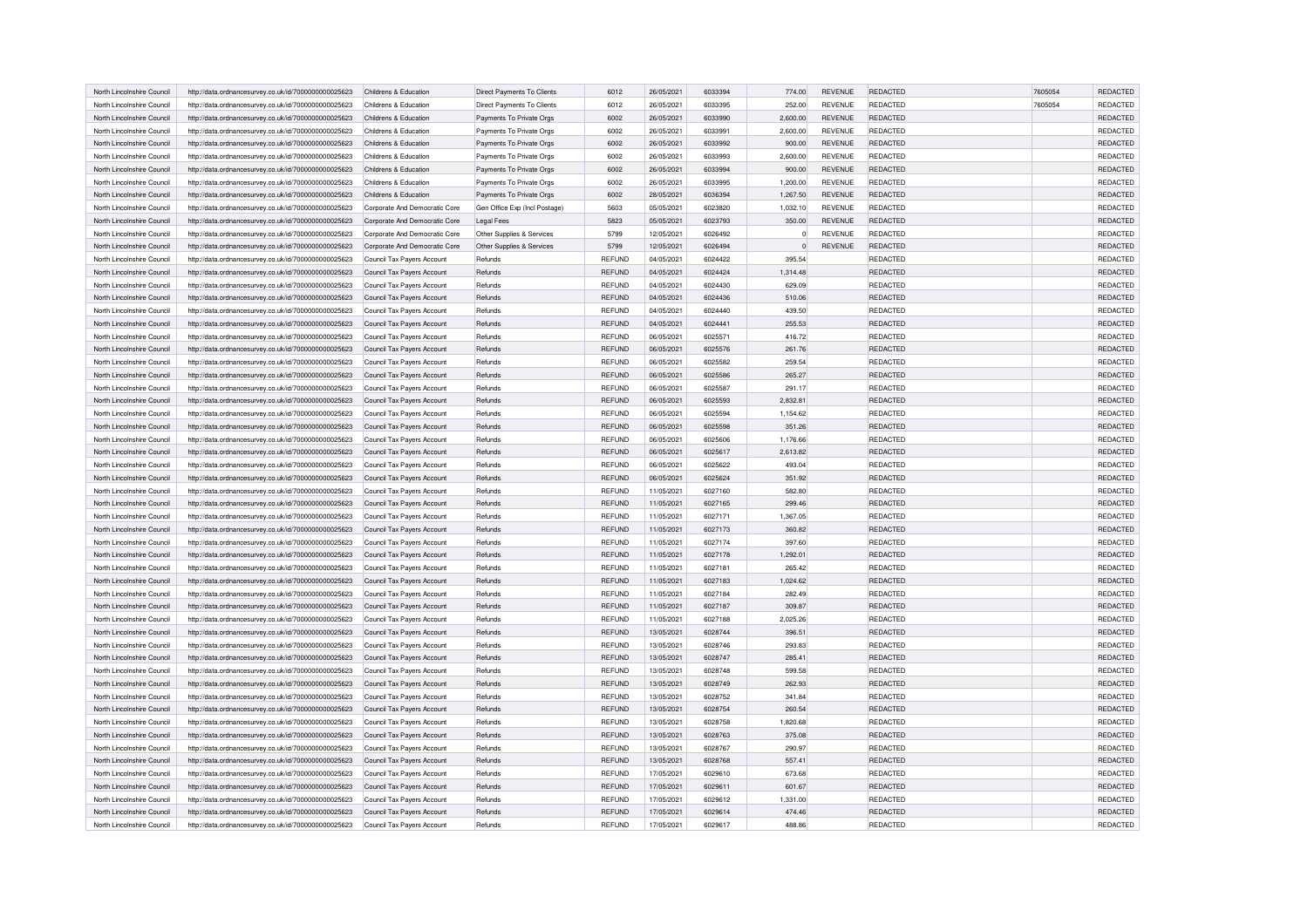| North Lincolnshire Council | http://data.ordnancesurvey.co.uk/id/7000000000025623 | Childrens & Education         | Direct Payments To Clients    | 6012          | 26/05/2021 | 6033394 | 774.00         | <b>REVENUE</b> | REDACTED        | 7605054 | REDACTED        |
|----------------------------|------------------------------------------------------|-------------------------------|-------------------------------|---------------|------------|---------|----------------|----------------|-----------------|---------|-----------------|
| North Lincolnshire Council | http://data.ordnancesurvey.co.uk/id/7000000000025623 | Childrens & Education         | Direct Payments To Clients    | 6012          | 26/05/2021 | 6033395 | 252.00         | REVENUE        | REDACTED        | 7605054 | REDACTED        |
| North Lincolnshire Council | http://data.ordnancesurvey.co.uk/id/7000000000025623 | Childrens & Education         | Payments To Private Orgs      | 6002          | 26/05/2021 | 6033990 | 2,600.00       | <b>REVENUE</b> | <b>REDACTED</b> |         | REDACTED        |
| North Lincolnshire Council | http://data.ordnancesurvey.co.uk/id/7000000000025623 | Childrens & Education         | Payments To Private Orgs      | 6002          | 26/05/2021 | 6033991 | 2,600.00       | <b>REVENUE</b> | REDACTED        |         | REDACTED        |
| North Lincolnshire Council | http://data.ordnancesurvey.co.uk/id/7000000000025623 | Childrens & Education         | Payments To Private Orgs      | 6002          | 26/05/2021 | 6033992 | 900.00         | <b>REVENUE</b> | <b>REDACTED</b> |         | REDACTED        |
| North Lincolnshire Council | http://data.ordnancesurvey.co.uk/id/7000000000025623 | Childrens & Education         | Payments To Private Orgs      | 6002          | 26/05/2021 | 6033993 | 2,600.00       | <b>REVENUE</b> | <b>REDACTED</b> |         | REDACTED        |
| North Lincolnshire Council | http://data.ordnancesurvey.co.uk/id/7000000000025623 | Childrens & Education         | Payments To Private Orgs      | 6002          | 26/05/2021 | 6033994 | 900.00         | <b>REVENUE</b> | <b>REDACTED</b> |         | REDACTED        |
| North Lincolnshire Council | http://data.ordnancesurvey.co.uk/id/7000000000025623 | Childrens & Education         | Payments To Private Orgs      | 6002          | 26/05/2021 | 6033995 | 1,200.00       | <b>REVENUE</b> | <b>REDACTED</b> |         | REDACTED        |
| North Lincolnshire Council | http://data.ordnancesurvey.co.uk/id/7000000000025623 | Childrens & Education         | Payments To Private Orgs      | 6002          | 28/05/2021 | 6036394 | 1,267.50       | <b>REVENUE</b> | <b>REDACTED</b> |         | REDACTED        |
| North Lincolnshire Council | http://data.ordnancesurvey.co.uk/id/7000000000025623 | Corporate And Democratic Core | Gen Office Exp (Incl Postage) | 5603          | 05/05/2021 | 6023820 | 1,032.10       | <b>REVENUE</b> | REDACTED        |         | REDACTED        |
| North Lincolnshire Council | http://data.ordnancesurvey.co.uk/id/7000000000025623 | Corporate And Democratic Core | <b>Legal Fees</b>             | 5823          | 05/05/2021 | 6023793 | 350.00         | <b>REVENUE</b> | REDACTED        |         | REDACTED        |
| North Lincolnshire Council | http://data.ordnancesurvey.co.uk/id/7000000000025623 | Corporate And Democratic Core | Other Supplies & Services     | 5799          | 12/05/2021 | 6026492 | $\overline{0}$ | <b>REVENUE</b> | <b>REDACTED</b> |         | REDACTED        |
| North Lincolnshire Council | http://data.ordnancesurvey.co.uk/id/7000000000025623 | Corporate And Democratic Core | Other Supplies & Services     | 5799          | 12/05/2021 | 6026494 | $\Omega$       | <b>REVENUE</b> | REDACTED        |         | REDACTED        |
| North Lincolnshire Council | http://data.ordnancesurvey.co.uk/id/7000000000025623 | Council Tax Payers Account    | Refunds                       | <b>REFUND</b> | 04/05/2021 | 6024422 | 395.54         |                | <b>REDACTED</b> |         | REDACTED        |
| North Lincolnshire Council | http://data.ordnancesurvey.co.uk/id/7000000000025623 | Council Tax Payers Account    | Refunds                       | <b>REFUND</b> | 04/05/2021 | 6024424 | 1,314.48       |                | REDACTED        |         | REDACTED        |
| North Lincolnshire Council | http://data.ordnancesurvey.co.uk/id/7000000000025623 | Council Tax Payers Account    | Refunds                       | REFUND        | 04/05/2021 | 6024430 | 629.09         |                | REDACTED        |         | REDACTED        |
| North Lincolnshire Council | http://data.ordnancesurvey.co.uk/id/7000000000025623 | Council Tax Payers Account    | Refunds                       | <b>REFUND</b> | 04/05/2021 | 6024436 | 510.06         |                | REDACTED        |         | REDACTED        |
| North Lincolnshire Council | http://data.ordnancesurvey.co.uk/id/7000000000025623 | Council Tax Payers Account    | Refunds                       | <b>REFUND</b> | 04/05/2021 | 6024440 | 439.50         |                | <b>REDACTED</b> |         | REDACTED        |
| North Lincolnshire Council | http://data.ordnancesurvey.co.uk/id/7000000000025623 | Council Tax Payers Account    | Refunds                       | <b>REFUND</b> | 04/05/2021 | 6024441 | 255.53         |                | <b>REDACTED</b> |         | <b>REDACTED</b> |
| North Lincolnshire Council | http://data.ordnancesurvey.co.uk/id/7000000000025623 | Council Tax Payers Account    | Refunds                       | REFUND        | 06/05/2021 | 6025571 | 416.72         |                | REDACTED        |         | REDACTED        |
| North Lincolnshire Council | http://data.ordnancesurvey.co.uk/id/7000000000025623 | Council Tax Pavers Account    | Refunds                       | REFUND        | 06/05/2021 | 6025576 | 261.76         |                | REDACTED        |         | REDACTED        |
| North Lincolnshire Council | http://data.ordnancesurvey.co.uk/id/7000000000025623 | Council Tax Payers Account    | Refunds                       | <b>REFUND</b> | 06/05/2021 | 6025582 | 259.54         |                | REDACTED        |         | REDACTED        |
| North Lincolnshire Council | http://data.ordnancesurvey.co.uk/id/7000000000025623 | Council Tax Payers Account    | Refunds                       | REFUND        | 06/05/2021 | 6025586 | 265.27         |                | REDACTED        |         | REDACTED        |
| North Lincolnshire Council | http://data.ordnancesurvey.co.uk/id/7000000000025623 | Council Tax Payers Account    | Refunds                       | REFUND        | 06/05/2021 | 6025587 | 291.17         |                | <b>REDACTED</b> |         | REDACTED        |
| North Lincolnshire Council | http://data.ordnancesurvey.co.uk/id/7000000000025623 | Council Tax Payers Account    | Refunds                       | REFUND        | 06/05/2021 | 6025593 | 2,832.81       |                | REDACTED        |         | REDACTED        |
| North Lincolnshire Council | http://data.ordnancesurvey.co.uk/id/7000000000025623 | Council Tax Pavers Account    | Refunds                       | REFUND        | 06/05/2021 | 6025594 | 1,154.62       |                | <b>REDACTED</b> |         | REDACTED        |
| North Lincolnshire Council | http://data.ordnancesurvey.co.uk/id/7000000000025623 | Council Tax Payers Account    | Refunds                       | <b>REFUND</b> | 06/05/2021 | 6025598 | 351.26         |                | <b>REDACTED</b> |         | REDACTED        |
| North Lincolnshire Council | http://data.ordnancesurvey.co.uk/id/7000000000025623 | Council Tax Pavers Account    | <b>Refunds</b>                | REFUND        | 06/05/2021 | 6025606 | 1,176.66       |                | REDACTED        |         | REDACTED        |
| North Lincolnshire Council | http://data.ordnancesurvey.co.uk/id/7000000000025623 | Council Tax Payers Account    | Refunds                       | <b>REFUND</b> | 06/05/2021 | 6025617 | 2,613.82       |                | REDACTED        |         | REDACTED        |
| North Lincolnshire Council | http://data.ordnancesurvey.co.uk/id/7000000000025623 | Council Tax Payers Account    | Refunds                       | REFUND        | 06/05/2021 | 6025622 | 493.04         |                | <b>REDACTED</b> |         | REDACTED        |
| North Lincolnshire Council | http://data.ordnancesurvey.co.uk/id/7000000000025623 | Council Tax Payers Account    | Refunds                       | <b>REFUND</b> | 06/05/2021 | 6025624 | 351.92         |                | REDACTED        |         | REDACTED        |
| North Lincolnshire Council | http://data.ordnancesurvey.co.uk/id/7000000000025623 | Council Tax Payers Account    | Refunds                       | <b>REFUND</b> | 11/05/2021 | 6027160 | 582.80         |                | REDACTED        |         | REDACTED        |
| North Lincolnshire Council | http://data.ordnancesurvey.co.uk/id/7000000000025623 | Council Tax Pavers Account    | Refunds                       | <b>REFUND</b> | 11/05/2021 | 6027165 | 299.46         |                | <b>REDACTED</b> |         | REDACTED        |
| North Lincolnshire Council | http://data.ordnancesurvey.co.uk/id/7000000000025623 | Council Tax Payers Account    | Refunds                       | <b>REFUND</b> | 11/05/2021 | 6027171 | 1,367.05       |                | REDACTED        |         | REDACTED        |
| North Lincolnshire Council | http://data.ordnancesurvey.co.uk/id/7000000000025623 | Council Tax Payers Account    | Refunds                       | <b>REFUND</b> | 11/05/2021 | 6027173 | 360.82         |                | REDACTED        |         | REDACTED        |
| North Lincolnshire Council | http://data.ordnancesurvey.co.uk/id/7000000000025623 | Council Tax Payers Account    | Refunds                       | <b>REFUND</b> | 11/05/2021 | 6027174 | 397.60         |                | REDACTED        |         | REDACTED        |
| North Lincolnshire Council | http://data.ordnancesurvey.co.uk/id/7000000000025623 | Council Tax Payers Account    | Refunds                       | REFUND        | 11/05/2021 | 6027178 | 1,292.01       |                | REDACTED        |         | REDACTED        |
| North Lincolnshire Council | http://data.ordnancesurvey.co.uk/id/7000000000025623 | Council Tax Payers Account    | Refunds                       | REFUND        | 11/05/2021 | 6027181 | 265.42         |                | <b>REDACTED</b> |         | REDACTED        |
| North Lincolnshire Council | http://data.ordnancesurvey.co.uk/id/7000000000025623 | Council Tax Payers Account    | Refunds                       | <b>REFUND</b> | 11/05/2021 | 6027183 | 1,024.62       |                | REDACTED        |         | REDACTED        |
| North Lincolnshire Council | http://data.ordnancesurvey.co.uk/id/7000000000025623 | Council Tax Payers Account    | Refunds                       | <b>REFUND</b> | 11/05/2021 | 6027184 | 282.49         |                | <b>REDACTED</b> |         | REDACTED        |
| North Lincolnshire Council | http://data.ordnancesurvey.co.uk/id/7000000000025623 | Council Tax Pavers Account    | Refunds                       | <b>REFUND</b> | 11/05/2021 | 6027187 | 309.87         |                | <b>REDACTED</b> |         | REDACTED        |
| North Lincolnshire Council | http://data.ordnancesurvey.co.uk/id/7000000000025623 | Council Tax Payers Account    | Refunds                       | <b>REFUND</b> | 11/05/2021 | 6027188 | 2.025.26       |                | <b>REDACTED</b> |         | REDACTED        |
| North Lincolnshire Council | http://data.ordnancesurvey.co.uk/id/7000000000025623 | Council Tax Payers Account    | Refunds                       | <b>REFUND</b> | 13/05/2021 | 6028744 | 396.51         |                | REDACTED        |         | REDACTED        |
| North Lincolnshire Council | http://data.ordnancesurvey.co.uk/id/7000000000025623 | Council Tax Payers Account    | Refunds                       | <b>REFUND</b> | 13/05/2021 | 6028746 | 293.83         |                | REDACTED        |         | REDACTED        |
| North Lincolnshire Council | http://data.ordnancesurvey.co.uk/id/7000000000025623 | Council Tax Payers Account    | Refunds                       | <b>REFUND</b> | 13/05/2021 | 6028747 | 285.41         |                | REDACTED        |         | REDACTED        |
| North Lincolnshire Council | http://data.ordnancesurvey.co.uk/id/7000000000025623 | Council Tax Payers Account    | Refunds                       | REFUND        | 13/05/2021 | 6028748 | 599.58         |                | REDACTED        |         | REDACTED        |
| North Lincolnshire Council | http://data.ordnancesurvey.co.uk/id/7000000000025623 | Council Tax Payers Account    | Refunds                       | <b>REFUND</b> | 13/05/2021 | 6028749 | 262.93         |                | REDACTED        |         | REDACTED        |
| North Lincolnshire Council | http://data.ordnancesurvey.co.uk/id/7000000000025623 | Council Tax Payers Account    | Refunds                       | REFUND        | 13/05/2021 | 6028752 | 341.84         |                | REDACTED        |         | REDACTED        |
| North Lincolnshire Council | http://data.ordnancesurvey.co.uk/id/7000000000025623 | Council Tax Payers Account    | Refunds                       | REFUND        | 13/05/2021 | 6028754 | 260.54         |                | REDACTED        |         | REDACTED        |
| North Lincolnshire Council | http://data.ordnancesurvey.co.uk/id/7000000000025623 | Council Tax Payers Account    | Refunds                       | REFUND        | 13/05/2021 | 6028758 | 1,820.68       |                | REDACTED        |         | REDACTED        |
| North Lincolnshire Council | http://data.ordnancesurvey.co.uk/id/7000000000025623 | Council Tax Payers Account    | Refunds                       | REFUND        | 13/05/2021 | 6028763 | 375.08         |                | REDACTED        |         | REDACTED        |
| North Lincolnshire Council | http://data.ordnancesurvey.co.uk/id/7000000000025623 | Council Tax Payers Account    | Refunds                       | <b>REFUND</b> | 13/05/2021 | 6028767 | 290.97         |                | REDACTED        |         | REDACTED        |
| North Lincolnshire Council | http://data.ordnancesurvey.co.uk/id/7000000000025623 | Council Tax Payers Account    | Refunds                       | <b>REFUND</b> | 13/05/2021 | 6028768 | 557.41         |                | REDACTED        |         | REDACTED        |
| North Lincolnshire Council | http://data.ordnancesurvey.co.uk/id/7000000000025623 | Council Tax Payers Account    | Refunds                       | REFUND        | 17/05/2021 | 6029610 | 673.68         |                | REDACTED        |         | REDACTED        |
| North Lincolnshire Council | http://data.ordnancesurvey.co.uk/id/7000000000025623 | Council Tax Payers Account    | Refunds                       | <b>REFUND</b> | 17/05/2021 | 6029611 | 601.67         |                | REDACTED        |         | REDACTED        |
| North Lincolnshire Council | http://data.ordnancesurvey.co.uk/id/7000000000025623 | Council Tax Payers Account    | Refunds                       | <b>REFUND</b> | 17/05/2021 | 6029612 | 1,331.00       |                | REDACTED        |         | REDACTED        |
| North Lincolnshire Council | http://data.ordnancesurvey.co.uk/id/7000000000025623 | Council Tax Payers Account    | Refunds                       | <b>REFUND</b> | 17/05/2021 | 6029614 | 474.46         |                | REDACTED        |         | REDACTED        |
| North Lincolnshire Council | http://data.ordnancesurvey.co.uk/id/7000000000025623 | Council Tax Payers Account    | Refunds                       | REFUND        | 17/05/2021 | 6029617 | 488.86         |                | REDACTED        |         | REDACTED        |
|                            |                                                      |                               |                               |               |            |         |                |                |                 |         |                 |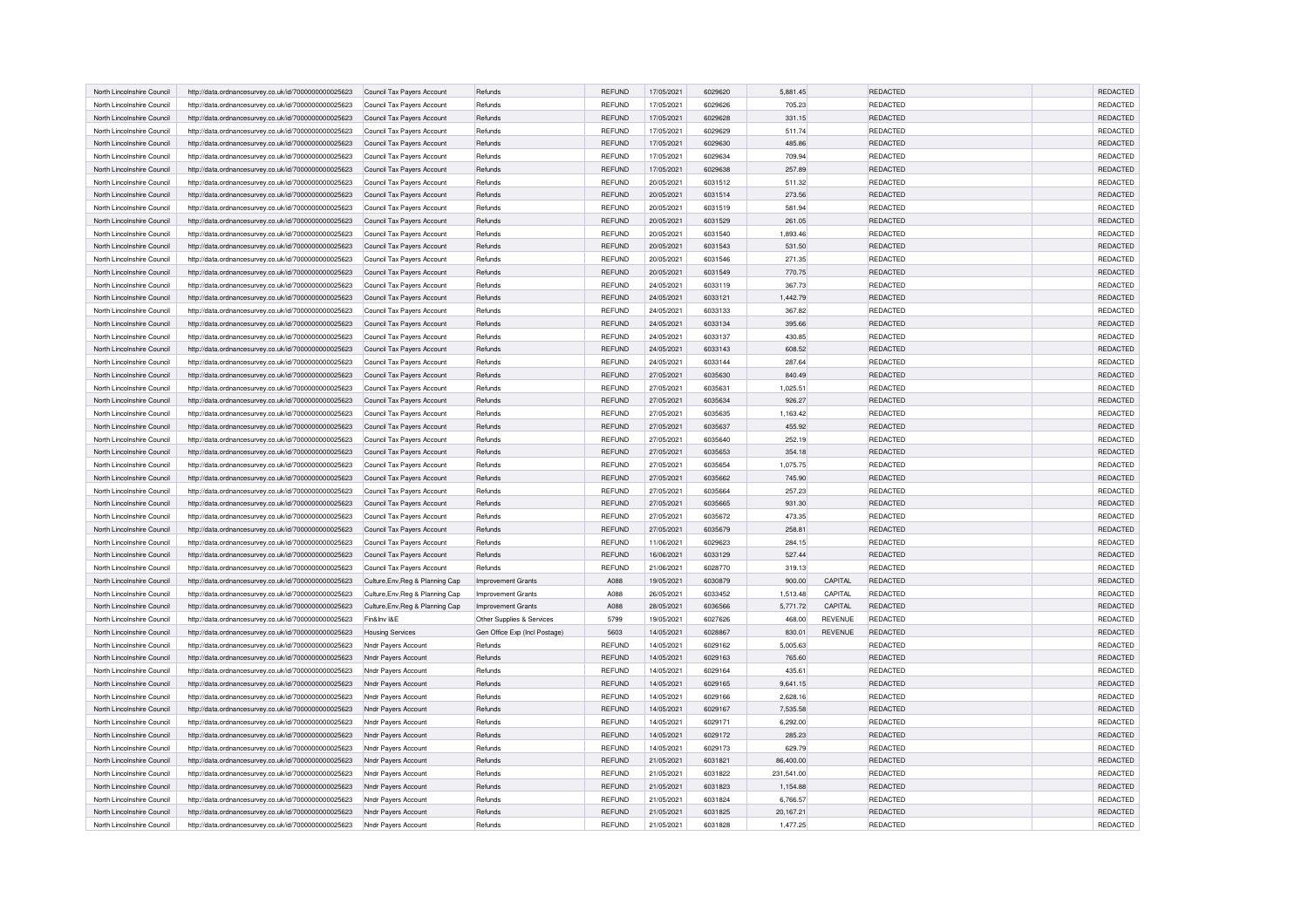| North Lincolnshire Council | http://data.ordnancesurvey.co.uk/id/7000000000025623 | Council Tax Payers Account       | Refunds                       | <b>REFUND</b> | 17/05/2021 | 6029620 | 5,881.45   |                | REDACTED        | REDACTED        |
|----------------------------|------------------------------------------------------|----------------------------------|-------------------------------|---------------|------------|---------|------------|----------------|-----------------|-----------------|
| North Lincolnshire Council | http://data.ordnancesurvey.co.uk/id/7000000000025623 | Council Tax Payers Account       | Refunds                       | <b>REFUND</b> | 17/05/2021 | 6029626 | 705.23     |                | <b>REDACTED</b> | REDACTED        |
| North Lincolnshire Council | http://data.ordnancesurvey.co.uk/id/7000000000025623 | Council Tax Payers Account       | Refunds                       | <b>REFUND</b> | 17/05/2021 | 6029628 | 331.15     |                | REDACTED        | REDACTED        |
| North Lincolnshire Council | http://data.ordnancesurvey.co.uk/id/7000000000025623 | Council Tax Payers Account       | Refunds                       | <b>REFUND</b> | 17/05/2021 | 6029629 | 511.74     |                | REDACTED        | REDACTED        |
| North Lincolnshire Counci  | http://data.ordnancesurvey.co.uk/id/7000000000025623 | Council Tax Payers Account       | Refunds                       | <b>REFUND</b> | 17/05/2021 | 6029630 | 485.86     |                | <b>REDACTED</b> | REDACTED        |
| North Lincolnshire Council | http://data.ordnancesurvey.co.uk/id/7000000000025623 | Council Tax Payers Account       | Refunds                       | <b>REFUND</b> | 17/05/2021 | 6029634 | 709.94     |                | REDACTED        | REDACTED        |
| North Lincolnshire Council | http://data.ordnancesurvey.co.uk/id/7000000000025623 | Council Tax Payers Account       | Refunds                       | REFUND        | 17/05/2021 | 6029638 | 257.89     |                | <b>REDACTED</b> | REDACTED        |
| North Lincolnshire Council | http://data.ordnancesurvey.co.uk/id/7000000000025623 | Council Tax Payers Account       | Refunds                       | REFUND        | 20/05/2021 | 6031512 | 511.32     |                | <b>REDACTED</b> | REDACTED        |
| North Lincolnshire Council | http://data.ordnancesurvey.co.uk/id/7000000000025623 | Council Tax Payers Account       | Refunds                       | REFUND        | 20/05/2021 | 6031514 | 273.56     |                | REDACTED        | REDACTED        |
| North Lincolnshire Council | http://data.ordnancesurvey.co.uk/id/7000000000025623 | Council Tax Payers Account       | Refunds                       | REFUND        | 20/05/2021 | 6031519 | 581.94     |                | <b>REDACTED</b> | REDACTED        |
| North Lincolnshire Council | http://data.ordnancesurvey.co.uk/id/7000000000025623 | Council Tax Payers Account       | Refunds                       | REFUND        | 20/05/2021 | 6031529 | 261.05     |                | REDACTED        | REDACTED        |
| North Lincolnshire Council | http://data.ordnancesurvey.co.uk/id/7000000000025623 | Council Tax Payers Account       | Refunds                       | REFUND        | 20/05/2021 | 6031540 | 1,893.46   |                | REDACTED        | <b>REDACTED</b> |
| North Lincolnshire Council | http://data.ordnancesurvey.co.uk/id/7000000000025623 | Council Tax Payers Account       | Refunds                       | <b>REFUND</b> | 20/05/2021 | 6031543 | 531.50     |                | <b>REDACTED</b> | REDACTED        |
| North Lincolnshire Council | http://data.ordnancesurvey.co.uk/id/7000000000025623 | Council Tax Payers Account       | Refunds                       | <b>REFUND</b> | 20/05/2021 | 6031546 | 271.35     |                | REDACTED        | REDACTED        |
| North Lincolnshire Council | http://data.ordnancesurvey.co.uk/id/7000000000025623 | Council Tax Payers Account       | Refunds                       | <b>REFUND</b> | 20/05/2021 | 6031549 | 770.75     |                | REDACTED        | REDACTED        |
| North Lincolnshire Council | http://data.ordnancesurvey.co.uk/id/7000000000025623 | Council Tax Payers Account       | Refunds                       | <b>REFUND</b> | 24/05/2021 | 6033119 | 367.73     |                | <b>REDACTED</b> | REDACTED        |
| North Lincolnshire Council | http://data.ordnancesurvey.co.uk/id/7000000000025623 | Council Tax Payers Account       | Refunds                       | <b>REFUND</b> | 24/05/2021 | 6033121 | 1,442.79   |                | REDACTED        | REDACTED        |
| North Lincolnshire Council | http://data.ordnancesurvey.co.uk/id/7000000000025623 | Council Tax Payers Account       | Refunds                       | <b>REFUND</b> | 24/05/2021 | 6033133 | 367.82     |                | REDACTED        | REDACTED        |
| North Lincolnshire Council | http://data.ordnancesurvey.co.uk/id/7000000000025623 | Council Tax Payers Account       | Refunds                       | <b>REFUND</b> | 24/05/2021 | 6033134 | 395.66     |                | REDACTED        | REDACTED        |
| North Lincolnshire Council | http://data.ordnancesurvey.co.uk/id/7000000000025623 | Council Tax Pavers Account       | Refunds                       | REFUND        | 24/05/2021 | 6033137 | 430.85     |                | REDACTED        | REDACTED        |
| North Lincolnshire Council | http://data.ordnancesurvey.co.uk/id/7000000000025623 | Council Tax Payers Account       | Refunds                       | REFUND        | 24/05/2021 | 6033143 | 608.52     |                | REDACTED        | REDACTED        |
| North Lincolnshire Council | http://data.ordnancesurvey.co.uk/id/7000000000025623 | Council Tax Payers Account       | Refunds                       | REFUND        | 24/05/2021 | 6033144 | 287.64     |                | REDACTED        | REDACTED        |
| North Lincolnshire Council | http://data.ordnancesurvey.co.uk/id/7000000000025623 | Council Tax Payers Account       | Refunds                       | <b>REFUND</b> | 27/05/2021 | 6035630 | 840.49     |                | REDACTED        | REDACTED        |
| North Lincolnshire Council | http://data.ordnancesurvey.co.uk/id/7000000000025623 | Council Tax Payers Account       | Refunds                       | REFUND        | 27/05/2021 | 6035631 | 1,025.51   |                | REDACTED        | REDACTED        |
| North Lincolnshire Council | http://data.ordnancesurvey.co.uk/id/7000000000025623 | Council Tax Payers Account       | Refunds                       | REFUND        | 27/05/2021 | 6035634 | 926.27     |                | REDACTED        | REDACTED        |
| North Lincolnshire Council | http://data.ordnancesurvey.co.uk/id/7000000000025623 | Council Tax Payers Account       | Refunds                       | <b>REFUND</b> | 27/05/2021 | 6035635 | 1,163.42   |                | REDACTED        | <b>REDACTED</b> |
| North Lincolnshire Counci  | http://data.ordnancesurvey.co.uk/id/7000000000025623 | Council Tax Payers Account       | Refunds                       | <b>REFUND</b> | 27/05/2021 | 6035637 | 455.92     |                | <b>REDACTED</b> | REDACTED        |
| North Lincolnshire Council | http://data.ordnancesurvey.co.uk/id/7000000000025623 | Council Tax Pavers Account       | Refunds                       | REFUND        | 27/05/2021 | 6035640 | 252.19     |                | <b>REDACTED</b> | REDACTED        |
| North Lincolnshire Council | http://data.ordnancesurvey.co.uk/id/7000000000025623 | Council Tax Payers Account       | Refunds                       | <b>REFUND</b> | 27/05/2021 | 6035653 | 354.18     |                | REDACTED        | REDACTED        |
| North Lincolnshire Council | http://data.ordnancesurvey.co.uk/id/7000000000025623 | Council Tax Payers Account       | Refunds                       | <b>REFUND</b> | 27/05/2021 | 6035654 | 1,075.75   |                | REDACTED        | REDACTED        |
| North Lincolnshire Council | http://data.ordnancesurvey.co.uk/id/7000000000025623 | Council Tax Payers Account       | Refunds                       | <b>REFUND</b> | 27/05/2021 | 6035662 | 745.90     |                | REDACTED        | REDACTED        |
| North Lincolnshire Council | http://data.ordnancesurvey.co.uk/id/7000000000025623 | Council Tax Payers Account       | Refunds                       | <b>REFUND</b> | 27/05/2021 | 6035664 | 257.23     |                | <b>REDACTED</b> | REDACTED        |
| North Lincolnshire Counci  | http://data.ordnancesurvey.co.uk/id/7000000000025623 | Council Tax Payers Account       | Refunds                       | <b>REFUND</b> | 27/05/2021 | 6035665 | 931.30     |                | REDACTED        | <b>REDACTED</b> |
| North Lincolnshire Council | http://data.ordnancesurvey.co.uk/id/7000000000025623 | Council Tax Payers Account       | Refunds                       | REFUND        | 27/05/2021 | 6035672 | 473.35     |                | REDACTED        | REDACTED        |
| North Lincolnshire Council | http://data.ordnancesurvey.co.uk/id/7000000000025623 | Council Tax Payers Account       | Refunds                       | REFUND        | 27/05/2021 | 6035679 | 258.81     |                | REDACTED        | REDACTED        |
| North Lincolnshire Council | http://data.ordnancesurvey.co.uk/id/7000000000025623 | Council Tax Payers Account       | Refunds                       | REFUND        | 11/06/2021 | 6029623 | 284.15     |                | REDACTED        | REDACTED        |
| North Lincolnshire Council | http://data.ordnancesurvey.co.uk/id/7000000000025623 | Council Tax Payers Account       | Refunds                       | <b>REFUND</b> | 16/06/2021 | 6033129 | 527.44     |                | REDACTED        | REDACTED        |
| North Lincolnshire Council | http://data.ordnancesurvey.co.uk/id/7000000000025623 | Council Tax Payers Account       | Refunds                       | REFUND        | 21/06/2021 | 6028770 | 319.13     |                | <b>REDACTED</b> | REDACTED        |
| North Lincolnshire Council | http://data.ordnancesurvey.co.uk/id/7000000000025623 | Culture, Env, Reg & Planning Cap | Improvement Grants            | A088          | 19/05/2021 | 6030879 | 900.00     | CAPITAL        | REDACTED        | REDACTED        |
| North Lincolnshire Council | http://data.ordnancesurvey.co.uk/id/7000000000025623 | Culture, Env, Reg & Planning Cap | <b>Improvement Grants</b>     | A088          | 26/05/2021 | 6033452 | 1,513.48   | CAPITAL        | REDACTED        | <b>REDACTED</b> |
| North Lincolnshire Council | http://data.ordnancesurvey.co.uk/id/7000000000025623 | Culture, Env, Reg & Planning Cap | Improvement Grants            | A088          | 28/05/2021 | 6036566 | 5,771.72   | CAPITAL        | <b>REDACTED</b> | REDACTED        |
| North Lincolnshire Council | http://data.ordnancesurvey.co.uk/id/7000000000025623 | Fin&Inv I&E                      | Other Supplies & Services     | 5799          | 19/05/2021 | 6027626 | 468.00     | <b>REVENUE</b> | <b>REDACTED</b> | REDACTED        |
| North Lincolnshire Council | http://data.ordnancesurvey.co.uk/id/7000000000025623 | <b>Housing Services</b>          | Gen Office Exp (Incl Postage) | 5603          | 14/05/2021 | 6028867 | 830.01     | <b>REVENUE</b> | REDACTED        | REDACTED        |
| North Lincolnshire Council | http://data.ordnancesurvey.co.uk/id/7000000000025623 | Nndr Payers Account              | Refunds                       | <b>REFUND</b> | 14/05/2021 | 6029162 | 5,005.63   |                | <b>REDACTED</b> | REDACTED        |
| North Lincolnshire Council | http://data.ordnancesurvey.co.uk/id/7000000000025623 | Nndr Payers Account              | Refunds                       | <b>REFUND</b> | 14/05/2021 | 6029163 | 765.60     |                | REDACTED        | REDACTED        |
| North Lincolnshire Council | http://data.ordnancesurvey.co.uk/id/7000000000025623 | Nndr Payers Account              | Refunds                       | <b>REFUND</b> | 14/05/2021 | 6029164 | 435.61     |                | REDACTED        | REDACTED        |
| North Lincolnshire Council | http://data.ordnancesurvey.co.uk/id/7000000000025623 | Nndr Payers Account              | Refunds                       | <b>REFUND</b> | 14/05/2021 | 6029165 | 9,641.15   |                | <b>REDACTED</b> | REDACTED        |
| North Lincolnshire Council | http://data.ordnancesurvey.co.uk/id/7000000000025623 | Nndr Payers Account              | Refunds                       | <b>REFUND</b> | 14/05/2021 | 6029166 | 2,628.16   |                | REDACTED        | REDACTED        |
| North Lincolnshire Council | http://data.ordnancesurvey.co.uk/id/7000000000025623 | Nndr Payers Account              | Refunds                       | REFUND        | 14/05/2021 | 6029167 | 7,535.58   |                | REDACTED        | REDACTED        |
| North Lincolnshire Council | http://data.ordnancesurvey.co.uk/id/7000000000025623 | Nndr Payers Account              | Refunds                       | <b>REFUND</b> | 14/05/2021 | 6029171 | 6,292.00   |                | REDACTED        | REDACTED        |
| North Lincolnshire Council | http://data.ordnancesurvey.co.uk/id/7000000000025623 | Nndr Payers Account              | Refunds                       | <b>REFUND</b> | 14/05/2021 | 6029172 | 285.23     |                | REDACTED        | REDACTED        |
| North Lincolnshire Council | http://data.ordnancesurvey.co.uk/id/7000000000025623 | Nndr Payers Account              | Refunds                       | <b>REFUND</b> | 14/05/2021 | 6029173 | 629.79     |                | REDACTED        | REDACTED        |
| North Lincolnshire Council | http://data.ordnancesurvey.co.uk/id/7000000000025623 | Nndr Payers Account              | Refunds                       | <b>REFUND</b> | 21/05/2021 | 6031821 | 86,400.00  |                | REDACTED        | REDACTED        |
| North Lincolnshire Council | http://data.ordnancesurvey.co.uk/id/7000000000025623 | Nndr Pavers Account              | Refunds                       | <b>REFUND</b> | 21/05/2021 | 6031822 | 231,541.00 |                | REDACTED        | REDACTED        |
| North Lincolnshire Council | http://data.ordnancesurvey.co.uk/id/7000000000025623 | Nndr Payers Account              | Refunds                       | <b>REFUND</b> | 21/05/2021 | 6031823 | 1,154.88   |                | <b>REDACTED</b> | REDACTED        |
| North Lincolnshire Council | http://data.ordnancesurvey.co.uk/id/7000000000025623 | Nndr Payers Account              | Refunds                       | <b>REFUND</b> | 21/05/2021 | 6031824 | 6,766.57   |                | <b>REDACTED</b> | REDACTED        |
| North Lincolnshire Council | http://data.ordnancesurvey.co.uk/id/7000000000025623 | Nndr Pavers Account              | Refunds                       | REFUND        | 21/05/2021 | 6031825 | 20,167.21  |                | REDACTED        | REDACTED        |
| North Lincolnshire Council | http://data.ordnancesurvey.co.uk/id/7000000000025623 | Nndr Payers Account              | Refunds                       | <b>REFUND</b> | 21/05/2021 | 6031828 | 1,477.25   |                | <b>REDACTED</b> | REDACTED        |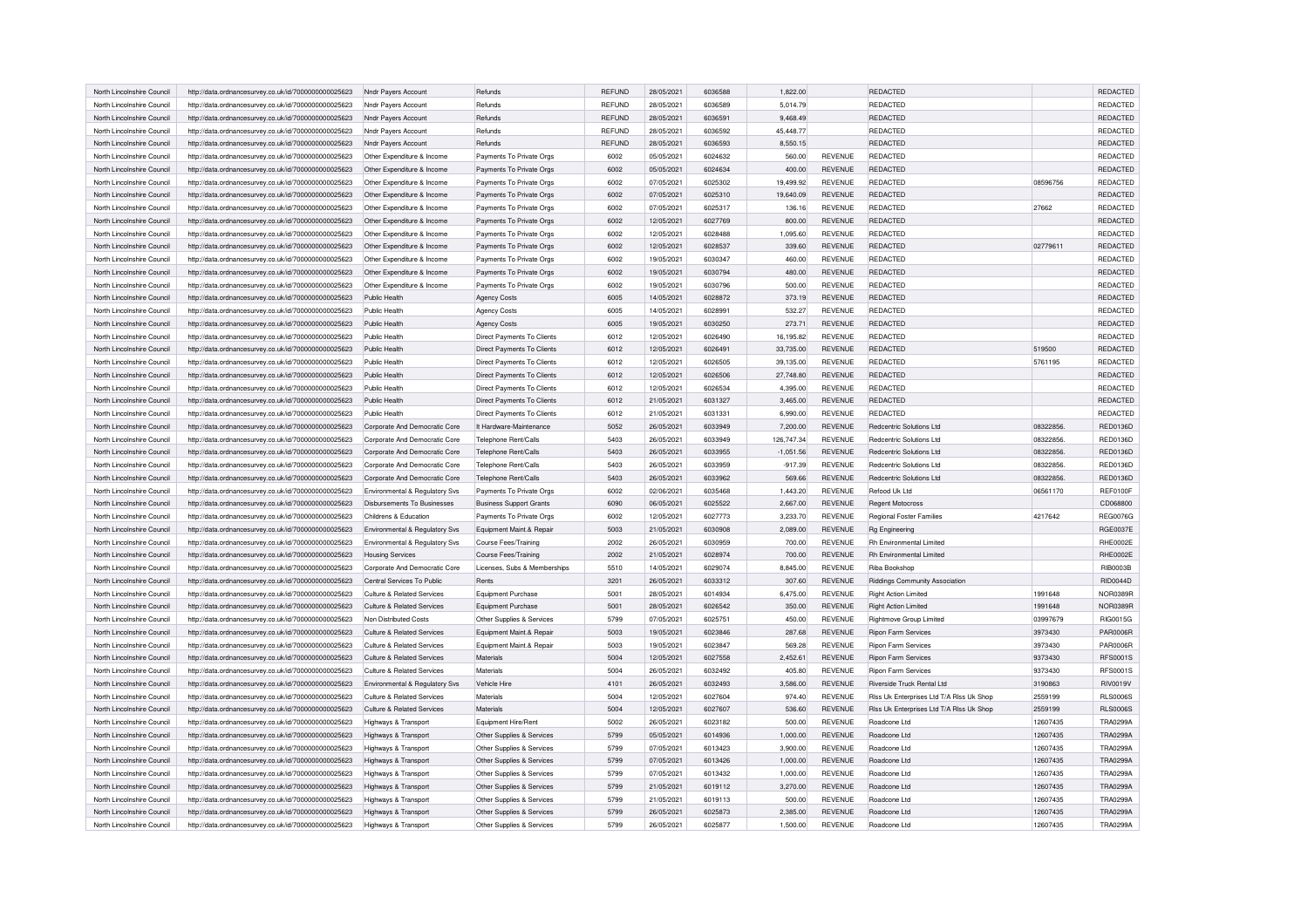| North Lincolnshire Council | http://data.ordnancesurvey.co.uk/id/7000000000025623 | Nndr Payers Account                | Refunds                        | <b>REFUND</b> | 28/05/2021 | 6036588 | 1,822.00    |                | REDACTED                                 |          | REDACTED        |
|----------------------------|------------------------------------------------------|------------------------------------|--------------------------------|---------------|------------|---------|-------------|----------------|------------------------------------------|----------|-----------------|
| North Lincolnshire Council | http://data.ordnancesurvey.co.uk/id/7000000000025623 | Nndr Payers Account                | Refunds                        | REFUND        | 28/05/2021 | 6036589 | 5,014.79    |                | REDACTED                                 |          | REDACTED        |
| North Lincolnshire Council | http://data.ordnancesurvey.co.uk/id/7000000000025623 | Nndr Payers Account                | Refunds                        | REFUND        | 28/05/2021 | 6036591 | 9,468.49    |                | REDACTED                                 |          | REDACTED        |
| North Lincolnshire Council | http://data.ordnancesurvey.co.uk/id/7000000000025623 | Nndr Payers Account                | Refunds                        | <b>REFUND</b> | 28/05/2021 | 6036592 | 45,448.77   |                | REDACTED                                 |          | REDACTED        |
| North Lincolnshire Council | http://data.ordnancesurvey.co.uk/id/7000000000025623 | Nndr Payers Account                | Refunds                        | <b>REFUND</b> | 28/05/2021 | 6036593 | 8,550.15    |                | <b>REDACTED</b>                          |          | REDACTED        |
|                            |                                                      |                                    |                                |               |            |         |             |                |                                          |          |                 |
| North Lincolnshire Council | http://data.ordnancesurvey.co.uk/id/7000000000025623 | Other Expenditure & Income         | Payments To Private Orgs       | 6002          | 05/05/2021 | 6024632 | 560.00      | <b>REVENUE</b> | <b>REDACTED</b>                          |          | REDACTED        |
| North Lincolnshire Council | http://data.ordnancesurvey.co.uk/id/7000000000025623 | Other Expenditure & Income         | Payments To Private Orgs       | 6002          | 05/05/2021 | 6024634 | 400.00      | <b>REVENUE</b> | REDACTED                                 |          | REDACTED        |
| North Lincolnshire Council | http://data.ordnancesurvey.co.uk/id/7000000000025623 | Other Expenditure & Income         | Payments To Private Orgs       | 6002          | 07/05/2021 | 6025302 | 19,499.92   | <b>REVENUE</b> | <b>REDACTED</b>                          | 08596756 | REDACTED        |
| North Lincolnshire Council | http://data.ordnancesurvey.co.uk/id/7000000000025623 | Other Expenditure & Income         | Payments To Private Orgs       | 6002          | 07/05/2021 | 6025310 | 19,640.09   | <b>REVENUE</b> | <b>REDACTED</b>                          |          | REDACTED        |
| North Lincolnshire Council | http://data.ordnancesurvey.co.uk/id/7000000000025623 | Other Expenditure & Income         | Payments To Private Orgs       | 6002          | 07/05/2021 | 6025317 | 136.16      | <b>REVENUE</b> | <b>REDACTED</b>                          | 27662    | REDACTED        |
| North Lincolnshire Council | http://data.ordnancesurvey.co.uk/id/7000000000025623 | Other Expenditure & Income         | Payments To Private Orgs       | 6002          | 12/05/2021 | 6027769 | 800.00      | <b>REVENUE</b> | <b>REDACTED</b>                          |          | REDACTED        |
| North Lincolnshire Council | http://data.ordnancesurvey.co.uk/id/7000000000025623 | Other Expenditure & Income         | Payments To Private Orgs       | 6002          | 12/05/2021 | 6028488 | 1.095.60    | <b>REVENUE</b> | <b>REDACTED</b>                          |          | REDACTED        |
| North Lincolnshire Council | http://data.ordnancesurvey.co.uk/id/7000000000025623 | Other Expenditure & Income         | Payments To Private Orgs       | 6002          | 12/05/2021 | 6028537 | 339.60      | <b>REVENUE</b> | REDACTED                                 | 02779611 | REDACTED        |
| North Lincolnshire Council | http://data.ordnancesurvey.co.uk/id/7000000000025623 | Other Expenditure & Income         | Payments To Private Orgs       | 6002          | 19/05/2021 | 6030347 | 460.00      | <b>REVENUE</b> | <b>REDACTED</b>                          |          | REDACTED        |
| North Lincolnshire Council | http://data.ordnancesurvey.co.uk/id/7000000000025623 | Other Expenditure & Income         | Payments To Private Orgs       | 6002          | 19/05/2021 | 6030794 | 480.00      | <b>REVENUE</b> | REDACTED                                 |          | REDACTED        |
| North Lincolnshire Council | http://data.ordnancesurvey.co.uk/id/7000000000025623 | Other Expenditure & Income         | Payments To Private Orgs       | 6002          | 19/05/2021 | 6030796 | 500.00      | <b>REVENUE</b> | REDACTED                                 |          | REDACTED        |
| North Lincolnshire Council | http://data.ordnancesurvey.co.uk/id/7000000000025623 | Public Health                      | <b>Agency Costs</b>            | 6005          | 14/05/2021 | 6028872 | 373.19      | <b>REVENUE</b> | <b>REDACTED</b>                          |          | REDACTED        |
|                            |                                                      | Public Health                      |                                | 6005          | 14/05/2021 | 6028991 |             | <b>REVENUE</b> | REDACTED                                 |          | REDACTED        |
| North Lincolnshire Council | http://data.ordnancesurvey.co.uk/id/7000000000025623 |                                    | <b>Agency Costs</b>            |               |            |         | 532.27      |                |                                          |          |                 |
| North Lincolnshire Council | http://data.ordnancesurvey.co.uk/id/7000000000025623 | Public Health                      | <b>Agency Costs</b>            | 6005          | 19/05/2021 | 6030250 | 273.71      | <b>REVENUE</b> | <b>REDACTED</b>                          |          | REDACTED        |
| North Lincolnshire Council | http://data.ordnancesurvey.co.uk/id/7000000000025623 | Public Health                      | Direct Payments To Clients     | 6012          | 12/05/2021 | 6026490 | 16,195.82   | REVENUE        | <b>REDACTED</b>                          |          | REDACTED        |
| North Lincolnshire Council | http://data.ordnancesurvey.co.uk/id/7000000000025623 | Public Health                      | Direct Payments To Clients     | 6012          | 12/05/2021 | 6026491 | 33,735.00   | <b>REVENUE</b> | REDACTED                                 | 519500   | REDACTED        |
| North Lincolnshire Council | http://data.ordnancesurvey.co.uk/id/7000000000025623 | Public Health                      | Direct Payments To Clients     | 6012          | 12/05/2021 | 6026505 | 39,135.00   | <b>REVENUE</b> | <b>REDACTED</b>                          | 5761195  | REDACTED        |
| North Lincolnshire Council | http://data.ordnancesurvey.co.uk/id/7000000000025623 | Public Health                      | Direct Payments To Clients     | 6012          | 12/05/2021 | 6026506 | 27,748.80   | <b>REVENUE</b> | <b>REDACTED</b>                          |          | REDACTED        |
| North Lincolnshire Council | http://data.ordnancesurvey.co.uk/id/7000000000025623 | Public Health                      | Direct Payments To Clients     | 6012          | 12/05/2021 | 6026534 | 4,395.00    | <b>REVENUE</b> | REDACTED                                 |          | REDACTED        |
| North Lincolnshire Council | http://data.ordnancesurvey.co.uk/id/7000000000025623 | Public Health                      | Direct Payments To Clients     | 6012          | 21/05/2021 | 6031327 | 3,465.00    | <b>REVENUE</b> | <b>REDACTED</b>                          |          | REDACTED        |
| North Lincolnshire Council | http://data.ordnancesurvey.co.uk/id/7000000000025623 | Public Health                      | Direct Payments To Clients     | 6012          | 21/05/2021 | 6031331 | 6.990.00    | <b>REVENUE</b> | REDACTED                                 |          | REDACTED        |
| North Lincolnshire Council | http://data.ordnancesurvey.co.uk/id/7000000000025623 | Corporate And Democratic Core      | It Hardware-Maintenance        | 5052          | 26/05/2021 | 6033949 | 7,200.00    | <b>REVENUE</b> | Redcentric Solutions Ltd                 | 08322856 | <b>RED0136D</b> |
| North Lincolnshire Council | http://data.ordnancesurvey.co.uk/id/7000000000025623 | Corporate And Democratic Core      | Telephone Rent/Calls           | 5403          | 26/05/2021 | 6033949 | 126,747.34  | <b>REVENUE</b> | Redcentric Solutions Ltd.                | 08322856 | <b>RED0136D</b> |
| North Lincolnshire Council | http://data.ordnancesurvey.co.uk/id/7000000000025623 | Corporate And Democratic Core      | Telephone Rent/Calls           | 5403          | 26/05/2021 | 6033955 | $-1,051.56$ | <b>REVENUE</b> | Redcentric Solutions Ltd                 | 08322856 | <b>RED0136D</b> |
| North Lincolnshire Council | http://data.ordnancesurvey.co.uk/id/7000000000025623 | Corporate And Democratic Core      | Telephone Rent/Calls           | 5403          | 26/05/2021 | 6033959 | $-917.39$   | <b>REVENUE</b> | Redcentric Solutions Ltd                 | 08322856 | <b>RED0136D</b> |
| North Lincolnshire Council |                                                      |                                    |                                | 5403          | 26/05/2021 | 6033962 |             | <b>REVENUE</b> | Redcentric Solutions Ltd                 | 08322856 |                 |
|                            | http://data.ordnancesurvey.co.uk/id/7000000000025623 | Corporate And Democratic Core      | Telephone Rent/Calls           |               |            |         | 569.66      |                |                                          |          | <b>RED0136D</b> |
| North Lincolnshire Council | http://data.ordnancesurvey.co.uk/id/7000000000025623 | Environmental & Regulatory Sys     | Payments To Private Orgs       | 6002          | 02/06/2021 | 6035468 | 1,443.20    | <b>REVENUE</b> | Refood Uk Ltd                            | 06561170 | REF0100F        |
| North Lincolnshire Council | http://data.ordnancesurvey.co.uk/id/7000000000025623 | <b>Disbursements To Businesses</b> | <b>Business Support Grants</b> | 6090          | 06/05/2021 | 6025522 | 2,667.00    | <b>REVENUE</b> | <b>Regent Motocross</b>                  |          | CD068800        |
| North Lincolnshire Council | http://data.ordnancesurvey.co.uk/id/7000000000025623 | Childrens & Education              | Payments To Private Orgs       | 6002          | 12/05/2021 | 6027773 | 3,233.70    | <b>REVENUE</b> | Regional Foster Families                 | 4217642  | <b>REG0076G</b> |
| North Lincolnshire Council | http://data.ordnancesurvey.co.uk/id/7000000000025623 | Environmental & Regulatory Svs     | Equipment Maint.& Repair       | 5003          | 21/05/2021 | 6030908 | 2,089.00    | <b>REVENUE</b> | Rg Engineering                           |          | <b>RGE0037E</b> |
| North Lincolnshire Council | http://data.ordnancesurvey.co.uk/id/7000000000025623 | Environmental & Regulatory Svs     | Course Fees/Training           | 2002          | 26/05/2021 | 6030959 | 700.00      | <b>REVENUE</b> | Rh Environmental Limited                 |          | RHE0002E        |
| North Lincolnshire Council | http://data.ordnancesurvey.co.uk/id/7000000000025623 | <b>Housing Services</b>            | Course Fees/Training           | 2002          | 21/05/2021 | 6028974 | 700.00      | <b>REVENUE</b> | Rh Environmental Limited                 |          | RHE0002E        |
| North Lincolnshire Council | http://data.ordnancesurvey.co.uk/id/7000000000025623 | Corporate And Democratic Core      | Licenses, Subs & Memberships   | 5510          | 14/05/2021 | 6029074 | 8,845.00    | <b>REVENUE</b> | Riba Bookshop                            |          | <b>RIB0003B</b> |
| North Lincolnshire Council | http://data.ordnancesurvey.co.uk/id/7000000000025623 | Central Services To Public         | Rents                          | 3201          | 26/05/2021 | 6033312 | 307.60      | REVENUE        | Riddings Community Association           |          | <b>RID0044D</b> |
| North Lincolnshire Council | http://data.ordnancesurvey.co.uk/id/7000000000025623 | Culture & Related Services         | Equipment Purchase             | 5001          | 28/05/2021 | 6014934 | 6,475.00    | <b>REVENUE</b> | <b>Right Action Limited</b>              | 1991648  | NOR0389R        |
| North Lincolnshire Council | http://data.ordnancesurvey.co.uk/id/7000000000025623 | Culture & Related Services         | Equipment Purchase             | 5001          | 28/05/2021 | 6026542 | 350.00      | <b>REVENUE</b> | <b>Right Action Limited</b>              | 1991648  | NOR0389R        |
| North Lincolnshire Council | http://data.ordnancesurvey.co.uk/id/7000000000025623 | Non Distributed Costs              | Other Supplies & Services      | 5799          | 07/05/2021 | 6025751 | 450.00      | REVENUE        | Rightmove Group Limited                  | 03997679 | RIG0015G        |
| North Lincolnshire Council | http://data.ordnancesurvey.co.uk/id/7000000000025623 | Culture & Related Services         | Equipment Maint.& Repair       | 5003          | 19/05/2021 | 6023846 | 287.68      | REVENUE        | Ripon Farm Services                      | 3973430  | <b>PAR0006R</b> |
| North Lincolnshire Council | http://data.ordnancesurvey.co.uk/id/7000000000025623 | Culture & Related Services         | Equipment Maint.& Repair       | 5003          | 19/05/2021 | 6023847 | 569.28      | REVENUE        | <b>Ripon Farm Services</b>               | 3973430  | <b>PAR0006R</b> |
| North Lincolnshire Council | http://data.ordnancesurvey.co.uk/id/7000000000025623 | Culture & Related Services         | Materials                      | 5004          | 12/05/2021 | 6027558 | 2,452.61    | <b>REVENUE</b> | Ripon Farm Services                      | 9373430  | <b>RFS0001S</b> |
| North Lincolnshire Council |                                                      | Culture & Related Services         | Materials                      | 5004          |            | 6032492 | 405.80      | <b>REVENUE</b> | <b>Binon Farm Services</b>               | 9373430  | <b>RFS0001S</b> |
|                            | http://data.ordnancesurvey.co.uk/id/7000000000025623 |                                    |                                |               | 26/05/2021 |         |             |                |                                          |          |                 |
| North Lincolnshire Council | http://data.ordnancesurvey.co.uk/id/7000000000025623 | Environmental & Regulatory Svs     | Vehicle Hire                   | 4101          | 26/05/2021 | 6032493 | 3,586.00    | <b>REVENUE</b> | Riverside Truck Rental Ltd               | 3190863  | <b>RIV0019V</b> |
| North Lincolnshire Council | http://data.ordnancesurvey.co.uk/id/7000000000025623 | Culture & Related Services         | Materials                      | 5004          | 12/05/2021 | 6027604 | 974.40      | <b>REVENUE</b> | Riss Uk Enterprises Ltd T/A Riss Uk Shop | 2559199  | <b>RLS0006S</b> |
| North Lincolnshire Council | http://data.ordnancesurvey.co.uk/id/7000000000025623 | Culture & Related Services         | Materials                      | 5004          | 12/05/2021 | 6027607 | 536.60      | <b>REVENUE</b> | Riss Uk Enterprises Ltd T/A Riss Uk Shop | 2559199  | <b>RLS0006S</b> |
| North Lincolnshire Council | http://data.ordnancesurvey.co.uk/id/7000000000025623 | Highways & Transport               | Equipment Hire/Rent            | 5002          | 26/05/2021 | 6023182 | 500.00      | REVENUE        | Roadcone Ltd                             | 12607435 | <b>TRA0299A</b> |
| North Lincolnshire Council | http://data.ordnancesurvey.co.uk/id/7000000000025623 | Highways & Transport               | Other Supplies & Services      | 5799          | 05/05/2021 | 6014936 | 1,000.00    | <b>REVENUE</b> | Roadcone Ltd                             | 12607435 | <b>TRA0299A</b> |
| North Lincolnshire Council | http://data.ordnancesurvey.co.uk/id/7000000000025623 | Highways & Transport               | Other Supplies & Services      | 5799          | 07/05/2021 | 6013423 | 3,900.00    | <b>REVENUE</b> | Boadcone Ltd                             | 12607435 | <b>TRA0299A</b> |
| North Lincolnshire Council | http://data.ordnancesurvey.co.uk/id/7000000000025623 | Highways & Transport               | Other Supplies & Services      | 5799          | 07/05/2021 | 6013426 | 1,000.00    | REVENUE        | Roadcone Ltd                             | 12607435 | <b>TRA0299A</b> |
| North Lincolnshire Council | http://data.ordnancesurvey.co.uk/id/7000000000025623 | Highways & Transport               | Other Supplies & Services      | 5799          | 07/05/2021 | 6013432 | 1.000.00    | <b>REVENUE</b> | Roadcone Ltd                             | 12607435 | <b>TRA0299A</b> |
| North Lincolnshire Council | http://data.ordnancesurvey.co.uk/id/7000000000025623 | Highways & Transport               | Other Supplies & Services      | 5799          | 21/05/2021 | 6019112 | 3,270.00    | <b>REVENUE</b> | Boadcone Ltd                             | 12607435 | <b>TRA0299A</b> |
| North Lincolnshire Council | http://data.ordnancesurvey.co.uk/id/7000000000025623 | Highways & Transport               | Other Supplies & Services      | 5799          | 21/05/2021 | 6019113 | 500.00      | REVENUE        | Roadcone Ltd                             | 12607435 | <b>TRA0299A</b> |
| North Lincolnshire Council | http://data.ordnancesurvey.co.uk/id/7000000000025623 | Highways & Transport               | Other Supplies & Services      | 5799          | 26/05/2021 | 6025873 | 2,385.00    | REVENUE        | Roadcone Ltd                             | 12607435 | <b>TRA0299A</b> |
| North Lincolnshire Council | http://data.ordnancesurvey.co.uk/id/7000000000025623 | Highways & Transport               | Other Supplies & Services      | 5799          | 26/05/2021 | 6025877 | 1,500.00    | <b>REVENUE</b> | Roadcone Ltd                             | 12607435 | <b>TRA0299A</b> |
|                            |                                                      |                                    |                                |               |            |         |             |                |                                          |          |                 |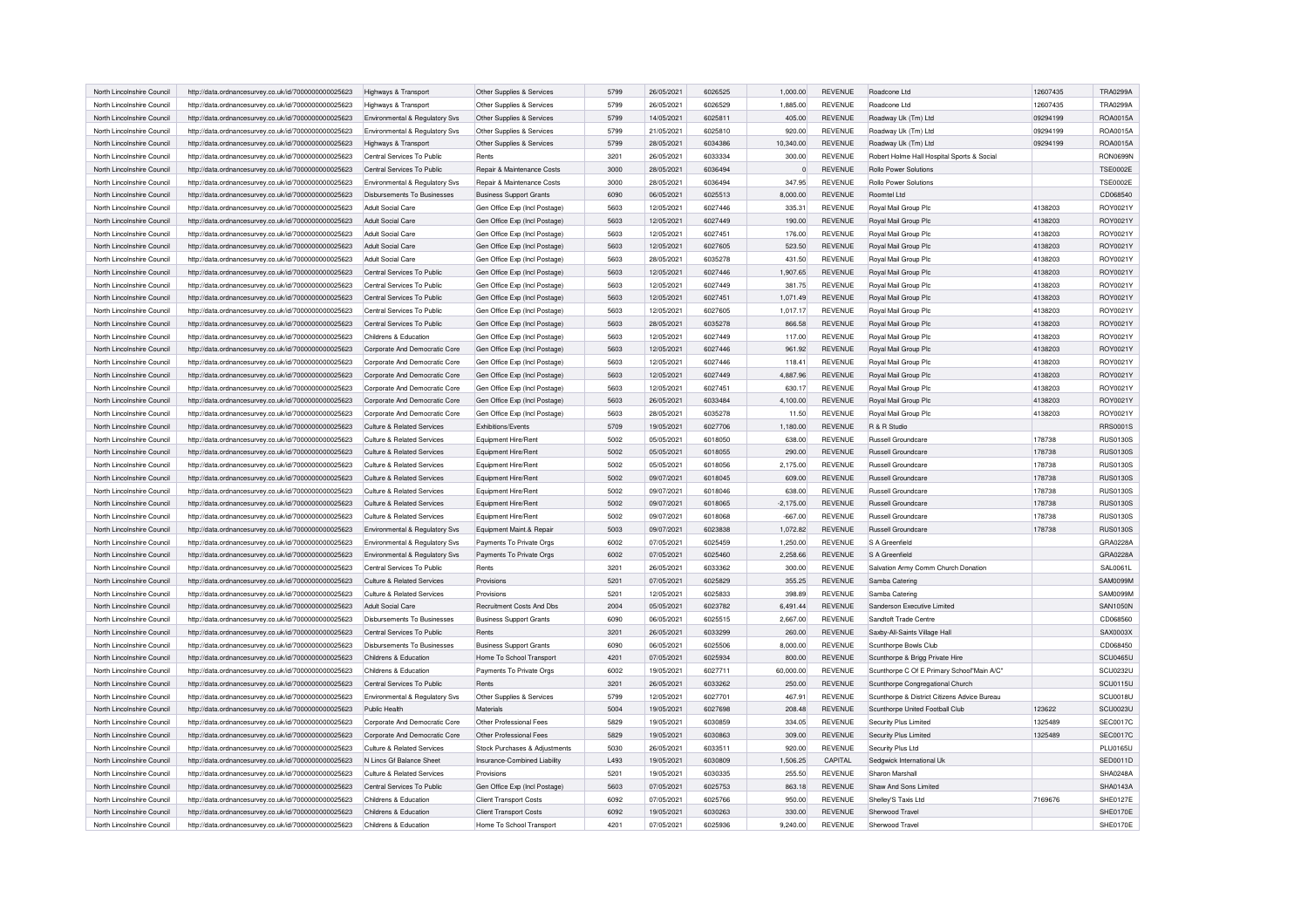| North Lincolnshire Council | http://data.ordnancesurvey.co.uk/id/7000000000025623 | Highways & Transport               | Other Supplies & Services      | 5799 | 26/05/2021 | 6026525        | 1,000.00    | <b>REVENUE</b> | Roadcone Ltd                                 | 12607435 | <b>TRA0299A</b> |
|----------------------------|------------------------------------------------------|------------------------------------|--------------------------------|------|------------|----------------|-------------|----------------|----------------------------------------------|----------|-----------------|
| North Lincolnshire Council | http://data.ordnancesurvey.co.uk/id/7000000000025623 | Highways & Transport               | Other Supplies & Services      | 5799 | 26/05/2021 | 6026529        | 1,885.00    | <b>REVENUE</b> | Roadcone Ltd                                 | 12607435 | <b>TRA0299A</b> |
| North Lincolnshire Council | http://data.ordnancesurvey.co.uk/id/7000000000025623 | Environmental & Regulatory Svs     | Other Supplies & Services      | 5799 | 14/05/2021 | 6025811        | 405.00      | <b>REVENUE</b> | Roadway Uk (Tm) Ltd                          | 09294199 | ROA0015A        |
| North Lincolnshire Council | http://data.ordnancesurvey.co.uk/id/7000000000025623 | Environmental & Regulatory Svs     | Other Supplies & Services      | 5799 | 21/05/2021 | 6025810        | 920.00      | <b>REVENUE</b> | Roadway Uk (Tm) Ltd                          | 09294199 | ROA0015A        |
| North Lincolnshire Council | http://data.ordnancesurvey.co.uk/id/7000000000025623 | Highways & Transport               | Other Supplies & Services      | 5799 | 28/05/2021 | 6034386        | 10,340.00   | <b>REVENUE</b> | Roadway Uk (Tm) Ltd                          | 09294199 | ROA0015A        |
| North Lincolnshire Council | http://data.ordnancesurvey.co.uk/id/7000000000025623 | Central Services To Public         | Rents                          | 3201 | 26/05/2021 | 6033334        | 300.00      | <b>REVENUE</b> | Robert Holme Hall Hospital Sports & Social   |          | <b>RON0699N</b> |
|                            |                                                      |                                    |                                |      |            |                |             |                |                                              |          |                 |
| North Lincolnshire Council | http://data.ordnancesurvey.co.uk/id/7000000000025623 | Central Services To Public         | Repair & Maintenance Costs     | 3000 | 28/05/2021 | 6036494        | $\Omega$    | <b>REVENUE</b> | Rollo Power Solutions                        |          | <b>TSE0002E</b> |
| North Lincolnshire Council | http://data.ordnancesurvey.co.uk/id/7000000000025623 | Environmental & Regulatory Svs     | Repair & Maintenance Costs     | 3000 | 28/05/2021 | 6036494        | 347.95      | <b>REVENUE</b> | Rollo Power Solutions                        |          | <b>TSE0002E</b> |
| North Lincolnshire Council | http://data.ordnancesurvey.co.uk/id/7000000000025623 | <b>Disbursements To Businesses</b> | <b>Business Support Grants</b> | 6090 | 06/05/2021 | 6025513        | 8,000.00    | <b>REVENUE</b> | Roomtel Ltd                                  |          | CD068540        |
| North Lincolnshire Council | http://data.ordnancesurvey.co.uk/id/7000000000025623 | <b>Adult Social Care</b>           | Gen Office Exp (Incl Postage)  | 5603 | 12/05/2021 | 6027446        | 335.31      | <b>REVENUE</b> | Royal Mail Group Plc                         | 4138203  | ROY0021Y        |
| North Lincolnshire Council | http://data.ordnancesurvey.co.uk/id/7000000000025623 | Adult Social Care                  | Gen Office Exp (Incl Postage)  | 5603 | 12/05/2021 | 6027449        | 190.00      | <b>REVENUE</b> | Royal Mail Group Plc                         | 4138203  | ROY0021Y        |
| North Lincolnshire Council | http://data.ordnancesurvey.co.uk/id/7000000000025623 | Adult Social Care                  | Gen Office Exp (Incl Postage)  | 5603 | 12/05/2021 | 6027451        | 176.00      | <b>REVENUE</b> | Royal Mail Group Plc                         | 4138203  | ROY0021Y        |
| North Lincolnshire Council | http://data.ordnancesurvey.co.uk/id/7000000000025623 | Adult Social Care                  | Gen Office Exp (Incl Postage)  | 5603 | 12/05/2021 | 6027605        | 523.50      | <b>REVENUE</b> | Royal Mail Group Plc                         | 4138203  | ROY0021Y        |
| North Lincolnshire Council | http://data.ordnancesurvey.co.uk/id/7000000000025623 | Adult Social Care                  | Gen Office Exp (Incl Postage)  | 5603 | 28/05/2021 | 6035278        | 431.50      | <b>REVENUE</b> | Royal Mail Group Plc                         | 4138203  | ROY0021Y        |
| North Lincolnshire Council | http://data.ordnancesurvey.co.uk/id/7000000000025623 | Central Services To Public         | Gen Office Exp (Incl Postage)  | 5603 | 12/05/2021 | 6027446        | 1,907.65    | REVENUE        | Royal Mail Group Plc                         | 4138203  | ROY0021Y        |
| North Lincolnshire Council | http://data.ordnancesurvey.co.uk/id/7000000000025623 | Central Services To Public         | Gen Office Exp (Incl Postage)  | 5603 | 12/05/2021 | 6027449        | 381.75      | <b>REVENUE</b> | Royal Mail Group Plc                         | 4138203  | ROY0021Y        |
| North Lincolnshire Council | http://data.ordnancesurvey.co.uk/id/7000000000025623 | Central Services To Public         | Gen Office Exp (Incl Postage)  | 5603 | 12/05/2021 | 6027451        | 1,071.49    | <b>REVENUE</b> | Royal Mail Group Plc                         | 4138203  | ROY0021Y        |
| North Lincolnshire Council | http://data.ordnancesurvey.co.uk/id/7000000000025623 | Central Services To Public         | Gen Office Exp (Incl Postage)  | 5603 | 12/05/2021 | 6027605        | 1,017.17    | <b>REVENUE</b> | Royal Mail Group Plc                         | 4138203  | ROY0021Y        |
| North Lincolnshire Council | http://data.ordnancesurvey.co.uk/id/7000000000025623 | Central Services To Public         | Gen Office Exp (Incl Postage)  | 5603 | 28/05/2021 | 6035278        | 866.58      | <b>REVENUE</b> | Royal Mail Group Plc                         | 4138203  | ROY0021Y        |
| North Lincolnshire Council | http://data.ordnancesurvey.co.uk/id/7000000000025623 | Childrens & Education              | Gen Office Exp (Incl Postage)  | 5603 | 12/05/2021 | 6027449        | 117.00      | <b>REVENUE</b> | Royal Mail Group Plc                         | 4138203  | ROY0021Y        |
| North Lincolnshire Council | http://data.ordnancesurvey.co.uk/id/7000000000025623 | Corporate And Democratic Core      | Gen Office Exp (Incl Postage)  | 5603 | 12/05/2021 | 6027446        | 961.92      | <b>REVENUE</b> | Royal Mail Group Plc                         | 4138203  | ROY0021Y        |
| North Lincolnshire Council | http://data.ordnancesurvey.co.uk/id/7000000000025623 | Corporate And Democratic Core      | Gen Office Exp (Incl Postage)  | 5603 | 12/05/2021 | 6027446        | 118.41      | <b>REVENUE</b> | Royal Mail Group Plc                         | 4138203  | ROY0021Y        |
| North Lincolnshire Council | http://data.ordnancesurvey.co.uk/id/7000000000025623 | Corporate And Democratic Core      | Gen Office Exp (Incl Postage)  | 5603 | 12/05/2021 | 6027449        | 4,887.96    | <b>REVENUE</b> | Royal Mail Group Plc                         | 4138203  | ROY0021Y        |
| North Lincolnshire Council | http://data.ordnancesurvey.co.uk/id/7000000000025623 | Corporate And Democratic Core      | Gen Office Exp (Incl Postage)  | 5603 | 12/05/2021 | 6027451        | 630.17      | <b>REVENUE</b> | Royal Mail Group Plc                         | 4138203  | ROY0021Y        |
| North Lincolnshire Council | http://data.ordnancesurvey.co.uk/id/7000000000025623 | Corporate And Democratic Core      | Gen Office Exp (Incl Postage)  | 5603 | 26/05/2021 | 6033484        | 4.100.00    | <b>REVENUE</b> | Royal Mail Group Plc                         | 4138203  | ROY0021Y        |
| North Lincolnshire Council | http://data.ordnancesurvey.co.uk/id/7000000000025623 | Corporate And Democratic Core      | Gen Office Exp (Incl Postage)  | 5603 | 28/05/2021 | 6035278        | 11.50       | <b>REVENUE</b> | Royal Mail Group Plc                         | 4138203  | ROY0021Y        |
| North Lincolnshire Council |                                                      | Culture & Related Services         | <b>Exhibitions/Events</b>      | 5709 | 19/05/2021 | 6027706        | 1,180.00    | <b>REVENUE</b> | R & R Studio                                 |          | RRS0001S        |
| North Lincolnshire Council | http://data.ordnancesurvey.co.uk/id/7000000000025623 | Culture & Related Services         |                                | 5002 | 05/05/2021 | 6018050        |             | <b>REVENUE</b> | Russell Groundcare                           |          | <b>RUS0130S</b> |
|                            | http://data.ordnancesurvey.co.uk/id/7000000000025623 |                                    | Equipment Hire/Rent            |      |            |                | 638.00      |                |                                              | 178738   | <b>RUS0130S</b> |
| North Lincolnshire Council | http://data.ordnancesurvey.co.uk/id/7000000000025623 | Culture & Related Services         | Equipment Hire/Rent            | 5002 | 05/05/2021 | 6018055        | 290.00      | <b>REVENUE</b> | Russell Groundcare                           | 178738   |                 |
| North Lincolnshire Council | http://data.ordnancesurvey.co.uk/id/7000000000025623 | Culture & Related Services         | Equipment Hire/Rent            | 5002 | 05/05/2021 | 6018056        | 2,175.00    | <b>REVENUE</b> | Russell Groundcare                           | 178738   | <b>RUS0130S</b> |
| North Lincolnshire Council | http://data.ordnancesurvey.co.uk/id/7000000000025623 | Culture & Related Services         | Equipment Hire/Rent            | 5002 | 09/07/2021 | 6018045        | 609.00      | <b>REVENUE</b> | Russell Groundcare                           | 178738   | <b>RUS0130S</b> |
| North Lincolnshire Council | http://data.ordnancesurvey.co.uk/id/7000000000025623 | Culture & Related Services         | Equipment Hire/Rent            | 5002 | 09/07/2021 | 6018046        | 638.00      | <b>REVENUE</b> | Russell Groundcare                           | 178738   | <b>RUS0130S</b> |
| North Lincolnshire Council | http://data.ordnancesurvey.co.uk/id/7000000000025623 | Culture & Related Services         | Equipment Hire/Rent            | 5002 | 09/07/2021 | 6018065        | $-2,175.00$ | <b>REVENUE</b> | Russell Groundcare                           | 178738   | <b>RUS0130S</b> |
| North Lincolnshire Council | http://data.ordnancesurvey.co.uk/id/7000000000025623 | Culture & Related Services         | Equipment Hire/Rent            | 5002 | 09/07/2021 | 6018068        | $-667.00$   | <b>REVENUE</b> | Russell Groundcare                           | 178738   | <b>RUS0130S</b> |
| North Lincolnshire Council | http://data.ordnancesurvey.co.uk/id/7000000000025623 | Environmental & Regulatory Svs     | Equipment Maint.& Repair       | 5003 | 09/07/2021 | 6023838        | 1,072.82    | <b>REVENUE</b> | Russell Groundcare                           | 178738   | <b>RUS0130S</b> |
| North Lincolnshire Council | http://data.ordnancesurvey.co.uk/id/7000000000025623 | Environmental & Regulatory Svs     | Payments To Private Orgs       | 6002 | 07/05/2021 | 6025459        | 1,250.00    | <b>REVENUE</b> | S A Greenfield                               |          | GRA0228A        |
| North Lincolnshire Council | http://data.ordnancesurvey.co.uk/id/7000000000025623 | Environmental & Regulatory Svs     | Payments To Private Orgs       | 6002 | 07/05/2021 | 6025460        | 2,258.66    | <b>REVENUE</b> | S A Greenfield                               |          | GRA0228A        |
| North Lincolnshire Council | http://data.ordnancesurvey.co.uk/id/7000000000025623 | Central Services To Public         | Rents                          | 3201 | 26/05/2021 | 6033362        | 300.00      | REVENUE        | Salvation Army Comm Church Donation          |          | SAL0061L        |
| North Lincolnshire Council | http://data.ordnancesurvey.co.uk/id/7000000000025623 | Culture & Related Services         | Provisions                     | 5201 | 07/05/2021 | 6025829        | 355.25      | REVENUE        | Samba Catering                               |          | SAM0099M        |
| North Lincolnshire Council | http://data.ordnancesurvey.co.uk/id/7000000000025623 | Culture & Related Services         | Provisions                     | 5201 | 12/05/2021 | 6025833        | 398.89      | <b>REVENUE</b> | Samba Catering                               |          | SAM0099M        |
| North Lincolnshire Council | http://data.ordnancesurvey.co.uk/id/7000000000025623 | Adult Social Care                  | Recruitment Costs And Dbs      | 2004 | 05/05/2021 | 6023782        | 6,491.44    | <b>REVENUE</b> | Sanderson Executive Limited                  |          | SAN1050N        |
| North Lincolnshire Council | http://data.ordnancesurvey.co.uk/id/7000000000025623 | Disbursements To Businesses        | <b>Business Support Grants</b> | 6090 | 06/05/2021 | 6025515        | 2,667.00    | <b>REVENUE</b> | Sandtoft Trade Centre                        |          | CD068560        |
| North Lincolnshire Council | http://data.ordnancesurvey.co.uk/id/7000000000025623 | Central Services To Public         | Rents                          | 3201 | 26/05/2021 | 6033299        | 260.00      | REVENUE        | Saxby-All-Saints Village Hall                |          | SAX0003X        |
| North Lincolnshire Council | http://data.ordnancesurvey.co.uk/id/7000000000025623 | Disbursements To Businesses        | <b>Business Support Grants</b> | 6090 | 06/05/2021 | 6025506        | 8.000.00    | <b>REVENUE</b> | Scunthorne Bowls Club                        |          | CD068450        |
| North Lincolnshire Council | http://data.ordnancesurvey.co.uk/id/7000000000025623 | Childrens & Education              | Home To School Transport       | 4201 | 07/05/2021 | 6025934        | 800.00      | <b>REVENUE</b> | Scunthorpe & Brigg Private Hire              |          | <b>SCU0465U</b> |
| North Lincolnshire Council | http://data.ordnancesurvey.co.uk/id/7000000000025623 | Childrens & Education              | Payments To Private Orgs       | 6002 | 19/05/2021 | 6027711        | 60,000.00   | <b>REVENUE</b> | Scunthorpe C Of E Primary School"Main A/C"   |          | <b>SCU0232U</b> |
| North Lincolnshire Council | http://data.ordnancesurvey.co.uk/id/7000000000025623 | Central Services To Public         | Rents                          | 3201 | 26/05/2021 | 6033262        | 250.00      | <b>REVENUE</b> | Scunthorpe Congregational Church             |          | SCU0115U        |
| North Lincolnshire Council | http://data.ordnancesurvey.co.uk/id/7000000000025623 | Environmental & Regulatory Svs     | Other Supplies & Services      | 5799 | 12/05/2021 | 6027701        | 467.91      | <b>REVENUE</b> | Scunthorpe & District Citizens Advice Bureau |          | SCU0018U        |
| North Lincolnshire Council | http://data.ordnancesurvey.co.uk/id/7000000000025623 | Public Health                      | Materials                      | 5004 | 19/05/2021 | 6027698        | 208.48      | <b>REVENUE</b> | Scunthorpe United Football Club              | 123622   | SCU0023U        |
| North Lincolnshire Council | http://data.ordnancesurvey.co.uk/id/7000000000025623 | Corporate And Democratic Core      | Other Professional Fees        | 5829 | 19/05/2021 | 6030859        | 334.05      | <b>REVENUE</b> | Security Plus Limited                        | 1325489  | <b>SEC0017C</b> |
| North Lincolnshire Council | http://data.ordnancesurvey.co.uk/id/7000000000025623 | Corporate And Democratic Core      | Other Professional Fees        | 5829 | 19/05/2021 | 6030863        | 309.00      | <b>REVENUE</b> | Security Plus Limited                        | 1325489  | <b>SEC0017C</b> |
| North Lincolnshire Council | http://data.ordnancesurvey.co.uk/id/7000000000025623 | Culture & Related Services         | Stock Purchases & Adjustments  | 5030 | 26/05/2021 | 6033511        | 920.00      | <b>REVENUE</b> | Security Plus Ltd                            |          | <b>PLU0165U</b> |
| North Lincolnshire Council | http://data.ordnancesurvey.co.uk/id/7000000000025623 | N Lincs Gf Balance Sheet           | Insurance-Combined Liability   | L493 | 19/05/2021 | 6030809        | 1,506.25    | CAPITAL        | Sedgwick International Uk                    |          | SED0011D        |
| North Lincolnshire Council | http://data.ordnancesurvey.co.uk/id/7000000000025623 | Culture & Related Services         | Provisions                     | 5201 | 19/05/2021 | 6030335        | 255.50      | REVENUE        | Sharon Marshall                              |          | <b>SHA0248A</b> |
|                            |                                                      |                                    |                                | 5603 |            | 6025753        |             |                |                                              |          | SHA0143A        |
| North Lincolnshire Council | http://data.ordnancesurvey.co.uk/id/7000000000025623 | Central Services To Public         | Gen Office Exp (Incl Postage)  | 6092 | 07/05/2021 | 6025766        | 863.18      | REVENUE        | Shaw And Sons Limited                        |          | <b>SHE0127E</b> |
| North Lincolnshire Council | http://data.ordnancesurvey.co.uk/id/7000000000025623 | Childrens & Education              | <b>Client Transport Costs</b>  | 6092 | 07/05/2021 | <b>EASO203</b> | 950.00      | REVENUE        | Shelley'S Taxis Ltd                          | 7169676  |                 |
| North Lincolnshire Council | http://data.ordnancesurvey.co.uk/id/7000000000025623 | Childrens & Education              | <b>Client Transport Costs</b>  |      | 19/05/2021 |                | 330.00      | <b>REVENUE</b> | Sherwood Travel                              |          | SHE0170E        |
| North Lincolnshire Council | http://data.ordnancesurvey.co.uk/id/7000000000025623 | Childrens & Education              | Home To School Transport       | 4201 | 07/05/2021 | 6025936        | 9.240.00    | <b>REVENUE</b> | Sherwood Travel                              |          | SHE0170E        |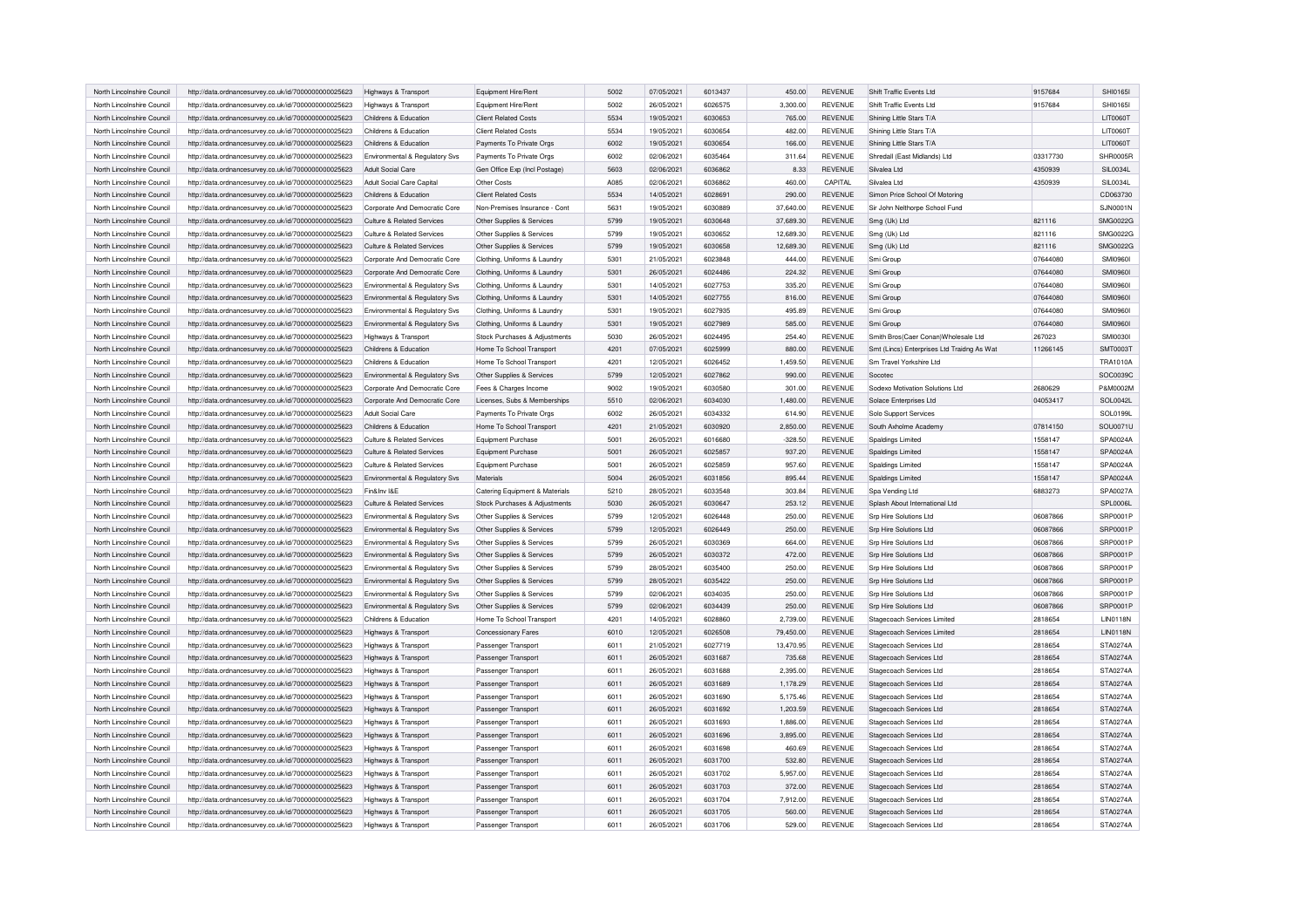| North Lincolnshire Council                               | http://data.ordnancesurvey.co.uk/id/7000000000025623                                                         | Highways & Transport                                            | Equipment Hire/Rent                                  | 5002 | 07/05/2021               | 6013437            | 450.00             | <b>REVENUE</b>     | Shift Traffic Events Ltd                                              | 9157684  | SHI0165I                           |
|----------------------------------------------------------|--------------------------------------------------------------------------------------------------------------|-----------------------------------------------------------------|------------------------------------------------------|------|--------------------------|--------------------|--------------------|--------------------|-----------------------------------------------------------------------|----------|------------------------------------|
| North Lincolnshire Council                               | http://data.ordnancesurvey.co.uk/id/7000000000025623                                                         | Highways & Transport                                            | Equipment Hire/Rent                                  | 5002 | 26/05/2021               | 6026575            | 3,300.00           | <b>REVENUE</b>     | Shift Traffic Events Ltd                                              | 9157684  | SHI01651                           |
| North Lincolnshire Council                               | http://data.ordnancesurvey.co.uk/id/7000000000025623                                                         | Childrens & Education                                           | <b>Client Related Costs</b>                          | 5534 | 19/05/2021               | 6030653            | 765.00             | <b>REVENUE</b>     | Shining Little Stars T/A                                              |          | LIT0060T                           |
| North Lincolnshire Council                               | http://data.ordnancesurvey.co.uk/id/7000000000025623                                                         | Childrens & Education                                           | <b>Client Related Costs</b>                          | 5534 | 19/05/2021               | 6030654            | 482.00             | <b>REVENUE</b>     | Shining Little Stars T/A                                              |          | LIT0060T                           |
| North Lincolnshire Council                               | http://data.ordnancesurvey.co.uk/id/7000000000025623                                                         | Childrens & Education                                           | Payments To Private Orgs                             | 6002 | 19/05/2021               | 6030654            | 166.00             | REVENUE            | Shining Little Stars T/A                                              |          | LIT0060T                           |
| North Lincolnshire Council                               | http://data.ordnancesurvey.co.uk/id/7000000000025623                                                         | Environmental & Regulatory Svs                                  | Payments To Private Orgs                             | 6002 | 02/06/2021               | 6035464            | 311.64             | <b>REVENUE</b>     | Shredall (East Midlands) Ltd                                          | 03317730 | SHR0005R                           |
| North Lincolnshire Council                               | http://data.ordnancesurvey.co.uk/id/7000000000025623                                                         | <b>Adult Social Care</b>                                        | Gen Office Exp (Incl Postage)                        | 5603 | 02/06/2021               | 6036862            | 8.33               | <b>REVENUE</b>     | Silvalea I to                                                         | 4350939  | SIL0034L                           |
| North Lincolnshire Council                               | http://data.ordnancesurvey.co.uk/id/7000000000025623                                                         | <b>Adult Social Care Capital</b>                                | Other Costs                                          | A085 | 02/06/2021               | 6036862            | 460.00             | CAPITAL            | Silvalea Ltd                                                          | 4350939  | <b>SIL0034L</b>                    |
| North Lincolnshire Council                               | http://data.ordnancesurvey.co.uk/id/7000000000025623                                                         | Childrens & Education                                           | <b>Client Related Costs</b>                          | 5534 | 14/05/2021               | 6028691            | 290.00             | <b>REVENUE</b>     | Simon Price School Of Motoring                                        |          | CD063730                           |
| North Lincolnshire Council                               | http://data.ordnancesurvey.co.uk/id/7000000000025623                                                         | Corporate And Democratic Core                                   | Non-Premises Insurance - Cont                        | 5631 | 19/05/2021               | 6030889            | 37,640.00          | <b>REVENUE</b>     | Sir John Nelthorpe School Fund                                        |          | <b>SJN0001N</b>                    |
| North Lincolnshire Council                               | http://data.ordnancesurvey.co.uk/id/7000000000025623                                                         | Culture & Related Services                                      | Other Supplies & Services                            | 5799 | 19/05/2021               | 6030648            | 37,689.30          | <b>REVENUE</b>     | Smg (Uk) Ltd                                                          | 821116   | SMG0022G                           |
| North Lincolnshire Council                               | http://data.ordnancesurvey.co.uk/id/7000000000025623                                                         | Culture & Related Services                                      | Other Supplies & Services                            | 5799 | 19/05/2021               | 6030652            | 12,689.30          | <b>REVENUE</b>     | Smg (Uk) Ltd                                                          | 821116   | SMG0022G                           |
| North Lincolnshire Council                               | http://data.ordnancesurvey.co.uk/id/7000000000025623                                                         | Culture & Related Services                                      | Other Supplies & Services                            | 5799 | 19/05/2021               | 6030658            | 12,689.30          | <b>REVENUE</b>     | Smg (Uk) Ltd                                                          | 821116   | SMG0022G                           |
| North Lincolnshire Council                               | http://data.ordnancesurvey.co.uk/id/7000000000025623                                                         | Corporate And Democratic Core                                   | Clothing, Uniforms & Laundry                         | 5301 | 21/05/2021               | 6023848            | 444.00             | <b>REVENUE</b>     | Smi Group                                                             | 07644080 | <b>SMI09601</b>                    |
| North Lincolnshire Council                               | http://data.ordnancesurvey.co.uk/id/7000000000025623                                                         | Corporate And Democratic Core                                   | Clothing, Uniforms & Laundry                         | 5301 | 26/05/2021               | 6024486            | 224.32             | REVENUE            | Smi Group                                                             | 07644080 | <b>SMI09601</b>                    |
| North Lincolnshire Council                               | http://data.ordnancesurvey.co.uk/id/7000000000025623                                                         | Environmental & Regulatory Svs                                  | Clothing, Uniforms & Laundry                         | 5301 | 14/05/2021               | 6027753            | 335.20             | <b>REVENUE</b>     | Smi Group                                                             | 07644080 | SMI09601                           |
| North Lincolnshire Council                               | http://data.ordnancesurvey.co.uk/id/7000000000025623                                                         | Environmental & Regulatory Svs                                  | Clothing, Uniforms & Laundry                         | 5301 | 14/05/2021               | 6027755            | 816.00             | <b>REVENUE</b>     | Smi Group                                                             | 07644080 | <b>SMI09601</b>                    |
| North Lincolnshire Council                               | http://data.ordnancesurvey.co.uk/id/7000000000025623                                                         | Environmental & Regulatory Svs                                  | Clothing, Uniforms & Laundry                         | 5301 | 19/05/2021               | 6027935            | 495.89             | <b>REVENUE</b>     | Smi Group                                                             | 07644080 | <b>SMI09601</b>                    |
| North Lincolnshire Council                               | http://data.ordnancesurvey.co.uk/id/7000000000025623                                                         | Environmental & Regulatory Svs                                  | Clothing, Uniforms & Laundry                         | 5301 | 19/05/2021               | 6027989            | 585.00             | <b>REVENUE</b>     | Smi Group                                                             | 07644080 | SMI09601                           |
| North Lincolnshire Council                               | http://data.ordnancesurvey.co.uk/id/7000000000025623                                                         | Highways & Transport                                            | Stock Purchases & Adjustments                        | 5030 | 26/05/2021               | 6024495            | 254.40             | REVENUE            | Smith Bros(Caer Conan) Wholesale Ltd                                  | 267023   | <b>SMI0030I</b>                    |
|                                                          |                                                                                                              |                                                                 |                                                      | 4201 |                          |                    |                    |                    |                                                                       |          |                                    |
| North Lincolnshire Council<br>North Lincolnshire Council | http://data.ordnancesurvey.co.uk/id/7000000000025623<br>http://data.ordnancesurvey.co.uk/id/7000000000025623 | Childrens & Education<br>Childrens & Education                  | Home To School Transport<br>Home To School Transport | 4201 | 07/05/2021<br>12/05/2021 | 6025999<br>6026452 | 880.00<br>1,459.50 | REVENUE<br>REVENUE | Smt (Lincs) Enterprises Ltd Traidng As Wat<br>Sm Travel Yorkshire Ltd | 11266145 | <b>SMT0003T</b><br><b>TRA1010A</b> |
| North Lincolnshire Council                               |                                                                                                              |                                                                 |                                                      | 5799 | 12/05/2021               | 6027862            |                    | <b>REVENUE</b>     | Socoted                                                               |          | SOC0039C                           |
| North Lincolnshire Council                               | http://data.ordnancesurvey.co.uk/id/7000000000025623<br>http://data.ordnancesurvey.co.uk/id/7000000000025623 | Environmental & Regulatory Svs<br>Corporate And Democratic Core | Other Supplies & Services<br>Fees & Charges Income   | 9002 | 19/05/2021               | 6030580            | 990.00<br>301.00   | REVENUE            | Sodexo Motivation Solutions Ltd                                       | 2680629  | P&M0002M                           |
| North Lincolnshire Council                               |                                                                                                              | Corporate And Democratic Core                                   |                                                      | 5510 | 02/06/2021               | 6034030            | 1.480.00           | <b>REVENUE</b>     | Solace Enterprises Ltd                                                | 04053417 | SOL0042L                           |
| North Lincolnshire Council                               | http://data.ordnancesurvey.co.uk/id/7000000000025623                                                         | Adult Social Care                                               | Licenses, Subs & Memberships                         | 6002 | 26/05/2021               | 6034332            | 614.90             | <b>REVENUE</b>     |                                                                       |          | SOL0199L                           |
|                                                          | http://data.ordnancesurvey.co.uk/id/7000000000025623                                                         |                                                                 | Payments To Private Orgs                             | 4201 |                          | 6030920            |                    |                    | Solo Support Services                                                 |          |                                    |
| North Lincolnshire Council                               | http://data.ordnancesurvey.co.uk/id/7000000000025623                                                         | Childrens & Education                                           | Home To School Transport                             | 5001 | 21/05/2021               |                    | 2,850.00           | REVENUE            | South Axholme Academy                                                 | 07814150 | SOU0071U                           |
| North Lincolnshire Council                               | http://data.ordnancesurvey.co.uk/id/7000000000025623                                                         | Culture & Related Services                                      | <b>Equipment Purchase</b>                            |      | 26/05/2021               | 6016680            | $-328.50$          | REVENUE            | <b>Spaldings Limited</b>                                              | 1558147  | SPA0024A                           |
| North Lincolnshire Council                               | http://data.ordnancesurvey.co.uk/id/7000000000025623                                                         | Culture & Related Services                                      | Equipment Purchase                                   | 5001 | 26/05/2021               | 6025857            | 937.20             | REVENUE            | Spaldings Limited                                                     | 1558147  | SPA0024A                           |
| North Lincolnshire Council                               | http://data.ordnancesurvey.co.uk/id/7000000000025623                                                         | Culture & Related Services                                      | Equipment Purchase                                   | 5001 | 26/05/2021               | 6025859            | 957.60             | REVENUE            | <b>Spaldings Limited</b>                                              | 1558147  | SPA0024A                           |
| North Lincolnshire Council                               | http://data.ordnancesurvey.co.uk/id/7000000000025623                                                         | Environmental & Regulatory Svs                                  | Materials                                            | 5004 | 26/05/2021               | 6031856            | 895.44             | REVENUE            | Spaldings Limited                                                     | 1558147  | SPA0024A                           |
| North Lincolnshire Council                               | http://data.ordnancesurvey.co.uk/id/7000000000025623                                                         | Fin&Inv I&F                                                     | Catering Equipment & Materials                       | 5210 | 28/05/2021               | 6033548            | 303.84             | REVENUE            | Spa Vending Ltd                                                       | 6883273  | SPA0027A                           |
| North Lincolnshire Council                               | http://data.ordnancesurvey.co.uk/id/7000000000025623                                                         | Culture & Related Services                                      | Stock Purchases & Adjustments                        | 5030 | 26/05/2021               | 6030647            | 253.12             | REVENUE            | Splash About International Ltd                                        |          | SPL0006L                           |
| North Lincolnshire Council                               | http://data.ordnancesurvey.co.uk/id/7000000000025623                                                         | Environmental & Regulatory Svs                                  | Other Supplies & Services                            | 5799 | 12/05/2021               | 6026448            | 250.00             | REVENUE            | Srp Hire Solutions Ltd                                                | 06087866 | SRP0001P                           |
| North Lincolnshire Council                               | http://data.ordnancesurvey.co.uk/id/7000000000025623                                                         | Environmental & Regulatory Svs                                  | Other Supplies & Services                            | 5799 | 12/05/2021               | 6026449            | 250.00             | REVENUE            | Srp Hire Solutions Ltd                                                | 06087866 | SRP0001P                           |
| North Lincolnshire Council                               | http://data.ordnancesurvey.co.uk/id/7000000000025623                                                         | Environmental & Regulatory Svs                                  | Other Supplies & Services                            | 5799 | 26/05/2021               | 6030369            | 664.00             | REVENUE            | Srp Hire Solutions Ltd                                                | 06087866 | <b>SRP0001F</b>                    |
| North Lincolnshire Council                               | http://data.ordnancesurvey.co.uk/id/7000000000025623                                                         | Environmental & Regulatory Svs                                  | Other Supplies & Services                            | 5799 | 26/05/2021               | 6030372            | 472.00             | REVENUE            | Srp Hire Solutions Ltd                                                | 06087866 | SRP0001P                           |
| North Lincolnshire Council                               | http://data.ordnancesurvey.co.uk/id/7000000000025623                                                         | Environmental & Regulatory Svs                                  | Other Supplies & Services                            | 5799 | 28/05/2021               | 6035400            | 250.00             | REVENUE            | Srp Hire Solutions Ltd                                                | 06087866 | SRP0001P                           |
| North Lincolnshire Council                               | http://data.ordnancesurvey.co.uk/id/7000000000025623                                                         | Environmental & Regulatory Svs                                  | Other Supplies & Services                            | 5799 | 28/05/2021               | 6035422            | 250.00             | <b>REVENUE</b>     | Srp Hire Solutions Ltd                                                | 06087866 | SRP0001P                           |
| North Lincolnshire Council                               | http://data.ordnancesurvey.co.uk/id/7000000000025623                                                         | Environmental & Regulatory Svs                                  | Other Supplies & Services                            | 5799 | 02/06/2021               | 6034035            | 250.00             | <b>REVENUE</b>     | Srp Hire Solutions Ltd                                                | 06087866 | SRP0001P                           |
| North Lincolnshire Council                               | http://data.ordnancesurvey.co.uk/id/7000000000025623                                                         | Environmental & Regulatory Svs                                  | Other Supplies & Services                            | 5799 | 02/06/2021               | 6034439            | 250.00             | REVENUE            | Srp Hire Solutions Ltd                                                | 06087866 | SRP0001P                           |
| North Lincolnshire Council                               | http://data.ordnancesurvey.co.uk/id/7000000000025623                                                         | Childrens & Education                                           | Home To School Transport                             | 4201 | 14/05/2021               | 6028860            | 2,739.00           | REVENUE            | Stagecoach Services Limited                                           | 2818654  | <b>LIN0118N</b>                    |
| North Lincolnshire Council                               | http://data.ordnancesurvey.co.uk/id/7000000000025623                                                         | Highways & Transport                                            | <b>Concessionary Fares</b>                           | 6010 | 12/05/2021               | 6026508            | 79,450.00          | REVENUE            | Stagecoach Services Limited                                           | 2818654  | <b>LIN0118N</b>                    |
| North Lincolnshire Council                               | http://data.ordnancesurvev.co.uk/id/7000000000025623                                                         | Highways & Transport                                            | Passenger Transport                                  | 6011 | 21/05/2021               | 6027719            | 13,470.95          | <b>REVENUE</b>     | Stagecoach Services Ltd                                               | 2818654  | STA0274A                           |
| North Lincolnshire Council                               | http://data.ordnancesurvey.co.uk/id/7000000000025623                                                         | Highways & Transport                                            | Passenger Transport                                  | 6011 | 26/05/2021               | 6031687            | 735.68             | REVENUE            | Stagecoach Services Ltd                                               | 2818654  | STA0274A                           |
| North Lincolnshire Council                               | http://data.ordnancesurvey.co.uk/id/7000000000025623                                                         | Highways & Transport                                            | Passenger Transport                                  | 6011 | 26/05/2021               | 6031688            | 2,395.00           | REVENUE            | Stagecoach Services Ltd                                               | 2818654  | STA0274A                           |
| North Lincolnshire Council                               | http://data.ordnancesurvey.co.uk/id/7000000000025623                                                         | Highways & Transport                                            | Passenger Transport                                  | 6011 | 26/05/2021               | 6031689            | 1,178.29           | REVENUE            | Stagecoach Services Ltd                                               | 2818654  | STA0274A                           |
| North Lincolnshire Council                               | http://data.ordnancesurvey.co.uk/id/7000000000025623                                                         | Highways & Transport                                            | Passenger Transport                                  | 6011 | 26/05/2021               | 6031690            | 5,175.46           | REVENUE            | Stagecoach Services Ltd                                               | 2818654  | STA0274A                           |
| North Lincolnshire Council                               | http://data.ordnancesurvey.co.uk/id/7000000000025623                                                         | Highways & Transport                                            | Passenger Transport                                  | 6011 | 26/05/2021               | 6031692            | 1,203.59           | REVENUE            | <b>Stagecoach Services Ltd</b>                                        | 2818654  | STA0274A                           |
| North Lincolnshire Council                               | http://data.ordnancesurvey.co.uk/id/7000000000025623                                                         | Highways & Transport                                            | Passenger Transport                                  | 6011 | 26/05/2021               | 6031693            | 1,886.00           | REVENUE            | <b>Stagecoach Services Ltd</b>                                        | 2818654  | STA0274A                           |
| North Lincolnshire Council                               | http://data.ordnancesurvey.co.uk/id/7000000000025623                                                         | Highways & Transport                                            | Passenger Transport                                  | 6011 | 26/05/2021               | 6031696            | 3,895.00           | <b>REVENUE</b>     | Stagecoach Services Ltd                                               | 2818654  | STA0274A                           |
| North Lincolnshire Council                               | http://data.ordnancesurvey.co.uk/id/7000000000025623                                                         | Highways & Transport                                            | Passenger Transport                                  | 6011 | 26/05/2021               | 6031698            | 460.69             | <b>REVENUE</b>     | Stagecoach Services Ltd                                               | 2818654  | STA0274A                           |
| North Lincolnshire Council                               | http://data.ordnancesurvey.co.uk/id/7000000000025623                                                         | Highways & Transport                                            | Passenger Transport                                  | 6011 | 26/05/2021               | 6031700            | 532.80             | <b>REVENUE</b>     | Stagecoach Services Ltd                                               | 2818654  | STA0274A                           |
| North Lincolnshire Council                               | http://data.ordnancesurvey.co.uk/id/7000000000025623                                                         | Highways & Transport                                            | Passenger Transport                                  | 6011 | 26/05/2021               | 6031702            | 5,957.00           | <b>REVENUE</b>     | <b>Stagecoach Services Ltd</b>                                        | 2818654  | STA0274A                           |
| North Lincolnshire Council                               | http://data.ordnancesurvey.co.uk/id/7000000000025623                                                         | Highways & Transport                                            | Passenger Transport                                  | 6011 | 26/05/2021               | 6031703            | 372.00             | REVENUE            | Stagecoach Services Ltd                                               | 2818654  | STA0274A                           |
| North Lincolnshire Council                               | http://data.ordnancesurvey.co.uk/id/7000000000025623                                                         | Highways & Transport                                            | Passenger Transport                                  | 6011 | 26/05/2021               | 6031704            | 7,912.00           | <b>REVENUE</b>     | Stagecoach Services Ltd                                               | 2818654  | STA0274A                           |
| North Lincolnshire Council                               | http://data.ordnancesurvey.co.uk/id/7000000000025623                                                         | Highways & Transport                                            | Passenger Transport                                  | 6011 | 26/05/2021               | 6031705            | 560.00             | <b>REVENUE</b>     | Stagecoach Services Ltd                                               | 2818654  | STA0274A                           |
| North Lincolnshire Council                               | http://data.ordnancesurvey.co.uk/id/7000000000025623                                                         | Highways & Transport                                            | Passenger Transport                                  | 6011 | 26/05/2021               | 6031706            | 529.00             | <b>REVENUE</b>     | Stagecoach Services Ltd                                               | 2818654  | STA0274A                           |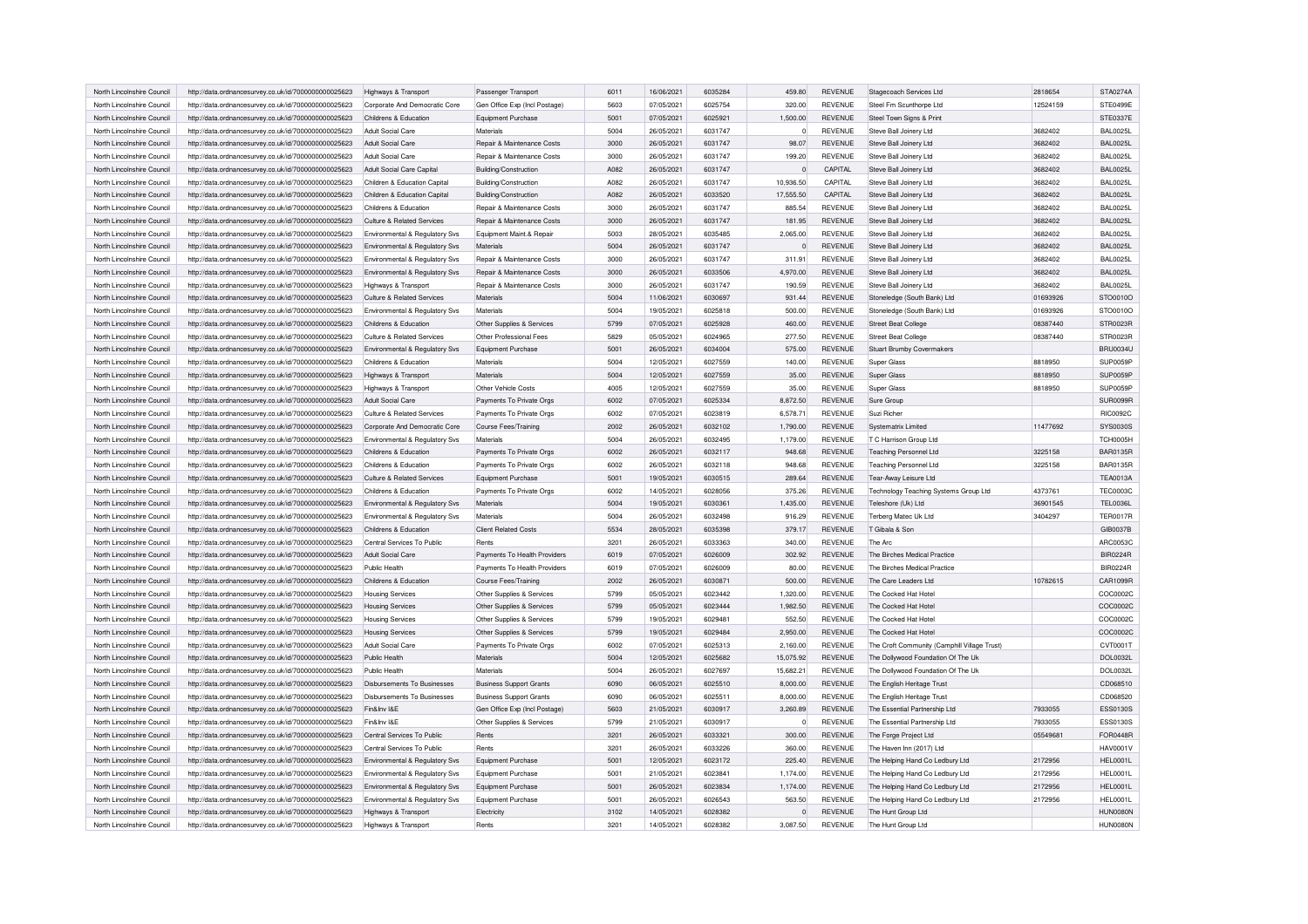| North Lincolnshire Council | http://data.ordnancesurvey.co.uk/id/7000000000025623 | Highways & Transport               | Passenger Transport            | 6011 | 16/06/2021 | 6035284 | 459.80       | REVENUE        | Stagecoach Services Ltd                      | 2818654  | STA0274A        |
|----------------------------|------------------------------------------------------|------------------------------------|--------------------------------|------|------------|---------|--------------|----------------|----------------------------------------------|----------|-----------------|
| North Lincolnshire Council | http://data.ordnancesurvey.co.uk/id/7000000000025623 | Corporate And Democratic Core      | Gen Office Exp (Incl Postage)  | 5603 | 07/05/2021 | 6025754 | 320.00       | <b>REVENUE</b> | Steel Fm Scunthorpe Ltd                      | 12524159 | STE0499E        |
| North Lincolnshire Council | http://data.ordnancesurvey.co.uk/id/7000000000025623 | Childrens & Education              | Equipment Purchase             | 5001 | 07/05/2021 | 6025921 | 1,500.00     | REVENUE        | Steel Town Signs & Print                     |          | <b>STE0337E</b> |
| North Lincolnshire Council | http://data.ordnancesurvey.co.uk/id/7000000000025623 | Adult Social Care                  | Materials                      | 5004 | 26/05/2021 | 6031747 | $\Omega$     | <b>REVENUE</b> | Steve Ball Joinery Ltd                       | 3682402  | <b>BAL0025L</b> |
| North Lincolnshire Council | http://data.ordnancesurvey.co.uk/id/7000000000025623 | Adult Social Care                  | Repair & Maintenance Costs     | 3000 | 26/05/2021 | 6031747 | 98.07        | <b>REVENUE</b> | Steve Ball Joinery Ltd                       | 3682402  | <b>BAL0025L</b> |
| North Lincolnshire Council | http://data.ordnancesurvey.co.uk/id/7000000000025623 | Adult Social Care                  | Repair & Maintenance Costs     | 3000 | 26/05/2021 | 6031747 | 199.20       | <b>REVENUE</b> | Steve Ball Joinery Ltd                       | 3682402  | <b>BAL0025L</b> |
| North Lincolnshire Counci  | http://data.ordnancesurvey.co.uk/id/7000000000025623 | Adult Social Care Capital          | Building/Construction          | A082 | 26/05/2021 | 6031747 | $\mathbf 0$  | CAPITAL        | Steve Ball Joinery Ltd                       | 3682402  | <b>BAL0025L</b> |
| North Lincolnshire Council | http://data.ordnancesurvey.co.uk/id/7000000000025623 | Children & Education Capital       | Building/Construction          | A082 | 26/05/2021 | 6031747 | 10,936.50    | CAPITAL        | Steve Ball Joinery Ltd                       | 3682402  | <b>BAL0025L</b> |
| North Lincolnshire Council | http://data.ordnancesurvey.co.uk/id/7000000000025623 | Children & Education Capital       | Building/Construction          | A082 | 26/05/2021 | 6033520 | 17,555.50    | CAPITAL        | Steve Ball Joinery Ltd                       | 3682402  | <b>BAL0025L</b> |
| North Lincolnshire Council | http://data.ordnancesurvey.co.uk/id/7000000000025623 | Childrens & Education              | Repair & Maintenance Costs     | 3000 | 26/05/2021 | 6031747 | 885.54       | <b>REVENUE</b> | Steve Ball Joinery Ltd                       | 3682402  | <b>BAL0025L</b> |
| North Lincolnshire Council | http://data.ordnancesurvey.co.uk/id/7000000000025623 | Culture & Related Services         | Repair & Maintenance Costs     | 3000 | 26/05/2021 | 6031747 | 181.95       | <b>REVENUE</b> | Steve Ball Joinery Ltd                       | 3682402  | <b>BAL0025L</b> |
| North Lincolnshire Council | http://data.ordnancesurvey.co.uk/id/7000000000025623 | Environmental & Regulatory Svs     | Equipment Maint.& Repair       | 5003 | 28/05/2021 | 6035485 | 2,065.00     | <b>REVENUE</b> | Steve Ball Joinery Ltd                       | 3682402  | <b>BAL0025L</b> |
| North Lincolnshire Counci  |                                                      |                                    | Materials                      | 5004 | 26/05/2021 | 6031747 | $\mathbf{0}$ | <b>REVENUE</b> |                                              | 3682402  | <b>BAL0025L</b> |
|                            | http://data.ordnancesurvey.co.uk/id/7000000000025623 | Environmental & Regulatory Svs     |                                | 3000 |            | 6031747 |              |                | Steve Ball Joinery Ltd                       |          |                 |
| North Lincolnshire Council | http://data.ordnancesurvey.co.uk/id/7000000000025623 | Environmental & Regulatory Svs     | Repair & Maintenance Costs     |      | 26/05/2021 |         | 311.91       | REVENUE        | Steve Ball Joinery Ltd                       | 3682402  | <b>BAL0025L</b> |
| North Lincolnshire Council | http://data.ordnancesurvey.co.uk/id/7000000000025623 | Environmental & Regulatory Svs     | Repair & Maintenance Costs     | 3000 | 26/05/2021 | 6033506 | 4,970.00     | <b>REVENUE</b> | Steve Ball Joinery Ltd                       | 3682402  | <b>BAL0025L</b> |
| North Lincolnshire Counci  | http://data.ordnancesurvey.co.uk/id/7000000000025623 | Highways & Transport               | Repair & Maintenance Costs     | 3000 | 26/05/2021 | 6031747 | 190.59       | <b>REVENUE</b> | Steve Ball Joinery Ltd                       | 3682402  | <b>BAL0025L</b> |
| North Lincolnshire Council | http://data.ordnancesurvey.co.uk/id/7000000000025623 | Culture & Related Services         | Materials                      | 5004 | 11/06/2021 | 6030697 | 931.44       | REVENUE        | Stoneledge (South Bank) Ltd                  | 01693926 | STO0010O        |
| North Lincolnshire Council | http://data.ordnancesurvey.co.uk/id/7000000000025623 | Environmental & Regulatory Svs     | Materials                      | 5004 | 19/05/2021 | 6025818 | 500.00       | <b>REVENUE</b> | Stoneledge (South Bank) Ltd                  | 01693926 | STO0010O        |
| North Lincolnshire Council | http://data.ordnancesurvey.co.uk/id/7000000000025623 | Childrens & Education              | Other Supplies & Services      | 5799 | 07/05/2021 | 6025928 | 460.00       | <b>REVENUE</b> | <b>Street Beat College</b>                   | 08387440 | STR0023R        |
| North Lincolnshire Council | http://data.ordnancesurvey.co.uk/id/7000000000025623 | Culture & Related Services         | Other Professional Fees        | 5829 | 05/05/2021 | 6024965 | 277.50       | REVENUE        | <b>Street Beat College</b>                   | 08387440 | STR0023R        |
| North Lincolnshire Council | http://data.ordnancesurvey.co.uk/id/7000000000025623 | Environmental & Regulatory Svs     | Equipment Purchase             | 5001 | 26/05/2021 | 6034004 | 575.00       | <b>REVENUE</b> | <b>Stuart Brumby Covermakers</b>             |          | <b>BRU0034L</b> |
| North Lincolnshire Council | http://data.ordnancesurvey.co.uk/id/7000000000025623 | Childrens & Education              | Materials                      | 5004 | 12/05/2021 | 6027559 | 140.00       | <b>REVENUE</b> | Super Glass                                  | 8818950  | SUP0059F        |
| North Lincolnshire Council | http://data.ordnancesurvey.co.uk/id/7000000000025623 | Highways & Transport               | Materials                      | 5004 | 12/05/2021 | 6027559 | 35.00        | <b>REVENUE</b> | <b>Super Glass</b>                           | 8818950  | SUP0059F        |
| North Lincolnshire Council | http://data.ordnancesurvey.co.uk/id/7000000000025623 | Highways & Transport               | Other Vehicle Costs            | 4005 | 12/05/2021 | 6027559 | 35.00        | <b>REVENUE</b> | <b>Super Glass</b>                           | 8818950  | SUP0059F        |
| North Lincolnshire Council | http://data.ordnancesurvey.co.uk/id/7000000000025623 | Adult Social Care                  | Payments To Private Orgs       | 6002 | 07/05/2021 | 6025334 | 8.872.50     | <b>REVENUE</b> | Sure Group                                   |          | SUR0099R        |
| North Lincolnshire Council | http://data.ordnancesurvey.co.uk/id/7000000000025623 | Culture & Related Services         | Payments To Private Orgs       | 6002 | 07/05/2021 | 6023819 | 6,578.71     | <b>REVENUE</b> | Suzi Richer                                  |          | <b>RIC0092C</b> |
| North Lincolnshire Council | http://data.ordnancesurvey.co.uk/id/7000000000025623 | Corporate And Democratic Core      | <b>Course Fees/Training</b>    | 2002 | 26/05/2021 | 6032102 | 1,790.00     | <b>REVENUE</b> | <b>Systematrix Limited</b>                   | 11477692 | SYS0030S        |
| North Lincolnshire Council | http://data.ordnancesurvey.co.uk/id/7000000000025623 | Environmental & Regulatory Svs     | Materials                      | 5004 | 26/05/2021 | 6032495 | 1,179.00     | <b>REVENUE</b> | T C Harrison Group Ltd                       |          | <b>TCH0005H</b> |
| North Lincolnshire Council | http://data.ordnancesurvey.co.uk/id/7000000000025623 | Childrens & Education              | Payments To Private Orgs       | 6002 | 26/05/2021 | 6032117 | 948.68       | <b>REVENUE</b> | <b>Teaching Personnel Ltd</b>                | 3225158  | <b>BAR0135F</b> |
| North Lincolnshire Council | http://data.ordnancesurvey.co.uk/id/7000000000025623 | Childrens & Education              | Payments To Private Orgs       | 6002 | 26/05/2021 | 6032118 | 948.68       | <b>REVENUE</b> | <b>Teaching Personnel Ltd</b>                | 3225158  | <b>BAR0135R</b> |
| North Lincolnshire Council | http://data.ordnancesurvey.co.uk/id/7000000000025623 | Culture & Related Services         | Equipment Purchase             | 5001 | 19/05/2021 | 6030515 | 289.64       | REVENUE        | Tear-Away Leisure Ltd                        |          | <b>TEA0013A</b> |
| North Lincolnshire Council | http://data.ordnancesurvey.co.uk/id/7000000000025623 | Childrens & Education              | Payments To Private Orgs       | 6002 | 14/05/2021 | 6028056 | 375.26       | REVENUE        | Technology Teaching Systems Group Ltd        | 4373761  | <b>TEC0003C</b> |
| North Lincolnshire Council | http://data.ordnancesurvey.co.uk/id/7000000000025623 | Environmental & Regulatory Svs     | Materials                      | 5004 | 19/05/2021 | 6030361 | 1,435.00     | <b>REVENUE</b> | Teleshore (Uk) Ltd                           | 36901545 | <b>TEL0036L</b> |
| North Lincolnshire Council | http://data.ordnancesurvey.co.uk/id/7000000000025623 | Environmental & Regulatory Svs     | Materials                      | 5004 | 26/05/2021 | 6032498 | 916.29       | <b>REVENUE</b> | Terberg Matec Uk Ltd                         | 3404297  | <b>TER0017R</b> |
| North Lincolnshire Council | http://data.ordnancesurvey.co.uk/id/7000000000025623 | Childrens & Education              | <b>Client Related Costs</b>    | 5534 | 28/05/2021 | 6035398 | 379.17       | <b>REVENUE</b> | T Gibala & Son                               |          | GIB0037B        |
| North Lincolnshire Council | http://data.ordnancesurvey.co.uk/id/7000000000025623 | Central Services To Public         | Rents                          | 3201 | 26/05/2021 | 6033363 | 340.00       | <b>REVENUE</b> | The Arc                                      |          | ARC0053C        |
| North Lincolnshire Council | http://data.ordnancesurvey.co.uk/id/7000000000025623 | <b>Adult Social Care</b>           | Payments To Health Providers   | 6019 | 07/05/2021 | 6026009 | 302.92       | <b>REVENUE</b> | The Birches Medical Practice                 |          | <b>BIR0224R</b> |
| North Lincolnshire Council | http://data.ordnancesurvey.co.uk/id/7000000000025623 | Public Health                      | Payments To Health Providers   | 6019 | 07/05/2021 | 6026009 | 80.00        | <b>REVENUE</b> | The Birches Medical Practice                 |          | <b>BIR0224R</b> |
| North Lincolnshire Council |                                                      | Childrens & Education              |                                | 2002 | 26/05/2021 | 6030871 | 500.00       | <b>REVENUE</b> | The Care Leaders Ltd                         | 10782615 | CAR1099R        |
| North Lincolnshire Council | http://data.ordnancesurvey.co.uk/id/7000000000025623 |                                    | <b>Course Fees/Training</b>    |      |            | 6023442 |              | <b>REVENUE</b> | The Cocked Hat Hote                          |          |                 |
|                            | http://data.ordnancesurvey.co.uk/id/7000000000025623 | <b>Housing Services</b>            | Other Supplies & Services      | 5799 | 05/05/2021 | 6023444 | 1.320.00     |                |                                              |          | COC0002C        |
| North Lincolnshire Council | http://data.ordnancesurvey.co.uk/id/7000000000025623 | <b>Housing Services</b>            | Other Supplies & Services      | 5799 | 05/05/2021 |         | 1,982.50     | <b>REVENUE</b> | The Cocked Hat Hote                          |          | COC0002C        |
| North Lincolnshire Council | http://data.ordnancesurvey.co.uk/id/7000000000025623 | <b>Housing Services</b>            | Other Supplies & Services      | 5799 | 19/05/2021 | 6029481 | 552.50       | <b>REVENUE</b> | The Cocked Hat Hote                          |          | COC0002C        |
| North Lincolnshire Council | http://data.ordnancesurvey.co.uk/id/7000000000025623 | <b>Housing Services</b>            | Other Supplies & Services      | 5799 | 19/05/2021 | 6029484 | 2,950.00     | <b>REVENUE</b> | The Cocked Hat Hotel                         |          | COC0002C        |
| North Lincolnshire Council | http://data.ordnancesurvey.co.uk/id/7000000000025623 | <b>Adult Social Care</b>           | Payments To Private Orgs       | 6002 | 07/05/2021 | 6025313 | 2,160.00     | <b>REVENUE</b> | The Croft Community (Camphill Village Trust) |          | CVT0001T        |
| North Lincolnshire Council | http://data.ordnancesurvey.co.uk/id/7000000000025623 | Public Health                      | Materials                      | 5004 | 12/05/2021 | 6025682 | 15,075.92    | <b>REVENUE</b> | The Dollywood Foundation Of The Uk           |          | <b>DOL0032L</b> |
| North Lincolnshire Council | http://data.ordnancesurvey.co.uk/id/7000000000025623 | Public Health                      | Materials                      | 5004 | 26/05/2021 | 6027697 | 15,682.21    | <b>REVENUE</b> | The Dollywood Foundation Of The Uk           |          | DOL0032L        |
| North Lincolnshire Council | http://data.ordnancesurvey.co.uk/id/7000000000025623 | <b>Disbursements To Businesses</b> | <b>Business Support Grants</b> | 6090 | 06/05/2021 | 6025510 | 8,000.00     | <b>REVENUE</b> | The English Heritage Trust                   |          | CD068510        |
| North Lincolnshire Council | http://data.ordnancesurvey.co.uk/id/7000000000025623 | Disbursements To Businesses        | <b>Business Support Grants</b> | 6090 | 06/05/2021 | 6025511 | 8,000.00     | <b>REVENUE</b> | The English Heritage Trust                   |          | CD068520        |
| North Lincolnshire Council | http://data.ordnancesurvey.co.uk/id/7000000000025623 | Fin&Inv I&F                        | Gen Office Exp (Incl Postage)  | 5603 | 21/05/2021 | 6030917 | 3,260.89     | <b>REVENUE</b> | The Essential Partnership Ltd                | 7933055  | <b>ESS0130S</b> |
| North Lincolnshire Council | http://data.ordnancesurvey.co.uk/id/7000000000025623 | Fin&Inv I&E                        | Other Supplies & Services      | 5799 | 21/05/2021 | 6030917 | $\mathbf 0$  | <b>REVENUE</b> | The Essential Partnership Ltd                | 7933055  | <b>ESS0130S</b> |
| North Lincolnshire Council | http://data.ordnancesurvey.co.uk/id/7000000000025623 | Central Services To Public         | Rents                          | 3201 | 26/05/2021 | 6033321 | 300.00       | <b>REVENUE</b> | The Forge Project Ltd                        | 05549681 | <b>FOR0448R</b> |
| North Lincolnshire Council | http://data.ordnancesurvey.co.uk/id/7000000000025623 | Central Services To Public         | Rents                          | 3201 | 26/05/2021 | 6033226 | 360.00       | <b>REVENUE</b> | The Haven Inn (2017) Ltd                     |          | <b>HAV0001V</b> |
| North Lincolnshire Council | http://data.ordnancesurvey.co.uk/id/7000000000025623 | Environmental & Regulatory Svs     | <b>Equipment Purchase</b>      | 5001 | 12/05/2021 | 6023172 | 225.40       | <b>REVENUE</b> | The Helping Hand Co Ledbury Ltd              | 2172956  | <b>HEL0001L</b> |
| North Lincolnshire Council | http://data.ordnancesurvey.co.uk/id/7000000000025623 | Environmental & Regulatory Svs     | Equipment Purchase             | 5001 | 21/05/2021 | 6023841 | 1,174.00     | <b>REVENUE</b> | The Helping Hand Co Ledbury Ltd              | 2172956  | <b>HEL0001L</b> |
| North Lincolnshire Council | http://data.ordnancesurvey.co.uk/id/7000000000025623 | Environmental & Regulatory Svs     | Equipment Purchase             | 5001 | 26/05/2021 | 6023834 | 1,174.00     | REVENUE        | The Helping Hand Co Ledbury Ltd              | 2172956  | <b>HEL0001L</b> |
| North Lincolnshire Council | http://data.ordnancesurvey.co.uk/id/7000000000025623 | Environmental & Regulatory Svs     | Equipment Purchase             | 5001 | 26/05/2021 | 6026543 | 563.50       | <b>REVENUE</b> | The Helping Hand Co Ledbury Ltd              | 2172956  | <b>HEL0001L</b> |
| North Lincolnshire Council | http://data.ordnancesurvey.co.uk/id/7000000000025623 | Highways & Transport               | Flectricity                    | 3102 | 14/05/2021 | 6028382 | $\Omega$     | <b>REVENUE</b> | The Hunt Group Ltd                           |          | <b>HUN0080N</b> |
| North Lincolnshire Council | http://data.ordnancesurvey.co.uk/id/7000000000025623 | Highways & Transport               | Rents                          | 3201 | 14/05/2021 | 6028382 | 3,087.50     | <b>REVENUE</b> | The Hunt Group Ltd                           |          | <b>HUN0080N</b> |
|                            |                                                      |                                    |                                |      |            |         |              |                |                                              |          |                 |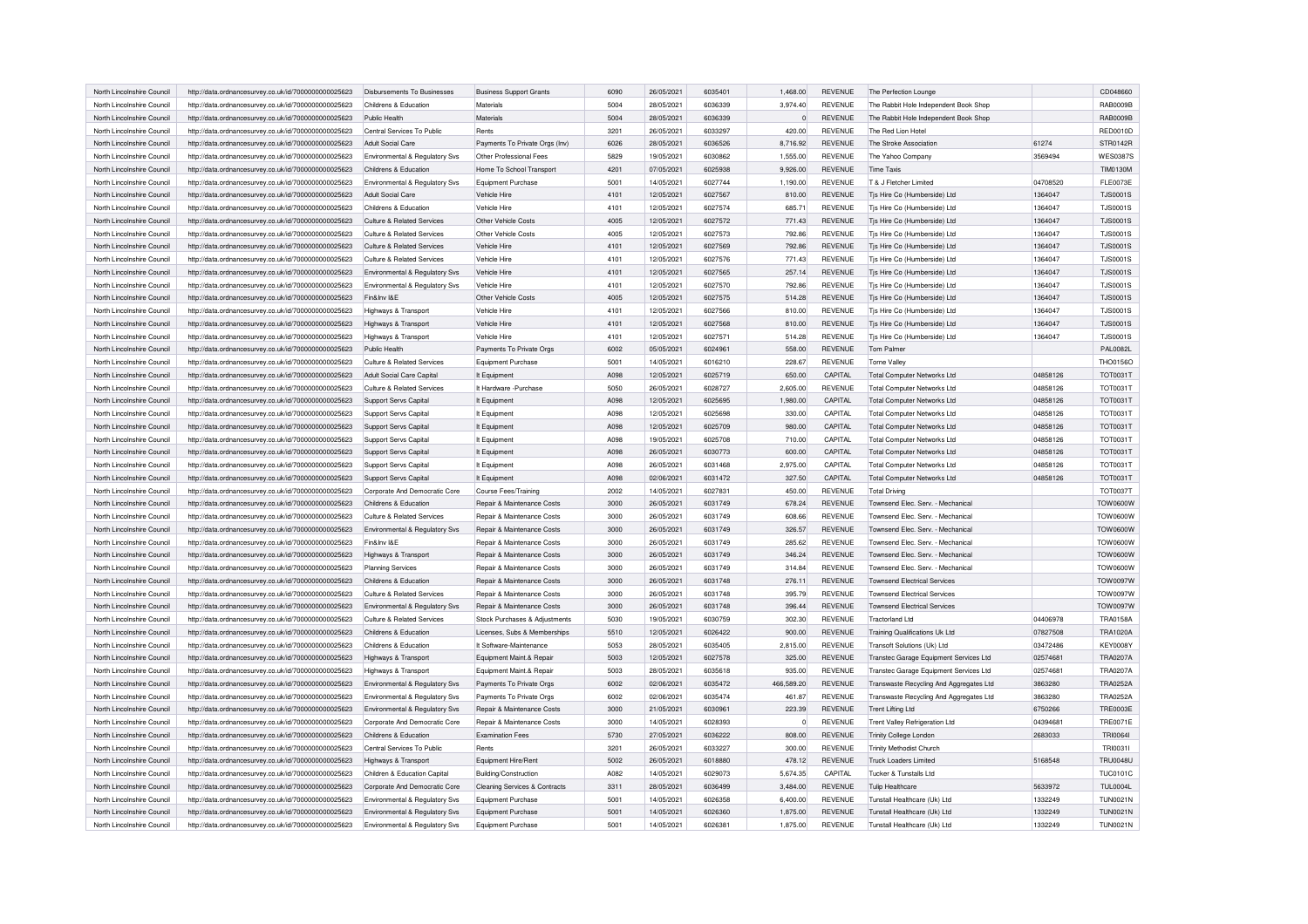| North Lincolnshire Council | http://data.ordnancesurvey.co.uk/id/7000000000025623 | Disbursements To Businesses    | <b>Business Support Grants</b>           | 6090          | 26/05/2021 | 6035401 | 1,468.00       | REVENUE        | The Perfection Lounge                   |          | CD048660        |
|----------------------------|------------------------------------------------------|--------------------------------|------------------------------------------|---------------|------------|---------|----------------|----------------|-----------------------------------------|----------|-----------------|
| North Lincolnshire Council | http://data.ordnancesurvey.co.uk/id/7000000000025623 | Childrens & Education          | Materials                                | 5004          | 28/05/2021 | 6036339 | 3.974.40       | <b>REVENUE</b> | The Rabbit Hole Independent Book Shop   |          | RAB0009B        |
| North Lincolnshire Council | http://data.ordnancesurvey.co.uk/id/7000000000025623 | Public Health                  | Materials                                | 5004          | 28/05/2021 | 6036339 | $\overline{0}$ | <b>REVENUE</b> | The Rabbit Hole Independent Book Shop   |          | <b>RAB0009B</b> |
| North Lincolnshire Council | http://data.ordnancesurvey.co.uk/id/7000000000025623 | Central Services To Public     | Rents                                    | 3201          | 26/05/2021 | 6033297 | 420.00         | <b>REVENUE</b> | The Red Lion Hotel                      |          | <b>RED0010D</b> |
| North Lincolnshire Council | http://data.ordnancesurvey.co.uk/id/7000000000025623 | Adult Social Care              | Payments To Private Orgs (Inv)           | 6026          | 28/05/2021 | 6036526 | 8,716.92       | <b>REVENUE</b> | The Stroke Association                  | 61274    | STR0142R        |
| North Lincolnshire Council | http://data.ordnancesurvey.co.uk/id/7000000000025623 | Environmental & Regulatory Svs | Other Professional Fees                  | 5829          | 19/05/2021 | 6030862 | 1,555.00       | <b>REVENUE</b> | The Yahoo Company                       | 3569494  | <b>WES0387S</b> |
| North Lincolnshire Council | http://data.ordnancesurvey.co.uk/id/7000000000025623 | Childrens & Education          | Home To School Transport                 | 4201          | 07/05/2021 | 6025938 | 9,926.00       | <b>REVENUE</b> | <b>Time Taxis</b>                       |          | <b>TIM0130M</b> |
| North Lincolnshire Council | http://data.ordnancesurvey.co.uk/id/7000000000025623 | Environmental & Regulatory Svs | Equipment Purchase                       | $500^{\circ}$ | 14/05/2021 | 6027744 | 1,190.00       | <b>REVENUE</b> | T & J Fletcher Limited                  | 04708520 | FLE0073E        |
| North Lincolnshire Council | http://data.ordnancesurvey.co.uk/id/7000000000025623 | Adult Social Care              | Vehicle Hire                             | 4101          | 12/05/2021 | 6027567 | 810.00         | <b>REVENUE</b> | Tis Hire Co (Humberside) Ltd            | 1364047  | <b>TJS0001S</b> |
| North Lincolnshire Council | http://data.ordnancesurvey.co.uk/id/7000000000025623 | Childrens & Education          | Vehicle Hire                             | 4101          | 12/05/2021 | 6027574 | 685.71         | <b>REVENUE</b> | Tis Hire Co (Humberside) Ltd            | 1364047  | <b>TJS0001S</b> |
| North Lincolnshire Council | http://data.ordnancesurvey.co.uk/id/7000000000025623 | Culture & Related Services     | Other Vehicle Costs                      | 4005          | 12/05/2021 | 6027572 | 771.43         | <b>REVENUE</b> | Tis Hire Co (Humberside) Ltd            | 1364047  | <b>TJS0001S</b> |
| North Lincolnshire Council | http://data.ordnancesurvey.co.uk/id/7000000000025623 | Culture & Related Services     | Other Vehicle Costs                      | 4005          | 12/05/2021 | 6027573 | 792.86         | <b>REVENUE</b> | Tis Hire Co (Humberside) Ltd            | 1364047  | <b>TJS0001S</b> |
| North Lincolnshire Council | http://data.ordnancesurvey.co.uk/id/7000000000025623 | Culture & Related Services     | Vehicle Hire                             | 4101          | 12/05/2021 | 6027569 | 792.86         | <b>REVENUE</b> | Tjs Hire Co (Humberside) Ltd            | 1364047  | <b>TJS0001S</b> |
| North Lincolnshire Council | http://data.ordnancesurvey.co.uk/id/7000000000025623 | Culture & Related Services     | <b>Vehicle Hire</b>                      | 4101          | 12/05/2021 | 6027576 | 771.43         | <b>REVENUE</b> | Tis Hire Co (Humberside) Ltd            | 1364047  | <b>TJS0001S</b> |
| North Lincolnshire Council | http://data.ordnancesurvey.co.uk/id/7000000000025623 | Environmental & Regulatory Svs | Vehicle Hire                             | 4101          | 12/05/2021 | 6027565 | 257.14         | <b>REVENUE</b> | Tjs Hire Co (Humberside) Ltd            | 1364047  | <b>TJS0001S</b> |
| North Lincolnshire Council | http://data.ordnancesurvey.co.uk/id/7000000000025623 | Environmental & Regulatory Svs | <b>Vehicle Hire</b>                      | 4101          | 12/05/2021 | 6027570 | 792.86         | <b>REVENUE</b> | Tis Hire Co (Humberside) Ltd            | 1364047  | <b>TJS0001S</b> |
| North Lincolnshire Council | http://data.ordnancesurvey.co.uk/id/7000000000025623 | Fin&Inv I&E                    | Other Vehicle Costs                      | 4005          | 12/05/2021 | 6027575 | 514.28         | <b>REVENUE</b> | Tis Hire Co (Humberside) Ltd            | 1364047  | <b>TJS0001S</b> |
| North Lincolnshire Council | http://data.ordnancesurvey.co.uk/id/7000000000025623 | Highways & Transport           | Vehicle Hire                             | 4101          | 12/05/2021 | 6027566 | 810.00         | <b>REVENUE</b> | Tis Hire Co (Humberside) Ltd            | 1364047  | <b>TJS0001S</b> |
| North Lincolnshire Council | http://data.ordnancesurvey.co.uk/id/7000000000025623 | Highways & Transport           | <b>Vehicle Hire</b>                      | 4101          | 12/05/2021 | 6027568 | 810.00         | <b>REVENUE</b> | Tis Hire Co (Humberside) Ltd            | 1364047  | <b>TJS0001S</b> |
| North Lincolnshire Council | http://data.ordnancesurvey.co.uk/id/7000000000025623 | Highways & Transport           | Vehicle Hire                             | 4101          | 12/05/2021 | 6027571 | 514.28         | <b>REVENUE</b> | Tis Hire Co (Humberside) Ltd            | 1364047  | <b>TJS0001S</b> |
| North Lincolnshire Council | http://data.ordnancesurvey.co.uk/id/7000000000025623 | Public Health                  | Payments To Private Orgs                 | 6002          | 05/05/2021 | 6024961 | 558.00         | <b>REVENUE</b> | Tom Palmer                              |          | <b>PAL0082L</b> |
| North Lincolnshire Council | http://data.ordnancesurvey.co.uk/id/7000000000025623 | Culture & Related Services     | Equipment Purchase                       | 5001          | 14/05/2021 | 6016210 | 228.67         | <b>REVENUE</b> | <b>Torne Valley</b>                     |          | THO0156O        |
| North Lincolnshire Council | http://data.ordnancesurvey.co.uk/id/7000000000025623 | Adult Social Care Capital      | It Equipment                             | A098          | 12/05/2021 | 6025719 | 650.00         | CAPITAL        | <b>Total Computer Networks Ltd</b>      | 04858126 | <b>TOT0031T</b> |
| North Lincolnshire Council | http://data.ordnancesurvey.co.uk/id/7000000000025623 | Culture & Related Services     | It Hardware - Purchase                   | 5050          | 26/05/2021 | 6028727 | 2.605.00       | <b>REVENUE</b> | Total Computer Networks Ltd             | 04858126 | <b>TOT0031T</b> |
| North Lincolnshire Council |                                                      |                                |                                          | A098          | 12/05/2021 | 6025695 | 1,980.00       | CAPITAL        |                                         | 04858126 | <b>TOT0031T</b> |
|                            | http://data.ordnancesurvey.co.uk/id/7000000000025623 | Support Servs Capital          | It Equipment                             | A098          | 12/05/2021 | 6025698 |                | CAPITAL        | <b>Total Computer Networks Ltd</b>      |          | <b>TOT0031T</b> |
| North Lincolnshire Council | http://data.ordnancesurvey.co.uk/id/7000000000025623 | Support Servs Capital          | It Equipment                             |               |            |         | 330.00         |                | <b>Total Computer Networks Ltd</b>      | 04858126 |                 |
| North Lincolnshire Council | http://data.ordnancesurvey.co.uk/id/7000000000025623 | Support Servs Capital          | It Equipment                             | A098          | 12/05/2021 | 6025709 | 980.00         | CAPITAL        | <b>Total Computer Networks Ltd</b>      | 04858126 | <b>TOT0031T</b> |
| North Lincolnshire Council | http://data.ordnancesurvey.co.uk/id/7000000000025623 | Support Servs Capital          | It Equipment                             | A098          | 19/05/2021 | 6025708 | 710.00         | CAPITAL        | <b>Total Computer Networks Ltd</b>      | 04858126 | <b>TOT0031T</b> |
| North Lincolnshire Council | http://data.ordnancesurvey.co.uk/id/7000000000025623 | Support Servs Capital          | It Equipment                             | A098          | 26/05/2021 | 6030773 | 600.00         | CAPITAL        | <b>Total Computer Networks Ltd</b>      | 04858126 | <b>TOT0031T</b> |
| North Lincolnshire Council | http://data.ordnancesurvey.co.uk/id/7000000000025623 | Support Servs Capital          | It Equipment                             | A098          | 26/05/2021 | 6031468 | 2,975.00       | CAPITAL        | <b>Total Computer Networks Ltd</b>      | 04858126 | <b>TOT0031T</b> |
| North Lincolnshire Council | http://data.ordnancesurvey.co.uk/id/7000000000025623 | Support Servs Capital          | It Equipment                             | A098          | 02/06/2021 | 6031472 | 327.50         | CAPITAL        | <b>Total Computer Networks Ltd</b>      | 04858126 | <b>TOT0031T</b> |
| North Lincolnshire Council | http://data.ordnancesurvey.co.uk/id/7000000000025623 | Corporate And Democratic Core  | Course Fees/Training                     | 2002          | 14/05/2021 | 6027831 | 450.00         | <b>REVENUE</b> | <b>Total Driving</b>                    |          | <b>TOT0037T</b> |
| North Lincolnshire Council | http://data.ordnancesurvey.co.uk/id/7000000000025623 | Childrens & Education          | Repair & Maintenance Costs               | 3000          | 26/05/2021 | 6031749 | 678.24         | <b>REVENUE</b> | Townsend Elec. Serv. - Mechanical       |          | TOW0600W        |
| North Lincolnshire Council | http://data.ordnancesurvey.co.uk/id/7000000000025623 | Culture & Related Services     | Repair & Maintenance Costs               | 3000          | 26/05/2021 | 6031749 | 608.66         | <b>REVENUE</b> | Townsend Elec. Serv. - Mechanical       |          | TOW0600W        |
| North Lincolnshire Council | http://data.ordnancesurvey.co.uk/id/7000000000025623 | Environmental & Regulatory Svs | Repair & Maintenance Costs               | 3000          | 26/05/2021 | 6031749 | 326.57         | <b>REVENUE</b> | Townsend Elec. Serv. - Mechanical       |          | TOW0600W        |
| North Lincolnshire Council | http://data.ordnancesurvey.co.uk/id/7000000000025623 | Fin&Inv I&F                    | Repair & Maintenance Costs               | 3000          | 26/05/2021 | 6031749 | 285.62         | <b>REVENUE</b> | Townsend Elec. Serv. - Mechanical       |          | TOW0600W        |
| North Lincolnshire Council | http://data.ordnancesurvey.co.uk/id/7000000000025623 | Highways & Transport           | Repair & Maintenance Costs               | 3000          | 26/05/2021 | 6031749 | 346.24         | <b>REVENUE</b> | Townsend Elec. Serv. - Mechanical       |          | TOW0600W        |
| North Lincolnshire Council | http://data.ordnancesurvey.co.uk/id/7000000000025623 | <b>Planning Services</b>       | Repair & Maintenance Costs               | 3000          | 26/05/2021 | 6031749 | 314.84         | <b>REVENUE</b> | Townsend Elec. Serv. - Mechanical       |          | <b>TOW0600W</b> |
| North Lincolnshire Council | http://data.ordnancesurvey.co.uk/id/7000000000025623 | Childrens & Education          | Repair & Maintenance Costs               | 3000          | 26/05/2021 | 6031748 | 276.11         | <b>REVENUE</b> | <b>Townsend Electrical Services</b>     |          | <b>TOW0097W</b> |
| North Lincolnshire Council | http://data.ordnancesurvey.co.uk/id/7000000000025623 | Culture & Related Services     | Repair & Maintenance Costs               | 3000          | 26/05/2021 | 6031748 | 395.79         | <b>REVENUE</b> | <b>Townsend Electrical Services</b>     |          | <b>TOW0097W</b> |
| North Lincolnshire Council | http://data.ordnancesurvey.co.uk/id/7000000000025623 | Environmental & Regulatory Svs | Repair & Maintenance Costs               | 3000          | 26/05/2021 | 6031748 | 396.44         | <b>REVENUE</b> | <b>Townsend Electrical Services</b>     |          | TOW0097W        |
| North Lincolnshire Council | http://data.ordnancesurvey.co.uk/id/7000000000025623 | Culture & Related Services     | Stock Purchases & Adjustments            | 5030          | 19/05/2021 | 6030759 | 302.30         | REVENUE        | <b>Tractorland Ltd</b>                  | 04406978 | <b>TRA0158A</b> |
| North Lincolnshire Council | http://data.ordnancesurvey.co.uk/id/7000000000025623 | Childrens & Education          | Licenses, Subs & Memberships             | 5510          | 12/05/2021 | 6026422 | 900.00         | <b>REVENUE</b> | Training Qualifications Uk Ltd          | 07827508 | <b>TRA1020A</b> |
| North Lincolnshire Council | http://data.ordnancesurvey.co.uk/id/7000000000025623 | Childrens & Education          | It Software-Maintenance                  | 5053          | 28/05/2021 | 6035405 | 2.815.00       | <b>REVENUE</b> | Transoft Solutions (Uk) Ltd             | 03472486 | <b>KEY0008Y</b> |
| North Lincolnshire Council | http://data.ordnancesurvey.co.uk/id/7000000000025623 | Highways & Transport           | Equipment Maint.& Repair                 | 5003          | 12/05/2021 | 6027578 | 325.00         | <b>REVENUE</b> | Transtec Garage Equipment Services Ltd  | 02574681 | <b>TRA0207A</b> |
| North Lincolnshire Council | http://data.ordnancesurvey.co.uk/id/7000000000025623 | Highways & Transport           | Equipment Maint.& Repair                 | 5003          | 28/05/2021 | 6035618 | 935.00         | <b>REVENUE</b> | Transtec Garage Equipment Services Ltd  | 02574681 | <b>TRA0207A</b> |
| North Lincolnshire Council | http://data.ordnancesurvey.co.uk/id/7000000000025623 | Environmental & Regulatory Svs | Payments To Private Orgs                 | 6002          | 02/06/2021 | 6035472 | 466,589.20     | REVENUE        | Transwaste Recycling And Aggregates Ltd | 3863280  | <b>TRA0252A</b> |
| North Lincolnshire Council | http://data.ordnancesurvey.co.uk/id/7000000000025623 | Environmental & Regulatory Svs | Payments To Private Orgs                 | 6002          | 02/06/2021 | 6035474 | 461.87         | <b>REVENUE</b> | Transwaste Recycling And Aggregates Ltd | 3863280  | <b>TRA0252A</b> |
| North Lincolnshire Council | http://data.ordnancesurvey.co.uk/id/7000000000025623 | Environmental & Regulatory Svs | Repair & Maintenance Costs               | 3000          | 21/05/2021 | 6030961 | 223.39         | <b>REVENUE</b> | <b>Trent Lifting Ltd</b>                | 6750266  | <b>TRE0003E</b> |
| North Lincolnshire Council | http://data.ordnancesurvey.co.uk/id/7000000000025623 | Corporate And Democratic Core  | Repair & Maintenance Costs               | 3000          | 14/05/2021 | 6028393 | $\Omega$       | <b>REVENUE</b> | <b>Trent Valley Refrigeration Ltd</b>   | 04394681 | <b>TRE0071E</b> |
| North Lincolnshire Council | http://data.ordnancesurvey.co.uk/id/7000000000025623 | Childrens & Education          | <b>Examination Fees</b>                  | 5730          | 27/05/2021 | 6036222 | 808.00         | <b>REVENUE</b> | Trinity College London                  | 2683033  | TRI0064         |
| North Lincolnshire Council | http://data.ordnancesurvey.co.uk/id/7000000000025623 | Central Services To Public     | Rents                                    | 3201          | 26/05/2021 | 6033227 | 300.00         | <b>REVENUE</b> | <b>Trinity Methodist Church</b>         |          | TRI0031I        |
| North Lincolnshire Council | http://data.ordnancesurvey.co.uk/id/7000000000025623 | Highways & Transport           | Equipment Hire/Rent                      | 5002          | 26/05/2021 | 6018880 | 478.12         | <b>REVENUE</b> | <b>Truck Loaders Limited</b>            | 5168548  | <b>TRU0048U</b> |
| North Lincolnshire Council | http://data.ordnancesurvey.co.uk/id/7000000000025623 | Children & Education Capital   | Building/Construction                    | A082          | 14/05/2021 | 6029073 | 5,674.35       | CAPITAL        | Tucker & Tunstalls Ltd                  |          | <b>TUC0101C</b> |
| North Lincolnshire Council | http://data.ordnancesurvey.co.uk/id/7000000000025623 | Corporate And Democratic Core  | <b>Cleaning Services &amp; Contracts</b> | 3311          | 28/05/2021 | 6036499 | 3,484.00       | <b>REVENUE</b> | <b>Tulip Healthcare</b>                 | 5633972  | <b>TUL0004L</b> |
| North Lincolnshire Council |                                                      |                                |                                          | 5001          | 14/05/2021 | 6026358 |                | <b>REVENUE</b> |                                         |          | <b>TUN0021N</b> |
|                            | http://data.ordnancesurvey.co.uk/id/7000000000025623 | Environmental & Regulatory Svs | Equipment Purchase                       | 5001          |            | 6026360 | 6,400.00       |                | Tunstall Healthcare (Uk) Ltd            | 1332249  |                 |
| North Lincolnshire Council | http://data.ordnancesurvey.co.uk/id/7000000000025623 | Environmental & Regulatory Sys | Equipment Purchase                       |               | 14/05/2021 |         | 1,875.00       | <b>REVENUE</b> | Tunstall Healthcare (Uk) Ltd            | 1332249  | <b>TUN0021N</b> |
| North Lincolnshire Council | http://data.ordnancesurvey.co.uk/id/7000000000025623 | Environmental & Regulatory Svs | Equipment Purchase                       | 5001          | 14/05/2021 | 6026381 | 1,875.00       | <b>REVENUE</b> | Tunstall Healthcare (Uk) Ltd            | 1332249  | <b>TUN0021N</b> |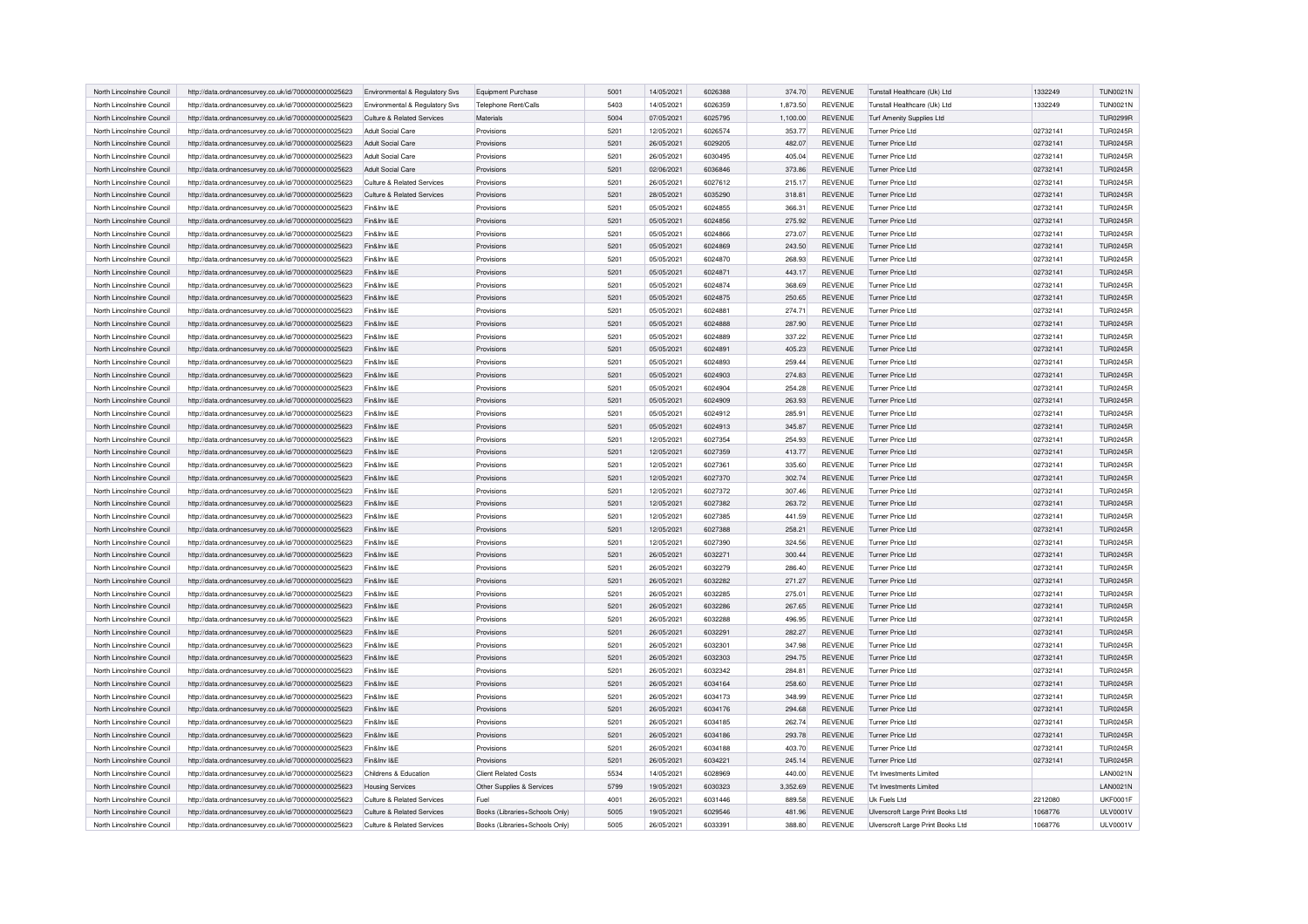| North Lincolnshire Council | http://data.ordnancesurvey.co.uk/id/7000000000025623 | Environmental & Regulatory Svs | Equipment Purchase             | 5001 | 14/05/2021 | 6026388 | 374.70   | <b>REVENUE</b> | Tunstall Healthcare (Uk) Ltd      | 1332249  | TUN0021N        |
|----------------------------|------------------------------------------------------|--------------------------------|--------------------------------|------|------------|---------|----------|----------------|-----------------------------------|----------|-----------------|
| North Lincolnshire Council | http://data.ordnancesurvey.co.uk/id/7000000000025623 | Environmental & Regulatory Svs | Telephone Rent/Calls           | 5403 | 14/05/2021 | 6026359 | 1,873.50 | <b>REVENUE</b> | Tunstall Healthcare (Uk) Ltd      | 1332249  | <b>TUN0021N</b> |
| North Lincolnshire Council | http://data.ordnancesurvey.co.uk/id/7000000000025623 | Culture & Related Services     | Materials                      | 5004 | 07/05/2021 | 6025795 | 1,100.00 | REVENUE        | <b>Turf Amenity Supplies Ltd</b>  |          | <b>TUR0299R</b> |
| North Lincolnshire Council | http://data.ordnancesurvey.co.uk/id/7000000000025623 | Adult Social Care              | Provisions                     | 5201 | 12/05/2021 | 6026574 | 353.77   | <b>REVENUE</b> | Turner Price Ltd                  | 02732141 | <b>TUR0245R</b> |
| North Lincolnshire Council | http://data.ordnancesurvey.co.uk/id/7000000000025623 | Adult Social Care              | Provisions                     | 5201 | 26/05/2021 | 6029205 | 482.07   | <b>REVENUE</b> | Turner Price Ltd                  | 02732141 | <b>TUR0245R</b> |
| North Lincolnshire Council | http://data.ordnancesurvey.co.uk/id/7000000000025623 | Adult Social Care              | Provisions                     | 5201 | 26/05/2021 | 6030495 | 405.04   | <b>REVENUE</b> | Turner Price I td                 | 02732141 | <b>TUR0245R</b> |
| North Lincolnshire Council | http://data.ordnancesurvey.co.uk/id/7000000000025623 | Adult Social Care              | Provisions                     | 5201 | 02/06/2021 | 6036846 | 373.86   | <b>REVENUE</b> | Turner Price Ltd                  | 02732141 | <b>TUR0245R</b> |
| North Lincolnshire Council | http://data.ordnancesurvey.co.uk/id/7000000000025623 | Culture & Related Services     | Provisions                     | 5201 | 26/05/2021 | 6027612 | 215.17   | <b>REVENUE</b> | <b>Turner Price Ltd</b>           | 02732141 | <b>TUR0245R</b> |
| North Lincolnshire Council | http://data.ordnancesurvey.co.uk/id/7000000000025623 | Culture & Related Services     | Provisions                     | 5201 | 28/05/2021 | 6035290 | 318.81   | REVENUE        | Turner Price Ltd                  | 02732141 | <b>TUR0245R</b> |
| North Lincolnshire Council | http://data.ordnancesurvey.co.uk/id/7000000000025623 | Fin&Inv I&E                    | Provisions                     | 5201 | 05/05/2021 | 6024855 | 366.31   | <b>REVENUE</b> | Turner Price Ltd                  | 02732141 | <b>TUR0245R</b> |
| North Lincolnshire Council | http://data.ordnancesurvey.co.uk/id/7000000000025623 | Fin&Inv I&E                    | Provisions                     | 5201 | 05/05/2021 | 6024856 | 275.92   | <b>REVENUE</b> | Turner Price Ltd                  | 02732141 | <b>TUR0245R</b> |
| North Lincolnshire Council | http://data.ordnancesurvey.co.uk/id/7000000000025623 | Fin&Inv I&E                    | Provisions                     | 5201 | 05/05/2021 | 6024866 | 273.07   | <b>REVENUE</b> | Turner Price Ltd                  | 02732141 | <b>TUR0245R</b> |
| North Lincolnshire Council | http://data.ordnancesurvey.co.uk/id/7000000000025623 | Fin&Inv I&E                    | Provisions                     | 5201 | 05/05/2021 | 6024869 | 243.50   | <b>REVENUE</b> | Turner Price Ltd                  | 02732141 | <b>TUR0245R</b> |
| North Lincolnshire Council | http://data.ordnancesurvey.co.uk/id/7000000000025623 | Fin&Inv I&F                    | Provisions                     | 5201 | 05/05/2021 | 6024870 | 268.93   | <b>REVENUE</b> | Turner Price Ltd                  | 02732141 | <b>TUR0245R</b> |
| North Lincolnshire Council | http://data.ordnancesurvey.co.uk/id/7000000000025623 | Fin&Inv I&F                    | Provisions                     | 5201 | 05/05/2021 | 6024871 | 443.17   | <b>REVENUE</b> | Turner Price I td                 | 02732141 | <b>TUR0245R</b> |
| North Lincolnshire Council | http://data.ordnancesurvey.co.uk/id/7000000000025623 | Fin&Inv I&E                    | Provisions                     | 5201 | 05/05/2021 | 6024874 | 368.69   | <b>REVENUE</b> | Turner Price Ltd                  | 02732141 | <b>TUR0245R</b> |
| North Lincolnshire Council | http://data.ordnancesurvey.co.uk/id/7000000000025623 | Fin&Inv I&E                    | Provisions                     | 5201 | 05/05/2021 | 6024875 | 250.65   | REVENUE        | Turner Price Ltd                  | 02732141 | <b>TUR0245R</b> |
| North Lincolnshire Council | http://data.ordnancesurvey.co.uk/id/7000000000025623 | Fin&Inv I&E                    | Provisions                     | 5201 | 05/05/2021 | 6024881 | 274.71   | <b>REVENUE</b> | Turner Price Ltd                  | 02732141 | <b>TUR0245R</b> |
| North Lincolnshire Council | http://data.ordnancesurvey.co.uk/id/7000000000025623 | Fin&Inv I&F                    | Provisions                     | 5201 | 05/05/2021 | 6024888 | 287.90   | <b>REVENUE</b> | Turner Price Ltd                  | 02732141 | <b>TUR0245R</b> |
| North Lincolnshire Council | http://data.ordnancesurvey.co.uk/id/7000000000025623 | Fin&Inv I&F                    | Provisions                     | 5201 | 05/05/2021 | 6024889 | 337.22   | <b>REVENUE</b> | Turner Price Ltd                  | 02732141 | <b>TUR0245R</b> |
| North Lincolnshire Council | http://data.ordnancesurvey.co.uk/id/7000000000025623 | Fin&Inv I&F                    | Provisions                     | 5201 | 05/05/2021 | 6024891 | 405.23   | <b>REVENUE</b> | Turner Price Ltd                  | 02732141 | <b>TUR0245R</b> |
| North Lincolnshire Council | http://data.ordnancesurvey.co.uk/id/7000000000025623 | Fin&Inv I&E                    | Provisions                     | 5201 | 05/05/2021 | 6024893 | 259.44   | REVENUE        | Turner Price Ltd                  | 02732141 | <b>TUR0245R</b> |
| North Lincolnshire Council | http://data.ordnancesurvey.co.uk/id/7000000000025623 | Fin&Inv I&E                    | Provisions                     | 5201 | 05/05/2021 | 6024903 | 274.83   | <b>REVENUE</b> | <b>Turner Price Ltd</b>           | 02732141 | <b>TUR0245R</b> |
| North Lincolnshire Council | http://data.ordnancesurvey.co.uk/id/7000000000025623 | Fin&Inv I&E                    | Provisions                     | 5201 | 05/05/2021 | 6024904 | 254.28   | REVENUE        | Turner Price Ltd                  | 02732141 | <b>TUR0245R</b> |
| North Lincolnshire Council | http://data.ordnancesurvey.co.uk/id/7000000000025623 | Fin&Inv I&F                    | Provisions                     | 5201 | 05/05/2021 | 6024909 | 263.93   | <b>REVENUE</b> | Turner Price Ltd                  | 02732141 | <b>TUR0245R</b> |
| North Lincolnshire Council | http://data.ordnancesurvey.co.uk/id/7000000000025623 | Fin&Inv I&E                    | Provisions                     | 5201 | 05/05/2021 | 6024912 | 285.91   | <b>REVENUE</b> | Turner Price Ltd                  | 02732141 | <b>TUR0245R</b> |
| North Lincolnshire Council | http://data.ordnancesurvey.co.uk/id/7000000000025623 | Fin&Inv I&E                    | Provisions                     | 5201 | 05/05/2021 | 6024913 | 345.87   | <b>REVENUE</b> | Turner Price Ltd                  | 02732141 | <b>TUR0245R</b> |
| North Lincolnshire Council | http://data.ordnancesurvey.co.uk/id/7000000000025623 | Fin&Inv I&E                    | Provisions                     | 5201 | 12/05/2021 | 6027354 | 254.93   | <b>REVENUE</b> | Turner Price Ltd                  | 02732141 | <b>TUR0245R</b> |
| North Lincolnshire Council | http://data.ordnancesurvey.co.uk/id/7000000000025623 | Fin&Inv I&E                    | Provisions                     | 5201 | 12/05/2021 | 6027359 | 413.77   | <b>REVENUE</b> | Turner Price Ltd                  | 02732141 | <b>TUR0245R</b> |
| North Lincolnshire Council | http://data.ordnancesurvey.co.uk/id/7000000000025623 | Fin&Inv I&E                    | Provisions                     | 5201 | 12/05/2021 | 6027361 | 335.60   | <b>REVENUE</b> | Turner Price Ltd                  | 02732141 | <b>TUR0245R</b> |
| North Lincolnshire Council | http://data.ordnancesurvey.co.uk/id/7000000000025623 | Fin&Inv I&E                    | Provisions                     | 5201 | 12/05/2021 | 6027370 | 302.74   | REVENUE        | Turner Price Ltd                  | 02732141 | <b>TUR0245R</b> |
| North Lincolnshire Council | http://data.ordnancesurvey.co.uk/id/7000000000025623 | Fin&Inv I&E                    | Provisions                     | 5201 | 12/05/2021 | 6027372 | 307.46   | REVENUE        | Turner Price Ltd                  | 02732141 | <b>TUR0245R</b> |
| North Lincolnshire Council | http://data.ordnancesurvey.co.uk/id/7000000000025623 | Fin&Inv I&F                    | Provisions                     | 5201 | 12/05/2021 | 6027382 | 263.72   | <b>REVENUE</b> | Turner Price Ltd                  | 02732141 | <b>TUR0245R</b> |
| North Lincolnshire Council | http://data.ordnancesurvey.co.uk/id/7000000000025623 | Fin&Inv I&E                    | Provisions                     | 5201 | 12/05/2021 | 6027385 | 441.59   | REVENUE        | Turner Price Ltd                  | 02732141 | <b>TUR0245R</b> |
| North Lincolnshire Council | http://data.ordnancesurvey.co.uk/id/7000000000025623 | Fin&Inv I&E                    | Provisions                     | 5201 | 12/05/2021 | 6027388 | 258.21   | REVENUE        | Turner Price Ltd                  | 02732141 | <b>TUR0245R</b> |
| North Lincolnshire Council | http://data.ordnancesurvey.co.uk/id/7000000000025623 | Fin&Inv I&E                    | Provisions                     | 5201 | 12/05/2021 | 6027390 | 324.56   | REVENUE        | Turner Price Ltd                  | 02732141 | <b>TUR0245R</b> |
| North Lincolnshire Council | http://data.ordnancesurvey.co.uk/id/7000000000025623 | Fin&Inv I&E                    | Provisions                     | 5201 | 26/05/2021 | 6032271 | 300.44   | REVENUE        | Turner Price Ltd                  | 02732141 | <b>TUR0245R</b> |
| North Lincolnshire Council | http://data.ordnancesurvey.co.uk/id/7000000000025623 | Fin&Inv I&F                    | Provisions                     | 5201 | 26/05/2021 | 6032279 | 286.40   | <b>REVENUE</b> | Turner Price Ltd                  | 02732141 | <b>TUR0245R</b> |
| North Lincolnshire Council | http://data.ordnancesurvey.co.uk/id/7000000000025623 | Fin&Inv I&E                    | Provisions                     | 5201 | 26/05/2021 | 6032282 | 271.27   | <b>REVENUE</b> | Turner Price Ltd                  | 02732141 | <b>TUR0245R</b> |
| North Lincolnshire Council | http://data.ordnancesurvey.co.uk/id/7000000000025623 | Fin&Inv I&E                    | Provisions                     | 5201 | 26/05/2021 | 6032285 | 275.01   | <b>REVENUE</b> | Turner Price Ltd                  | 02732141 | <b>TUR0245R</b> |
| North Lincolnshire Council | http://data.ordnancesurvey.co.uk/id/7000000000025623 | Fin&Inv I&E                    | Provisions                     | 5201 | 26/05/2021 | 6032286 | 267.65   | <b>REVENUE</b> | Turner Price Ltd                  | 02732141 | <b>TUR0245R</b> |
| North Lincolnshire Council | http://data.ordnancesurvey.co.uk/id/7000000000025623 | Fin&Inv I&F                    | Provisions                     | 5201 | 26/05/2021 | 6032288 | 496.95   | <b>REVENUE</b> | Turner Price Ltd                  | 02732141 | <b>TUR0245R</b> |
| North Lincolnshire Council | http://data.ordnancesurvey.co.uk/id/7000000000025623 | Fin&Inv I&E                    | Provisions                     | 5201 | 26/05/2021 | 6032291 | 282.27   | <b>REVENUE</b> | <b>Turner Price Ltd</b>           | 02732141 | <b>TUR0245R</b> |
| North Lincolnshire Council | http://data.ordnancesurvey.co.uk/id/7000000000025623 | Fin&Inv I&E                    | Provisions                     | 5201 | 26/05/2021 | 6032301 | 347.98   | <b>REVENUE</b> | Turner Price Ltd                  | 02732141 | <b>TUR0245R</b> |
| North Lincolnshire Council | http://data.ordnancesurvey.co.uk/id/7000000000025623 | Fin&Inv I&E                    | Provisions                     | 5201 | 26/05/2021 | 6032303 | 294.75   | <b>REVENUE</b> | Turner Price Ltd                  | 02732141 | <b>TUR0245R</b> |
| North Lincolnshire Council | http://data.ordnancesurvey.co.uk/id/7000000000025623 | Fin&Inv I&E                    | Provisions                     | 5201 | 26/05/2021 | 6032342 | 284.81   | <b>REVENUE</b> | Turner Price Ltd                  | 02732141 | <b>TUR0245R</b> |
| North Lincolnshire Council | http://data.ordnancesurvey.co.uk/id/7000000000025623 | Fin&Inv I&E                    | Provisions                     | 5201 | 26/05/2021 | 6034164 | 258.60   | <b>REVENUE</b> | Turner Price Ltd                  | 02732141 | <b>TUR0245R</b> |
| North Lincolnshire Council | http://data.ordnancesurvey.co.uk/id/7000000000025623 | Fin&Inv I&E                    | Provisions                     | 5201 | 26/05/2021 | 6034173 | 348.99   | <b>REVENUE</b> | <b>Turner Price Ltd</b>           | 02732141 | <b>TUR0245R</b> |
| North Lincolnshire Council | http://data.ordnancesurvey.co.uk/id/7000000000025623 | Fin&Inv I&E                    | Provisions                     | 5201 | 26/05/2021 | 6034176 | 294.68   | <b>REVENUE</b> | Turner Price Ltd                  | 02732141 | <b>TUR0245R</b> |
| North Lincolnshire Council | http://data.ordnancesurvey.co.uk/id/7000000000025623 | Fin&Inv I&E                    | Provisions                     | 5201 | 26/05/2021 | 6034185 | 262.74   | REVENUE        | Turner Price Ltd                  | 02732141 | <b>TUR0245R</b> |
| North Lincolnshire Council | http://data.ordnancesurvey.co.uk/id/7000000000025623 | Fin&Inv I&E                    | Provisions                     | 5201 | 26/05/2021 | 6034186 | 293.78   | <b>REVENUE</b> | Turner Price Ltd                  | 02732141 | <b>TUR0245R</b> |
| North Lincolnshire Council | http://data.ordnancesurvey.co.uk/id/7000000000025623 | Fin&Inv I&F                    | Provisions                     | 5201 | 26/05/2021 | 6034188 | 403.70   | <b>REVENUE</b> | Turner Price Ltd                  | 02732141 | <b>TUR0245R</b> |
| North Lincolnshire Council | http://data.ordnancesurvey.co.uk/id/7000000000025623 | Fin&Inv I&E                    | Provisions                     | 5201 | 26/05/2021 | 6034221 | 245.14   | <b>REVENUE</b> | Turner Price Ltd                  | 02732141 | <b>TUR0245R</b> |
| North Lincolnshire Council | http://data.ordnancesurvey.co.uk/id/7000000000025623 | Childrens & Education          | <b>Client Related Costs</b>    | 5534 | 14/05/2021 | 6028969 | 440.00   | <b>REVENUE</b> | Tyt Investments Limited           |          | <b>LAN0021N</b> |
| North Lincolnshire Council | http://data.ordnancesurvey.co.uk/id/7000000000025623 | <b>Housing Services</b>        | Other Supplies & Services      | 5799 | 19/05/2021 | 6030323 | 3,352.69 | <b>REVENUE</b> | Tyt Investments Limited           |          | LAN0021N        |
| North Lincolnshire Council | http://data.ordnancesurvey.co.uk/id/7000000000025623 | Culture & Related Services     | Fuel                           | 4001 | 26/05/2021 | 6031446 | 889.58   | <b>REVENUE</b> | Uk Fuels Ltd                      | 2212080  | <b>UKF0001F</b> |
| North Lincolnshire Council | http://data.ordnancesurvey.co.uk/id/7000000000025623 | Culture & Related Services     | Books (Libraries+Schools Only) | 5005 | 19/05/2021 | 6029546 | 481.96   | <b>REVENUE</b> | Ulverscroft Large Print Books Ltd | 1068776  | ULV0001V        |
| North Lincolnshire Council | http://data.ordnancesurvey.co.uk/id/7000000000025623 | Culture & Related Services     | Books (Libraries+Schools Only) | 5005 | 26/05/2021 | 6033391 | 388.80   | REVENUE        | Ulverscroft Large Print Books Ltd | 1068776  | ULV0001V        |
|                            |                                                      |                                |                                |      |            |         |          |                |                                   |          |                 |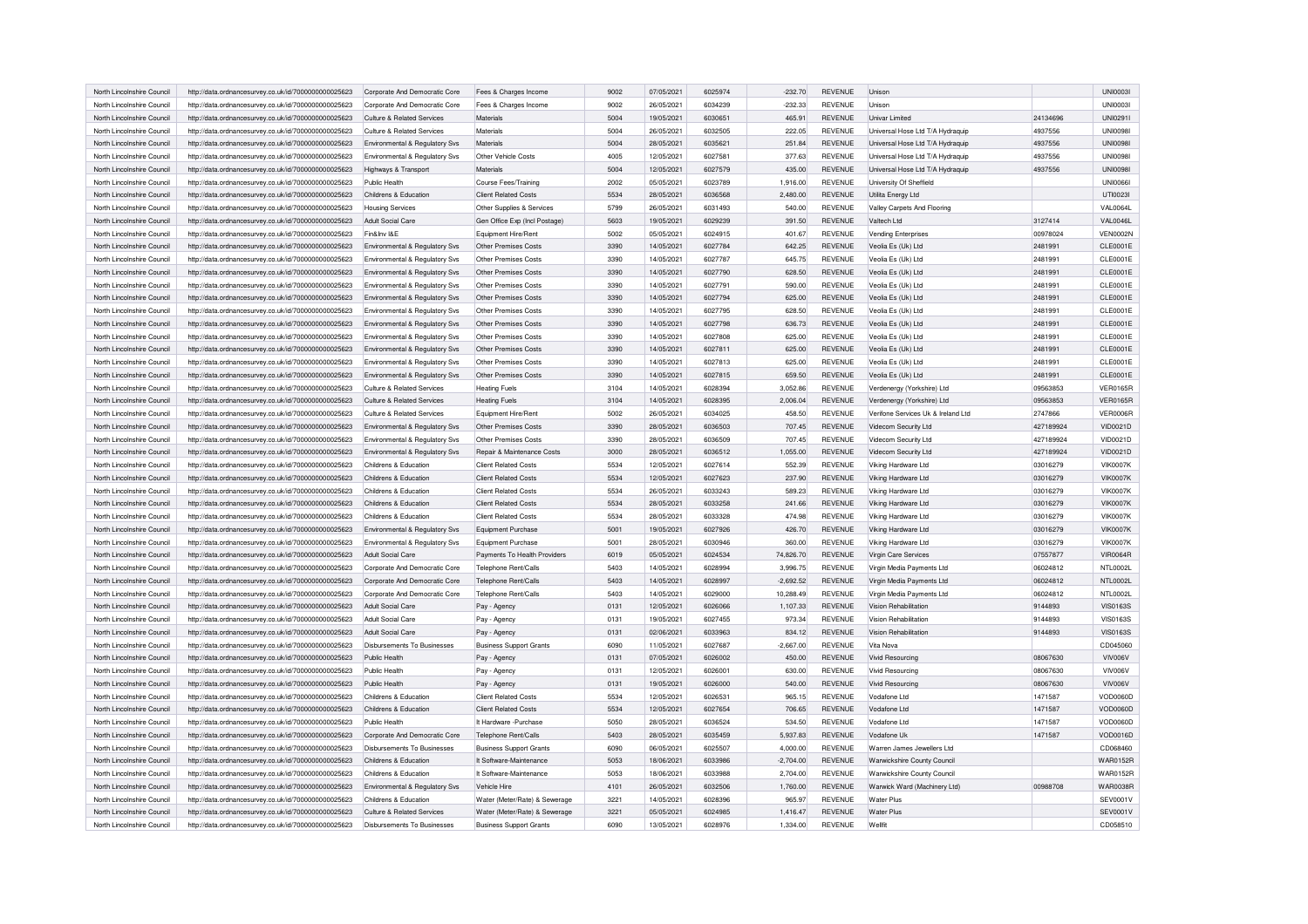| North Lincolnshire Council | http://data.ordnancesurvey.co.uk/id/7000000000025623 | Corporate And Democratic Core  | Fees & Charges Income          | 9002 | 07/05/2021 | 6025974 | $-232.70$   | <b>REVENUE</b> | Unison                             |           | UNIOOO3I        |
|----------------------------|------------------------------------------------------|--------------------------------|--------------------------------|------|------------|---------|-------------|----------------|------------------------------------|-----------|-----------------|
| North Lincolnshire Council | http://data.ordnancesurvey.co.uk/id/7000000000025623 | Corporate And Democratic Core  | Fees & Charges Income          | 9002 | 26/05/2021 | 6034239 | $-232.33$   | <b>REVENUE</b> | Unison                             |           | <b>UNI00031</b> |
| North Lincolnshire Council | http://data.ordnancesurvey.co.uk/id/7000000000025623 | Culture & Related Services     | Materials                      | 5004 | 19/05/2021 | 6030651 | 465.91      | <b>REVENUE</b> | Univar Limited                     | 24134696  | UNI0291I        |
| North Lincolnshire Council | http://data.ordnancesurvey.co.uk/id/7000000000025623 | Culture & Related Services     | Materials                      | 5004 | 26/05/2021 | 6032505 | 222.05      | <b>REVENUE</b> | Universal Hose Ltd T/A Hydraquip   | 4937556   | <b>UNI0098I</b> |
| North Lincolnshire Council | http://data.ordnancesurvey.co.uk/id/7000000000025623 | Environmental & Regulatory Sys | Materials                      | 5004 | 28/05/2021 | 6035621 | 251.84      | <b>REVENUE</b> | Universal Hose Ltd T/A Hydraquip   | 4937556   | <b>UNI0098I</b> |
| North Lincolnshire Council | http://data.ordnancesurvey.co.uk/id/7000000000025623 | Environmental & Regulatory Svs | Other Vehicle Costs            | 4005 | 12/05/2021 | 6027581 | 377.63      | <b>REVENUE</b> | Universal Hose Ltd T/A Hydraquip   | 4937556   | <b>UNI0098I</b> |
| North Lincolnshire Council | http://data.ordnancesurvey.co.uk/id/7000000000025623 | Highways & Transport           | Materials                      | 5004 | 12/05/2021 | 6027579 | 435.00      | <b>REVENUE</b> | Universal Hose Ltd T/A Hydraquip   | 4937556   | <b>UNI0098I</b> |
| North Lincolnshire Council | http://data.ordnancesurvey.co.uk/id/7000000000025623 | Public Health                  | Course Fees/Training           | 2002 | 05/05/2021 | 6023789 | 1,916.00    | <b>REVENUE</b> | University Of Sheffield            |           | <b>UNI00661</b> |
| North Lincolnshire Council | http://data.ordnancesurvey.co.uk/id/7000000000025623 | Childrens & Education          | <b>Client Related Costs</b>    | 5534 | 28/05/2021 | 6036568 | 2,480.00    | <b>REVENUE</b> | Utilita Energy Ltd                 |           | UTI0023I        |
| North Lincolnshire Council | http://data.ordnancesurvey.co.uk/id/7000000000025623 | Housing Services               | Other Supplies & Services      | 5799 | 26/05/2021 | 6031493 | 540.00      | <b>REVENUE</b> | Valley Carpets And Flooring        |           | <b>VAL0064L</b> |
| North Lincolnshire Council | http://data.ordnancesurvey.co.uk/id/7000000000025623 | Adult Social Care              | Gen Office Exp (Incl Postage)  | 5603 | 19/05/2021 | 6029239 | 391.50      | <b>REVENUE</b> | Valtech I td                       | 3127414   | VAL0046L        |
| North Lincolnshire Council | http://data.ordnancesurvey.co.uk/id/7000000000025623 | Fin&Inv I&E                    | Equipment Hire/Rent            | 5002 | 05/05/2021 | 6024915 | 401.67      | <b>REVENUE</b> | <b>Vending Enterprises</b>         | 00978024  | <b>VEN0002N</b> |
| North Lincolnshire Council | http://data.ordnancesurvey.co.uk/id/7000000000025623 | Environmental & Regulatory Svs | Other Premises Costs           | 3390 | 14/05/2021 | 6027784 | 642.25      | <b>REVENUE</b> | Veolia Es (Uk) Ltd                 | 2481991   | CLE0001E        |
| North Lincolnshire Council | http://data.ordnancesurvey.co.uk/id/7000000000025623 | Environmental & Regulatory Svs | Other Premises Costs           | 3390 | 14/05/2021 | 6027787 | 645.75      | <b>REVENUE</b> | Veolia Es (Uk) Ltd                 | 2481991   | <b>CLE0001E</b> |
| North Lincolnshire Council | http://data.ordnancesurvey.co.uk/id/7000000000025623 | Environmental & Regulatory Svs | Other Premises Costs           | 3390 | 14/05/2021 | 6027790 | 628.50      | <b>REVENUE</b> | Veolia Es (Uk) Ltd                 | 2481991   | CLE0001E        |
| North Lincolnshire Council | http://data.ordnancesurvey.co.uk/id/7000000000025623 | Environmental & Regulatory Svs | Other Premises Costs           | 3390 | 14/05/2021 | 6027791 | 590.00      | <b>REVENUE</b> | Veolia Es (Uk) Ltd                 | 2481991   | CLE0001E        |
| North Lincolnshire Council | http://data.ordnancesurvey.co.uk/id/7000000000025623 | Environmental & Regulatory Svs | Other Premises Costs           | 3390 | 14/05/2021 | 6027794 | 625.00      | <b>REVENUE</b> | Veolia Es (Uk) Ltd                 | 2481991   | <b>CLE0001E</b> |
| North Lincolnshire Council | http://data.ordnancesurvey.co.uk/id/7000000000025623 | Environmental & Regulatory Svs | Other Premises Costs           | 3390 | 14/05/2021 | 6027795 | 628.50      | <b>REVENUE</b> | Veolia Es (Uk) Ltd                 | 2481991   | CLE0001E        |
| North Lincolnshire Council | http://data.ordnancesurvey.co.uk/id/7000000000025623 | Environmental & Regulatory Sys | Other Premises Costs           | 3390 | 14/05/2021 | 6027798 | 636.73      | <b>REVENUE</b> | Veolia Es (Uk) Ltd                 | 2481991   | <b>CLE0001E</b> |
| North Lincolnshire Council | http://data.ordnancesurvey.co.uk/id/7000000000025623 | Environmental & Regulatory Svs | Other Premises Costs           | 3390 | 14/05/2021 | 6027808 | 625.00      | <b>REVENUE</b> | Veolia Es (Uk) Ltd                 | 2481991   | CLE0001E        |
| North Lincolnshire Council | http://data.ordnancesurvey.co.uk/id/7000000000025623 | Environmental & Regulatory Svs | Other Premises Costs           | 3390 | 14/05/2021 | 6027811 | 625.00      | <b>REVENUE</b> | Veolia Es (Uk) Ltd                 | 2481991   | CLE0001E        |
| North Lincolnshire Council | http://data.ordnancesurvey.co.uk/id/7000000000025623 | Environmental & Regulatory Svs | Other Premises Costs           | 3390 | 14/05/2021 | 6027813 | 625.00      | <b>REVENUE</b> | Veolia Es (Uk) Ltd                 | 2481991   | CLE0001E        |
| North Lincolnshire Council | http://data.ordnancesurvey.co.uk/id/7000000000025623 | Environmental & Regulatory Svs | Other Premises Costs           | 3390 | 14/05/2021 | 6027815 | 659.50      | <b>REVENUE</b> | Veolia Es (Uk) Ltd                 | 2481991   | CLE0001E        |
| North Lincolnshire Council | http://data.ordnancesurvey.co.uk/id/7000000000025623 | Culture & Related Services     | <b>Heating Fuels</b>           | 3104 | 14/05/2021 | 6028394 | 3,052.86    | <b>REVENUE</b> | Verdenergy (Yorkshire) Ltd         | 09563853  | <b>VER0165R</b> |
| North Lincolnshire Council | http://data.ordnancesurvey.co.uk/id/7000000000025623 | Culture & Related Services     | <b>Heating Fuels</b>           | 3104 | 14/05/2021 | 6028395 | 2.006.04    | <b>REVENUE</b> | Verdenergy (Yorkshire) Ltd         | 09563853  | <b>VER0165R</b> |
| North Lincolnshire Council | http://data.ordnancesurvey.co.uk/id/7000000000025623 | Culture & Related Services     | Equipment Hire/Rent            | 5002 | 26/05/2021 | 6034025 | 458.50      | <b>REVENUE</b> | Verifone Services Uk & Ireland Ltd | 2747866   | VER0006R        |
| North Lincolnshire Council | http://data.ordnancesurvey.co.uk/id/7000000000025623 | Environmental & Regulatory Svs | Other Premises Costs           | 3390 | 28/05/2021 | 6036503 | 707.45      | <b>REVENUE</b> | Videcom Security Ltd               | 427189924 | VID0021D        |
| North Lincolnshire Council | http://data.ordnancesurvey.co.uk/id/7000000000025623 | Environmental & Regulatory Svs | Other Premises Costs           | 3390 | 28/05/2021 | 6036509 | 707.45      | <b>REVENUE</b> | Videcom Security Ltd               | 427189924 | VID0021D        |
| North Lincolnshire Council | http://data.ordnancesurvey.co.uk/id/7000000000025623 | Environmental & Regulatory Svs | Repair & Maintenance Costs     | 3000 | 28/05/2021 | 6036512 | 1,055.00    | <b>REVENUE</b> | Videcom Security Ltd               | 427189924 | VID0021D        |
| North Lincolnshire Council | http://data.ordnancesurvey.co.uk/id/7000000000025623 | Childrens & Education          | <b>Client Related Costs</b>    | 5534 | 12/05/2021 | 6027614 | 552.39      | <b>REVENUE</b> | Viking Hardware Ltd                | 03016279  | <b>VIK0007K</b> |
| North Lincolnshire Council | http://data.ordnancesurvey.co.uk/id/7000000000025623 | Childrens & Education          | <b>Client Related Costs</b>    | 5534 | 12/05/2021 | 6027623 | 237.90      | <b>REVENUE</b> | Viking Hardware Ltd                | 03016279  | <b>VIK0007K</b> |
| North Lincolnshire Council |                                                      | Childrens & Education          | Client Related Costs           | 5534 | 26/05/2021 | 6033243 | 589.23      | <b>REVENUE</b> | Viking Hardware Ltd                | 03016279  | <b>VIK0007K</b> |
|                            | http://data.ordnancesurvey.co.uk/id/7000000000025623 |                                |                                | 5534 |            |         |             |                |                                    |           | <b>VIK0007K</b> |
| North Lincolnshire Council | http://data.ordnancesurvey.co.uk/id/7000000000025623 | Childrens & Education          | <b>Client Related Costs</b>    |      | 28/05/2021 | 6033258 | 241.66      | <b>REVENUE</b> | Viking Hardware Ltd                | 03016279  |                 |
| North Lincolnshire Council | http://data.ordnancesurvey.co.uk/id/7000000000025623 | Childrens & Education          | <b>Client Related Costs</b>    | 5534 | 28/05/2021 | 6033328 | 474.98      | <b>REVENUE</b> | Viking Hardware Ltd                | 03016279  | <b>VIK0007K</b> |
| North Lincolnshire Council | http://data.ordnancesurvey.co.uk/id/7000000000025623 | Environmental & Regulatory Svs | Equipment Purchase             | 5001 | 19/05/2021 | 6027926 | 426.70      | <b>REVENUE</b> | Viking Hardware Ltd                | 03016279  | <b>VIK0007K</b> |
| North Lincolnshire Council | http://data.ordnancesurvey.co.uk/id/7000000000025623 | Environmental & Regulatory Svs | Equipment Purchase             | 5001 | 28/05/2021 | 6030946 | 360.00      | <b>REVENUE</b> | Viking Hardware Ltd                | 03016279  | <b>VIK0007K</b> |
| North Lincolnshire Council | http://data.ordnancesurvey.co.uk/id/7000000000025623 | Adult Social Care              | Payments To Health Providers   | 6019 | 05/05/2021 | 6024534 | 74,826.70   | <b>REVENUE</b> | Virgin Care Services               | 07557877  | <b>VIR0064R</b> |
| North Lincolnshire Council | http://data.ordnancesurvey.co.uk/id/7000000000025623 | Corporate And Democratic Core  | Telephone Rent/Calls           | 5403 | 14/05/2021 | 6028994 | 3,996.75    | <b>REVENUE</b> | Virgin Media Payments Ltd          | 06024812  | NTL0002L        |
| North Lincolnshire Council | http://data.ordnancesurvey.co.uk/id/7000000000025623 | Corporate And Democratic Core  | <b>Telephone Rent/Calls</b>    | 5403 | 14/05/2021 | 6028997 | $-2.692.52$ | <b>REVENUE</b> | Virgin Media Payments Ltd          | 06024812  | <b>NTL0002L</b> |
| North Lincolnshire Council | http://data.ordnancesurvey.co.uk/id/7000000000025623 | Corporate And Democratic Core  | Telephone Rent/Calls           | 5403 | 14/05/2021 | 6029000 | 10,288.49   | <b>REVENUE</b> | Virgin Media Payments Ltd          | 06024812  | NTL0002L        |
| North Lincolnshire Council | http://data.ordnancesurvey.co.uk/id/7000000000025623 | <b>Adult Social Care</b>       | Pay - Agency                   | 0131 | 12/05/2021 | 6026066 | 1,107.33    | <b>REVENUE</b> | <b>Vision Rehabilitation</b>       | 9144893   | <b>VIS0163S</b> |
| North Lincolnshire Council | http://data.ordnancesurvey.co.uk/id/7000000000025623 | Adult Social Care              | Pay - Agency                   | 0131 | 19/05/2021 | 6027455 | 973.34      | <b>REVENUE</b> | Vision Rehabilitation              | 9144893   | <b>VIS0163S</b> |
| North Lincolnshire Council | http://data.ordnancesurvey.co.uk/id/7000000000025623 | <b>Adult Social Care</b>       | Pay - Agency                   | 0131 | 02/06/2021 | 6033963 | 834.12      | <b>REVENUE</b> | Vision Rehabilitation              | 9144893   | <b>VIS0163S</b> |
| North Lincolnshire Council | http://data.ordnancesurvey.co.uk/id/7000000000025623 | Disbursements To Businesses    | <b>Business Support Grants</b> | 6090 | 11/05/2021 | 6027687 | $-2,667.00$ | <b>REVENUE</b> | Vita Nova                          |           | CD045060        |
| North Lincolnshire Council | http://data.ordnancesurvey.co.uk/id/7000000000025623 | Public Health                  | Pay - Agency                   | 0131 | 07/05/2021 | 6026002 | 450.00      | <b>REVENUE</b> | Vivid Resourcing                   | 08067630  | VIV006V         |
| North Lincolnshire Council | http://data.ordnancesurvey.co.uk/id/7000000000025623 | Public Health                  | Pay - Agency                   | 0131 | 12/05/2021 | 6026001 | 630.00      | <b>REVENUE</b> | Vivid Resourcing                   | 08067630  | VIV006V         |
| North Lincolnshire Council | http://data.ordnancesurvey.co.uk/id/7000000000025623 | Public Health                  | Pay - Agency                   | 0131 | 19/05/2021 | 6026000 | 540.00      | <b>REVENUE</b> | <b>Vivid Resourcing</b>            | 08067630  | VIV006V         |
| North Lincolnshire Council | http://data.ordnancesurvey.co.uk/id/7000000000025623 | Childrens & Education          | <b>Client Related Costs</b>    | 5534 | 12/05/2021 | 6026531 | 965.15      | <b>REVENUE</b> | Vodafone Ltd                       | 1471587   | VOD0060D        |
| North Lincolnshire Council | http://data.ordnancesurvey.co.uk/id/7000000000025623 | Childrens & Education          | <b>Client Related Costs</b>    | 5534 | 12/05/2021 | 6027654 | 706.65      | <b>REVENUE</b> | Vodafone Ltd                       | 1471587   | VOD0060D        |
| North Lincolnshire Council | http://data.ordnancesurvey.co.uk/id/7000000000025623 | Public Health                  | It Hardware - Purchase         | 5050 | 28/05/2021 | 6036524 | 534.50      | <b>REVENUE</b> | Vodafone Ltd                       | 1471587   | VOD0060D        |
| North Lincolnshire Council | http://data.ordnancesurvey.co.uk/id/7000000000025623 | Corporate And Democratic Core  | Telephone Rent/Calls           | 5403 | 28/05/2021 | 6035459 | 5,937.83    | <b>REVENUE</b> | Vodafone Uk                        | 1471587   | VOD0016D        |
| North Lincolnshire Council | http://data.ordnancesurvey.co.uk/id/7000000000025623 | Disbursements To Businesses    | <b>Business Support Grants</b> | 6090 | 06/05/2021 | 6025507 | 4,000.00    | <b>REVENUE</b> | Warren James Jewellers Ltd         |           | CD068460        |
| North Lincolnshire Council | http://data.ordnancesurvey.co.uk/id/7000000000025623 | Childrens & Education          | It Software-Maintenance        | 5053 | 18/06/2021 | 6033986 | $-2.704.00$ | <b>REVENUE</b> | Warwickshire County Council        |           | <b>WAR0152R</b> |
| North Lincolnshire Council | http://data.ordnancesurvey.co.uk/id/7000000000025623 | Childrens & Education          | It Software-Maintenance        | 5053 | 18/06/2021 | 6033988 | 2,704.00    | <b>REVENUE</b> | Warwickshire County Council        |           | <b>WAR0152R</b> |
| North Lincolnshire Council | http://data.ordnancesurvey.co.uk/id/7000000000025623 | Environmental & Regulatory Sys | Vehicle Hire                   | 4101 | 26/05/2021 | 6032506 | 1,760.00    | REVENUE        | Warwick Ward (Machinery Ltd)       | 00988708  | <b>WAR0038R</b> |
| North Lincolnshire Council | http://data.ordnancesurvey.co.uk/id/7000000000025623 | Childrens & Education          | Water (Meter/Rate) & Sewerage  | 3221 | 14/05/2021 | 6028396 | 965.97      | <b>REVENUE</b> | <b>Water Plus</b>                  |           | SEV0001V        |
| North Lincolnshire Council | http://data.ordnancesurvey.co.uk/id/7000000000025623 | Culture & Related Services     | Water (Meter/Rate) & Sewerage  | 3221 | 05/05/2021 | 6024985 | 1.416.47    | <b>REVENUE</b> | <b>Water Plus</b>                  |           | SEV0001V        |
| North Lincolnshire Council | http://data.ordnancesurvey.co.uk/id/7000000000025623 | Disbursements To Businesses    | <b>Business Support Grants</b> | 6090 | 13/05/2021 | 6028976 | 1,334.00    | REVENUE        | Wellfit                            |           | CD058510        |
|                            |                                                      |                                |                                |      |            |         |             |                |                                    |           |                 |